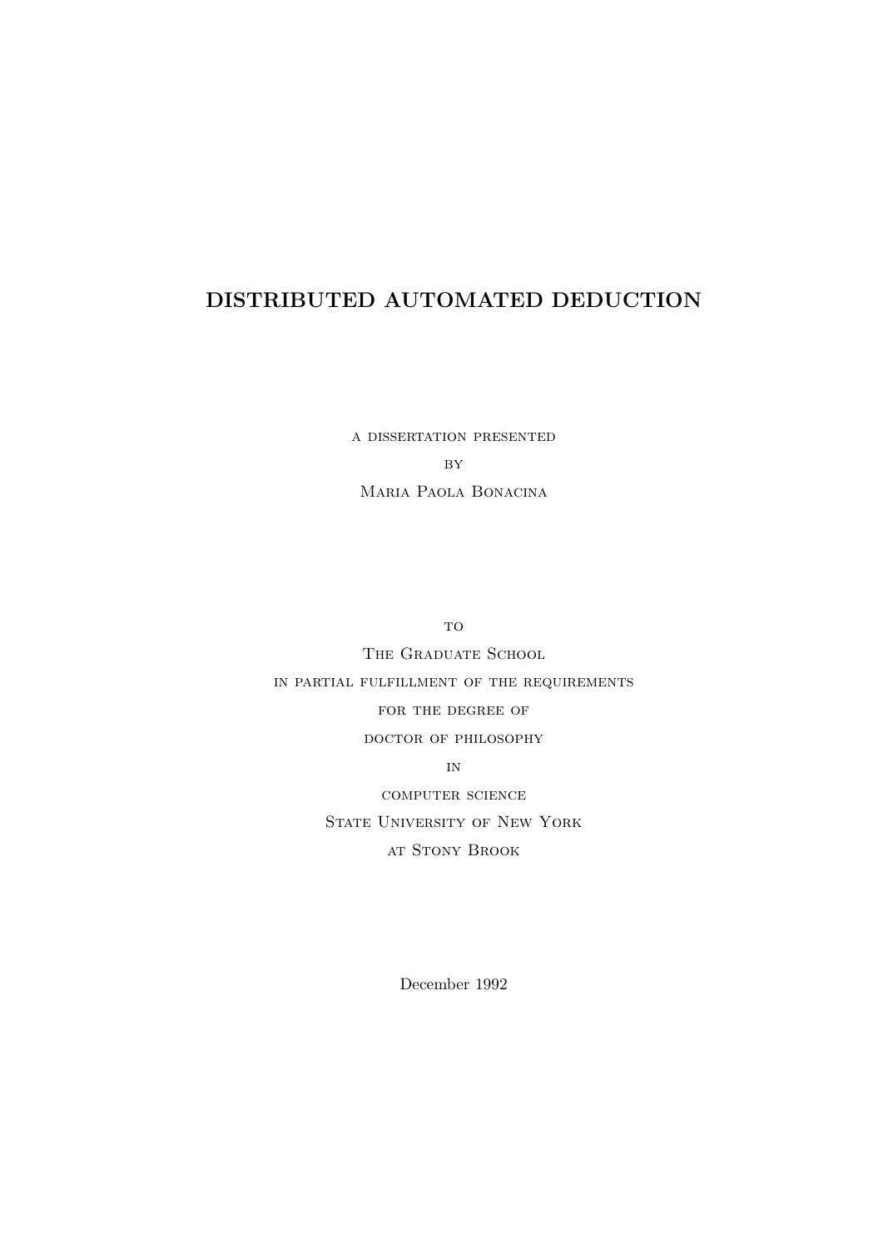## DISTRIBUTED AUTOMATED DEDUCTION

a dissertation presented **BY** Maria Paola Bonacina

to

THE GRADUATE SCHOOL in partial fulfillment of the requirements for the degree of doctor of philosophy in

computer science STATE UNIVERSITY OF NEW YORK at Stony Brook

December 1992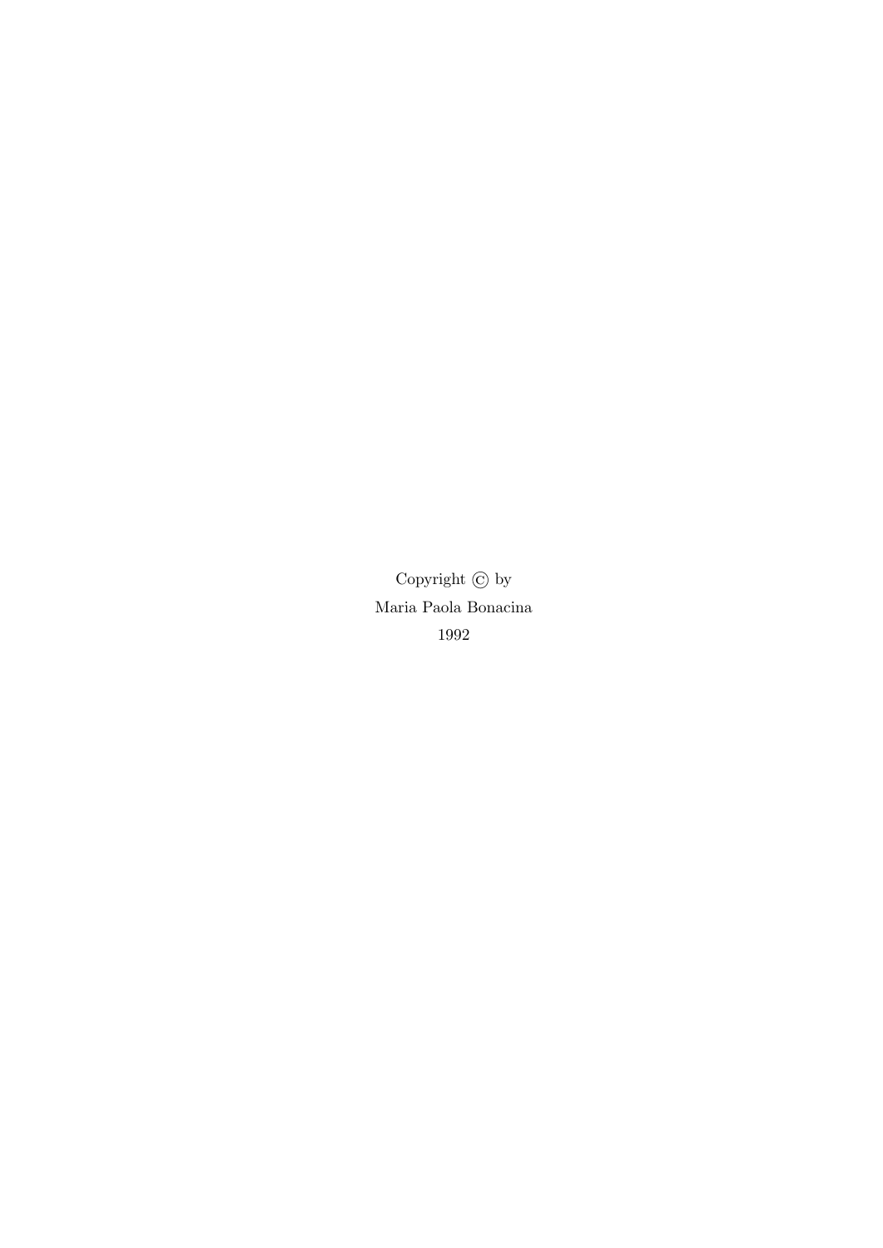Copyright © by Maria Paola Bonacina 1992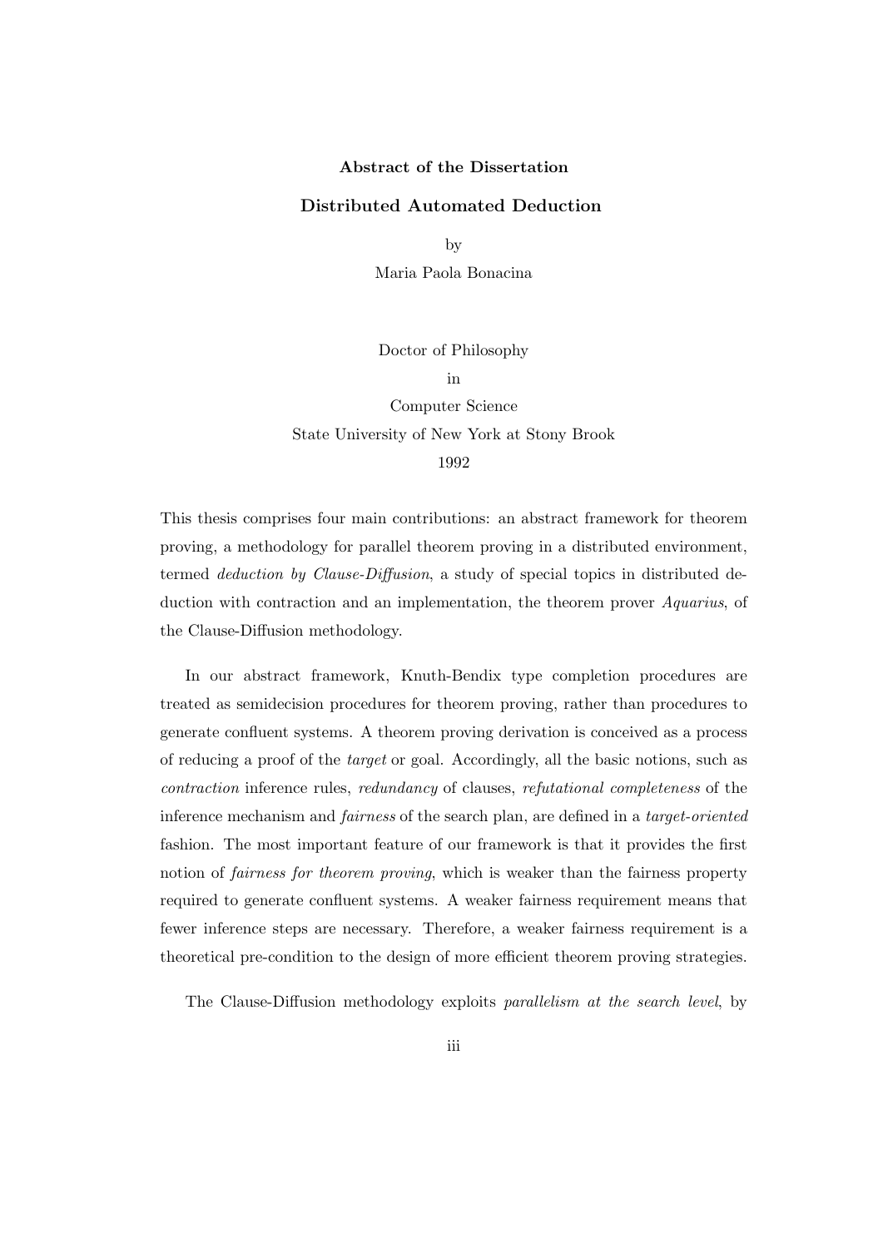#### Abstract of the Dissertation

#### Distributed Automated Deduction

by

Maria Paola Bonacina

Doctor of Philosophy

in

Computer Science State University of New York at Stony Brook 1992

This thesis comprises four main contributions: an abstract framework for theorem proving, a methodology for parallel theorem proving in a distributed environment, termed deduction by Clause-Diffusion, a study of special topics in distributed deduction with contraction and an implementation, the theorem prover Aquarius, of the Clause-Diffusion methodology.

In our abstract framework, Knuth-Bendix type completion procedures are treated as semidecision procedures for theorem proving, rather than procedures to generate confluent systems. A theorem proving derivation is conceived as a process of reducing a proof of the target or goal. Accordingly, all the basic notions, such as contraction inference rules, redundancy of clauses, refutational completeness of the inference mechanism and fairness of the search plan, are defined in a target-oriented fashion. The most important feature of our framework is that it provides the first notion of fairness for theorem proving, which is weaker than the fairness property required to generate confluent systems. A weaker fairness requirement means that fewer inference steps are necessary. Therefore, a weaker fairness requirement is a theoretical pre-condition to the design of more efficient theorem proving strategies.

The Clause-Diffusion methodology exploits parallelism at the search level, by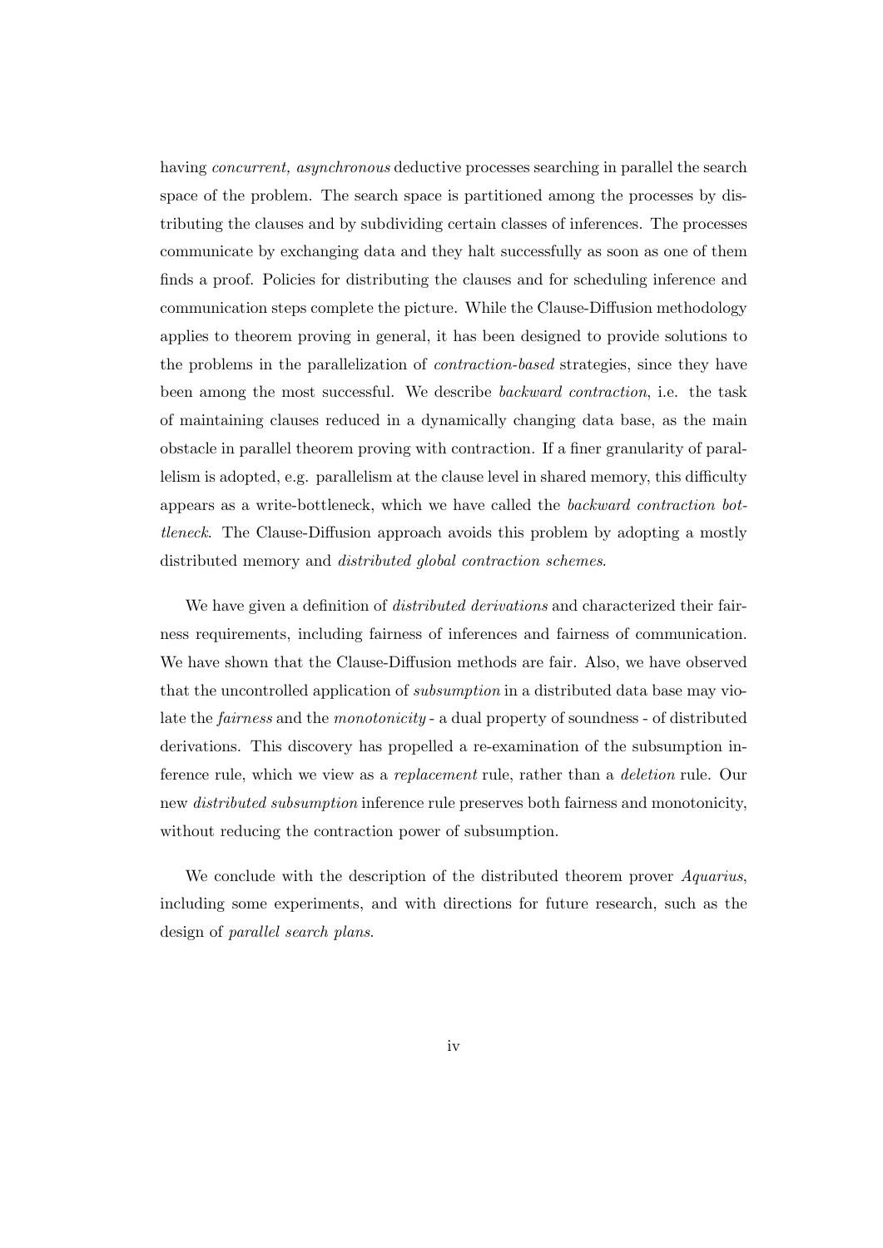having *concurrent*, asynchronous deductive processes searching in parallel the search space of the problem. The search space is partitioned among the processes by distributing the clauses and by subdividing certain classes of inferences. The processes communicate by exchanging data and they halt successfully as soon as one of them finds a proof. Policies for distributing the clauses and for scheduling inference and communication steps complete the picture. While the Clause-Diffusion methodology applies to theorem proving in general, it has been designed to provide solutions to the problems in the parallelization of contraction-based strategies, since they have been among the most successful. We describe backward contraction, i.e. the task of maintaining clauses reduced in a dynamically changing data base, as the main obstacle in parallel theorem proving with contraction. If a finer granularity of parallelism is adopted, e.g. parallelism at the clause level in shared memory, this difficulty appears as a write-bottleneck, which we have called the backward contraction bottleneck. The Clause-Diffusion approach avoids this problem by adopting a mostly distributed memory and distributed global contraction schemes.

We have given a definition of *distributed derivations* and characterized their fairness requirements, including fairness of inferences and fairness of communication. We have shown that the Clause-Diffusion methods are fair. Also, we have observed that the uncontrolled application of subsumption in a distributed data base may violate the *fairness* and the *monotonicity* - a dual property of soundness - of distributed derivations. This discovery has propelled a re-examination of the subsumption inference rule, which we view as a replacement rule, rather than a deletion rule. Our new distributed subsumption inference rule preserves both fairness and monotonicity, without reducing the contraction power of subsumption.

We conclude with the description of the distributed theorem prover *Aquarius*, including some experiments, and with directions for future research, such as the design of parallel search plans.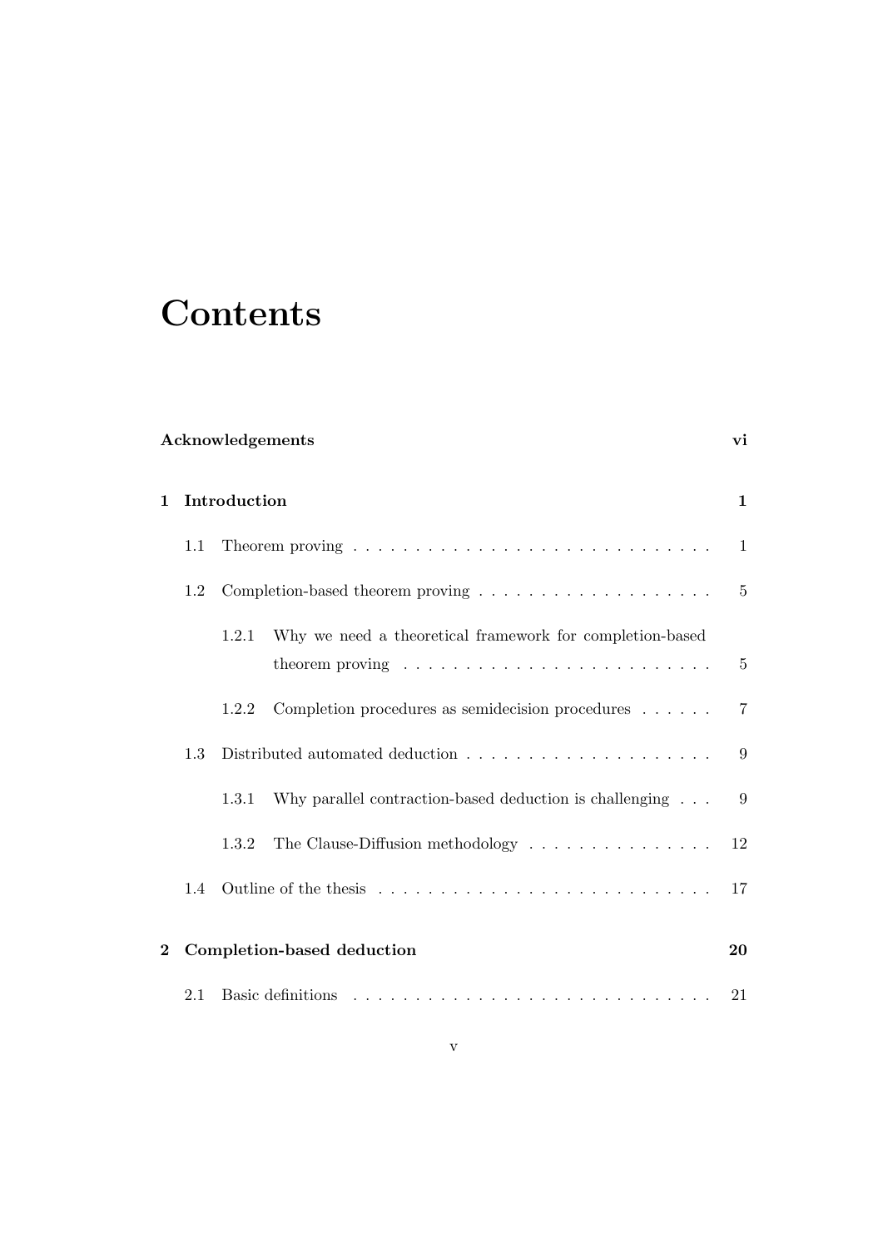# **Contents**

## Acknowledgements vi

| $\mathbf 1$ |               | Introduction                                                                            |                                                                                                                                       |                |  |
|-------------|---------------|-----------------------------------------------------------------------------------------|---------------------------------------------------------------------------------------------------------------------------------------|----------------|--|
|             | 1.1           | Theorem proving $\ldots \ldots \ldots \ldots \ldots \ldots \ldots \ldots \ldots \ldots$ |                                                                                                                                       |                |  |
|             | 1.2           | Completion-based theorem proving $\dots \dots \dots \dots \dots \dots \dots$            |                                                                                                                                       |                |  |
|             |               | 1.2.1                                                                                   | Why we need a theoretical framework for completion-based<br>theorem proving $\ldots \ldots \ldots \ldots \ldots \ldots \ldots \ldots$ | $-5$           |  |
|             |               | 1.2.2                                                                                   | Completion procedures as semidecision procedures $\dots \dots$                                                                        | $\overline{7}$ |  |
|             | 1.3           | Distributed automated deduction $\ldots \ldots \ldots \ldots \ldots \ldots$             |                                                                                                                                       | 9              |  |
|             |               | 1.3.1                                                                                   | Why parallel contraction-based deduction is challenging                                                                               | 9              |  |
|             |               | 1.3.2                                                                                   | The Clause-Diffusion methodology $\dots \dots \dots \dots \dots \dots$                                                                | 12             |  |
|             | $1.4^{\circ}$ |                                                                                         |                                                                                                                                       | 17             |  |
| $\bf{2}$    |               | Completion-based deduction                                                              |                                                                                                                                       | 20             |  |
|             | 2.1           |                                                                                         |                                                                                                                                       |                |  |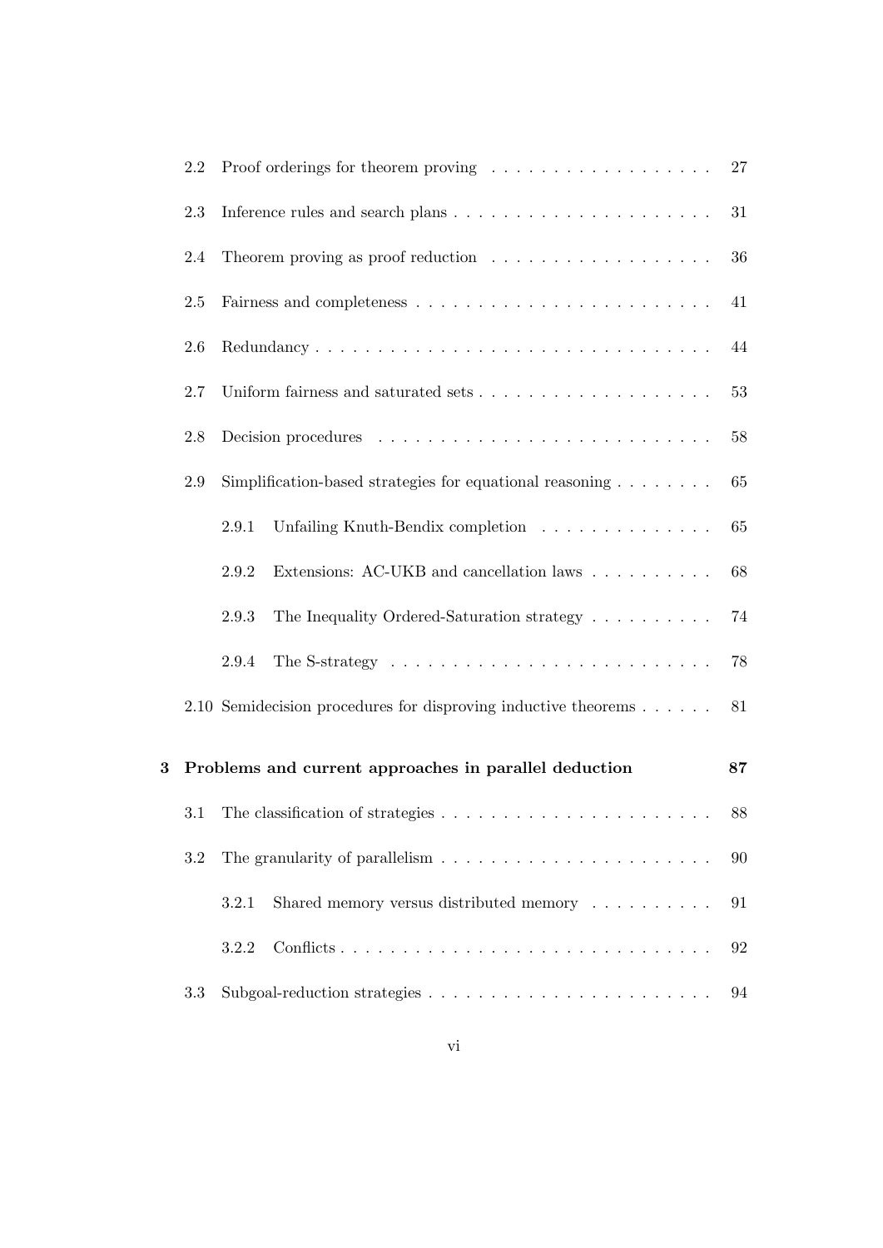|   | 2.2 | Proof orderings for theorem proving $\ldots \ldots \ldots \ldots \ldots \ldots$<br>27 |    |  |  |  |
|---|-----|---------------------------------------------------------------------------------------|----|--|--|--|
|   | 2.3 |                                                                                       | 31 |  |  |  |
|   | 2.4 | Theorem proving as proof reduction $\ldots \ldots \ldots \ldots \ldots \ldots$        | 36 |  |  |  |
|   | 2.5 |                                                                                       | 41 |  |  |  |
|   | 2.6 |                                                                                       | 44 |  |  |  |
|   | 2.7 |                                                                                       | 53 |  |  |  |
|   | 2.8 |                                                                                       | 58 |  |  |  |
|   | 2.9 | Simplification-based strategies for equational reasoning $\ldots \ldots$              | 65 |  |  |  |
|   |     | Unfailing Knuth-Bendix completion<br>2.9.1                                            | 65 |  |  |  |
|   |     | Extensions: AC-UKB and cancellation laws<br>2.9.2                                     | 68 |  |  |  |
|   |     | The Inequality Ordered-Saturation strategy<br>2.9.3                                   | 74 |  |  |  |
|   |     | The S-strategy $\dots \dots \dots \dots \dots \dots \dots \dots \dots \dots$<br>2.9.4 | 78 |  |  |  |
|   |     | 2.10 Semidecision procedures for disproving inductive theorems $\dots \dots$          | 81 |  |  |  |
| 3 |     | Problems and current approaches in parallel deduction                                 | 87 |  |  |  |
|   | 3.1 |                                                                                       |    |  |  |  |
|   | 3.2 | The granularity of parallelism $\ldots \ldots \ldots \ldots \ldots \ldots \ldots$     |    |  |  |  |
|   |     | Shared memory versus distributed memory<br>3.2.1                                      | 91 |  |  |  |
|   |     | 3.2.2                                                                                 | 92 |  |  |  |
|   | 3.3 |                                                                                       | 94 |  |  |  |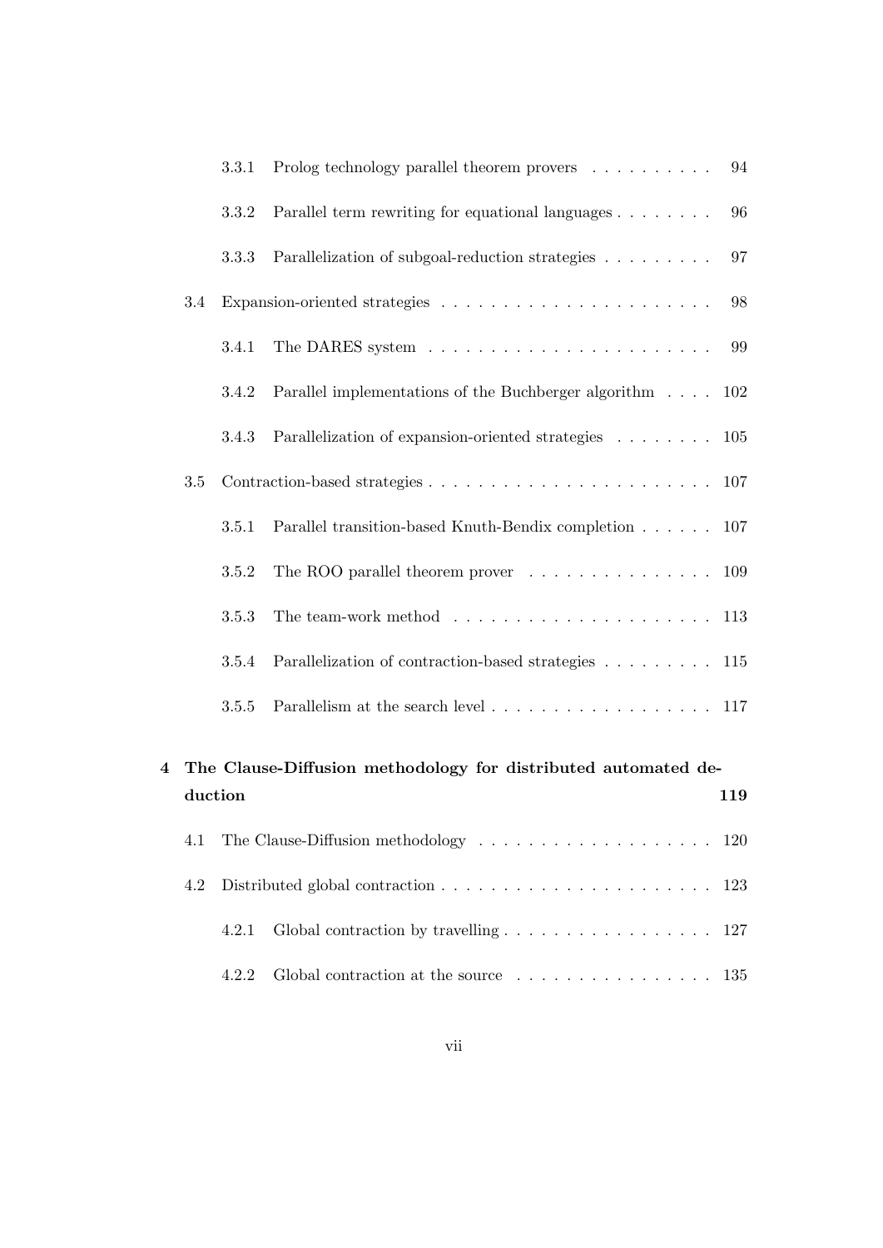|     |       | 3.3.1 Prolog technology parallel theorem provers                                   | 94 |
|-----|-------|------------------------------------------------------------------------------------|----|
|     | 3.3.2 | Parallel term rewriting for equational languages                                   | 96 |
|     | 3.3.3 | Parallelization of subgoal-reduction strategies                                    | 97 |
| 3.4 |       |                                                                                    | 98 |
|     | 3.4.1 |                                                                                    | 99 |
|     | 3.4.2 | Parallel implementations of the Buchberger algorithm 102                           |    |
|     | 3.4.3 | Parallelization of expansion-oriented strategies 105                               |    |
| 3.5 |       |                                                                                    |    |
|     | 3.5.1 | Parallel transition-based Knuth-Bendix completion 107                              |    |
|     | 3.5.2 | The ROO parallel theorem prover $\dots \dots \dots \dots \dots \dots \dots \dots$  |    |
|     | 3.5.3 | The team-work method $\ldots \ldots \ldots \ldots \ldots \ldots \ldots \ldots 113$ |    |
|     | 3.5.4 | Parallelization of contraction-based strategies 115                                |    |
|     | 3.5.5 | Parallelism at the search level 117                                                |    |
|     |       |                                                                                    |    |

|         | 4 The Clause-Diffusion methodology for distributed automated de- |       |                                                                                  |  |  |
|---------|------------------------------------------------------------------|-------|----------------------------------------------------------------------------------|--|--|
| duction |                                                                  |       |                                                                                  |  |  |
|         |                                                                  |       | 4.1 The Clause-Diffusion methodology  120                                        |  |  |
|         |                                                                  |       |                                                                                  |  |  |
|         |                                                                  | 4.2.1 | Global contraction by travelling $\ldots \ldots \ldots \ldots \ldots \ldots 127$ |  |  |
|         |                                                                  | 422   | Global contraction at the source $\dots \dots \dots \dots \dots \dots \dots$ 135 |  |  |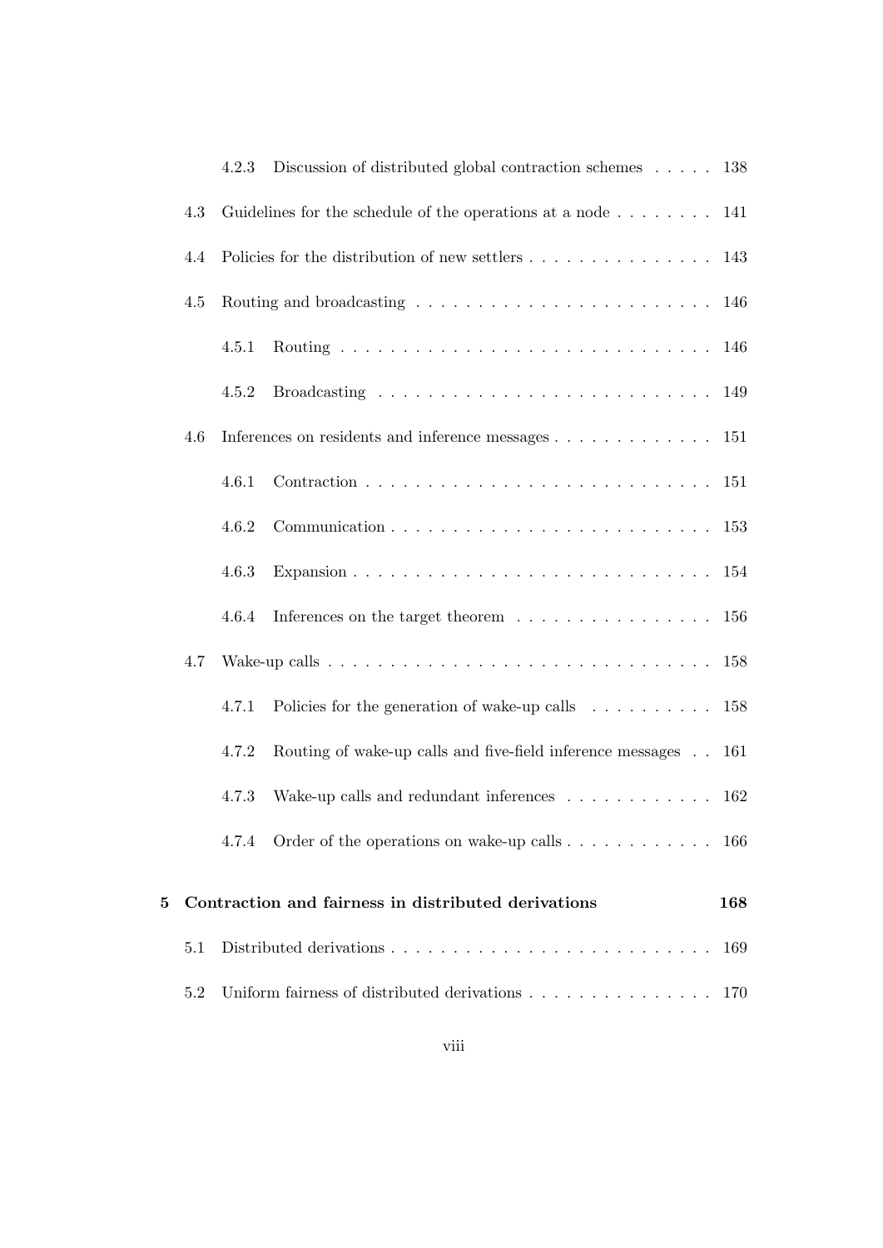|   |     | 4.2.3                                              | Discussion of distributed global contraction schemes $\ldots$ . 138                           |     |  |
|---|-----|----------------------------------------------------|-----------------------------------------------------------------------------------------------|-----|--|
|   | 4.3 |                                                    | Guidelines for the schedule of the operations at a node $\ldots \ldots \ldots 141$            |     |  |
|   | 4.4 |                                                    | Policies for the distribution of new settlers $\dots \dots \dots \dots \dots \dots \dots$ 143 |     |  |
|   | 4.5 |                                                    |                                                                                               |     |  |
|   |     | 4.5.1                                              |                                                                                               |     |  |
|   |     | 4.5.2                                              |                                                                                               |     |  |
|   | 4.6 |                                                    | Inferences on residents and inference messages 151                                            |     |  |
|   |     | 4.6.1                                              |                                                                                               |     |  |
|   |     | 4.6.2                                              |                                                                                               |     |  |
|   |     | 4.6.3                                              |                                                                                               |     |  |
|   |     | 4.6.4                                              | Inferences on the target theorem $\ldots \ldots \ldots \ldots \ldots 156$                     |     |  |
|   | 4.7 |                                                    |                                                                                               |     |  |
|   |     | 4.7.1                                              | Policies for the generation of wake-up calls 158                                              |     |  |
|   |     | 4.7.2                                              | Routing of wake-up calls and five-field inference messages 161                                |     |  |
|   |     | 4.7.3                                              | Wake-up calls and redundant inferences $\ldots \ldots \ldots \ldots$                          | 162 |  |
|   |     | 4.7.4                                              | Order of the operations on wake-up calls $\dots \dots \dots \dots \dots$ 166                  |     |  |
| 5 |     |                                                    | Contraction and fairness in distributed derivations                                           | 168 |  |
|   |     |                                                    |                                                                                               |     |  |
|   | 5.1 | 169                                                |                                                                                               |     |  |
|   | 5.2 | Uniform fairness of distributed derivations<br>170 |                                                                                               |     |  |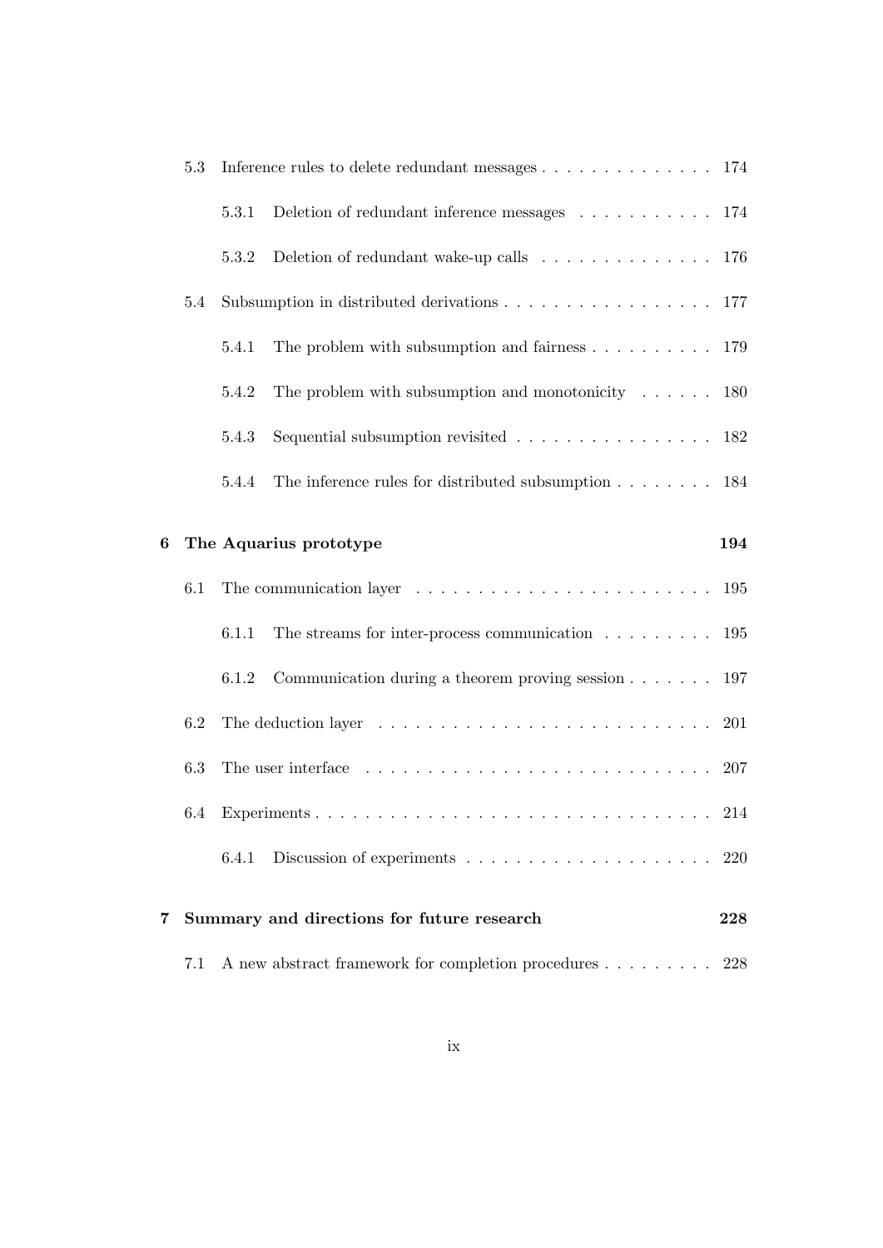|   | 5.3 | Inference rules to delete redundant messages 174                                             |
|---|-----|----------------------------------------------------------------------------------------------|
|   |     | Deletion of redundant inference messages 174<br>5.3.1                                        |
|   |     | Deletion of redundant wake-up calls 176<br>5.3.2                                             |
|   | 5.4 | Subsumption in distributed derivations 177                                                   |
|   |     | The problem with subsumption and fairness $\ldots \ldots \ldots \ldots 179$<br>5.4.1         |
|   |     | The problem with subsumption and monotonicity $\ldots$ 180<br>5.4.2                          |
|   |     | Sequential subsumption revisited 182<br>5.4.3                                                |
|   |     | The inference rules for distributed subsumption $\ldots \ldots \ldots$ 184<br>5.4.4          |
| 6 |     | The Aquarius prototype<br>194                                                                |
|   | 6.1 | The communication layer $\ldots \ldots \ldots \ldots \ldots \ldots \ldots \ldots \ldots 195$ |
|   |     | The streams for inter-process communication $\dots \dots \dots \dots$ 195<br>6.1.1           |
|   |     | Communication during a theorem proving session $\dots \dots \dots$ 197<br>6.1.2              |
|   | 6.2 | The deduction layer $\ldots \ldots \ldots \ldots \ldots \ldots \ldots \ldots \ldots 201$     |
|   | 6.3 | The user interface $\ldots \ldots \ldots \ldots \ldots \ldots \ldots \ldots \ldots \ldots$   |
|   | 6.4 |                                                                                              |
|   |     |                                                                                              |
| 7 |     | Summary and directions for future research<br>228                                            |
|   | 7.1 | A new abstract framework for completion procedures<br>228                                    |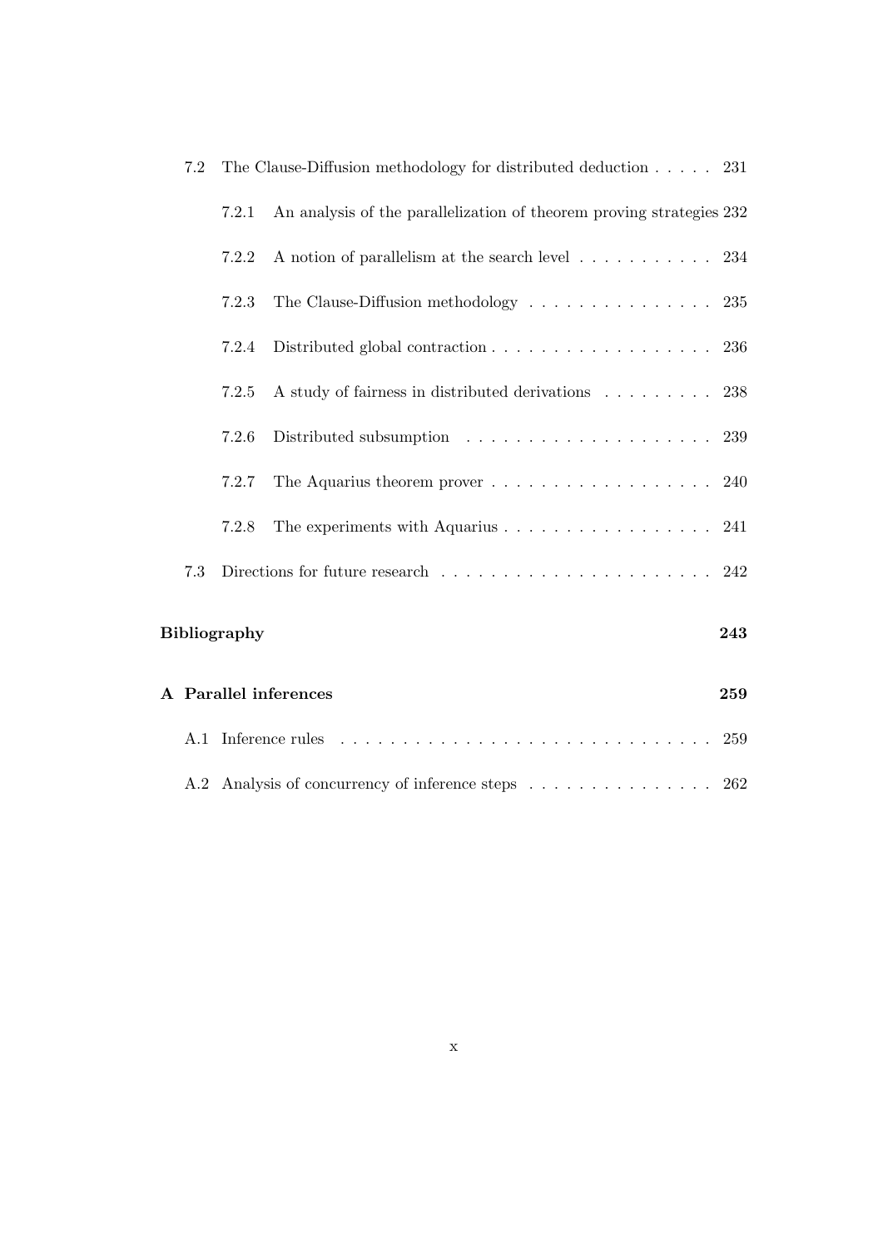| 7.2                        | The Clause-Diffusion methodology for distributed deduction $\ldots$ 231 |                                                                                       |     |  |
|----------------------------|-------------------------------------------------------------------------|---------------------------------------------------------------------------------------|-----|--|
|                            | 7.2.1                                                                   | An analysis of the parallelization of theorem proving strategies 232                  |     |  |
|                            | 7.2.2                                                                   | A notion of parallelism at the search level 234                                       |     |  |
|                            | 7.2.3                                                                   | The Clause-Diffusion methodology $\ldots \ldots \ldots \ldots \ldots 235$             |     |  |
|                            | 7.2.4                                                                   | Distributed global contraction $\ldots \ldots \ldots \ldots \ldots \ldots 236$        |     |  |
|                            | 7.2.5                                                                   | A study of fairness in distributed derivations 238                                    |     |  |
|                            | 7.2.6                                                                   |                                                                                       |     |  |
|                            | 7.2.7                                                                   |                                                                                       | 240 |  |
|                            | 7.2.8                                                                   | The experiments with Aquarius $\dots \dots \dots \dots \dots \dots \dots$ 241         |     |  |
| 7.3                        |                                                                         | Directions for future research $\ldots \ldots \ldots \ldots \ldots \ldots \ldots 242$ |     |  |
| <b>Bibliography</b><br>243 |                                                                         |                                                                                       |     |  |
| A Parallel inferences      |                                                                         |                                                                                       | 259 |  |
|                            |                                                                         |                                                                                       | 259 |  |
|                            |                                                                         | A.2 Analysis of concurrency of inference steps                                        | 262 |  |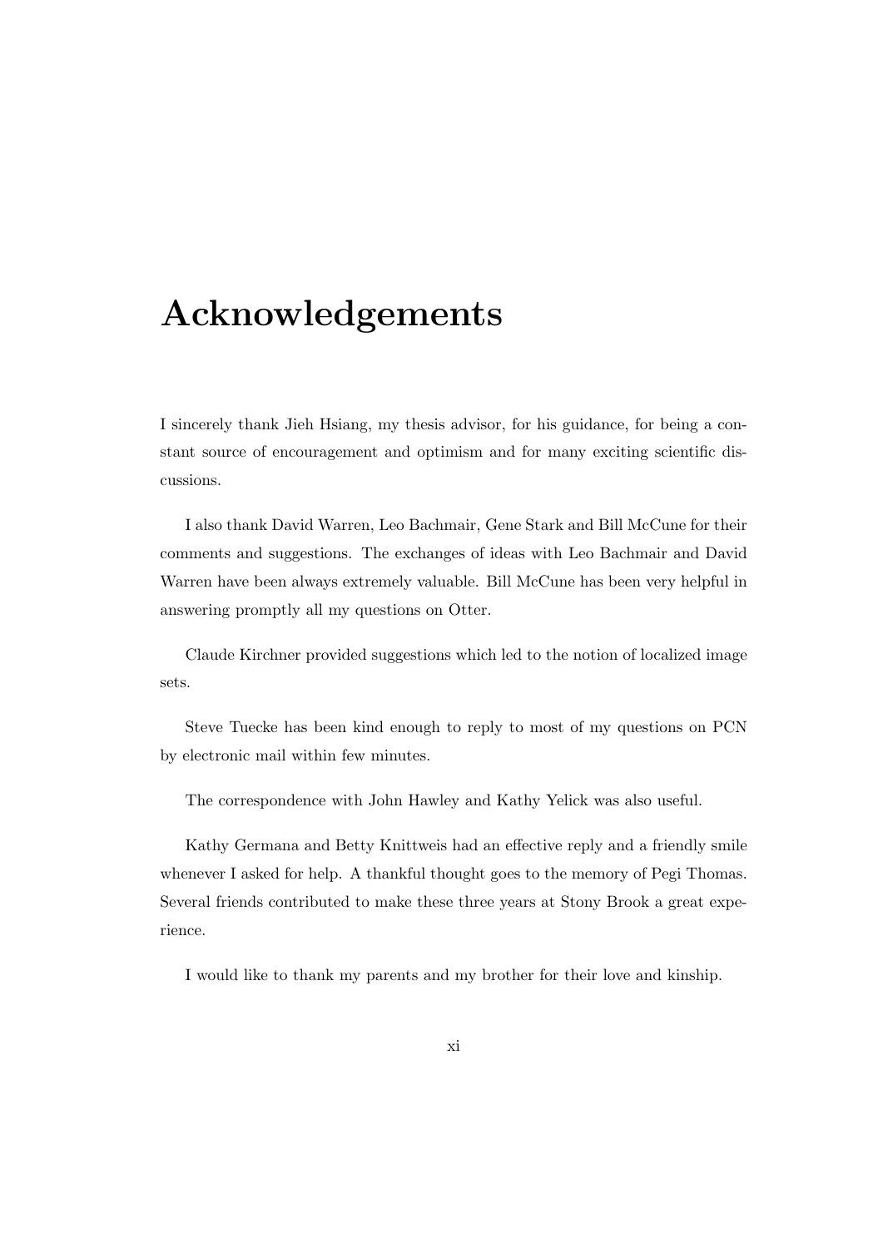## Acknowledgements

I sincerely thank Jieh Hsiang, my thesis advisor, for his guidance, for being a constant source of encouragement and optimism and for many exciting scientific discussions.

I also thank David Warren, Leo Bachmair, Gene Stark and Bill McCune for their comments and suggestions. The exchanges of ideas with Leo Bachmair and David Warren have been always extremely valuable. Bill McCune has been very helpful in answering promptly all my questions on Otter.

Claude Kirchner provided suggestions which led to the notion of localized image sets.

Steve Tuecke has been kind enough to reply to most of my questions on PCN by electronic mail within few minutes.

The correspondence with John Hawley and Kathy Yelick was also useful.

Kathy Germana and Betty Knittweis had an effective reply and a friendly smile whenever I asked for help. A thankful thought goes to the memory of Pegi Thomas. Several friends contributed to make these three years at Stony Brook a great experience.

I would like to thank my parents and my brother for their love and kinship.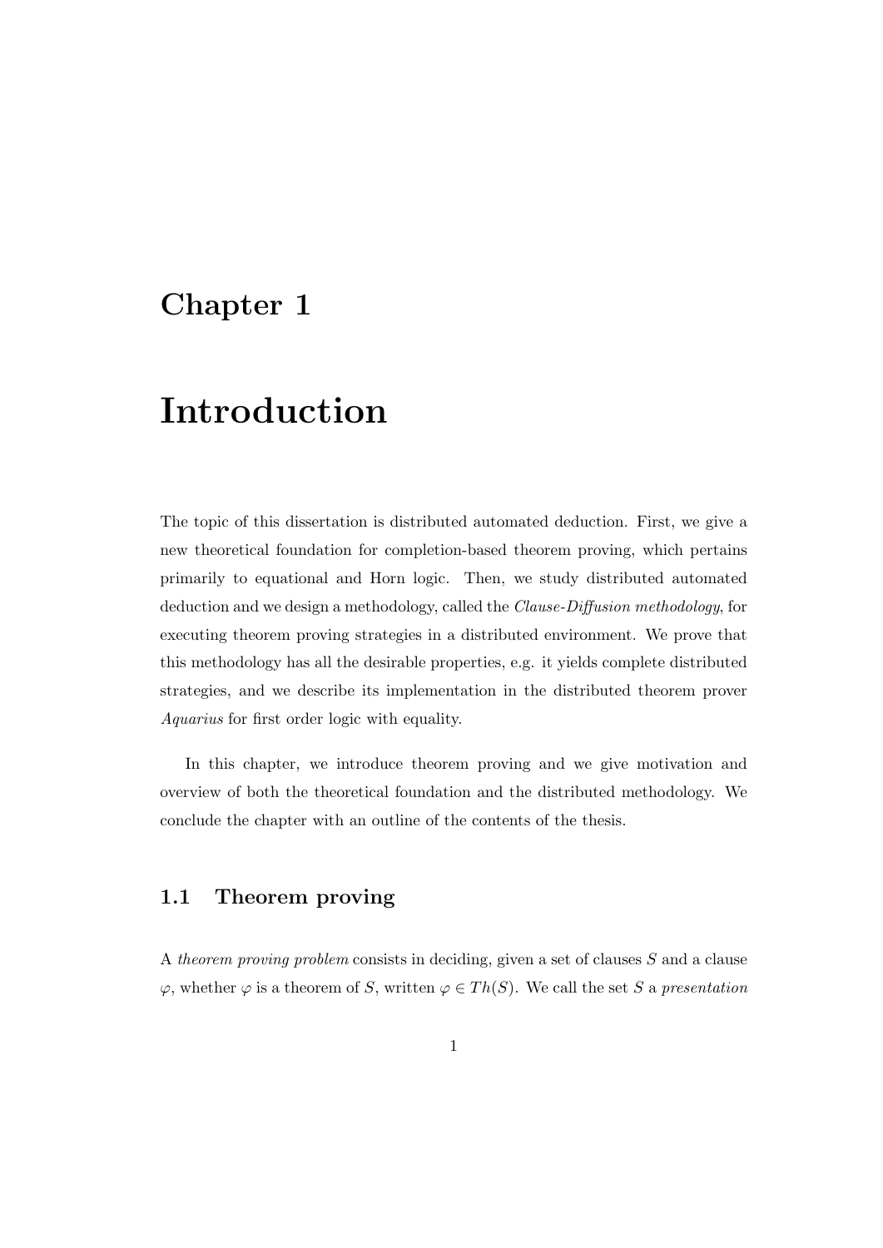## Chapter 1

# Introduction

The topic of this dissertation is distributed automated deduction. First, we give a new theoretical foundation for completion-based theorem proving, which pertains primarily to equational and Horn logic. Then, we study distributed automated deduction and we design a methodology, called the Clause-Diffusion methodology, for executing theorem proving strategies in a distributed environment. We prove that this methodology has all the desirable properties, e.g. it yields complete distributed strategies, and we describe its implementation in the distributed theorem prover Aquarius for first order logic with equality.

In this chapter, we introduce theorem proving and we give motivation and overview of both the theoretical foundation and the distributed methodology. We conclude the chapter with an outline of the contents of the thesis.

### 1.1 Theorem proving

A theorem proving problem consists in deciding, given a set of clauses S and a clause  $\varphi$ , whether  $\varphi$  is a theorem of S, written  $\varphi \in Th(S)$ . We call the set S a presentation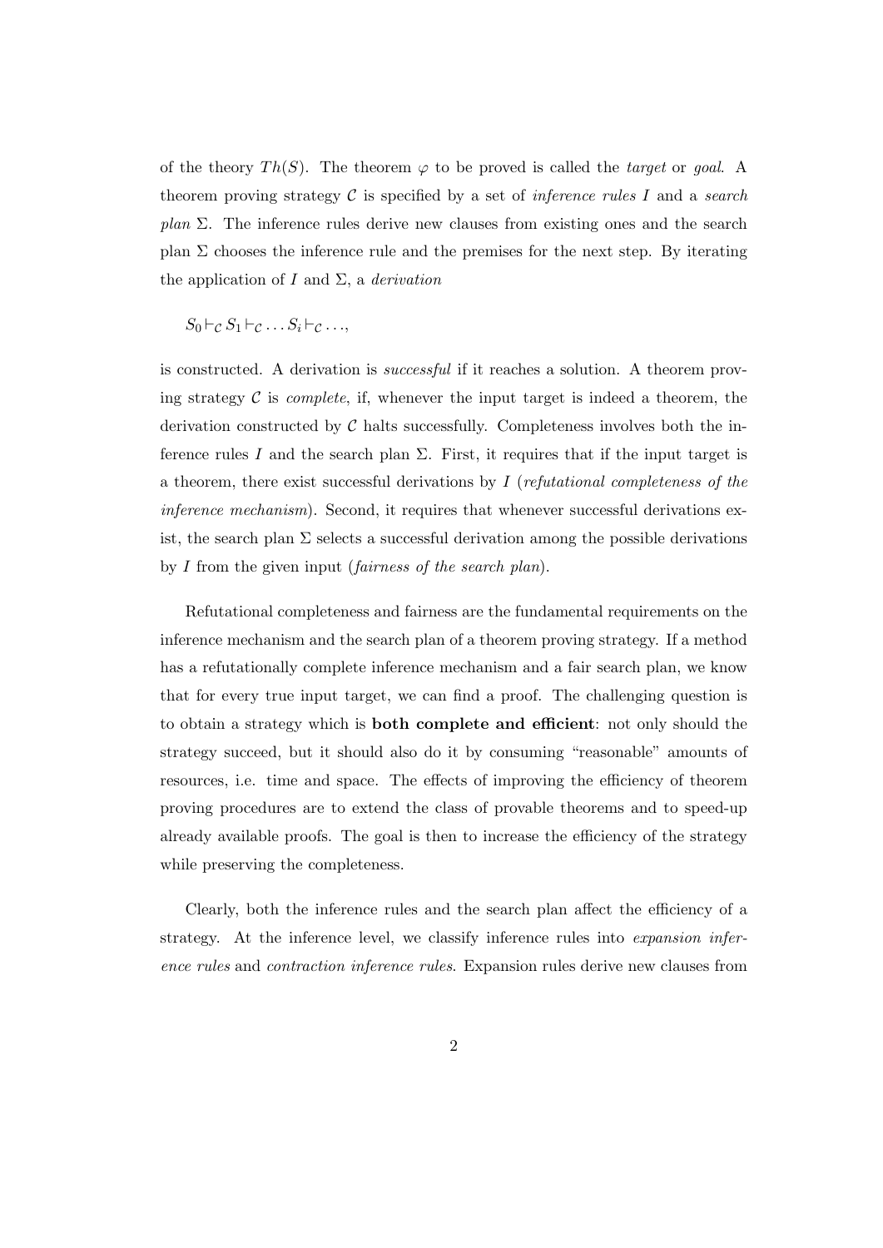of the theory  $Th(S)$ . The theorem  $\varphi$  to be proved is called the *target* or *goal*. A theorem proving strategy  $\mathcal C$  is specified by a set of *inference rules I* and a search plan  $\Sigma$ . The inference rules derive new clauses from existing ones and the search plan  $\Sigma$  chooses the inference rule and the premises for the next step. By iterating the application of I and  $\Sigma$ , a *derivation* 

 $S_0 \vdash_C S_1 \vdash_C \ldots S_i \vdash_C \ldots$ 

is constructed. A derivation is successful if it reaches a solution. A theorem proving strategy  $\mathcal C$  is *complete*, if, whenever the input target is indeed a theorem, the derivation constructed by  $\mathcal C$  halts successfully. Completeness involves both the inference rules I and the search plan  $\Sigma$ . First, it requires that if the input target is a theorem, there exist successful derivations by  $I$  (refutational completeness of the inference mechanism). Second, it requires that whenever successful derivations exist, the search plan  $\Sigma$  selects a successful derivation among the possible derivations by I from the given input (fairness of the search plan).

Refutational completeness and fairness are the fundamental requirements on the inference mechanism and the search plan of a theorem proving strategy. If a method has a refutationally complete inference mechanism and a fair search plan, we know that for every true input target, we can find a proof. The challenging question is to obtain a strategy which is both complete and efficient: not only should the strategy succeed, but it should also do it by consuming "reasonable" amounts of resources, i.e. time and space. The effects of improving the efficiency of theorem proving procedures are to extend the class of provable theorems and to speed-up already available proofs. The goal is then to increase the efficiency of the strategy while preserving the completeness.

Clearly, both the inference rules and the search plan affect the efficiency of a strategy. At the inference level, we classify inference rules into *expansion infer*ence rules and contraction inference rules. Expansion rules derive new clauses from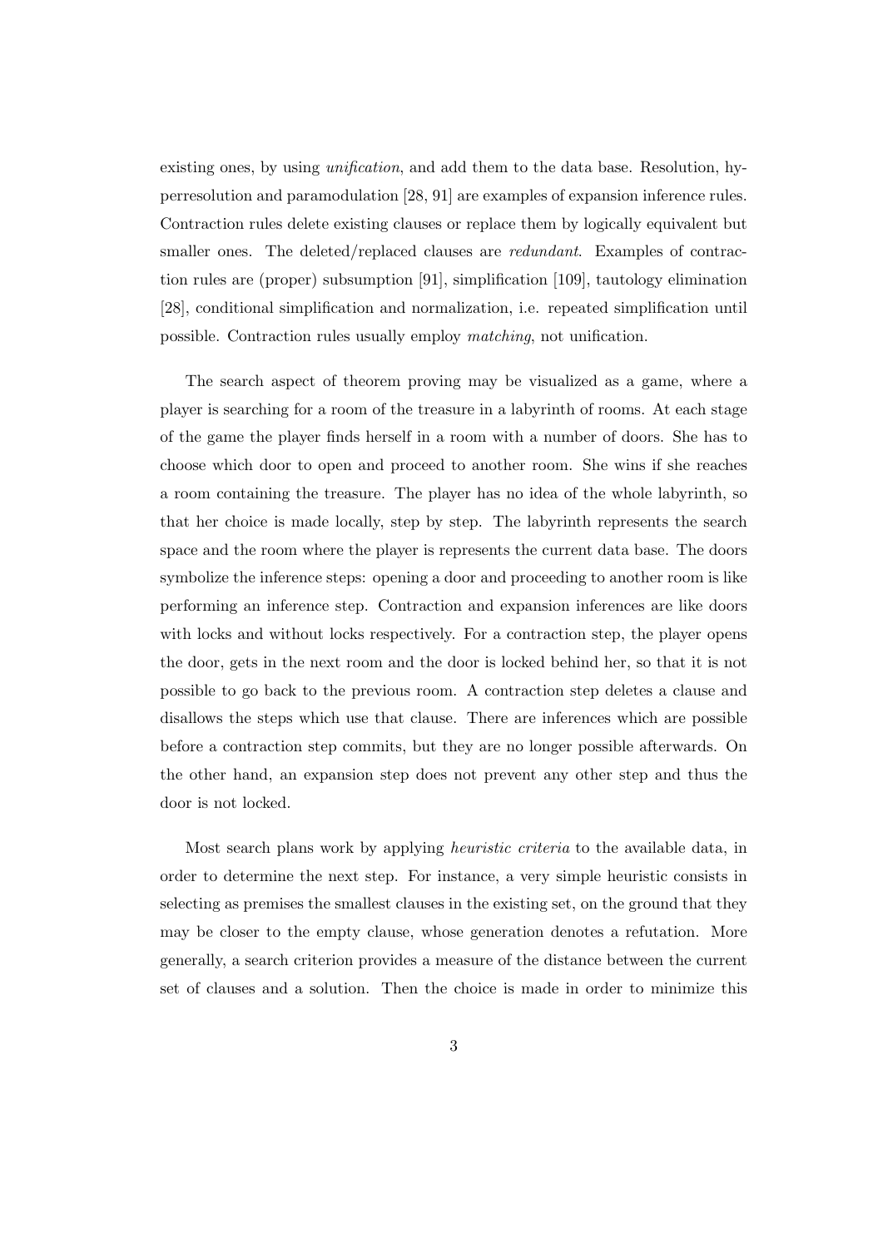existing ones, by using unification, and add them to the data base. Resolution, hyperresolution and paramodulation [28, 91] are examples of expansion inference rules. Contraction rules delete existing clauses or replace them by logically equivalent but smaller ones. The deleted/replaced clauses are *redundant*. Examples of contraction rules are (proper) subsumption [91], simplification [109], tautology elimination [28], conditional simplification and normalization, i.e. repeated simplification until possible. Contraction rules usually employ matching, not unification.

The search aspect of theorem proving may be visualized as a game, where a player is searching for a room of the treasure in a labyrinth of rooms. At each stage of the game the player finds herself in a room with a number of doors. She has to choose which door to open and proceed to another room. She wins if she reaches a room containing the treasure. The player has no idea of the whole labyrinth, so that her choice is made locally, step by step. The labyrinth represents the search space and the room where the player is represents the current data base. The doors symbolize the inference steps: opening a door and proceeding to another room is like performing an inference step. Contraction and expansion inferences are like doors with locks and without locks respectively. For a contraction step, the player opens the door, gets in the next room and the door is locked behind her, so that it is not possible to go back to the previous room. A contraction step deletes a clause and disallows the steps which use that clause. There are inferences which are possible before a contraction step commits, but they are no longer possible afterwards. On the other hand, an expansion step does not prevent any other step and thus the door is not locked.

Most search plans work by applying heuristic criteria to the available data, in order to determine the next step. For instance, a very simple heuristic consists in selecting as premises the smallest clauses in the existing set, on the ground that they may be closer to the empty clause, whose generation denotes a refutation. More generally, a search criterion provides a measure of the distance between the current set of clauses and a solution. Then the choice is made in order to minimize this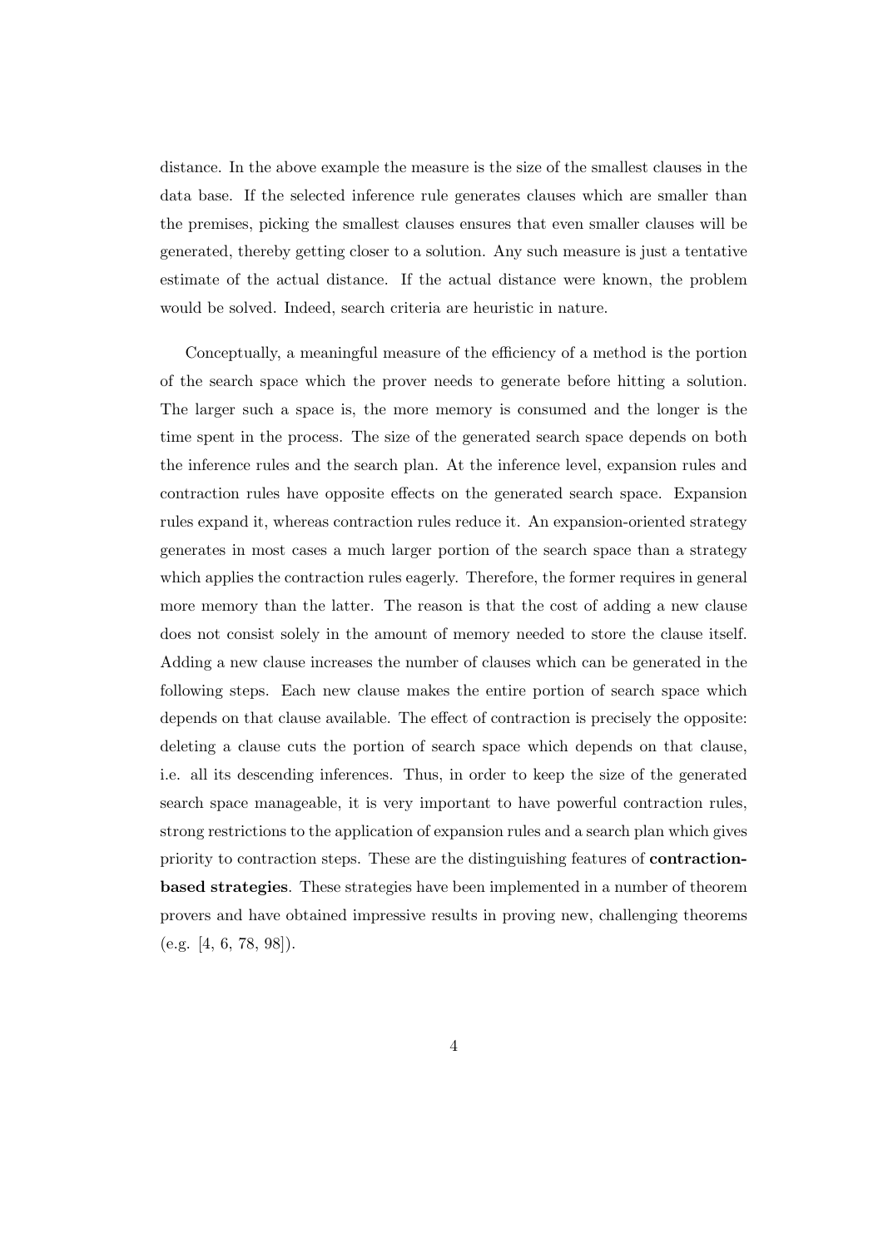distance. In the above example the measure is the size of the smallest clauses in the data base. If the selected inference rule generates clauses which are smaller than the premises, picking the smallest clauses ensures that even smaller clauses will be generated, thereby getting closer to a solution. Any such measure is just a tentative estimate of the actual distance. If the actual distance were known, the problem would be solved. Indeed, search criteria are heuristic in nature.

Conceptually, a meaningful measure of the efficiency of a method is the portion of the search space which the prover needs to generate before hitting a solution. The larger such a space is, the more memory is consumed and the longer is the time spent in the process. The size of the generated search space depends on both the inference rules and the search plan. At the inference level, expansion rules and contraction rules have opposite effects on the generated search space. Expansion rules expand it, whereas contraction rules reduce it. An expansion-oriented strategy generates in most cases a much larger portion of the search space than a strategy which applies the contraction rules eagerly. Therefore, the former requires in general more memory than the latter. The reason is that the cost of adding a new clause does not consist solely in the amount of memory needed to store the clause itself. Adding a new clause increases the number of clauses which can be generated in the following steps. Each new clause makes the entire portion of search space which depends on that clause available. The effect of contraction is precisely the opposite: deleting a clause cuts the portion of search space which depends on that clause, i.e. all its descending inferences. Thus, in order to keep the size of the generated search space manageable, it is very important to have powerful contraction rules, strong restrictions to the application of expansion rules and a search plan which gives priority to contraction steps. These are the distinguishing features of contractionbased strategies. These strategies have been implemented in a number of theorem provers and have obtained impressive results in proving new, challenging theorems (e.g. [4, 6, 78, 98]).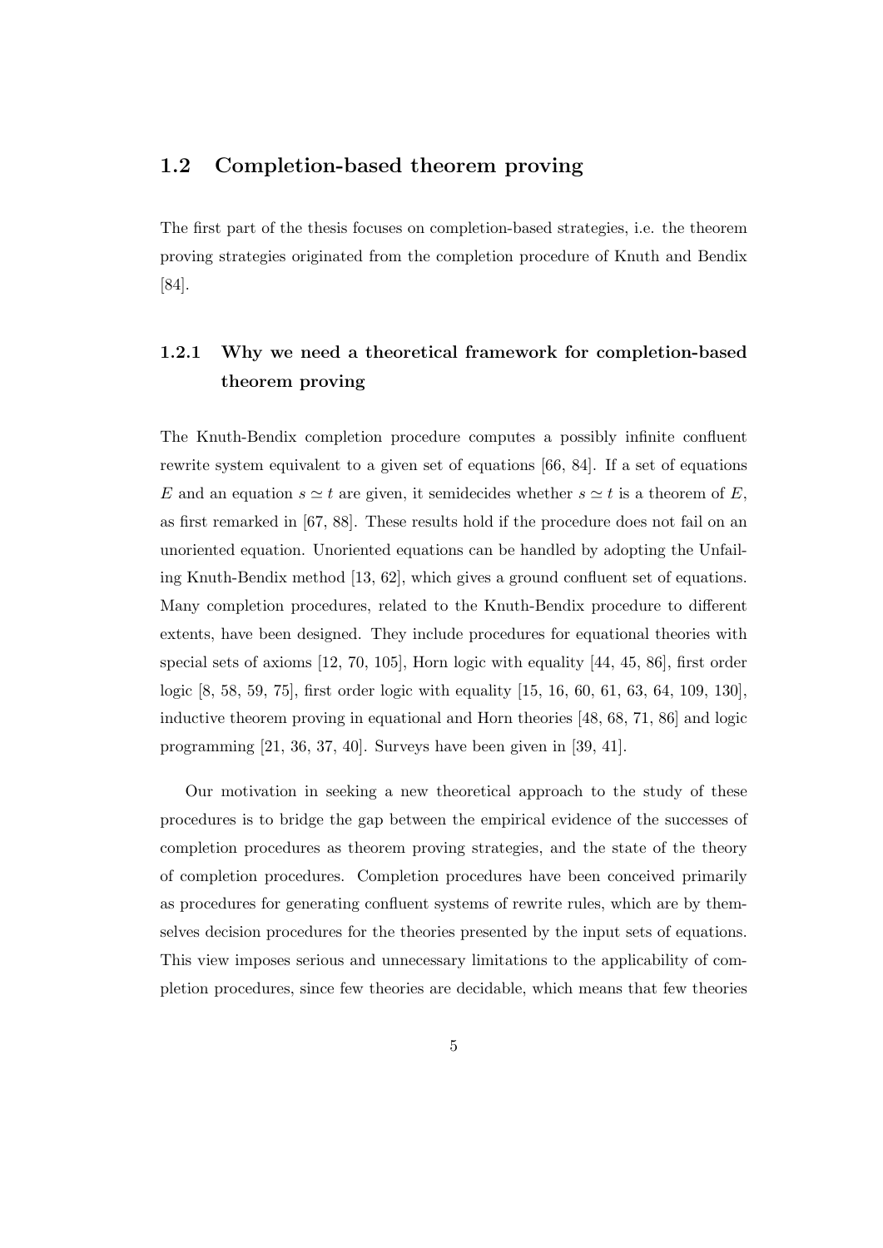### 1.2 Completion-based theorem proving

The first part of the thesis focuses on completion-based strategies, i.e. the theorem proving strategies originated from the completion procedure of Knuth and Bendix [84].

## 1.2.1 Why we need a theoretical framework for completion-based theorem proving

The Knuth-Bendix completion procedure computes a possibly infinite confluent rewrite system equivalent to a given set of equations [66, 84]. If a set of equations E and an equation  $s \simeq t$  are given, it semidecides whether  $s \simeq t$  is a theorem of E, as first remarked in [67, 88]. These results hold if the procedure does not fail on an unoriented equation. Unoriented equations can be handled by adopting the Unfailing Knuth-Bendix method [13, 62], which gives a ground confluent set of equations. Many completion procedures, related to the Knuth-Bendix procedure to different extents, have been designed. They include procedures for equational theories with special sets of axioms [12, 70, 105], Horn logic with equality [44, 45, 86], first order logic [8, 58, 59, 75], first order logic with equality [15, 16, 60, 61, 63, 64, 109, 130], inductive theorem proving in equational and Horn theories [48, 68, 71, 86] and logic programming [21, 36, 37, 40]. Surveys have been given in [39, 41].

Our motivation in seeking a new theoretical approach to the study of these procedures is to bridge the gap between the empirical evidence of the successes of completion procedures as theorem proving strategies, and the state of the theory of completion procedures. Completion procedures have been conceived primarily as procedures for generating confluent systems of rewrite rules, which are by themselves decision procedures for the theories presented by the input sets of equations. This view imposes serious and unnecessary limitations to the applicability of completion procedures, since few theories are decidable, which means that few theories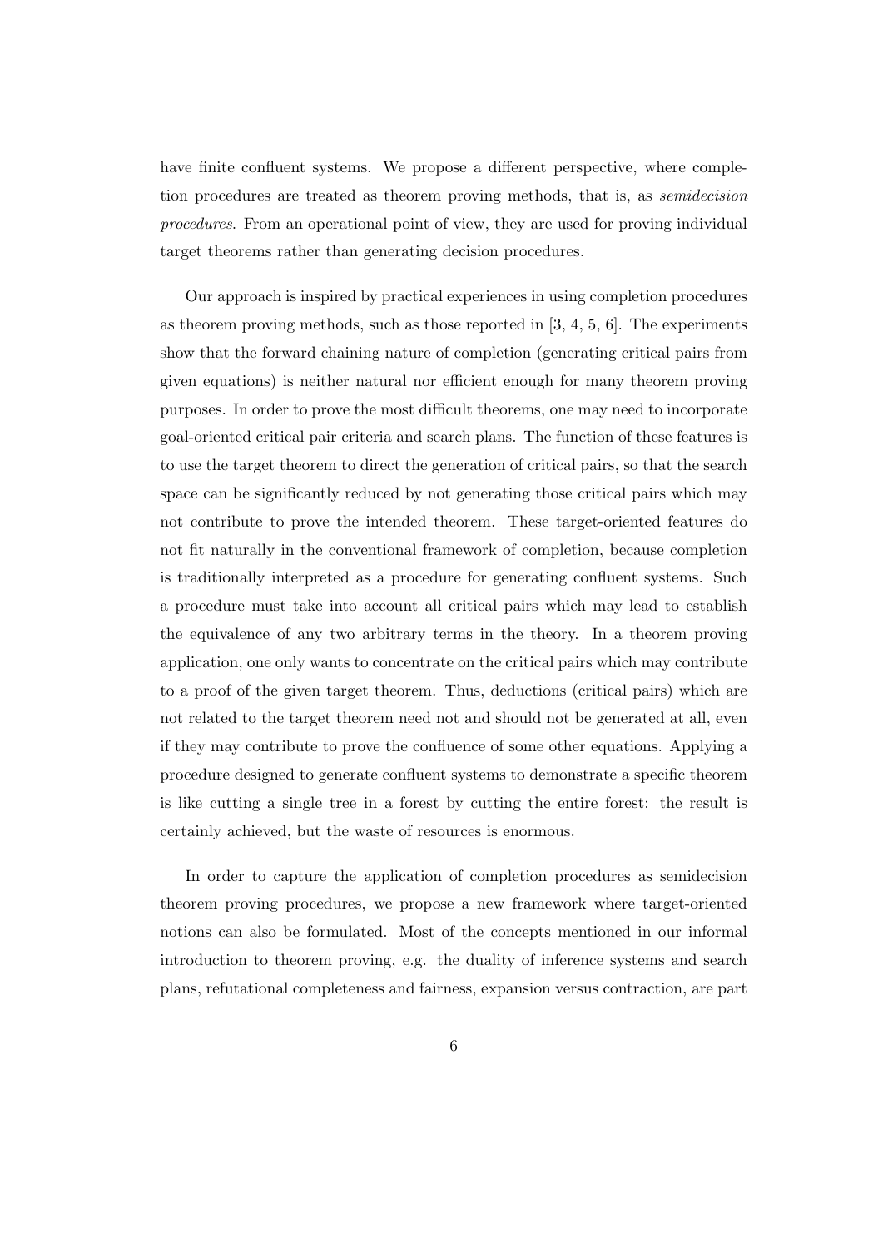have finite confluent systems. We propose a different perspective, where completion procedures are treated as theorem proving methods, that is, as semidecision procedures. From an operational point of view, they are used for proving individual target theorems rather than generating decision procedures.

Our approach is inspired by practical experiences in using completion procedures as theorem proving methods, such as those reported in  $[3, 4, 5, 6]$ . The experiments show that the forward chaining nature of completion (generating critical pairs from given equations) is neither natural nor efficient enough for many theorem proving purposes. In order to prove the most difficult theorems, one may need to incorporate goal-oriented critical pair criteria and search plans. The function of these features is to use the target theorem to direct the generation of critical pairs, so that the search space can be significantly reduced by not generating those critical pairs which may not contribute to prove the intended theorem. These target-oriented features do not fit naturally in the conventional framework of completion, because completion is traditionally interpreted as a procedure for generating confluent systems. Such a procedure must take into account all critical pairs which may lead to establish the equivalence of any two arbitrary terms in the theory. In a theorem proving application, one only wants to concentrate on the critical pairs which may contribute to a proof of the given target theorem. Thus, deductions (critical pairs) which are not related to the target theorem need not and should not be generated at all, even if they may contribute to prove the confluence of some other equations. Applying a procedure designed to generate confluent systems to demonstrate a specific theorem is like cutting a single tree in a forest by cutting the entire forest: the result is certainly achieved, but the waste of resources is enormous.

In order to capture the application of completion procedures as semidecision theorem proving procedures, we propose a new framework where target-oriented notions can also be formulated. Most of the concepts mentioned in our informal introduction to theorem proving, e.g. the duality of inference systems and search plans, refutational completeness and fairness, expansion versus contraction, are part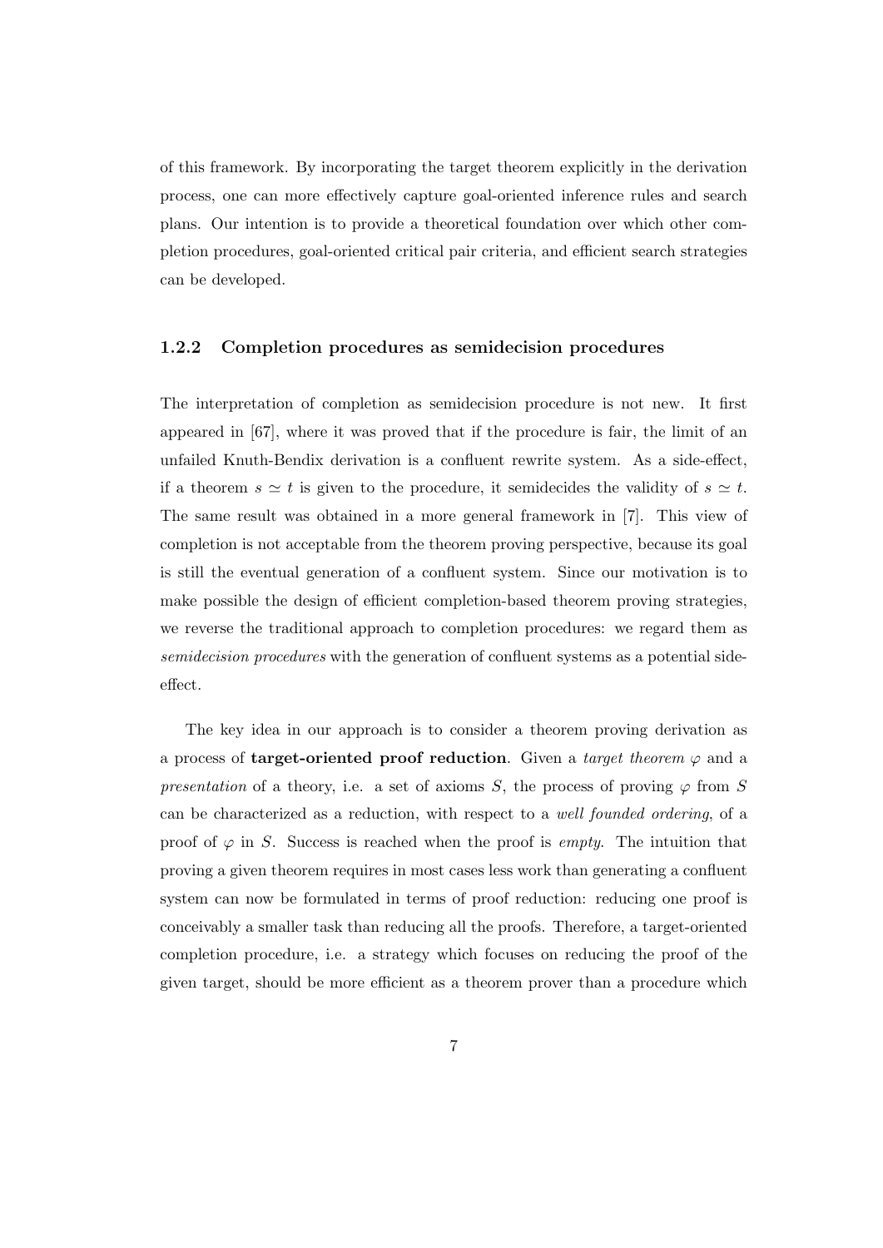of this framework. By incorporating the target theorem explicitly in the derivation process, one can more effectively capture goal-oriented inference rules and search plans. Our intention is to provide a theoretical foundation over which other completion procedures, goal-oriented critical pair criteria, and efficient search strategies can be developed.

#### 1.2.2 Completion procedures as semidecision procedures

The interpretation of completion as semidecision procedure is not new. It first appeared in [67], where it was proved that if the procedure is fair, the limit of an unfailed Knuth-Bendix derivation is a confluent rewrite system. As a side-effect, if a theorem  $s \simeq t$  is given to the procedure, it semidecides the validity of  $s \simeq t$ . The same result was obtained in a more general framework in [7]. This view of completion is not acceptable from the theorem proving perspective, because its goal is still the eventual generation of a confluent system. Since our motivation is to make possible the design of efficient completion-based theorem proving strategies, we reverse the traditional approach to completion procedures: we regard them as semidecision procedures with the generation of confluent systems as a potential sideeffect.

The key idea in our approach is to consider a theorem proving derivation as a process of **target-oriented proof reduction**. Given a *target theorem*  $\varphi$  and a presentation of a theory, i.e. a set of axioms S, the process of proving  $\varphi$  from S can be characterized as a reduction, with respect to a well founded ordering, of a proof of  $\varphi$  in S. Success is reached when the proof is *empty*. The intuition that proving a given theorem requires in most cases less work than generating a confluent system can now be formulated in terms of proof reduction: reducing one proof is conceivably a smaller task than reducing all the proofs. Therefore, a target-oriented completion procedure, i.e. a strategy which focuses on reducing the proof of the given target, should be more efficient as a theorem prover than a procedure which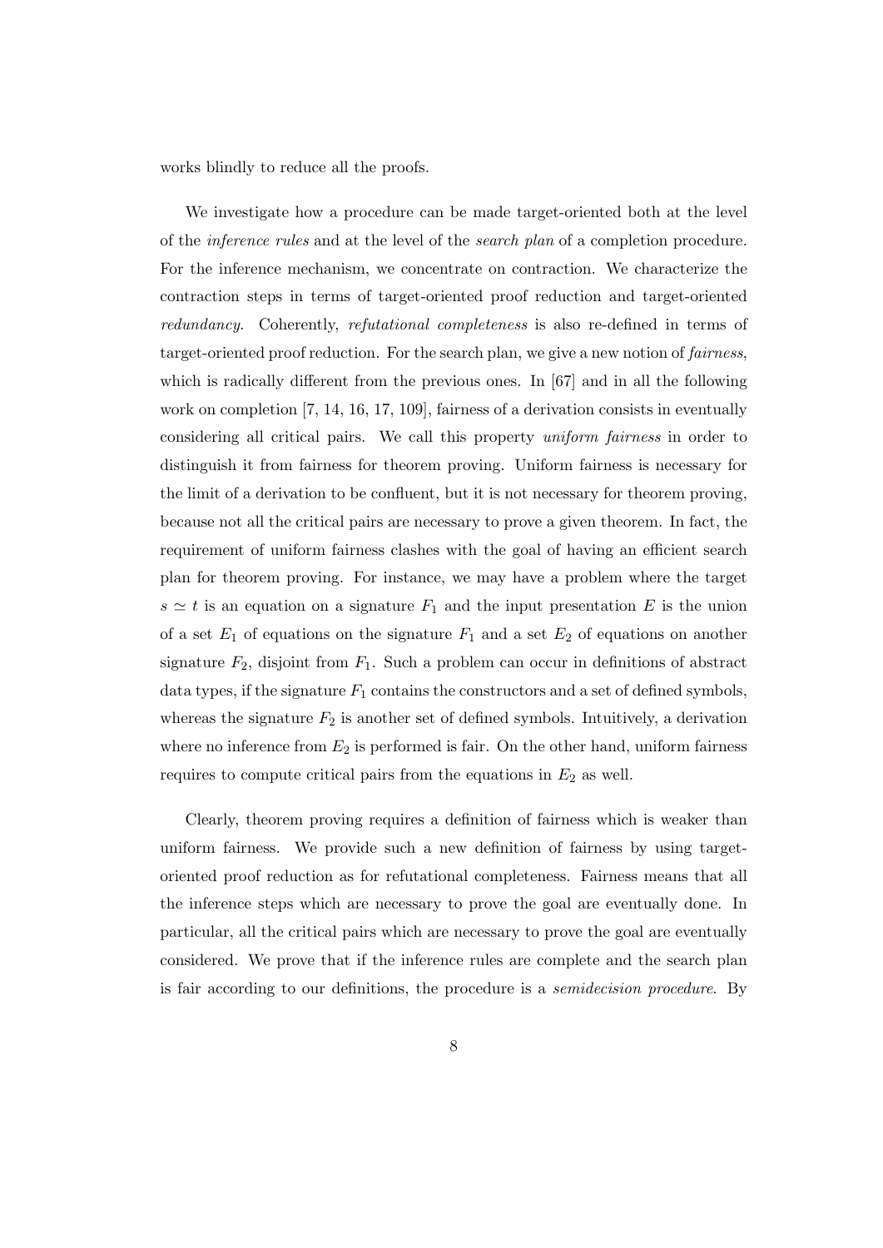works blindly to reduce all the proofs.

We investigate how a procedure can be made target-oriented both at the level of the inference rules and at the level of the search plan of a completion procedure. For the inference mechanism, we concentrate on contraction. We characterize the contraction steps in terms of target-oriented proof reduction and target-oriented redundancy. Coherently, refutational completeness is also re-defined in terms of target-oriented proof reduction. For the search plan, we give a new notion of fairness, which is radically different from the previous ones. In [67] and in all the following work on completion [7, 14, 16, 17, 109], fairness of a derivation consists in eventually considering all critical pairs. We call this property uniform fairness in order to distinguish it from fairness for theorem proving. Uniform fairness is necessary for the limit of a derivation to be confluent, but it is not necessary for theorem proving, because not all the critical pairs are necessary to prove a given theorem. In fact, the requirement of uniform fairness clashes with the goal of having an efficient search plan for theorem proving. For instance, we may have a problem where the target  $s \simeq t$  is an equation on a signature  $F_1$  and the input presentation E is the union of a set  $E_1$  of equations on the signature  $F_1$  and a set  $E_2$  of equations on another signature  $F_2$ , disjoint from  $F_1$ . Such a problem can occur in definitions of abstract data types, if the signature  $F_1$  contains the constructors and a set of defined symbols, whereas the signature  $F_2$  is another set of defined symbols. Intuitively, a derivation where no inference from  $E_2$  is performed is fair. On the other hand, uniform fairness requires to compute critical pairs from the equations in  $E_2$  as well.

Clearly, theorem proving requires a definition of fairness which is weaker than uniform fairness. We provide such a new definition of fairness by using targetoriented proof reduction as for refutational completeness. Fairness means that all the inference steps which are necessary to prove the goal are eventually done. In particular, all the critical pairs which are necessary to prove the goal are eventually considered. We prove that if the inference rules are complete and the search plan is fair according to our definitions, the procedure is a semidecision procedure. By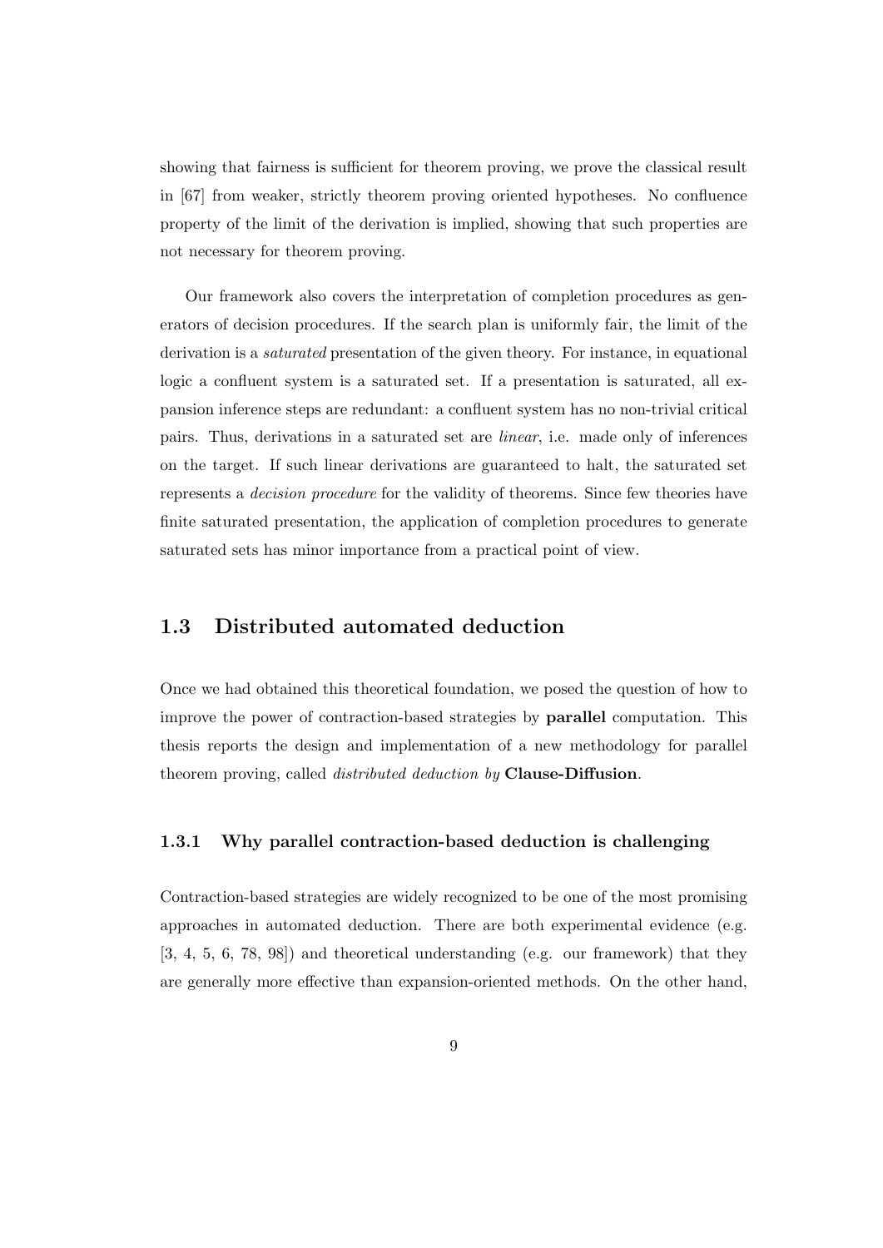showing that fairness is sufficient for theorem proving, we prove the classical result in [67] from weaker, strictly theorem proving oriented hypotheses. No confluence property of the limit of the derivation is implied, showing that such properties are not necessary for theorem proving.

Our framework also covers the interpretation of completion procedures as generators of decision procedures. If the search plan is uniformly fair, the limit of the derivation is a *saturated* presentation of the given theory. For instance, in equational logic a confluent system is a saturated set. If a presentation is saturated, all expansion inference steps are redundant: a confluent system has no non-trivial critical pairs. Thus, derivations in a saturated set are linear, i.e. made only of inferences on the target. If such linear derivations are guaranteed to halt, the saturated set represents a decision procedure for the validity of theorems. Since few theories have finite saturated presentation, the application of completion procedures to generate saturated sets has minor importance from a practical point of view.

### 1.3 Distributed automated deduction

Once we had obtained this theoretical foundation, we posed the question of how to improve the power of contraction-based strategies by parallel computation. This thesis reports the design and implementation of a new methodology for parallel theorem proving, called *distributed deduction by* **Clause-Diffusion**.

#### 1.3.1 Why parallel contraction-based deduction is challenging

Contraction-based strategies are widely recognized to be one of the most promising approaches in automated deduction. There are both experimental evidence (e.g. [3, 4, 5, 6, 78, 98]) and theoretical understanding (e.g. our framework) that they are generally more effective than expansion-oriented methods. On the other hand,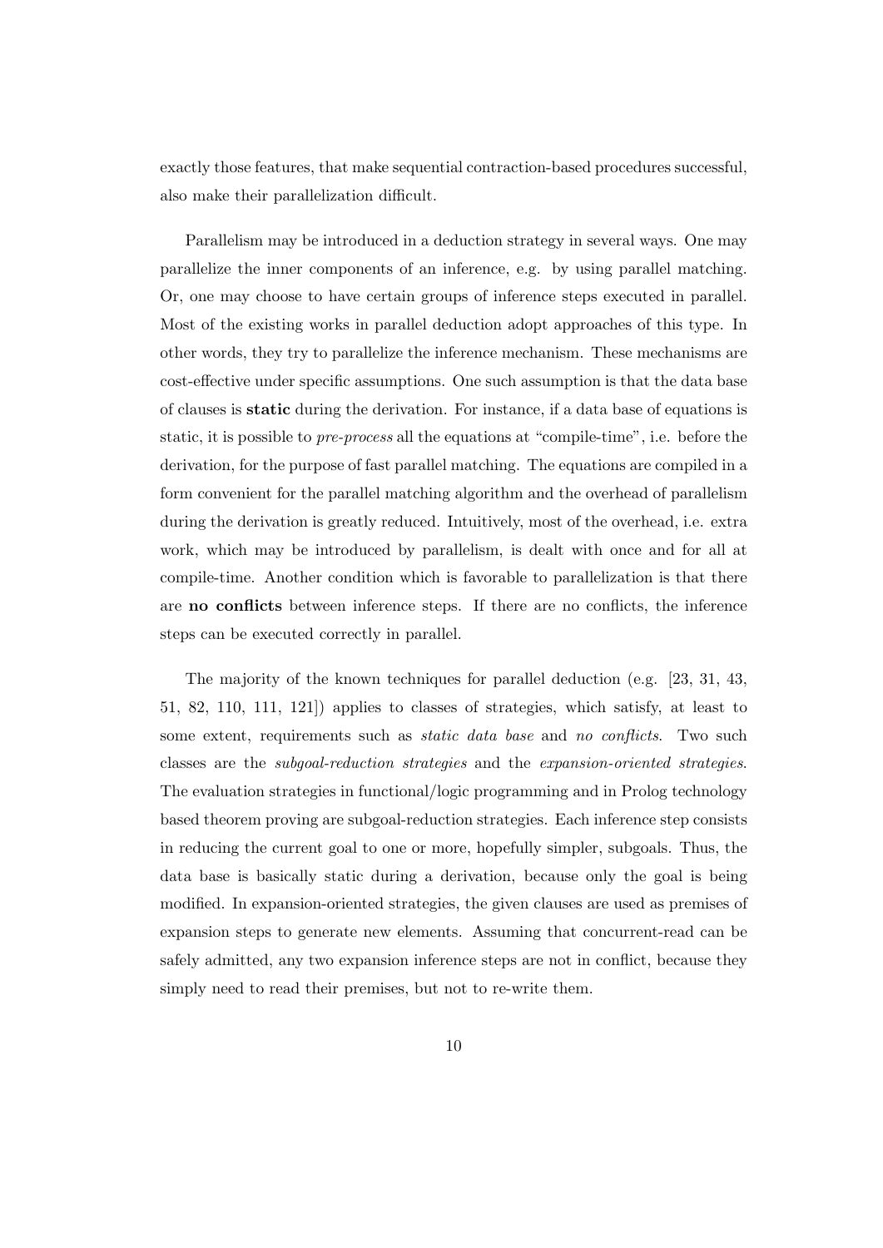exactly those features, that make sequential contraction-based procedures successful, also make their parallelization difficult.

Parallelism may be introduced in a deduction strategy in several ways. One may parallelize the inner components of an inference, e.g. by using parallel matching. Or, one may choose to have certain groups of inference steps executed in parallel. Most of the existing works in parallel deduction adopt approaches of this type. In other words, they try to parallelize the inference mechanism. These mechanisms are cost-effective under specific assumptions. One such assumption is that the data base of clauses is static during the derivation. For instance, if a data base of equations is static, it is possible to pre-process all the equations at "compile-time", i.e. before the derivation, for the purpose of fast parallel matching. The equations are compiled in a form convenient for the parallel matching algorithm and the overhead of parallelism during the derivation is greatly reduced. Intuitively, most of the overhead, i.e. extra work, which may be introduced by parallelism, is dealt with once and for all at compile-time. Another condition which is favorable to parallelization is that there are no conflicts between inference steps. If there are no conflicts, the inference steps can be executed correctly in parallel.

The majority of the known techniques for parallel deduction (e.g. [23, 31, 43, 51, 82, 110, 111, 121]) applies to classes of strategies, which satisfy, at least to some extent, requirements such as *static data base* and no conflicts. Two such classes are the subgoal-reduction strategies and the expansion-oriented strategies. The evaluation strategies in functional/logic programming and in Prolog technology based theorem proving are subgoal-reduction strategies. Each inference step consists in reducing the current goal to one or more, hopefully simpler, subgoals. Thus, the data base is basically static during a derivation, because only the goal is being modified. In expansion-oriented strategies, the given clauses are used as premises of expansion steps to generate new elements. Assuming that concurrent-read can be safely admitted, any two expansion inference steps are not in conflict, because they simply need to read their premises, but not to re-write them.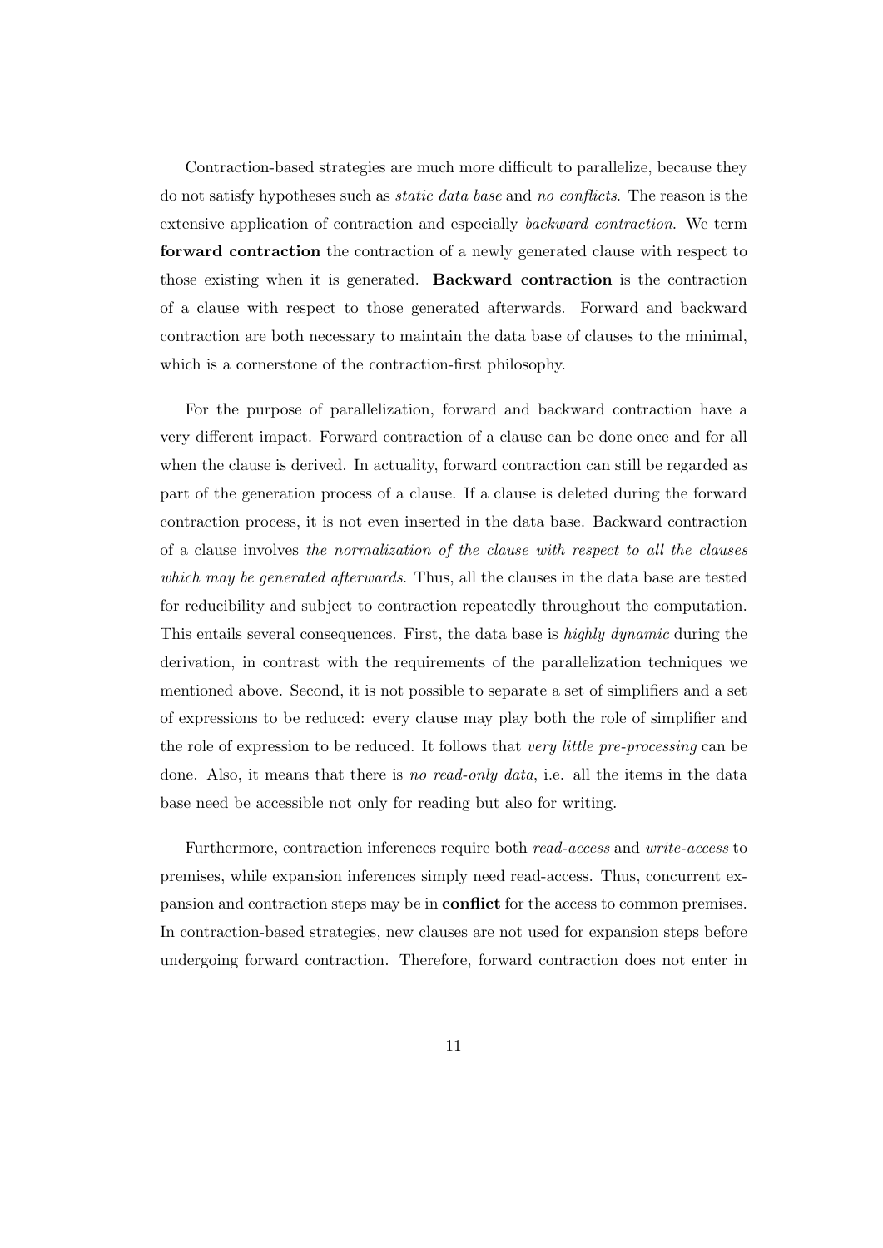Contraction-based strategies are much more difficult to parallelize, because they do not satisfy hypotheses such as static data base and no conflicts. The reason is the extensive application of contraction and especially backward contraction. We term forward contraction the contraction of a newly generated clause with respect to those existing when it is generated. Backward contraction is the contraction of a clause with respect to those generated afterwards. Forward and backward contraction are both necessary to maintain the data base of clauses to the minimal, which is a cornerstone of the contraction-first philosophy.

For the purpose of parallelization, forward and backward contraction have a very different impact. Forward contraction of a clause can be done once and for all when the clause is derived. In actuality, forward contraction can still be regarded as part of the generation process of a clause. If a clause is deleted during the forward contraction process, it is not even inserted in the data base. Backward contraction of a clause involves the normalization of the clause with respect to all the clauses which may be generated afterwards. Thus, all the clauses in the data base are tested for reducibility and subject to contraction repeatedly throughout the computation. This entails several consequences. First, the data base is highly dynamic during the derivation, in contrast with the requirements of the parallelization techniques we mentioned above. Second, it is not possible to separate a set of simplifiers and a set of expressions to be reduced: every clause may play both the role of simplifier and the role of expression to be reduced. It follows that very little pre-processing can be done. Also, it means that there is no read-only data, i.e. all the items in the data base need be accessible not only for reading but also for writing.

Furthermore, contraction inferences require both read-access and write-access to premises, while expansion inferences simply need read-access. Thus, concurrent expansion and contraction steps may be in conflict for the access to common premises. In contraction-based strategies, new clauses are not used for expansion steps before undergoing forward contraction. Therefore, forward contraction does not enter in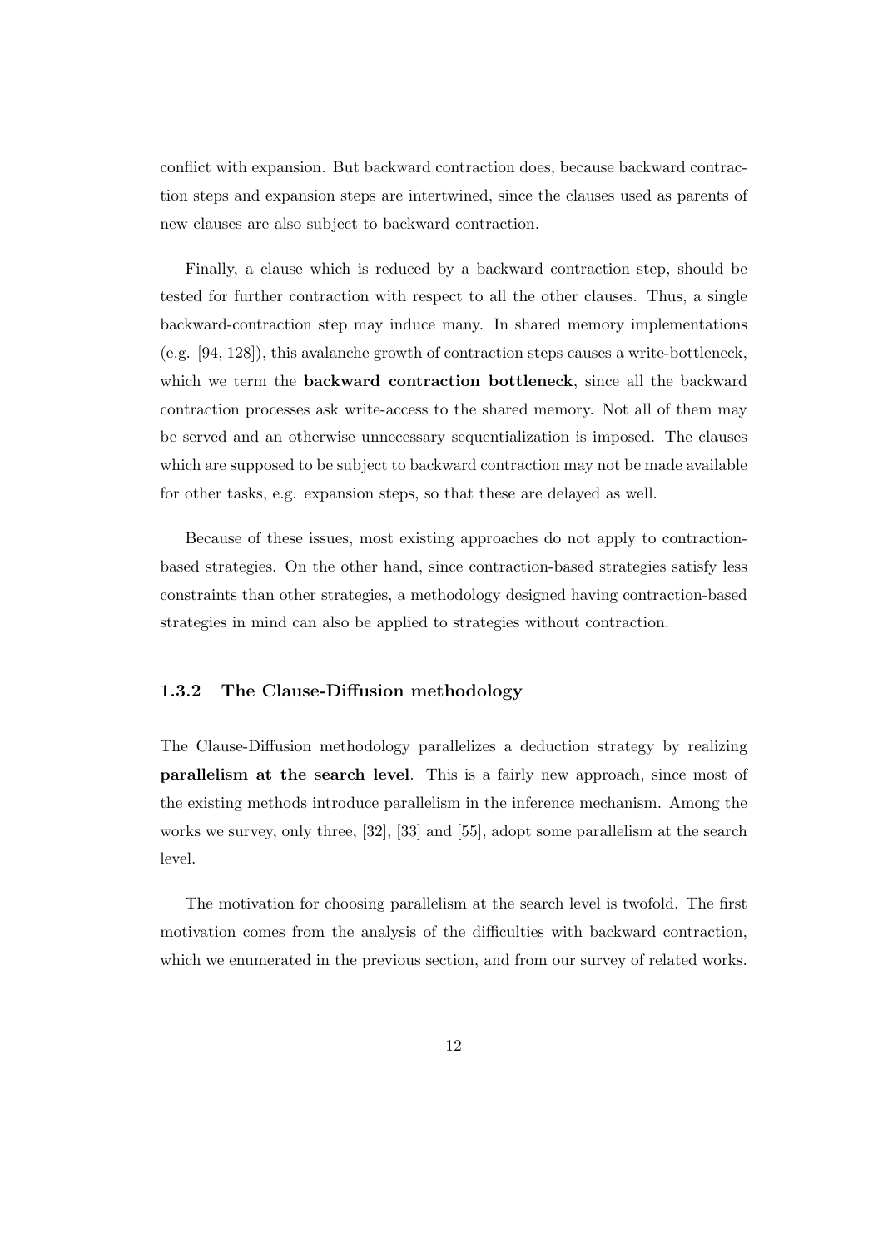conflict with expansion. But backward contraction does, because backward contraction steps and expansion steps are intertwined, since the clauses used as parents of new clauses are also subject to backward contraction.

Finally, a clause which is reduced by a backward contraction step, should be tested for further contraction with respect to all the other clauses. Thus, a single backward-contraction step may induce many. In shared memory implementations (e.g. [94, 128]), this avalanche growth of contraction steps causes a write-bottleneck, which we term the backward contraction bottleneck, since all the backward contraction processes ask write-access to the shared memory. Not all of them may be served and an otherwise unnecessary sequentialization is imposed. The clauses which are supposed to be subject to backward contraction may not be made available for other tasks, e.g. expansion steps, so that these are delayed as well.

Because of these issues, most existing approaches do not apply to contractionbased strategies. On the other hand, since contraction-based strategies satisfy less constraints than other strategies, a methodology designed having contraction-based strategies in mind can also be applied to strategies without contraction.

### 1.3.2 The Clause-Diffusion methodology

The Clause-Diffusion methodology parallelizes a deduction strategy by realizing parallelism at the search level. This is a fairly new approach, since most of the existing methods introduce parallelism in the inference mechanism. Among the works we survey, only three, [32], [33] and [55], adopt some parallelism at the search level.

The motivation for choosing parallelism at the search level is twofold. The first motivation comes from the analysis of the difficulties with backward contraction, which we enumerated in the previous section, and from our survey of related works.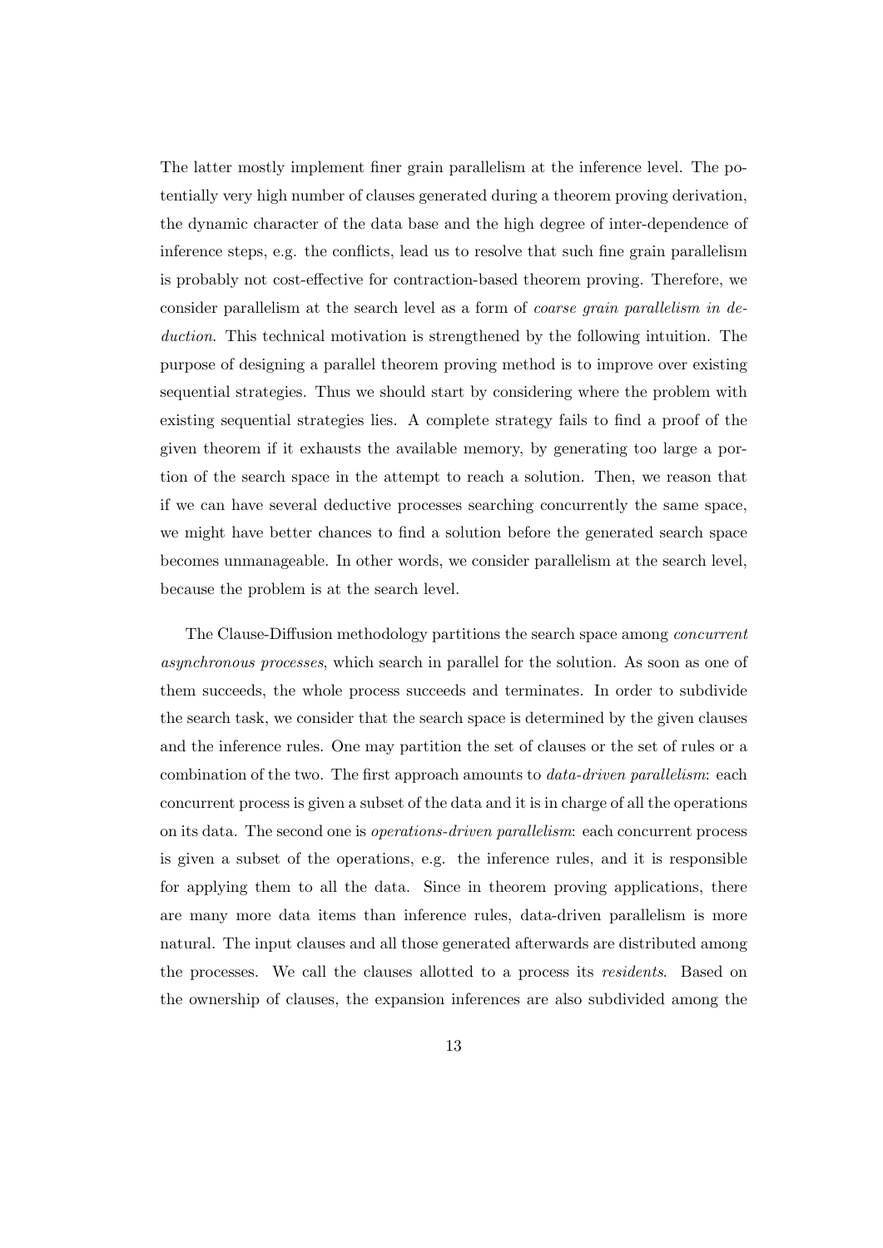The latter mostly implement finer grain parallelism at the inference level. The potentially very high number of clauses generated during a theorem proving derivation, the dynamic character of the data base and the high degree of inter-dependence of inference steps, e.g. the conflicts, lead us to resolve that such fine grain parallelism is probably not cost-effective for contraction-based theorem proving. Therefore, we consider parallelism at the search level as a form of coarse grain parallelism in deduction. This technical motivation is strengthened by the following intuition. The purpose of designing a parallel theorem proving method is to improve over existing sequential strategies. Thus we should start by considering where the problem with existing sequential strategies lies. A complete strategy fails to find a proof of the given theorem if it exhausts the available memory, by generating too large a portion of the search space in the attempt to reach a solution. Then, we reason that if we can have several deductive processes searching concurrently the same space, we might have better chances to find a solution before the generated search space becomes unmanageable. In other words, we consider parallelism at the search level, because the problem is at the search level.

The Clause-Diffusion methodology partitions the search space among concurrent asynchronous processes, which search in parallel for the solution. As soon as one of them succeeds, the whole process succeeds and terminates. In order to subdivide the search task, we consider that the search space is determined by the given clauses and the inference rules. One may partition the set of clauses or the set of rules or a combination of the two. The first approach amounts to data-driven parallelism: each concurrent process is given a subset of the data and it is in charge of all the operations on its data. The second one is operations-driven parallelism: each concurrent process is given a subset of the operations, e.g. the inference rules, and it is responsible for applying them to all the data. Since in theorem proving applications, there are many more data items than inference rules, data-driven parallelism is more natural. The input clauses and all those generated afterwards are distributed among the processes. We call the clauses allotted to a process its residents. Based on the ownership of clauses, the expansion inferences are also subdivided among the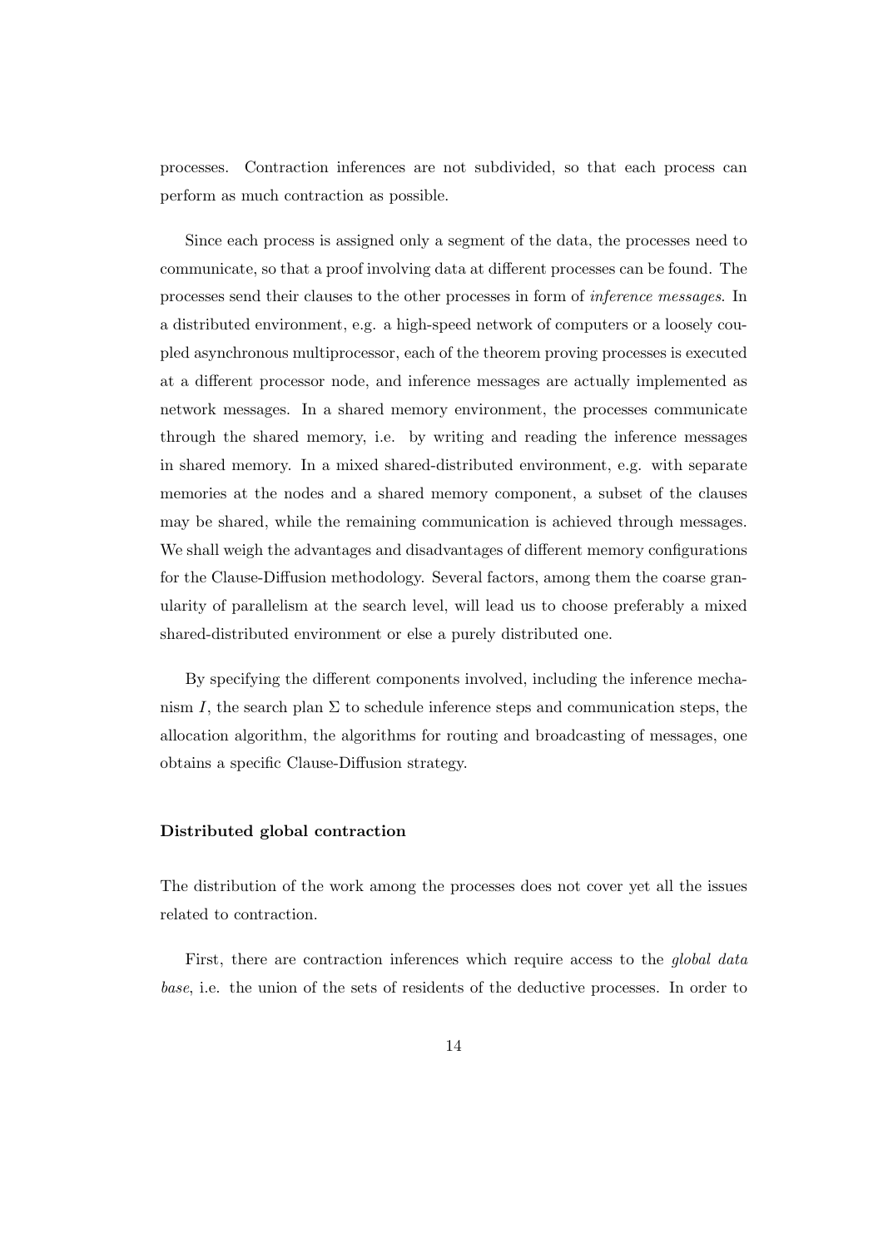processes. Contraction inferences are not subdivided, so that each process can perform as much contraction as possible.

Since each process is assigned only a segment of the data, the processes need to communicate, so that a proof involving data at different processes can be found. The processes send their clauses to the other processes in form of inference messages. In a distributed environment, e.g. a high-speed network of computers or a loosely coupled asynchronous multiprocessor, each of the theorem proving processes is executed at a different processor node, and inference messages are actually implemented as network messages. In a shared memory environment, the processes communicate through the shared memory, i.e. by writing and reading the inference messages in shared memory. In a mixed shared-distributed environment, e.g. with separate memories at the nodes and a shared memory component, a subset of the clauses may be shared, while the remaining communication is achieved through messages. We shall weigh the advantages and disadvantages of different memory configurations for the Clause-Diffusion methodology. Several factors, among them the coarse granularity of parallelism at the search level, will lead us to choose preferably a mixed shared-distributed environment or else a purely distributed one.

By specifying the different components involved, including the inference mechanism I, the search plan  $\Sigma$  to schedule inference steps and communication steps, the allocation algorithm, the algorithms for routing and broadcasting of messages, one obtains a specific Clause-Diffusion strategy.

#### Distributed global contraction

The distribution of the work among the processes does not cover yet all the issues related to contraction.

First, there are contraction inferences which require access to the *global data* base, i.e. the union of the sets of residents of the deductive processes. In order to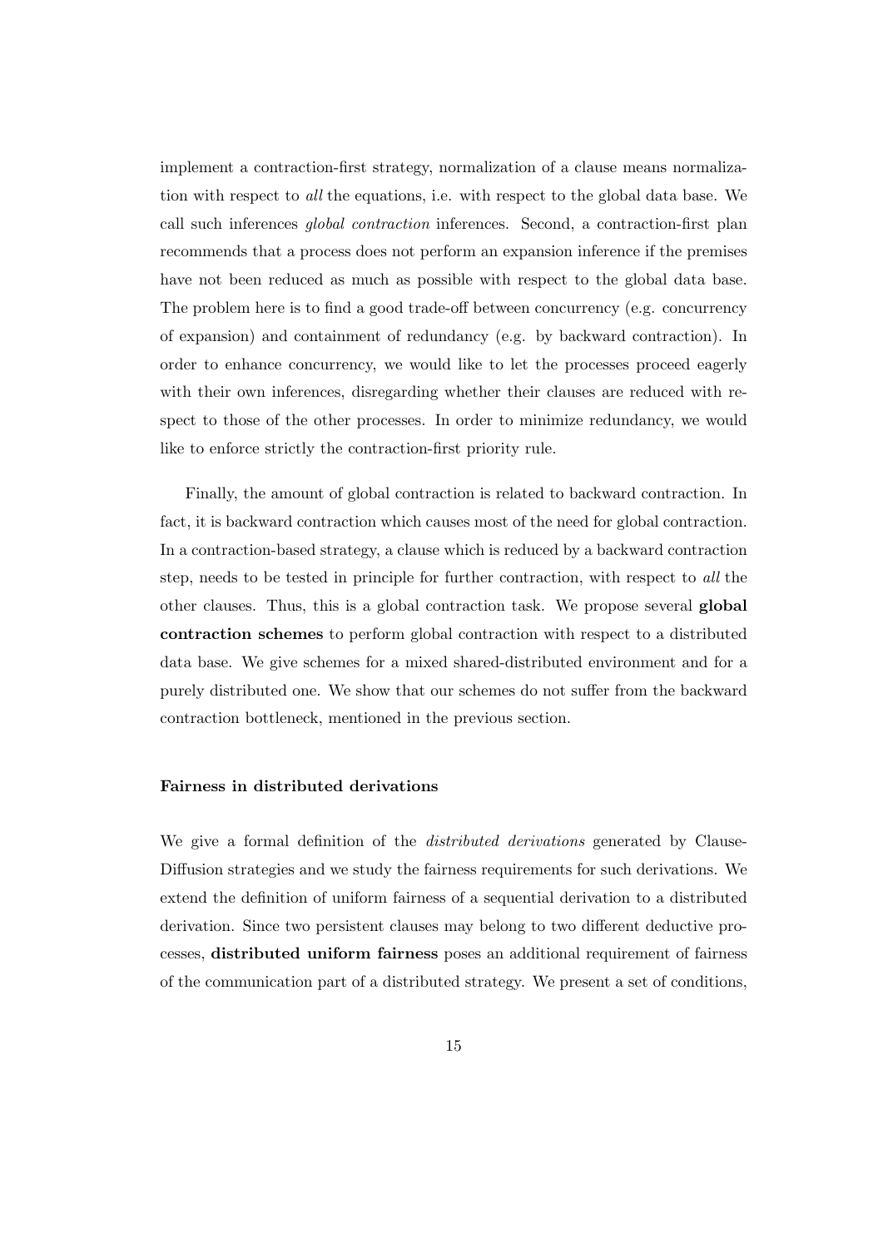implement a contraction-first strategy, normalization of a clause means normalization with respect to all the equations, i.e. with respect to the global data base. We call such inferences global contraction inferences. Second, a contraction-first plan recommends that a process does not perform an expansion inference if the premises have not been reduced as much as possible with respect to the global data base. The problem here is to find a good trade-off between concurrency (e.g. concurrency of expansion) and containment of redundancy (e.g. by backward contraction). In order to enhance concurrency, we would like to let the processes proceed eagerly with their own inferences, disregarding whether their clauses are reduced with respect to those of the other processes. In order to minimize redundancy, we would like to enforce strictly the contraction-first priority rule.

Finally, the amount of global contraction is related to backward contraction. In fact, it is backward contraction which causes most of the need for global contraction. In a contraction-based strategy, a clause which is reduced by a backward contraction step, needs to be tested in principle for further contraction, with respect to all the other clauses. Thus, this is a global contraction task. We propose several global contraction schemes to perform global contraction with respect to a distributed data base. We give schemes for a mixed shared-distributed environment and for a purely distributed one. We show that our schemes do not suffer from the backward contraction bottleneck, mentioned in the previous section.

#### Fairness in distributed derivations

We give a formal definition of the *distributed derivations* generated by Clause-Diffusion strategies and we study the fairness requirements for such derivations. We extend the definition of uniform fairness of a sequential derivation to a distributed derivation. Since two persistent clauses may belong to two different deductive processes, distributed uniform fairness poses an additional requirement of fairness of the communication part of a distributed strategy. We present a set of conditions,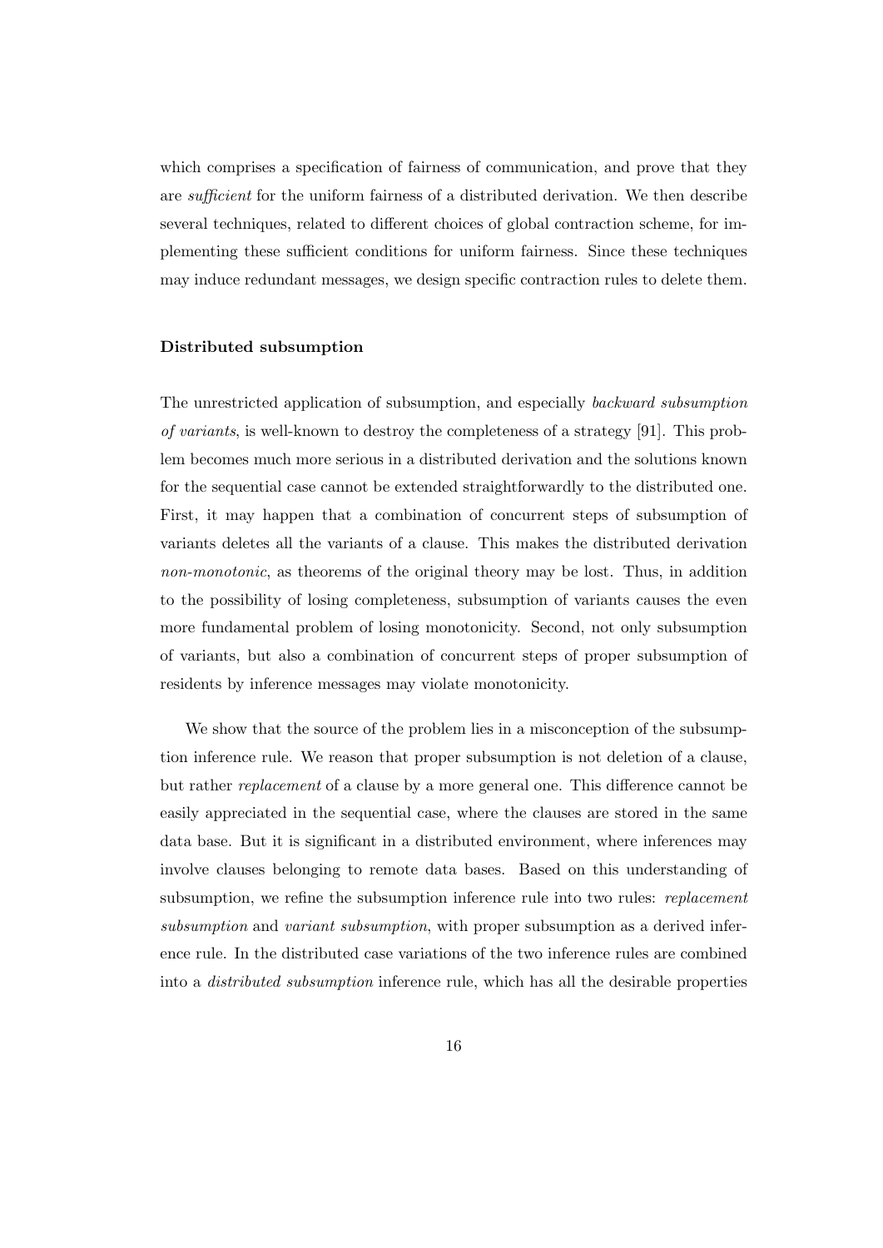which comprises a specification of fairness of communication, and prove that they are sufficient for the uniform fairness of a distributed derivation. We then describe several techniques, related to different choices of global contraction scheme, for implementing these sufficient conditions for uniform fairness. Since these techniques may induce redundant messages, we design specific contraction rules to delete them.

#### Distributed subsumption

The unrestricted application of subsumption, and especially backward subsumption of variants, is well-known to destroy the completeness of a strategy [91]. This problem becomes much more serious in a distributed derivation and the solutions known for the sequential case cannot be extended straightforwardly to the distributed one. First, it may happen that a combination of concurrent steps of subsumption of variants deletes all the variants of a clause. This makes the distributed derivation non-monotonic, as theorems of the original theory may be lost. Thus, in addition to the possibility of losing completeness, subsumption of variants causes the even more fundamental problem of losing monotonicity. Second, not only subsumption of variants, but also a combination of concurrent steps of proper subsumption of residents by inference messages may violate monotonicity.

We show that the source of the problem lies in a misconception of the subsumption inference rule. We reason that proper subsumption is not deletion of a clause, but rather replacement of a clause by a more general one. This difference cannot be easily appreciated in the sequential case, where the clauses are stored in the same data base. But it is significant in a distributed environment, where inferences may involve clauses belonging to remote data bases. Based on this understanding of subsumption, we refine the subsumption inference rule into two rules: *replacement* subsumption and variant subsumption, with proper subsumption as a derived inference rule. In the distributed case variations of the two inference rules are combined into a distributed subsumption inference rule, which has all the desirable properties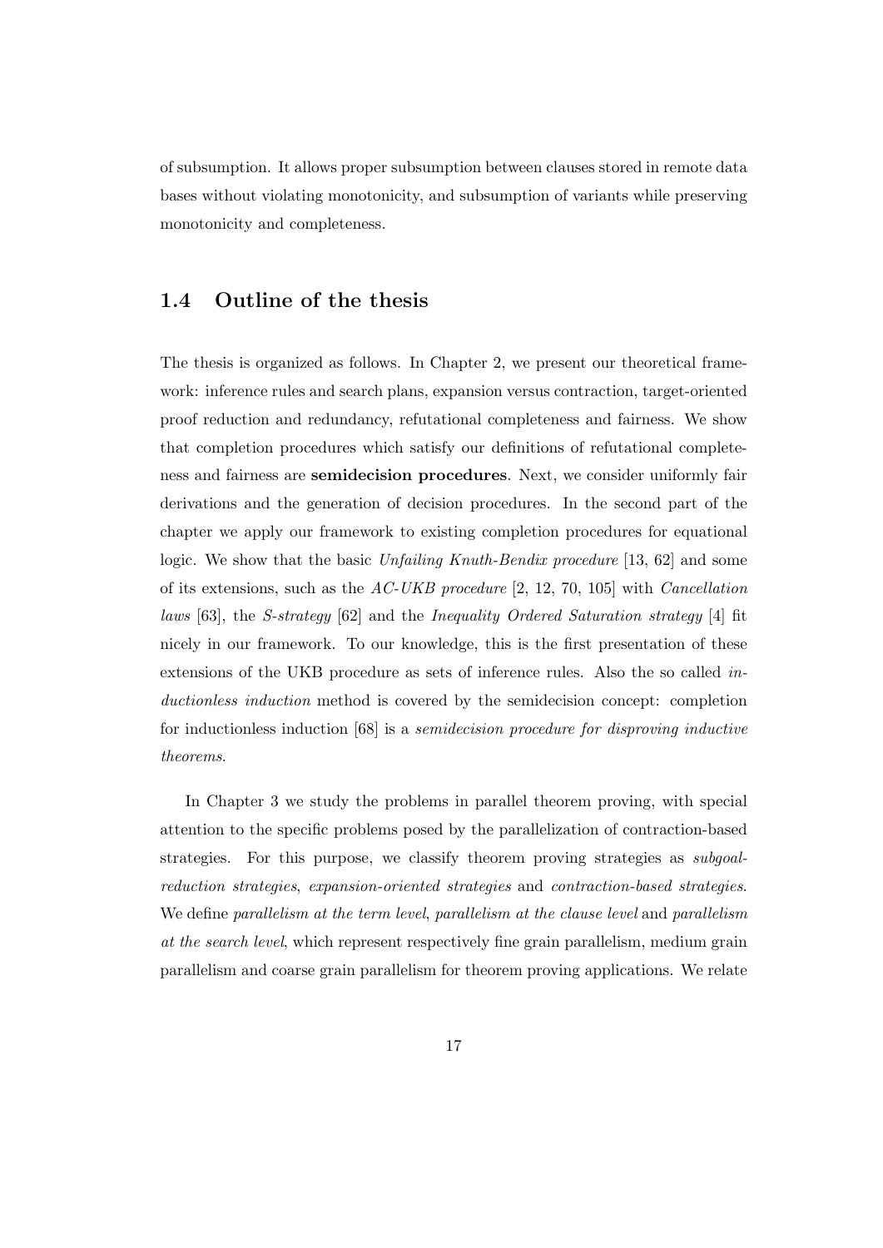of subsumption. It allows proper subsumption between clauses stored in remote data bases without violating monotonicity, and subsumption of variants while preserving monotonicity and completeness.

### 1.4 Outline of the thesis

The thesis is organized as follows. In Chapter 2, we present our theoretical framework: inference rules and search plans, expansion versus contraction, target-oriented proof reduction and redundancy, refutational completeness and fairness. We show that completion procedures which satisfy our definitions of refutational completeness and fairness are semidecision procedures. Next, we consider uniformly fair derivations and the generation of decision procedures. In the second part of the chapter we apply our framework to existing completion procedures for equational logic. We show that the basic Unfailing Knuth-Bendix procedure [13, 62] and some of its extensions, such as the  $AC-UKB$  procedure [2, 12, 70, 105] with *Cancellation* laws [63], the S-strategy [62] and the Inequality Ordered Saturation strategy [4] fit nicely in our framework. To our knowledge, this is the first presentation of these extensions of the UKB procedure as sets of inference rules. Also the so called inductionless induction method is covered by the semidecision concept: completion for inductionless induction [68] is a semidecision procedure for disproving inductive theorems.

In Chapter 3 we study the problems in parallel theorem proving, with special attention to the specific problems posed by the parallelization of contraction-based strategies. For this purpose, we classify theorem proving strategies as subgoalreduction strategies, expansion-oriented strategies and contraction-based strategies. We define parallelism at the term level, parallelism at the clause level and parallelism at the search level, which represent respectively fine grain parallelism, medium grain parallelism and coarse grain parallelism for theorem proving applications. We relate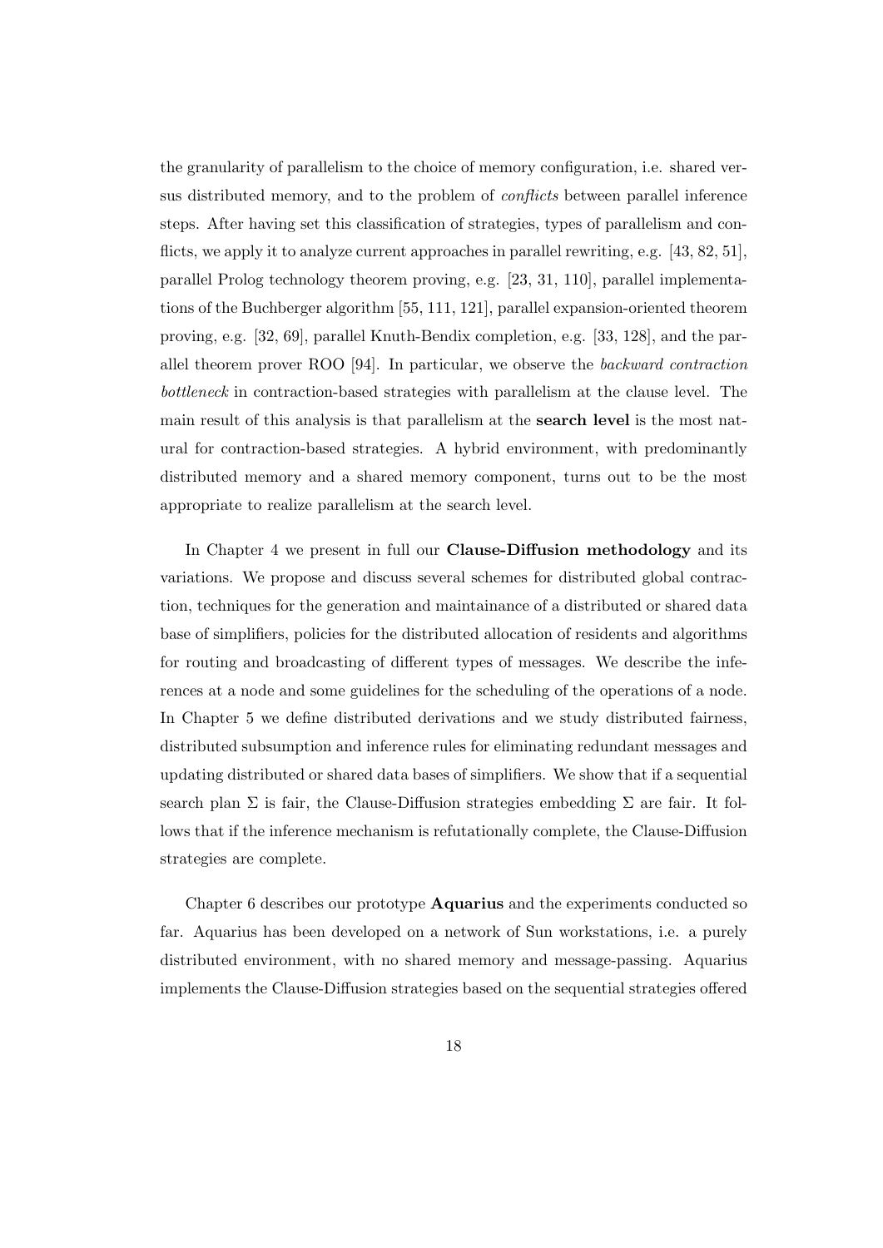the granularity of parallelism to the choice of memory configuration, i.e. shared versus distributed memory, and to the problem of conflicts between parallel inference steps. After having set this classification of strategies, types of parallelism and conflicts, we apply it to analyze current approaches in parallel rewriting, e.g. [43, 82, 51], parallel Prolog technology theorem proving, e.g. [23, 31, 110], parallel implementations of the Buchberger algorithm [55, 111, 121], parallel expansion-oriented theorem proving, e.g. [32, 69], parallel Knuth-Bendix completion, e.g. [33, 128], and the parallel theorem prover ROO [94]. In particular, we observe the backward contraction bottleneck in contraction-based strategies with parallelism at the clause level. The main result of this analysis is that parallelism at the search level is the most natural for contraction-based strategies. A hybrid environment, with predominantly distributed memory and a shared memory component, turns out to be the most appropriate to realize parallelism at the search level.

In Chapter 4 we present in full our Clause-Diffusion methodology and its variations. We propose and discuss several schemes for distributed global contraction, techniques for the generation and maintainance of a distributed or shared data base of simplifiers, policies for the distributed allocation of residents and algorithms for routing and broadcasting of different types of messages. We describe the inferences at a node and some guidelines for the scheduling of the operations of a node. In Chapter 5 we define distributed derivations and we study distributed fairness, distributed subsumption and inference rules for eliminating redundant messages and updating distributed or shared data bases of simplifiers. We show that if a sequential search plan  $\Sigma$  is fair, the Clause-Diffusion strategies embedding  $\Sigma$  are fair. It follows that if the inference mechanism is refutationally complete, the Clause-Diffusion strategies are complete.

Chapter 6 describes our prototype **Aquarius** and the experiments conducted so far. Aquarius has been developed on a network of Sun workstations, i.e. a purely distributed environment, with no shared memory and message-passing. Aquarius implements the Clause-Diffusion strategies based on the sequential strategies offered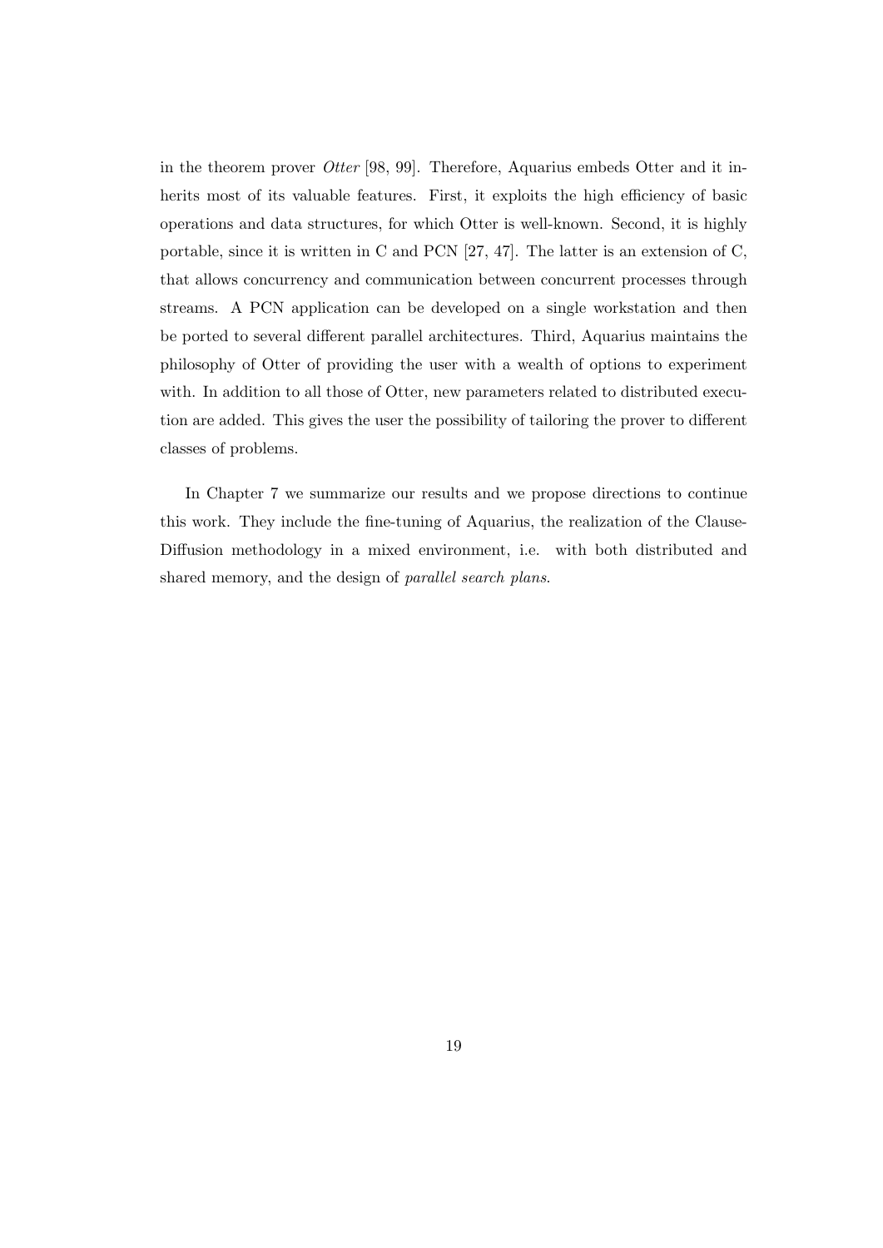in the theorem prover Otter [98, 99]. Therefore, Aquarius embeds Otter and it inherits most of its valuable features. First, it exploits the high efficiency of basic operations and data structures, for which Otter is well-known. Second, it is highly portable, since it is written in C and PCN [27, 47]. The latter is an extension of C, that allows concurrency and communication between concurrent processes through streams. A PCN application can be developed on a single workstation and then be ported to several different parallel architectures. Third, Aquarius maintains the philosophy of Otter of providing the user with a wealth of options to experiment with. In addition to all those of Otter, new parameters related to distributed execution are added. This gives the user the possibility of tailoring the prover to different classes of problems.

In Chapter 7 we summarize our results and we propose directions to continue this work. They include the fine-tuning of Aquarius, the realization of the Clause-Diffusion methodology in a mixed environment, i.e. with both distributed and shared memory, and the design of parallel search plans.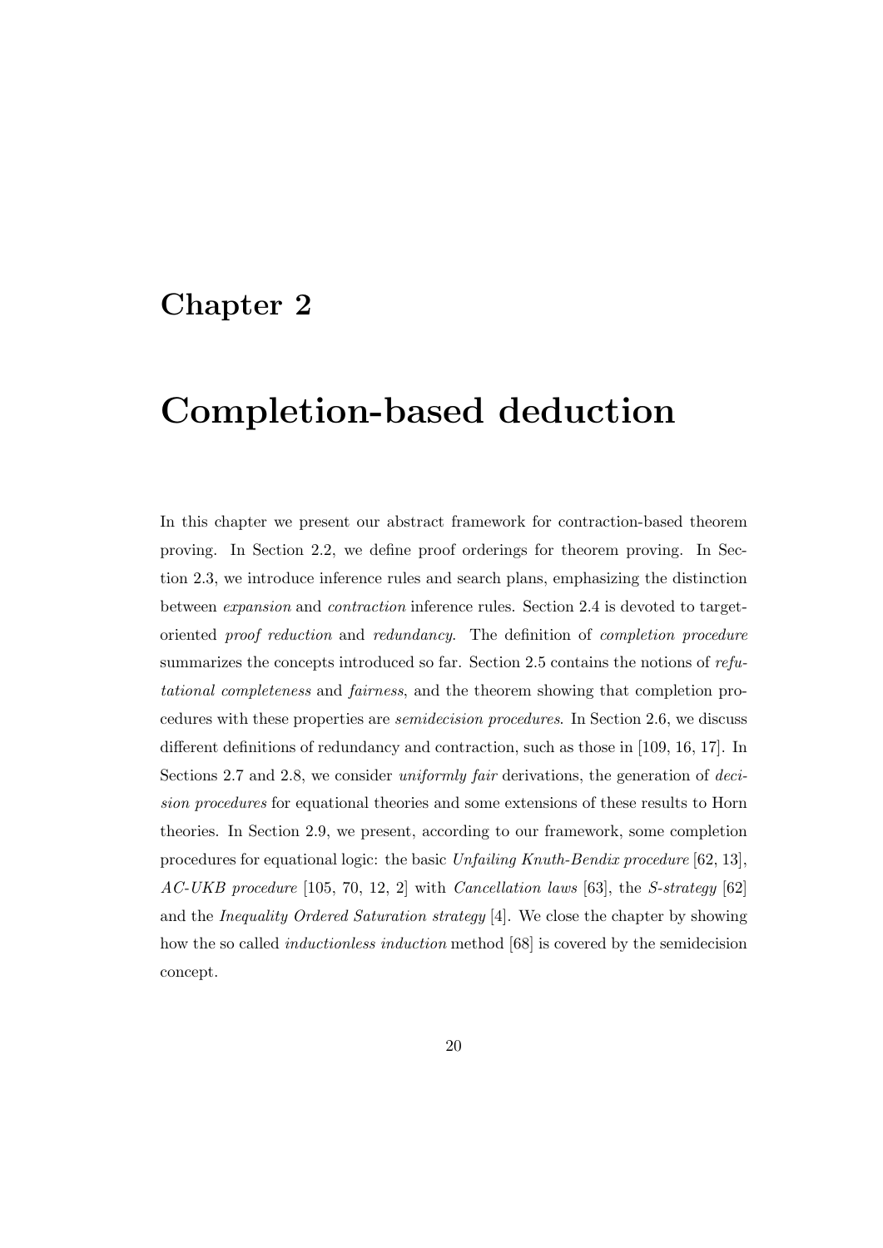## Chapter 2

## Completion-based deduction

In this chapter we present our abstract framework for contraction-based theorem proving. In Section 2.2, we define proof orderings for theorem proving. In Section 2.3, we introduce inference rules and search plans, emphasizing the distinction between expansion and contraction inference rules. Section 2.4 is devoted to targetoriented proof reduction and redundancy. The definition of completion procedure summarizes the concepts introduced so far. Section 2.5 contains the notions of refutational completeness and fairness, and the theorem showing that completion procedures with these properties are semidecision procedures. In Section 2.6, we discuss different definitions of redundancy and contraction, such as those in [109, 16, 17]. In Sections 2.7 and 2.8, we consider *uniformly fair* derivations, the generation of *deci*sion procedures for equational theories and some extensions of these results to Horn theories. In Section 2.9, we present, according to our framework, some completion procedures for equational logic: the basic Unfailing Knuth-Bendix procedure [62, 13], AC-UKB procedure [105, 70, 12, 2] with Cancellation laws [63], the S-strategy [62] and the Inequality Ordered Saturation strategy [4]. We close the chapter by showing how the so called inductionless induction method [68] is covered by the semidecision concept.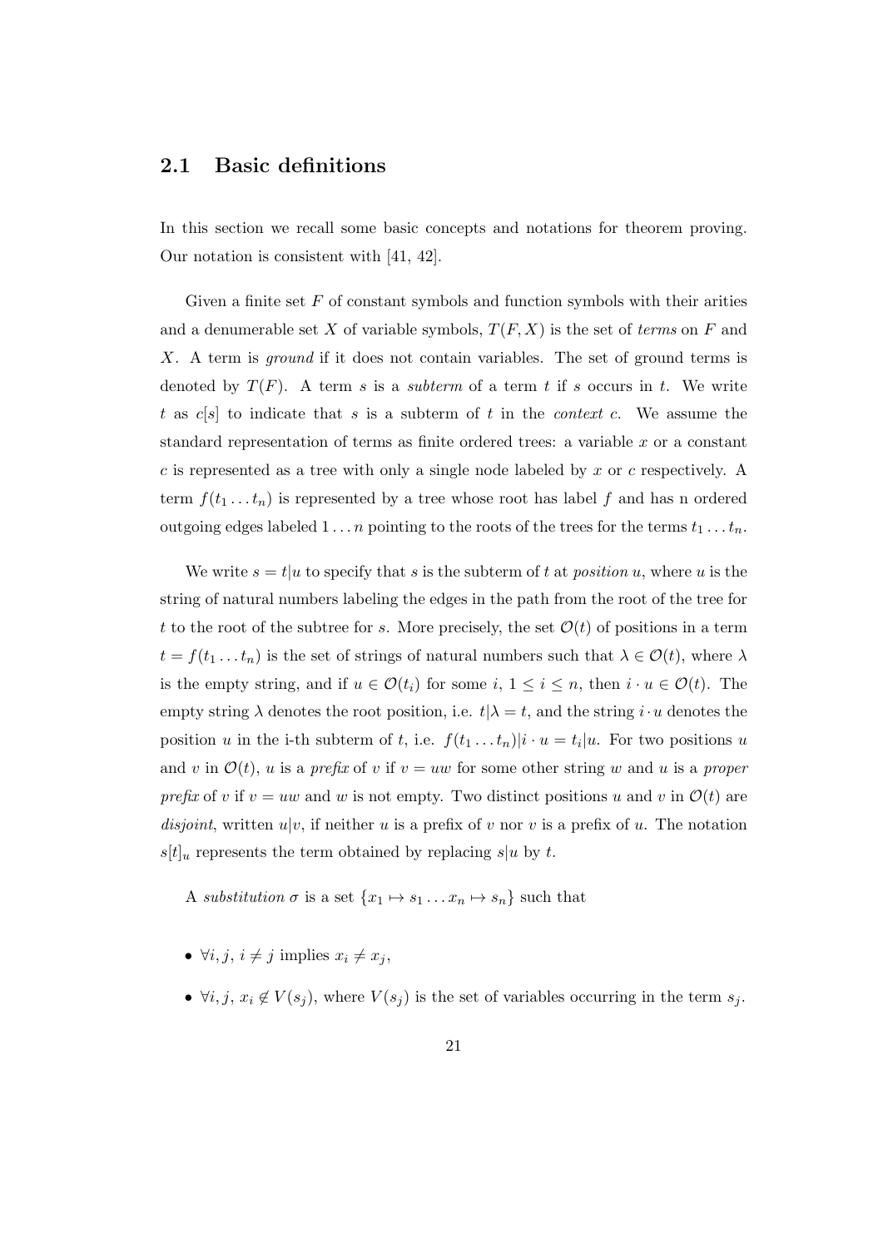#### 2.1 Basic definitions

In this section we recall some basic concepts and notations for theorem proving. Our notation is consistent with [41, 42].

Given a finite set  $F$  of constant symbols and function symbols with their arities and a denumerable set X of variable symbols,  $T(F, X)$  is the set of terms on F and X. A term is *ground* if it does not contain variables. The set of ground terms is denoted by  $T(F)$ . A term s is a subterm of a term t if s occurs in t. We write t as  $c[s]$  to indicate that s is a subterm of t in the *context c*. We assume the standard representation of terms as finite ordered trees: a variable  $x$  or a constant c is represented as a tree with only a single node labeled by x or c respectively. A term  $f(t_1 \ldots t_n)$  is represented by a tree whose root has label f and has n ordered outgoing edges labeled  $1 \ldots n$  pointing to the roots of the trees for the terms  $t_1 \ldots t_n$ .

We write  $s = t/u$  to specify that s is the subterm of t at *position u*, where u is the string of natural numbers labeling the edges in the path from the root of the tree for t to the root of the subtree for s. More precisely, the set  $\mathcal{O}(t)$  of positions in a term  $t = f(t_1 \dots t_n)$  is the set of strings of natural numbers such that  $\lambda \in \mathcal{O}(t)$ , where  $\lambda$ is the empty string, and if  $u \in \mathcal{O}(t_i)$  for some  $i, 1 \leq i \leq n$ , then  $i \cdot u \in \mathcal{O}(t)$ . The empty string  $\lambda$  denotes the root position, i.e.  $t | \lambda = t$ , and the string  $i \cdot u$  denotes the position u in the i-th subterm of t, i.e.  $f(t_1 \ldots t_n)|i \cdot u = t_i|u$ . For two positions u and v in  $\mathcal{O}(t)$ , u is a prefix of v if  $v = uw$  for some other string w and u is a proper prefix of v if  $v = uw$  and w is not empty. Two distinct positions u and v in  $\mathcal{O}(t)$  are disjoint, written  $u|v$ , if neither u is a prefix of v nor v is a prefix of u. The notation  $s[t]_u$  represents the term obtained by replacing  $s|u$  by t.

A substitution  $\sigma$  is a set  $\{x_1 \mapsto s_1 \dots x_n \mapsto s_n\}$  such that

- $\forall i, j, i \neq j$  implies  $x_i \neq x_j$ ,
- $\forall i, j, x_i \notin V(s_i)$ , where  $V(s_i)$  is the set of variables occurring in the term  $s_j$ .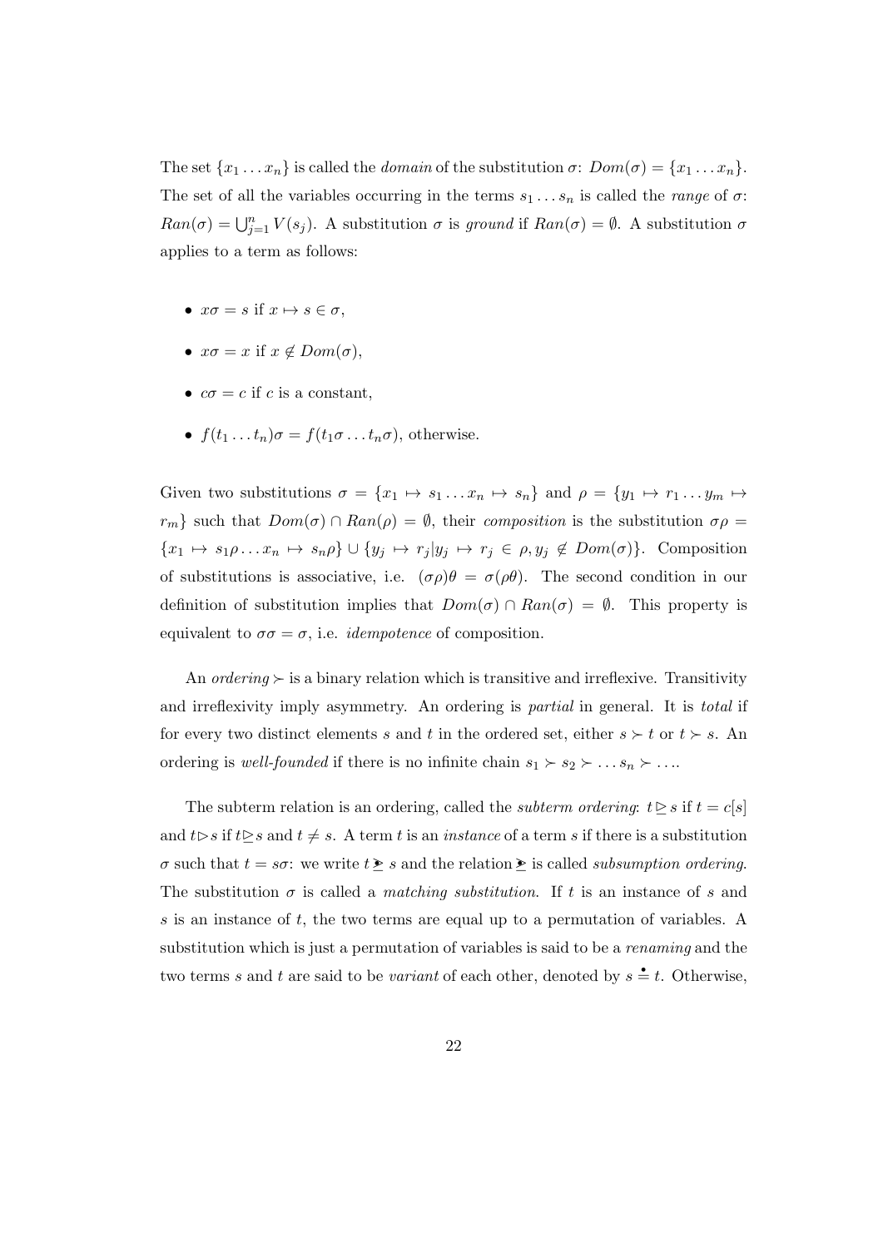The set  $\{x_1 \ldots x_n\}$  is called the *domain* of the substitution  $\sigma: Dom(\sigma) = \{x_1 \ldots x_n\}.$ The set of all the variables occurring in the terms  $s_1 \ldots s_n$  is called the *range* of  $\sigma$ :  $Ran(\sigma) = \bigcup_{j=1}^n V(s_j)$ . A substitution  $\sigma$  is ground if  $Ran(\sigma) = \emptyset$ . A substitution  $\sigma$ applies to a term as follows:

- $x\sigma = s$  if  $x \mapsto s \in \sigma$ ,
- $x\sigma = x$  if  $x \notin Dom(\sigma)$ ,
- $c\sigma = c$  if c is a constant,
- $f(t_1 \ldots t_n)\sigma = f(t_1\sigma \ldots t_n\sigma)$ , otherwise.

Given two substitutions  $\sigma = \{x_1 \mapsto s_1 \dots x_n \mapsto s_n\}$  and  $\rho = \{y_1 \mapsto r_1 \dots y_m \mapsto$  $r_m$ } such that  $Dom(\sigma) \cap Ran(\rho) = \emptyset$ , their composition is the substitution  $\sigma \rho =$  ${x_1 \mapsto s_1 \rho \dots x_n \mapsto s_n \rho} \cup {y_j \mapsto r_j | y_j \mapsto r_j \in \rho, y_j \notin Dom(\sigma)}$ . Composition of substitutions is associative, i.e.  $(\sigma \rho)\theta = \sigma(\rho \theta)$ . The second condition in our definition of substitution implies that  $Dom(\sigma) \cap Ran(\sigma) = \emptyset$ . This property is equivalent to  $\sigma\sigma = \sigma$ , i.e. *idempotence* of composition.

An ordering  $\succ$  is a binary relation which is transitive and irreflexive. Transitivity and irreflexivity imply asymmetry. An ordering is partial in general. It is total if for every two distinct elements s and t in the ordered set, either  $s \succ t$  or  $t \succ s$ . An ordering is *well-founded* if there is no infinite chain  $s_1 \succ s_2 \succ \ldots s_n \succ \ldots$ 

The subterm relation is an ordering, called the *subterm ordering*:  $t \geq s$  if  $t = c[s]$ and  $t \triangleright s$  if  $t \triangleright s$  and  $t \neq s$ . A term t is an *instance* of a term s if there is a substitution σ such that  $t = s\sigma$ : we write  $t \geq s$  and the relation  $\geq$  is called *subsumption ordering*. The substitution  $\sigma$  is called a *matching substitution*. If t is an instance of s and s is an instance of  $t$ , the two terms are equal up to a permutation of variables. A substitution which is just a permutation of variables is said to be a *renaming* and the two terms s and t are said to be variant of each other, denoted by  $s = t$ . Otherwise,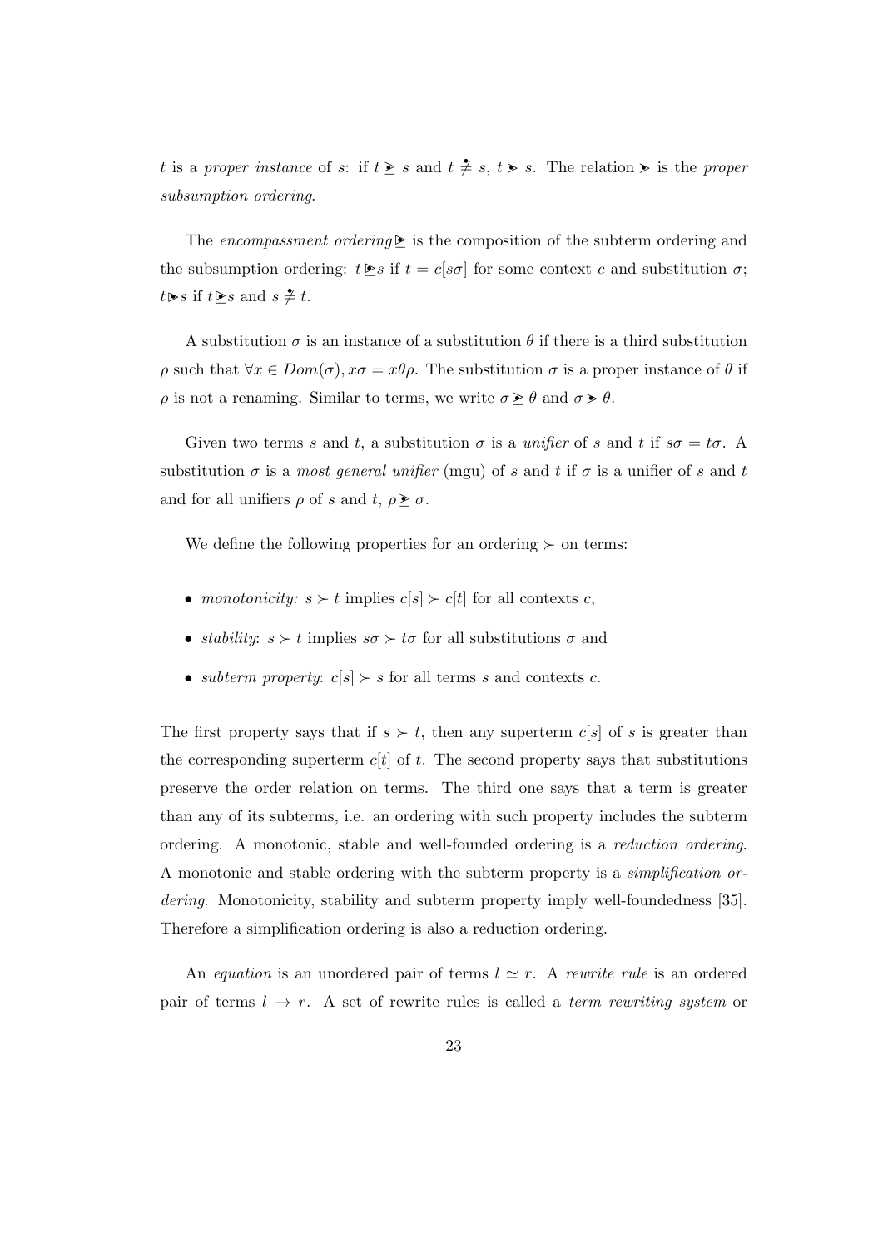t is a proper instance of s: if  $t \geq s$  and  $t \neq s$ ,  $t > s$ . The relation  $\geq s$  is the proper subsumption ordering.

The encompassment ordering  $\triangleright$  is the composition of the subterm ordering and the subsumption ordering:  $t \geq s$  if  $t = c[s\sigma]$  for some context c and substitution  $\sigma$ ;  $t \triangleright s$  if  $t \triangleright s$  and  $s \neq t$ .

A substitution  $\sigma$  is an instance of a substitution  $\theta$  if there is a third substitution  $ρ$  such that  $\forall x \in Dom(σ), xσ = xθρ$ . The substitution *σ* is a proper instance of *θ* if  $\rho$  is not a renaming. Similar to terms, we write  $\sigma \geq \theta$  and  $\sigma > \theta$ .

Given two terms s and t, a substitution  $\sigma$  is a unifier of s and t if  $s\sigma = t\sigma$ . A substitution  $\sigma$  is a most general unifier (mgu) of s and t if  $\sigma$  is a unifier of s and t and for all unifiers  $\rho$  of s and t,  $\rho \geq \sigma$ .

We define the following properties for an ordering  $\succeq$  on terms:

- monotonicity:  $s \succ t$  implies  $c[s] \succ c[t]$  for all contexts c,
- stability:  $s \succ t$  implies  $s\sigma \succ t\sigma$  for all substitutions  $\sigma$  and
- *subterm property:*  $c[s] \succ s$  for all terms s and contexts c.

The first property says that if  $s > t$ , then any superterm c[s] of s is greater than the corresponding superterm  $c[t]$  of t. The second property says that substitutions preserve the order relation on terms. The third one says that a term is greater than any of its subterms, i.e. an ordering with such property includes the subterm ordering. A monotonic, stable and well-founded ordering is a reduction ordering. A monotonic and stable ordering with the subterm property is a simplification ordering. Monotonicity, stability and subterm property imply well-foundedness [35]. Therefore a simplification ordering is also a reduction ordering.

An equation is an unordered pair of terms  $l \simeq r$ . A rewrite rule is an ordered pair of terms  $l \rightarrow r$ . A set of rewrite rules is called a *term rewriting system* or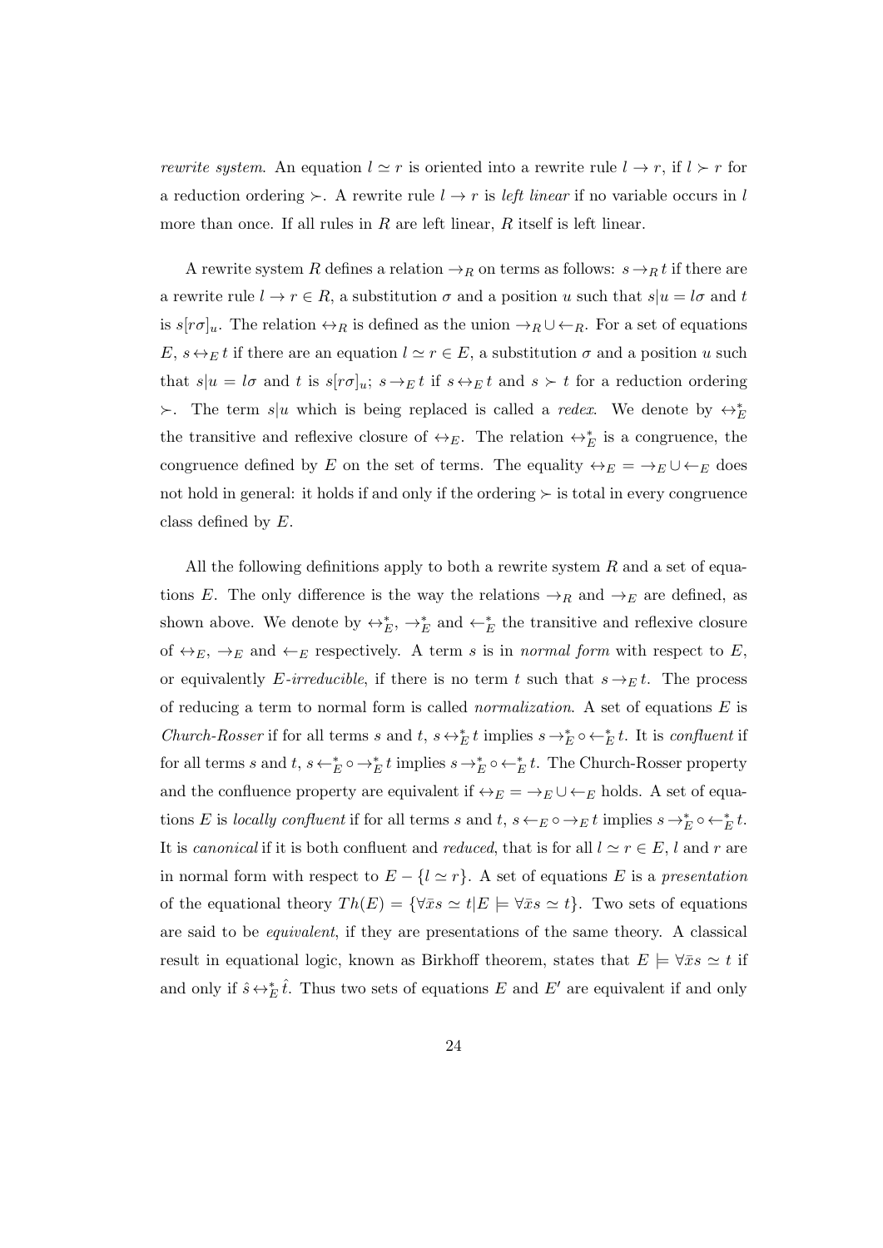*rewrite system.* An equation  $l \simeq r$  is oriented into a rewrite rule  $l \to r$ , if  $l \succ r$  for a reduction ordering  $\succ$ . A rewrite rule  $l \to r$  is *left linear* if no variable occurs in l more than once. If all rules in  $R$  are left linear,  $R$  itself is left linear.

A rewrite system R defines a relation  $\rightarrow_R$  on terms as follows:  $s \rightarrow_R t$  if there are a rewrite rule  $l \to r \in R$ , a substitution  $\sigma$  and a position u such that  $s|u = l\sigma$  and t is  $s[r\sigma]_u$ . The relation  $\leftrightarrow_R$  is defined as the union  $\rightarrow_R \cup \leftarrow_R$ . For a set of equations  $E, s \leftrightarrow_E t$  if there are an equation  $l \simeq r \in E$ , a substitution  $\sigma$  and a position u such that  $s|u = l\sigma$  and t is  $s[r\sigma]_u$ ;  $s \to_E t$  if  $s \leftrightarrow_E t$  and  $s \succ t$  for a reduction ordering  $\succ$ . The term s|u which is being replaced is called a *redex*. We denote by  $\leftrightarrow_E^*$ the transitive and reflexive closure of  $\leftrightarrow_E$ . The relation  $\leftrightarrow_E^*$  is a congruence, the congruence defined by E on the set of terms. The equality  $\leftrightarrow_E = \rightarrow_E \cup \leftarrow_E$  does not hold in general: it holds if and only if the ordering  $\succ$  is total in every congruence class defined by E.

All the following definitions apply to both a rewrite system  $R$  and a set of equations E. The only difference is the way the relations  $\rightarrow_R$  and  $\rightarrow_E$  are defined, as shown above. We denote by  $\leftrightarrow_E^*$ ,  $\rightarrow_E^*$  and  $\leftarrow_E^*$  the transitive and reflexive closure of  $\leftrightarrow_E$ ,  $\rightarrow_E$  and  $\leftarrow_E$  respectively. A term s is in normal form with respect to E, or equivalently E-irreducible, if there is no term t such that  $s \rightarrow_E t$ . The process of reducing a term to normal form is called *normalization*. A set of equations  $E$  is Church-Rosser if for all terms s and t,  $s \leftrightarrow_E^* t$  implies  $s \rightarrow_E^* \circ \leftarrow_E^* t$ . It is confluent if for all terms s and  $t, s \leftarrow_E^* \circ \rightarrow_E^* t$  implies  $s \rightarrow_E^* \circ \leftarrow_E^* t$ . The Church-Rosser property and the confluence property are equivalent if  $\leftrightarrow_E = \rightarrow_E \cup \leftarrow_E$  holds. A set of equations E is locally confluent if for all terms s and  $t, s \leftarrow_E \circ \rightarrow_E t$  implies  $s \rightarrow_E^* \circ \leftarrow_E^* t$ . It is canonical if it is both confluent and reduced, that is for all  $l \simeq r \in E$ , l and r are in normal form with respect to  $E - \{l \simeq r\}$ . A set of equations E is a presentation of the equational theory  $Th(E) = {\forall \bar{x}s \simeq t | E \models \forall \bar{x}s \simeq t}.$  Two sets of equations are said to be equivalent, if they are presentations of the same theory. A classical result in equational logic, known as Birkhoff theorem, states that  $E \models \forall \bar{x}s \simeq t$  if and only if  $\hat{s} \leftrightarrow_{E}^* \hat{t}$ . Thus two sets of equations E and E' are equivalent if and only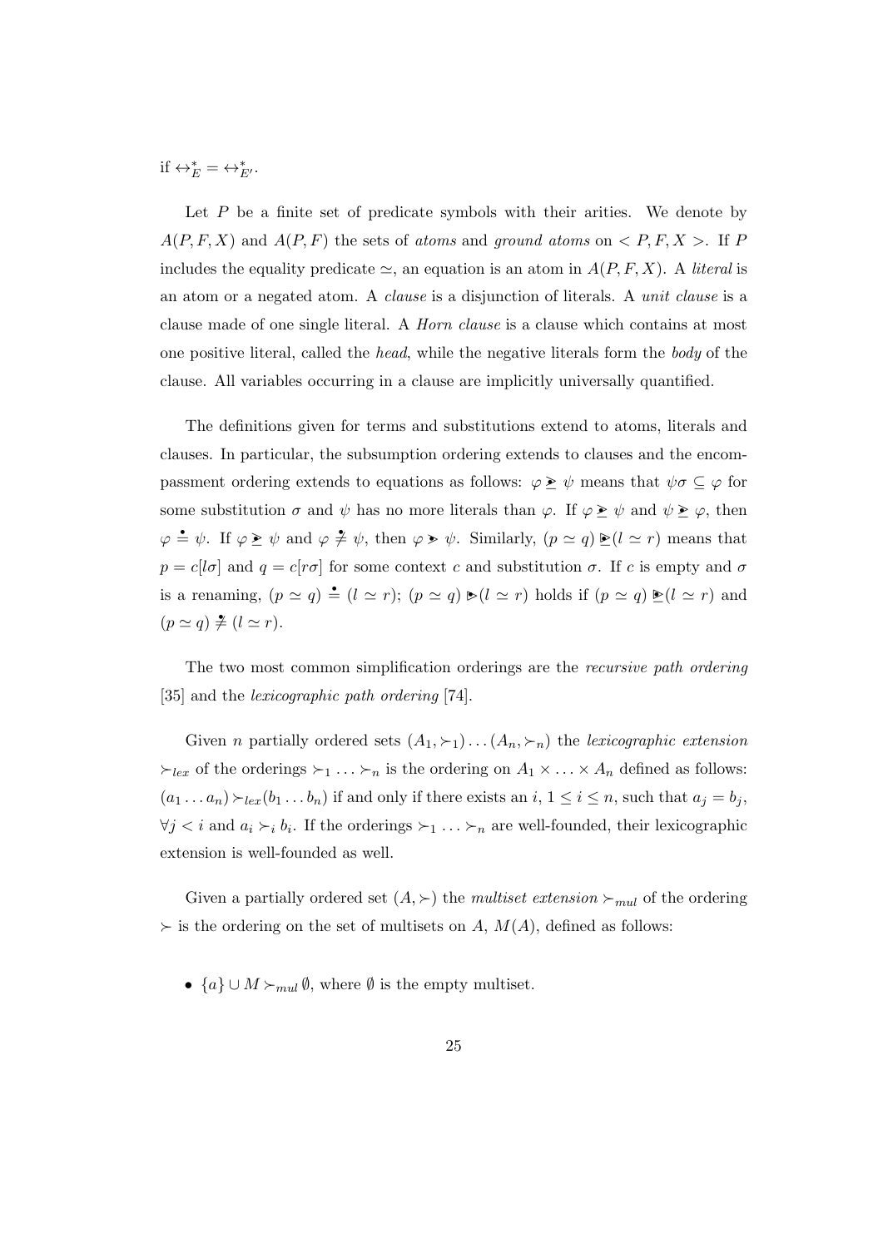if  $\leftrightarrow_E^* = \leftrightarrow_{E'}^*$ .

Let  $P$  be a finite set of predicate symbols with their arities. We denote by  $A(P, F, X)$  and  $A(P, F)$  the sets of atoms and ground atoms on  $\langle P, F, X \rangle$ . If P includes the equality predicate  $\simeq$ , an equation is an atom in  $A(P, F, X)$ . A literal is an atom or a negated atom. A clause is a disjunction of literals. A unit clause is a clause made of one single literal. A Horn clause is a clause which contains at most one positive literal, called the head, while the negative literals form the body of the clause. All variables occurring in a clause are implicitly universally quantified.

The definitions given for terms and substitutions extend to atoms, literals and clauses. In particular, the subsumption ordering extends to clauses and the encompassment ordering extends to equations as follows:  $\varphi \geq \psi$  means that  $\psi \sigma \subseteq \varphi$  for some substitution  $\sigma$  and  $\psi$  has no more literals than  $\varphi$ . If  $\varphi \geq \psi$  and  $\psi \geq \varphi$ , then  $\varphi = \psi$ . If  $\varphi \geq \psi$  and  $\varphi \neq \psi$ , then  $\varphi > \psi$ . Similarly,  $(p \simeq q) \geq (l \simeq r)$  means that  $p = c[l\sigma]$  and  $q = c[r\sigma]$  for some context c and substitution  $\sigma$ . If c is empty and  $\sigma$ is a renaming,  $(p \simeq q) \triangleq (l \simeq r); (p \simeq q) \triangleright (l \simeq r)$  holds if  $(p \simeq q) \triangleright (l \simeq r)$  and  $(p \simeq q) \neq (l \simeq r).$ 

The two most common simplification orderings are the *recursive path ordering* [35] and the lexicographic path ordering [74].

Given *n* partially ordered sets  $(A_1, \succ_1) \dots (A_n, \succ_n)$  the lexicographic extension  $\succ_{lex}$  of the orderings  $\succ_1 \ldots \succ_n$  is the ordering on  $A_1 \times \ldots \times A_n$  defined as follows:  $(a_1 \ldots a_n) \rightharpoonup_{lex}(b_1 \ldots b_n)$  if and only if there exists an  $i, 1 \le i \le n$ , such that  $a_j = b_j$ ,  $\forall j \leq i$  and  $a_i \succ_i b_i$ . If the orderings  $\succ_1 \ldots \succ_n$  are well-founded, their lexicographic extension is well-founded as well.

Given a partially ordered set  $(A, \rangle)$  the multiset extension  $\succ_{mul}$  of the ordering  $\succ$  is the ordering on the set of multisets on A,  $M(A)$ , defined as follows:

•  $\{a\} \cup M \succ_{mul} \emptyset$ , where  $\emptyset$  is the empty multiset.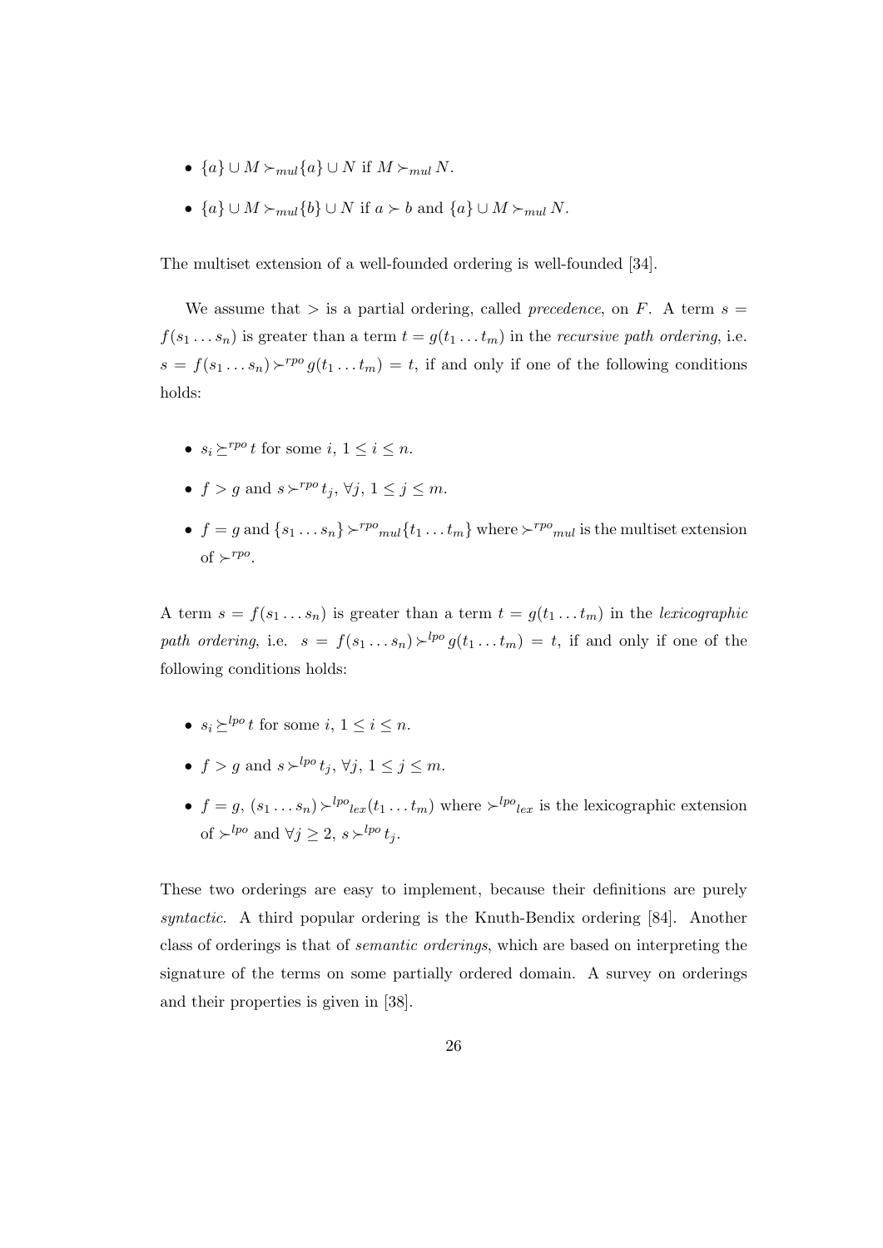- $\{a\} \cup M \succ_{mul} \{a\} \cup N$  if  $M \succ_{mul} N$ .
- ${a} \cup M \succeq_{mul} {b} \cup N$  if  $a \succ b$  and  ${a} \cup M \succeq_{mul} N$ .

The multiset extension of a well-founded ordering is well-founded [34].

We assume that  $>$  is a partial ordering, called *precedence*, on F. A term  $s =$  $f(s_1 \ldots s_n)$  is greater than a term  $t = g(t_1 \ldots t_m)$  in the *recursive path ordering*, i.e.  $s = f(s_1 \dots s_n) \rightharpoonup^{p} g(t_1 \dots t_m) = t$ , if and only if one of the following conditions holds:

- $s_i \succ^{rpo} t$  for some i,  $1 \leq i \leq n$ .
- $f > g$  and  $s \succ^{rpo} t_j$ ,  $\forall j, 1 \leq j \leq m$ .
- $f = g$  and  $\{s_1 \dots s_n\} \succ^{rpo}$  mult $\{t_1 \dots t_m\}$  where  $\succ^{rpo}$  multiset extension of  $\succ^{rpo}$ .

A term  $s = f(s_1 \ldots s_n)$  is greater than a term  $t = g(t_1 \ldots t_m)$  in the lexicographic path ordering, i.e.  $s = f(s_1 \ldots s_n) \succ^{lpo} g(t_1 \ldots t_m) = t$ , if and only if one of the following conditions holds:

- $s_i \succ^{lpo} t$  for some  $i, 1 \leq i \leq n$ .
- $f > q$  and  $s \succ^{lpo} t_j, \forall j, 1 \leq j \leq m$ .
- $f = g$ ,  $(s_1 \ldots s_n) \succ^{lpo}{}_{lex}(t_1 \ldots t_m)$  where  $\succ^{lpo}{}_{lex}$  is the lexicographic extension of  $\succ^{lpo}$  and  $\forall j \geq 2$ ,  $s \succ^{lpo} t_j$ .

These two orderings are easy to implement, because their definitions are purely syntactic. A third popular ordering is the Knuth-Bendix ordering [84]. Another class of orderings is that of semantic orderings, which are based on interpreting the signature of the terms on some partially ordered domain. A survey on orderings and their properties is given in [38].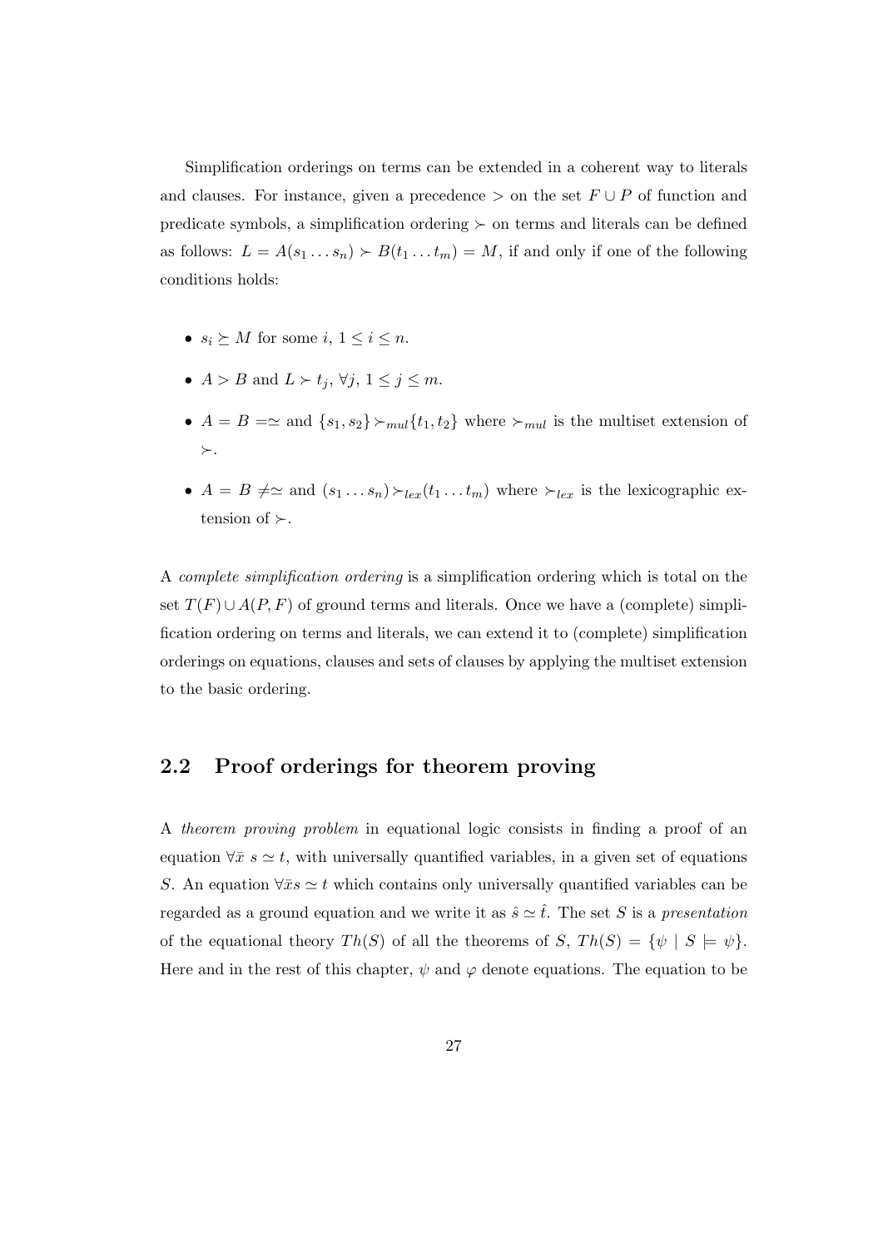Simplification orderings on terms can be extended in a coherent way to literals and clauses. For instance, given a precedence  $>$  on the set  $F \cup P$  of function and predicate symbols, a simplification ordering  $\succ$  on terms and literals can be defined as follows:  $L = A(s_1 \ldots s_n) \succ B(t_1 \ldots t_m) = M$ , if and only if one of the following conditions holds:

- $s_i \succeq M$  for some  $i, 1 \leq i \leq n$ .
- $A > B$  and  $L \succ t_j$ ,  $\forall j, 1 \leq j \leq m$ .
- $A = B = \simeq$  and  $\{s_1, s_2\} \succ_{mul} \{t_1, t_2\}$  where  $\succ_{mul}$  is the multiset extension of  $\succ$ .
- $A = B \neq \simeq$  and  $(s_1 \dots s_n) \succ_{lex}(t_1 \dots t_m)$  where  $\succ_{lex}$  is the lexicographic extension of  $\succ$ .

A complete simplification ordering is a simplification ordering which is total on the set  $T(F) \cup A(P, F)$  of ground terms and literals. Once we have a (complete) simplification ordering on terms and literals, we can extend it to (complete) simplification orderings on equations, clauses and sets of clauses by applying the multiset extension to the basic ordering.

## 2.2 Proof orderings for theorem proving

A theorem proving problem in equational logic consists in finding a proof of an equation  $\forall \bar{x} s \simeq t$ , with universally quantified variables, in a given set of equations S. An equation  $\forall \bar{x}s \simeq t$  which contains only universally quantified variables can be regarded as a ground equation and we write it as  $\hat{s} \simeq \hat{t}$ . The set S is a presentation of the equational theory  $Th(S)$  of all the theorems of S,  $Th(S) = \{\psi \mid S \models \psi\}.$ Here and in the rest of this chapter,  $\psi$  and  $\varphi$  denote equations. The equation to be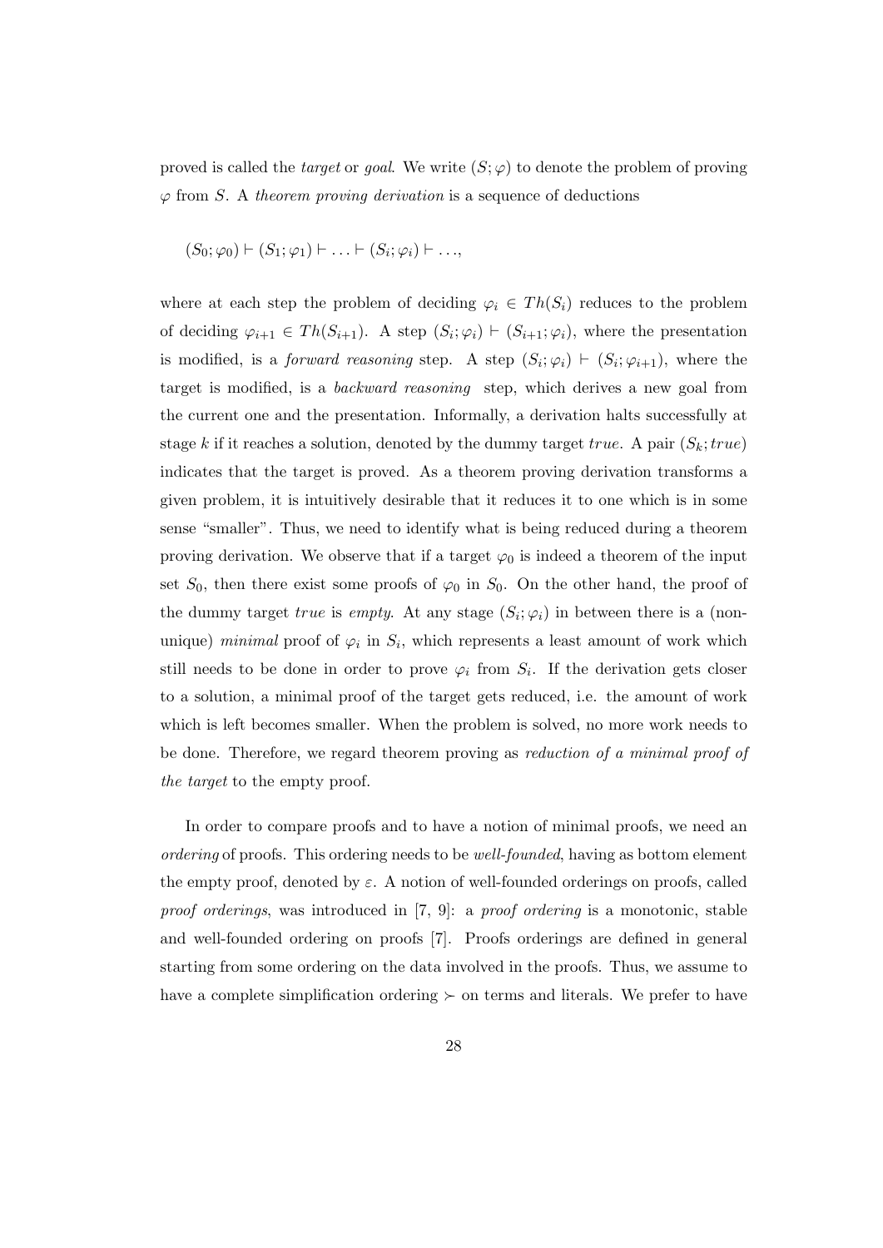proved is called the *target* or *goal*. We write  $(S; \varphi)$  to denote the problem of proving  $\varphi$  from S. A theorem proving derivation is a sequence of deductions

$$
(S_0; \varphi_0) \vdash (S_1; \varphi_1) \vdash \ldots \vdash (S_i; \varphi_i) \vdash \ldots,
$$

where at each step the problem of deciding  $\varphi_i \in Th(S_i)$  reduces to the problem of deciding  $\varphi_{i+1} \in Th(S_{i+1})$ . A step  $(S_i; \varphi_i) \vdash (S_{i+1}; \varphi_i)$ , where the presentation is modified, is a *forward reasoning* step. A step  $(S_i; \varphi_i) \vdash (S_i; \varphi_{i+1})$ , where the target is modified, is a backward reasoning step, which derives a new goal from the current one and the presentation. Informally, a derivation halts successfully at stage k if it reaches a solution, denoted by the dummy target true. A pair  $(S_k; true)$ indicates that the target is proved. As a theorem proving derivation transforms a given problem, it is intuitively desirable that it reduces it to one which is in some sense "smaller". Thus, we need to identify what is being reduced during a theorem proving derivation. We observe that if a target  $\varphi_0$  is indeed a theorem of the input set  $S_0$ , then there exist some proofs of  $\varphi_0$  in  $S_0$ . On the other hand, the proof of the dummy target *true* is *empty*. At any stage  $(S_i; \varphi_i)$  in between there is a (nonunique) minimal proof of  $\varphi_i$  in  $S_i$ , which represents a least amount of work which still needs to be done in order to prove  $\varphi_i$  from  $S_i$ . If the derivation gets closer to a solution, a minimal proof of the target gets reduced, i.e. the amount of work which is left becomes smaller. When the problem is solved, no more work needs to be done. Therefore, we regard theorem proving as reduction of a minimal proof of the target to the empty proof.

In order to compare proofs and to have a notion of minimal proofs, we need an ordering of proofs. This ordering needs to be well-founded, having as bottom element the empty proof, denoted by  $\varepsilon$ . A notion of well-founded orderings on proofs, called proof orderings, was introduced in [7, 9]: a proof ordering is a monotonic, stable and well-founded ordering on proofs [7]. Proofs orderings are defined in general starting from some ordering on the data involved in the proofs. Thus, we assume to have a complete simplification ordering  $\succ$  on terms and literals. We prefer to have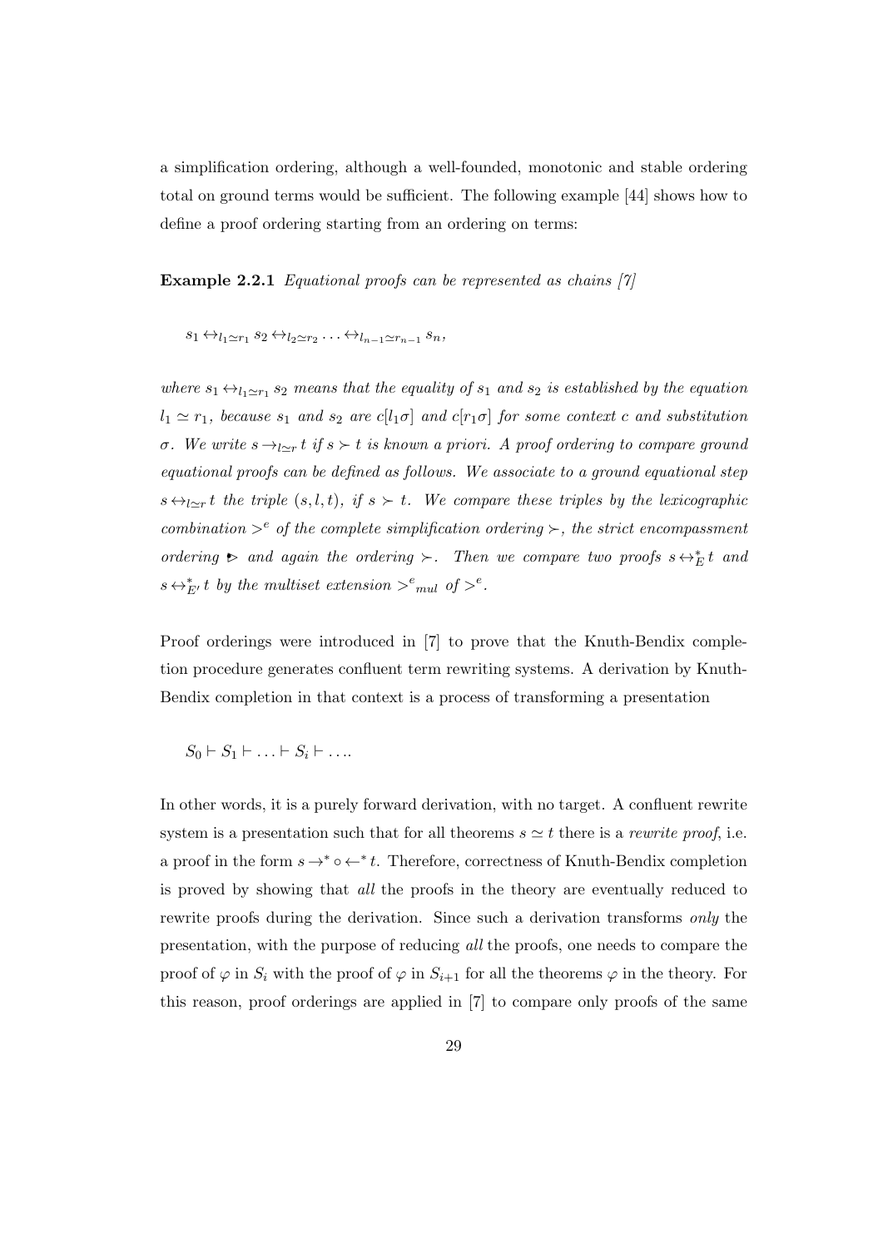a simplification ordering, although a well-founded, monotonic and stable ordering total on ground terms would be sufficient. The following example [44] shows how to define a proof ordering starting from an ordering on terms:

**Example 2.2.1** Equational proofs can be represented as chains  $[7]$ 

$$
s_1 \leftrightarrow_{l_1 \simeq r_1} s_2 \leftrightarrow_{l_2 \simeq r_2} \ldots \leftrightarrow_{l_{n-1} \simeq r_{n-1}} s_n,
$$

where  $s_1 \leftrightarrow_{l_1 \simeq r_1} s_2$  means that the equality of  $s_1$  and  $s_2$  is established by the equation  $l_1 \simeq r_1$ , because  $s_1$  and  $s_2$  are  $c[l_1\sigma]$  and  $c[r_1\sigma]$  for some context c and substitution σ. We write  $s \rightarrow_{l \simeq r} t$  if  $s \succ t$  is known a priori. A proof ordering to compare ground equational proofs can be defined as follows. We associate to a ground equational step  $s \leftrightarrow_{l \simeq r} t$  the triple  $(s, l, t)$ , if  $s > t$ . We compare these triples by the lexicographic combination  $\geq^e$  of the complete simplification ordering  $\succ$ , the strict encompassment ordering  $\triangleright$  and again the ordering  $\succ$ . Then we compare two proofs  $s \leftrightarrow^*_{E} t$  and  $s \leftrightarrow_{E'}^* t$  by the multiset extension  $\gt^e_{mul}$  of  $\gt^e$ .

Proof orderings were introduced in [7] to prove that the Knuth-Bendix completion procedure generates confluent term rewriting systems. A derivation by Knuth-Bendix completion in that context is a process of transforming a presentation

$$
S_0 \vdash S_1 \vdash \ldots \vdash S_i \vdash \ldots
$$

In other words, it is a purely forward derivation, with no target. A confluent rewrite system is a presentation such that for all theorems  $s \simeq t$  there is a *rewrite proof*, i.e. a proof in the form  $s \to^* \circ \leftarrow^* t$ . Therefore, correctness of Knuth-Bendix completion is proved by showing that all the proofs in the theory are eventually reduced to rewrite proofs during the derivation. Since such a derivation transforms *only* the presentation, with the purpose of reducing all the proofs, one needs to compare the proof of  $\varphi$  in  $S_i$  with the proof of  $\varphi$  in  $S_{i+1}$  for all the theorems  $\varphi$  in the theory. For this reason, proof orderings are applied in [7] to compare only proofs of the same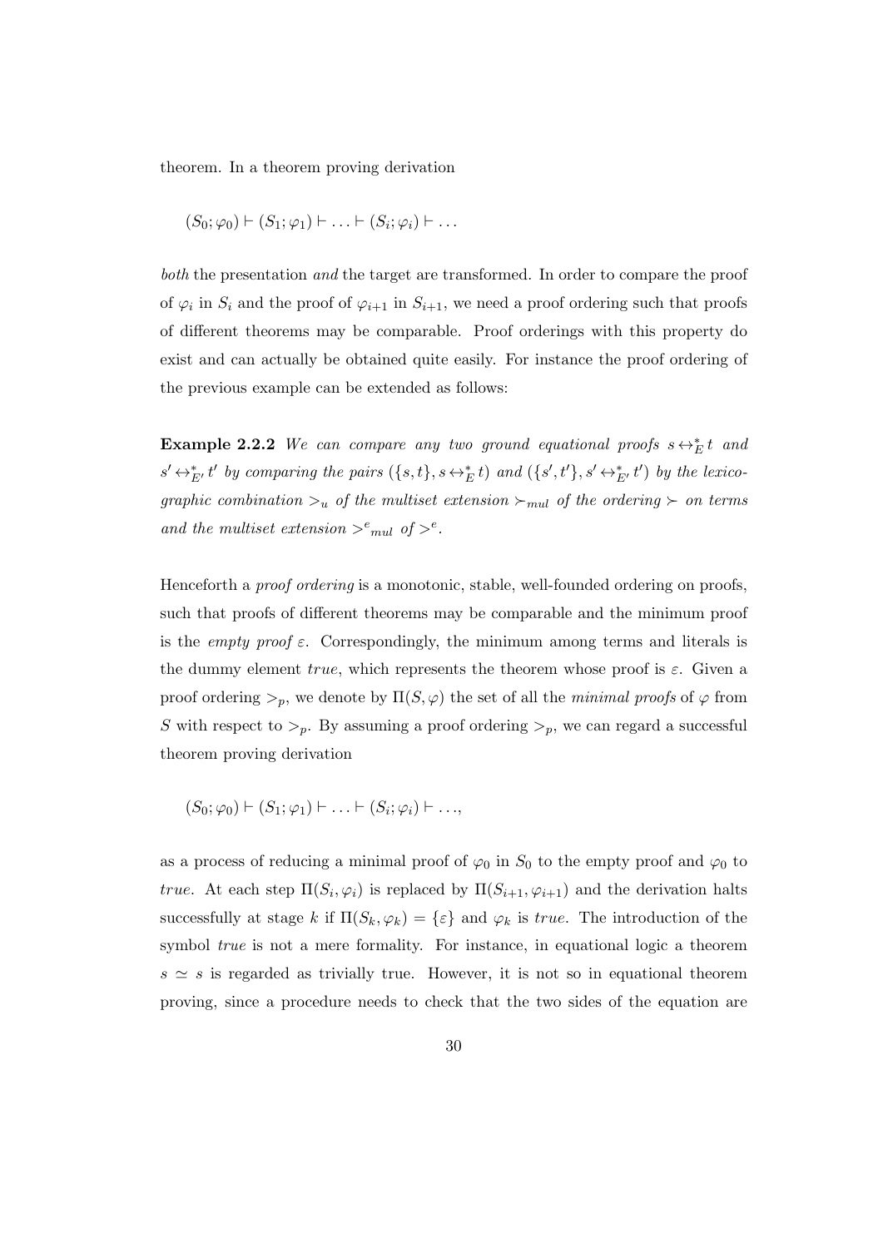theorem. In a theorem proving derivation

$$
(S_0; \varphi_0) \vdash (S_1; \varphi_1) \vdash \ldots \vdash (S_i; \varphi_i) \vdash \ldots
$$

both the presentation and the target are transformed. In order to compare the proof of  $\varphi_i$  in  $S_i$  and the proof of  $\varphi_{i+1}$  in  $S_{i+1}$ , we need a proof ordering such that proofs of different theorems may be comparable. Proof orderings with this property do exist and can actually be obtained quite easily. For instance the proof ordering of the previous example can be extended as follows:

Example 2.2.2 We can compare any two ground equational proofs  $s \leftrightarrow_E^* t$  and  $s' \leftrightarrow_{E'}^* t'$  by comparing the pairs  $(\{s,t\}, s \leftrightarrow_{E'}^* t)$  and  $(\{s',t'\}, s' \leftrightarrow_{E'}^* t')$  by the lexicographic combination  $\gt_u$  of the multiset extension  $\gt_{mul}$  of the ordering  $\gt$  on terms and the multiset extension  $>^e_{mul}$  of  $>^e$ .

Henceforth a proof ordering is a monotonic, stable, well-founded ordering on proofs, such that proofs of different theorems may be comparable and the minimum proof is the *empty proof*  $\varepsilon$ . Correspondingly, the minimum among terms and literals is the dummy element true, which represents the theorem whose proof is  $\varepsilon$ . Given a proof ordering  $>_{p}$ , we denote by  $\Pi(S, \varphi)$  the set of all the minimal proofs of  $\varphi$  from S with respect to  $\geq_p$ . By assuming a proof ordering  $\geq_p$ , we can regard a successful theorem proving derivation

$$
(S_0; \varphi_0) \vdash (S_1; \varphi_1) \vdash \ldots \vdash (S_i; \varphi_i) \vdash \ldots,
$$

as a process of reducing a minimal proof of  $\varphi_0$  in  $S_0$  to the empty proof and  $\varphi_0$  to true. At each step  $\Pi(S_i, \varphi_i)$  is replaced by  $\Pi(S_{i+1}, \varphi_{i+1})$  and the derivation halts successfully at stage k if  $\Pi(S_k, \varphi_k) = {\varepsilon}$  and  $\varphi_k$  is true. The introduction of the symbol true is not a mere formality. For instance, in equational logic a theorem  $s \simeq s$  is regarded as trivially true. However, it is not so in equational theorem proving, since a procedure needs to check that the two sides of the equation are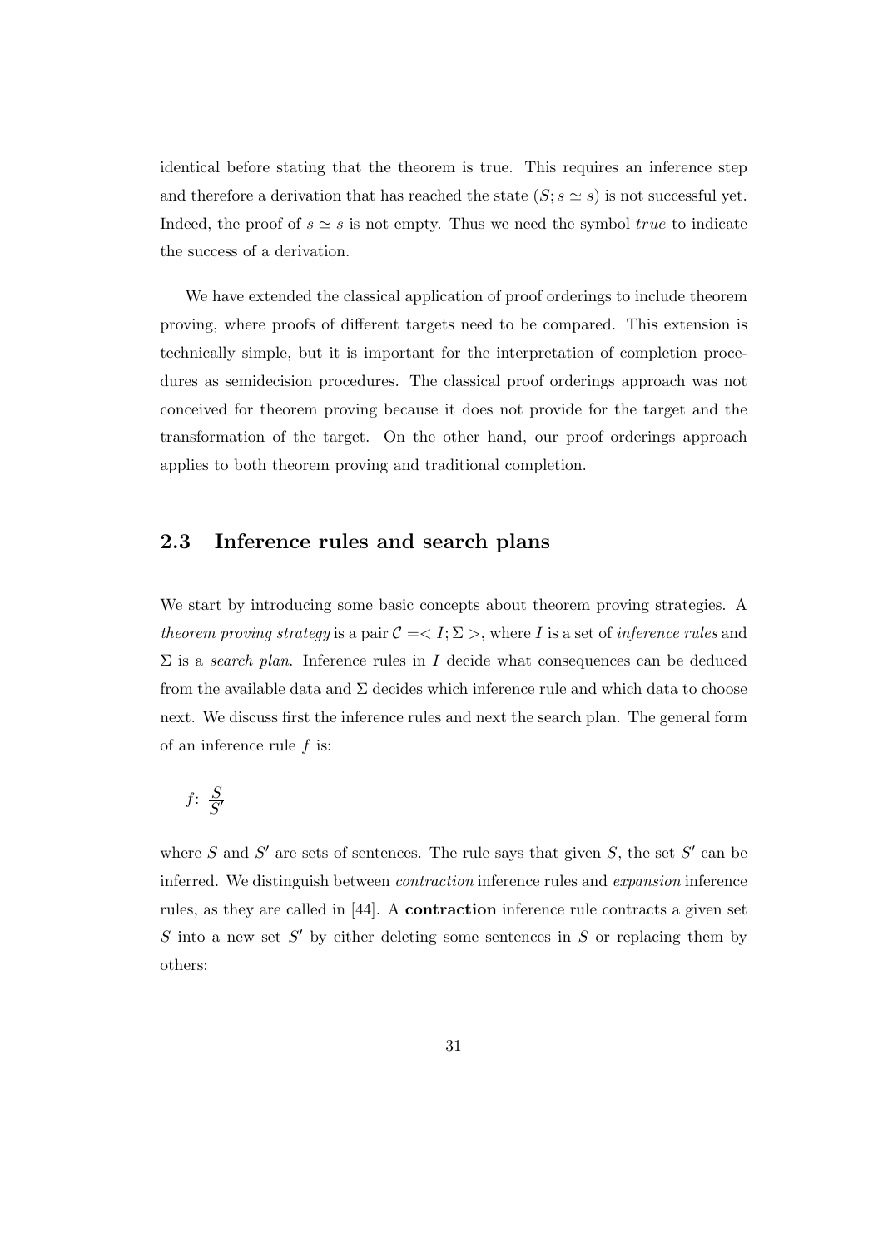identical before stating that the theorem is true. This requires an inference step and therefore a derivation that has reached the state  $(S; s \simeq s)$  is not successful yet. Indeed, the proof of  $s \simeq s$  is not empty. Thus we need the symbol true to indicate the success of a derivation.

We have extended the classical application of proof orderings to include theorem proving, where proofs of different targets need to be compared. This extension is technically simple, but it is important for the interpretation of completion procedures as semidecision procedures. The classical proof orderings approach was not conceived for theorem proving because it does not provide for the target and the transformation of the target. On the other hand, our proof orderings approach applies to both theorem proving and traditional completion.

## 2.3 Inference rules and search plans

We start by introducing some basic concepts about theorem proving strategies. A theorem proving strategy is a pair  $C = \langle I; \Sigma \rangle$ , where I is a set of inference rules and  $\Sigma$  is a search plan. Inference rules in I decide what consequences can be deduced from the available data and  $\Sigma$  decides which inference rule and which data to choose next. We discuss first the inference rules and next the search plan. The general form of an inference rule  $f$  is:

$$
f \colon \frac{S}{S'}
$$

where S and S' are sets of sentences. The rule says that given S, the set S' can be inferred. We distinguish between contraction inference rules and expansion inference rules, as they are called in [44]. A contraction inference rule contracts a given set  $S$  into a new set  $S'$  by either deleting some sentences in  $S$  or replacing them by others: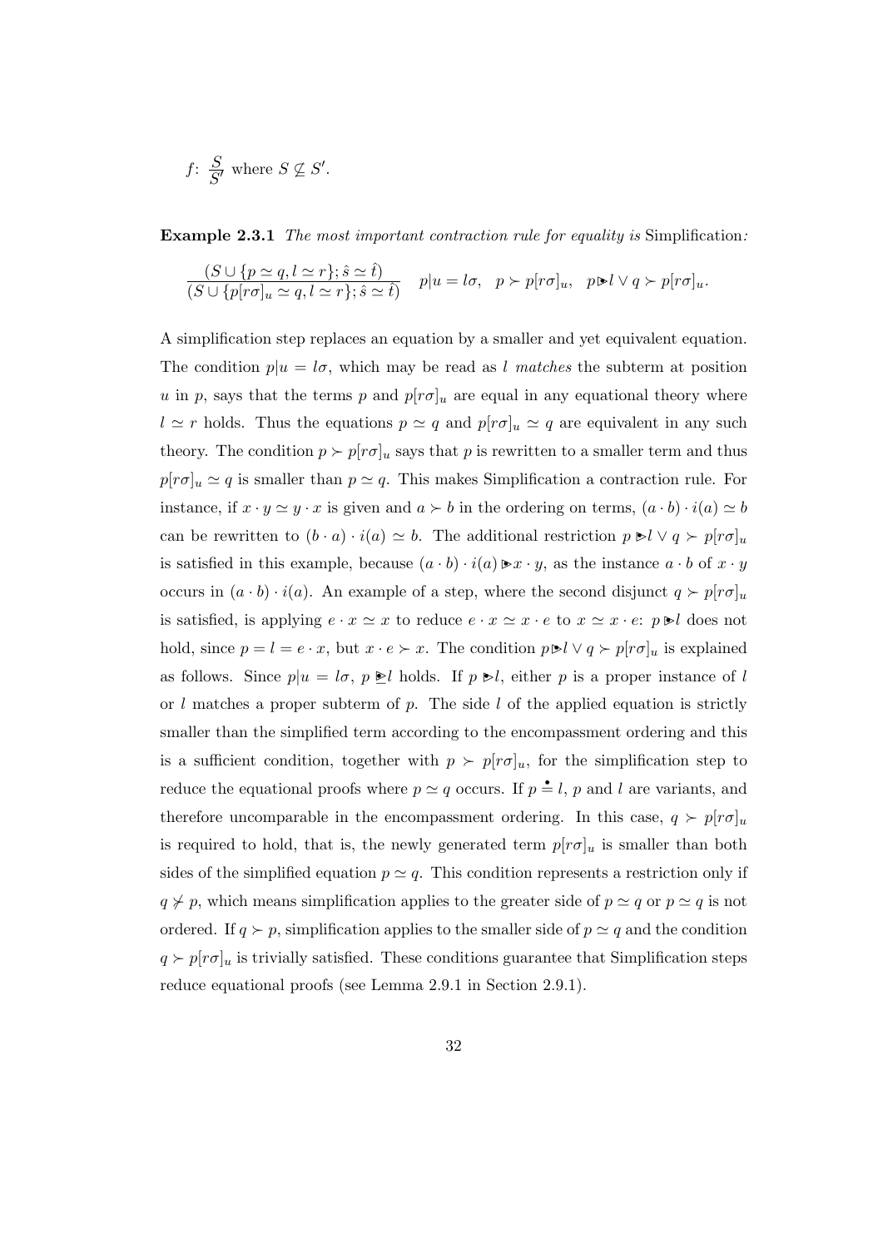$$
f: \frac{S}{S'}
$$
 where  $S \nsubseteq S'.$ 

Example 2.3.1 The most important contraction rule for equality is Simplification:

$$
\frac{(S \cup \{p \simeq q, l \simeq r\}; \hat{s} \simeq \hat{t})}{(S \cup \{p[r\sigma]_u \simeq q, l \simeq r\}; \hat{s} \simeq \hat{t})} \quad p|u = l\sigma, \quad p \succ p[r\sigma]_u, \quad p \triangleright l \vee q \succ p[r\sigma]_u.
$$

A simplification step replaces an equation by a smaller and yet equivalent equation. The condition  $p|u = l\sigma$ , which may be read as l matches the subterm at position u in p, says that the terms p and  $p[r\sigma]_u$  are equal in any equational theory where  $l \simeq r$  holds. Thus the equations  $p \simeq q$  and  $p[r\sigma]_u \simeq q$  are equivalent in any such theory. The condition  $p \succ p[r\sigma]_u$  says that p is rewritten to a smaller term and thus  $p[r\sigma]_u \simeq q$  is smaller than  $p \simeq q$ . This makes Simplification a contraction rule. For instance, if  $x \cdot y \simeq y \cdot x$  is given and  $a \succ b$  in the ordering on terms,  $(a \cdot b) \cdot i(a) \simeq b$ can be rewritten to  $(b \cdot a) \cdot i(a) \simeq b$ . The additional restriction  $p \ge l \vee q \succ p[r\sigma]_u$ is satisfied in this example, because  $(a \cdot b) \cdot i(a) \triangleright x \cdot y$ , as the instance  $a \cdot b$  of  $x \cdot y$ occurs in  $(a \cdot b) \cdot i(a)$ . An example of a step, where the second disjunct  $q > p[r\sigma]_u$ is satisfied, is applying  $e \cdot x \simeq x$  to reduce  $e \cdot x \simeq x \cdot e$  to  $x \simeq x \cdot e$ :  $p \triangleright l$  does not hold, since  $p = l = e \cdot x$ , but  $x \cdot e \succ x$ . The condition  $p \triangleright l \vee q \succ p[r \sigma]_u$  is explained as follows. Since  $p|u = l\sigma$ ,  $p \ge l$  holds. If  $p \ge l$ , either p is a proper instance of l or l matches a proper subterm of p. The side l of the applied equation is strictly smaller than the simplified term according to the encompassment ordering and this is a sufficient condition, together with  $p \succ p[r\sigma]_u$ , for the simplification step to reduce the equational proofs where  $p \simeq q$  occurs. If  $p = l$ , p and l are variants, and therefore uncomparable in the encompassment ordering. In this case,  $q > p[r\sigma]_u$ is required to hold, that is, the newly generated term  $p[r\sigma]_u$  is smaller than both sides of the simplified equation  $p \simeq q$ . This condition represents a restriction only if  $q \nless p$ , which means simplification applies to the greater side of  $p \simeq q$  or  $p \simeq q$  is not ordered. If  $q \succ p$ , simplification applies to the smaller side of  $p \simeq q$  and the condition  $q \succ p[r\sigma]_u$  is trivially satisfied. These conditions guarantee that Simplification steps reduce equational proofs (see Lemma 2.9.1 in Section 2.9.1).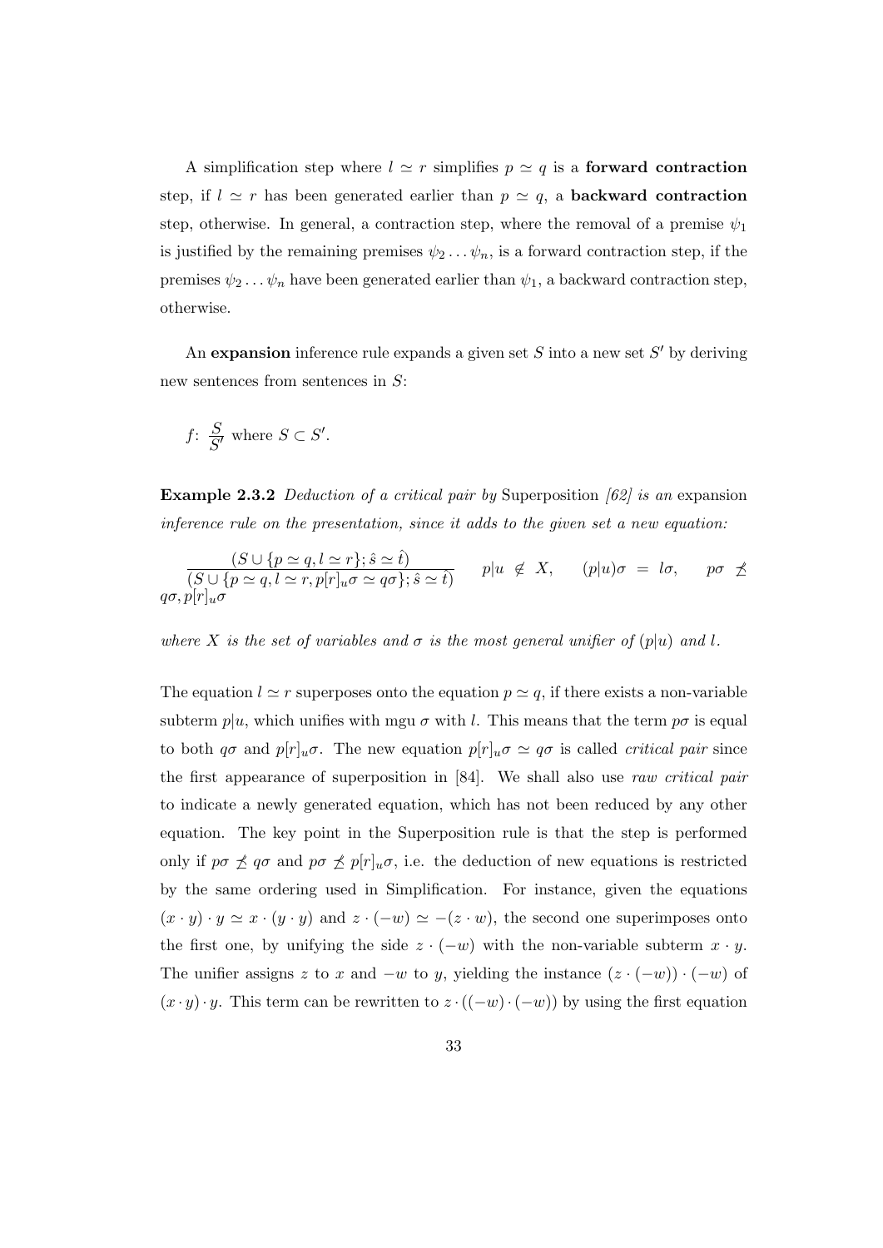A simplification step where  $l \simeq r$  simplifies  $p \simeq q$  is a **forward contraction** step, if  $l \simeq r$  has been generated earlier than  $p \simeq q$ , a **backward contraction** step, otherwise. In general, a contraction step, where the removal of a premise  $\psi_1$ is justified by the remaining premises  $\psi_2 \dots \psi_n$ , is a forward contraction step, if the premises  $\psi_2 \dots \psi_n$  have been generated earlier than  $\psi_1$ , a backward contraction step, otherwise.

An expansion inference rule expands a given set  $S$  into a new set  $S'$  by deriving new sentences from sentences in S:

$$
f: \frac{S}{S'} \text{ where } S \subset S'.
$$

**Example 2.3.2** Deduction of a critical pair by Superposition  $[62]$  is an expansion inference rule on the presentation, since it adds to the given set a new equation:

$$
\frac{(S \cup \{p \simeq q, l \simeq r\}; \hat{s} \simeq \hat{t})}{(S \cup \{p \simeq q, l \simeq r, p[r]_u \sigma \simeq q\sigma\}; \hat{s} \simeq \hat{t})} \quad p|u \notin X, \quad (p|u)\sigma = l\sigma, \quad p\sigma \npreceq q\sigma, p[r]_u \sigma
$$

where X is the set of variables and  $\sigma$  is the most general unifier of  $(p|u)$  and l.

The equation  $l \simeq r$  superposes onto the equation  $p \simeq q$ , if there exists a non-variable subterm  $p|u$ , which unifies with mgu  $\sigma$  with l. This means that the term  $p\sigma$  is equal to both  $q\sigma$  and  $p[r]_u\sigma$ . The new equation  $p[r]_u\sigma \simeq q\sigma$  is called *critical pair* since the first appearance of superposition in [84]. We shall also use raw critical pair to indicate a newly generated equation, which has not been reduced by any other equation. The key point in the Superposition rule is that the step is performed only if  $p\sigma \npreceq q\sigma$  and  $p\sigma \npreceq p[r]_u\sigma$ , i.e. the deduction of new equations is restricted by the same ordering used in Simplification. For instance, given the equations  $(x \cdot y) \cdot y \simeq x \cdot (y \cdot y)$  and  $z \cdot (-w) \simeq -(z \cdot w)$ , the second one superimposes onto the first one, by unifying the side  $z \cdot (-w)$  with the non-variable subterm  $x \cdot y$ . The unifier assigns z to x and  $-w$  to y, yielding the instance  $(z \cdot (-w)) \cdot (-w)$  of  $(x \cdot y) \cdot y$ . This term can be rewritten to  $z \cdot ((-w) \cdot (-w))$  by using the first equation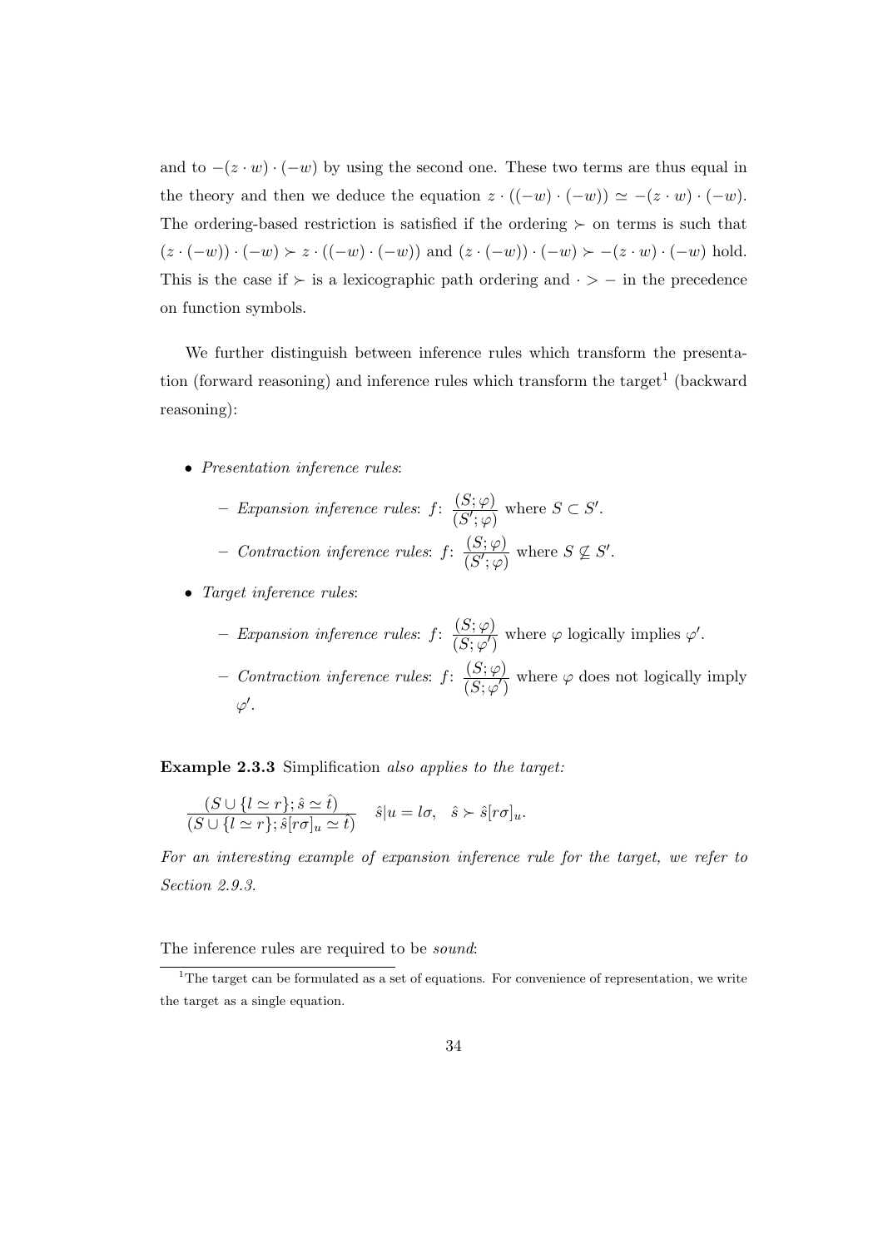and to  $-(z \cdot w) \cdot (-w)$  by using the second one. These two terms are thus equal in the theory and then we deduce the equation  $z \cdot ((-w) \cdot (-w)) \simeq -(z \cdot w) \cdot (-w)$ . The ordering-based restriction is satisfied if the ordering  $\succ$  on terms is such that  $(z \cdot (-w)) \cdot (-w) \succ z \cdot ((-w) \cdot (-w))$  and  $(z \cdot (-w)) \cdot (-w) \succ -(z \cdot w) \cdot (-w)$  hold. This is the case if  $\succ$  is a lexicographic path ordering and  $\cdot$  > − in the precedence on function symbols.

We further distinguish between inference rules which transform the presentation (forward reasoning) and inference rules which transform the target<sup>1</sup> (backward reasoning):

- Presentation inference rules:
	- Expansion inference rules:  $f: \frac{(S; \varphi)}{(S' \cdot \varphi)}$  $\frac{(S;\varphi)}{(S';\varphi)}$  where  $S \subset S'$ .  $-$  Contraction inference rules:  $f: \frac{(S; \varphi)}{(S', \varphi)}$  $\frac{(S;\varphi)}{(S';\varphi)}$  where  $S \nsubseteq S'$ .
- Target inference rules:
	- Expansion inference rules:  $f: \frac{(S; \varphi)}{(S, \Box)}$  $\frac{S(\mathcal{S}, \varphi')}{(S; \varphi')}$  where  $\varphi$  logically implies  $\varphi'$ .
	- $-$  Contraction inference rules: f:  $\frac{(S; \varphi)}{(S, \varphi)}$  $\frac{\partial}{\partial S(\varphi')}$  where  $\varphi$  does not logically imply  $\varphi'.$

Example 2.3.3 Simplification also applies to the target:

$$
\frac{(S\cup\{l\simeq r\};\hat{s}\simeq\hat{t})}{(S\cup\{l\simeq r\};\hat{s}[r\sigma]_u\simeq\hat{t})}\quad \hat{s}|u=l\sigma,\ \ \hat{s}\succ \hat{s}[r\sigma]_u.
$$

For an interesting example of expansion inference rule for the target, we refer to Section 2.9.3.

The inference rules are required to be *sound*:

<sup>&</sup>lt;sup>1</sup>The target can be formulated as a set of equations. For convenience of representation, we write the target as a single equation.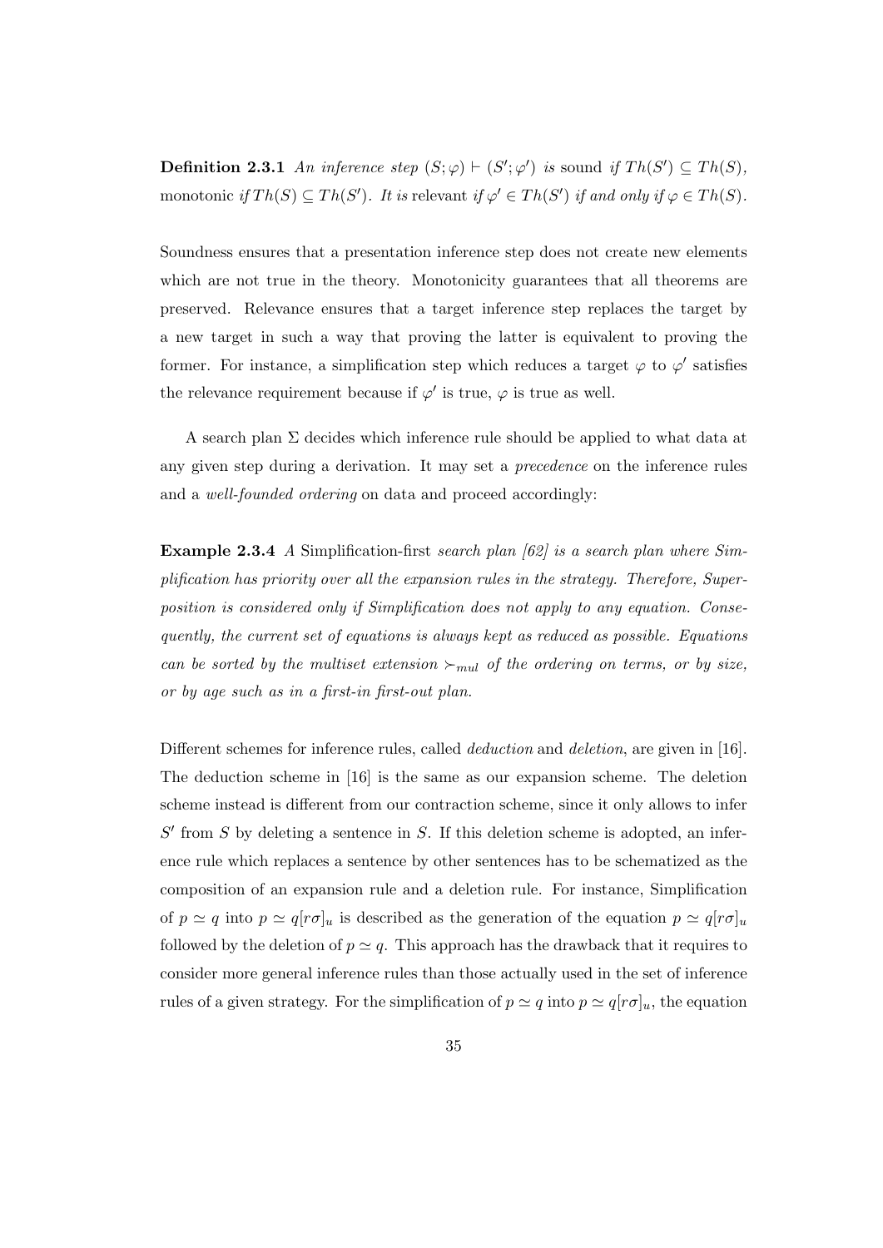**Definition 2.3.1** An inference step  $(S; \varphi) \vdash (S'; \varphi')$  is sound if  $Th(S') \subseteq Th(S)$ , monotonic if  $Th(S) \subseteq Th(S')$ . It is relevant if  $\varphi' \in Th(S')$  if and only if  $\varphi \in Th(S)$ .

Soundness ensures that a presentation inference step does not create new elements which are not true in the theory. Monotonicity guarantees that all theorems are preserved. Relevance ensures that a target inference step replaces the target by a new target in such a way that proving the latter is equivalent to proving the former. For instance, a simplification step which reduces a target  $\varphi$  to  $\varphi'$  satisfies the relevance requirement because if  $\varphi'$  is true,  $\varphi$  is true as well.

A search plan Σ decides which inference rule should be applied to what data at any given step during a derivation. It may set a precedence on the inference rules and a well-founded ordering on data and proceed accordingly:

**Example 2.3.4** A Simplification-first search plan  $\left[\frac{62}{3}\right]$  is a search plan where Simplification has priority over all the expansion rules in the strategy. Therefore, Superposition is considered only if Simplification does not apply to any equation. Consequently, the current set of equations is always kept as reduced as possible. Equations can be sorted by the multiset extension  $\succ_{mul}$  of the ordering on terms, or by size, or by age such as in a first-in first-out plan.

Different schemes for inference rules, called *deduction* and *deletion*, are given in [16]. The deduction scheme in [16] is the same as our expansion scheme. The deletion scheme instead is different from our contraction scheme, since it only allows to infer  $S'$  from  $S$  by deleting a sentence in  $S$ . If this deletion scheme is adopted, an inference rule which replaces a sentence by other sentences has to be schematized as the composition of an expansion rule and a deletion rule. For instance, Simplification of  $p \simeq q$  into  $p \simeq q[r\sigma]_u$  is described as the generation of the equation  $p \simeq q[r\sigma]_u$ followed by the deletion of  $p \simeq q$ . This approach has the drawback that it requires to consider more general inference rules than those actually used in the set of inference rules of a given strategy. For the simplification of  $p \simeq q$  into  $p \simeq q[r\sigma]_u$ , the equation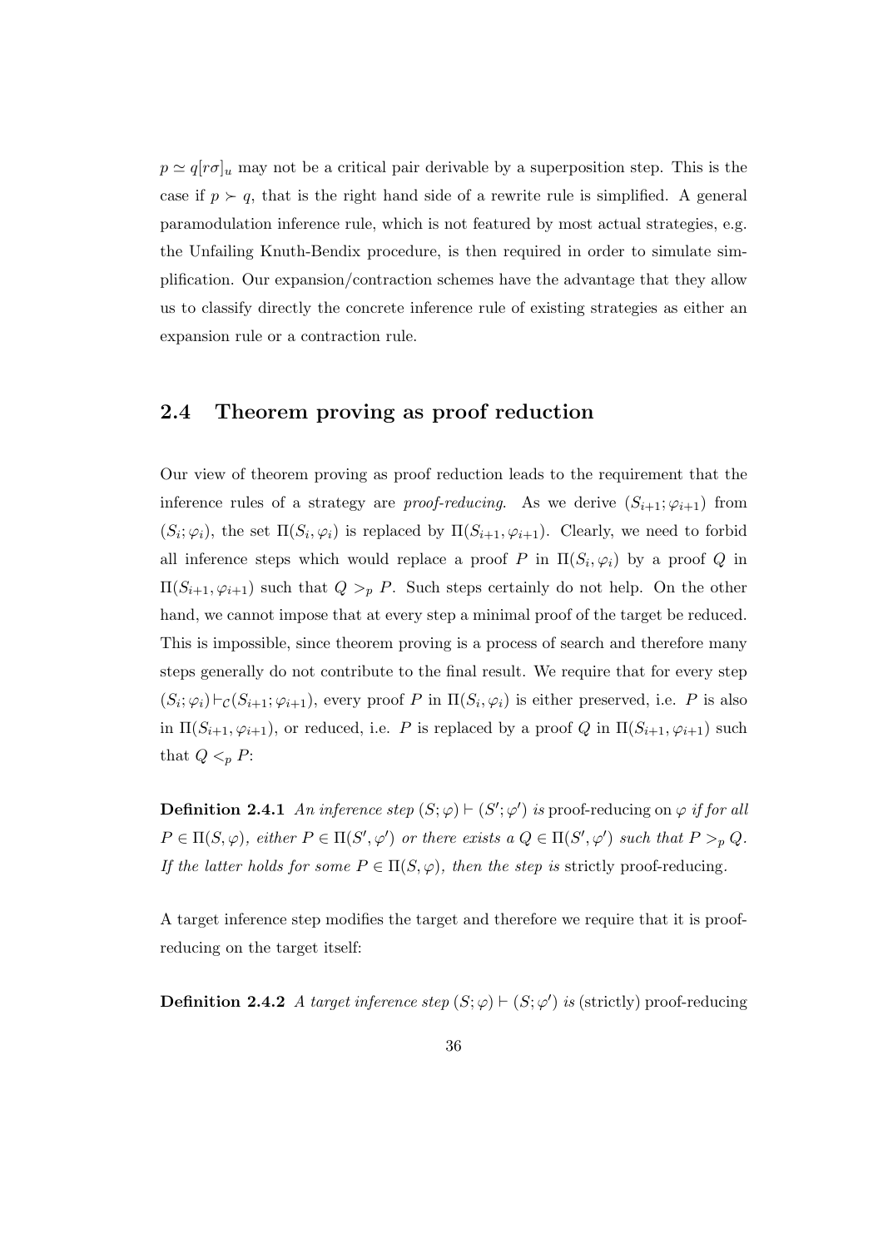$p \simeq q[r\sigma]_u$  may not be a critical pair derivable by a superposition step. This is the case if  $p \succ q$ , that is the right hand side of a rewrite rule is simplified. A general paramodulation inference rule, which is not featured by most actual strategies, e.g. the Unfailing Knuth-Bendix procedure, is then required in order to simulate simplification. Our expansion/contraction schemes have the advantage that they allow us to classify directly the concrete inference rule of existing strategies as either an expansion rule or a contraction rule.

# 2.4 Theorem proving as proof reduction

Our view of theorem proving as proof reduction leads to the requirement that the inference rules of a strategy are proof-reducing. As we derive  $(S_{i+1}; \varphi_{i+1})$  from  $(S_i; \varphi_i)$ , the set  $\Pi(S_i, \varphi_i)$  is replaced by  $\Pi(S_{i+1}, \varphi_{i+1})$ . Clearly, we need to forbid all inference steps which would replace a proof P in  $\Pi(S_i, \varphi_i)$  by a proof Q in  $\Pi(S_{i+1}, \varphi_{i+1})$  such that  $Q >_{p} P$ . Such steps certainly do not help. On the other hand, we cannot impose that at every step a minimal proof of the target be reduced. This is impossible, since theorem proving is a process of search and therefore many steps generally do not contribute to the final result. We require that for every step  $(S_i; \varphi_i) \vdash_{\mathcal{C}} (S_{i+1}; \varphi_{i+1}),$  every proof P in  $\Pi(S_i, \varphi_i)$  is either preserved, i.e. P is also in  $\Pi(S_{i+1}, \varphi_{i+1})$ , or reduced, i.e. P is replaced by a proof Q in  $\Pi(S_{i+1}, \varphi_{i+1})$  such that  $Q <_{p} P$ :

**Definition 2.4.1** An inference step  $(S; \varphi) \vdash (S'; \varphi')$  is proof-reducing on  $\varphi$  if for all  $P \in \Pi(S, \varphi)$ , either  $P \in \Pi(S', \varphi')$  or there exists  $a Q \in \Pi(S', \varphi')$  such that  $P >_p Q$ . If the latter holds for some  $P \in \Pi(S, \varphi)$ , then the step is strictly proof-reducing.

A target inference step modifies the target and therefore we require that it is proofreducing on the target itself:

**Definition 2.4.2** A target inference step  $(S; \varphi) \vdash (S; \varphi')$  is (strictly) proof-reducing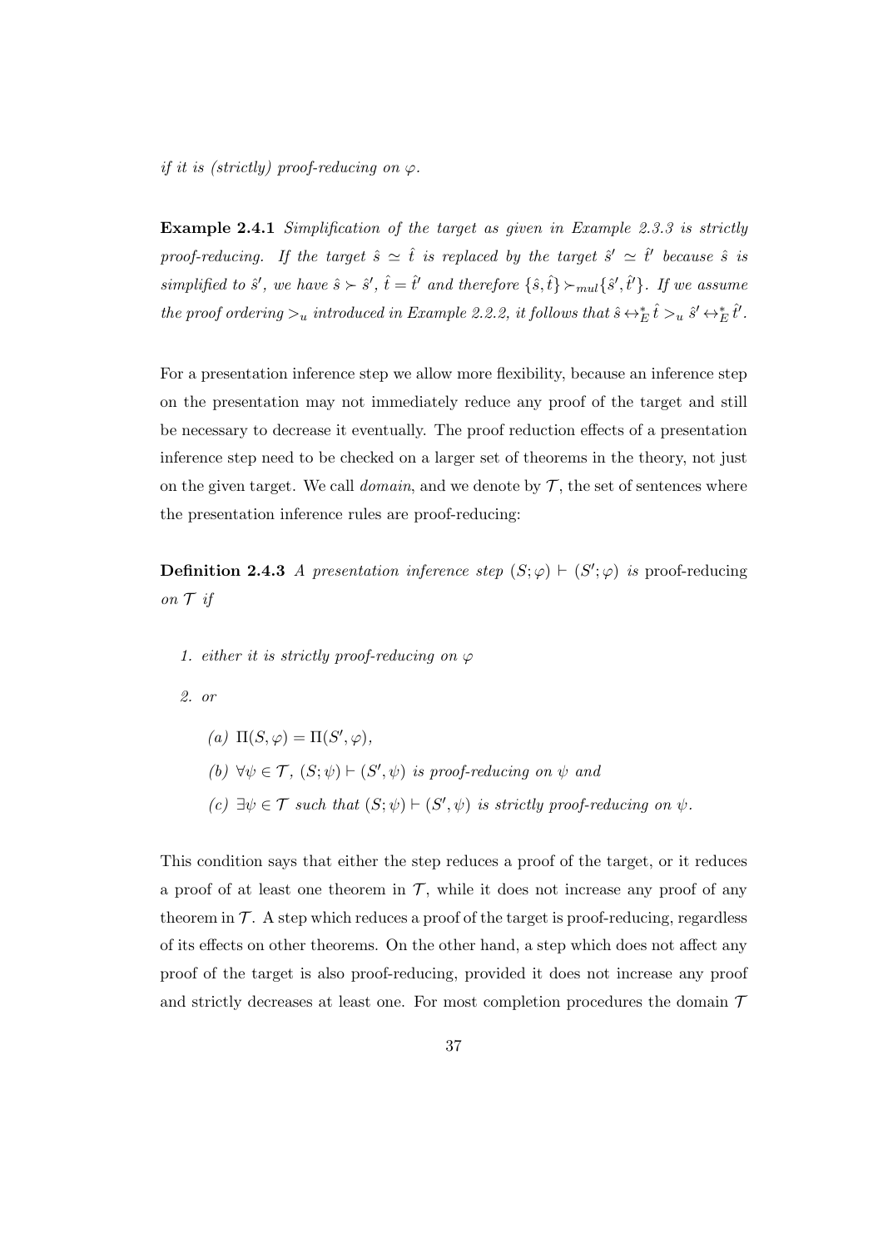if it is (strictly) proof-reducing on  $\varphi$ .

Example 2.4.1 Simplification of the target as given in Example 2.3.3 is strictly proof-reducing. If the target  $\hat{s} \simeq \hat{t}$  is replaced by the target  $\hat{s}' \simeq \hat{t}'$  because  $\hat{s}$  is simplified to  $\hat{s}'$ , we have  $\hat{s} \succ \hat{s}'$ ,  $\hat{t} = \hat{t}'$  and therefore  $\{\hat{s}, \hat{t}\} \succ_{mul} \{\hat{s}', \hat{t}'\}$ . If we assume the proof ordering  $\gtrsim_u$  introduced in Example 2.2.2, it follows that  $\hat{s} \leftrightarrow_E^* \hat{t} \gtrsim_u \hat{s}' \leftrightarrow_E^* \hat{t}'.$ 

For a presentation inference step we allow more flexibility, because an inference step on the presentation may not immediately reduce any proof of the target and still be necessary to decrease it eventually. The proof reduction effects of a presentation inference step need to be checked on a larger set of theorems in the theory, not just on the given target. We call *domain*, and we denote by  $\mathcal{T}$ , the set of sentences where the presentation inference rules are proof-reducing:

**Definition 2.4.3** A presentation inference step  $(S; \varphi) \vdash (S'; \varphi)$  is proof-reducing on  $\mathcal T$  if

1. either it is strictly proof-reducing on  $\varphi$ 

2. or

(a)  $\Pi(S, \varphi) = \Pi(S', \varphi),$ (b)  $\forall \psi \in \mathcal{T}$ ,  $(S; \psi) \vdash (S', \psi)$  is proof-reducing on  $\psi$  and (c)  $\exists \psi \in \mathcal{T}$  such that  $(S; \psi) \vdash (S', \psi)$  is strictly proof-reducing on  $\psi$ .

This condition says that either the step reduces a proof of the target, or it reduces a proof of at least one theorem in  $\mathcal T$ , while it does not increase any proof of any theorem in  $\mathcal T$ . A step which reduces a proof of the target is proof-reducing, regardless of its effects on other theorems. On the other hand, a step which does not affect any proof of the target is also proof-reducing, provided it does not increase any proof and strictly decreases at least one. For most completion procedures the domain  $\mathcal T$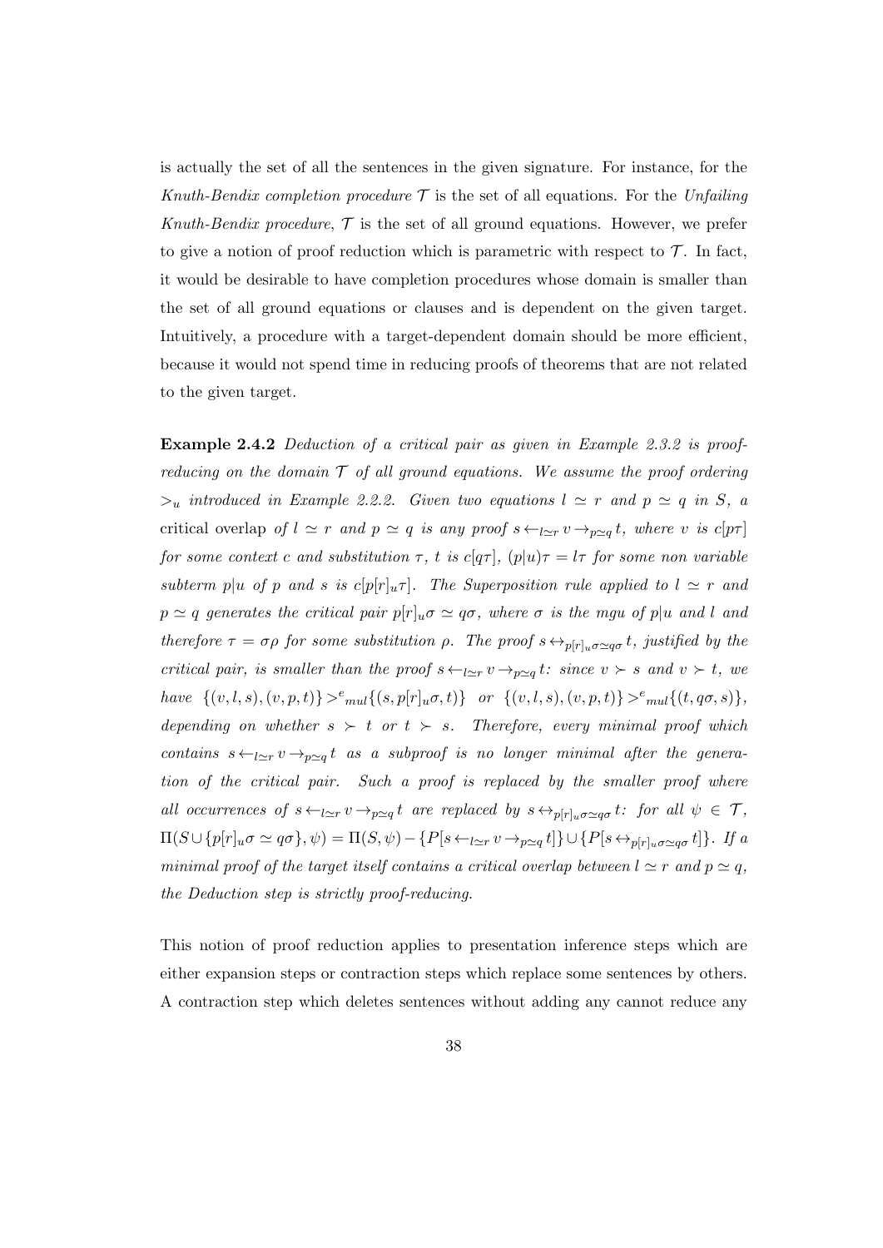is actually the set of all the sentences in the given signature. For instance, for the Knuth-Bendix completion procedure  $\mathcal T$  is the set of all equations. For the Unfailing Knuth-Bendix procedure,  $\mathcal T$  is the set of all ground equations. However, we prefer to give a notion of proof reduction which is parametric with respect to  $\mathcal{T}$ . In fact, it would be desirable to have completion procedures whose domain is smaller than the set of all ground equations or clauses and is dependent on the given target. Intuitively, a procedure with a target-dependent domain should be more efficient, because it would not spend time in reducing proofs of theorems that are not related to the given target.

Example 2.4.2 Deduction of a critical pair as given in Example 2.3.2 is proofreducing on the domain  $\mathcal T$  of all ground equations. We assume the proof ordering  $>u$  introduced in Example 2.2.2. Given two equations  $l \simeq r$  and  $p \simeq q$  in S, a critical overlap of  $l \simeq r$  and  $p \simeq q$  is any proof  $s \leftarrow_{l \simeq r} v \rightarrow_{p \simeq q} t$ , where v is  $c[p\tau]$ for some context c and substitution  $\tau$ , t is c[q $\tau$ ], (p|u) $\tau = l\tau$  for some non variable subterm p|u of p and s is  $c[p|r]_u\tau$ . The Superposition rule applied to  $l \simeq r$  and  $p \simeq q$  generates the critical pair  $p[r]_u \sigma \simeq q\sigma$ , where  $\sigma$  is the mgu of p|u and l and therefore  $\tau = \sigma \rho$  for some substitution  $\rho$ . The proof  $s \leftrightarrow_{p[r]_u \sigma \simeq q\sigma} t$ , justified by the critical pair, is smaller than the proof  $s \leftarrow_{l \simeq r} v \rightarrow_{p \simeq q} t$ : since  $v \succ s$  and  $v \succ t$ , we have  $\{(v, l, s), (v, p, t)\} >^e \infty$  { $(v, l, s), (v, p, t)\} >^e \infty$  { $(v, l, s), (v, p, t)\} >^e \infty$  { $(t, q\sigma, s)$ }, depending on whether  $s \succ t$  or  $t \succ s$ . Therefore, every minimal proof which contains  $s \leftarrow_{l \simeq r} v \rightarrow_{p \simeq q} t$  as a subproof is no longer minimal after the generation of the critical pair. Such a proof is replaced by the smaller proof where all occurrences of  $s \leftarrow_{l \simeq r} v \rightarrow_{p \simeq q} t$  are replaced by  $s \leftrightarrow_{p[r]_u \sigma \simeq q\sigma} t$ : for all  $\psi \in \mathcal{T}$ ,  $\Pi(S \cup \{p[r]_u \sigma \simeq q \sigma\}, \psi) = \Pi(S, \psi) - \{P[s \leftarrow_{l \simeq r} v \rightarrow_{p \simeq q} t]\} \cup \{P[s \leftrightarrow_{p[r]_u \sigma \simeq q \sigma} t]\}. \ \ If \ a$ minimal proof of the target itself contains a critical overlap between  $l \simeq r$  and  $p \simeq q$ , the Deduction step is strictly proof-reducing.

This notion of proof reduction applies to presentation inference steps which are either expansion steps or contraction steps which replace some sentences by others. A contraction step which deletes sentences without adding any cannot reduce any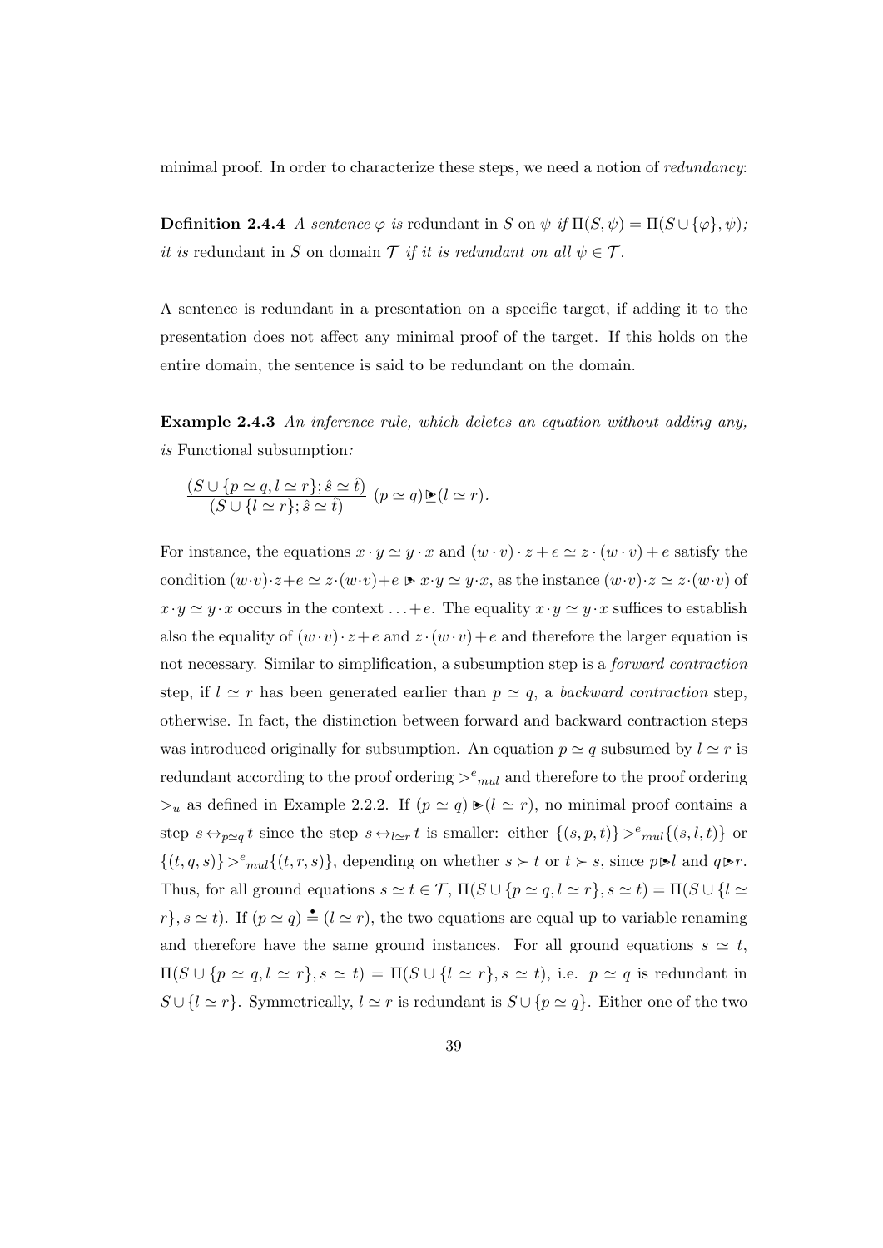minimal proof. In order to characterize these steps, we need a notion of redundancy:

**Definition 2.4.4** A sentence  $\varphi$  is redundant in S on  $\psi$  if  $\Pi(S, \psi) = \Pi(S \cup {\varphi}, \psi)$ ; it is redundant in S on domain  $\mathcal T$  if it is redundant on all  $\psi \in \mathcal T$ .

A sentence is redundant in a presentation on a specific target, if adding it to the presentation does not affect any minimal proof of the target. If this holds on the entire domain, the sentence is said to be redundant on the domain.

Example 2.4.3 An inference rule, which deletes an equation without adding any, is Functional subsumption:

$$
\frac{(S \cup \{p \simeq q, l \simeq r\}; \hat{s} \simeq \hat{t})}{(S \cup \{l \simeq r\}; \hat{s} \simeq \hat{t})} (p \simeq q) \mathbb{E}(l \simeq r).
$$

For instance, the equations  $x \cdot y \simeq y \cdot x$  and  $(w \cdot v) \cdot z + e \simeq z \cdot (w \cdot v) + e$  satisfy the condition  $(w \cdot v) \cdot z + e \simeq z \cdot (w \cdot v) + e \triangleright x \cdot y \simeq y \cdot x$ , as the instance  $(w \cdot v) \cdot z \simeq z \cdot (w \cdot v)$  of  $x \cdot y \simeq y \cdot x$  occurs in the context ... + e. The equality  $x \cdot y \simeq y \cdot x$  suffices to establish also the equality of  $(w \cdot v) \cdot z + e$  and  $z \cdot (w \cdot v) + e$  and therefore the larger equation is not necessary. Similar to simplification, a subsumption step is a forward contraction step, if  $l \simeq r$  has been generated earlier than  $p \simeq q$ , a backward contraction step, otherwise. In fact, the distinction between forward and backward contraction steps was introduced originally for subsumption. An equation  $p \simeq q$  subsumed by  $l \simeq r$  is redundant according to the proof ordering  $\geq_{mul}^e$  and therefore to the proof ordering  $\geq_u$  as defined in Example 2.2.2. If  $(p \simeq q) \blacktriangleright (l \simeq r)$ , no minimal proof contains a step  $s \leftrightarrow_{p \simeq q} t$  since the step  $s \leftrightarrow_{l \simeq r} t$  is smaller: either  $\{(s, p, t)\} >^e \in (s, l, t)\}$  or  $\{(t, q, s)\} >_{mul}^e \{(t, r, s)\},$  depending on whether  $s \succ t$  or  $t \succ s$ , since  $p \blacktriangleright l$  and  $q \blacktriangleright r$ . Thus, for all ground equations  $s \simeq t \in \mathcal{T}$ ,  $\Pi(S \cup \{p \simeq q, l \simeq r\}, s \simeq t) = \Pi(S \cup \{l \simeq r\})$  $r, s \simeq t$ ). If  $(p \simeq q) \triangleq (l \simeq r)$ , the two equations are equal up to variable renaming and therefore have the same ground instances. For all ground equations  $s \simeq t$ ,  $\Pi(S \cup \{p \simeq q, l \simeq r\}, s \simeq t) = \Pi(S \cup \{l \simeq r\}, s \simeq t),$  i.e.  $p \simeq q$  is redundant in  $S \cup \{l \simeq r\}$ . Symmetrically,  $l \simeq r$  is redundant is  $S \cup \{p \simeq q\}$ . Either one of the two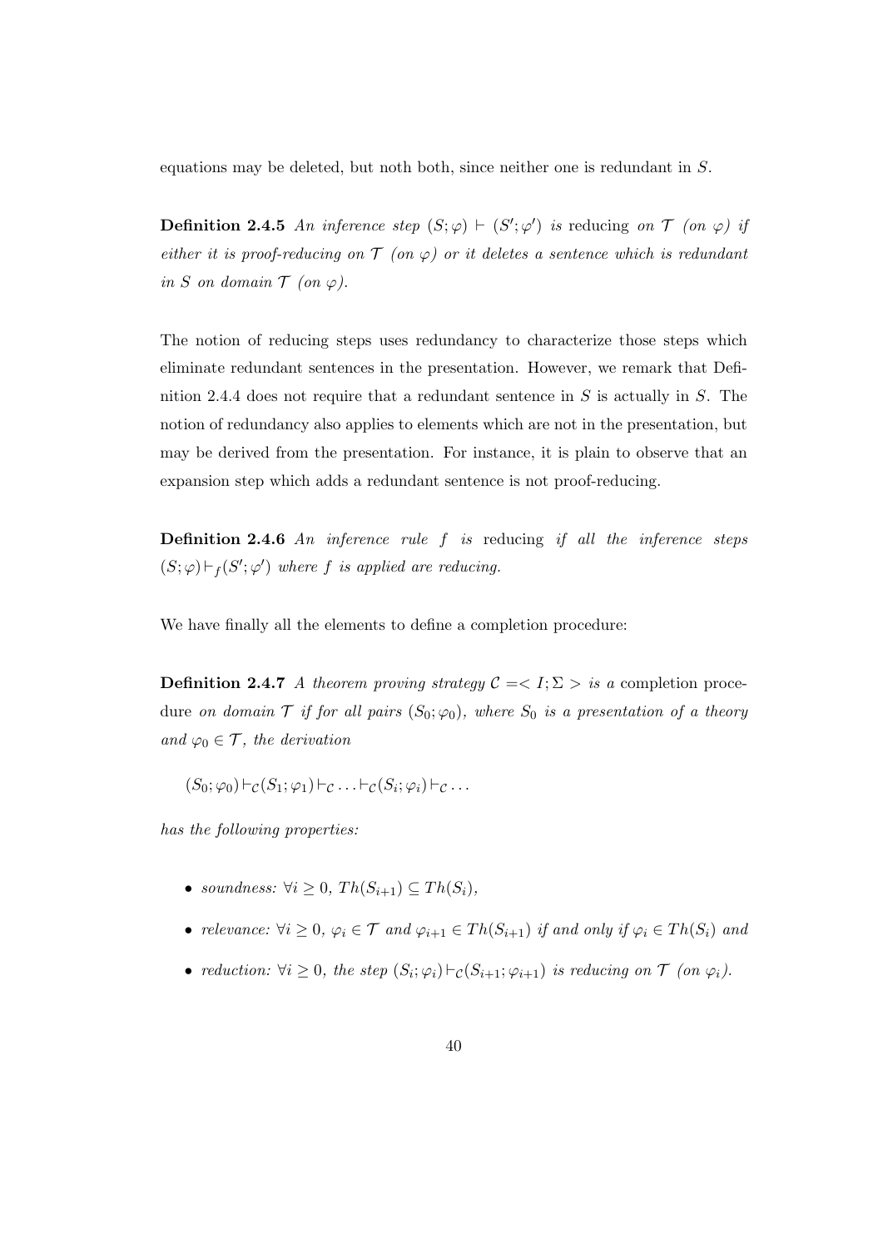equations may be deleted, but noth both, since neither one is redundant in S.

**Definition 2.4.5** An inference step  $(S; \varphi) \vdash (S'; \varphi')$  is reducing on  $\mathcal T$  (on  $\varphi$ ) if either it is proof-reducing on  $\mathcal T$  (on  $\varphi$ ) or it deletes a sentence which is redundant in S on domain  $\mathcal T$  (on  $\varphi$ ).

The notion of reducing steps uses redundancy to characterize those steps which eliminate redundant sentences in the presentation. However, we remark that Definition 2.4.4 does not require that a redundant sentence in S is actually in S. The notion of redundancy also applies to elements which are not in the presentation, but may be derived from the presentation. For instance, it is plain to observe that an expansion step which adds a redundant sentence is not proof-reducing.

**Definition 2.4.6** An inference rule f is reducing if all the inference steps  $(S; \varphi) \vdash_f (S'; \varphi')$  where f is applied are reducing.

We have finally all the elements to define a completion procedure:

**Definition 2.4.7** A theorem proving strategy  $C = \langle I; \Sigma \rangle$  is a completion procedure on domain  $\mathcal T$  if for all pairs  $(S_0; \varphi_0)$ , where  $S_0$  is a presentation of a theory and  $\varphi_0 \in \mathcal{T}$ , the derivation

 $(S_0; \varphi_0) \vdash_{\mathcal{C}} (S_1; \varphi_1) \vdash_{\mathcal{C}} \ldots \vdash_{\mathcal{C}} (S_i; \varphi_i) \vdash_{\mathcal{C}} \ldots$ 

has the following properties:

- soundness:  $\forall i \geq 0, Th(S_{i+1}) \subseteq Th(S_i),$
- relevance:  $\forall i \geq 0, \varphi_i \in \mathcal{T}$  and  $\varphi_{i+1} \in Th(S_{i+1})$  if and only if  $\varphi_i \in Th(S_i)$  and
- reduction:  $\forall i \geq 0$ , the step  $(S_i; \varphi_i) \vdash_{\mathcal{C}} (S_{i+1}; \varphi_{i+1})$  is reducing on  $\mathcal{T}$  (on  $\varphi_i$ ).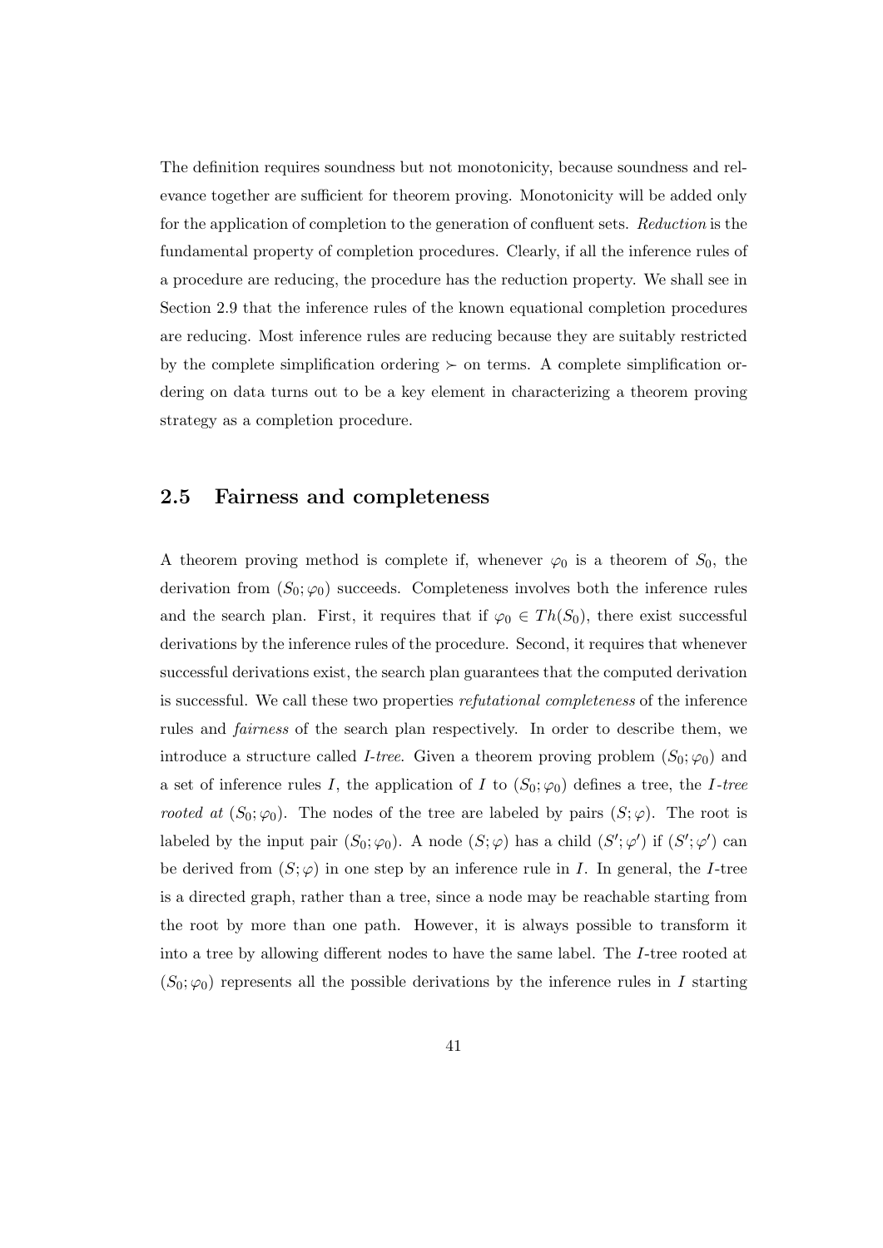The definition requires soundness but not monotonicity, because soundness and relevance together are sufficient for theorem proving. Monotonicity will be added only for the application of completion to the generation of confluent sets. Reduction is the fundamental property of completion procedures. Clearly, if all the inference rules of a procedure are reducing, the procedure has the reduction property. We shall see in Section 2.9 that the inference rules of the known equational completion procedures are reducing. Most inference rules are reducing because they are suitably restricted by the complete simplification ordering  $\succ$  on terms. A complete simplification ordering on data turns out to be a key element in characterizing a theorem proving strategy as a completion procedure.

# 2.5 Fairness and completeness

A theorem proving method is complete if, whenever  $\varphi_0$  is a theorem of  $S_0$ , the derivation from  $(S_0; \varphi_0)$  succeeds. Completeness involves both the inference rules and the search plan. First, it requires that if  $\varphi_0 \in Th(S_0)$ , there exist successful derivations by the inference rules of the procedure. Second, it requires that whenever successful derivations exist, the search plan guarantees that the computed derivation is successful. We call these two properties refutational completeness of the inference rules and fairness of the search plan respectively. In order to describe them, we introduce a structure called *I-tree*. Given a theorem proving problem  $(S_0; \varphi_0)$  and a set of inference rules I, the application of I to  $(S_0; \varphi_0)$  defines a tree, the I-tree rooted at  $(S_0; \varphi_0)$ . The nodes of the tree are labeled by pairs  $(S; \varphi)$ . The root is labeled by the input pair  $(S_0; \varphi_0)$ . A node  $(S; \varphi)$  has a child  $(S'; \varphi')$  if  $(S'; \varphi')$  can be derived from  $(S; \varphi)$  in one step by an inference rule in I. In general, the I-tree is a directed graph, rather than a tree, since a node may be reachable starting from the root by more than one path. However, it is always possible to transform it into a tree by allowing different nodes to have the same label. The I-tree rooted at  $(S_0; \varphi_0)$  represents all the possible derivations by the inference rules in I starting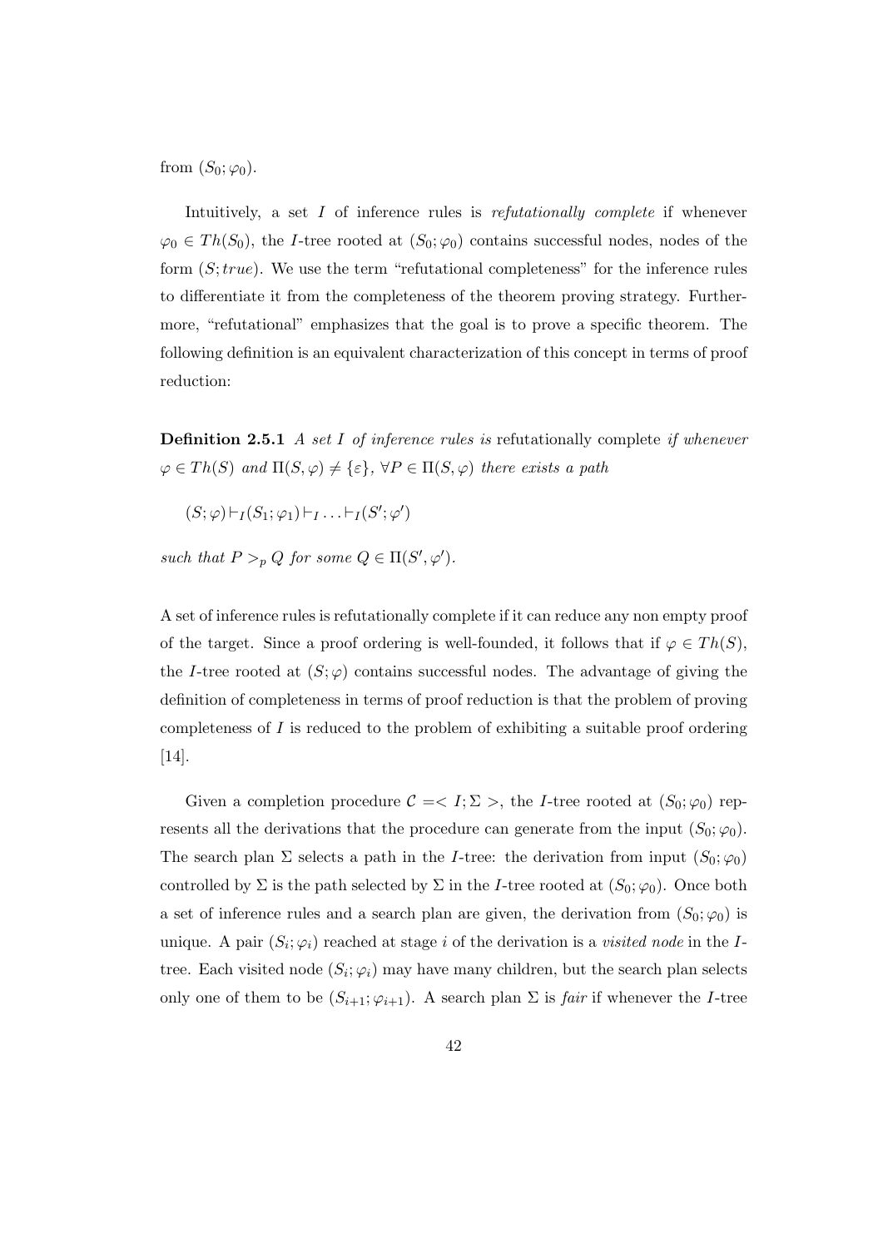from  $(S_0; \varphi_0)$ .

Intuitively, a set I of inference rules is refutationally complete if whenever  $\varphi_0 \in Th(S_0)$ , the *I*-tree rooted at  $(S_0; \varphi_0)$  contains successful nodes, nodes of the form  $(S; true)$ . We use the term "refutational completeness" for the inference rules to differentiate it from the completeness of the theorem proving strategy. Furthermore, "refutational" emphasizes that the goal is to prove a specific theorem. The following definition is an equivalent characterization of this concept in terms of proof reduction:

**Definition 2.5.1** A set I of inference rules is refutationally complete if whenever  $\varphi \in Th(S)$  and  $\Pi(S, \varphi) \neq {\varepsilon}$ ,  $\forall P \in \Pi(S, \varphi)$  there exists a path

 $(S; \varphi) \vdash_I (S_1; \varphi_1) \vdash_I \ldots \vdash_I (S'; \varphi')$ 

such that  $P >_p Q$  for some  $Q \in \Pi(S', \varphi')$ .

A set of inference rules is refutationally complete if it can reduce any non empty proof of the target. Since a proof ordering is well-founded, it follows that if  $\varphi \in Th(S)$ , the I-tree rooted at  $(S; \varphi)$  contains successful nodes. The advantage of giving the definition of completeness in terms of proof reduction is that the problem of proving completeness of  $I$  is reduced to the problem of exhibiting a suitable proof ordering [14].

Given a completion procedure  $C = \langle I; \Sigma \rangle$ , the *I*-tree rooted at  $(S_0; \varphi_0)$  represents all the derivations that the procedure can generate from the input  $(S_0; \varphi_0)$ . The search plan  $\Sigma$  selects a path in the *I*-tree: the derivation from input  $(S_0; \varphi_0)$ controlled by  $\Sigma$  is the path selected by  $\Sigma$  in the *I*-tree rooted at  $(S_0; \varphi_0)$ . Once both a set of inference rules and a search plan are given, the derivation from  $(S_0; \varphi_0)$  is unique. A pair  $(S_i; \varphi_i)$  reached at stage i of the derivation is a *visited node* in the Itree. Each visited node  $(S_i; \varphi_i)$  may have many children, but the search plan selects only one of them to be  $(S_{i+1}; \varphi_{i+1})$ . A search plan  $\Sigma$  is *fair* if whenever the *I*-tree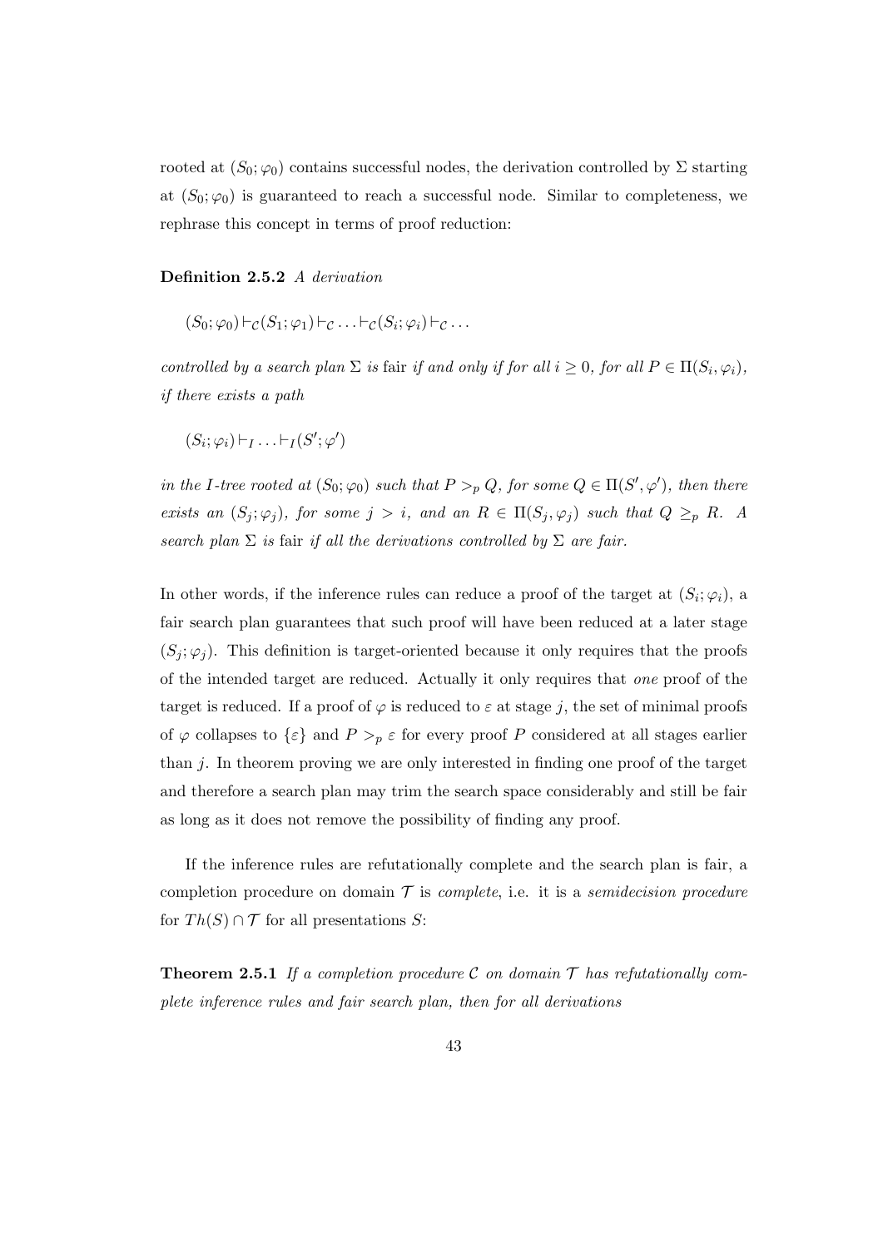rooted at  $(S_0; \varphi_0)$  contains successful nodes, the derivation controlled by  $\Sigma$  starting at  $(S_0; \varphi_0)$  is guaranteed to reach a successful node. Similar to completeness, we rephrase this concept in terms of proof reduction:

#### Definition 2.5.2 A derivation

$$
(S_0; \varphi_0) \vdash_{\mathcal{C}} (S_1; \varphi_1) \vdash_{\mathcal{C}} \ldots \vdash_{\mathcal{C}} (S_i; \varphi_i) \vdash_{\mathcal{C}} \ldots
$$

controlled by a search plan  $\Sigma$  is fair if and only if for all  $i \geq 0$ , for all  $P \in \Pi(S_i, \varphi_i)$ , if there exists a path

$$
(S_i;\varphi_i)\vdash_I\ldots\vdash_I(S';\varphi')
$$

in the I-tree rooted at  $(S_0; \varphi_0)$  such that  $P >_p Q$ , for some  $Q \in \Pi(S', \varphi')$ , then there exists an  $(S_i; \varphi_i)$ , for some  $j > i$ , and an  $R \in \Pi(S_i; \varphi_i)$  such that  $Q \geq_{p} R$ . A search plan  $\Sigma$  is fair if all the derivations controlled by  $\Sigma$  are fair.

In other words, if the inference rules can reduce a proof of the target at  $(S_i; \varphi_i)$ , a fair search plan guarantees that such proof will have been reduced at a later stage  $(S_i; \varphi_i)$ . This definition is target-oriented because it only requires that the proofs of the intended target are reduced. Actually it only requires that one proof of the target is reduced. If a proof of  $\varphi$  is reduced to  $\varepsilon$  at stage j, the set of minimal proofs of  $\varphi$  collapses to  $\{\varepsilon\}$  and  $P >_{p} \varepsilon$  for every proof P considered at all stages earlier than  $i$ . In theorem proving we are only interested in finding one proof of the target and therefore a search plan may trim the search space considerably and still be fair as long as it does not remove the possibility of finding any proof.

If the inference rules are refutationally complete and the search plan is fair, a completion procedure on domain  $\mathcal T$  is *complete*, i.e. it is a *semidecision procedure* for  $Th(S) \cap T$  for all presentations S:

**Theorem 2.5.1** If a completion procedure C on domain  $\mathcal T$  has refutationally complete inference rules and fair search plan, then for all derivations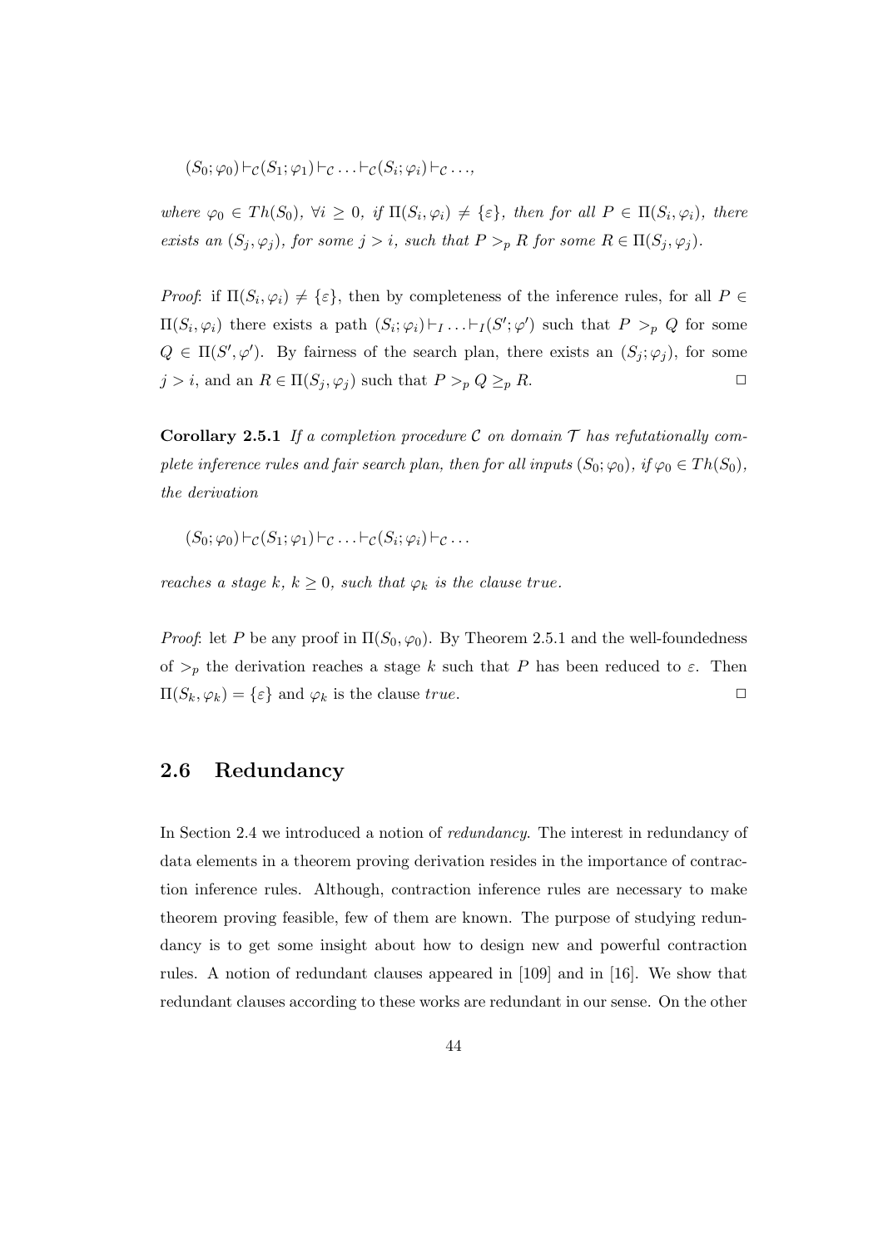$$
(S_0; \varphi_0) \vdash_{\mathcal{C}} (S_1; \varphi_1) \vdash_{\mathcal{C}} \ldots \vdash_{\mathcal{C}} (S_i; \varphi_i) \vdash_{\mathcal{C}} \ldots,
$$

where  $\varphi_0 \in Th(S_0), \forall i \geq 0, \text{ if } \Pi(S_i, \varphi_i) \neq \{\varepsilon\}, \text{ then for all } P \in \Pi(S_i, \varphi_i), \text{ there}$ exists an  $(S_j, \varphi_j)$ , for some  $j > i$ , such that  $P >_p R$  for some  $R \in \Pi(S_j, \varphi_j)$ .

*Proof*: if  $\Pi(S_i, \varphi_i) \neq {\varepsilon}$ , then by completeness of the inference rules, for all  $P \in$  $\Pi(S_i, \varphi_i)$  there exists a path  $(S_i; \varphi_i) \vdash_I \ldots \vdash_I (S'; \varphi')$  such that  $P >_p Q$  for some  $Q \in \Pi(S', \varphi')$ . By fairness of the search plan, there exists an  $(S_j; \varphi_j)$ , for some  $j > i$ , and an  $R \in \Pi(S_j, \varphi_j)$  such that  $P >_p Q \geq_p R$ .

**Corollary 2.5.1** If a completion procedure C on domain  $\mathcal T$  has refutationally complete inference rules and fair search plan, then for all inputs  $(S_0; \varphi_0)$ , if  $\varphi_0 \in Th(S_0)$ , the derivation

$$
(S_0; \varphi_0) \vdash_{\mathcal{C}} (S_1; \varphi_1) \vdash_{\mathcal{C}} \ldots \vdash_{\mathcal{C}} (S_i; \varphi_i) \vdash_{\mathcal{C}} \ldots
$$

reaches a stage k,  $k \geq 0$ , such that  $\varphi_k$  is the clause true.

*Proof*: let P be any proof in  $\Pi(S_0, \varphi_0)$ . By Theorem 2.5.1 and the well-foundedness of  $\geq_p$  the derivation reaches a stage k such that P has been reduced to  $\varepsilon$ . Then  $\Pi(S_k, \varphi_k) = {\varepsilon} \text{ and } \varphi_k \text{ is the clause true.}$ 

# 2.6 Redundancy

In Section 2.4 we introduced a notion of redundancy. The interest in redundancy of data elements in a theorem proving derivation resides in the importance of contraction inference rules. Although, contraction inference rules are necessary to make theorem proving feasible, few of them are known. The purpose of studying redundancy is to get some insight about how to design new and powerful contraction rules. A notion of redundant clauses appeared in [109] and in [16]. We show that redundant clauses according to these works are redundant in our sense. On the other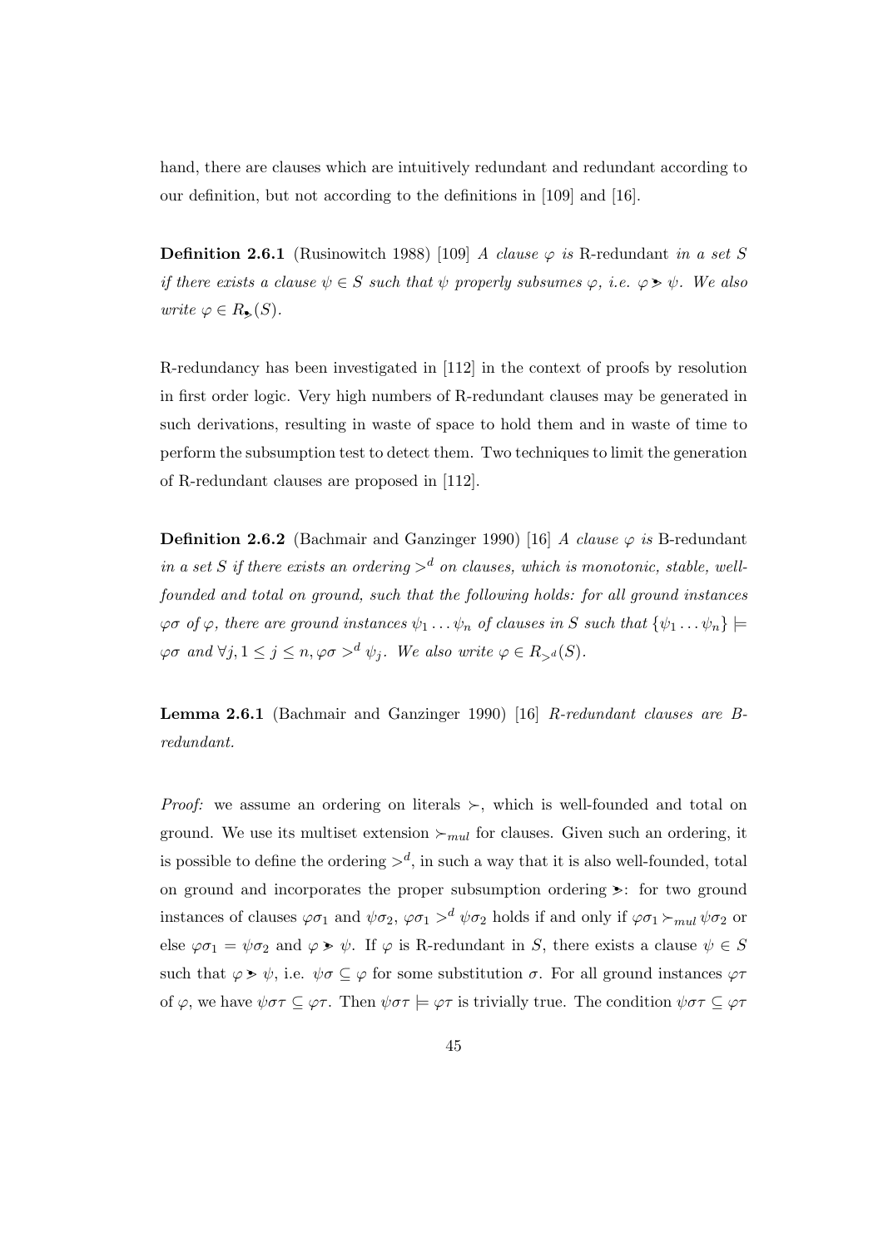hand, there are clauses which are intuitively redundant and redundant according to our definition, but not according to the definitions in [109] and [16].

**Definition 2.6.1** (Rusinowitch 1988) [109] A clause  $\varphi$  is R-redundant in a set S if there exists a clause  $\psi \in S$  such that  $\psi$  properly subsumes  $\varphi$ , i.e.  $\varphi \geq \psi$ . We also write  $\varphi \in R_{\bullet}(S)$ .

R-redundancy has been investigated in [112] in the context of proofs by resolution in first order logic. Very high numbers of R-redundant clauses may be generated in such derivations, resulting in waste of space to hold them and in waste of time to perform the subsumption test to detect them. Two techniques to limit the generation of R-redundant clauses are proposed in [112].

**Definition 2.6.2** (Bachmair and Ganzinger 1990) [16] A clause  $\varphi$  is B-redundant in a set S if there exists an ordering  $>^d$  on clauses, which is monotonic, stable, wellfounded and total on ground, such that the following holds: for all ground instances  $\varphi\sigma$  of  $\varphi$ , there are ground instances  $\psi_1 \dots \psi_n$  of clauses in S such that  $\{\psi_1 \dots \psi_n\} \models$  $\varphi\sigma$  and  $\forall j, 1 \leq j \leq n, \varphi\sigma >^d \psi_j$ . We also write  $\varphi \in R_{>d}(S)$ .

Lemma 2.6.1 (Bachmair and Ganzinger 1990) [16] R-redundant clauses are Bredundant.

*Proof:* we assume an ordering on literals  $\succ$ , which is well-founded and total on ground. We use its multiset extension  $\succ_{mul}$  for clauses. Given such an ordering, it is possible to define the ordering  $>^d$ , in such a way that it is also well-founded, total on ground and incorporates the proper subsumption ordering  $\geq$ : for two ground instances of clauses  $\varphi \sigma_1$  and  $\psi \sigma_2$ ,  $\varphi \sigma_1 >^d \psi \sigma_2$  holds if and only if  $\varphi \sigma_1 \succ_{mul} \psi \sigma_2$  or else  $\varphi \sigma_1 = \psi \sigma_2$  and  $\varphi \geq \psi$ . If  $\varphi$  is R-redundant in S, there exists a clause  $\psi \in S$ such that  $\varphi \geq \psi$ , i.e.  $\psi \sigma \subseteq \varphi$  for some substitution  $\sigma$ . For all ground instances  $\varphi \tau$ of  $\varphi$ , we have  $\psi \sigma \tau \subseteq \varphi \tau$ . Then  $\psi \sigma \tau \models \varphi \tau$  is trivially true. The condition  $\psi \sigma \tau \subseteq \varphi \tau$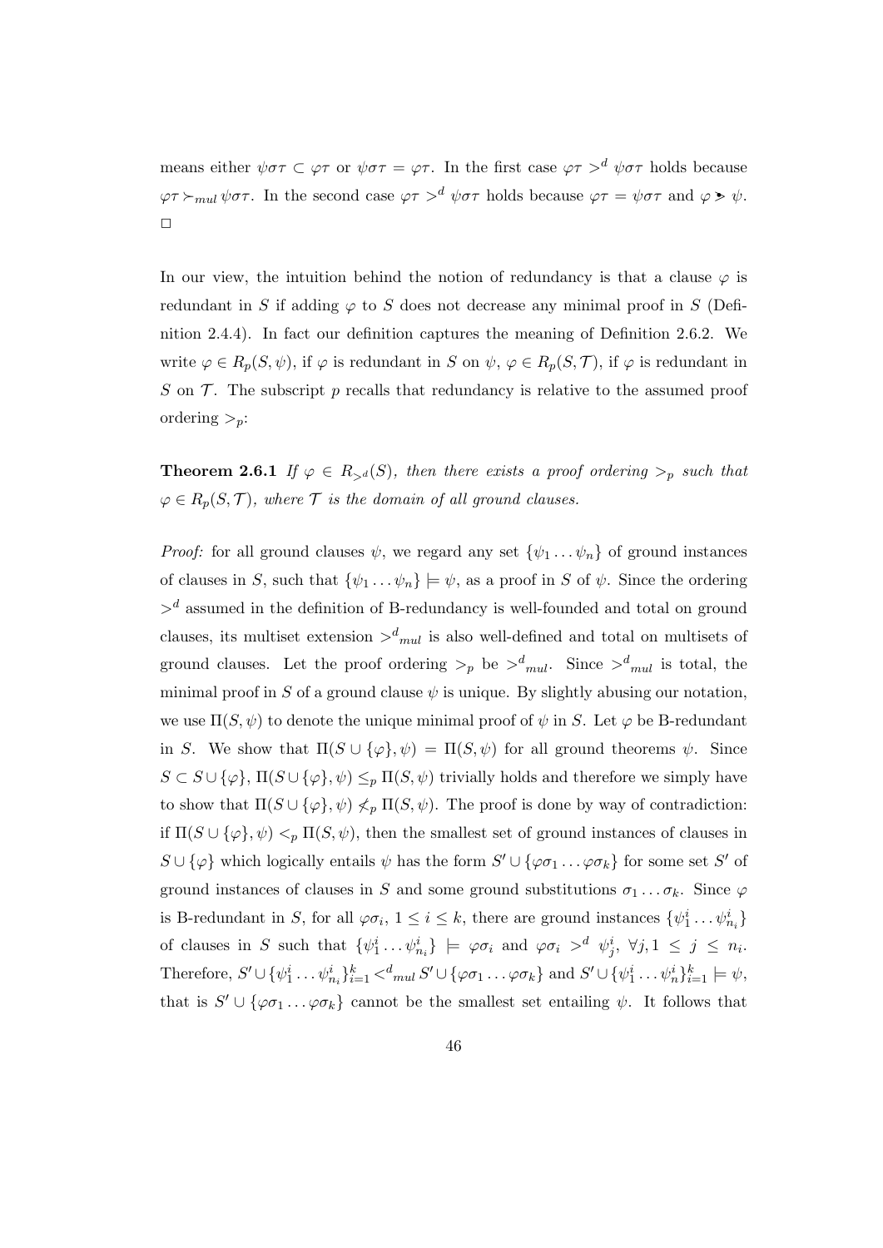means either  $\psi \sigma \tau \subset \varphi \tau$  or  $\psi \sigma \tau = \varphi \tau$ . In the first case  $\varphi \tau >^d \psi \sigma \tau$  holds because  $\varphi \tau \succ_{mul} \psi \sigma \tau$ . In the second case  $\varphi \tau >^d \psi \sigma \tau$  holds because  $\varphi \tau = \psi \sigma \tau$  and  $\varphi \geq \psi$ .  $\Box$ 

In our view, the intuition behind the notion of redundancy is that a clause  $\varphi$  is redundant in S if adding  $\varphi$  to S does not decrease any minimal proof in S (Definition 2.4.4). In fact our definition captures the meaning of Definition 2.6.2. We write  $\varphi \in R_p(S, \psi)$ , if  $\varphi$  is redundant in S on  $\psi$ ,  $\varphi \in R_p(S, \mathcal{T})$ , if  $\varphi$  is redundant in S on  $\mathcal T$ . The subscript p recalls that redundancy is relative to the assumed proof ordering  $>_{n}$ :

**Theorem 2.6.1** If  $\varphi \in R_{>d}(S)$ , then there exists a proof ordering  $\varphi_p$  such that  $\varphi \in R_p(S, \mathcal{T})$ , where  $\mathcal{T}$  is the domain of all ground clauses.

*Proof:* for all ground clauses  $\psi$ , we regard any set  $\{\psi_1 \dots \psi_n\}$  of ground instances of clauses in S, such that  $\{\psi_1 \dots \psi_n\} \models \psi$ , as a proof in S of  $\psi$ . Since the ordering  $>$ <sup>d</sup> assumed in the definition of B-redundancy is well-founded and total on ground clauses, its multiset extension  $d_{mul}$  is also well-defined and total on multisets of ground clauses. Let the proof ordering  $\gt_p$  be  $\gt^d_{mul}$ . Since  $\gt^d_{mul}$  is total, the minimal proof in S of a ground clause  $\psi$  is unique. By slightly abusing our notation, we use  $\Pi(S, \psi)$  to denote the unique minimal proof of  $\psi$  in S. Let  $\varphi$  be B-redundant in S. We show that  $\Pi(S \cup {\varphi}, \psi) = \Pi(S, \psi)$  for all ground theorems  $\psi$ . Since  $S \subset S \cup \{\varphi\}, \Pi(S \cup \{\varphi\}, \psi) \leq_p \Pi(S, \psi)$  trivially holds and therefore we simply have to show that  $\Pi(S \cup {\varphi}, \psi) \nless_{p} \Pi(S, \psi)$ . The proof is done by way of contradiction: if  $\Pi(S \cup {\varphi}, \psi) <_{p} \Pi(S, \psi)$ , then the smallest set of ground instances of clauses in  $S \cup \{\varphi\}$  which logically entails  $\psi$  has the form  $S' \cup \{\varphi \sigma_1 \dots \varphi \sigma_k\}$  for some set  $S'$  of ground instances of clauses in S and some ground substitutions  $\sigma_1 \dots \sigma_k$ . Since  $\varphi$ is B-redundant in S, for all  $\varphi \sigma_i$ ,  $1 \leq i \leq k$ , there are ground instances  $\{\psi_1^i \dots \psi_{n_i}^i\}$ of clauses in S such that  $\{\psi_1^i \dots \psi_{n_i}^i\} \models \varphi \sigma_i$  and  $\varphi \sigma_i >^d \psi_j^i$ ,  $\forall j, 1 \leq j \leq n_i$ . Therefore,  $S' \cup \{\psi_1^i \dots \psi_{n_i}^i\}_{i=1}^k <_{mul}^d S' \cup \{\varphi \sigma_1 \dots \varphi \sigma_k\}$  and  $S' \cup \{\psi_1^i \dots \psi_n^i\}_{i=1}^k \models \psi$ , that is  $S' \cup {\varphi \sigma_1 \dots \varphi \sigma_k}$  cannot be the smallest set entailing  $\psi$ . It follows that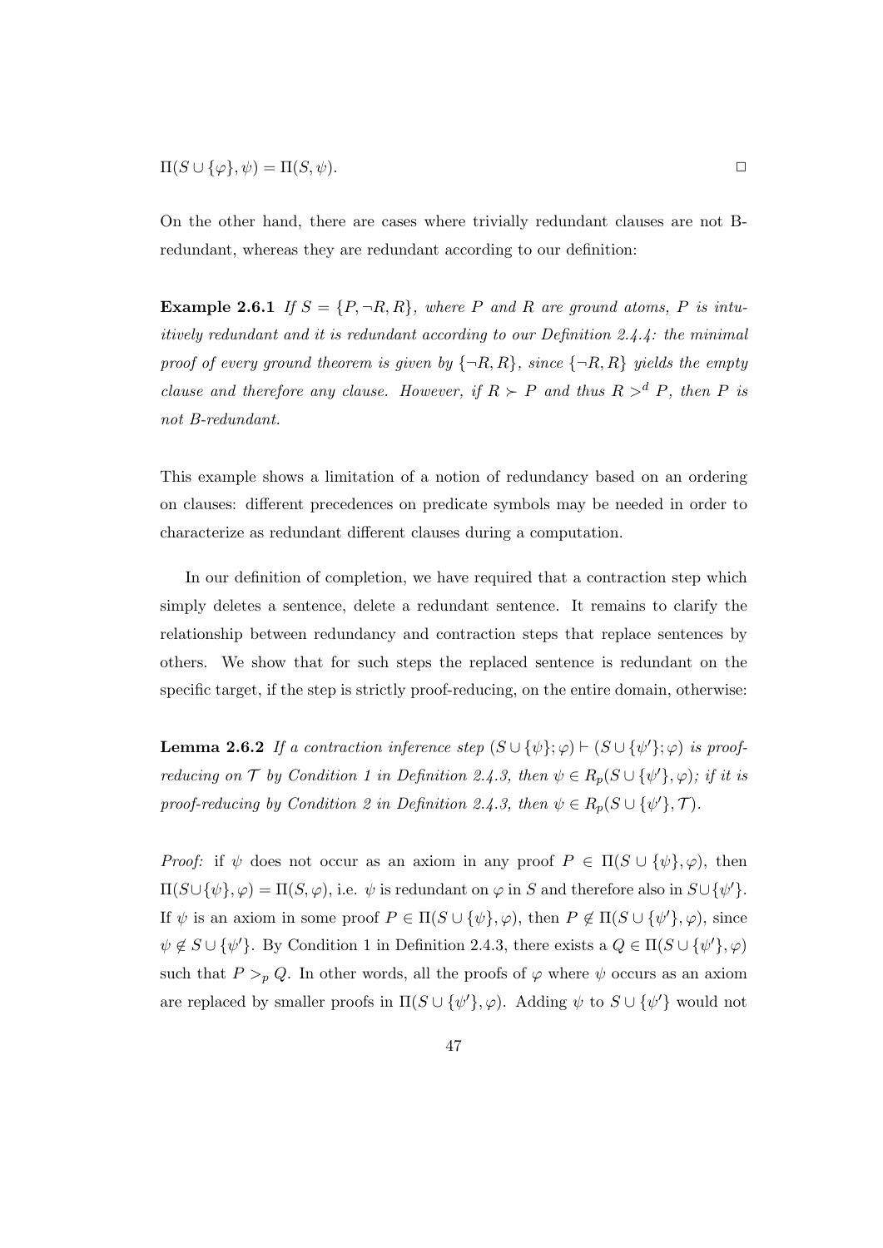$$
\Pi(S \cup \{\varphi\}, \psi) = \Pi(S, \psi).
$$

On the other hand, there are cases where trivially redundant clauses are not Bredundant, whereas they are redundant according to our definition:

**Example 2.6.1** If  $S = \{P, \neg R, R\}$ , where P and R are ground atoms, P is intuitively redundant and it is redundant according to our Definition 2.4.4: the minimal proof of every ground theorem is given by  $\{\neg R, R\}$ , since  $\{\neg R, R\}$  yields the empty clause and therefore any clause. However, if  $R \succ P$  and thus  $R >^d P$ , then P is not B-redundant.

This example shows a limitation of a notion of redundancy based on an ordering on clauses: different precedences on predicate symbols may be needed in order to characterize as redundant different clauses during a computation.

In our definition of completion, we have required that a contraction step which simply deletes a sentence, delete a redundant sentence. It remains to clarify the relationship between redundancy and contraction steps that replace sentences by others. We show that for such steps the replaced sentence is redundant on the specific target, if the step is strictly proof-reducing, on the entire domain, otherwise:

**Lemma 2.6.2** If a contraction inference step  $(S \cup {\psi}; \varphi) \vdash (S \cup {\psi'}; \varphi)$  is proofreducing on T by Condition 1 in Definition 2.4.3, then  $\psi \in R_p(S \cup {\psi'}, \varphi)$ ; if it is proof-reducing by Condition 2 in Definition 2.4.3, then  $\psi \in R_p(S \cup {\psi'}, \mathcal{T})$ .

*Proof:* if  $\psi$  does not occur as an axiom in any proof  $P \in \Pi(S \cup {\psi}, \varphi)$ , then  $\Pi(S \cup {\psi}, \varphi) = \Pi(S, \varphi)$ , i.e.  $\psi$  is redundant on  $\varphi$  in S and therefore also in  $S \cup {\psi}'$ . If  $\psi$  is an axiom in some proof  $P \in \Pi(S \cup {\psi}, \varphi)$ , then  $P \notin \Pi(S \cup {\psi'}, \varphi)$ , since  $\psi \notin S \cup {\psi'}$ . By Condition 1 in Definition 2.4.3, there exists a  $Q \in \Pi(S \cup {\psi'}, \varphi)$ such that  $P >_{p} Q$ . In other words, all the proofs of  $\varphi$  where  $\psi$  occurs as an axiom are replaced by smaller proofs in  $\Pi(S \cup {\psi'}, \varphi)$ . Adding  $\psi$  to  $S \cup {\psi'}$  would not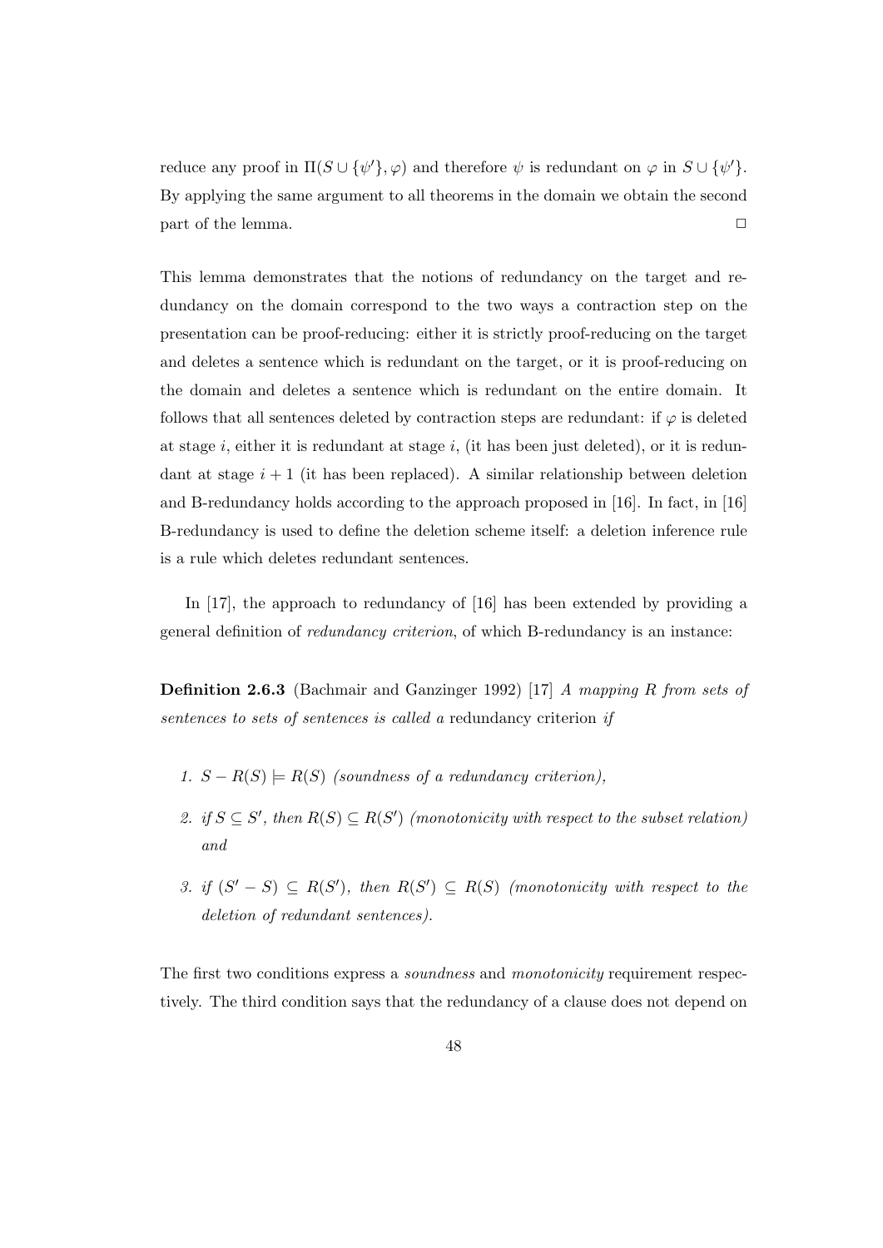reduce any proof in  $\Pi(S \cup {\psi'}, \varphi)$  and therefore  $\psi$  is redundant on  $\varphi$  in  $S \cup {\psi'}$ . By applying the same argument to all theorems in the domain we obtain the second part of the lemma.  $\Box$ 

This lemma demonstrates that the notions of redundancy on the target and redundancy on the domain correspond to the two ways a contraction step on the presentation can be proof-reducing: either it is strictly proof-reducing on the target and deletes a sentence which is redundant on the target, or it is proof-reducing on the domain and deletes a sentence which is redundant on the entire domain. It follows that all sentences deleted by contraction steps are redundant: if  $\varphi$  is deleted at stage i, either it is redundant at stage i, (it has been just deleted), or it is redundant at stage  $i+1$  (it has been replaced). A similar relationship between deletion and B-redundancy holds according to the approach proposed in [16]. In fact, in [16] B-redundancy is used to define the deletion scheme itself: a deletion inference rule is a rule which deletes redundant sentences.

In [17], the approach to redundancy of [16] has been extended by providing a general definition of redundancy criterion, of which B-redundancy is an instance:

Definition 2.6.3 (Bachmair and Ganzinger 1992) [17] A mapping R from sets of sentences to sets of sentences is called a redundancy criterion if

- 1.  $S R(S) \models R(S)$  (soundness of a redundancy criterion),
- 2. if  $S \subseteq S'$ , then  $R(S) \subseteq R(S')$  (monotonicity with respect to the subset relation) and
- 3. if  $(S'-S) \subseteq R(S')$ , then  $R(S') \subseteq R(S)$  (monotonicity with respect to the deletion of redundant sentences).

The first two conditions express a *soundness* and *monotonicity* requirement respectively. The third condition says that the redundancy of a clause does not depend on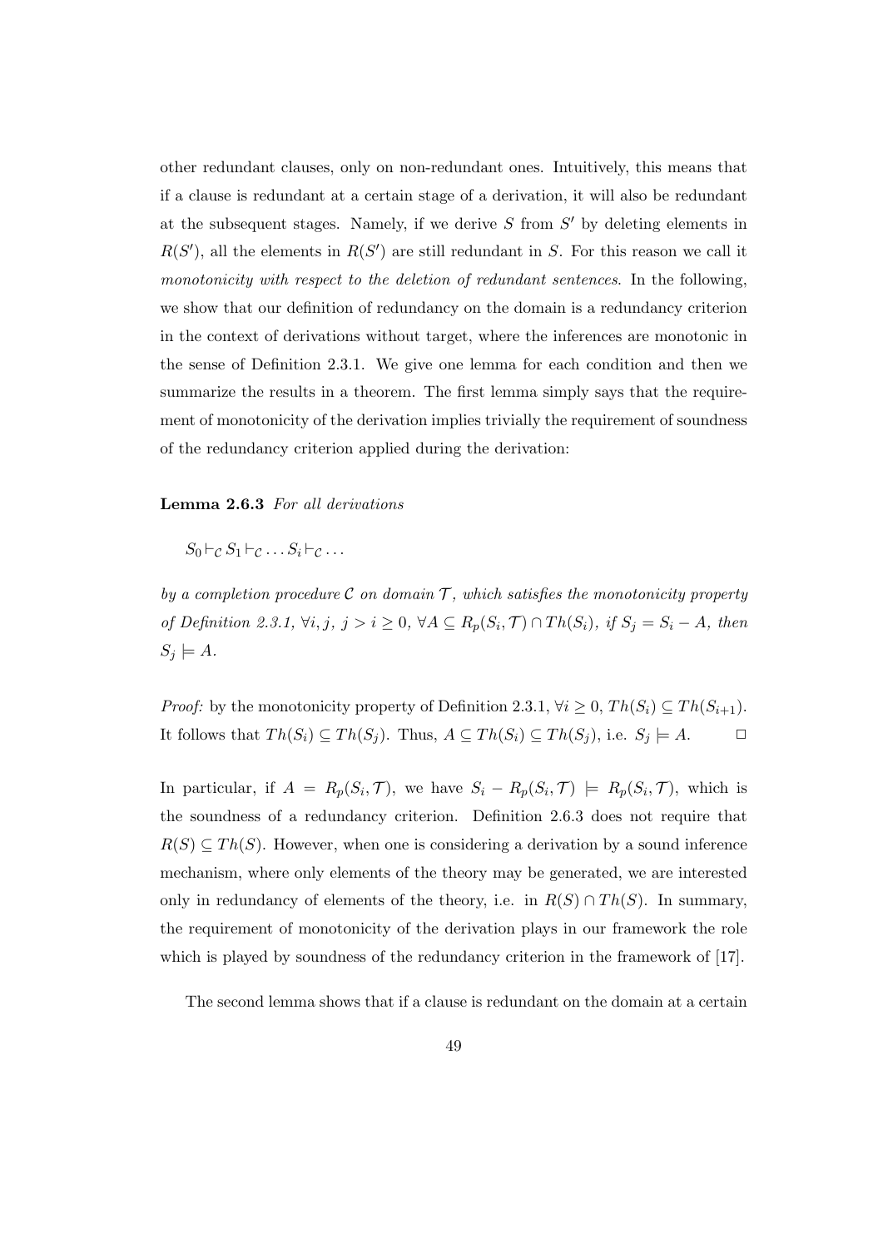other redundant clauses, only on non-redundant ones. Intuitively, this means that if a clause is redundant at a certain stage of a derivation, it will also be redundant at the subsequent stages. Namely, if we derive  $S$  from  $S'$  by deleting elements in  $R(S')$ , all the elements in  $R(S')$  are still redundant in S. For this reason we call it monotonicity with respect to the deletion of redundant sentences. In the following, we show that our definition of redundancy on the domain is a redundancy criterion in the context of derivations without target, where the inferences are monotonic in the sense of Definition 2.3.1. We give one lemma for each condition and then we summarize the results in a theorem. The first lemma simply says that the requirement of monotonicity of the derivation implies trivially the requirement of soundness of the redundancy criterion applied during the derivation:

### Lemma 2.6.3 For all derivations

 $S_0 \vdash_c S_1 \vdash_c \ldots S_i \vdash_c \ldots$ 

by a completion procedure C on domain  $\mathcal{T}$ , which satisfies the monotonicity property of Definition 2.3.1,  $\forall i, j, j > i \geq 0$ ,  $\forall A \subseteq R_p(S_i, \mathcal{T}) \cap Th(S_i)$ , if  $S_j = S_i - A$ , then  $S_j \models A$ .

*Proof:* by the monotonicity property of Definition 2.3.1,  $\forall i \geq 0$ ,  $Th(S_i) \subseteq Th(S_{i+1})$ . It follows that  $Th(S_i) \subseteq Th(S_j)$ . Thus,  $A \subseteq Th(S_i) \subseteq Th(S_j)$ , i.e.  $S_j \models A$ .  $\Box$ 

In particular, if  $A = R_p(S_i, \mathcal{T})$ , we have  $S_i - R_p(S_i, \mathcal{T}) \models R_p(S_i, \mathcal{T})$ , which is the soundness of a redundancy criterion. Definition 2.6.3 does not require that  $R(S) \subseteq Th(S)$ . However, when one is considering a derivation by a sound inference mechanism, where only elements of the theory may be generated, we are interested only in redundancy of elements of the theory, i.e. in  $R(S) \cap Th(S)$ . In summary, the requirement of monotonicity of the derivation plays in our framework the role which is played by soundness of the redundancy criterion in the framework of [17].

The second lemma shows that if a clause is redundant on the domain at a certain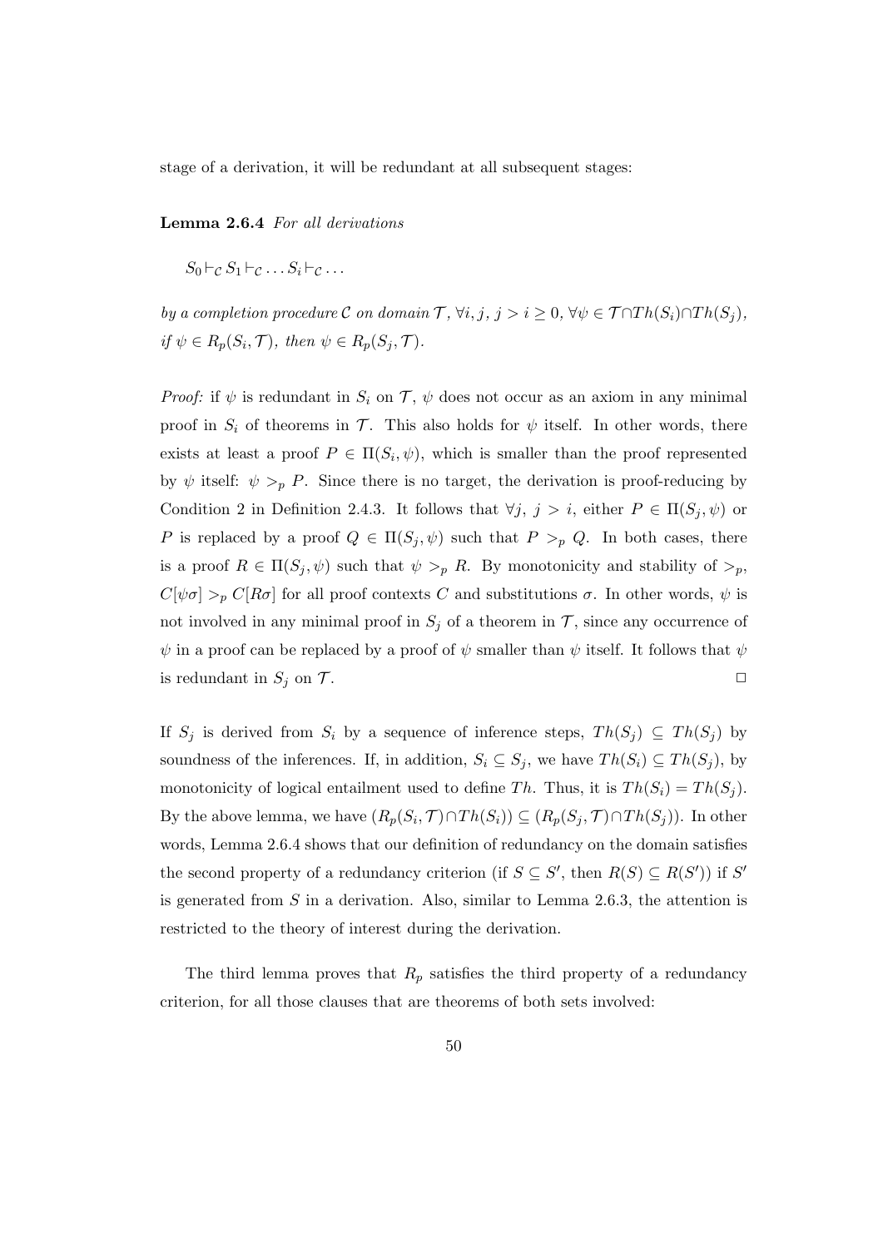stage of a derivation, it will be redundant at all subsequent stages:

Lemma 2.6.4 For all derivations

 $S_0 \vdash_{\mathcal{C}} S_1 \vdash_{\mathcal{C}} \ldots S_i \vdash_{\mathcal{C}} \ldots$ 

by a completion procedure C on domain  $\mathcal{T}, \forall i, j, j > i \geq 0, \forall \psi \in \mathcal{T} \cap Th(S_i) \cap Th(S_j)$ , if  $\psi \in R_p(S_i, \mathcal{T})$ , then  $\psi \in R_p(S_j, \mathcal{T})$ .

Proof: if  $\psi$  is redundant in  $S_i$  on  $\mathcal{T}, \psi$  does not occur as an axiom in any minimal proof in  $S_i$  of theorems in  $\mathcal T$ . This also holds for  $\psi$  itself. In other words, there exists at least a proof  $P \in \Pi(S_i, \psi)$ , which is smaller than the proof represented by  $\psi$  itself:  $\psi >_{p} P$ . Since there is no target, the derivation is proof-reducing by Condition 2 in Definition 2.4.3. It follows that  $\forall j, j > i$ , either  $P \in \Pi(S_j, \psi)$  or P is replaced by a proof  $Q \in \Pi(S_j, \psi)$  such that  $P >_p Q$ . In both cases, there is a proof  $R \in \Pi(S_j, \psi)$  such that  $\psi >_p R$ . By monotonicity and stability of  $\psi$ ,  $C[\psi \sigma] >_{p} C[R\sigma]$  for all proof contexts C and substitutions  $\sigma$ . In other words,  $\psi$  is not involved in any minimal proof in  $S_j$  of a theorem in  $\mathcal T$ , since any occurrence of  $\psi$  in a proof can be replaced by a proof of  $\psi$  smaller than  $\psi$  itself. It follows that  $\psi$ is redundant in  $S_j$  on  $\mathcal T$ .

If  $S_j$  is derived from  $S_i$  by a sequence of inference steps,  $Th(S_j) \subseteq Th(S_j)$  by soundness of the inferences. If, in addition,  $S_i \subseteq S_j$ , we have  $Th(S_i) \subseteq Th(S_j)$ , by monotonicity of logical entailment used to define Th. Thus, it is  $Th(S_i) = Th(S_j)$ . By the above lemma, we have  $(R_p(S_i, \mathcal{T}) \cap Th(S_i)) \subseteq (R_p(S_j, \mathcal{T}) \cap Th(S_j)).$  In other words, Lemma 2.6.4 shows that our definition of redundancy on the domain satisfies the second property of a redundancy criterion (if  $S \subseteq S'$ , then  $R(S) \subseteq R(S')$ ) if S' is generated from  $S$  in a derivation. Also, similar to Lemma 2.6.3, the attention is restricted to the theory of interest during the derivation.

The third lemma proves that  $R_p$  satisfies the third property of a redundancy criterion, for all those clauses that are theorems of both sets involved: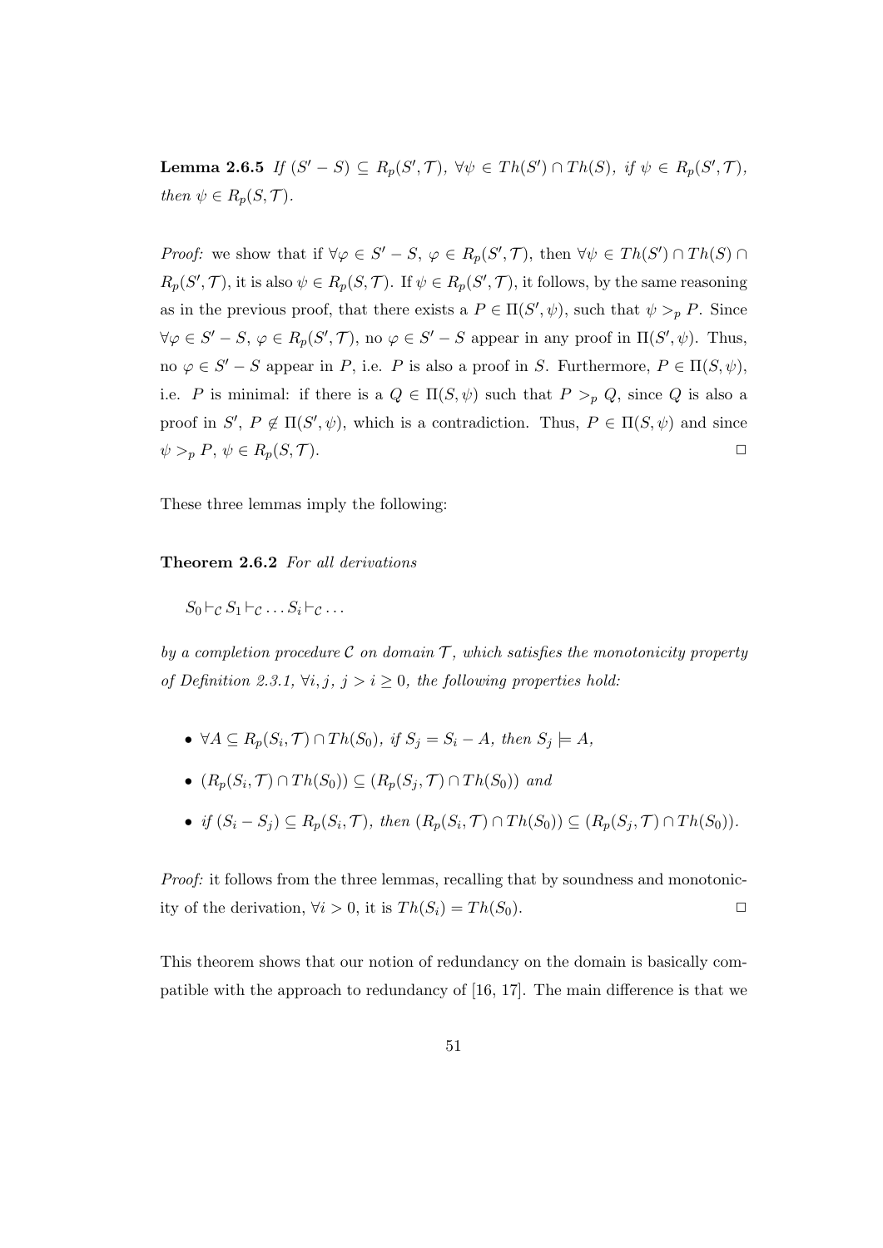**Lemma 2.6.5** If  $(S'-S) \subseteq R_p(S',\mathcal{T})$ ,  $\forall \psi \in Th(S') \cap Th(S)$ , if  $\psi \in R_p(S',\mathcal{T})$ , then  $\psi \in R_p(S, \mathcal{T}).$ 

*Proof:* we show that if  $\forall \varphi \in S' - S$ ,  $\varphi \in R_p(S', \mathcal{T})$ , then  $\forall \psi \in Th(S') \cap Th(S) \cap$  $R_p(S',\mathcal{T})$ , it is also  $\psi \in R_p(S,\mathcal{T})$ . If  $\psi \in R_p(S',\mathcal{T})$ , it follows, by the same reasoning as in the previous proof, that there exists a  $P \in \Pi(S', \psi)$ , such that  $\psi >_p P$ . Since  $\forall \varphi \in S'-S, \, \varphi \in R_p(S',\mathcal{T}),$  no  $\varphi \in S'-S$  appear in any proof in  $\Pi(S',\psi)$ . Thus, no  $\varphi \in S' - S$  appear in P, i.e. P is also a proof in S. Furthermore,  $P \in \Pi(S, \psi)$ , i.e. P is minimal: if there is a  $Q \in \Pi(S, \psi)$  such that  $P >_p Q$ , since Q is also a proof in  $S'$ ,  $P \notin \Pi(S', \psi)$ , which is a contradiction. Thus,  $P \in \Pi(S, \psi)$  and since  $\psi >_{p} P, \psi \in R_{p}(S, \mathcal{T}).$ 

These three lemmas imply the following:

Theorem 2.6.2 For all derivations

 $S_0 \vdash_{\mathcal{C}} S_1 \vdash_{\mathcal{C}} \ldots S_i \vdash_{\mathcal{C}} \ldots$ 

by a completion procedure  $\mathcal C$  on domain  $\mathcal T$ , which satisfies the monotonicity property of Definition 2.3.1,  $\forall i, j, j > i \geq 0$ , the following properties hold:

- $\forall A \subseteq R_p(S_i, \mathcal{T}) \cap Th(S_0), \text{ if } S_j = S_i A, \text{ then } S_j \models A,$
- $(R_p(S_i, \mathcal{T}) \cap Th(S_0)) \subseteq (R_p(S_j, \mathcal{T}) \cap Th(S_0))$  and
- if  $(S_i S_j) \subseteq R_p(S_i, \mathcal{T})$ , then  $(R_p(S_i, \mathcal{T}) \cap Th(S_0)) \subseteq (R_p(S_j, \mathcal{T}) \cap Th(S_0))$ .

Proof: it follows from the three lemmas, recalling that by soundness and monotonicity of the derivation,  $\forall i > 0$ , it is  $Th(S_i) = Th(S_0)$ .

This theorem shows that our notion of redundancy on the domain is basically compatible with the approach to redundancy of [16, 17]. The main difference is that we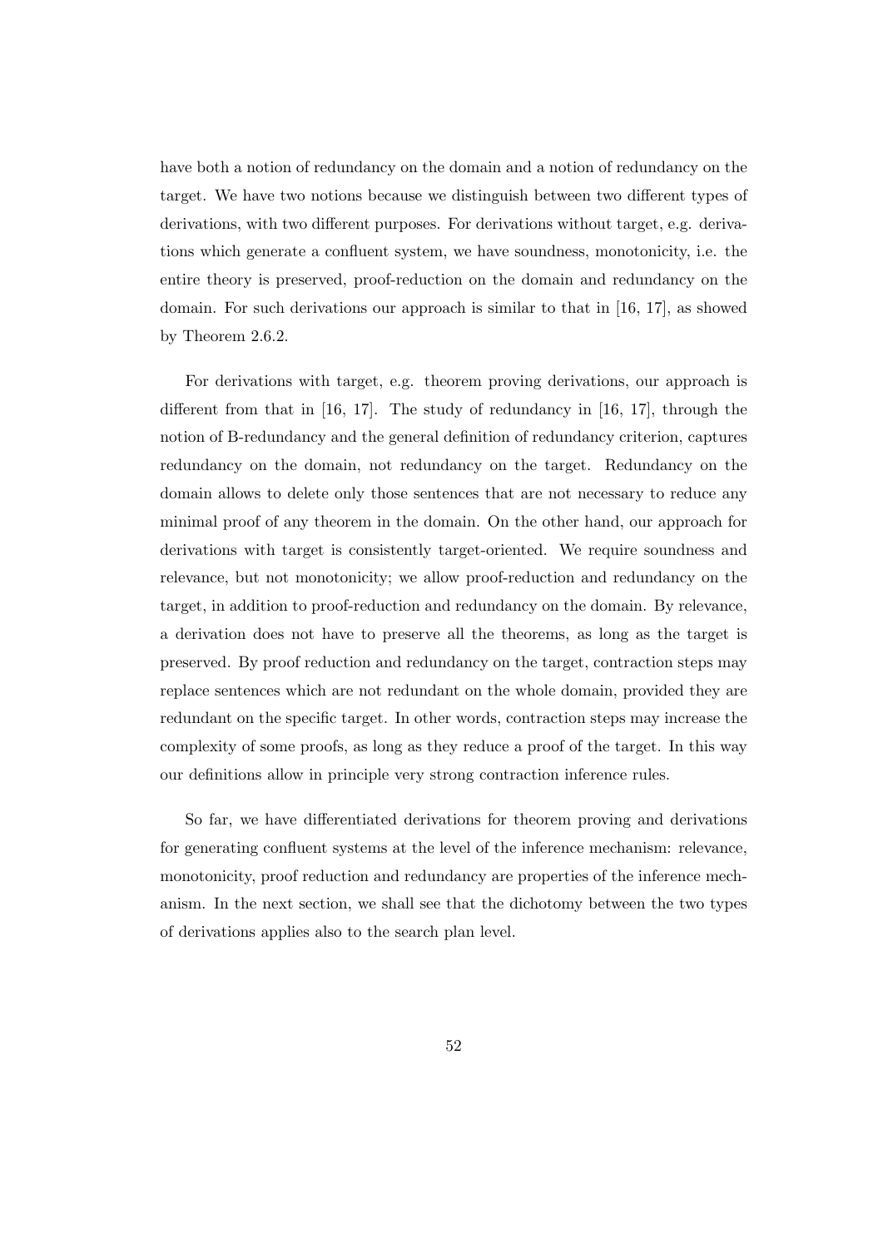have both a notion of redundancy on the domain and a notion of redundancy on the target. We have two notions because we distinguish between two different types of derivations, with two different purposes. For derivations without target, e.g. derivations which generate a confluent system, we have soundness, monotonicity, i.e. the entire theory is preserved, proof-reduction on the domain and redundancy on the domain. For such derivations our approach is similar to that in [16, 17], as showed by Theorem 2.6.2.

For derivations with target, e.g. theorem proving derivations, our approach is different from that in [16, 17]. The study of redundancy in [16, 17], through the notion of B-redundancy and the general definition of redundancy criterion, captures redundancy on the domain, not redundancy on the target. Redundancy on the domain allows to delete only those sentences that are not necessary to reduce any minimal proof of any theorem in the domain. On the other hand, our approach for derivations with target is consistently target-oriented. We require soundness and relevance, but not monotonicity; we allow proof-reduction and redundancy on the target, in addition to proof-reduction and redundancy on the domain. By relevance, a derivation does not have to preserve all the theorems, as long as the target is preserved. By proof reduction and redundancy on the target, contraction steps may replace sentences which are not redundant on the whole domain, provided they are redundant on the specific target. In other words, contraction steps may increase the complexity of some proofs, as long as they reduce a proof of the target. In this way our definitions allow in principle very strong contraction inference rules.

So far, we have differentiated derivations for theorem proving and derivations for generating confluent systems at the level of the inference mechanism: relevance, monotonicity, proof reduction and redundancy are properties of the inference mechanism. In the next section, we shall see that the dichotomy between the two types of derivations applies also to the search plan level.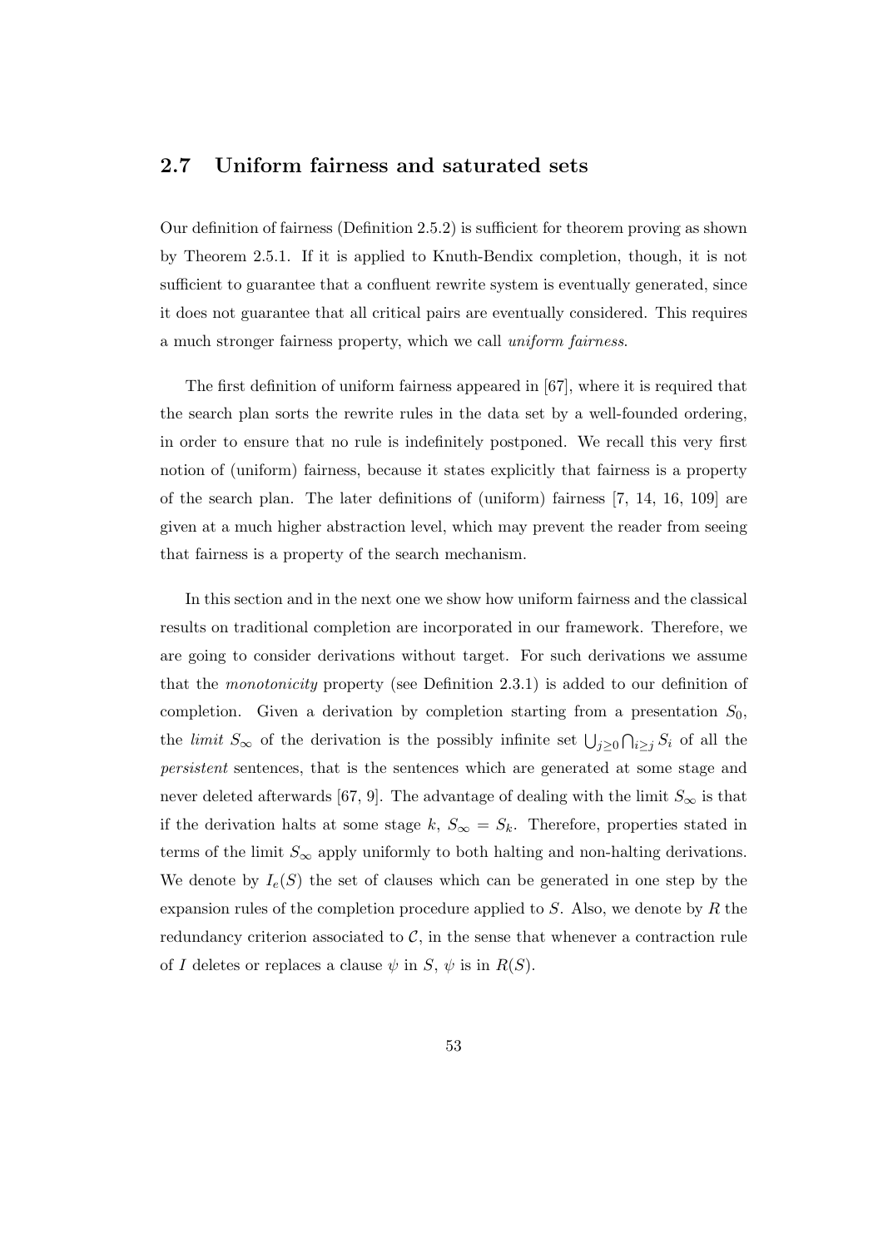## 2.7 Uniform fairness and saturated sets

Our definition of fairness (Definition 2.5.2) is sufficient for theorem proving as shown by Theorem 2.5.1. If it is applied to Knuth-Bendix completion, though, it is not sufficient to guarantee that a confluent rewrite system is eventually generated, since it does not guarantee that all critical pairs are eventually considered. This requires a much stronger fairness property, which we call uniform fairness.

The first definition of uniform fairness appeared in [67], where it is required that the search plan sorts the rewrite rules in the data set by a well-founded ordering, in order to ensure that no rule is indefinitely postponed. We recall this very first notion of (uniform) fairness, because it states explicitly that fairness is a property of the search plan. The later definitions of (uniform) fairness [7, 14, 16, 109] are given at a much higher abstraction level, which may prevent the reader from seeing that fairness is a property of the search mechanism.

In this section and in the next one we show how uniform fairness and the classical results on traditional completion are incorporated in our framework. Therefore, we are going to consider derivations without target. For such derivations we assume that the monotonicity property (see Definition 2.3.1) is added to our definition of completion. Given a derivation by completion starting from a presentation  $S_0$ , the *limit*  $S_{\infty}$  of the derivation is the possibly infinite set  $\bigcup_{j\geq 0}\bigcap_{i\geq j}S_i$  of all the persistent sentences, that is the sentences which are generated at some stage and never deleted afterwards [67, 9]. The advantage of dealing with the limit  $S_{\infty}$  is that if the derivation halts at some stage k,  $S_{\infty} = S_k$ . Therefore, properties stated in terms of the limit  $S_{\infty}$  apply uniformly to both halting and non-halting derivations. We denote by  $I_e(S)$  the set of clauses which can be generated in one step by the expansion rules of the completion procedure applied to S. Also, we denote by R the redundancy criterion associated to  $C$ , in the sense that whenever a contraction rule of I deletes or replaces a clause  $\psi$  in S,  $\psi$  is in  $R(S)$ .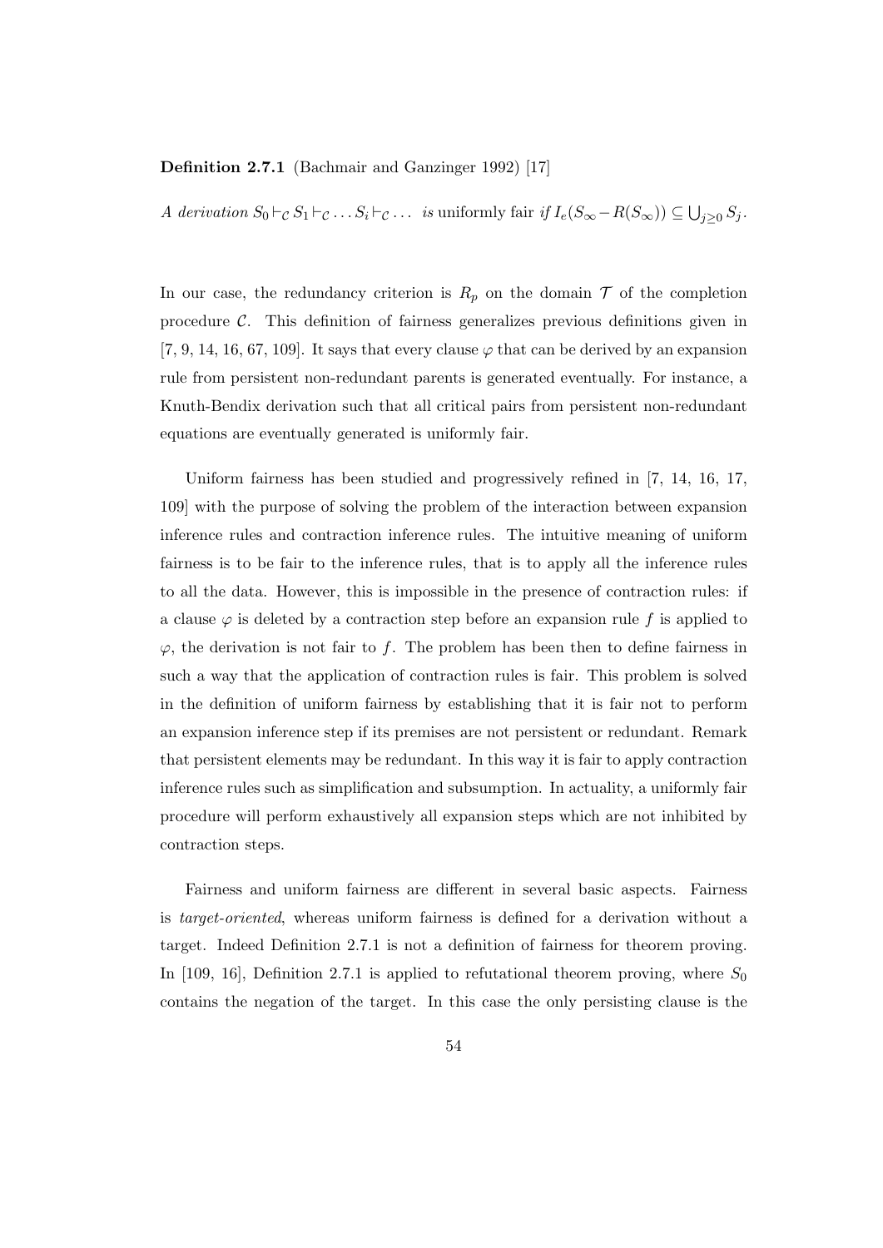### Definition 2.7.1 (Bachmair and Ganzinger 1992) [17]

A derivation  $S_0 \vdash_C S_1 \vdash_C \ldots S_i \vdash_C \ldots$  is uniformly fair if  $I_e(S_{\infty} - R(S_{\infty})) \subseteq \bigcup_{j \geq 0} S_j$ .

In our case, the redundancy criterion is  $R_p$  on the domain  $\mathcal T$  of the completion procedure  $\mathcal{C}$ . This definition of fairness generalizes previous definitions given in [7, 9, 14, 16, 67, 109]. It says that every clause  $\varphi$  that can be derived by an expansion rule from persistent non-redundant parents is generated eventually. For instance, a Knuth-Bendix derivation such that all critical pairs from persistent non-redundant equations are eventually generated is uniformly fair.

Uniform fairness has been studied and progressively refined in [7, 14, 16, 17, 109] with the purpose of solving the problem of the interaction between expansion inference rules and contraction inference rules. The intuitive meaning of uniform fairness is to be fair to the inference rules, that is to apply all the inference rules to all the data. However, this is impossible in the presence of contraction rules: if a clause  $\varphi$  is deleted by a contraction step before an expansion rule f is applied to  $\varphi$ , the derivation is not fair to f. The problem has been then to define fairness in such a way that the application of contraction rules is fair. This problem is solved in the definition of uniform fairness by establishing that it is fair not to perform an expansion inference step if its premises are not persistent or redundant. Remark that persistent elements may be redundant. In this way it is fair to apply contraction inference rules such as simplification and subsumption. In actuality, a uniformly fair procedure will perform exhaustively all expansion steps which are not inhibited by contraction steps.

Fairness and uniform fairness are different in several basic aspects. Fairness is target-oriented, whereas uniform fairness is defined for a derivation without a target. Indeed Definition 2.7.1 is not a definition of fairness for theorem proving. In [109, 16], Definition 2.7.1 is applied to refutational theorem proving, where  $S_0$ contains the negation of the target. In this case the only persisting clause is the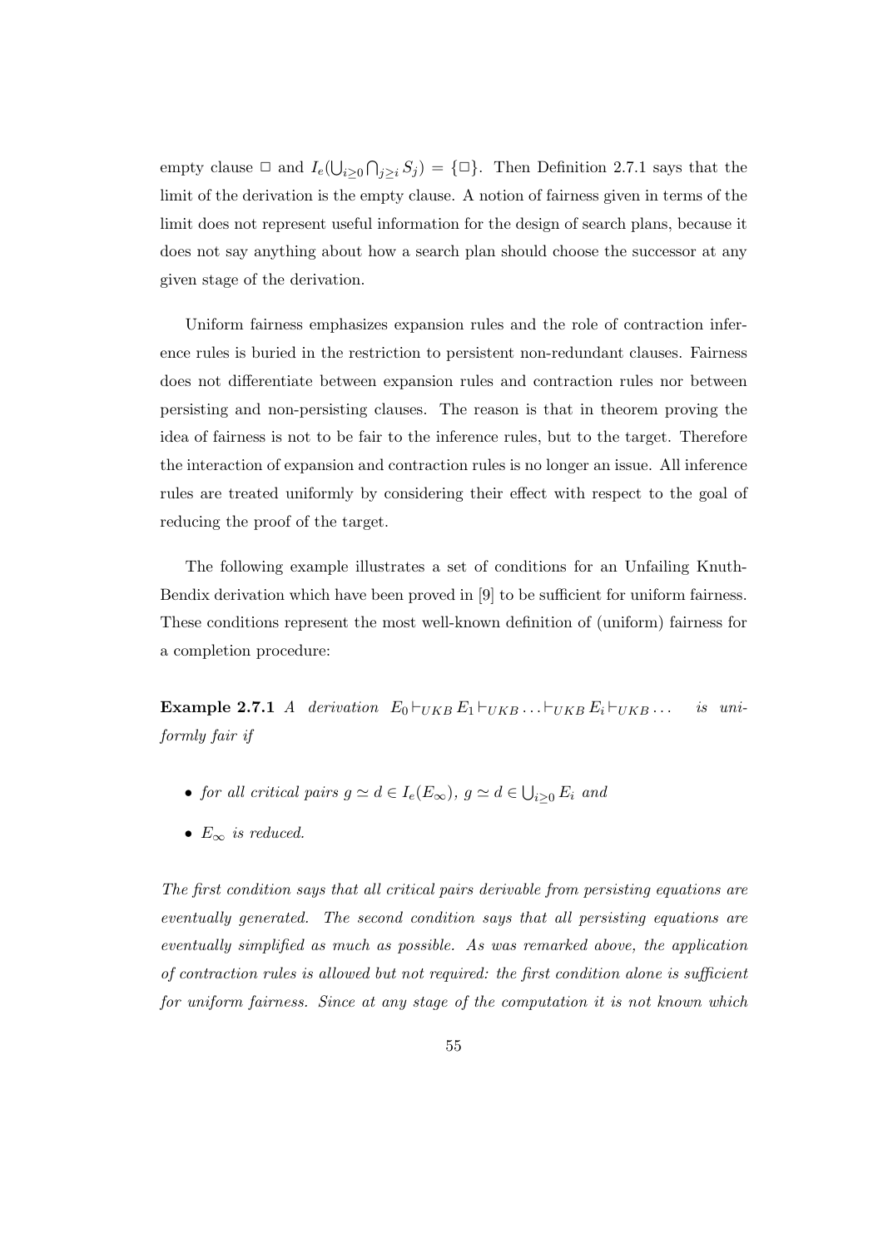empty clause  $\Box$  and  $I_e(\bigcup_{i\geq 0}\bigcap_{j\geq i}S_j)=\{\Box\}$ . Then Definition 2.7.1 says that the limit of the derivation is the empty clause. A notion of fairness given in terms of the limit does not represent useful information for the design of search plans, because it does not say anything about how a search plan should choose the successor at any given stage of the derivation.

Uniform fairness emphasizes expansion rules and the role of contraction inference rules is buried in the restriction to persistent non-redundant clauses. Fairness does not differentiate between expansion rules and contraction rules nor between persisting and non-persisting clauses. The reason is that in theorem proving the idea of fairness is not to be fair to the inference rules, but to the target. Therefore the interaction of expansion and contraction rules is no longer an issue. All inference rules are treated uniformly by considering their effect with respect to the goal of reducing the proof of the target.

The following example illustrates a set of conditions for an Unfailing Knuth-Bendix derivation which have been proved in [9] to be sufficient for uniform fairness. These conditions represent the most well-known definition of (uniform) fairness for a completion procedure:

Example 2.7.1 A derivation  $E_0 \vdash_{UKB} E_1 \vdash_{UKB} \ldots \vdash_{UKB} E_i \vdash_{UKB} \ldots$  is uniformly fair if

- for all critical pairs  $g \simeq d \in I_e(E_\infty)$ ,  $g \simeq d \in \bigcup_{i \geq 0} E_i$  and
- $E_{\infty}$  is reduced.

The first condition says that all critical pairs derivable from persisting equations are eventually generated. The second condition says that all persisting equations are eventually simplified as much as possible. As was remarked above, the application of contraction rules is allowed but not required: the first condition alone is sufficient for uniform fairness. Since at any stage of the computation it is not known which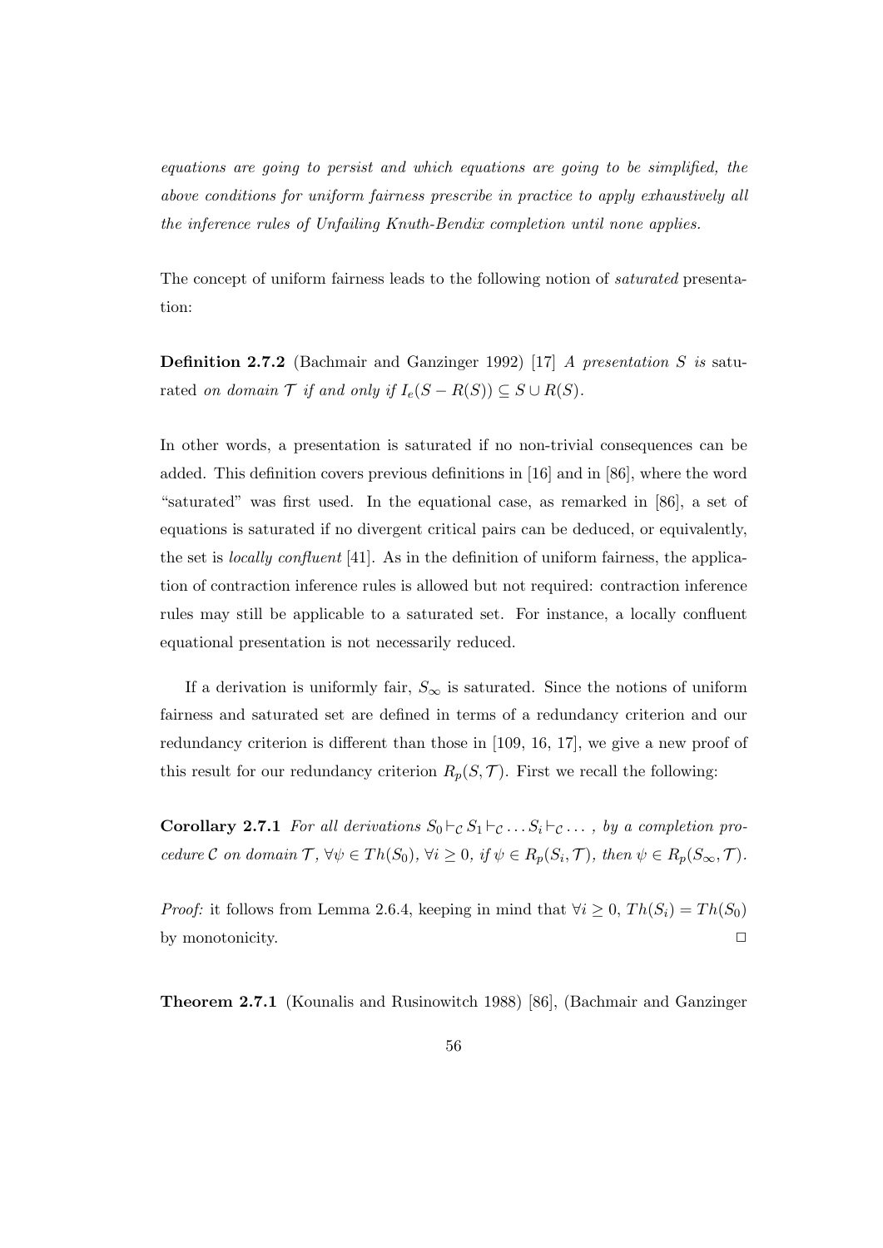equations are going to persist and which equations are going to be simplified, the above conditions for uniform fairness prescribe in practice to apply exhaustively all the inference rules of Unfailing Knuth-Bendix completion until none applies.

The concept of uniform fairness leads to the following notion of saturated presentation:

Definition 2.7.2 (Bachmair and Ganzinger 1992) [17] A presentation S is saturated on domain  $\mathcal T$  if and only if  $I_e(S - R(S)) \subseteq S \cup R(S)$ .

In other words, a presentation is saturated if no non-trivial consequences can be added. This definition covers previous definitions in [16] and in [86], where the word "saturated" was first used. In the equational case, as remarked in [86], a set of equations is saturated if no divergent critical pairs can be deduced, or equivalently, the set is locally confluent [41]. As in the definition of uniform fairness, the application of contraction inference rules is allowed but not required: contraction inference rules may still be applicable to a saturated set. For instance, a locally confluent equational presentation is not necessarily reduced.

If a derivation is uniformly fair,  $S_{\infty}$  is saturated. Since the notions of uniform fairness and saturated set are defined in terms of a redundancy criterion and our redundancy criterion is different than those in [109, 16, 17], we give a new proof of this result for our redundancy criterion  $R_p(S, \mathcal{T})$ . First we recall the following:

**Corollary 2.7.1** For all derivations  $S_0 \vdash_{\mathcal{C}} S_1 \vdash_{\mathcal{C}} \ldots S_i \vdash_{\mathcal{C}} \ldots$ , by a completion procedure C on domain  $\mathcal{T}, \forall \psi \in Th(S_0), \forall i \geq 0, \text{ if } \psi \in R_p(S_i, \mathcal{T}), \text{ then } \psi \in R_p(S_{\infty}, \mathcal{T}).$ 

*Proof:* it follows from Lemma 2.6.4, keeping in mind that  $\forall i \geq 0$ ,  $Th(S_i) = Th(S_0)$ by monotonicity.  $\Box$ 

Theorem 2.7.1 (Kounalis and Rusinowitch 1988) [86], (Bachmair and Ganzinger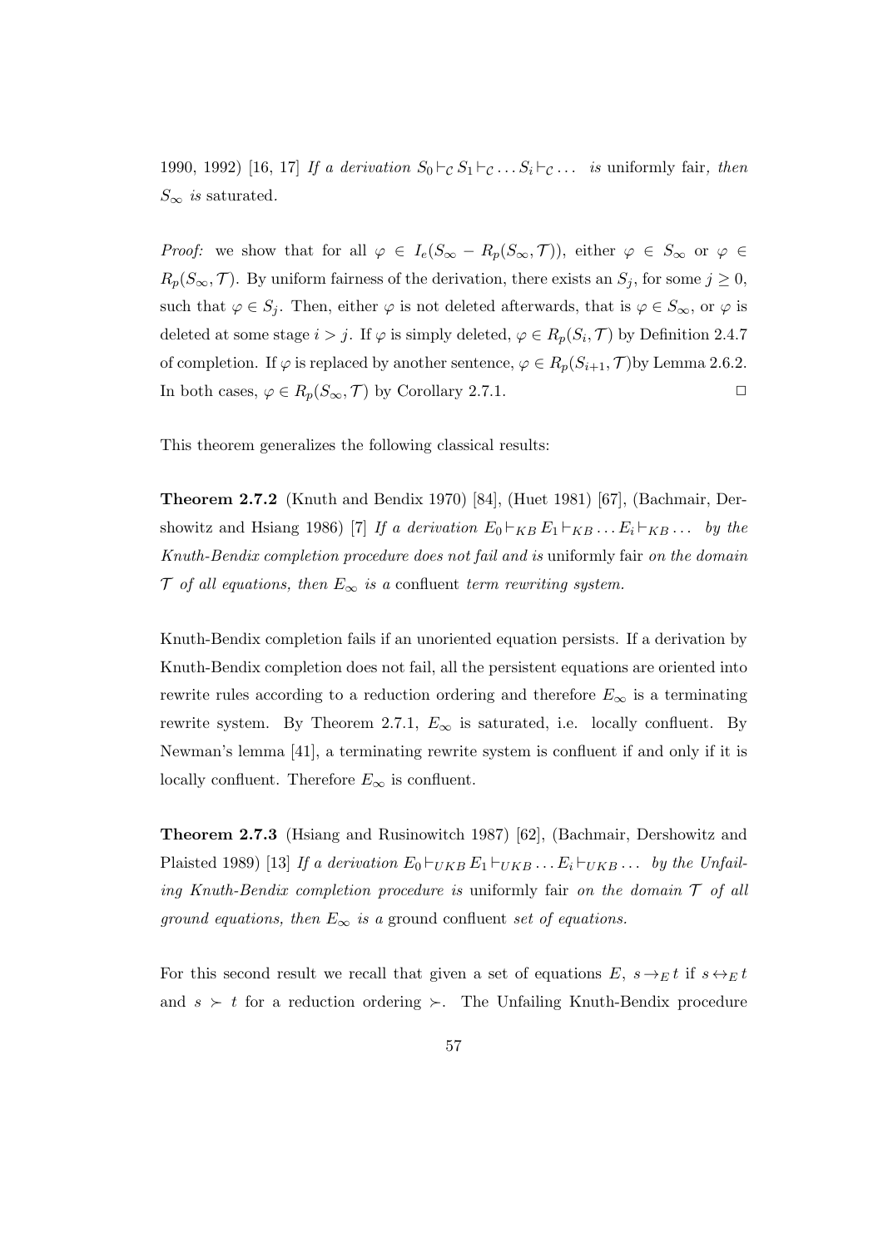1990, 1992) [16, 17] If a derivation  $S_0 \vdash_{\mathcal{C}} S_1 \vdash_{\mathcal{C}} \ldots S_i \vdash_{\mathcal{C}} \ldots$  is uniformly fair, then  $S_{\infty}$  is saturated.

*Proof:* we show that for all  $\varphi \in I_e(S_\infty - R_p(S_\infty, \mathcal{T}))$ , either  $\varphi \in S_\infty$  or  $\varphi \in$  $R_p(S_\infty, \mathcal{T})$ . By uniform fairness of the derivation, there exists an  $S_j$ , for some  $j \geq 0$ , such that  $\varphi \in S_j$ . Then, either  $\varphi$  is not deleted afterwards, that is  $\varphi \in S_{\infty}$ , or  $\varphi$  is deleted at some stage  $i > j$ . If  $\varphi$  is simply deleted,  $\varphi \in R_p(S_i, \mathcal{T})$  by Definition 2.4.7 of completion. If  $\varphi$  is replaced by another sentence,  $\varphi \in R_p(S_{i+1}, \mathcal{T})$  by Lemma 2.6.2. In both cases,  $\varphi \in R_p(S_\infty, \mathcal{T})$  by Corollary 2.7.1.

This theorem generalizes the following classical results:

Theorem 2.7.2 (Knuth and Bendix 1970) [84], (Huet 1981) [67], (Bachmair, Dershowitz and Hsiang 1986) [7] If a derivation  $E_0 \vdash_{KB} E_1 \vdash_{KB} \ldots E_i \vdash_{KB} \ldots$  by the Knuth-Bendix completion procedure does not fail and is uniformly fair on the domain  $\mathcal T$  of all equations, then  $E_{\infty}$  is a confluent term rewriting system.

Knuth-Bendix completion fails if an unoriented equation persists. If a derivation by Knuth-Bendix completion does not fail, all the persistent equations are oriented into rewrite rules according to a reduction ordering and therefore  $E_{\infty}$  is a terminating rewrite system. By Theorem 2.7.1,  $E_{\infty}$  is saturated, i.e. locally confluent. By Newman's lemma [41], a terminating rewrite system is confluent if and only if it is locally confluent. Therefore  $E_{\infty}$  is confluent.

Theorem 2.7.3 (Hsiang and Rusinowitch 1987) [62], (Bachmair, Dershowitz and Plaisted 1989) [13] If a derivation  $E_0 \vdash_{UKB} E_1 \vdash_{UKB} \ldots E_i \vdash_{UKB} \ldots$  by the Unfailing Knuth-Bendix completion procedure is uniformly fair on the domain  $\mathcal T$  of all ground equations, then  $E_{\infty}$  is a ground confluent set of equations.

For this second result we recall that given a set of equations E,  $s \rightarrow_E t$  if  $s \leftrightarrow_E t$ and  $s \succ t$  for a reduction ordering  $\succ$ . The Unfailing Knuth-Bendix procedure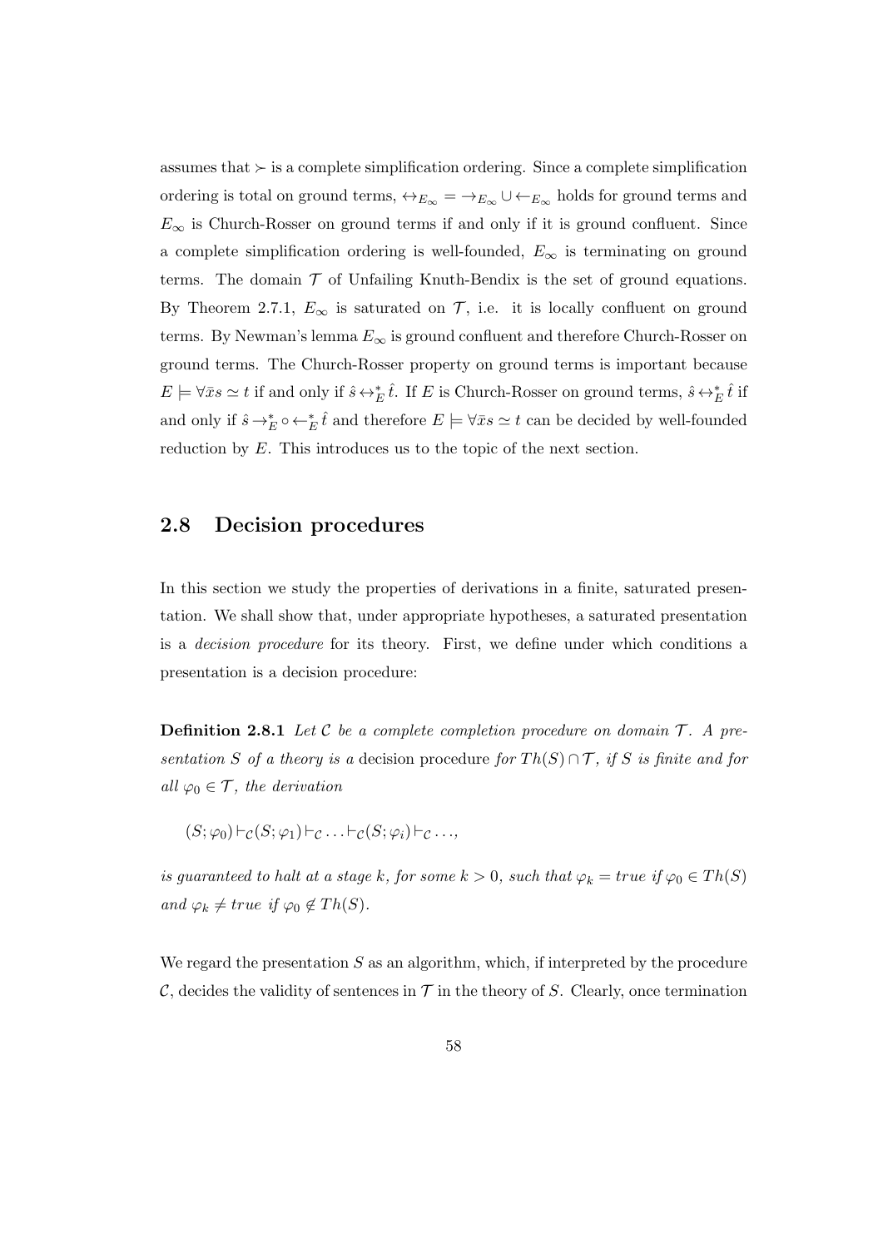assumes that  $\succ$  is a complete simplification ordering. Since a complete simplification ordering is total on ground terms,  $\leftrightarrow_{E_{\infty}} = \rightarrow_{E_{\infty}} \cup \leftarrow_{E_{\infty}}$  holds for ground terms and  $E_{\infty}$  is Church-Rosser on ground terms if and only if it is ground confluent. Since a complete simplification ordering is well-founded,  $E_{\infty}$  is terminating on ground terms. The domain  $\mathcal T$  of Unfailing Knuth-Bendix is the set of ground equations. By Theorem 2.7.1,  $E_{\infty}$  is saturated on  $\mathcal{T}$ , i.e. it is locally confluent on ground terms. By Newman's lemma  $E_{\infty}$  is ground confluent and therefore Church-Rosser on ground terms. The Church-Rosser property on ground terms is important because  $E \models \forall \bar{x} s \simeq t$  if and only if  $\hat{s} \leftrightarrow^*_{E} \hat{t}$ . If E is Church-Rosser on ground terms,  $\hat{s} \leftrightarrow^*_{E} \hat{t}$  if and only if  $\hat{s} \to_E^* \circ \leftarrow_E^* \hat{t}$  and therefore  $E \models \forall \bar{x} s \simeq t$  can be decided by well-founded reduction by E. This introduces us to the topic of the next section.

### 2.8 Decision procedures

In this section we study the properties of derivations in a finite, saturated presentation. We shall show that, under appropriate hypotheses, a saturated presentation is a decision procedure for its theory. First, we define under which conditions a presentation is a decision procedure:

**Definition 2.8.1** Let C be a complete completion procedure on domain  $\mathcal{T}$ . A presentation S of a theory is a decision procedure for  $Th(S) \cap T$ , if S is finite and for all  $\varphi_0 \in \mathcal{T}$ , the derivation

$$
(S; \varphi_0) \vdash_{\mathcal{C}} (S; \varphi_1) \vdash_{\mathcal{C}} \ldots \vdash_{\mathcal{C}} (S; \varphi_i) \vdash_{\mathcal{C}} \ldots,
$$

is guaranteed to halt at a stage k, for some  $k > 0$ , such that  $\varphi_k = true$  if  $\varphi_0 \in Th(S)$ and  $\varphi_k \neq true$  if  $\varphi_0 \notin Th(S)$ .

We regard the presentation  $S$  as an algorithm, which, if interpreted by the procedure C, decides the validity of sentences in  $\mathcal T$  in the theory of S. Clearly, once termination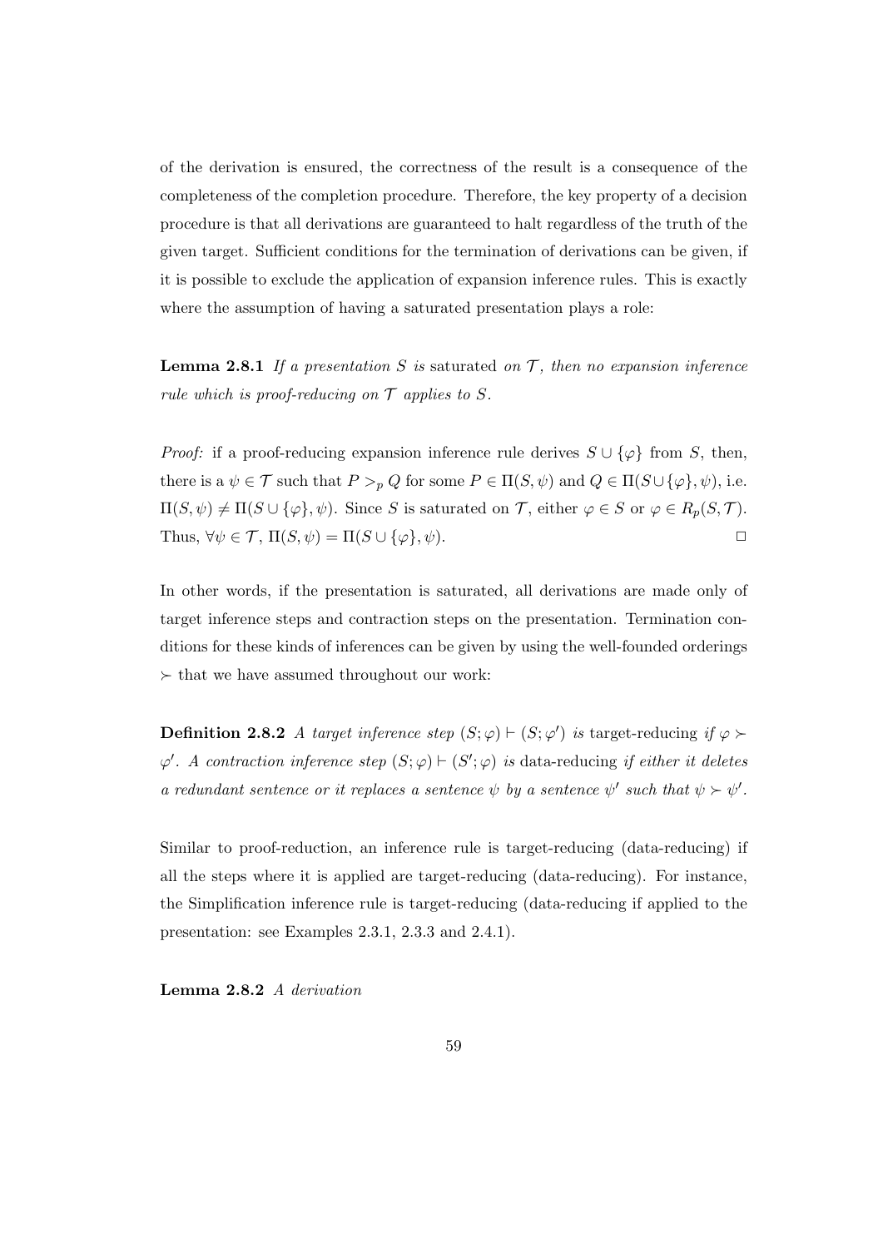of the derivation is ensured, the correctness of the result is a consequence of the completeness of the completion procedure. Therefore, the key property of a decision procedure is that all derivations are guaranteed to halt regardless of the truth of the given target. Sufficient conditions for the termination of derivations can be given, if it is possible to exclude the application of expansion inference rules. This is exactly where the assumption of having a saturated presentation plays a role:

**Lemma 2.8.1** If a presentation S is saturated on  $\mathcal{T}$ , then no expansion inference rule which is proof-reducing on  $\mathcal T$  applies to S.

*Proof:* if a proof-reducing expansion inference rule derives  $S \cup {\varphi}$  from S, then, there is a  $\psi \in \mathcal{T}$  such that  $P >_{p} Q$  for some  $P \in \Pi(S, \psi)$  and  $Q \in \Pi(S \cup {\varphi}, \psi)$ , i.e.  $\Pi(S,\psi) \neq \Pi(S \cup {\varphi}, \psi)$ . Since S is saturated on T, either  $\varphi \in S$  or  $\varphi \in R_p(S,T)$ . Thus,  $\forall \psi \in \mathcal{T}$ ,  $\Pi(S, \psi) = \Pi(S \cup \{\varphi\}, \psi)$ .

In other words, if the presentation is saturated, all derivations are made only of target inference steps and contraction steps on the presentation. Termination conditions for these kinds of inferences can be given by using the well-founded orderings  $\succ$  that we have assumed throughout our work:

**Definition 2.8.2** A target inference step  $(S; \varphi) \vdash (S; \varphi')$  is target-reducing if  $\varphi \succ$  $\varphi'$ . A contraction inference step  $(S; \varphi) \vdash (S'; \varphi)$  is data-reducing if either it deletes a redundant sentence or it replaces a sentence  $\psi$  by a sentence  $\psi'$  such that  $\psi \succ \psi'$ .

Similar to proof-reduction, an inference rule is target-reducing (data-reducing) if all the steps where it is applied are target-reducing (data-reducing). For instance, the Simplification inference rule is target-reducing (data-reducing if applied to the presentation: see Examples 2.3.1, 2.3.3 and 2.4.1).

Lemma 2.8.2 A derivation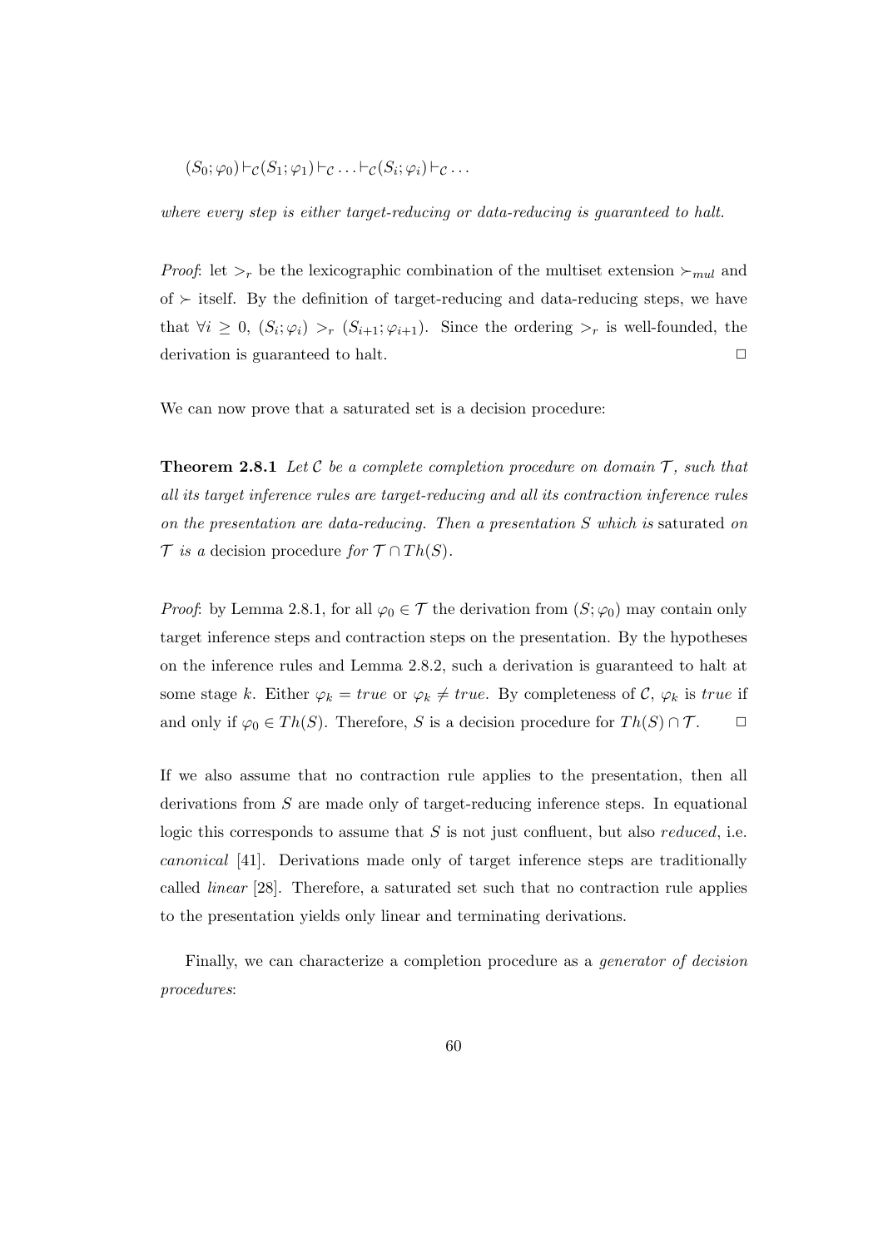$$
(S_0; \varphi_0) \vdash_{\mathcal{C}} (S_1; \varphi_1) \vdash_{\mathcal{C}} \ldots \vdash_{\mathcal{C}} (S_i; \varphi_i) \vdash_{\mathcal{C}} \ldots
$$

where every step is either target-reducing or data-reducing is guaranteed to halt.

*Proof*: let  $\gt_r$  be the lexicographic combination of the multiset extension  $\gt_{mul}$  and of  $\succ$  itself. By the definition of target-reducing and data-reducing steps, we have that  $\forall i \geq 0$ ,  $(S_i; \varphi_i) >_r (S_{i+1}; \varphi_{i+1})$ . Since the ordering  $\geq_r$  is well-founded, the derivation is guaranteed to halt.  $\Box$ 

We can now prove that a saturated set is a decision procedure:

**Theorem 2.8.1** Let  $\mathcal C$  be a complete completion procedure on domain  $\mathcal T$ , such that all its target inference rules are target-reducing and all its contraction inference rules on the presentation are data-reducing. Then a presentation S which is saturated on  $\mathcal T$  is a decision procedure for  $\mathcal T \cap Th(S)$ .

*Proof*: by Lemma 2.8.1, for all  $\varphi_0 \in \mathcal{T}$  the derivation from  $(S; \varphi_0)$  may contain only target inference steps and contraction steps on the presentation. By the hypotheses on the inference rules and Lemma 2.8.2, such a derivation is guaranteed to halt at some stage k. Either  $\varphi_k = true$  or  $\varphi_k \neq true$ . By completeness of C,  $\varphi_k$  is true if and only if  $\varphi_0 \in Th(S)$ . Therefore, S is a decision procedure for  $Th(S) \cap T$ .  $\Box$ 

If we also assume that no contraction rule applies to the presentation, then all derivations from S are made only of target-reducing inference steps. In equational logic this corresponds to assume that  $S$  is not just confluent, but also *reduced*, i.e. canonical [41]. Derivations made only of target inference steps are traditionally called linear [28]. Therefore, a saturated set such that no contraction rule applies to the presentation yields only linear and terminating derivations.

Finally, we can characterize a completion procedure as a generator of decision procedures: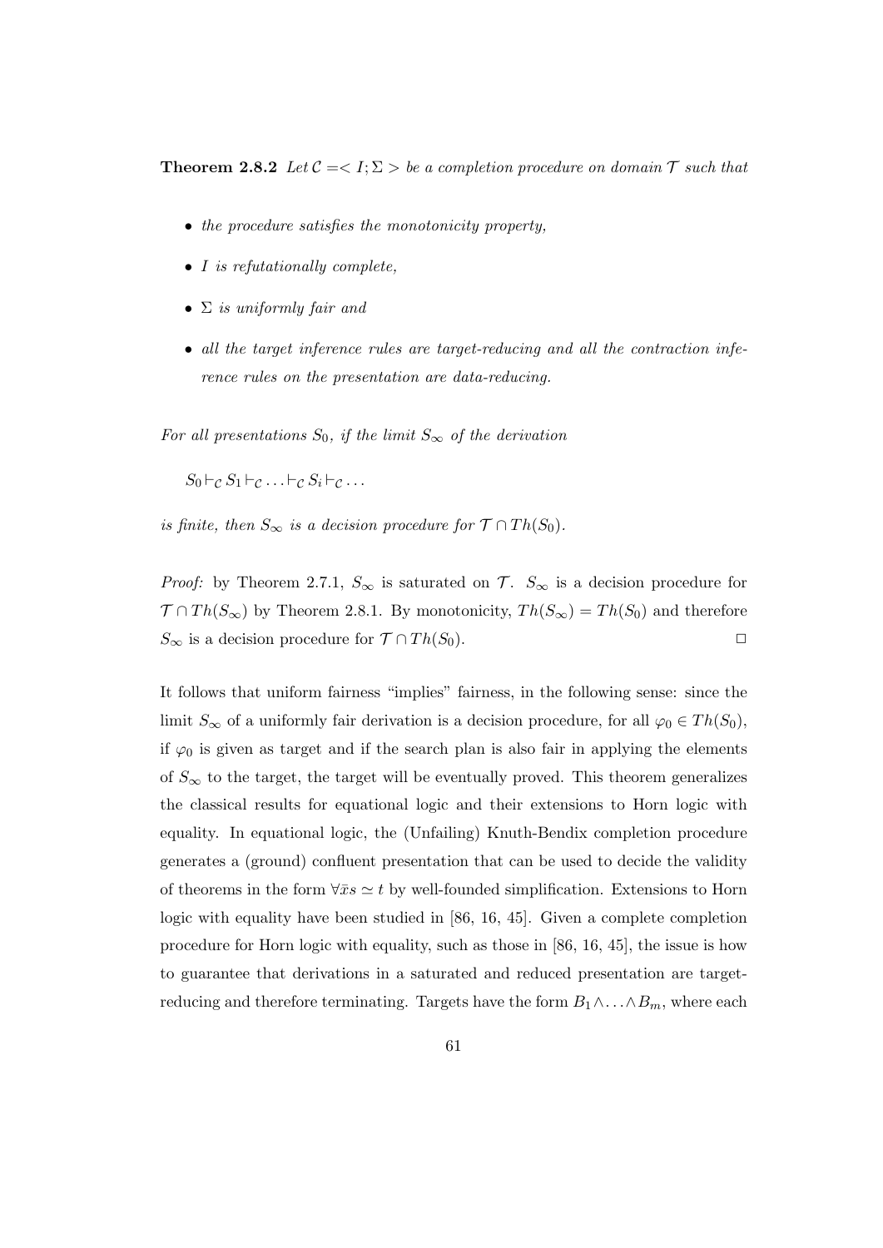**Theorem 2.8.2** Let  $C = \langle I; \Sigma \rangle$  be a completion procedure on domain  $\mathcal T$  such that

- the procedure satisfies the monotonicity property.
- I is refutationally complete,
- $\Sigma$  is uniformly fair and
- all the target inference rules are target-reducing and all the contraction inference rules on the presentation are data-reducing.

For all presentations  $S_0$ , if the limit  $S_{\infty}$  of the derivation

 $S_0 \vdash_{\mathcal{C}} S_1 \vdash_{\mathcal{C}} \ldots \vdash_{\mathcal{C}} S_i \vdash_{\mathcal{C}} \ldots$ 

is finite, then  $S_{\infty}$  is a decision procedure for  $\mathcal{T} \cap Th(S_0)$ .

*Proof:* by Theorem 2.7.1,  $S_{\infty}$  is saturated on  $\mathcal{T}$ .  $S_{\infty}$  is a decision procedure for  $\mathcal{T} \cap Th(S_{\infty})$  by Theorem 2.8.1. By monotonicity,  $Th(S_{\infty}) = Th(S_0)$  and therefore  $S_{\infty}$  is a decision procedure for  $\mathcal{T} \cap Th(S_0)$ .

It follows that uniform fairness "implies" fairness, in the following sense: since the limit  $S_{\infty}$  of a uniformly fair derivation is a decision procedure, for all  $\varphi_0 \in Th(S_0)$ , if  $\varphi_0$  is given as target and if the search plan is also fair in applying the elements of  $S_{\infty}$  to the target, the target will be eventually proved. This theorem generalizes the classical results for equational logic and their extensions to Horn logic with equality. In equational logic, the (Unfailing) Knuth-Bendix completion procedure generates a (ground) confluent presentation that can be used to decide the validity of theorems in the form  $\forall \bar{x}s \simeq t$  by well-founded simplification. Extensions to Horn logic with equality have been studied in [86, 16, 45]. Given a complete completion procedure for Horn logic with equality, such as those in [86, 16, 45], the issue is how to guarantee that derivations in a saturated and reduced presentation are targetreducing and therefore terminating. Targets have the form  $B_1 \wedge \ldots \wedge B_m$ , where each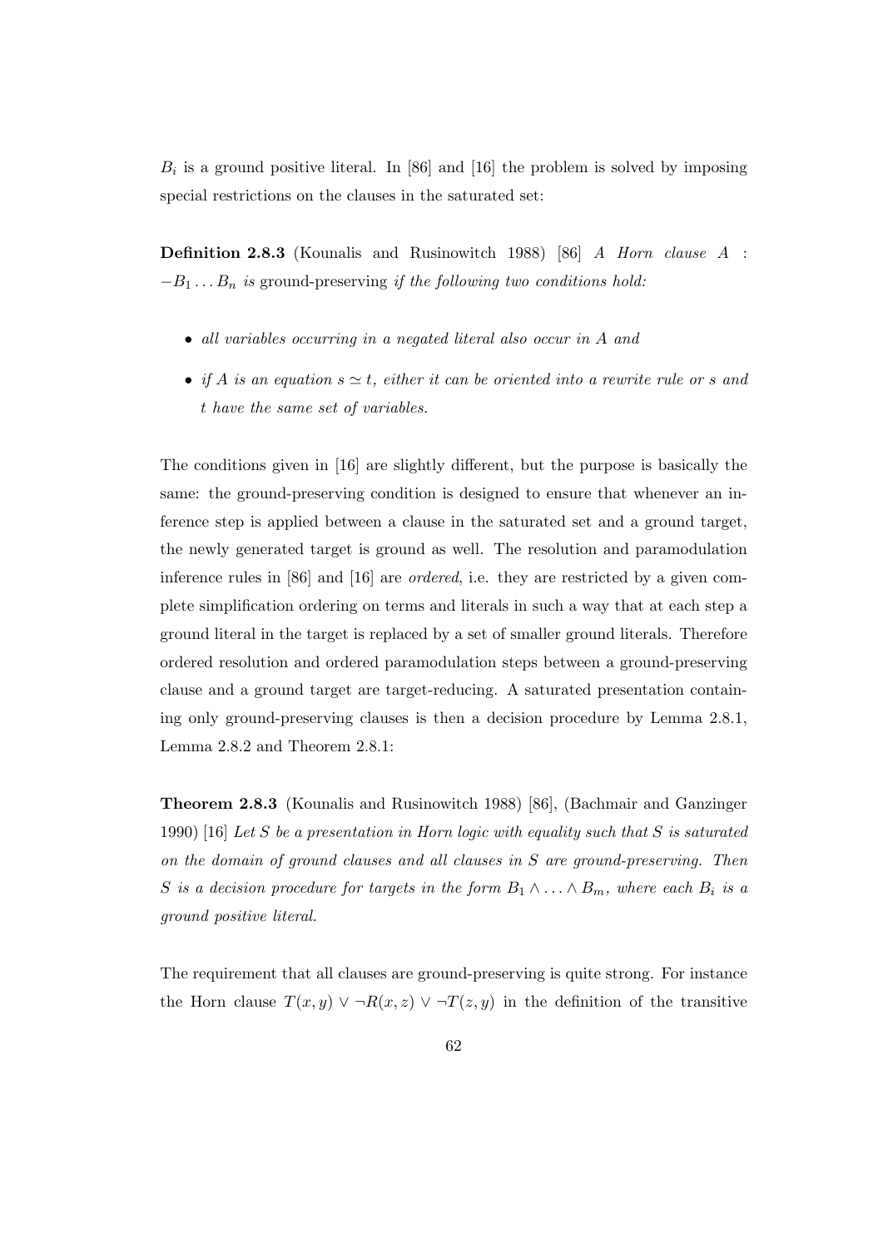$B_i$  is a ground positive literal. In [86] and [16] the problem is solved by imposing special restrictions on the clauses in the saturated set:

Definition 2.8.3 (Kounalis and Rusinowitch 1988) [86] A Horn clause A :  $-B_1 \ldots B_n$  is ground-preserving if the following two conditions hold:

- all variables occurring in a negated literal also occur in A and
- if A is an equation  $s \simeq t$ , either it can be oriented into a rewrite rule or s and t have the same set of variables.

The conditions given in [16] are slightly different, but the purpose is basically the same: the ground-preserving condition is designed to ensure that whenever an inference step is applied between a clause in the saturated set and a ground target, the newly generated target is ground as well. The resolution and paramodulation inference rules in [86] and [16] are ordered, i.e. they are restricted by a given complete simplification ordering on terms and literals in such a way that at each step a ground literal in the target is replaced by a set of smaller ground literals. Therefore ordered resolution and ordered paramodulation steps between a ground-preserving clause and a ground target are target-reducing. A saturated presentation containing only ground-preserving clauses is then a decision procedure by Lemma 2.8.1, Lemma 2.8.2 and Theorem 2.8.1:

Theorem 2.8.3 (Kounalis and Rusinowitch 1988) [86], (Bachmair and Ganzinger 1990) [16] Let S be a presentation in Horn logic with equality such that S is saturated on the domain of ground clauses and all clauses in S are ground-preserving. Then S is a decision procedure for targets in the form  $B_1 \wedge \ldots \wedge B_m$ , where each  $B_i$  is a ground positive literal.

The requirement that all clauses are ground-preserving is quite strong. For instance the Horn clause  $T(x, y) \vee \neg R(x, z) \vee \neg T(z, y)$  in the definition of the transitive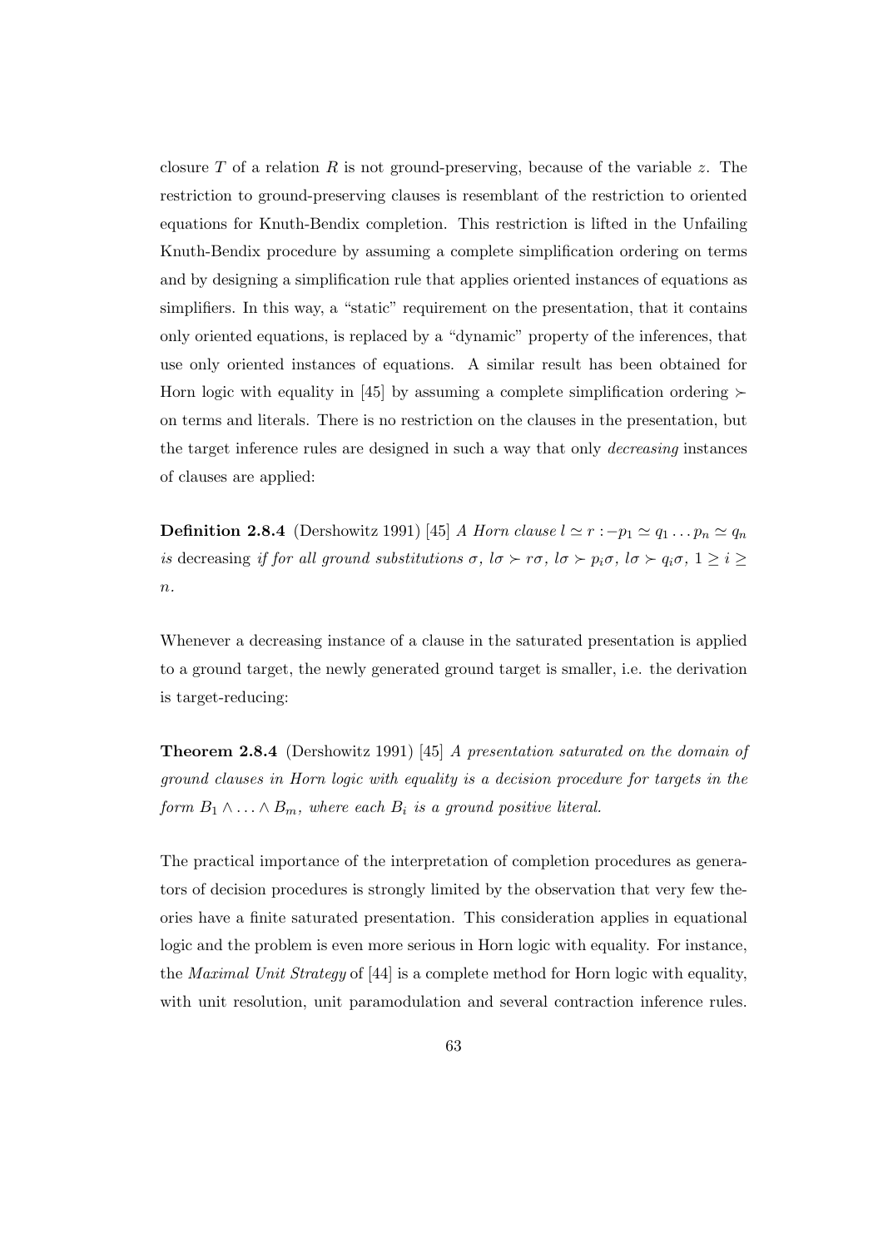closure T of a relation R is not ground-preserving, because of the variable z. The restriction to ground-preserving clauses is resemblant of the restriction to oriented equations for Knuth-Bendix completion. This restriction is lifted in the Unfailing Knuth-Bendix procedure by assuming a complete simplification ordering on terms and by designing a simplification rule that applies oriented instances of equations as simplifiers. In this way, a "static" requirement on the presentation, that it contains only oriented equations, is replaced by a "dynamic" property of the inferences, that use only oriented instances of equations. A similar result has been obtained for Horn logic with equality in [45] by assuming a complete simplification ordering  $\succ$ on terms and literals. There is no restriction on the clauses in the presentation, but the target inference rules are designed in such a way that only decreasing instances of clauses are applied:

**Definition 2.8.4** (Dershowitz 1991) [45] A Horn clause  $l \approx r : -p_1 \approx q_1 \dots p_n \approx q_n$ is decreasing if for all ground substitutions  $\sigma$ ,  $\sigma \succ r\sigma$ ,  $\sigma \succ p_i\sigma$ ,  $\sigma \succ q_i\sigma$ ,  $1 \geq i \geq$  $n$ .

Whenever a decreasing instance of a clause in the saturated presentation is applied to a ground target, the newly generated ground target is smaller, i.e. the derivation is target-reducing:

Theorem 2.8.4 (Dershowitz 1991) [45] A presentation saturated on the domain of ground clauses in Horn logic with equality is a decision procedure for targets in the form  $B_1 \wedge \ldots \wedge B_m$ , where each  $B_i$  is a ground positive literal.

The practical importance of the interpretation of completion procedures as generators of decision procedures is strongly limited by the observation that very few theories have a finite saturated presentation. This consideration applies in equational logic and the problem is even more serious in Horn logic with equality. For instance, the Maximal Unit Strategy of [44] is a complete method for Horn logic with equality, with unit resolution, unit paramodulation and several contraction inference rules.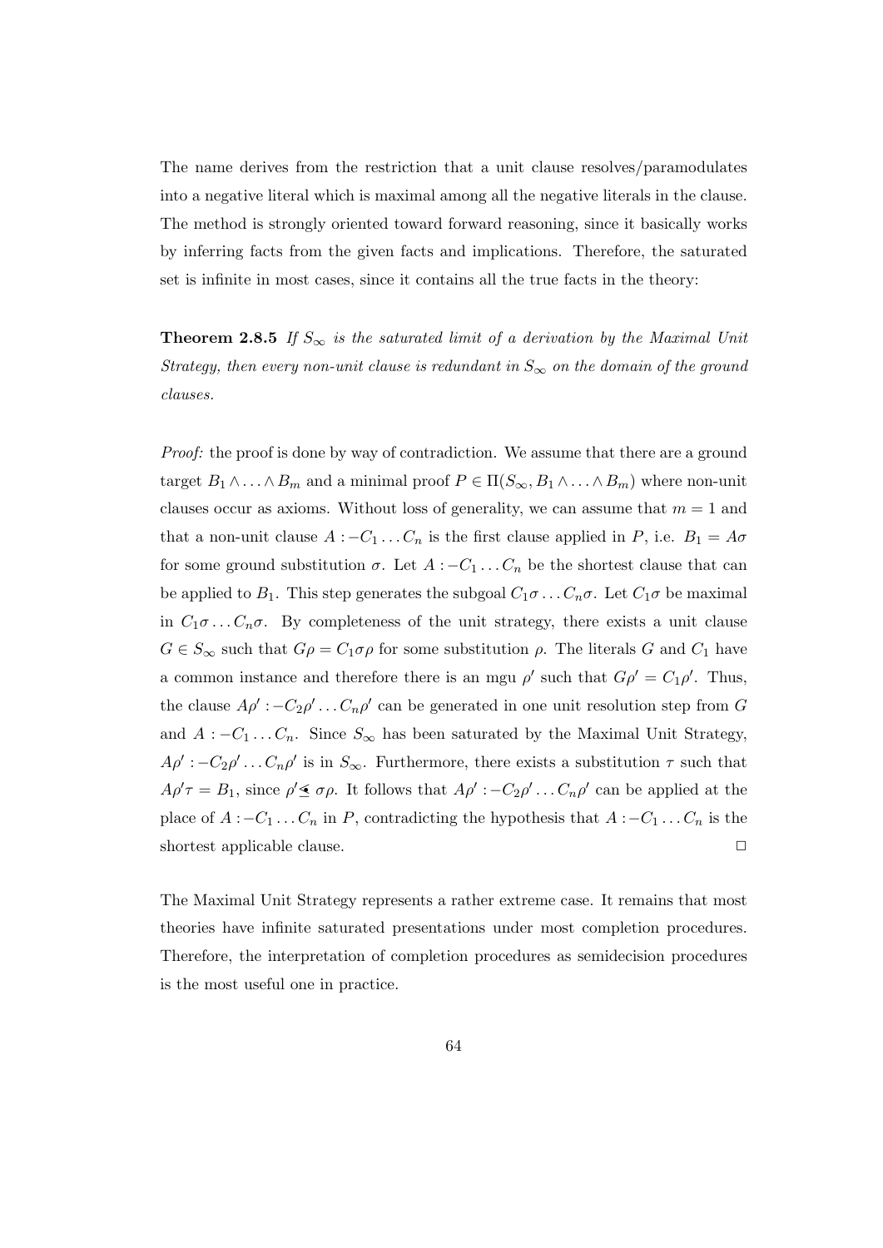The name derives from the restriction that a unit clause resolves/paramodulates into a negative literal which is maximal among all the negative literals in the clause. The method is strongly oriented toward forward reasoning, since it basically works by inferring facts from the given facts and implications. Therefore, the saturated set is infinite in most cases, since it contains all the true facts in the theory:

**Theorem 2.8.5** If  $S_{\infty}$  is the saturated limit of a derivation by the Maximal Unit Strategy, then every non-unit clause is redundant in  $S_{\infty}$  on the domain of the ground clauses.

Proof: the proof is done by way of contradiction. We assume that there are a ground target  $B_1 \wedge \ldots \wedge B_m$  and a minimal proof  $P \in \Pi(S_\infty, B_1 \wedge \ldots \wedge B_m)$  where non-unit clauses occur as axioms. Without loss of generality, we can assume that  $m = 1$  and that a non-unit clause  $A:$  - $C_1 \ldots C_n$  is the first clause applied in P, i.e.  $B_1 = A \sigma$ for some ground substitution  $\sigma$ . Let  $A : -C_1 \ldots C_n$  be the shortest clause that can be applied to  $B_1$ . This step generates the subgoal  $C_1 \sigma \ldots C_n \sigma$ . Let  $C_1 \sigma$  be maximal in  $C_1 \sigma \ldots C_n \sigma$ . By completeness of the unit strategy, there exists a unit clause  $G \in S_{\infty}$  such that  $G\rho = C_1 \sigma \rho$  for some substitution  $\rho$ . The literals G and  $C_1$  have a common instance and therefore there is an mgu  $\rho'$  such that  $G\rho' = C_1 \rho'$ . Thus, the clause  $A\rho'$ :  $-C_2\rho'$ ...  $C_n\rho'$  can be generated in one unit resolution step from G and  $A : -C_1 \ldots C_n$ . Since  $S_{\infty}$  has been saturated by the Maximal Unit Strategy,  $A\rho'$ :  $-C_2\rho' \dots C_n \rho'$  is in  $S_{\infty}$ . Furthermore, there exists a substitution  $\tau$  such that  $A\rho'\tau = B_1$ , since  $\rho' \leq \sigma\rho$ . It follows that  $A\rho' : -C_2\rho' \dots C_n\rho'$  can be applied at the place of  $A:$  - $C_1 \ldots C_n$  in P, contradicting the hypothesis that  $A:$  - $C_1 \ldots C_n$  is the shortest applicable clause.

The Maximal Unit Strategy represents a rather extreme case. It remains that most theories have infinite saturated presentations under most completion procedures. Therefore, the interpretation of completion procedures as semidecision procedures is the most useful one in practice.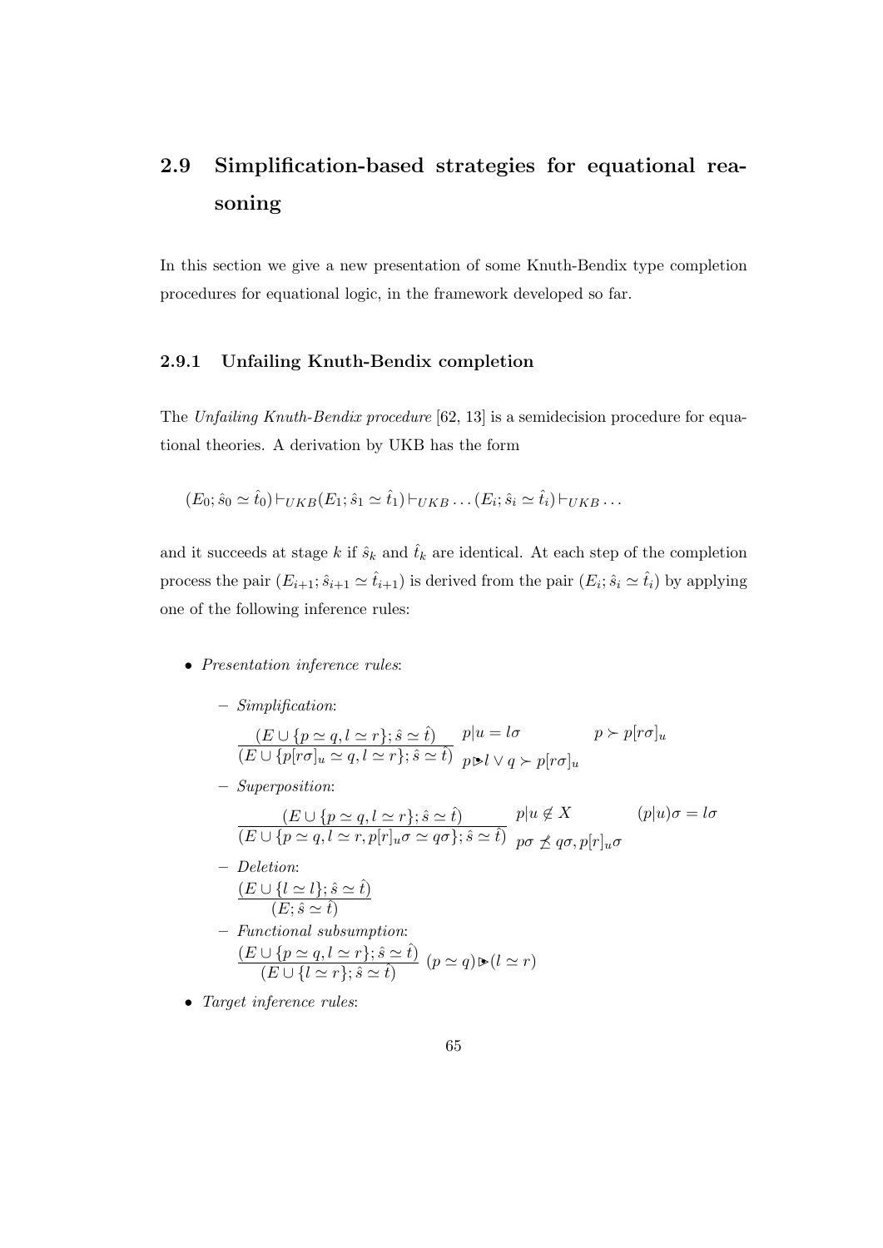# 2.9 Simplification-based strategies for equational reasoning

In this section we give a new presentation of some Knuth-Bendix type completion procedures for equational logic, in the framework developed so far.

# 2.9.1 Unfailing Knuth-Bendix completion

The Unfailing Knuth-Bendix procedure [62, 13] is a semidecision procedure for equational theories. A derivation by UKB has the form

$$
(E_0; \hat{s}_0 \simeq \hat{t}_0) \vdash_{UKB} (E_1; \hat{s}_1 \simeq \hat{t}_1) \vdash_{UKB} \dots (E_i; \hat{s}_i \simeq \hat{t}_i) \vdash_{UKB} \dots
$$

and it succeeds at stage k if  $\hat{s}_k$  and  $\hat{t}_k$  are identical. At each step of the completion process the pair  $(E_{i+1}; \hat{s}_{i+1} \simeq \hat{t}_{i+1})$  is derived from the pair  $(E_i; \hat{s}_i \simeq \hat{t}_i)$  by applying one of the following inference rules:

- Presentation inference rules:
	- Simplification:

$$
\frac{(E \cup \{p \simeq q, l \simeq r\}; \hat{s} \simeq \hat{t})}{(E \cup \{p[r\sigma]_u \simeq q, l \simeq r\}; \hat{s} \simeq \hat{t})} \quad p|u = l\sigma \qquad p \succ p[r\sigma]_u
$$

– Superposition:

$$
\frac{(E \cup \{p \simeq q, l \simeq r\}; \hat{s} \simeq \hat{t})}{(E \cup \{p \simeq q, l \simeq r, p[r]_u \sigma \simeq q\sigma\}; \hat{s} \simeq \hat{t})} \frac{p|u \notin X}{p\sigma \nleq q\sigma, p[r]_u \sigma} (p|u)\sigma = l\sigma
$$

- Deletion:  $(E \cup \{l \simeq l\}; \hat{s} \simeq \hat{t})$  $(E; \hat{s} \simeq \hat{t})$
- Functional subsumption:  $(E \cup \{p \simeq q, l \simeq r\}; \hat{s} \simeq \hat{t})$  $\frac{C\sqrt{p-q}, i \leq t}{(E\cup\{l \simeq r\}; \hat{s} \simeq \hat{t})} (p \simeq q) \triangleright (l \simeq r)$
- Target inference rules: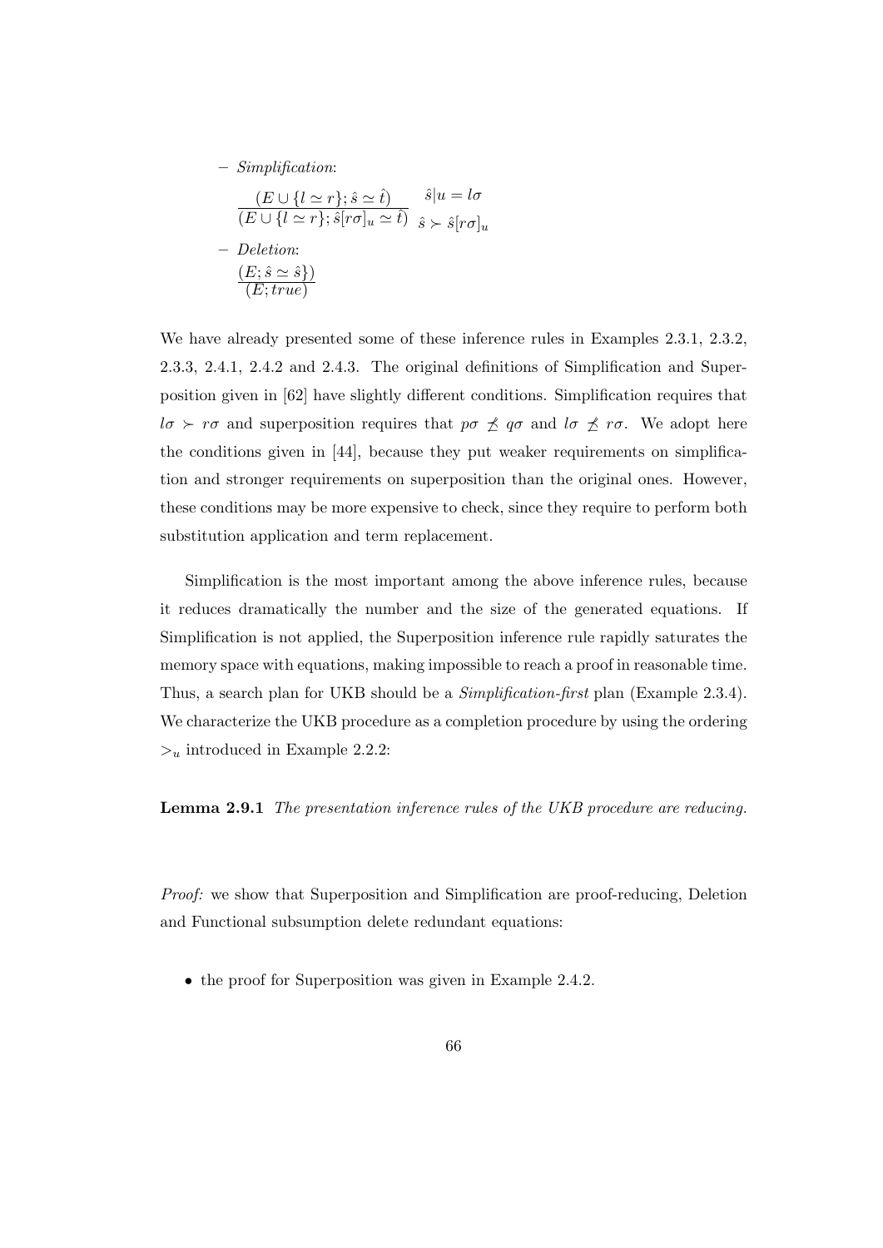– Simplification:

$$
\frac{(E \cup \{l \simeq r\}; \hat{s} \simeq \hat{t})}{(E \cup \{l \simeq r\}; \hat{s}[r\sigma]_u \simeq \hat{t})} \quad \hat{s}|u = l\sigma
$$
\n
$$
- Deletion:
$$
\n
$$
\frac{(E; \hat{s} \simeq \hat{s})}{(E; true)}
$$

We have already presented some of these inference rules in Examples 2.3.1, 2.3.2, 2.3.3, 2.4.1, 2.4.2 and 2.4.3. The original definitions of Simplification and Superposition given in [62] have slightly different conditions. Simplification requires that  $l\sigma \succ r\sigma$  and superposition requires that  $p\sigma \not\preceq q\sigma$  and  $l\sigma \not\preceq r\sigma$ . We adopt here the conditions given in [44], because they put weaker requirements on simplification and stronger requirements on superposition than the original ones. However, these conditions may be more expensive to check, since they require to perform both substitution application and term replacement.

Simplification is the most important among the above inference rules, because it reduces dramatically the number and the size of the generated equations. If Simplification is not applied, the Superposition inference rule rapidly saturates the memory space with equations, making impossible to reach a proof in reasonable time. Thus, a search plan for UKB should be a *Simplification-first* plan (Example 2.3.4). We characterize the UKB procedure as a completion procedure by using the ordering  $>u$  introduced in Example 2.2.2:

Lemma 2.9.1 The presentation inference rules of the UKB procedure are reducing.

Proof: we show that Superposition and Simplification are proof-reducing, Deletion and Functional subsumption delete redundant equations:

• the proof for Superposition was given in Example 2.4.2.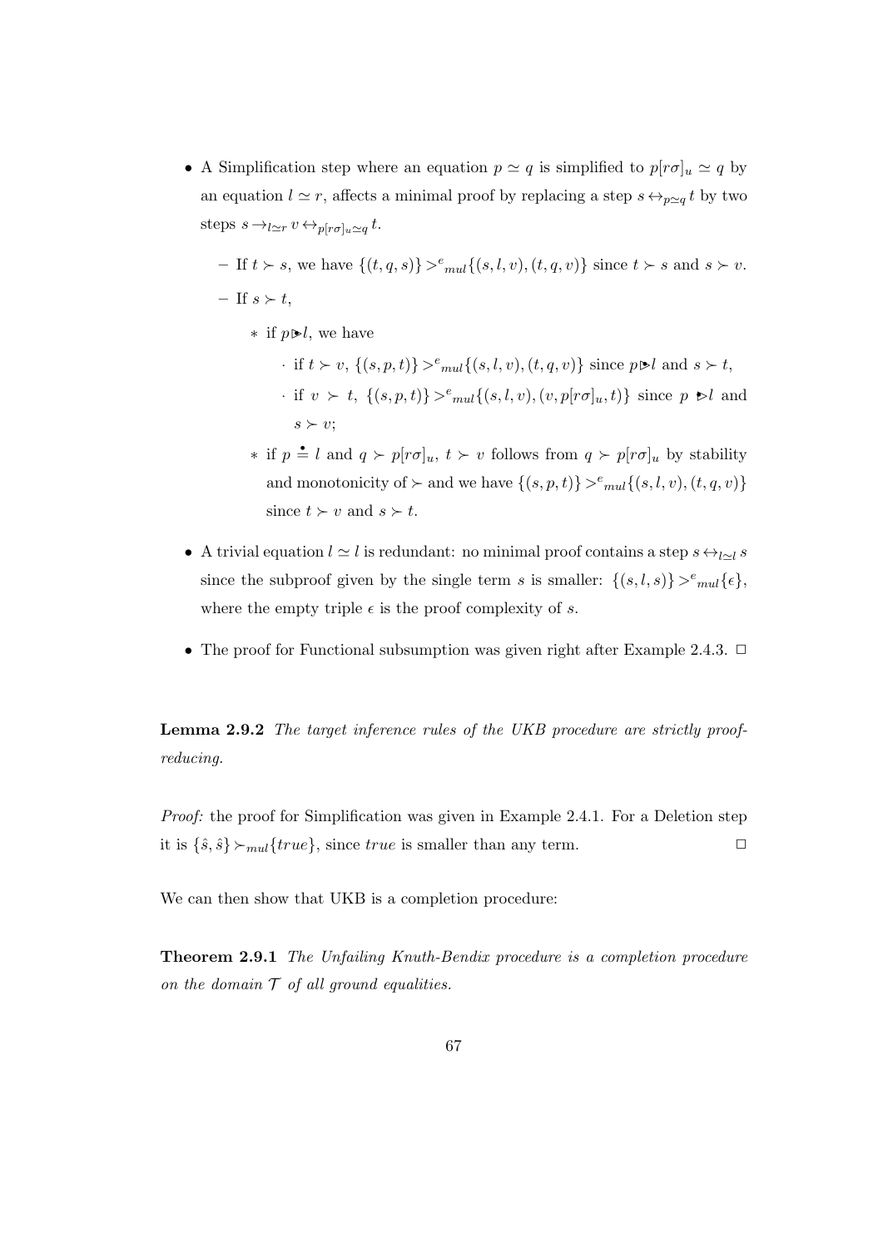• A Simplification step where an equation  $p \simeq q$  is simplified to  $p[r\sigma]_u \simeq q$  by an equation  $l \simeq r$ , affects a minimal proof by replacing a step  $s \leftrightarrow_{p\simeq q} t$  by two steps  $s \rightarrow_{l \simeq r} v \leftrightarrow_{p[r\sigma]_u \simeq q} t$ .

 $-$  If  $t > s$ , we have  $\{(t, q, s)\} >^e \infty \{(s, l, v), (t, q, v)\}$  since  $t > s$  and  $s > v$ .  $-$  If  $s \succ t$ ,

 $∗$  if  $p \triangleright l$ , we have

· if  $t \succ v$ ,  $\{(s, p, t)\} >^e \infty$  { $(s, l, v), (t, q, v)$ } since  $p \triangleright l$  and  $s \succ t$ , · if  $v \succ t$ ,  $\{(s, p, t)\} >^e \text{mul}\{(s, l, v), (v, p[r\sigma]_u, t)\}$  since  $p \ge l$  and  $s \succ v;$ 

- $\ast$  if  $p \triangleq l$  and  $q \succ p[r\sigma]_u$ ,  $t \succ v$  follows from  $q \succ p[r\sigma]_u$  by stability and monotonicity of  $\succ$  and we have  $\{(s, p, t)\} >^e \in \{(s, l, v), (t, q, v)\}$ since  $t > v$  and  $s > t$ .
- A trivial equation  $l \simeq l$  is redundant: no minimal proof contains a step  $s \leftrightarrow_{l \sim l} s$ since the subproof given by the single term s is smaller:  $\{(s, l, s)\} >^e \in [0, l, s)$ where the empty triple  $\epsilon$  is the proof complexity of s.
- The proof for Functional subsumption was given right after Example 2.4.3.  $\Box$

Lemma 2.9.2 The target inference rules of the UKB procedure are strictly proofreducing.

Proof: the proof for Simplification was given in Example 2.4.1. For a Deletion step it is  $\{\hat{s}, \hat{s}\}\rangle_{mul}$  (*true*}, since *true* is smaller than any term.

We can then show that UKB is a completion procedure:

Theorem 2.9.1 The Unfailing Knuth-Bendix procedure is a completion procedure on the domain  $T$  of all ground equalities.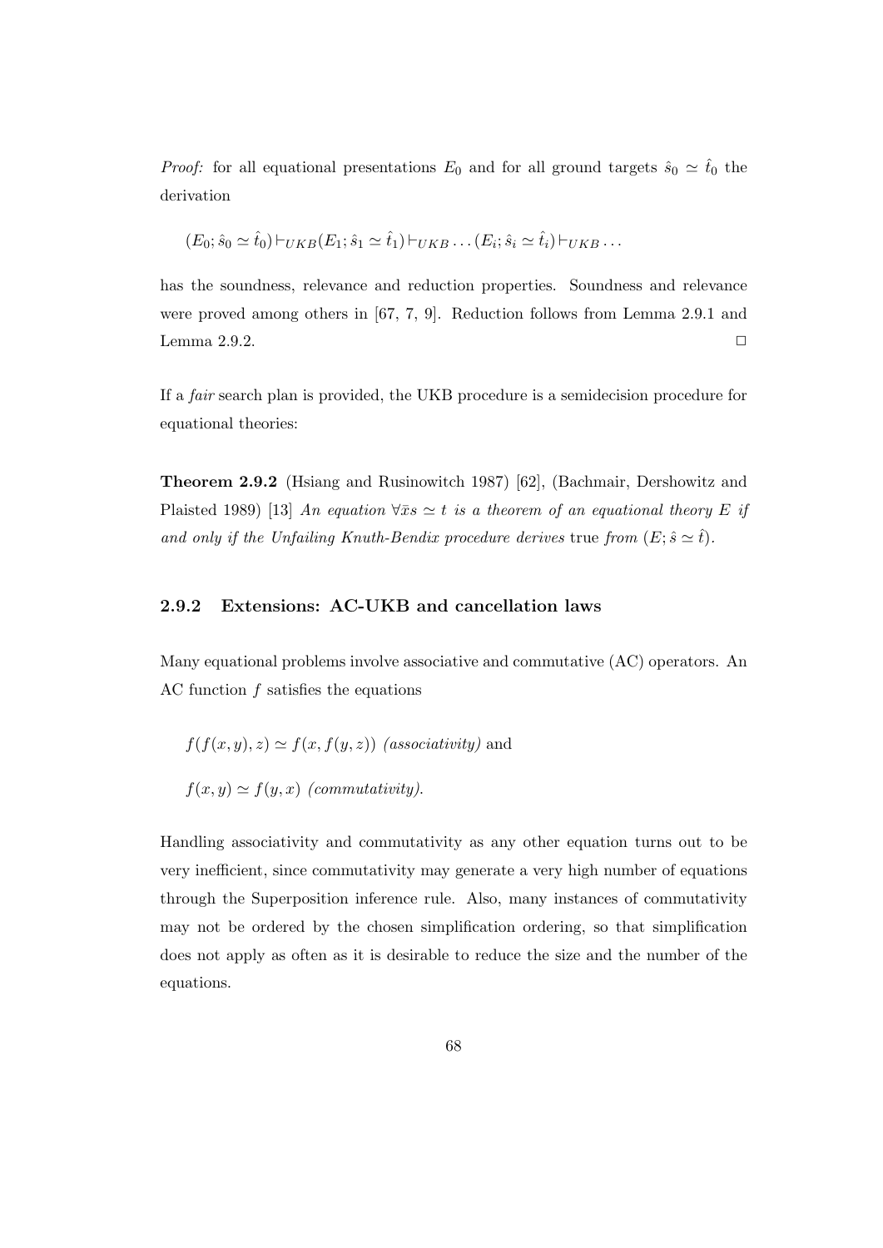*Proof:* for all equational presentations  $E_0$  and for all ground targets  $\hat{s}_0 \simeq \hat{t}_0$  the derivation

$$
(E_0; \hat{s}_0 \simeq \hat{t}_0) \vdash_{UKB} (E_1; \hat{s}_1 \simeq \hat{t}_1) \vdash_{UKB} \dots (E_i; \hat{s}_i \simeq \hat{t}_i) \vdash_{UKB} \dots
$$

has the soundness, relevance and reduction properties. Soundness and relevance were proved among others in [67, 7, 9]. Reduction follows from Lemma 2.9.1 and Lemma 2.9.2.  $\Box$ 

If a fair search plan is provided, the UKB procedure is a semidecision procedure for equational theories:

Theorem 2.9.2 (Hsiang and Rusinowitch 1987) [62], (Bachmair, Dershowitz and Plaisted 1989) [13] An equation  $\forall \bar{x}s \simeq t$  is a theorem of an equational theory E if and only if the Unfailing Knuth-Bendix procedure derives true from  $(E; \hat{s} \simeq \hat{t}).$ 

## 2.9.2 Extensions: AC-UKB and cancellation laws

Many equational problems involve associative and commutative (AC) operators. An AC function f satisfies the equations

$$
f(f(x, y), z) \simeq f(x, f(y, z))
$$
 (associativity) and  
 $f(x, y) \simeq f(y, x)$  (commutativity).

Handling associativity and commutativity as any other equation turns out to be very inefficient, since commutativity may generate a very high number of equations through the Superposition inference rule. Also, many instances of commutativity may not be ordered by the chosen simplification ordering, so that simplification does not apply as often as it is desirable to reduce the size and the number of the equations.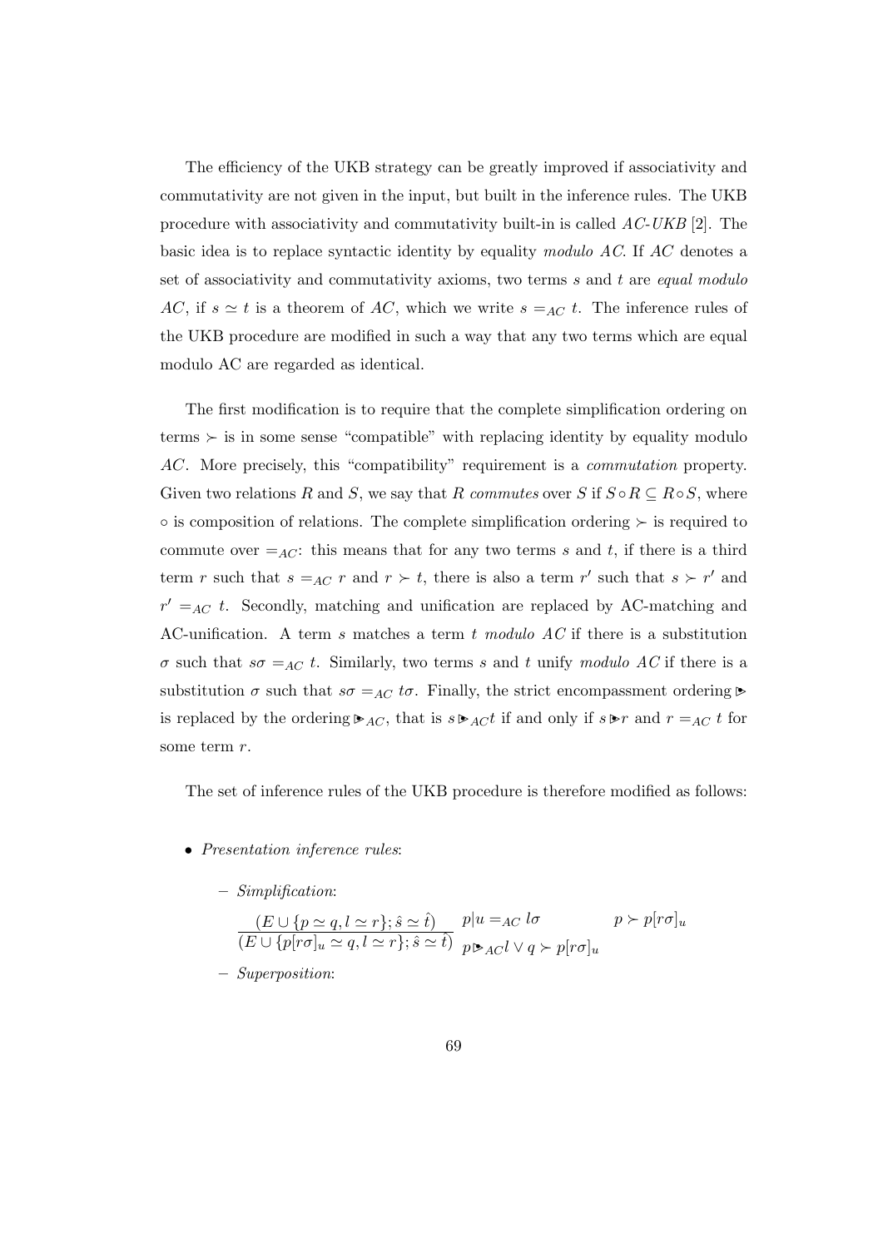The efficiency of the UKB strategy can be greatly improved if associativity and commutativity are not given in the input, but built in the inference rules. The UKB procedure with associativity and commutativity built-in is called AC-UKB [2]. The basic idea is to replace syntactic identity by equality modulo AC. If AC denotes a set of associativity and commutativity axioms, two terms  $s$  and  $t$  are equal modulo AC, if  $s \simeq t$  is a theorem of AC, which we write  $s =_{AC} t$ . The inference rules of the UKB procedure are modified in such a way that any two terms which are equal modulo AC are regarded as identical.

The first modification is to require that the complete simplification ordering on terms  $\succ$  is in some sense "compatible" with replacing identity by equality modulo AC. More precisely, this "compatibility" requirement is a commutation property. Given two relations R and S, we say that R commutes over S if  $S \circ R \subseteq R \circ S$ , where  $\circ$  is composition of relations. The complete simplification ordering  $\succ$  is required to commute over  $=_{AC}$ : this means that for any two terms s and t, if there is a third term r such that  $s =_{AC} r$  and  $r > t$ , there is also a term r' such that  $s > r'$  and  $r' =_{AC} t$ . Secondly, matching and unification are replaced by AC-matching and AC-unification. A term s matches a term t modulo  $AC$  if there is a substitution σ such that  $s\sigma =_{AC} t$ . Similarly, two terms s and t unify modulo AC if there is a substitution  $\sigma$  such that  $s\sigma =_{AC} t\sigma$ . Finally, the strict encompassment ordering  $\triangleright$ is replaced by the ordering  $\triangleright_{AC}$ , that is  $s \triangleright_{AC} t$  if and only if  $s \triangleright r$  and  $r =_{AC} t$  for some term r.

The set of inference rules of the UKB procedure is therefore modified as follows:

- Presentation inference rules:
	- Simplification:

$$
\frac{(E \cup \{p \simeq q, l \simeq r\}; \hat{s} \simeq \hat{t})}{(E \cup \{p[r\sigma]_u \simeq q, l \simeq r\}; \hat{s} \simeq \hat{t})} \frac{p|u =_{AC} l\sigma}{p \triangleright_{AC} l \vee q \succ p[r\sigma]_u} \qquad p \succ p[r\sigma]_u
$$

– Superposition: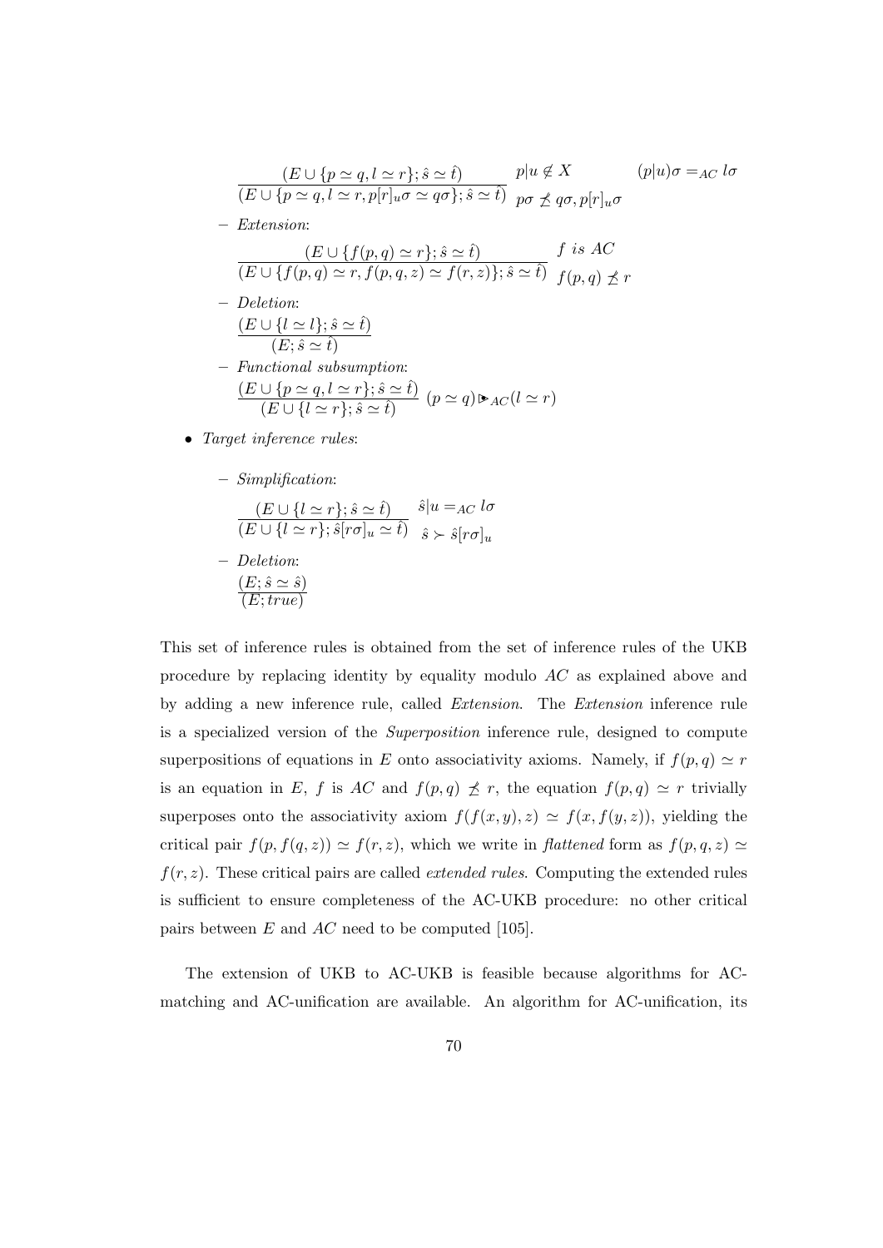$$
\frac{(E \cup \{p \simeq q, l \simeq r\}; \hat{s} \simeq \hat{t})}{(E \cup \{p \simeq q, l \simeq r, p[r]_u \sigma \simeq q\sigma\}; \hat{s} \simeq \hat{t})} p|u \notin X \qquad (p|u)\sigma =_{AC} l\sigma
$$
\n
$$
= Extension:
$$
\n
$$
\frac{(E \cup \{f(p,q) \simeq r\}; \hat{s} \simeq \hat{t})}{(E \cup \{f(p,q) \simeq r, f(p,q,z) \simeq f(r,z)\}; \hat{s} \simeq \hat{t})} f \text{ is } AC
$$
\n
$$
= Deletion:
$$
\n
$$
\frac{(E \cup \{l \simeq l\}; \hat{s} \simeq \hat{t})}{(E; \hat{s} \simeq \hat{t})}
$$
\n
$$
= Functional subsumption:
$$
\n
$$
\frac{(E \cup \{p \simeq q, l \simeq r\}; \hat{s} \simeq \hat{t})}{(E \cup \{l \simeq r\}; \hat{s} \simeq \hat{t})} (p \simeq q) \triangleright_{AC} (l \simeq r)
$$

- Target inference rules:
	- Simplification:

$$
\frac{(E \cup \{l \simeq r\}; \hat{s} \simeq \hat{t})}{(E \cup \{l \simeq r\}; \hat{s}[r\sigma]_u \simeq \hat{t})} \quad \hat{s} | u =_{AC} l\sigma
$$
\n
$$
= Deletion:
$$

$$
\frac{(E; \hat{s} \simeq \hat{s})}{(E; true)}
$$

This set of inference rules is obtained from the set of inference rules of the UKB procedure by replacing identity by equality modulo AC as explained above and by adding a new inference rule, called Extension. The Extension inference rule is a specialized version of the Superposition inference rule, designed to compute superpositions of equations in E onto associativity axioms. Namely, if  $f(p, q) \simeq r$ is an equation in E, f is AC and  $f(p,q) \npreceq r$ , the equation  $f(p,q) \simeq r$  trivially superposes onto the associativity axiom  $f(f(x, y), z) \simeq f(x, f(y, z))$ , yielding the critical pair  $f(p, f(q, z)) \simeq f(r, z)$ , which we write in *flattened* form as  $f(p, q, z) \simeq$  $f(r, z)$ . These critical pairs are called *extended rules*. Computing the extended rules is sufficient to ensure completeness of the AC-UKB procedure: no other critical pairs between  $E$  and  $AC$  need to be computed [105].

The extension of UKB to AC-UKB is feasible because algorithms for ACmatching and AC-unification are available. An algorithm for AC-unification, its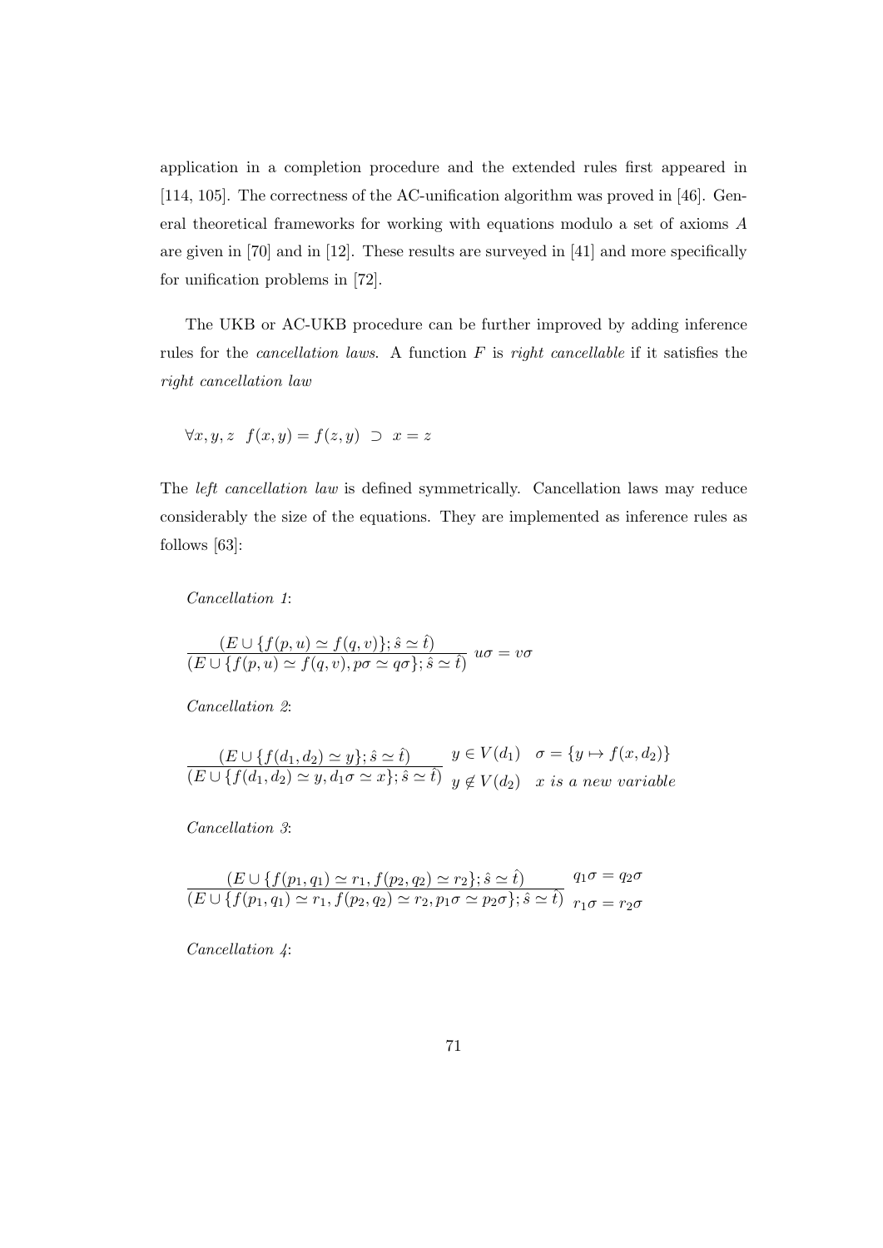application in a completion procedure and the extended rules first appeared in [114, 105]. The correctness of the AC-unification algorithm was proved in [46]. General theoretical frameworks for working with equations modulo a set of axioms A are given in [70] and in [12]. These results are surveyed in [41] and more specifically for unification problems in [72].

The UKB or AC-UKB procedure can be further improved by adding inference rules for the *cancellation laws.* A function  $F$  is *right cancellable* if it satisfies the right cancellation law

$$
\forall x, y, z \ f(x, y) = f(z, y) \supset x = z
$$

The left cancellation law is defined symmetrically. Cancellation laws may reduce considerably the size of the equations. They are implemented as inference rules as follows [63]:

Cancellation 1:

$$
\frac{(E \cup \{f(p, u) \simeq f(q, v)\}; \hat{s} \simeq \hat{t})}{(E \cup \{f(p, u) \simeq f(q, v), p\sigma \simeq q\sigma\}; \hat{s} \simeq \hat{t})} u\sigma = v\sigma
$$

Cancellation 2:

$$
\frac{(E \cup \{f(d_1, d_2) \simeq y\}; \hat{s} \simeq \hat{t})}{(E \cup \{f(d_1, d_2) \simeq y, d_1 \sigma \simeq x\}; \hat{s} \simeq \hat{t})} y \notin V(d_1) \quad \sigma = \{y \mapsto f(x, d_2)\}
$$
\n
$$
y \notin V(d_2) \quad x \text{ is a new variable}
$$

Cancellation 3:

$$
\frac{(E \cup \{f(p_1, q_1) \simeq r_1, f(p_2, q_2) \simeq r_2\}; \hat{s} \simeq \hat{t})}{(E \cup \{f(p_1, q_1) \simeq r_1, f(p_2, q_2) \simeq r_2, p_1 \sigma \simeq p_2 \sigma\}; \hat{s} \simeq \hat{t})} \frac{q_1 \sigma = q_2 \sigma}{r_1 \sigma = r_2 \sigma}
$$

Cancellation 4: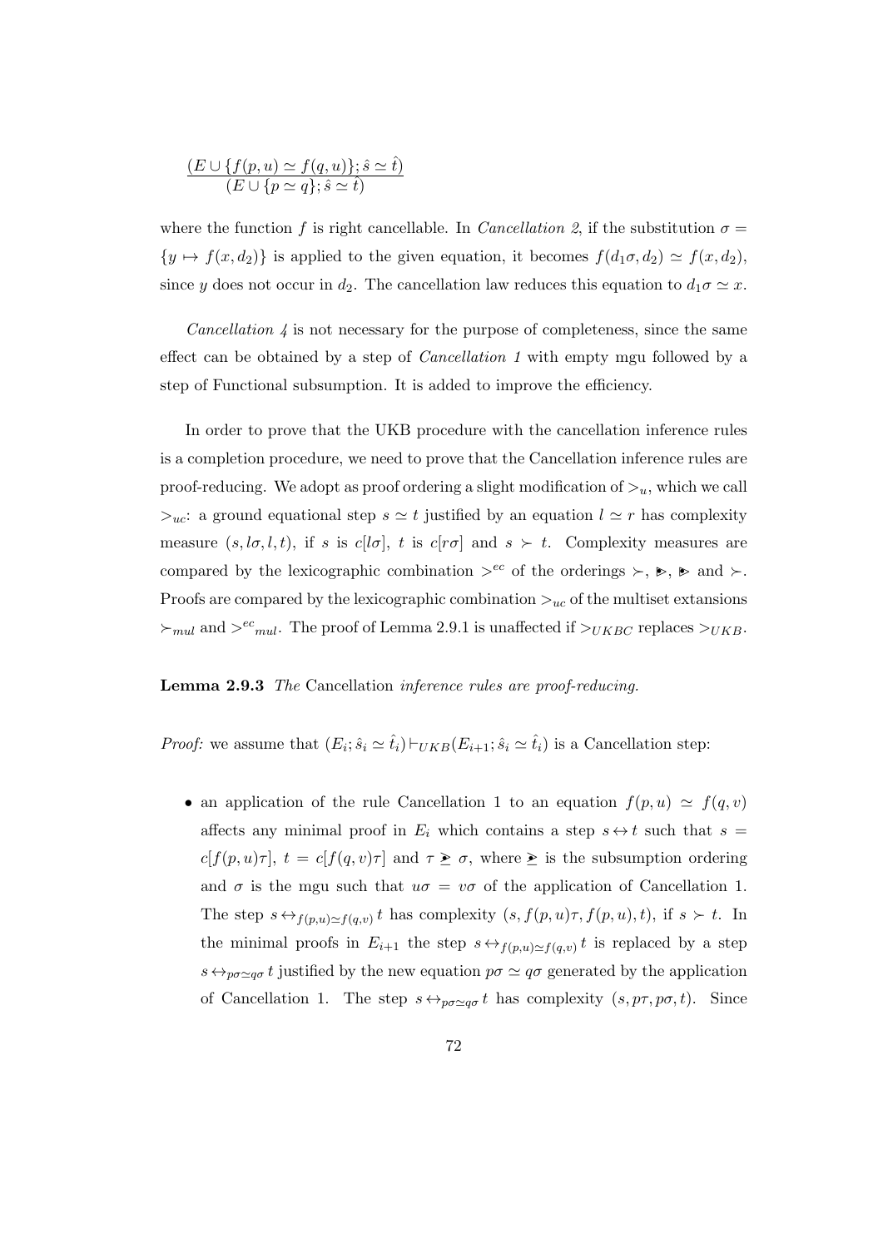$$
\frac{(E \cup \{f(p, u) \simeq f(q, u)\}; \hat{s} \simeq \hat{t})}{(E \cup \{p \simeq q\}; \hat{s} \simeq \hat{t})}
$$

where the function f is right cancellable. In *Cancellation 2*, if the substitution  $\sigma =$  $\{y \mapsto f(x, d_2)\}\$ is applied to the given equation, it becomes  $f(d_1\sigma, d_2) \simeq f(x, d_2),$ since y does not occur in  $d_2$ . The cancellation law reduces this equation to  $d_1 \sigma \simeq x$ .

*Cancellation*  $\downarrow$  is not necessary for the purpose of completeness, since the same effect can be obtained by a step of Cancellation 1 with empty mgu followed by a step of Functional subsumption. It is added to improve the efficiency.

In order to prove that the UKB procedure with the cancellation inference rules is a completion procedure, we need to prove that the Cancellation inference rules are proof-reducing. We adopt as proof ordering a slight modification of  $>u$ , which we call  $\geq_{uc}$ : a ground equational step  $s \simeq t$  justified by an equation  $l \simeq r$  has complexity measure  $(s, l\sigma, l, t)$ , if s is  $c[l\sigma]$ , t is  $c[r\sigma]$  and  $s \succ t$ . Complexity measures are compared by the lexicographic combination  $e^{ec}$  of the orderings  $\succ, \succ, \succ$  and  $\succ$ . Proofs are compared by the lexicographic combination  $>_{uc}$  of the multiset extansions  $\succ_{mul}$  and  $\succ^{ec}$ <sub>mul</sub>. The proof of Lemma 2.9.1 is unaffected if  $\succ_{UKBC}$  replaces  $\succ_{UKB}$ .

## Lemma 2.9.3 The Cancellation inference rules are proof-reducing.

*Proof:* we assume that  $(E_i; \hat{s}_i \simeq \hat{t}_i) \vdash_{UKB}(E_{i+1}; \hat{s}_i \simeq \hat{t}_i)$  is a Cancellation step:

• an application of the rule Cancellation 1 to an equation  $f(p, u) \simeq f(q, v)$ affects any minimal proof in  $E_i$  which contains a step  $s \leftrightarrow t$  such that  $s =$  $c[f(p,u)\tau], t = c[f(q,v)\tau]$  and  $\tau \geq \sigma$ , where  $\geq$  is the subsumption ordering and  $\sigma$  is the mgu such that  $u\sigma = v\sigma$  of the application of Cancellation 1. The step  $s \leftrightarrow_{f(p,u)\simeq f(q,v)} t$  has complexity  $(s, f(p,u)\tau, f(p,u), t)$ , if  $s \succ t$ . In the minimal proofs in  $E_{i+1}$  the step  $s \leftrightarrow_{f(p,u)\simeq f(q,v)} t$  is replaced by a step  $s \leftrightarrow_{p\sigma \simeq q\sigma} t$  justified by the new equation  $p\sigma \simeq q\sigma$  generated by the application of Cancellation 1. The step  $s \leftrightarrow_{p\sigma \simeq q\sigma} t$  has complexity  $(s, p\tau, p\sigma, t)$ . Since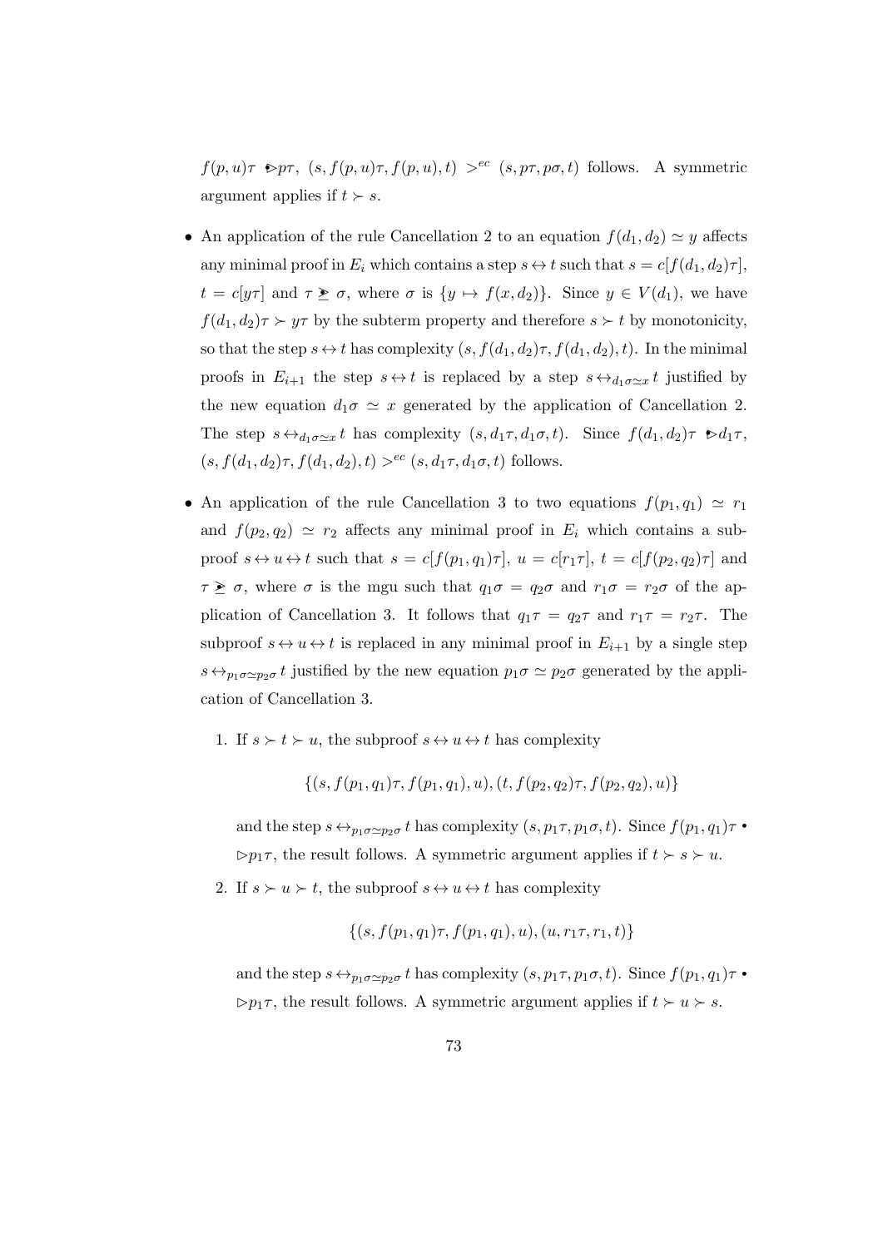$f(p, u)\tau \geq p\tau$ ,  $(s, f(p, u)\tau, f(p, u), t) >^{ec} (s, p\tau, p\sigma, t)$  follows. A symmetric argument applies if  $t > s$ .

- An application of the rule Cancellation 2 to an equation  $f(d_1, d_2) \simeq y$  affects any minimal proof in  $E_i$  which contains a step  $s \leftrightarrow t$  such that  $s = c[f(d_1, d_2)\tau]$ ,  $t = c[y\tau]$  and  $\tau \geq \sigma$ , where  $\sigma$  is  $\{y \mapsto f(x, d_2)\}\$ . Since  $y \in V(d_1)$ , we have  $f(d_1, d_2)\tau \succ y\tau$  by the subterm property and therefore  $s \succ t$  by monotonicity, so that the step  $s \leftrightarrow t$  has complexity  $(s, f(d_1, d_2)\tau, f(d_1, d_2), t)$ . In the minimal proofs in  $E_{i+1}$  the step  $s \leftrightarrow t$  is replaced by a step  $s \leftrightarrow_{d_1 \sigma \simeq x} t$  justified by the new equation  $d_1\sigma \simeq x$  generated by the application of Cancellation 2. The step  $s \leftrightarrow_{d_1 \sigma \simeq x} t$  has complexity  $(s, d_1 \tau, d_1 \sigma, t)$ . Since  $f(d_1, d_2) \tau \geq d_1 \tau$ ,  $(s, f(d_1, d_2)\tau, f(d_1, d_2), t) >^{ec} (s, d_1\tau, d_1\sigma, t)$  follows.
- An application of the rule Cancellation 3 to two equations  $f(p_1, q_1) \simeq r_1$ and  $f(p_2, q_2) \simeq r_2$  affects any minimal proof in  $E_i$  which contains a subproof  $s \leftrightarrow u \leftrightarrow t$  such that  $s = c[f(p_1, q_1)\tau], u = c[r_1\tau], t = c[f(p_2, q_2)\tau]$  and  $\tau \geq \sigma$ , where  $\sigma$  is the mgu such that  $q_1\sigma = q_2\sigma$  and  $r_1\sigma = r_2\sigma$  of the application of Cancellation 3. It follows that  $q_1\tau = q_2\tau$  and  $r_1\tau = r_2\tau$ . The subproof  $s \leftrightarrow u \leftrightarrow t$  is replaced in any minimal proof in  $E_{i+1}$  by a single step  $s \leftrightarrow_{p_1 \sigma \simeq p_2 \sigma} t$  justified by the new equation  $p_1 \sigma \simeq p_2 \sigma$  generated by the application of Cancellation 3.
	- 1. If  $s \succ t \succ u$ , the subproof  $s \leftrightarrow u \leftrightarrow t$  has complexity

$$
\{(s, f(p_1, q_1)\tau, f(p_1, q_1), u), (t, f(p_2, q_2)\tau, f(p_2, q_2), u)\}\
$$

and the step  $s \leftrightarrow_{p_1 \sigma \simeq p_2 \sigma} t$  has complexity  $(s, p_1 \tau, p_1 \sigma, t)$ . Since  $f(p_1, q_1) \tau$ .  $\triangleright p_1 \tau$ , the result follows. A symmetric argument applies if  $t \succ s \succ u$ .

2. If  $s \succ u \succ t$ , the subproof  $s \leftrightarrow u \leftrightarrow t$  has complexity

$$
\{(s, f(p_1, q_1)\tau, f(p_1, q_1), u), (u, r_1\tau, r_1, t)\}
$$

and the step  $s \leftrightarrow_{p_1 \sigma \simeq p_2 \sigma} t$  has complexity  $(s, p_1 \tau, p_1 \sigma, t)$ . Since  $f(p_1, q_1) \tau$ .  $\triangleright p_1 \tau$ , the result follows. A symmetric argument applies if  $t \succ u \succ s$ .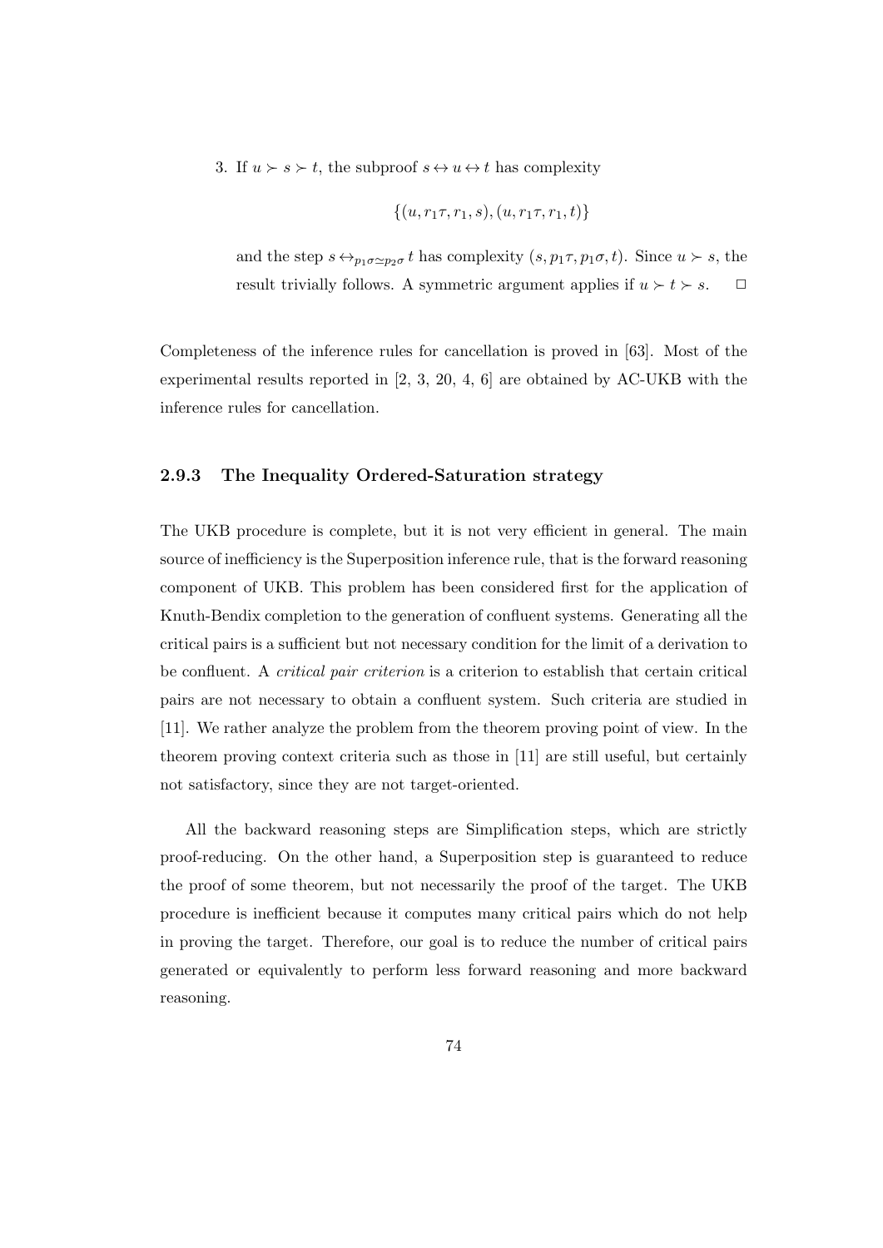3. If  $u \succ s \succ t$ , the subproof  $s \leftrightarrow u \leftrightarrow t$  has complexity

$$
\{(u, r_1\tau, r_1, s), (u, r_1\tau, r_1, t)\}
$$

and the step  $s \leftrightarrow_{p_1 \sigma \simeq p_2 \sigma} t$  has complexity  $(s, p_1 \tau, p_1 \sigma, t)$ . Since  $u \succ s$ , the result trivially follows. A symmetric argument applies if  $u \succ t \succ s$ .  $\Box$ 

Completeness of the inference rules for cancellation is proved in [63]. Most of the experimental results reported in [2, 3, 20, 4, 6] are obtained by AC-UKB with the inference rules for cancellation.

# 2.9.3 The Inequality Ordered-Saturation strategy

The UKB procedure is complete, but it is not very efficient in general. The main source of inefficiency is the Superposition inference rule, that is the forward reasoning component of UKB. This problem has been considered first for the application of Knuth-Bendix completion to the generation of confluent systems. Generating all the critical pairs is a sufficient but not necessary condition for the limit of a derivation to be confluent. A critical pair criterion is a criterion to establish that certain critical pairs are not necessary to obtain a confluent system. Such criteria are studied in [11]. We rather analyze the problem from the theorem proving point of view. In the theorem proving context criteria such as those in [11] are still useful, but certainly not satisfactory, since they are not target-oriented.

All the backward reasoning steps are Simplification steps, which are strictly proof-reducing. On the other hand, a Superposition step is guaranteed to reduce the proof of some theorem, but not necessarily the proof of the target. The UKB procedure is inefficient because it computes many critical pairs which do not help in proving the target. Therefore, our goal is to reduce the number of critical pairs generated or equivalently to perform less forward reasoning and more backward reasoning.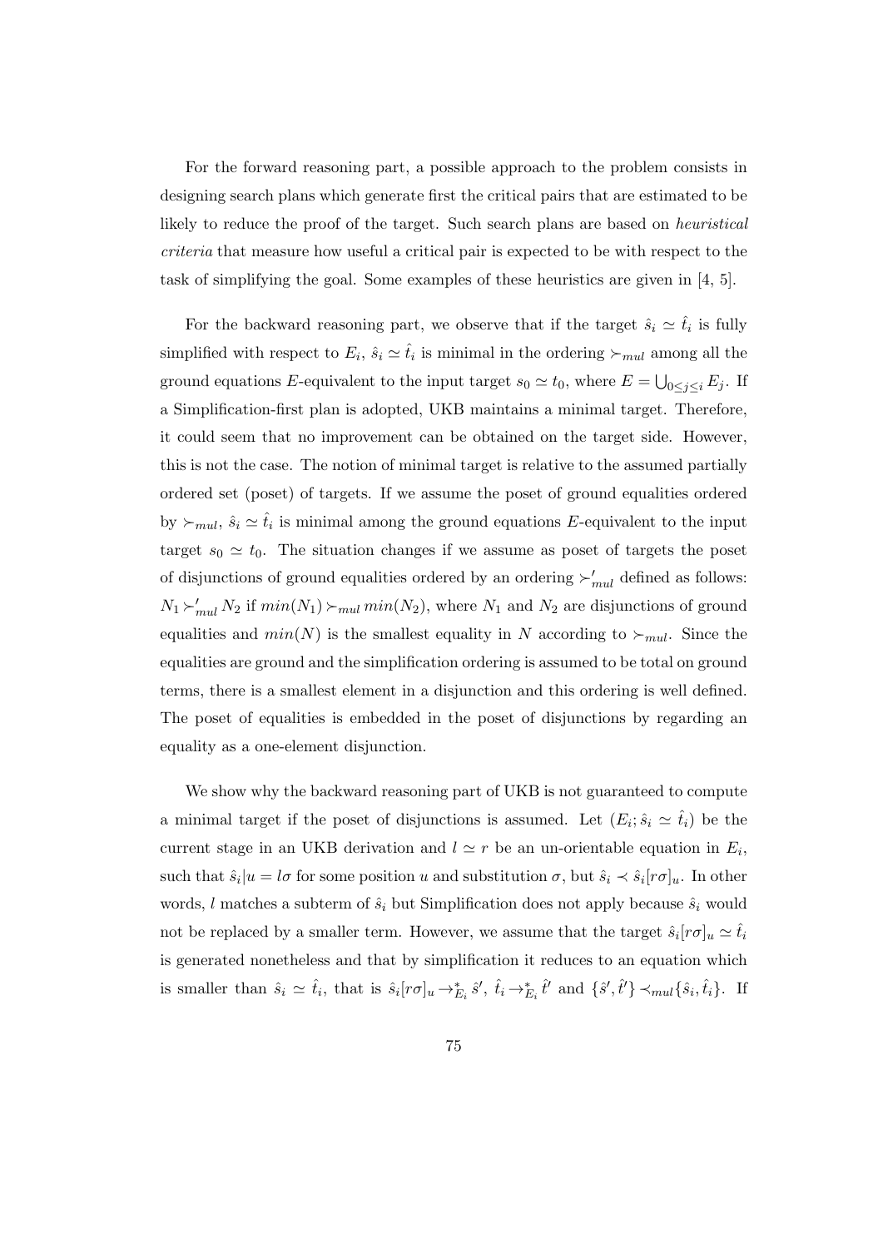For the forward reasoning part, a possible approach to the problem consists in designing search plans which generate first the critical pairs that are estimated to be likely to reduce the proof of the target. Such search plans are based on heuristical criteria that measure how useful a critical pair is expected to be with respect to the task of simplifying the goal. Some examples of these heuristics are given in [4, 5].

For the backward reasoning part, we observe that if the target  $\hat{s}_i \simeq \hat{t}_i$  is fully simplified with respect to  $E_i$ ,  $\hat{s}_i \simeq \hat{t}_i$  is minimal in the ordering  $\succ_{mul}$  among all the ground equations E-equivalent to the input target  $s_0 \simeq t_0$ , where  $E = \bigcup_{0 \leq j \leq i} E_j$ . If a Simplification-first plan is adopted, UKB maintains a minimal target. Therefore, it could seem that no improvement can be obtained on the target side. However, this is not the case. The notion of minimal target is relative to the assumed partially ordered set (poset) of targets. If we assume the poset of ground equalities ordered by  $\succ_{mul}$ ,  $\hat{s}_i \simeq \hat{t}_i$  is minimal among the ground equations E-equivalent to the input target  $s_0 \simeq t_0$ . The situation changes if we assume as poset of targets the poset of disjunctions of ground equalities ordered by an ordering  $\succ'_{mul}$  defined as follows:  $N_1 \sum_{mul} N_2$  if  $min(N_1) \sum_{mul} min(N_2)$ , where  $N_1$  and  $N_2$  are disjunctions of ground equalities and  $min(N)$  is the smallest equality in N according to  $\succ_{mul}$ . Since the equalities are ground and the simplification ordering is assumed to be total on ground terms, there is a smallest element in a disjunction and this ordering is well defined. The poset of equalities is embedded in the poset of disjunctions by regarding an equality as a one-element disjunction.

We show why the backward reasoning part of UKB is not guaranteed to compute a minimal target if the poset of disjunctions is assumed. Let  $(E_i; \hat{s}_i \simeq \hat{t}_i)$  be the current stage in an UKB derivation and  $l \simeq r$  be an un-orientable equation in  $E_i$ , such that  $\hat{s}_i|u = l\sigma$  for some position u and substitution  $\sigma$ , but  $\hat{s}_i \prec \hat{s}_i[r\sigma]_u$ . In other words, l matches a subterm of  $\hat{s}_i$  but Simplification does not apply because  $\hat{s}_i$  would not be replaced by a smaller term. However, we assume that the target  $\hat{s}_i[r\sigma]_u \simeq \hat{t}_i$ is generated nonetheless and that by simplification it reduces to an equation which is smaller than  $\hat{s}_i \simeq \hat{t}_i$ , that is  $\hat{s}_i[r\sigma]_u \to_{E_i}^* \hat{s}', \hat{t}_i \to_{E_i}^* \hat{t}'$  and  $\{\hat{s}', \hat{t}'\} \prec_{mul} \{\hat{s}_i, \hat{t}_i\}$ . If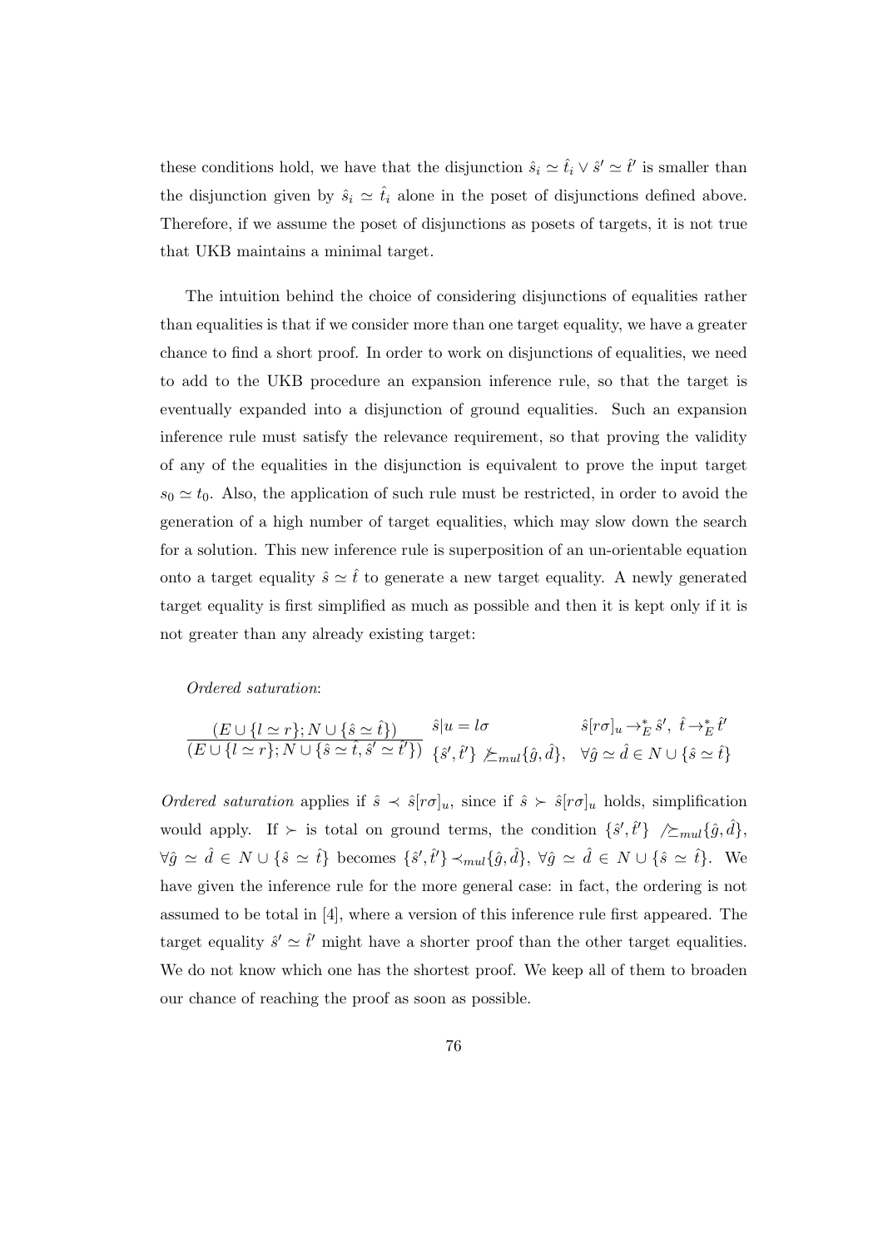these conditions hold, we have that the disjunction  $\hat{s}_i \simeq \hat{t}_i \vee \hat{s}' \simeq \hat{t}'$  is smaller than the disjunction given by  $\hat{s}_i \simeq \hat{t}_i$  alone in the poset of disjunctions defined above. Therefore, if we assume the poset of disjunctions as posets of targets, it is not true that UKB maintains a minimal target.

The intuition behind the choice of considering disjunctions of equalities rather than equalities is that if we consider more than one target equality, we have a greater chance to find a short proof. In order to work on disjunctions of equalities, we need to add to the UKB procedure an expansion inference rule, so that the target is eventually expanded into a disjunction of ground equalities. Such an expansion inference rule must satisfy the relevance requirement, so that proving the validity of any of the equalities in the disjunction is equivalent to prove the input target  $s_0 \simeq t_0$ . Also, the application of such rule must be restricted, in order to avoid the generation of a high number of target equalities, which may slow down the search for a solution. This new inference rule is superposition of an un-orientable equation onto a target equality  $\hat{s} \simeq \hat{t}$  to generate a new target equality. A newly generated target equality is first simplified as much as possible and then it is kept only if it is not greater than any already existing target:

Ordered saturation:

$$
\frac{(E\cup\{l\simeq r\};N\cup\{\hat{s}\simeq\hat{t}\})}{(E\cup\{l\simeq r\};N\cup\{\hat{s}\simeq\hat{t},\hat{s}'\simeq\hat{t}'\})}\begin{array}{l} \hat{s}|u=l\sigma \qquad & \hat{s}[r\sigma]_u\to_{E}^{*}\hat{s}',\ \hat{t}\to_{E}^{*}\hat{t}'\\ \{\hat{s}',\hat{t}'\}\not\varsubset_{mul}\{\hat{g},\hat{d}\},\ \ \forall \hat{g}\simeq\hat{d}\in N\cup\{\hat{s}\simeq\hat{t}\}\\ \end{array}
$$

Ordered saturation applies if  $\hat{s} \prec \hat{s}[r\sigma]_u$ , since if  $\hat{s} \succ \hat{s}[r\sigma]_u$  holds, simplification would apply. If  $\succ$  is total on ground terms, the condition  $\{\hat{s}', \hat{t}'\} \nearrow \succeq_{mul} {\{\hat{g}, \hat{d}\}}$ ,  $\forall \hat{g} \simeq \hat{d} \in N \cup \{\hat{s} \simeq \hat{t}\}\;$  becomes  $\{\hat{s}', \hat{t}'\} \prec_{mul} \{\hat{g}, \hat{d}\}, \; \forall \hat{g} \simeq \hat{d} \in N \cup \{\hat{s} \simeq \hat{t}\}.$  We have given the inference rule for the more general case: in fact, the ordering is not assumed to be total in [4], where a version of this inference rule first appeared. The target equality  $\hat{s}' \simeq \hat{t}'$  might have a shorter proof than the other target equalities. We do not know which one has the shortest proof. We keep all of them to broaden our chance of reaching the proof as soon as possible.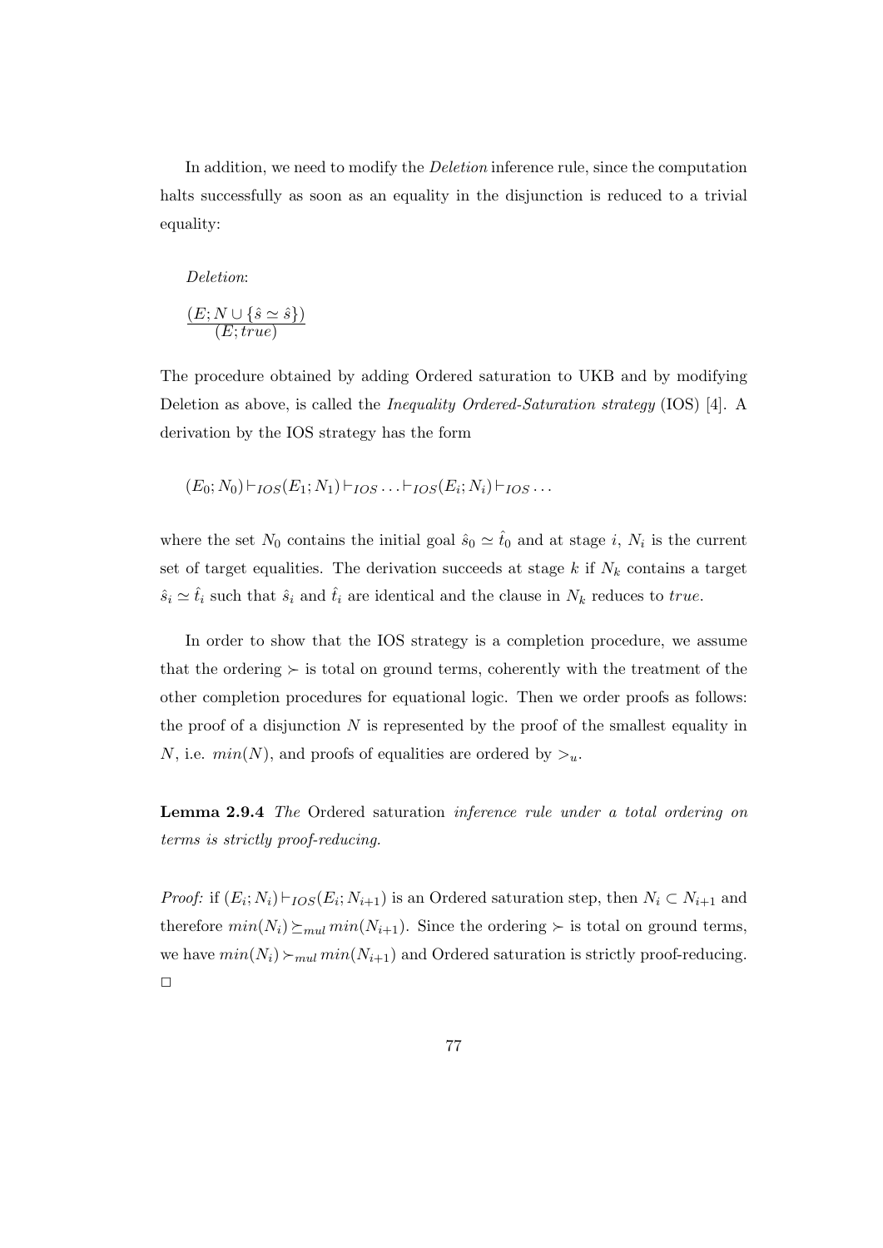In addition, we need to modify the Deletion inference rule, since the computation halts successfully as soon as an equality in the disjunction is reduced to a trivial equality:

#### Deletion:

$$
\frac{(E;N \cup \{\hat{s} \simeq \hat{s}\})}{(E; true)}
$$

The procedure obtained by adding Ordered saturation to UKB and by modifying Deletion as above, is called the Inequality Ordered-Saturation strategy (IOS) [4]. A derivation by the IOS strategy has the form

$$
(E_0; N_0) \vdash_{IOS}(E_1; N_1) \vdash_{IOS} \ldots \vdash_{IOS}(E_i; N_i) \vdash_{IOS} \ldots
$$

where the set  $N_0$  contains the initial goal  $\hat{s}_0 \simeq \hat{t}_0$  and at stage i,  $N_i$  is the current set of target equalities. The derivation succeeds at stage  $k$  if  $N_k$  contains a target  $\hat{s}_i \simeq \hat{t}_i$  such that  $\hat{s}_i$  and  $\hat{t}_i$  are identical and the clause in  $N_k$  reduces to true.

In order to show that the IOS strategy is a completion procedure, we assume that the ordering  $\succ$  is total on ground terms, coherently with the treatment of the other completion procedures for equational logic. Then we order proofs as follows: the proof of a disjunction  $N$  is represented by the proof of the smallest equality in N, i.e.  $min(N)$ , and proofs of equalities are ordered by  $\geq_u$ .

Lemma 2.9.4 The Ordered saturation inference rule under a total ordering on terms is strictly proof-reducing.

*Proof:* if  $(E_i; N_i) \vdash_{IOS}(E_i; N_{i+1})$  is an Ordered saturation step, then  $N_i \subset N_{i+1}$  and therefore  $min(N_i) \succeq_{mul} min(N_{i+1})$ . Since the ordering  $\succeq$  is total on ground terms, we have  $min(N_i) \succ_{mul} min(N_{i+1})$  and Ordered saturation is strictly proof-reducing.  $\Box$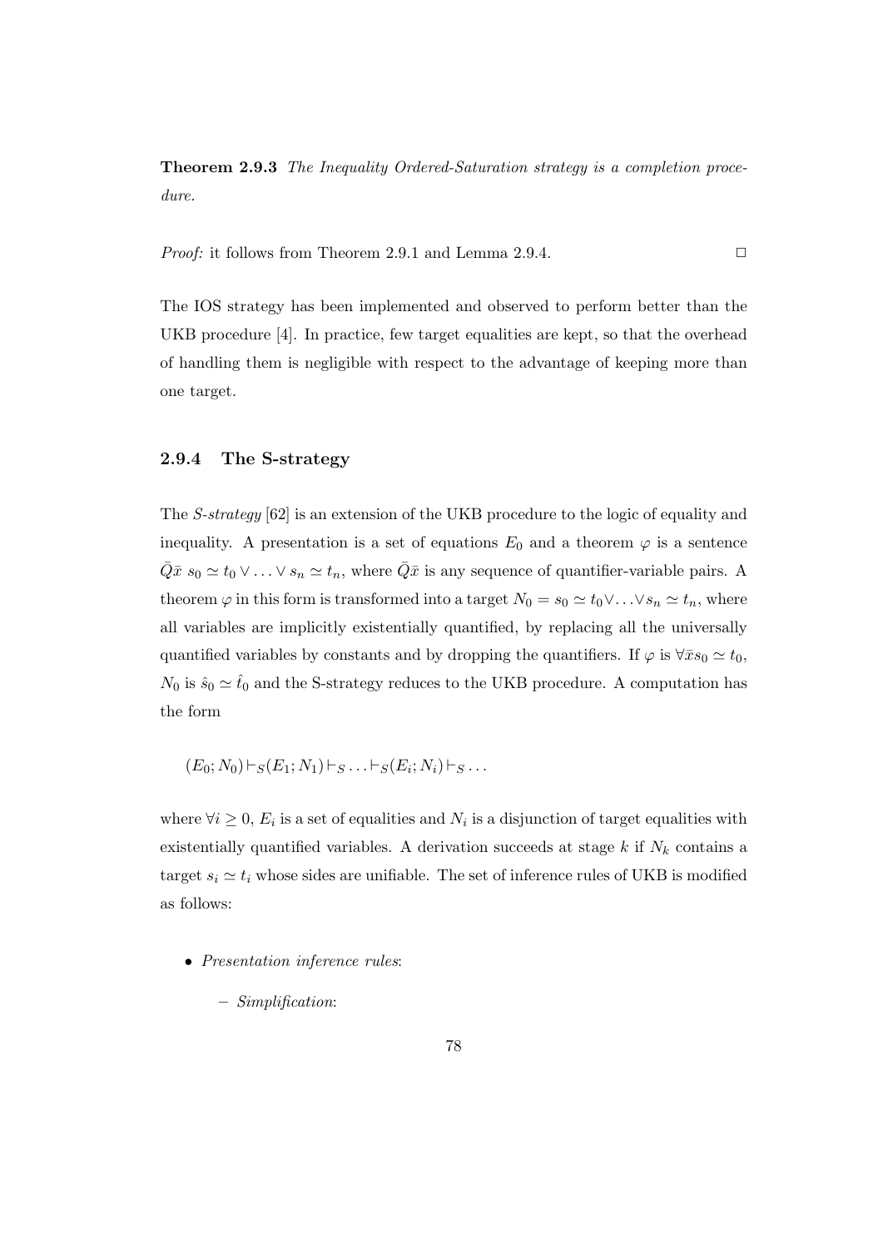Theorem 2.9.3 The Inequality Ordered-Saturation strategy is a completion procedure.

*Proof:* it follows from Theorem 2.9.1 and Lemma 2.9.4.  $\Box$ 

The IOS strategy has been implemented and observed to perform better than the UKB procedure [4]. In practice, few target equalities are kept, so that the overhead of handling them is negligible with respect to the advantage of keeping more than one target.

# 2.9.4 The S-strategy

The S-strategy [62] is an extension of the UKB procedure to the logic of equality and inequality. A presentation is a set of equations  $E_0$  and a theorem  $\varphi$  is a sentence  $\overline{Q}\bar{x}$  s<sub>0</sub>  $\simeq t_0 \vee \ldots \vee s_n \simeq t_n$ , where  $\overline{Q}\bar{x}$  is any sequence of quantifier-variable pairs. A theorem  $\varphi$  in this form is transformed into a target  $N_0 = s_0 \simeq t_0 \vee \ldots \vee s_n \simeq t_n$ , where all variables are implicitly existentially quantified, by replacing all the universally quantified variables by constants and by dropping the quantifiers. If  $\varphi$  is  $\forall \bar{x} s_0 \simeq t_0$ ,  $N_0$  is  $\hat{s}_0 \simeq \hat{t}_0$  and the S-strategy reduces to the UKB procedure. A computation has the form

$$
(E_0; N_0) \vdash_S (E_1; N_1) \vdash_S \ldots \vdash_S (E_i; N_i) \vdash_S \ldots
$$

where  $\forall i \geq 0$ ,  $E_i$  is a set of equalities and  $N_i$  is a disjunction of target equalities with existentially quantified variables. A derivation succeeds at stage  $k$  if  $N_k$  contains a target  $s_i \simeq t_i$  whose sides are unifiable. The set of inference rules of UKB is modified as follows:

- Presentation inference rules:
	- Simplification: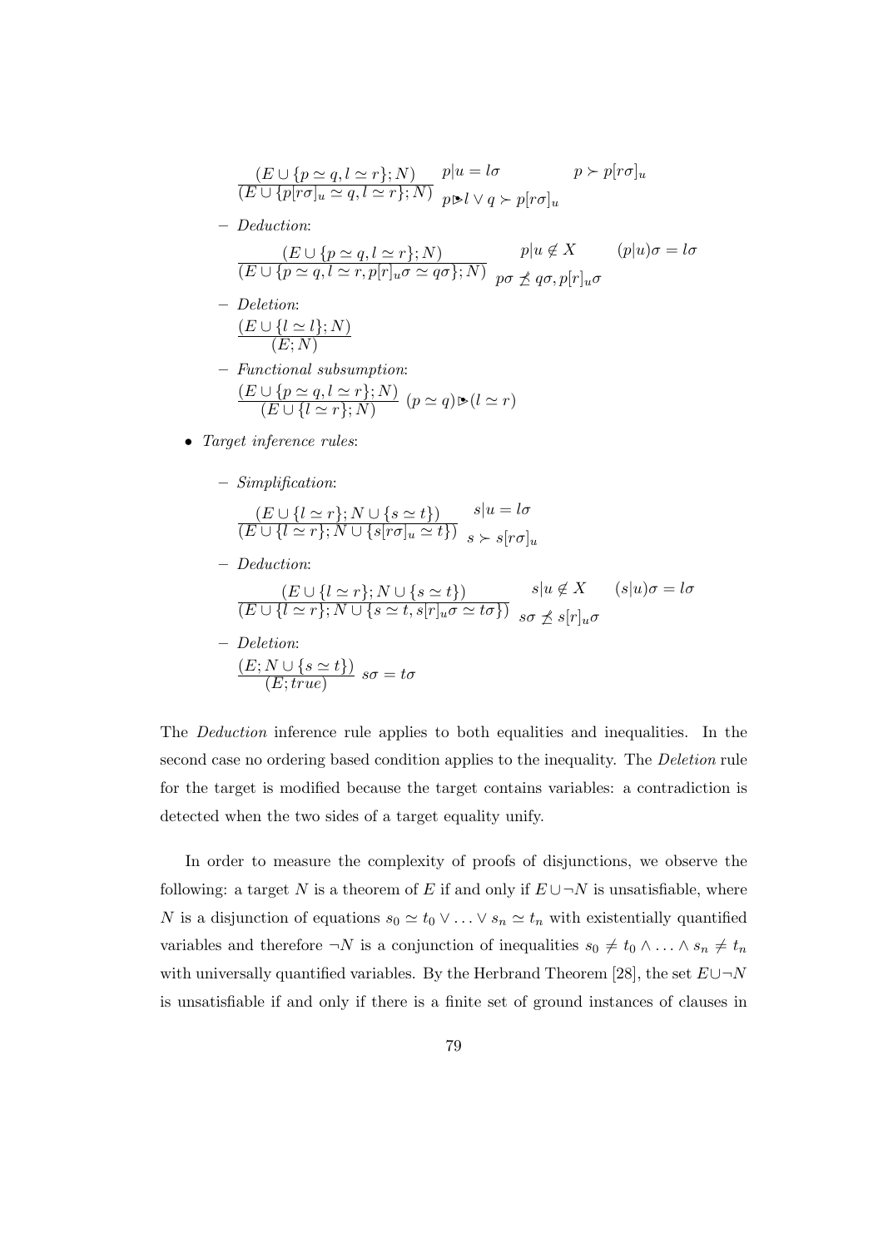$$
\frac{(E \cup \{p \simeq q, l \simeq r\}; N)}{(E \cup \{p[r\sigma]_u \simeq q, l \simeq r\}; N)} \quad p|u = l\sigma \qquad p \succ p[r\sigma]_u
$$
\n
$$
\frac{(E \cup \{p[r\sigma]_u \simeq q, l \simeq r\}; N)}{p \triangleright l \vee q \succ p[r\sigma]_u}
$$

– Deduction:

$$
\frac{(E \cup \{p \simeq q, l \simeq r\}; N)}{(E \cup \{p \simeq q, l \simeq r, p[r]_u \sigma \simeq q\sigma\}; N)} \quad p|u \notin X \quad (p|u)\sigma = l\sigma
$$

- Deletion:  $(E \cup \{l \simeq l\}; N)$  $(E; N)$
- Functional subsumption:  $(E \cup \{p \simeq q, l \simeq r\}; N)$  $\frac{C(p-q, t-r)$ ; iv)<br>  $(E \cup \{l \simeq r\}; N)$   $(p \simeq q) \triangleright (l \simeq r)$
- Target inference rules:
	- Simplification:

$$
\frac{(E \cup \{l \simeq r\}; N \cup \{s \simeq t\})}{(E \cup \{l \simeq r\}; N \cup \{s[r\sigma]_u \simeq t\})} \quad s|u = l\sigma
$$

– Deduction:

$$
\frac{(E \cup \{l \simeq r\}; N \cup \{s \simeq t\})}{(E \cup \{l \simeq r\}; N \cup \{s \simeq t, s[r]_u \sigma \simeq t\sigma\})} \quad s|u \notin X \quad (s|u)\sigma = l\sigma
$$
\n
$$
\frac{(E \cup \{l \simeq r\}; N \cup \{s \simeq t, s[r]_u \sigma \simeq t\sigma\})}{s\sigma \npreceq s[r]_u \sigma}
$$

– Deletion:  $(E; N \cup \{s \simeq t\})$  $\frac{N \cup \{3 - \ell\}}{(E; true)}$  so = to

The Deduction inference rule applies to both equalities and inequalities. In the second case no ordering based condition applies to the inequality. The Deletion rule for the target is modified because the target contains variables: a contradiction is detected when the two sides of a target equality unify.

In order to measure the complexity of proofs of disjunctions, we observe the following: a target N is a theorem of E if and only if  $E \cup \neg N$  is unsatisfiable, where N is a disjunction of equations  $s_0 \simeq t_0 \vee \ldots \vee s_n \simeq t_n$  with existentially quantified variables and therefore  $\neg N$  is a conjunction of inequalities  $s_0 \neq t_0 \wedge \ldots \wedge s_n \neq t_n$ with universally quantified variables. By the Herbrand Theorem [28], the set  $E\cup\neg N$ is unsatisfiable if and only if there is a finite set of ground instances of clauses in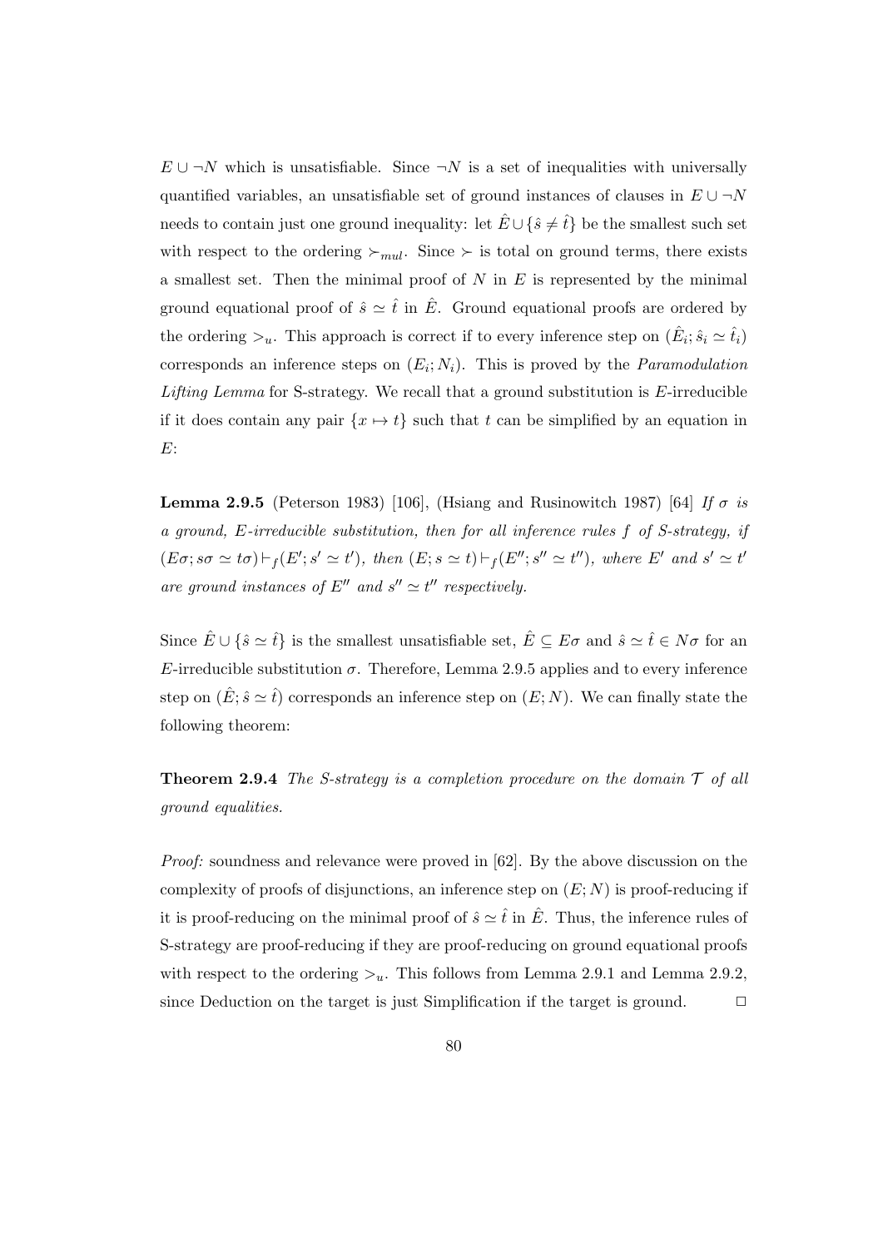$E \cup \neg N$  which is unsatisfiable. Since  $\neg N$  is a set of inequalities with universally quantified variables, an unsatisfiable set of ground instances of clauses in  $E \cup \neg N$ needs to contain just one ground inequality: let  $\hat{E} \cup {\hat{s} \neq \hat{t}}$  be the smallest such set with respect to the ordering  $\succ_{mul}$ . Since  $\succ$  is total on ground terms, there exists a smallest set. Then the minimal proof of  $N$  in  $E$  is represented by the minimal ground equational proof of  $\hat{s} \simeq \hat{t}$  in  $\hat{E}$ . Ground equational proofs are ordered by the ordering  $\gtrsim_u$ . This approach is correct if to every inference step on  $(\hat{E}_i; \hat{s}_i \simeq \hat{t}_i)$ corresponds an inference steps on  $(E_i; N_i)$ . This is proved by the *Paramodulation* Lifting Lemma for S-strategy. We recall that a ground substitution is  $E$ -irreducible if it does contain any pair  $\{x \mapsto t\}$  such that t can be simplified by an equation in E:

**Lemma 2.9.5** (Peterson 1983) [106], (Hsiang and Rusinowitch 1987) [64] If  $\sigma$  is a ground, E-irreducible substitution, then for all inference rules f of S-strategy, if  $(E\sigma; s\sigma \simeq t\sigma) \vdash_f (E'; s' \simeq t')$ , then  $(E; s \simeq t) \vdash_f (E''; s'' \simeq t'')$ , where E' and  $s' \simeq t'$ are ground instances of E'' and  $s'' \simeq t''$  respectively.

Since  $\hat{E} \cup \{\hat{s} \simeq \hat{t}\}\$ is the smallest unsatisfiable set,  $\hat{E} \subseteq E\sigma$  and  $\hat{s} \simeq \hat{t} \in N\sigma$  for an E-irreducible substitution  $\sigma$ . Therefore, Lemma 2.9.5 applies and to every inference step on  $(\hat{E}; \hat{s} \simeq \hat{t})$  corresponds an inference step on  $(E; N)$ . We can finally state the following theorem:

**Theorem 2.9.4** The S-strategy is a completion procedure on the domain  $\mathcal{T}$  of all ground equalities.

Proof: soundness and relevance were proved in [62]. By the above discussion on the complexity of proofs of disjunctions, an inference step on  $(E; N)$  is proof-reducing if it is proof-reducing on the minimal proof of  $\hat{s} \simeq \hat{t}$  in  $\hat{E}$ . Thus, the inference rules of S-strategy are proof-reducing if they are proof-reducing on ground equational proofs with respect to the ordering  $\geq_u$ . This follows from Lemma 2.9.1 and Lemma 2.9.2, since Deduction on the target is just Simplification if the target is ground.  $\Box$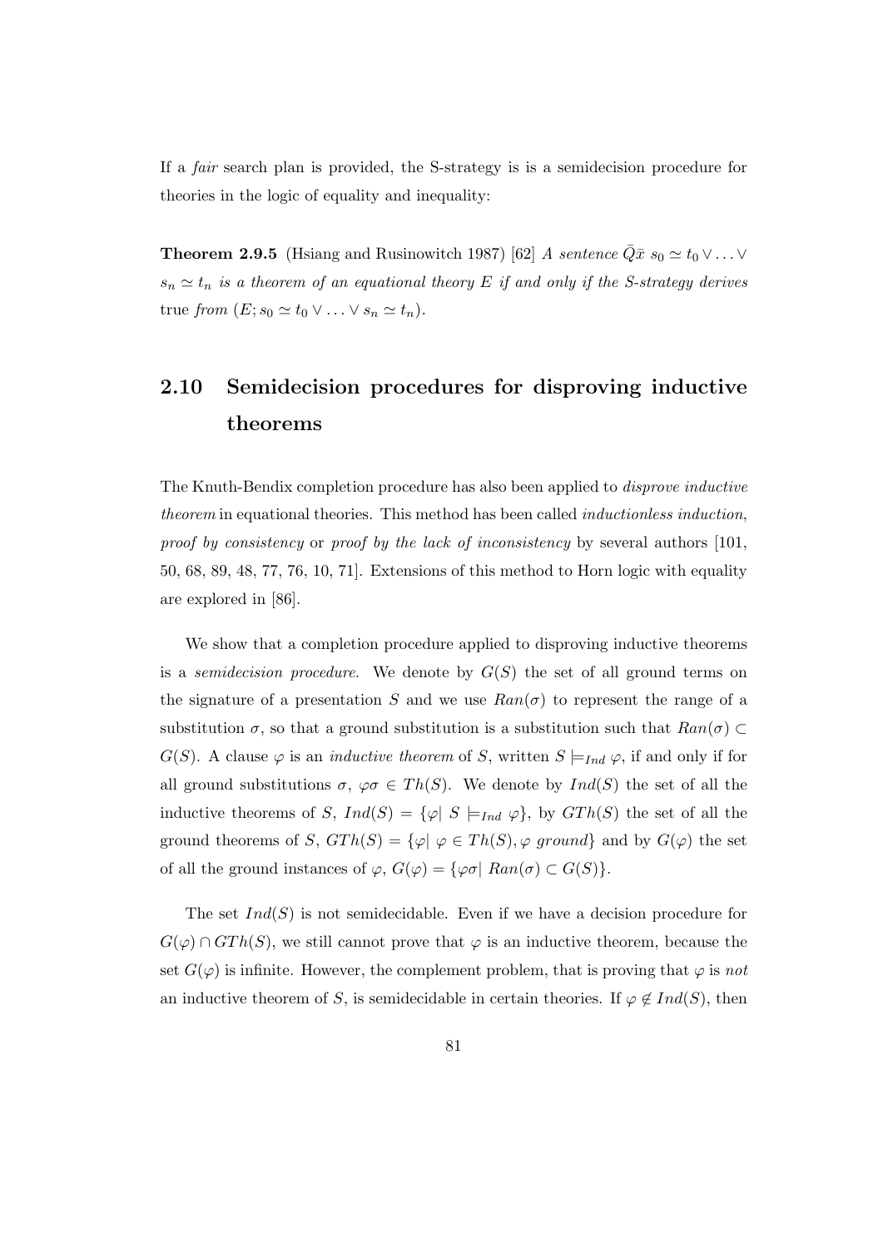If a fair search plan is provided, the S-strategy is is a semidecision procedure for theories in the logic of equality and inequality:

**Theorem 2.9.5** (Hsiang and Rusinowitch 1987) [62] A sentence  $\overline{Q}\bar{x} s_0 \simeq t_0 \vee \ldots \vee$  $s_n \simeq t_n$  is a theorem of an equational theory E if and only if the S-strategy derives true from  $(E; s_0 \simeq t_0 \vee \ldots \vee s_n \simeq t_n)$ .

# 2.10 Semidecision procedures for disproving inductive theorems

The Knuth-Bendix completion procedure has also been applied to disprove inductive theorem in equational theories. This method has been called *inductionless induction*, proof by consistency or proof by the lack of inconsistency by several authors [101, 50, 68, 89, 48, 77, 76, 10, 71]. Extensions of this method to Horn logic with equality are explored in [86].

We show that a completion procedure applied to disproving inductive theorems is a *semidecision procedure*. We denote by  $G(S)$  the set of all ground terms on the signature of a presentation S and we use  $Ran(\sigma)$  to represent the range of a substitution  $\sigma$ , so that a ground substitution is a substitution such that  $Ran(\sigma) \subset$  $G(S)$ . A clause  $\varphi$  is an *inductive theorem* of S, written  $S \models_{Ind} \varphi$ , if and only if for all ground substitutions  $\sigma$ ,  $\varphi \sigma \in Th(S)$ . We denote by  $Ind(S)$  the set of all the inductive theorems of S,  $Ind(S) = {\varphi | S \models_{Ind} \varphi}$ , by  $GTh(S)$  the set of all the ground theorems of S,  $GTh(S) = \{\varphi | \varphi \in Th(S), \varphi \text{ ground}\}\$ and by  $G(\varphi)$  the set of all the ground instances of  $\varphi$ ,  $G(\varphi) = {\varphi \sigma | \text{ Ran}(\sigma) \subset G(S)}$ .

The set  $Ind(S)$  is not semidecidable. Even if we have a decision procedure for  $G(\varphi) \cap GTh(S)$ , we still cannot prove that  $\varphi$  is an inductive theorem, because the set  $G(\varphi)$  is infinite. However, the complement problem, that is proving that  $\varphi$  is not an inductive theorem of S, is semidecidable in certain theories. If  $\varphi \notin Ind(S)$ , then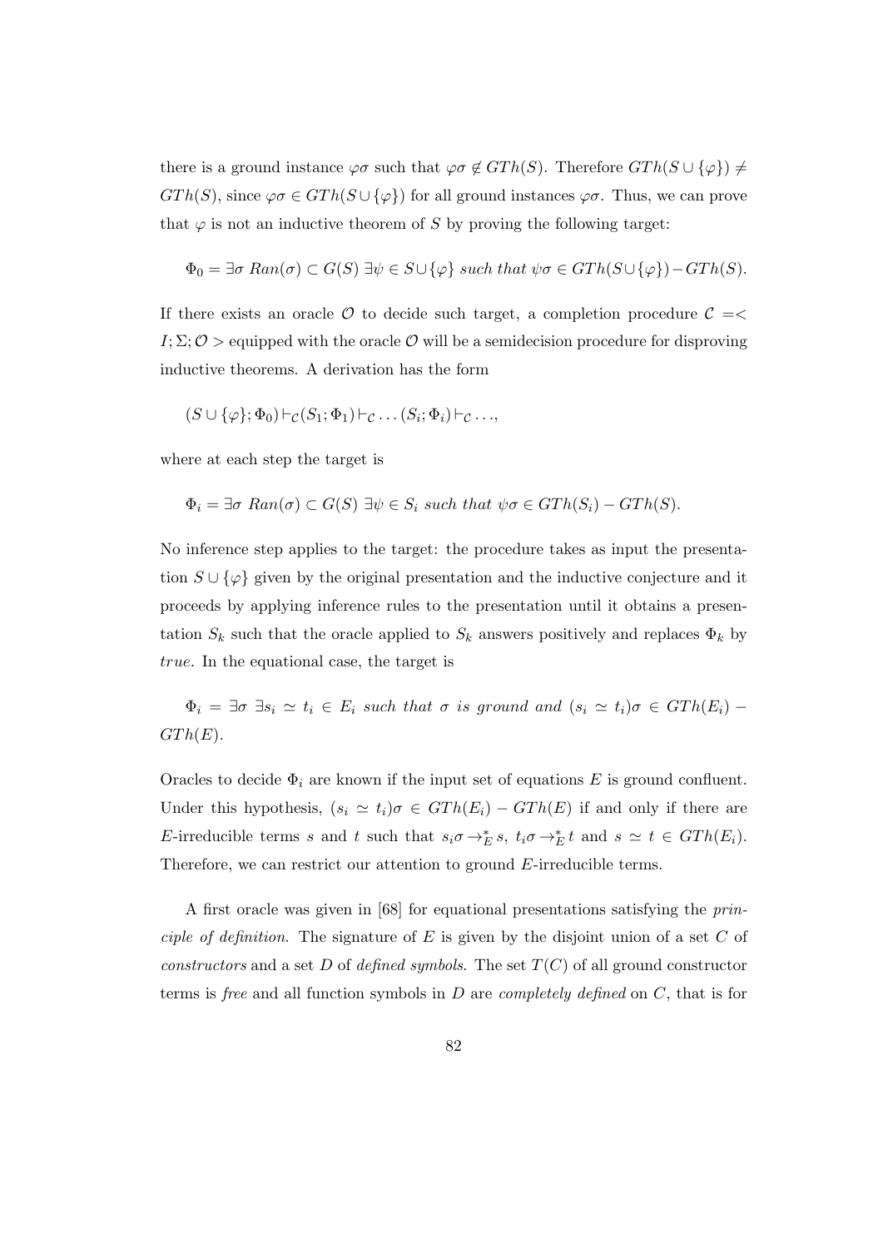there is a ground instance  $\varphi \sigma$  such that  $\varphi \sigma \notin GTh(S)$ . Therefore  $GTh(S \cup {\varphi}) \neq$  $GTh(S)$ , since  $\varphi \sigma \in GTh(S \cup {\varphi})$  for all ground instances  $\varphi \sigma$ . Thus, we can prove that  $\varphi$  is not an inductive theorem of S by proving the following target:

$$
\Phi_0 = \exists \sigma \ Ran(\sigma) \subset G(S) \exists \psi \in S \cup \{\varphi\} \ such \ that \ \psi \sigma \in GTh(S \cup \{\varphi\}) - GTh(S).
$$

If there exists an oracle  $\mathcal O$  to decide such target, a completion procedure  $\mathcal C = \langle$  $I; \Sigma; \mathcal{O} >$  equipped with the oracle  $\mathcal O$  will be a semidecision procedure for disproving inductive theorems. A derivation has the form

$$
(S \cup \{\varphi\}; \Phi_0) \vdash_{\mathcal{C}} (S_1; \Phi_1) \vdash_{\mathcal{C}} \ldots (S_i; \Phi_i) \vdash_{\mathcal{C}} \ldots,
$$

where at each step the target is

$$
\Phi_i = \exists \sigma \ Ran(\sigma) \subset G(S) \exists \psi \in S_i \ such \ that \ \psi \sigma \in GTh(S_i) - GTh(S).
$$

No inference step applies to the target: the procedure takes as input the presentation  $S \cup {\varphi}$  given by the original presentation and the inductive conjecture and it proceeds by applying inference rules to the presentation until it obtains a presentation  $S_k$  such that the oracle applied to  $S_k$  answers positively and replaces  $\Phi_k$  by true. In the equational case, the target is

 $\Phi_i = \exists \sigma \; \exists s_i \simeq t_i \in E_i$  such that  $\sigma$  is ground and  $(s_i \simeq t_i)\sigma \in GTh(E_i)$  - $GTh(E).$ 

Oracles to decide  $\Phi_i$  are known if the input set of equations E is ground confluent. Under this hypothesis,  $(s_i \simeq t_i)\sigma \in GTh(E_i) - GTh(E)$  if and only if there are E-irreducible terms s and t such that  $s_i \sigma \rightarrow_E^* s$ ,  $t_i \sigma \rightarrow_E^* t$  and  $s \simeq t \in GTh(E_i)$ . Therefore, we can restrict our attention to ground E-irreducible terms.

A first oracle was given in [68] for equational presentations satisfying the principle of definition. The signature of  $E$  is given by the disjoint union of a set  $C$  of constructors and a set D of defined symbols. The set  $T(C)$  of all ground constructor terms is free and all function symbols in  $D$  are *completely defined* on  $C$ , that is for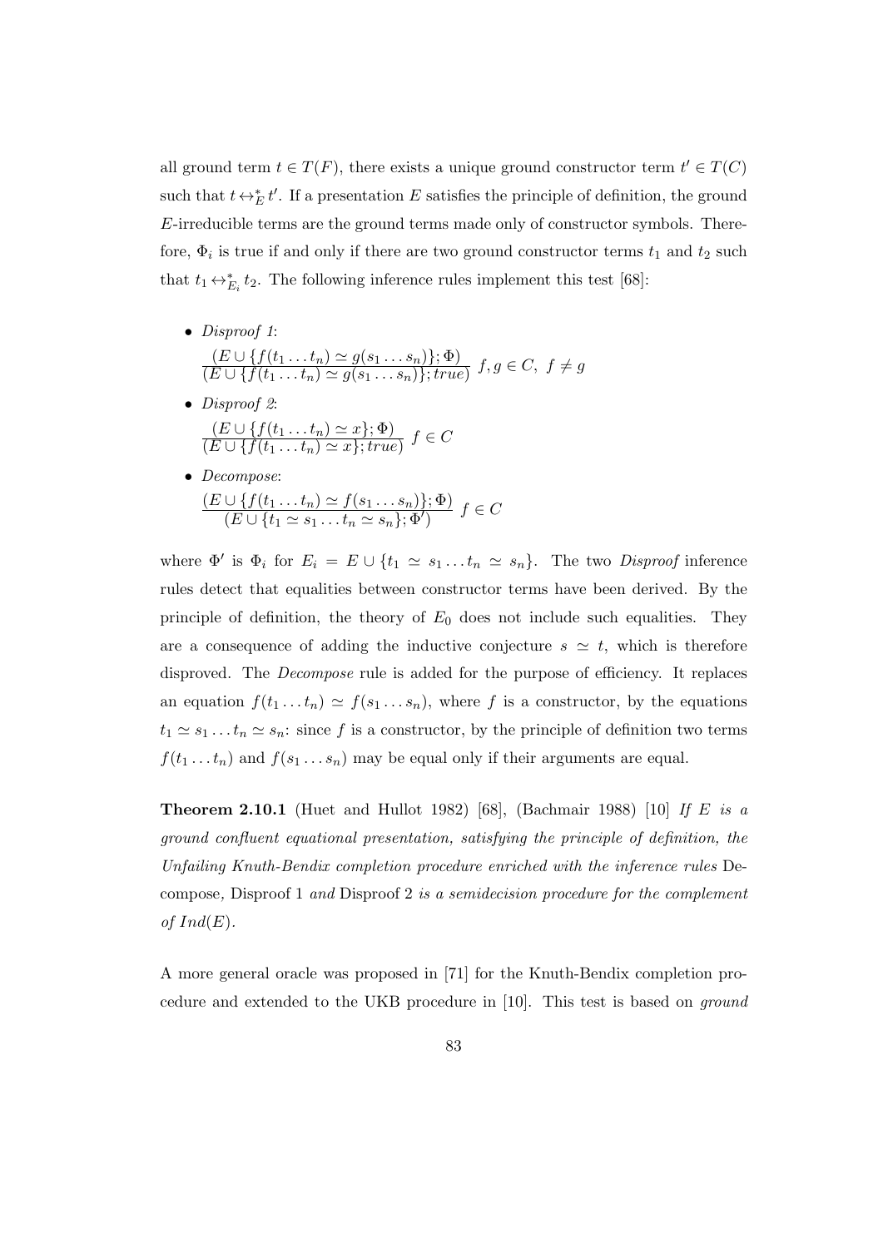all ground term  $t \in T(F)$ , there exists a unique ground constructor term  $t' \in T(C)$ such that  $t \leftrightarrow_E^* t'$ . If a presentation E satisfies the principle of definition, the ground E-irreducible terms are the ground terms made only of constructor symbols. Therefore,  $\Phi_i$  is true if and only if there are two ground constructor terms  $t_1$  and  $t_2$  such that  $t_1 \leftrightarrow_{E_i}^* t_2$ . The following inference rules implement this test [68]:

- Disproof 1:  $(E \cup \{f(t_1 \ldots t_n) \simeq g(s_1 \ldots s_n)\}; \Phi)$  $\frac{(E\cup\{f(t_1\ldots t_n)-g(s_1\ldots s_n)f, \Psi\})}{(E\cup\{f(t_1\ldots t_n)\simeq g(s_1\ldots s_n)\}; true)} f, g\in C, f\neq g$
- Disproof 2:  $(E \cup \{f(t_1 \ldots t_n) \simeq x\}; \Phi)$  $\frac{(E \cup \{f(t_1 \ldots t_n) = x\}, \mathtt{v})}{(E \cup \{f(t_1 \ldots t_n) \simeq x\}; true)} f \in C$
- Decompose:  $(E \cup \{f(t_1 ... t_n) \simeq f(s_1 ... s_n)\}; \Phi)$  $\frac{\cup \{f_1 \cup \dots \cup f_n = f(s_1 \dots s_n)f_j \cdot \mathbf{x}^j}{(E \cup \{t_1 \simeq s_1 \dots t_n \simeq s_n\}; \Phi')} f \in C$

where  $\Phi'$  is  $\Phi_i$  for  $E_i = E \cup \{t_1 \simeq s_1 ... t_n \simeq s_n\}$ . The two *Disproof* inference rules detect that equalities between constructor terms have been derived. By the principle of definition, the theory of  $E_0$  does not include such equalities. They are a consequence of adding the inductive conjecture  $s \simeq t$ , which is therefore disproved. The *Decompose* rule is added for the purpose of efficiency. It replaces an equation  $f(t_1 \ldots t_n) \simeq f(s_1 \ldots s_n)$ , where f is a constructor, by the equations  $t_1 \simeq s_1 \dots t_n \simeq s_n$ : since f is a constructor, by the principle of definition two terms  $f(t_1 \ldots t_n)$  and  $f(s_1 \ldots s_n)$  may be equal only if their arguments are equal.

**Theorem 2.10.1** (Huet and Hullot 1982) [68], (Bachmair 1988) [10] If E is a ground confluent equational presentation, satisfying the principle of definition, the Unfailing Knuth-Bendix completion procedure enriched with the inference rules Decompose, Disproof 1 and Disproof 2 is a semidecision procedure for the complement of  $Ind(E)$ .

A more general oracle was proposed in [71] for the Knuth-Bendix completion procedure and extended to the UKB procedure in [10]. This test is based on ground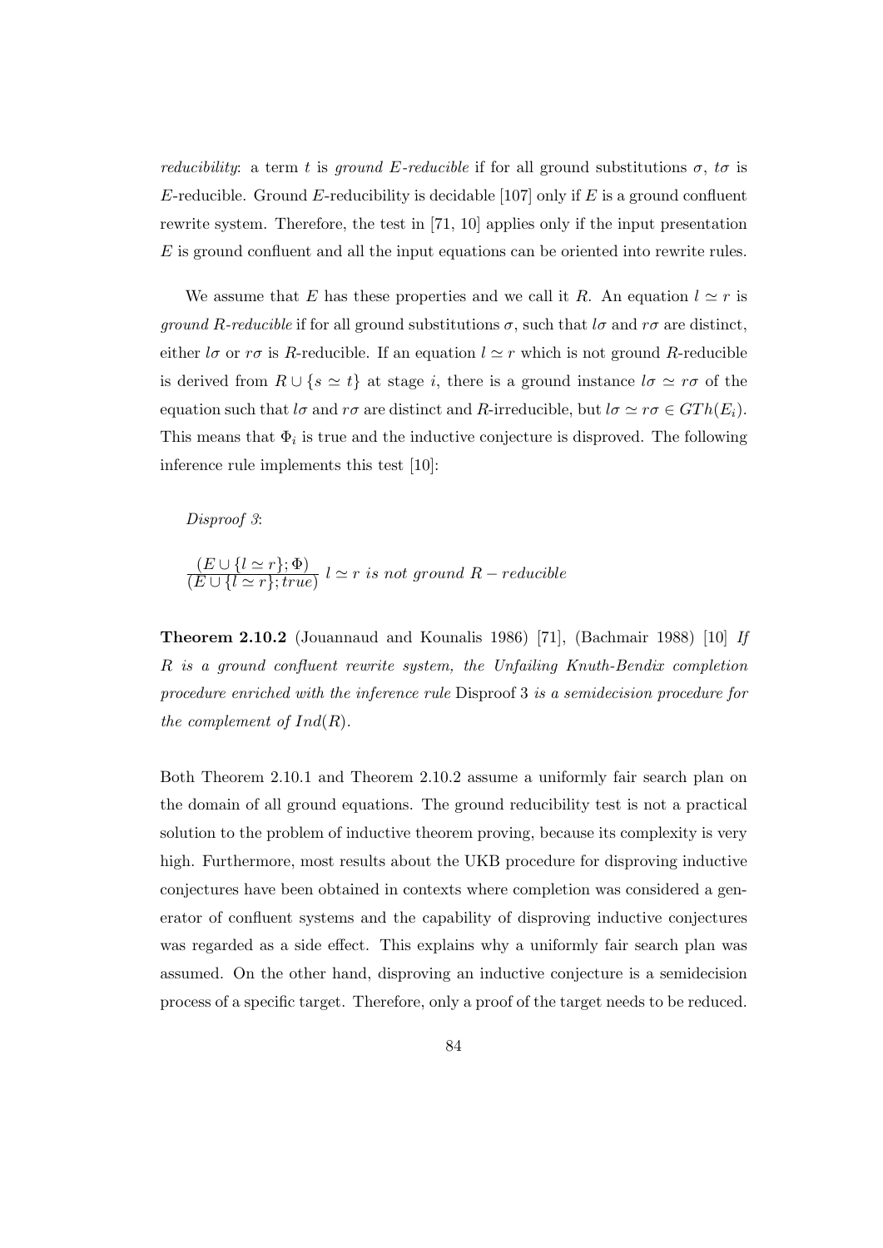*reducibility:* a term t is ground E-reducible if for all ground substitutions  $\sigma$ , to is E-reducible. Ground E-reducibility is decidable [107] only if E is a ground confluent rewrite system. Therefore, the test in [71, 10] applies only if the input presentation E is ground confluent and all the input equations can be oriented into rewrite rules.

We assume that E has these properties and we call it R. An equation  $l \simeq r$  is *ground R-reducible* if for all ground substitutions  $\sigma$ , such that  $l\sigma$  and  $r\sigma$  are distinct, either lσ or  $r\sigma$  is R-reducible. If an equation  $l \simeq r$  which is not ground R-reducible is derived from  $R \cup \{s \simeq t\}$  at stage i, there is a ground instance  $l\sigma \simeq r\sigma$  of the equation such that  $l\sigma$  and  $r\sigma$  are distinct and R-irreducible, but  $l\sigma \simeq r\sigma \in GTh(E_i)$ . This means that  $\Phi_i$  is true and the inductive conjecture is disproved. The following inference rule implements this test [10]:

Disproof 3:

$$
\frac{(E \cup \{l \simeq r\}; \Phi)}{(E \cup \{l \simeq r\}; true)} l \simeq r \text{ is not ground } R-reducible
$$

Theorem 2.10.2 (Jouannaud and Kounalis 1986) [71], (Bachmair 1988) [10] If R is a ground confluent rewrite system, the Unfailing Knuth-Bendix completion procedure enriched with the inference rule Disproof 3 is a semidecision procedure for the complement of  $Ind(R)$ .

Both Theorem 2.10.1 and Theorem 2.10.2 assume a uniformly fair search plan on the domain of all ground equations. The ground reducibility test is not a practical solution to the problem of inductive theorem proving, because its complexity is very high. Furthermore, most results about the UKB procedure for disproving inductive conjectures have been obtained in contexts where completion was considered a generator of confluent systems and the capability of disproving inductive conjectures was regarded as a side effect. This explains why a uniformly fair search plan was assumed. On the other hand, disproving an inductive conjecture is a semidecision process of a specific target. Therefore, only a proof of the target needs to be reduced.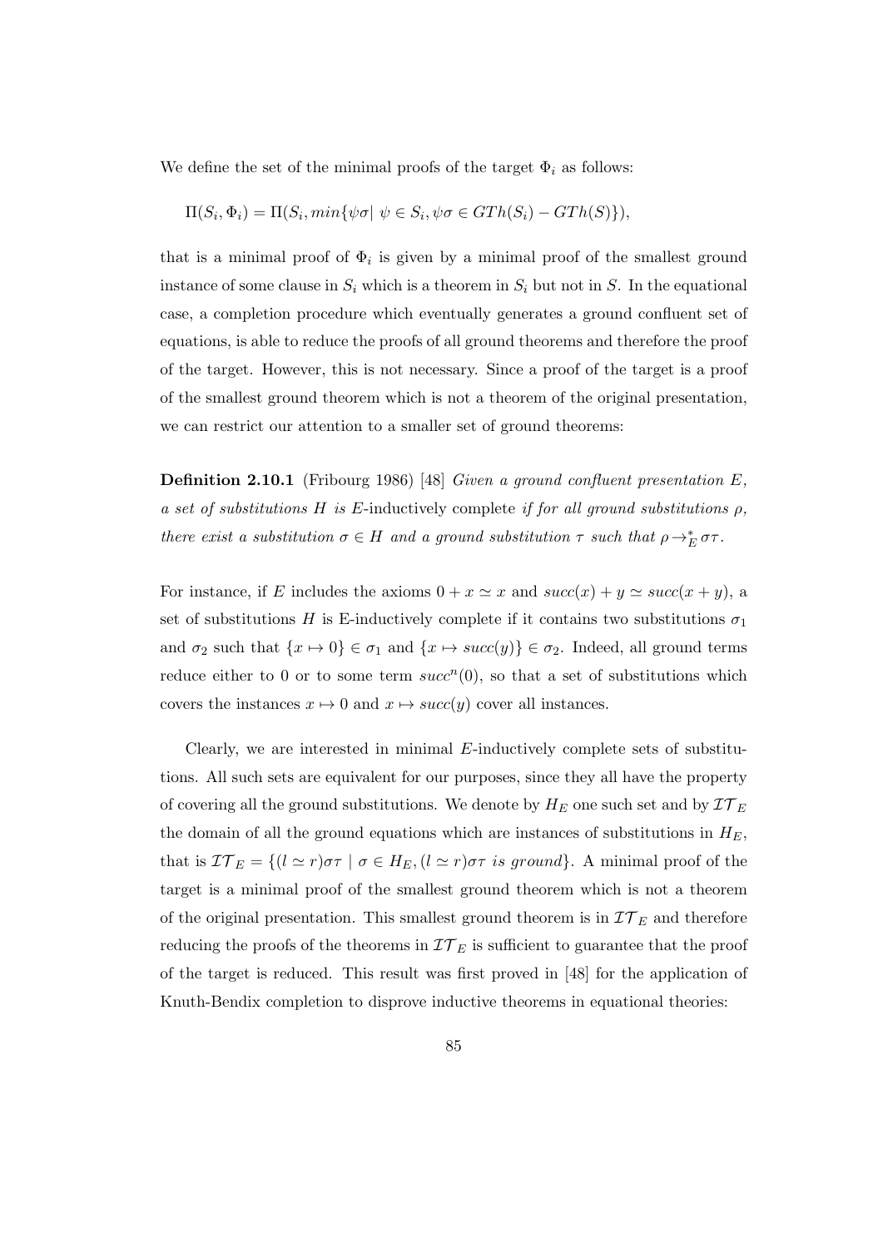We define the set of the minimal proofs of the target  $\Phi_i$  as follows:

$$
\Pi(S_i, \Phi_i) = \Pi(S_i, \min\{\psi \sigma \mid \psi \in S_i, \psi \sigma \in GTh(S_i) - GTh(S)\},
$$

that is a minimal proof of  $\Phi_i$  is given by a minimal proof of the smallest ground instance of some clause in  $S_i$  which is a theorem in  $S_i$  but not in S. In the equational case, a completion procedure which eventually generates a ground confluent set of equations, is able to reduce the proofs of all ground theorems and therefore the proof of the target. However, this is not necessary. Since a proof of the target is a proof of the smallest ground theorem which is not a theorem of the original presentation, we can restrict our attention to a smaller set of ground theorems:

Definition 2.10.1 (Fribourg 1986) [48] Given a ground confluent presentation E, a set of substitutions H is E-inductively complete if for all ground substitutions  $\rho$ , there exist a substitution  $\sigma \in H$  and a ground substitution  $\tau$  such that  $\rho \to_E^* \sigma \tau$ .

For instance, if E includes the axioms  $0 + x \simeq x$  and  $succ(x) + y \simeq succ(x + y)$ , a set of substitutions H is E-inductively complete if it contains two substitutions  $\sigma_1$ and  $\sigma_2$  such that  $\{x \mapsto 0\} \in \sigma_1$  and  $\{x \mapsto succ(y)\} \in \sigma_2$ . Indeed, all ground terms reduce either to 0 or to some term  $succ^n(0)$ , so that a set of substitutions which covers the instances  $x \mapsto 0$  and  $x \mapsto succ(y)$  cover all instances.

Clearly, we are interested in minimal  $E$ -inductively complete sets of substitutions. All such sets are equivalent for our purposes, since they all have the property of covering all the ground substitutions. We denote by  $H_E$  one such set and by  $\mathcal{I}T_E$ the domain of all the ground equations which are instances of substitutions in  $H_E$ , that is  $\mathcal{I}\mathcal{T}_E = \{(l \simeq r)\sigma\tau \mid \sigma \in H_E, (l \simeq r)\sigma\tau \text{ is ground}\}.$  A minimal proof of the target is a minimal proof of the smallest ground theorem which is not a theorem of the original presentation. This smallest ground theorem is in  $\mathcal{I}\mathcal{T}_E$  and therefore reducing the proofs of the theorems in  $\mathcal{IT}_E$  is sufficient to guarantee that the proof of the target is reduced. This result was first proved in [48] for the application of Knuth-Bendix completion to disprove inductive theorems in equational theories: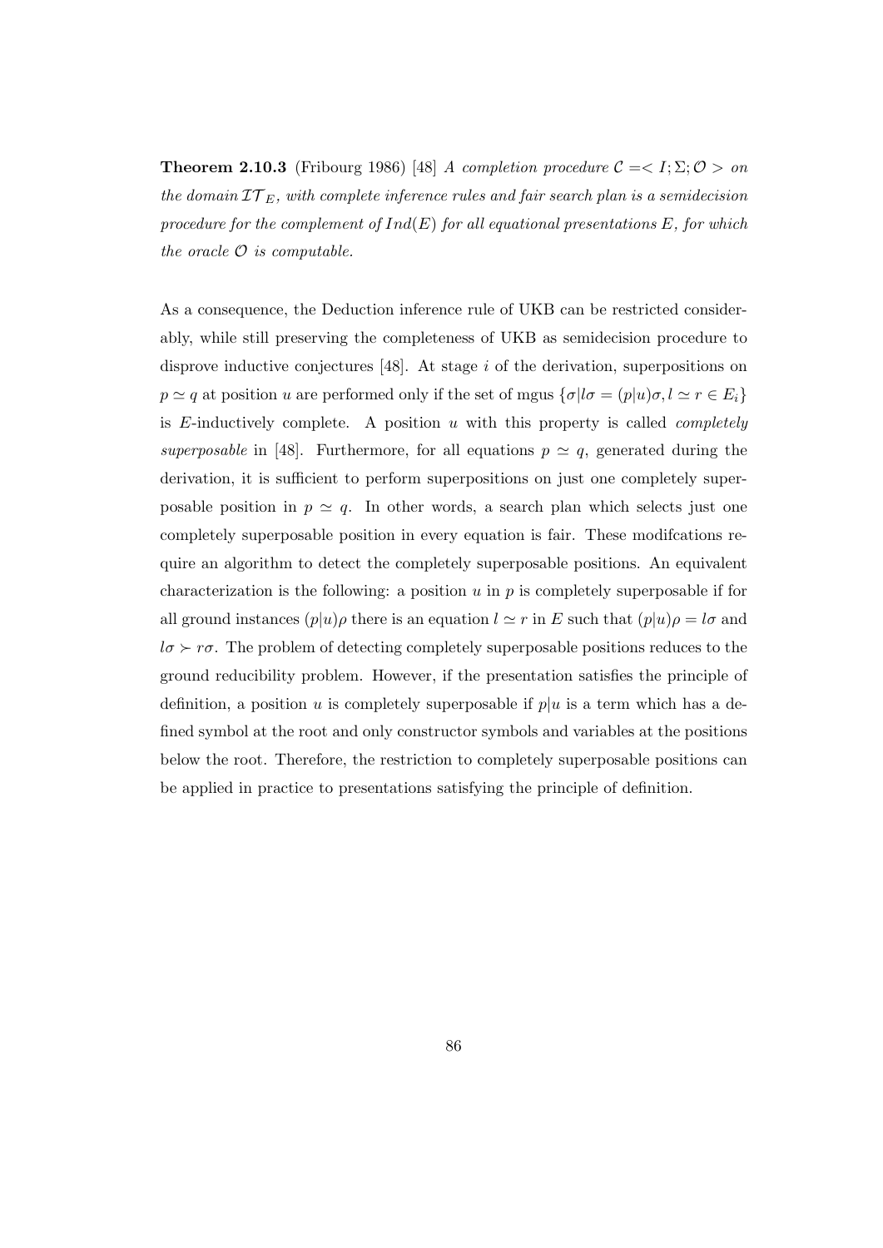**Theorem 2.10.3** (Fribourg 1986) [48] A completion procedure  $C = \langle I; \Sigma; \mathcal{O} \rangle$  on the domain  $TT_E$ , with complete inference rules and fair search plan is a semidecision procedure for the complement of  $Ind(E)$  for all equational presentations E, for which the oracle  $\mathcal O$  is computable.

As a consequence, the Deduction inference rule of UKB can be restricted considerably, while still preserving the completeness of UKB as semidecision procedure to disprove inductive conjectures [48]. At stage i of the derivation, superpositions on  $p \simeq q$  at position u are performed only if the set of mgus  $\{\sigma | l\sigma = (p|u)\sigma, l \simeq r \in E_i\}$ is E-inductively complete. A position  $u$  with this property is called *completely* superposable in [48]. Furthermore, for all equations  $p \simeq q$ , generated during the derivation, it is sufficient to perform superpositions on just one completely superposable position in  $p \simeq q$ . In other words, a search plan which selects just one completely superposable position in every equation is fair. These modifcations require an algorithm to detect the completely superposable positions. An equivalent characterization is the following: a position  $u$  in  $p$  is completely superposable if for all ground instances  $(p|u)\rho$  there is an equation  $l \simeq r$  in E such that  $(p|u)\rho = l\sigma$  and  $l\sigma \succ r\sigma$ . The problem of detecting completely superposable positions reduces to the ground reducibility problem. However, if the presentation satisfies the principle of definition, a position u is completely superposable if  $p|u$  is a term which has a defined symbol at the root and only constructor symbols and variables at the positions below the root. Therefore, the restriction to completely superposable positions can be applied in practice to presentations satisfying the principle of definition.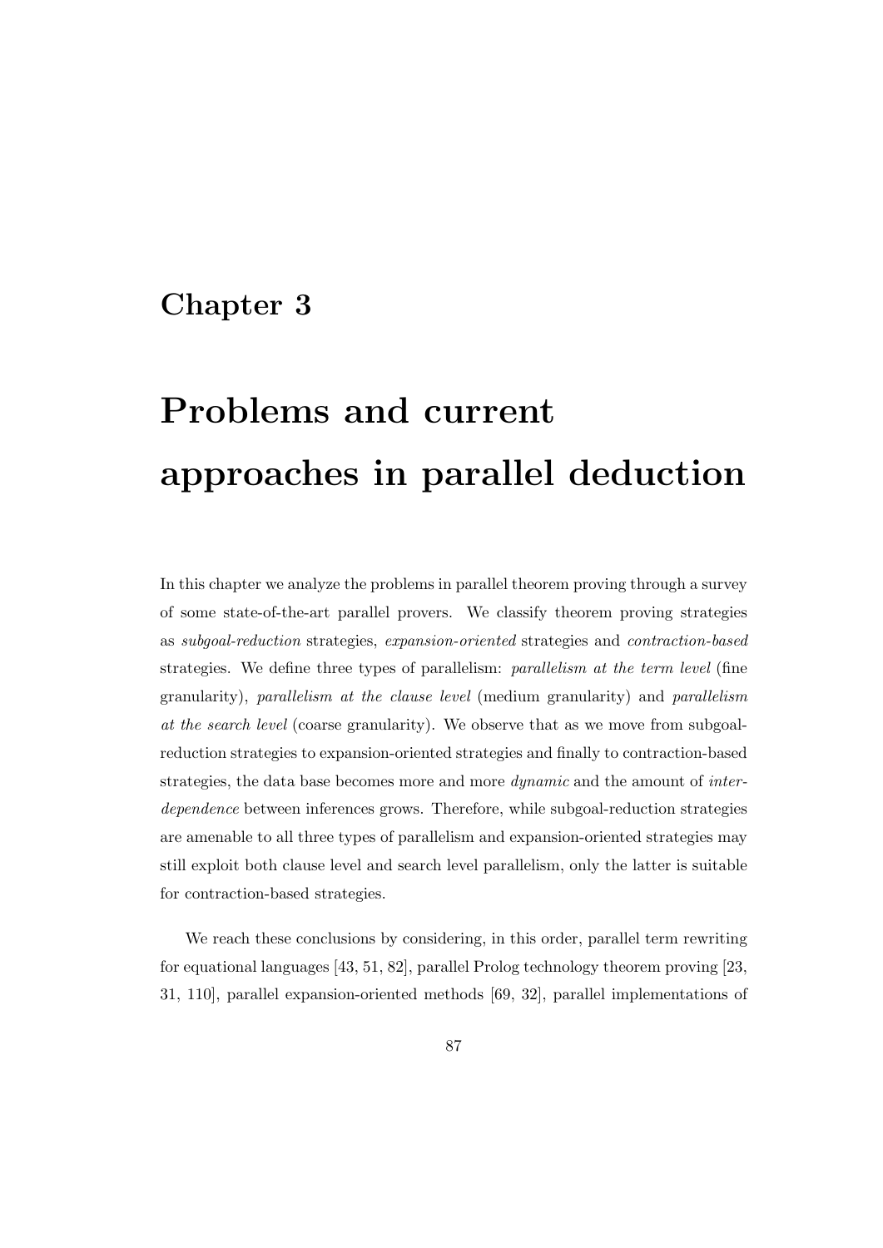# Chapter 3

# Problems and current approaches in parallel deduction

In this chapter we analyze the problems in parallel theorem proving through a survey of some state-of-the-art parallel provers. We classify theorem proving strategies as subgoal-reduction strategies, expansion-oriented strategies and contraction-based strategies. We define three types of parallelism: *parallelism at the term level* (fine granularity), parallelism at the clause level (medium granularity) and parallelism at the search level (coarse granularity). We observe that as we move from subgoalreduction strategies to expansion-oriented strategies and finally to contraction-based strategies, the data base becomes more and more *dynamic* and the amount of *inter*dependence between inferences grows. Therefore, while subgoal-reduction strategies are amenable to all three types of parallelism and expansion-oriented strategies may still exploit both clause level and search level parallelism, only the latter is suitable for contraction-based strategies.

We reach these conclusions by considering, in this order, parallel term rewriting for equational languages [43, 51, 82], parallel Prolog technology theorem proving [23, 31, 110], parallel expansion-oriented methods [69, 32], parallel implementations of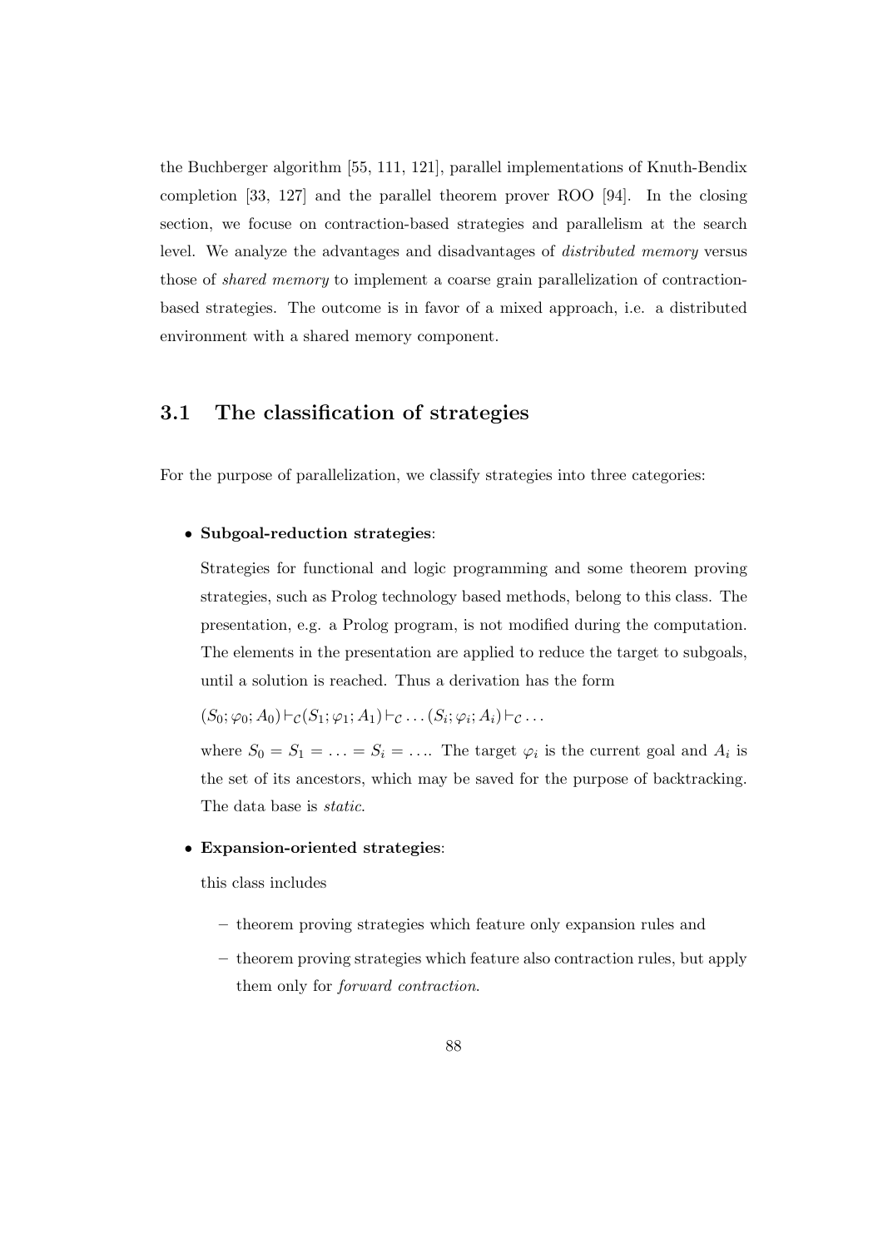the Buchberger algorithm [55, 111, 121], parallel implementations of Knuth-Bendix completion [33, 127] and the parallel theorem prover ROO [94]. In the closing section, we focuse on contraction-based strategies and parallelism at the search level. We analyze the advantages and disadvantages of distributed memory versus those of shared memory to implement a coarse grain parallelization of contractionbased strategies. The outcome is in favor of a mixed approach, i.e. a distributed environment with a shared memory component.

# 3.1 The classification of strategies

For the purpose of parallelization, we classify strategies into three categories:

# • Subgoal-reduction strategies:

Strategies for functional and logic programming and some theorem proving strategies, such as Prolog technology based methods, belong to this class. The presentation, e.g. a Prolog program, is not modified during the computation. The elements in the presentation are applied to reduce the target to subgoals, until a solution is reached. Thus a derivation has the form

$$
(S_0; \varphi_0; A_0) \vdash_{\mathcal{C}} (S_1; \varphi_1; A_1) \vdash_{\mathcal{C}} \ldots (S_i; \varphi_i; A_i) \vdash_{\mathcal{C}} \ldots
$$

where  $S_0 = S_1 = \ldots = S_i = \ldots$  The target  $\varphi_i$  is the current goal and  $A_i$  is the set of its ancestors, which may be saved for the purpose of backtracking. The data base is static.

### • Expansion-oriented strategies:

this class includes

- theorem proving strategies which feature only expansion rules and
- theorem proving strategies which feature also contraction rules, but apply them only for forward contraction.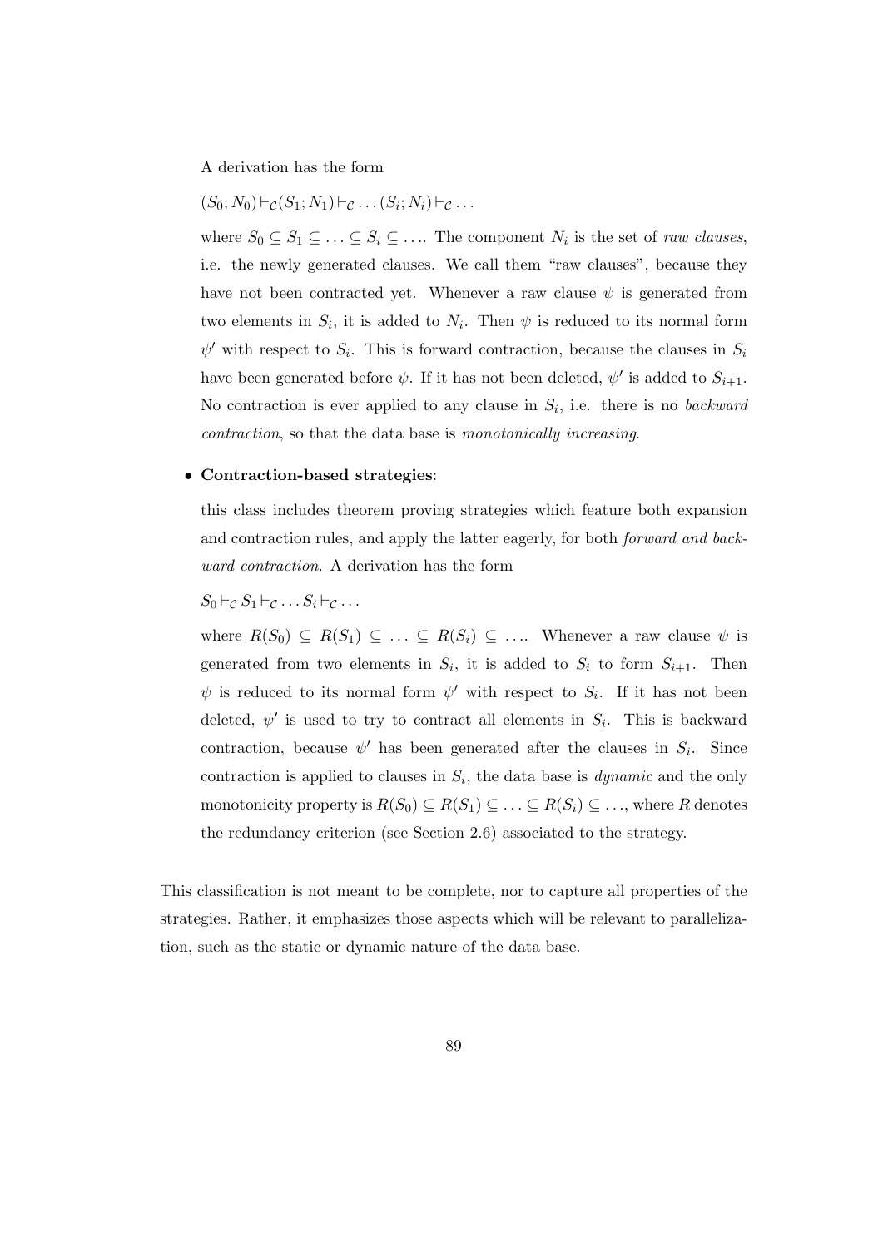A derivation has the form

$$
(S_0; N_0) \vdash_{\mathcal{C}} (S_1; N_1) \vdash_{\mathcal{C}} \ldots (S_i; N_i) \vdash_{\mathcal{C}} \ldots
$$

where  $S_0 \subseteq S_1 \subseteq \ldots \subseteq S_i \subseteq \ldots$  The component  $N_i$  is the set of *raw clauses*, i.e. the newly generated clauses. We call them "raw clauses", because they have not been contracted yet. Whenever a raw clause  $\psi$  is generated from two elements in  $S_i$ , it is added to  $N_i$ . Then  $\psi$  is reduced to its normal form  $\psi'$  with respect to  $S_i$ . This is forward contraction, because the clauses in  $S_i$ have been generated before  $\psi$ . If it has not been deleted,  $\psi'$  is added to  $S_{i+1}$ . No contraction is ever applied to any clause in  $S_i$ , i.e. there is no backward contraction, so that the data base is monotonically increasing.

#### • Contraction-based strategies:

this class includes theorem proving strategies which feature both expansion and contraction rules, and apply the latter eagerly, for both forward and backward contraction. A derivation has the form

$$
S_0 \vdash_{\mathcal{C}} S_1 \vdash_{\mathcal{C}} \ldots S_i \vdash_{\mathcal{C}} \ldots
$$

where  $R(S_0) \subseteq R(S_1) \subseteq \ldots \subseteq R(S_i) \subseteq \ldots$  Whenever a raw clause  $\psi$  is generated from two elements in  $S_i$ , it is added to  $S_i$  to form  $S_{i+1}$ . Then  $\psi$  is reduced to its normal form  $\psi'$  with respect to  $S_i$ . If it has not been deleted,  $\psi'$  is used to try to contract all elements in  $S_i$ . This is backward contraction, because  $\psi'$  has been generated after the clauses in  $S_i$ . Since contraction is applied to clauses in  $S_i$ , the data base is *dynamic* and the only monotonicity property is  $R(S_0) \subseteq R(S_1) \subseteq \ldots \subseteq R(S_i) \subseteq \ldots$ , where R denotes the redundancy criterion (see Section 2.6) associated to the strategy.

This classification is not meant to be complete, nor to capture all properties of the strategies. Rather, it emphasizes those aspects which will be relevant to parallelization, such as the static or dynamic nature of the data base.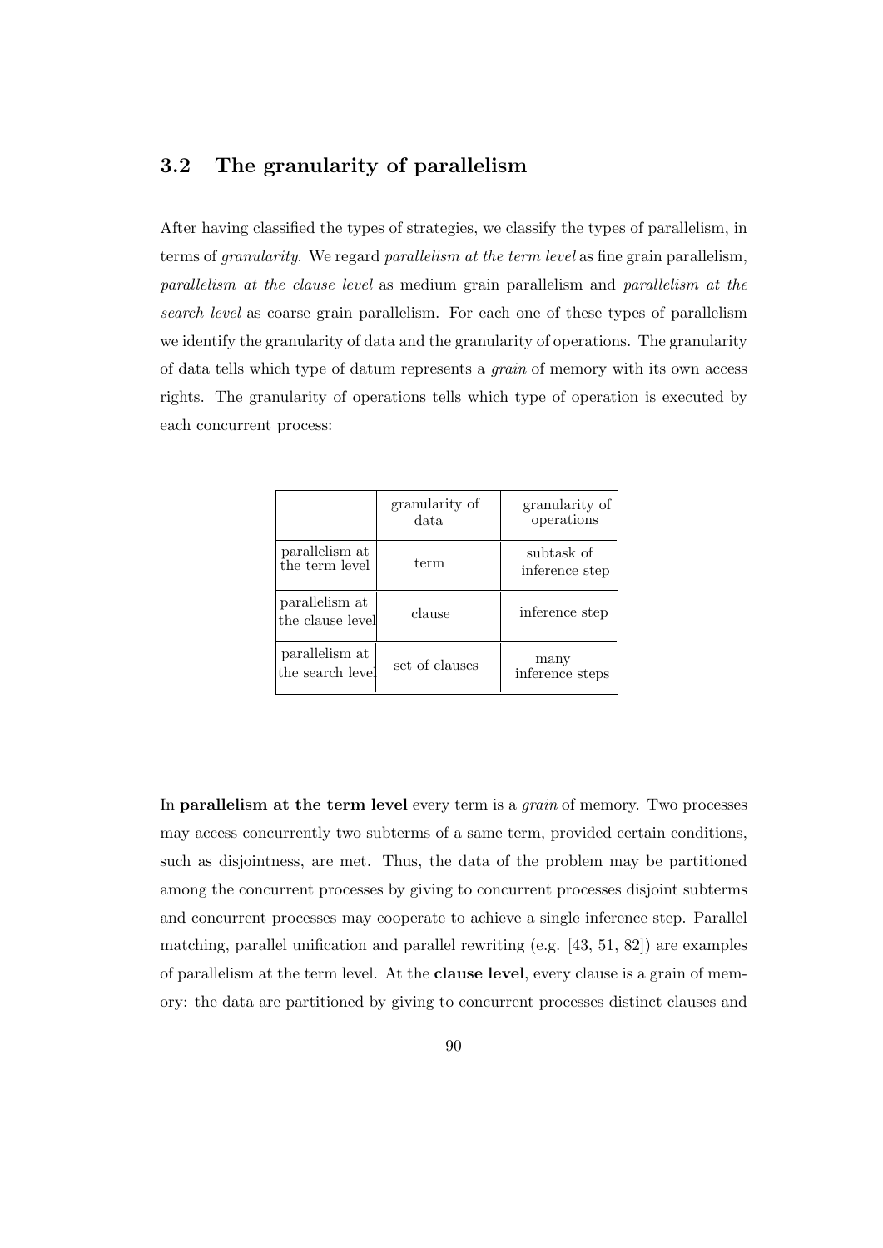# 3.2 The granularity of parallelism

After having classified the types of strategies, we classify the types of parallelism, in terms of granularity. We regard parallelism at the term level as fine grain parallelism, parallelism at the clause level as medium grain parallelism and parallelism at the search level as coarse grain parallelism. For each one of these types of parallelism we identify the granularity of data and the granularity of operations. The granularity of data tells which type of datum represents a grain of memory with its own access rights. The granularity of operations tells which type of operation is executed by each concurrent process:

|                                    | granularity of<br>data. | granularity of<br>operations |
|------------------------------------|-------------------------|------------------------------|
| parallelism at<br>the term level   | term                    | subtask of<br>inference step |
| parallelism at<br>the clause level | clause                  | inference step               |
| parallelism at<br>the search level | set of clauses          | many<br>inference steps      |

In **parallelism at the term level** every term is a *grain* of memory. Two processes may access concurrently two subterms of a same term, provided certain conditions, such as disjointness, are met. Thus, the data of the problem may be partitioned among the concurrent processes by giving to concurrent processes disjoint subterms and concurrent processes may cooperate to achieve a single inference step. Parallel matching, parallel unification and parallel rewriting (e.g. [43, 51, 82]) are examples of parallelism at the term level. At the clause level, every clause is a grain of memory: the data are partitioned by giving to concurrent processes distinct clauses and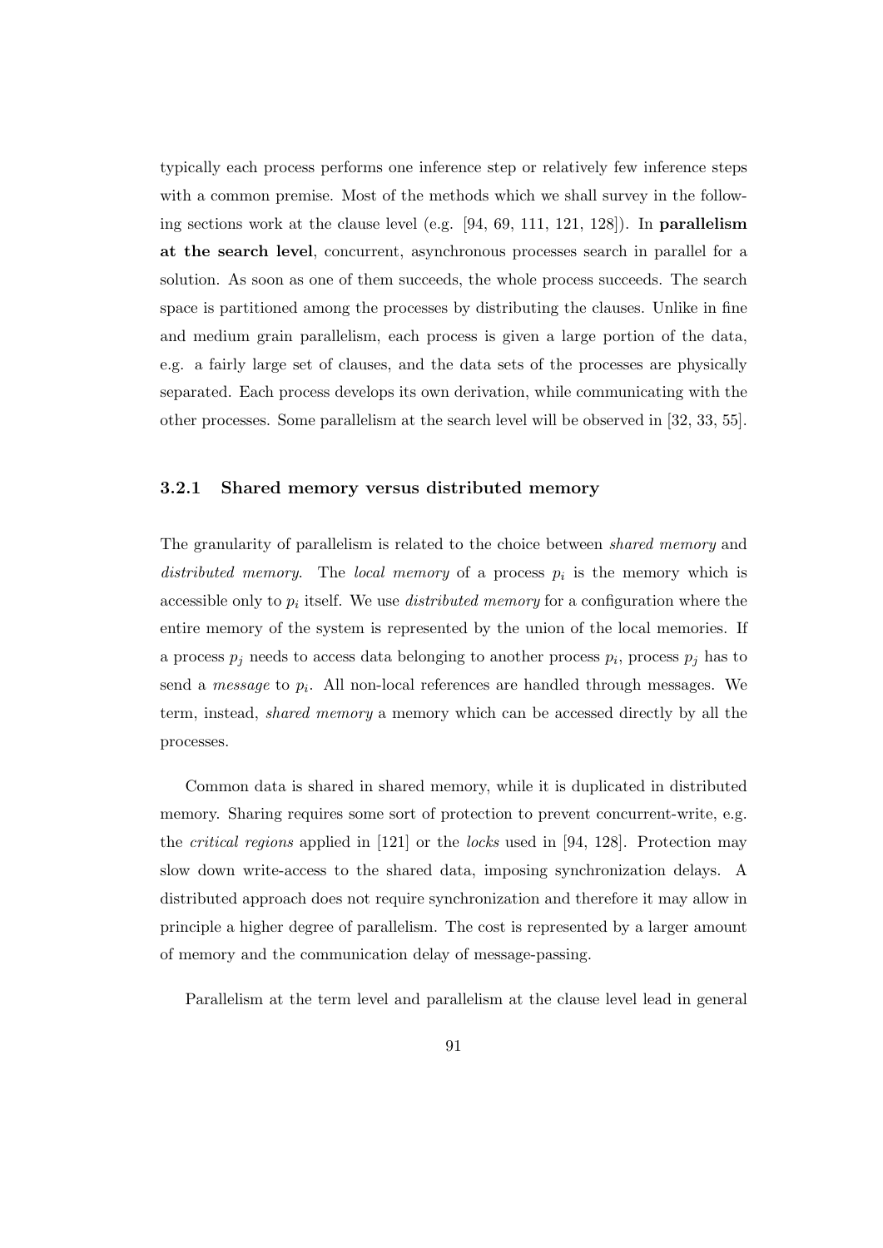typically each process performs one inference step or relatively few inference steps with a common premise. Most of the methods which we shall survey in the following sections work at the clause level (e.g. [94, 69, 111, 121, 128]). In parallelism at the search level, concurrent, asynchronous processes search in parallel for a solution. As soon as one of them succeeds, the whole process succeeds. The search space is partitioned among the processes by distributing the clauses. Unlike in fine and medium grain parallelism, each process is given a large portion of the data, e.g. a fairly large set of clauses, and the data sets of the processes are physically separated. Each process develops its own derivation, while communicating with the other processes. Some parallelism at the search level will be observed in [32, 33, 55].

# 3.2.1 Shared memory versus distributed memory

The granularity of parallelism is related to the choice between shared memory and distributed memory. The local memory of a process  $p_i$  is the memory which is accessible only to  $p_i$  itself. We use *distributed memory* for a configuration where the entire memory of the system is represented by the union of the local memories. If a process  $p_j$  needs to access data belonging to another process  $p_i$ , process  $p_j$  has to send a *message* to  $p_i$ . All non-local references are handled through messages. We term, instead, shared memory a memory which can be accessed directly by all the processes.

Common data is shared in shared memory, while it is duplicated in distributed memory. Sharing requires some sort of protection to prevent concurrent-write, e.g. the critical regions applied in [121] or the locks used in [94, 128]. Protection may slow down write-access to the shared data, imposing synchronization delays. A distributed approach does not require synchronization and therefore it may allow in principle a higher degree of parallelism. The cost is represented by a larger amount of memory and the communication delay of message-passing.

Parallelism at the term level and parallelism at the clause level lead in general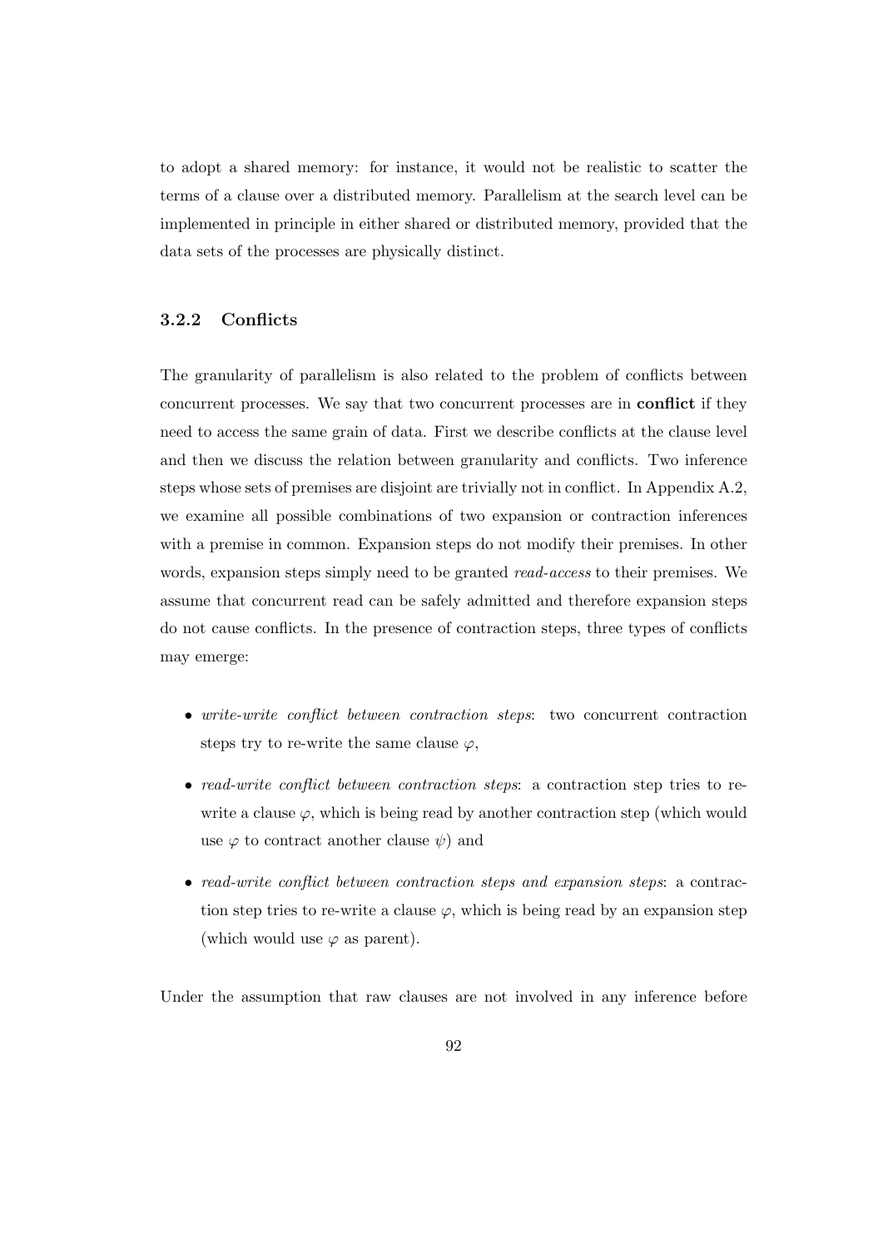to adopt a shared memory: for instance, it would not be realistic to scatter the terms of a clause over a distributed memory. Parallelism at the search level can be implemented in principle in either shared or distributed memory, provided that the data sets of the processes are physically distinct.

# 3.2.2 Conflicts

The granularity of parallelism is also related to the problem of conflicts between concurrent processes. We say that two concurrent processes are in conflict if they need to access the same grain of data. First we describe conflicts at the clause level and then we discuss the relation between granularity and conflicts. Two inference steps whose sets of premises are disjoint are trivially not in conflict. In Appendix A.2, we examine all possible combinations of two expansion or contraction inferences with a premise in common. Expansion steps do not modify their premises. In other words, expansion steps simply need to be granted read-access to their premises. We assume that concurrent read can be safely admitted and therefore expansion steps do not cause conflicts. In the presence of contraction steps, three types of conflicts may emerge:

- write-write conflict between contraction steps: two concurrent contraction steps try to re-write the same clause  $\varphi$ ,
- read-write conflict between contraction steps: a contraction step tries to rewrite a clause  $\varphi$ , which is being read by another contraction step (which would use  $\varphi$  to contract another clause  $\psi$ ) and
- read-write conflict between contraction steps and expansion steps: a contraction step tries to re-write a clause  $\varphi$ , which is being read by an expansion step (which would use  $\varphi$  as parent).

Under the assumption that raw clauses are not involved in any inference before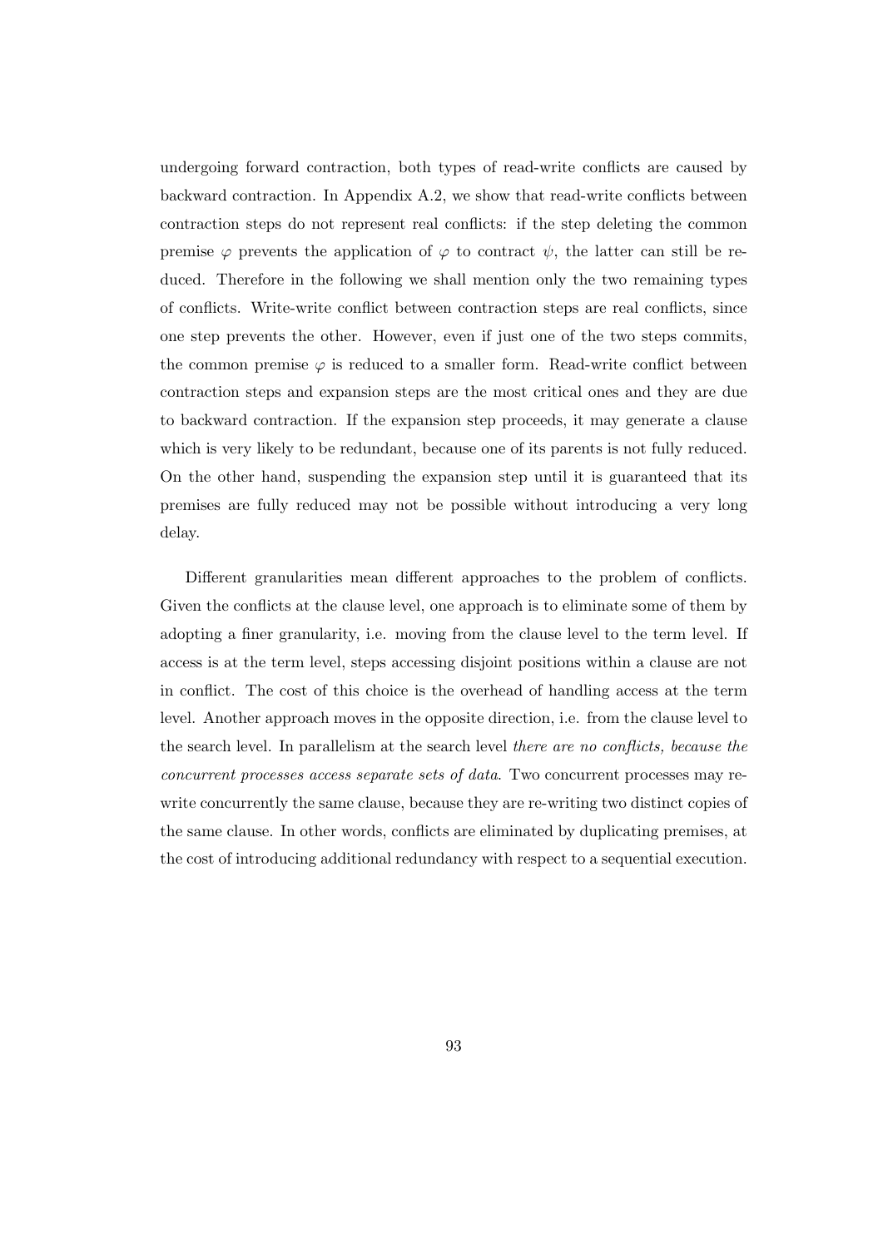undergoing forward contraction, both types of read-write conflicts are caused by backward contraction. In Appendix A.2, we show that read-write conflicts between contraction steps do not represent real conflicts: if the step deleting the common premise  $\varphi$  prevents the application of  $\varphi$  to contract  $\psi$ , the latter can still be reduced. Therefore in the following we shall mention only the two remaining types of conflicts. Write-write conflict between contraction steps are real conflicts, since one step prevents the other. However, even if just one of the two steps commits, the common premise  $\varphi$  is reduced to a smaller form. Read-write conflict between contraction steps and expansion steps are the most critical ones and they are due to backward contraction. If the expansion step proceeds, it may generate a clause which is very likely to be redundant, because one of its parents is not fully reduced. On the other hand, suspending the expansion step until it is guaranteed that its premises are fully reduced may not be possible without introducing a very long delay.

Different granularities mean different approaches to the problem of conflicts. Given the conflicts at the clause level, one approach is to eliminate some of them by adopting a finer granularity, i.e. moving from the clause level to the term level. If access is at the term level, steps accessing disjoint positions within a clause are not in conflict. The cost of this choice is the overhead of handling access at the term level. Another approach moves in the opposite direction, i.e. from the clause level to the search level. In parallelism at the search level there are no conflicts, because the concurrent processes access separate sets of data. Two concurrent processes may rewrite concurrently the same clause, because they are re-writing two distinct copies of the same clause. In other words, conflicts are eliminated by duplicating premises, at the cost of introducing additional redundancy with respect to a sequential execution.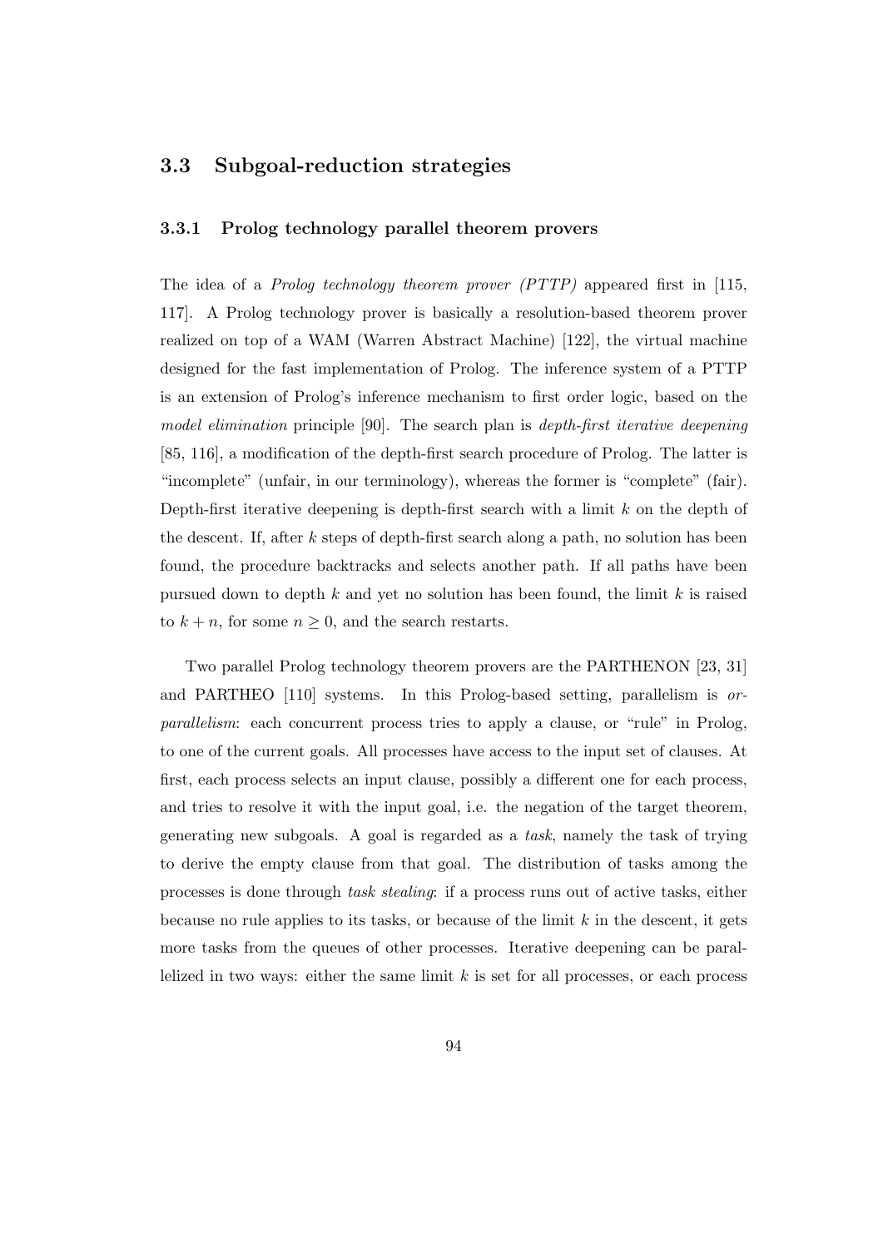# 3.3 Subgoal-reduction strategies

# 3.3.1 Prolog technology parallel theorem provers

The idea of a Prolog technology theorem prover (PTTP) appeared first in [115, 117]. A Prolog technology prover is basically a resolution-based theorem prover realized on top of a WAM (Warren Abstract Machine) [122], the virtual machine designed for the fast implementation of Prolog. The inference system of a PTTP is an extension of Prolog's inference mechanism to first order logic, based on the model elimination principle [90]. The search plan is depth-first iterative deepening [85, 116], a modification of the depth-first search procedure of Prolog. The latter is "incomplete" (unfair, in our terminology), whereas the former is "complete" (fair). Depth-first iterative deepening is depth-first search with a limit  $k$  on the depth of the descent. If, after k steps of depth-first search along a path, no solution has been found, the procedure backtracks and selects another path. If all paths have been pursued down to depth  $k$  and yet no solution has been found, the limit  $k$  is raised to  $k + n$ , for some  $n \geq 0$ , and the search restarts.

Two parallel Prolog technology theorem provers are the PARTHENON [23, 31] and PARTHEO [110] systems. In this Prolog-based setting, parallelism is orparallelism: each concurrent process tries to apply a clause, or "rule" in Prolog, to one of the current goals. All processes have access to the input set of clauses. At first, each process selects an input clause, possibly a different one for each process, and tries to resolve it with the input goal, i.e. the negation of the target theorem, generating new subgoals. A goal is regarded as a task, namely the task of trying to derive the empty clause from that goal. The distribution of tasks among the processes is done through task stealing: if a process runs out of active tasks, either because no rule applies to its tasks, or because of the limit  $k$  in the descent, it gets more tasks from the queues of other processes. Iterative deepening can be parallelized in two ways: either the same limit  $k$  is set for all processes, or each process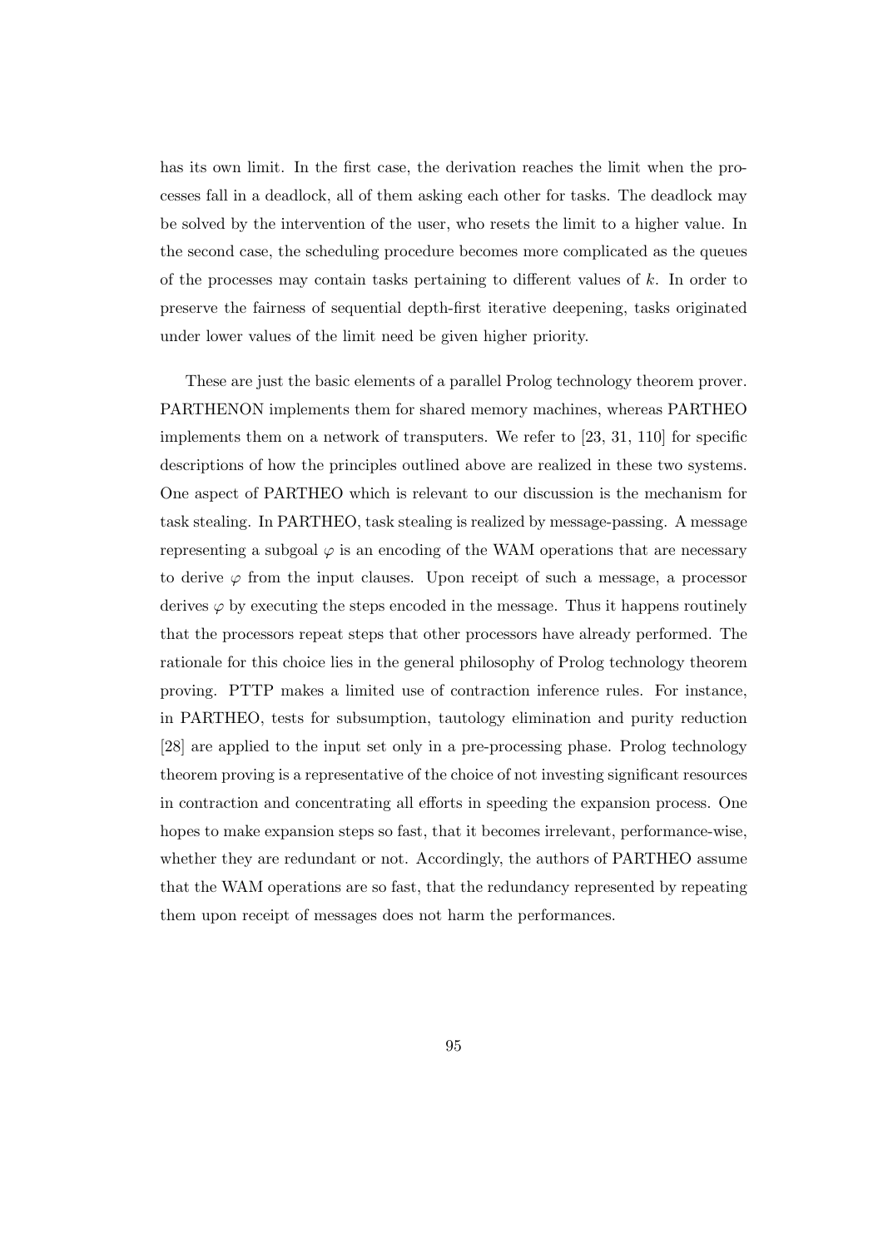has its own limit. In the first case, the derivation reaches the limit when the processes fall in a deadlock, all of them asking each other for tasks. The deadlock may be solved by the intervention of the user, who resets the limit to a higher value. In the second case, the scheduling procedure becomes more complicated as the queues of the processes may contain tasks pertaining to different values of  $k$ . In order to preserve the fairness of sequential depth-first iterative deepening, tasks originated under lower values of the limit need be given higher priority.

These are just the basic elements of a parallel Prolog technology theorem prover. PARTHENON implements them for shared memory machines, whereas PARTHEO implements them on a network of transputers. We refer to [23, 31, 110] for specific descriptions of how the principles outlined above are realized in these two systems. One aspect of PARTHEO which is relevant to our discussion is the mechanism for task stealing. In PARTHEO, task stealing is realized by message-passing. A message representing a subgoal  $\varphi$  is an encoding of the WAM operations that are necessary to derive  $\varphi$  from the input clauses. Upon receipt of such a message, a processor derives  $\varphi$  by executing the steps encoded in the message. Thus it happens routinely that the processors repeat steps that other processors have already performed. The rationale for this choice lies in the general philosophy of Prolog technology theorem proving. PTTP makes a limited use of contraction inference rules. For instance, in PARTHEO, tests for subsumption, tautology elimination and purity reduction [28] are applied to the input set only in a pre-processing phase. Prolog technology theorem proving is a representative of the choice of not investing significant resources in contraction and concentrating all efforts in speeding the expansion process. One hopes to make expansion steps so fast, that it becomes irrelevant, performance-wise, whether they are redundant or not. Accordingly, the authors of PARTHEO assume that the WAM operations are so fast, that the redundancy represented by repeating them upon receipt of messages does not harm the performances.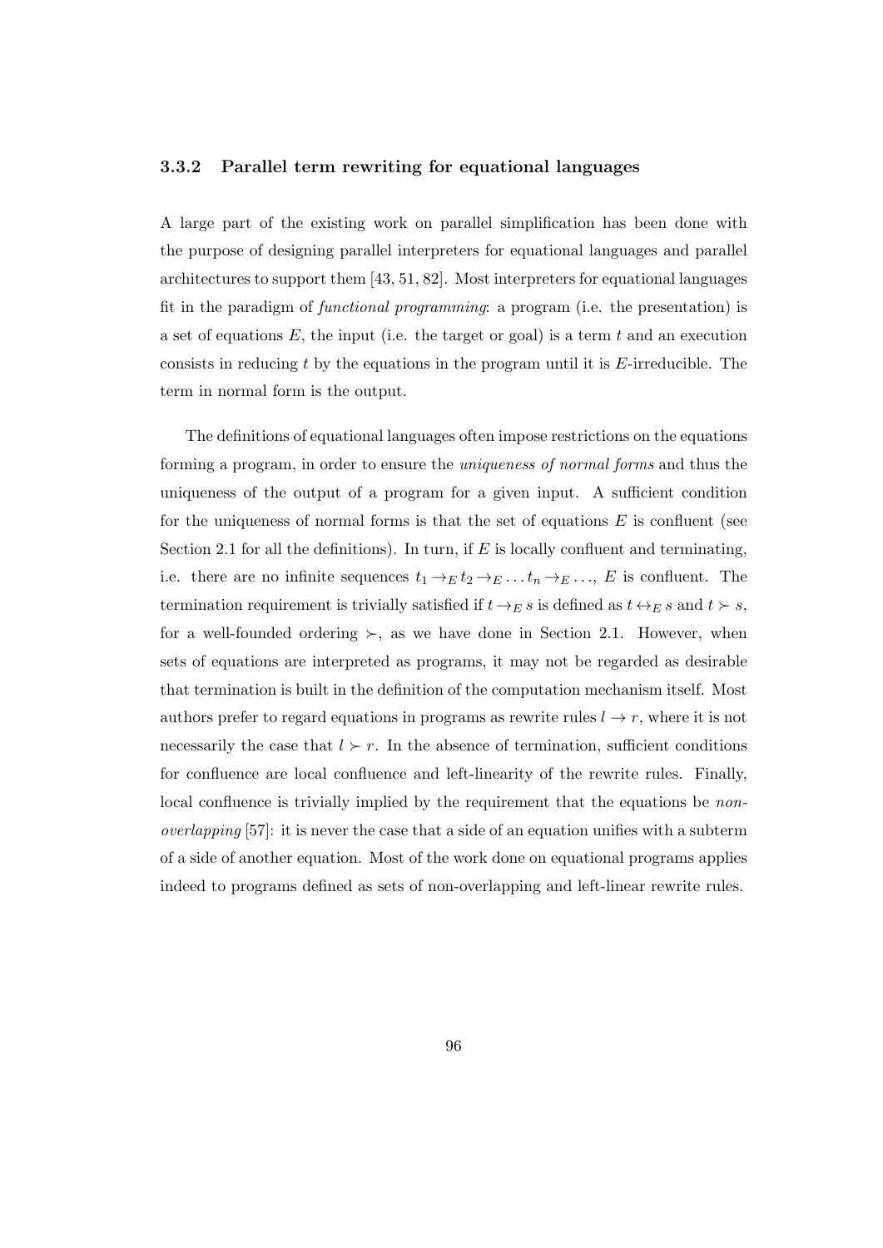# 3.3.2 Parallel term rewriting for equational languages

A large part of the existing work on parallel simplification has been done with the purpose of designing parallel interpreters for equational languages and parallel architectures to support them [43, 51, 82]. Most interpreters for equational languages fit in the paradigm of functional programming: a program (i.e. the presentation) is a set of equations  $E$ , the input (i.e. the target or goal) is a term t and an execution consists in reducing  $t$  by the equations in the program until it is  $E$ -irreducible. The term in normal form is the output.

The definitions of equational languages often impose restrictions on the equations forming a program, in order to ensure the uniqueness of normal forms and thus the uniqueness of the output of a program for a given input. A sufficient condition for the uniqueness of normal forms is that the set of equations  $E$  is confluent (see Section 2.1 for all the definitions). In turn, if  $E$  is locally confluent and terminating, i.e. there are no infinite sequences  $t_1 \rightarrow_E t_2 \rightarrow_E \ldots t_n \rightarrow_E \ldots$ , E is confluent. The termination requirement is trivially satisfied if  $t \rightarrow_E s$  is defined as  $t \rightarrow_E s$  and  $t \succ s$ , for a well-founded ordering  $\succ$ , as we have done in Section 2.1. However, when sets of equations are interpreted as programs, it may not be regarded as desirable that termination is built in the definition of the computation mechanism itself. Most authors prefer to regard equations in programs as rewrite rules  $l \rightarrow r$ , where it is not necessarily the case that  $l \succ r$ . In the absence of termination, sufficient conditions for confluence are local confluence and left-linearity of the rewrite rules. Finally, local confluence is trivially implied by the requirement that the equations be non*overlapping* [57]: it is never the case that a side of an equation unifies with a subterm of a side of another equation. Most of the work done on equational programs applies indeed to programs defined as sets of non-overlapping and left-linear rewrite rules.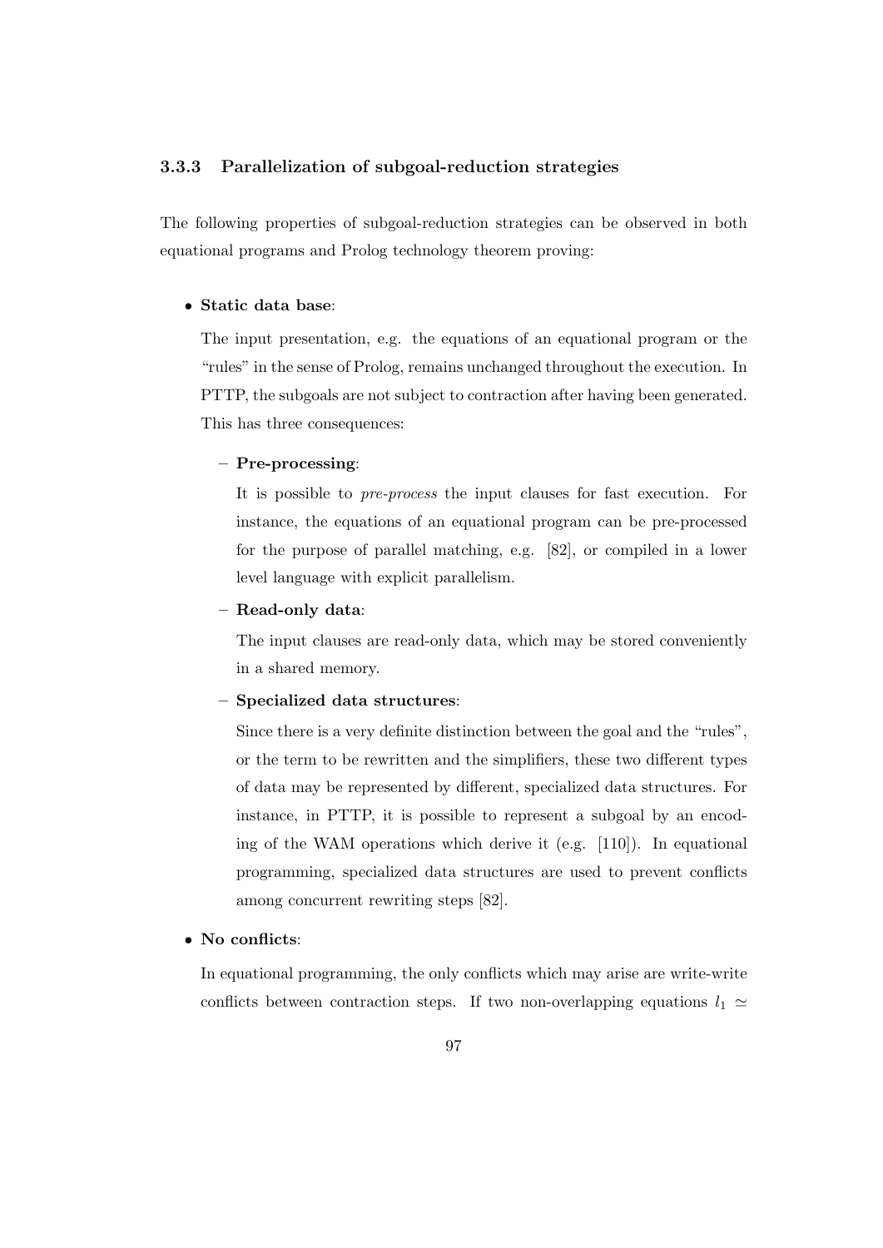# 3.3.3 Parallelization of subgoal-reduction strategies

The following properties of subgoal-reduction strategies can be observed in both equational programs and Prolog technology theorem proving:

# • Static data base:

The input presentation, e.g. the equations of an equational program or the "rules" in the sense of Prolog, remains unchanged throughout the execution. In PTTP, the subgoals are not subject to contraction after having been generated. This has three consequences:

# – Pre-processing:

It is possible to pre-process the input clauses for fast execution. For instance, the equations of an equational program can be pre-processed for the purpose of parallel matching, e.g. [82], or compiled in a lower level language with explicit parallelism.

# – Read-only data:

The input clauses are read-only data, which may be stored conveniently in a shared memory.

# – Specialized data structures:

Since there is a very definite distinction between the goal and the "rules", or the term to be rewritten and the simplifiers, these two different types of data may be represented by different, specialized data structures. For instance, in PTTP, it is possible to represent a subgoal by an encoding of the WAM operations which derive it (e.g. [110]). In equational programming, specialized data structures are used to prevent conflicts among concurrent rewriting steps [82].

# • No conflicts:

In equational programming, the only conflicts which may arise are write-write conflicts between contraction steps. If two non-overlapping equations  $l_1 \simeq$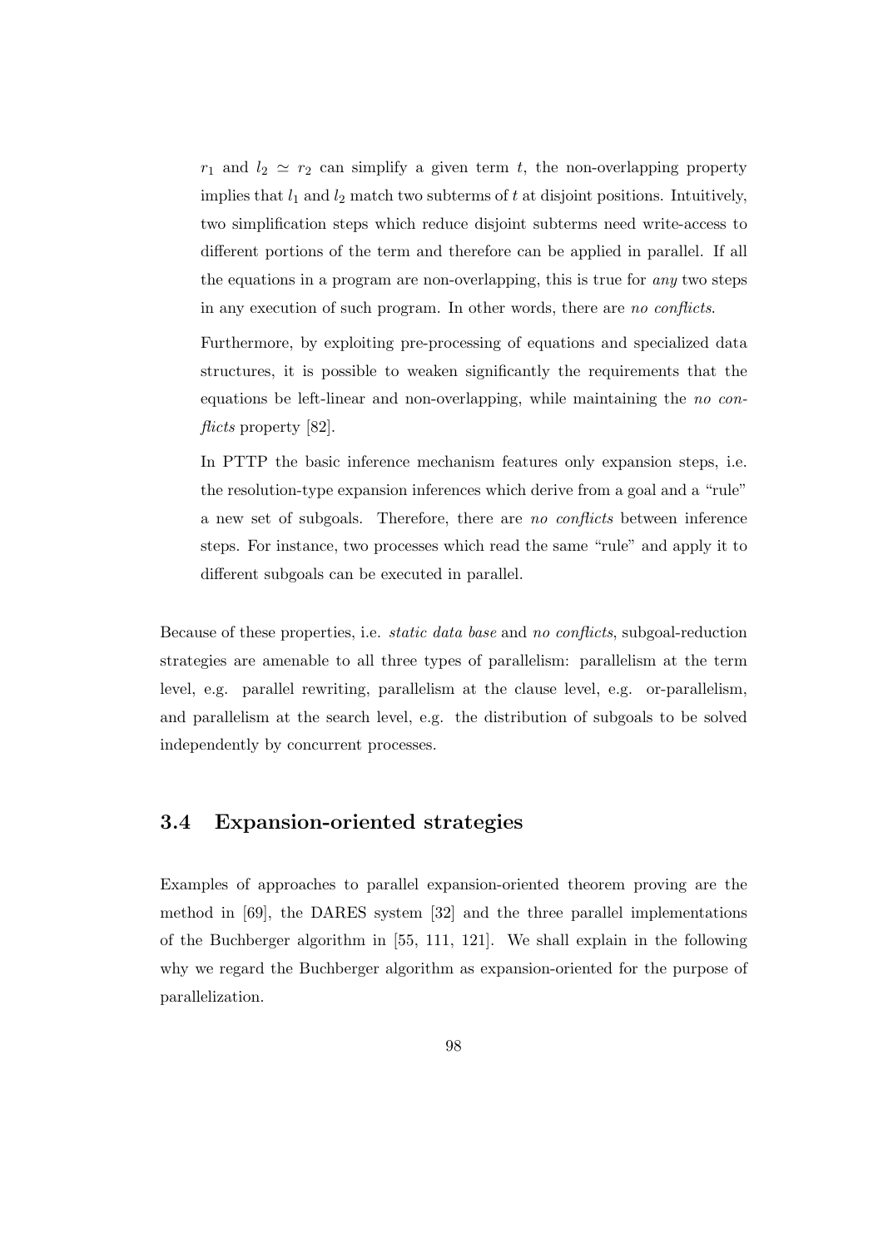$r_1$  and  $l_2 \simeq r_2$  can simplify a given term t, the non-overlapping property implies that  $l_1$  and  $l_2$  match two subterms of t at disjoint positions. Intuitively, two simplification steps which reduce disjoint subterms need write-access to different portions of the term and therefore can be applied in parallel. If all the equations in a program are non-overlapping, this is true for any two steps in any execution of such program. In other words, there are no conflicts.

Furthermore, by exploiting pre-processing of equations and specialized data structures, it is possible to weaken significantly the requirements that the equations be left-linear and non-overlapping, while maintaining the no conflicts property [82].

In PTTP the basic inference mechanism features only expansion steps, i.e. the resolution-type expansion inferences which derive from a goal and a "rule" a new set of subgoals. Therefore, there are no conflicts between inference steps. For instance, two processes which read the same "rule" and apply it to different subgoals can be executed in parallel.

Because of these properties, i.e. static data base and no conflicts, subgoal-reduction strategies are amenable to all three types of parallelism: parallelism at the term level, e.g. parallel rewriting, parallelism at the clause level, e.g. or-parallelism, and parallelism at the search level, e.g. the distribution of subgoals to be solved independently by concurrent processes.

## 3.4 Expansion-oriented strategies

Examples of approaches to parallel expansion-oriented theorem proving are the method in [69], the DARES system [32] and the three parallel implementations of the Buchberger algorithm in [55, 111, 121]. We shall explain in the following why we regard the Buchberger algorithm as expansion-oriented for the purpose of parallelization.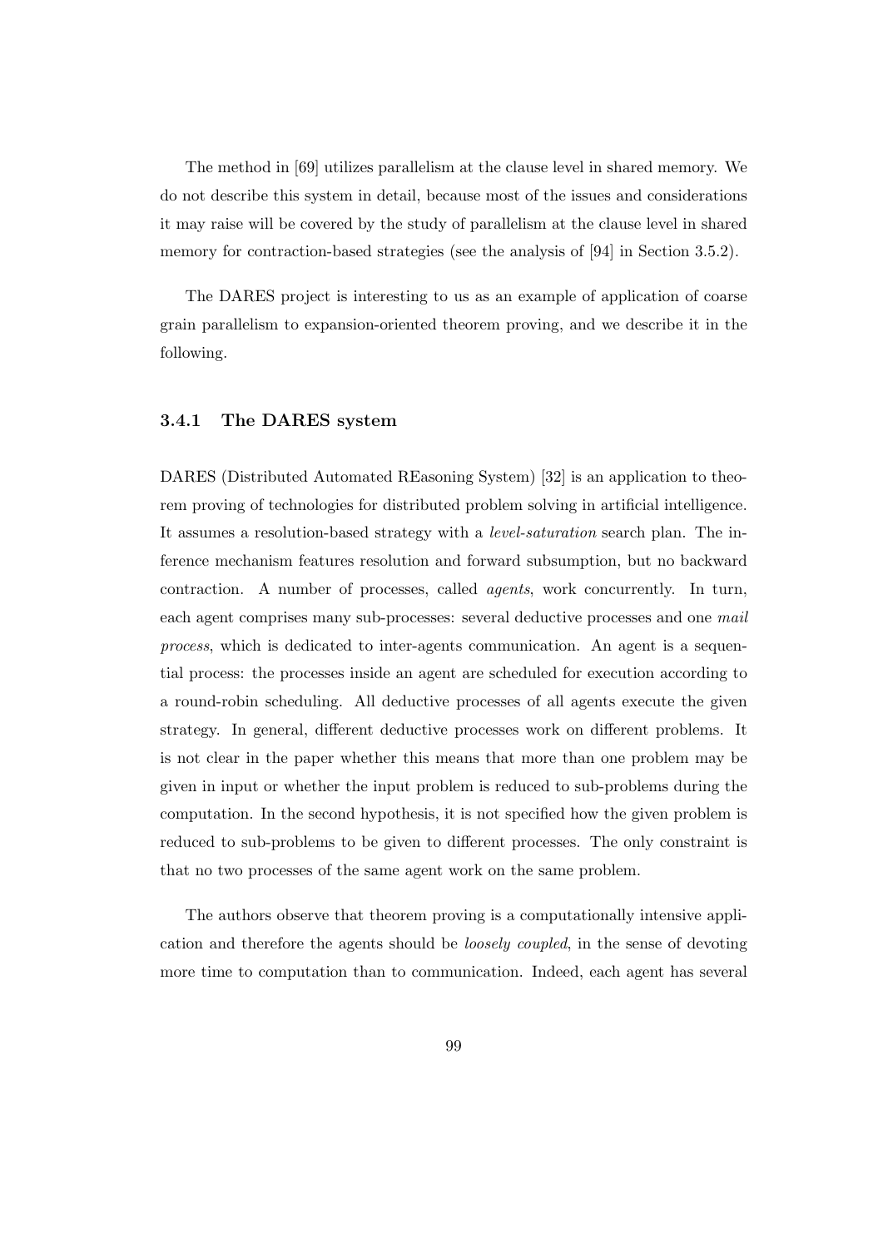The method in [69] utilizes parallelism at the clause level in shared memory. We do not describe this system in detail, because most of the issues and considerations it may raise will be covered by the study of parallelism at the clause level in shared memory for contraction-based strategies (see the analysis of [94] in Section 3.5.2).

The DARES project is interesting to us as an example of application of coarse grain parallelism to expansion-oriented theorem proving, and we describe it in the following.

#### 3.4.1 The DARES system

DARES (Distributed Automated REasoning System) [32] is an application to theorem proving of technologies for distributed problem solving in artificial intelligence. It assumes a resolution-based strategy with a level-saturation search plan. The inference mechanism features resolution and forward subsumption, but no backward contraction. A number of processes, called agents, work concurrently. In turn, each agent comprises many sub-processes: several deductive processes and one mail process, which is dedicated to inter-agents communication. An agent is a sequential process: the processes inside an agent are scheduled for execution according to a round-robin scheduling. All deductive processes of all agents execute the given strategy. In general, different deductive processes work on different problems. It is not clear in the paper whether this means that more than one problem may be given in input or whether the input problem is reduced to sub-problems during the computation. In the second hypothesis, it is not specified how the given problem is reduced to sub-problems to be given to different processes. The only constraint is that no two processes of the same agent work on the same problem.

The authors observe that theorem proving is a computationally intensive application and therefore the agents should be loosely coupled, in the sense of devoting more time to computation than to communication. Indeed, each agent has several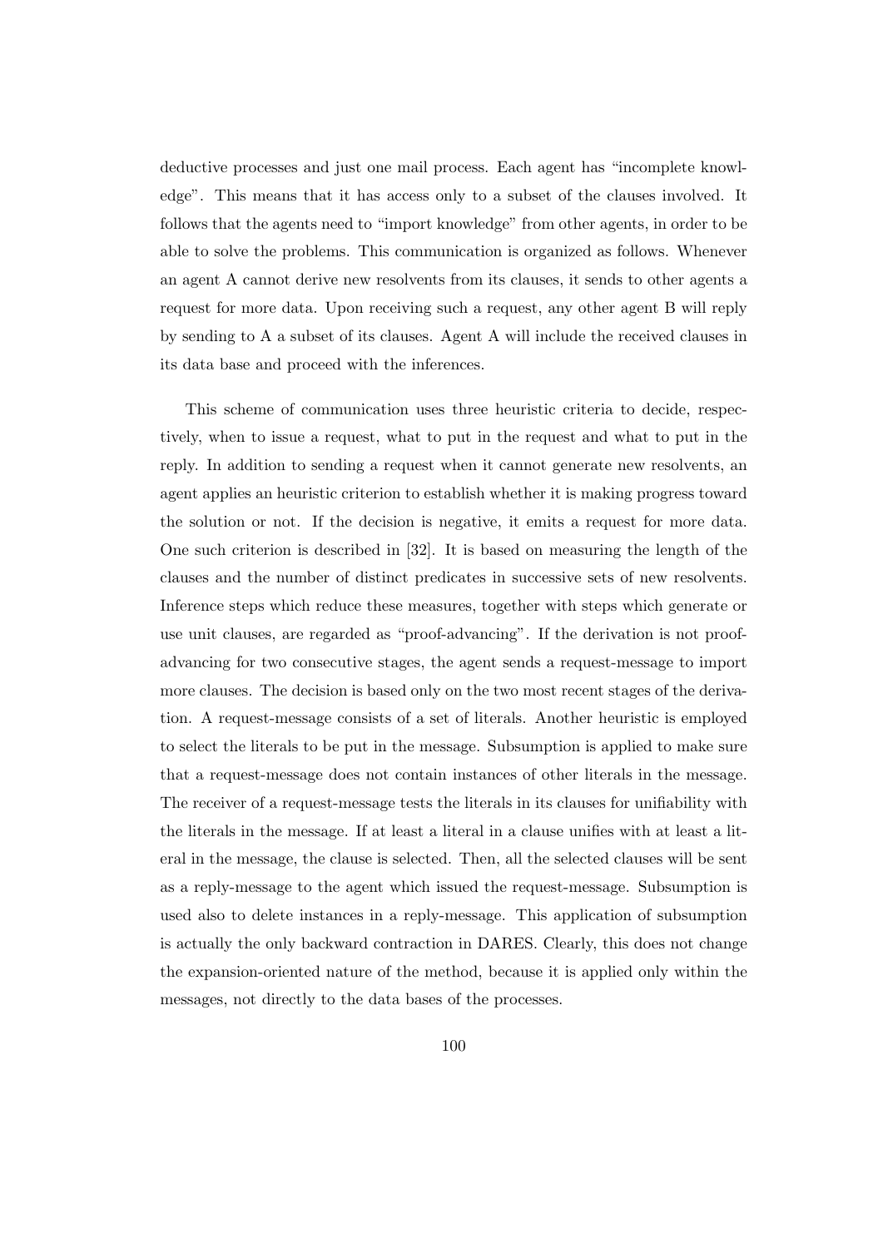deductive processes and just one mail process. Each agent has "incomplete knowledge". This means that it has access only to a subset of the clauses involved. It follows that the agents need to "import knowledge" from other agents, in order to be able to solve the problems. This communication is organized as follows. Whenever an agent A cannot derive new resolvents from its clauses, it sends to other agents a request for more data. Upon receiving such a request, any other agent B will reply by sending to A a subset of its clauses. Agent A will include the received clauses in its data base and proceed with the inferences.

This scheme of communication uses three heuristic criteria to decide, respectively, when to issue a request, what to put in the request and what to put in the reply. In addition to sending a request when it cannot generate new resolvents, an agent applies an heuristic criterion to establish whether it is making progress toward the solution or not. If the decision is negative, it emits a request for more data. One such criterion is described in [32]. It is based on measuring the length of the clauses and the number of distinct predicates in successive sets of new resolvents. Inference steps which reduce these measures, together with steps which generate or use unit clauses, are regarded as "proof-advancing". If the derivation is not proofadvancing for two consecutive stages, the agent sends a request-message to import more clauses. The decision is based only on the two most recent stages of the derivation. A request-message consists of a set of literals. Another heuristic is employed to select the literals to be put in the message. Subsumption is applied to make sure that a request-message does not contain instances of other literals in the message. The receiver of a request-message tests the literals in its clauses for unifiability with the literals in the message. If at least a literal in a clause unifies with at least a literal in the message, the clause is selected. Then, all the selected clauses will be sent as a reply-message to the agent which issued the request-message. Subsumption is used also to delete instances in a reply-message. This application of subsumption is actually the only backward contraction in DARES. Clearly, this does not change the expansion-oriented nature of the method, because it is applied only within the messages, not directly to the data bases of the processes.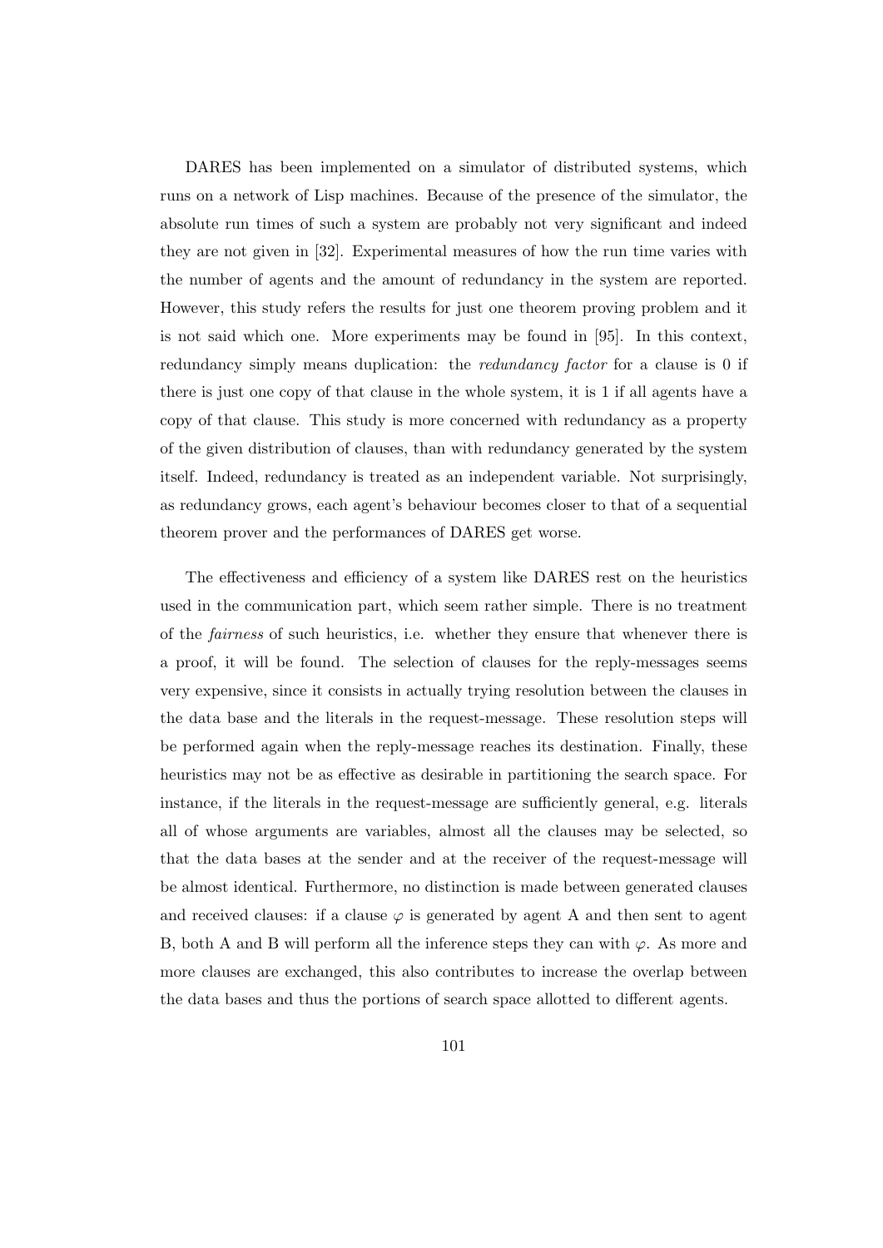DARES has been implemented on a simulator of distributed systems, which runs on a network of Lisp machines. Because of the presence of the simulator, the absolute run times of such a system are probably not very significant and indeed they are not given in [32]. Experimental measures of how the run time varies with the number of agents and the amount of redundancy in the system are reported. However, this study refers the results for just one theorem proving problem and it is not said which one. More experiments may be found in [95]. In this context, redundancy simply means duplication: the *redundancy factor* for a clause is 0 if there is just one copy of that clause in the whole system, it is 1 if all agents have a copy of that clause. This study is more concerned with redundancy as a property of the given distribution of clauses, than with redundancy generated by the system itself. Indeed, redundancy is treated as an independent variable. Not surprisingly, as redundancy grows, each agent's behaviour becomes closer to that of a sequential theorem prover and the performances of DARES get worse.

The effectiveness and efficiency of a system like DARES rest on the heuristics used in the communication part, which seem rather simple. There is no treatment of the fairness of such heuristics, i.e. whether they ensure that whenever there is a proof, it will be found. The selection of clauses for the reply-messages seems very expensive, since it consists in actually trying resolution between the clauses in the data base and the literals in the request-message. These resolution steps will be performed again when the reply-message reaches its destination. Finally, these heuristics may not be as effective as desirable in partitioning the search space. For instance, if the literals in the request-message are sufficiently general, e.g. literals all of whose arguments are variables, almost all the clauses may be selected, so that the data bases at the sender and at the receiver of the request-message will be almost identical. Furthermore, no distinction is made between generated clauses and received clauses: if a clause  $\varphi$  is generated by agent A and then sent to agent B, both A and B will perform all the inference steps they can with  $\varphi$ . As more and more clauses are exchanged, this also contributes to increase the overlap between the data bases and thus the portions of search space allotted to different agents.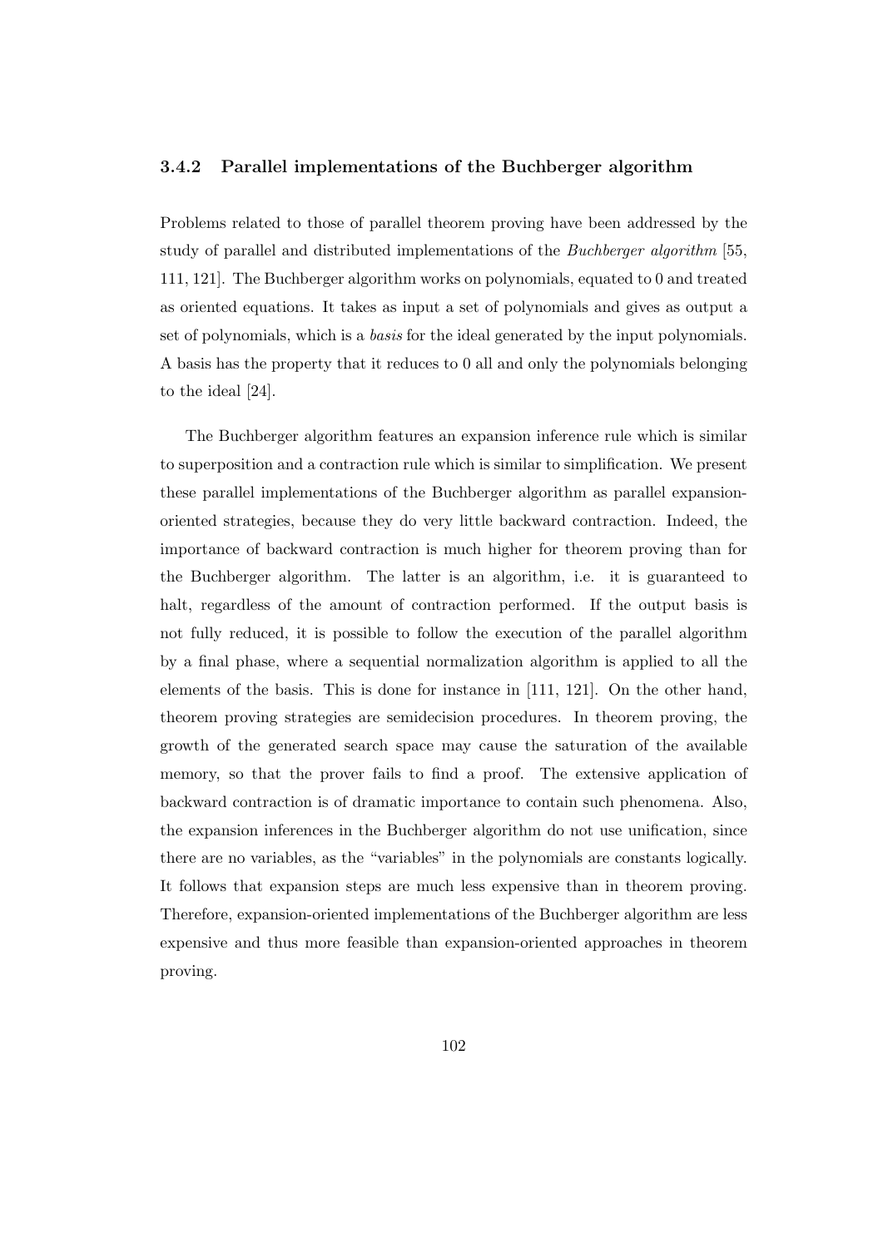#### 3.4.2 Parallel implementations of the Buchberger algorithm

Problems related to those of parallel theorem proving have been addressed by the study of parallel and distributed implementations of the Buchberger algorithm [55, 111, 121]. The Buchberger algorithm works on polynomials, equated to 0 and treated as oriented equations. It takes as input a set of polynomials and gives as output a set of polynomials, which is a basis for the ideal generated by the input polynomials. A basis has the property that it reduces to 0 all and only the polynomials belonging to the ideal [24].

The Buchberger algorithm features an expansion inference rule which is similar to superposition and a contraction rule which is similar to simplification. We present these parallel implementations of the Buchberger algorithm as parallel expansionoriented strategies, because they do very little backward contraction. Indeed, the importance of backward contraction is much higher for theorem proving than for the Buchberger algorithm. The latter is an algorithm, i.e. it is guaranteed to halt, regardless of the amount of contraction performed. If the output basis is not fully reduced, it is possible to follow the execution of the parallel algorithm by a final phase, where a sequential normalization algorithm is applied to all the elements of the basis. This is done for instance in [111, 121]. On the other hand, theorem proving strategies are semidecision procedures. In theorem proving, the growth of the generated search space may cause the saturation of the available memory, so that the prover fails to find a proof. The extensive application of backward contraction is of dramatic importance to contain such phenomena. Also, the expansion inferences in the Buchberger algorithm do not use unification, since there are no variables, as the "variables" in the polynomials are constants logically. It follows that expansion steps are much less expensive than in theorem proving. Therefore, expansion-oriented implementations of the Buchberger algorithm are less expensive and thus more feasible than expansion-oriented approaches in theorem proving.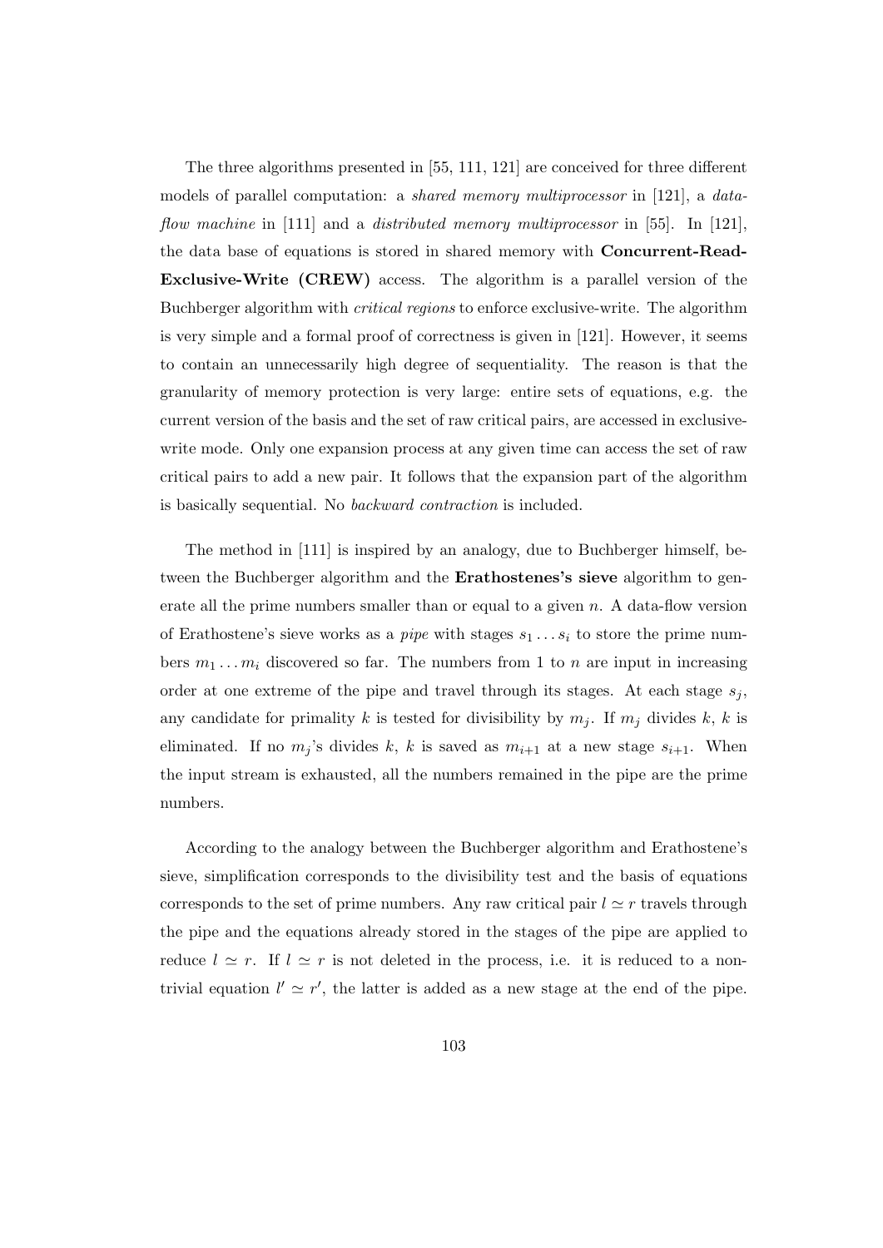The three algorithms presented in [55, 111, 121] are conceived for three different models of parallel computation: a shared memory multiprocessor in [121], a dataflow machine in [111] and a distributed memory multiprocessor in [55]. In [121], the data base of equations is stored in shared memory with Concurrent-Read-Exclusive-Write (CREW) access. The algorithm is a parallel version of the Buchberger algorithm with critical regions to enforce exclusive-write. The algorithm is very simple and a formal proof of correctness is given in [121]. However, it seems to contain an unnecessarily high degree of sequentiality. The reason is that the granularity of memory protection is very large: entire sets of equations, e.g. the current version of the basis and the set of raw critical pairs, are accessed in exclusivewrite mode. Only one expansion process at any given time can access the set of raw critical pairs to add a new pair. It follows that the expansion part of the algorithm is basically sequential. No backward contraction is included.

The method in [111] is inspired by an analogy, due to Buchberger himself, between the Buchberger algorithm and the **Erathostenes's sieve** algorithm to generate all the prime numbers smaller than or equal to a given  $n$ . A data-flow version of Erathostene's sieve works as a *pipe* with stages  $s_1 \ldots s_i$  to store the prime numbers  $m_1 \ldots m_i$  discovered so far. The numbers from 1 to n are input in increasing order at one extreme of the pipe and travel through its stages. At each stage  $s_i$ , any candidate for primality k is tested for divisibility by  $m_j$ . If  $m_j$  divides k, k is eliminated. If no  $m_j$ 's divides k, k is saved as  $m_{i+1}$  at a new stage  $s_{i+1}$ . When the input stream is exhausted, all the numbers remained in the pipe are the prime numbers.

According to the analogy between the Buchberger algorithm and Erathostene's sieve, simplification corresponds to the divisibility test and the basis of equations corresponds to the set of prime numbers. Any raw critical pair  $l \simeq r$  travels through the pipe and the equations already stored in the stages of the pipe are applied to reduce  $l \simeq r$ . If  $l \simeq r$  is not deleted in the process, i.e. it is reduced to a nontrivial equation  $l' \simeq r'$ , the latter is added as a new stage at the end of the pipe.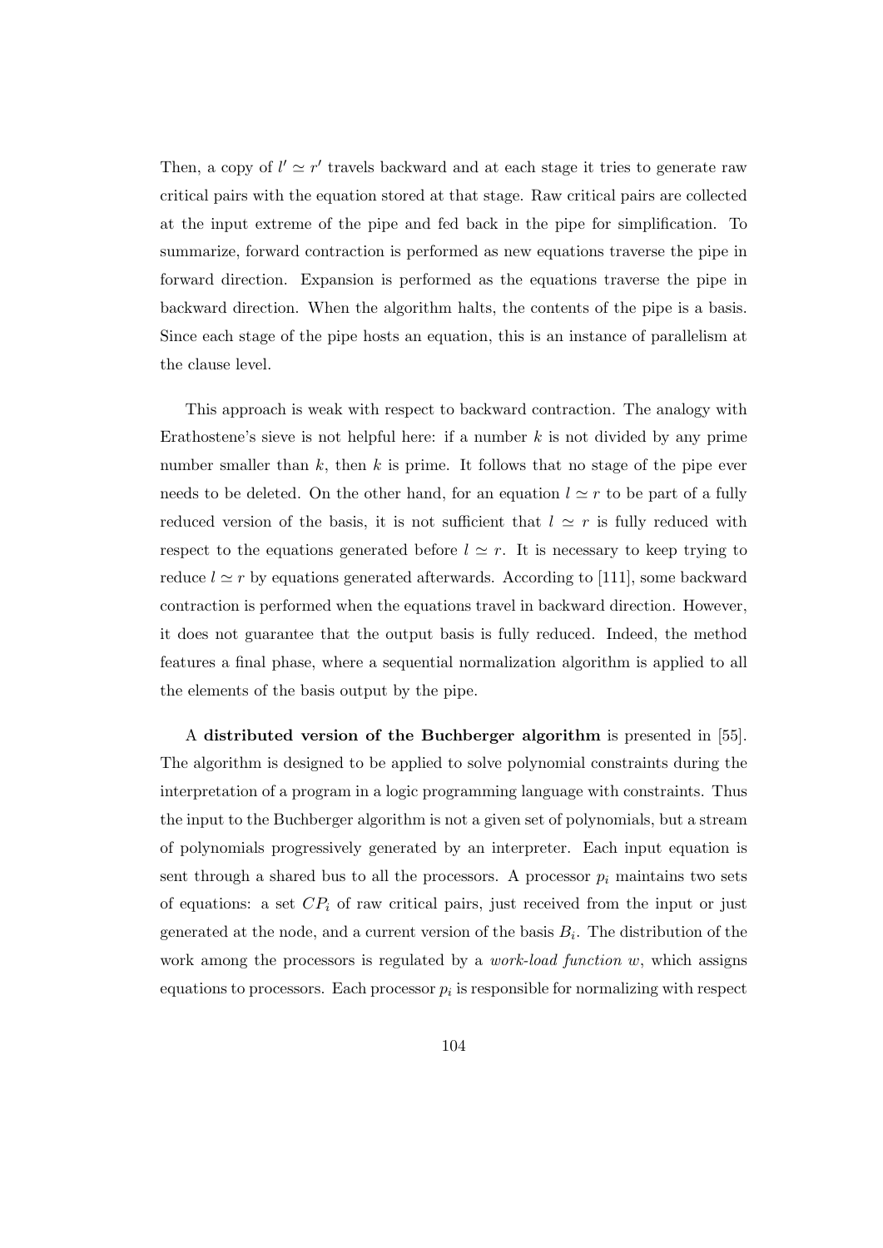Then, a copy of  $l' \simeq r'$  travels backward and at each stage it tries to generate raw critical pairs with the equation stored at that stage. Raw critical pairs are collected at the input extreme of the pipe and fed back in the pipe for simplification. To summarize, forward contraction is performed as new equations traverse the pipe in forward direction. Expansion is performed as the equations traverse the pipe in backward direction. When the algorithm halts, the contents of the pipe is a basis. Since each stage of the pipe hosts an equation, this is an instance of parallelism at the clause level.

This approach is weak with respect to backward contraction. The analogy with Erathostene's sieve is not helpful here: if a number  $k$  is not divided by any prime number smaller than  $k$ , then  $k$  is prime. It follows that no stage of the pipe ever needs to be deleted. On the other hand, for an equation  $l \simeq r$  to be part of a fully reduced version of the basis, it is not sufficient that  $l \simeq r$  is fully reduced with respect to the equations generated before  $l \simeq r$ . It is necessary to keep trying to reduce  $l \simeq r$  by equations generated afterwards. According to [111], some backward contraction is performed when the equations travel in backward direction. However, it does not guarantee that the output basis is fully reduced. Indeed, the method features a final phase, where a sequential normalization algorithm is applied to all the elements of the basis output by the pipe.

A distributed version of the Buchberger algorithm is presented in [55]. The algorithm is designed to be applied to solve polynomial constraints during the interpretation of a program in a logic programming language with constraints. Thus the input to the Buchberger algorithm is not a given set of polynomials, but a stream of polynomials progressively generated by an interpreter. Each input equation is sent through a shared bus to all the processors. A processor  $p_i$  maintains two sets of equations: a set  $CP_i$  of raw critical pairs, just received from the input or just generated at the node, and a current version of the basis  $B_i$ . The distribution of the work among the processors is regulated by a *work-load function*  $w$ , which assigns equations to processors. Each processor  $p_i$  is responsible for normalizing with respect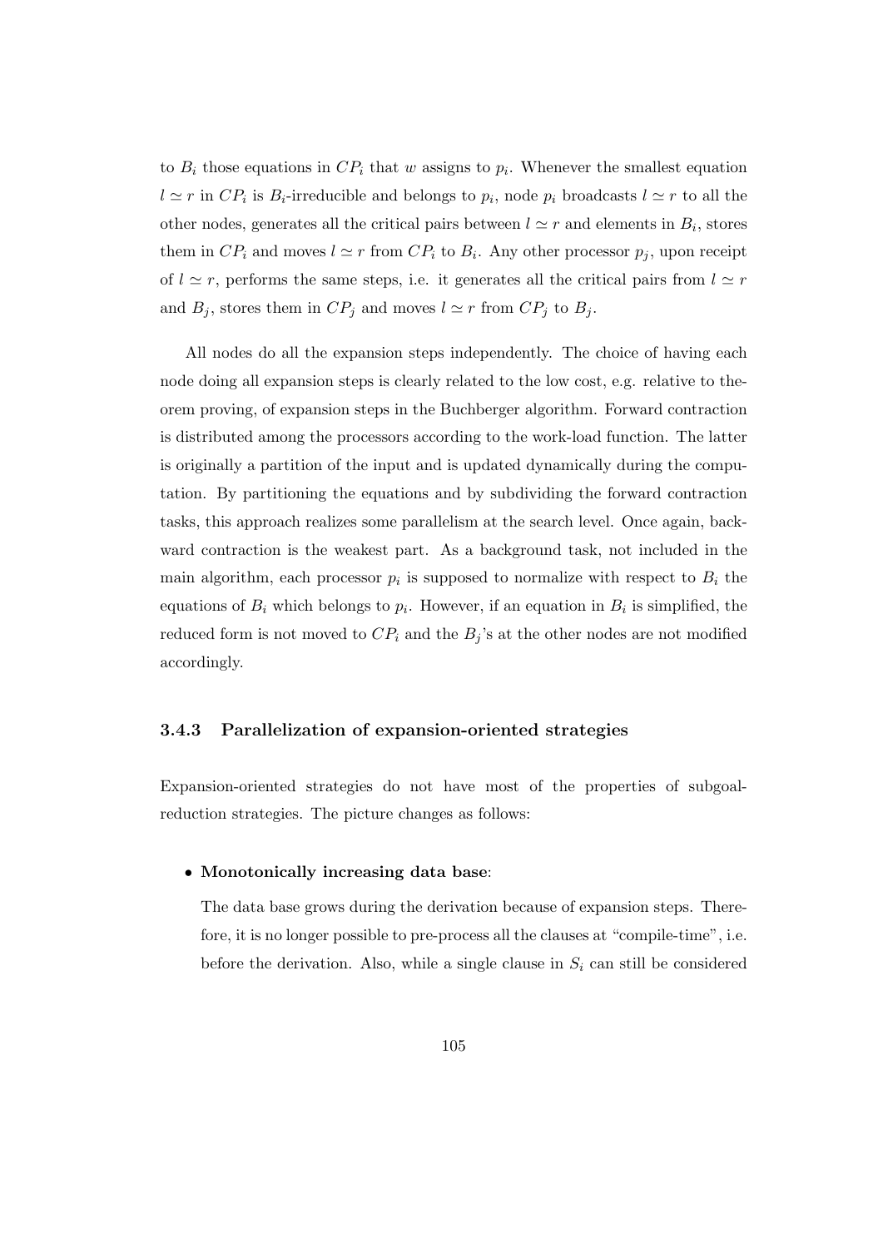to  $B_i$  those equations in  $CP_i$  that w assigns to  $p_i$ . Whenever the smallest equation  $l \simeq r$  in  $CP_i$  is  $B_i$ -irreducible and belongs to  $p_i$ , node  $p_i$  broadcasts  $l \simeq r$  to all the other nodes, generates all the critical pairs between  $l \simeq r$  and elements in  $B_i$ , stores them in  $CP_i$  and moves  $l \simeq r$  from  $CP_i$  to  $B_i$ . Any other processor  $p_j$ , upon receipt of  $l \simeq r$ , performs the same steps, i.e. it generates all the critical pairs from  $l \simeq r$ and  $B_j$ , stores them in  $CP_j$  and moves  $l \simeq r$  from  $CP_j$  to  $B_j$ .

All nodes do all the expansion steps independently. The choice of having each node doing all expansion steps is clearly related to the low cost, e.g. relative to theorem proving, of expansion steps in the Buchberger algorithm. Forward contraction is distributed among the processors according to the work-load function. The latter is originally a partition of the input and is updated dynamically during the computation. By partitioning the equations and by subdividing the forward contraction tasks, this approach realizes some parallelism at the search level. Once again, backward contraction is the weakest part. As a background task, not included in the main algorithm, each processor  $p_i$  is supposed to normalize with respect to  $B_i$  the equations of  $B_i$  which belongs to  $p_i$ . However, if an equation in  $B_i$  is simplified, the reduced form is not moved to  $CP_i$  and the  $B_j$ 's at the other nodes are not modified accordingly.

#### 3.4.3 Parallelization of expansion-oriented strategies

Expansion-oriented strategies do not have most of the properties of subgoalreduction strategies. The picture changes as follows:

#### • Monotonically increasing data base:

The data base grows during the derivation because of expansion steps. Therefore, it is no longer possible to pre-process all the clauses at "compile-time", i.e. before the derivation. Also, while a single clause in  $S_i$  can still be considered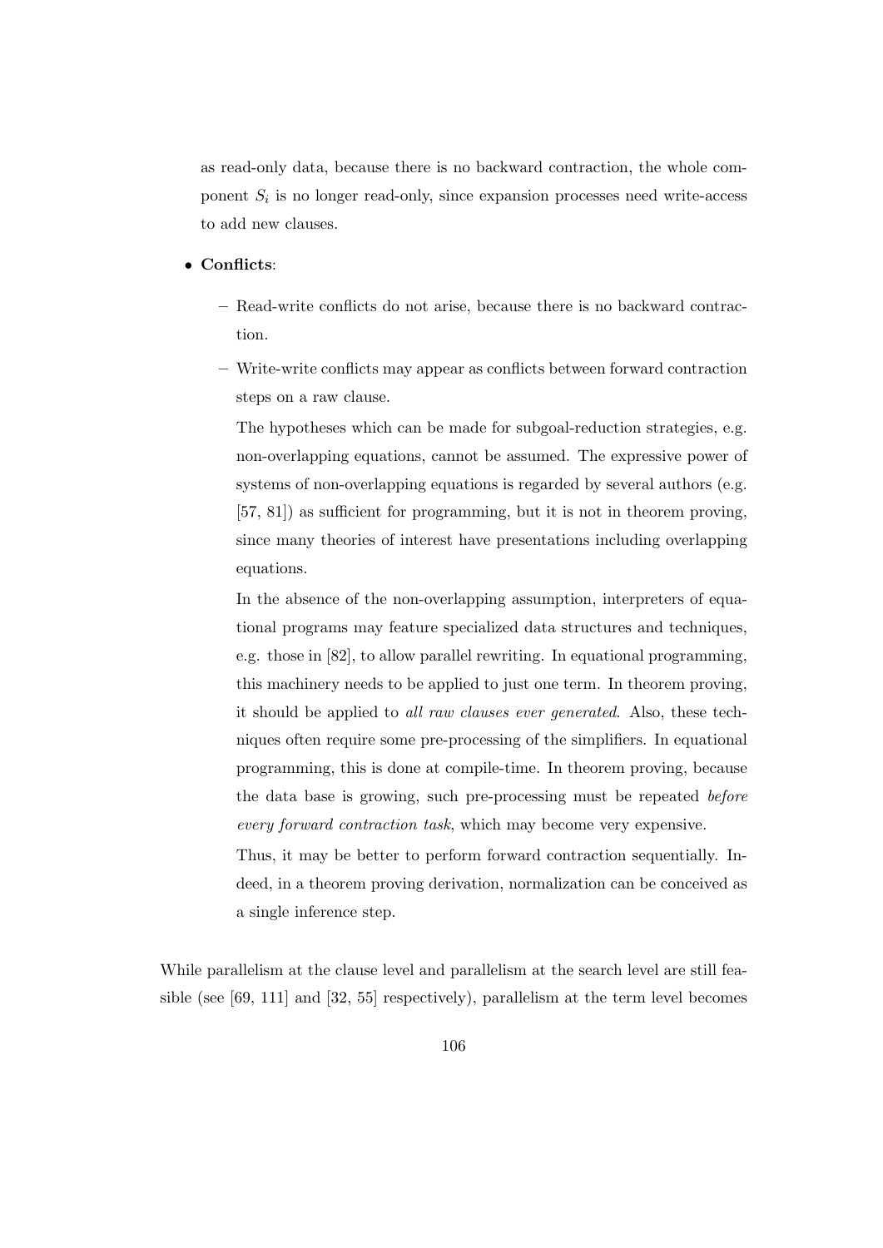as read-only data, because there is no backward contraction, the whole component  $S_i$  is no longer read-only, since expansion processes need write-access to add new clauses.

#### • Conflicts:

- Read-write conflicts do not arise, because there is no backward contraction.
- Write-write conflicts may appear as conflicts between forward contraction steps on a raw clause.

The hypotheses which can be made for subgoal-reduction strategies, e.g. non-overlapping equations, cannot be assumed. The expressive power of systems of non-overlapping equations is regarded by several authors (e.g. [57, 81]) as sufficient for programming, but it is not in theorem proving, since many theories of interest have presentations including overlapping equations.

In the absence of the non-overlapping assumption, interpreters of equational programs may feature specialized data structures and techniques, e.g. those in [82], to allow parallel rewriting. In equational programming, this machinery needs to be applied to just one term. In theorem proving, it should be applied to all raw clauses ever generated. Also, these techniques often require some pre-processing of the simplifiers. In equational programming, this is done at compile-time. In theorem proving, because the data base is growing, such pre-processing must be repeated before every forward contraction task, which may become very expensive.

Thus, it may be better to perform forward contraction sequentially. Indeed, in a theorem proving derivation, normalization can be conceived as a single inference step.

While parallelism at the clause level and parallelism at the search level are still feasible (see [69, 111] and [32, 55] respectively), parallelism at the term level becomes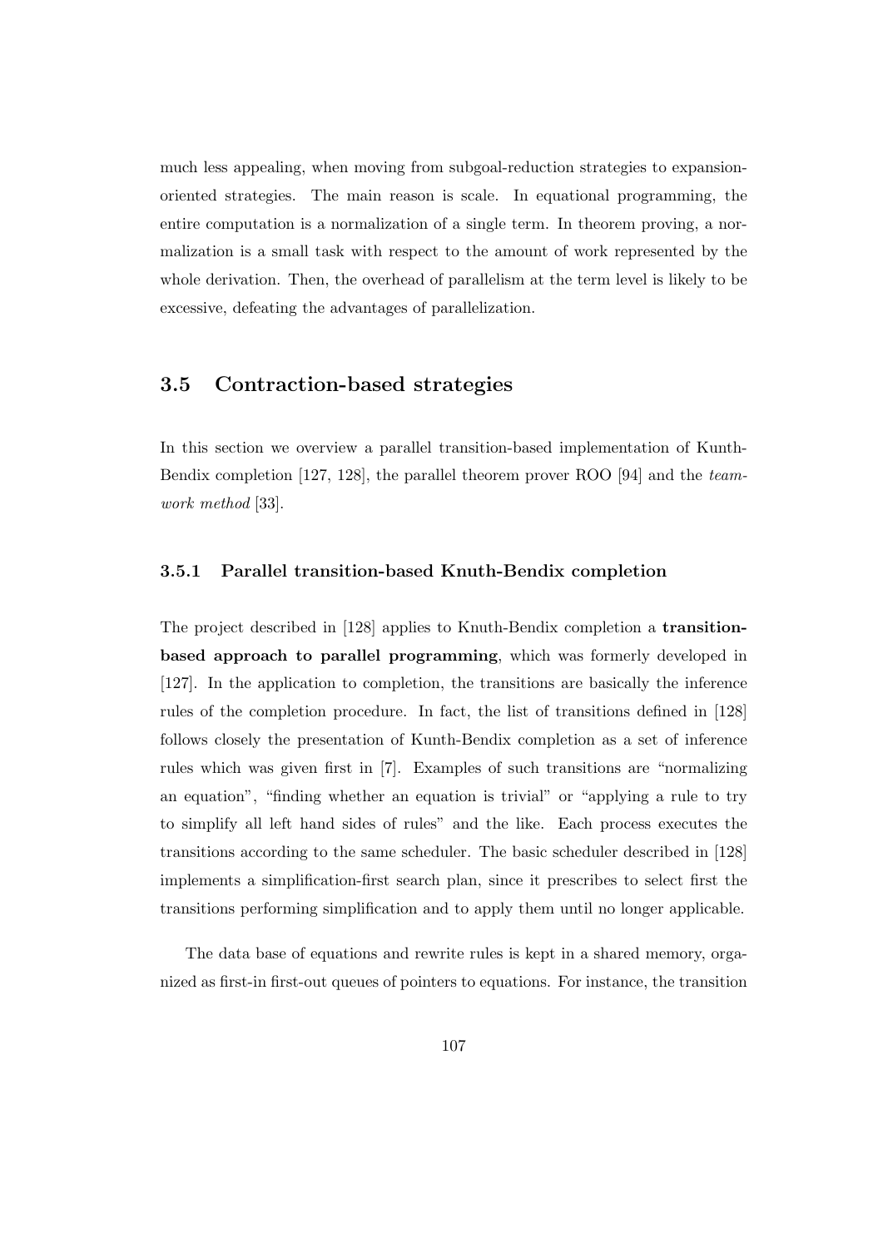much less appealing, when moving from subgoal-reduction strategies to expansionoriented strategies. The main reason is scale. In equational programming, the entire computation is a normalization of a single term. In theorem proving, a normalization is a small task with respect to the amount of work represented by the whole derivation. Then, the overhead of parallelism at the term level is likely to be excessive, defeating the advantages of parallelization.

# 3.5 Contraction-based strategies

In this section we overview a parallel transition-based implementation of Kunth-Bendix completion [127, 128], the parallel theorem prover ROO [94] and the teamwork method [33].

#### 3.5.1 Parallel transition-based Knuth-Bendix completion

The project described in [128] applies to Knuth-Bendix completion a transitionbased approach to parallel programming, which was formerly developed in [127]. In the application to completion, the transitions are basically the inference rules of the completion procedure. In fact, the list of transitions defined in [128] follows closely the presentation of Kunth-Bendix completion as a set of inference rules which was given first in [7]. Examples of such transitions are "normalizing an equation", "finding whether an equation is trivial" or "applying a rule to try to simplify all left hand sides of rules" and the like. Each process executes the transitions according to the same scheduler. The basic scheduler described in [128] implements a simplification-first search plan, since it prescribes to select first the transitions performing simplification and to apply them until no longer applicable.

The data base of equations and rewrite rules is kept in a shared memory, organized as first-in first-out queues of pointers to equations. For instance, the transition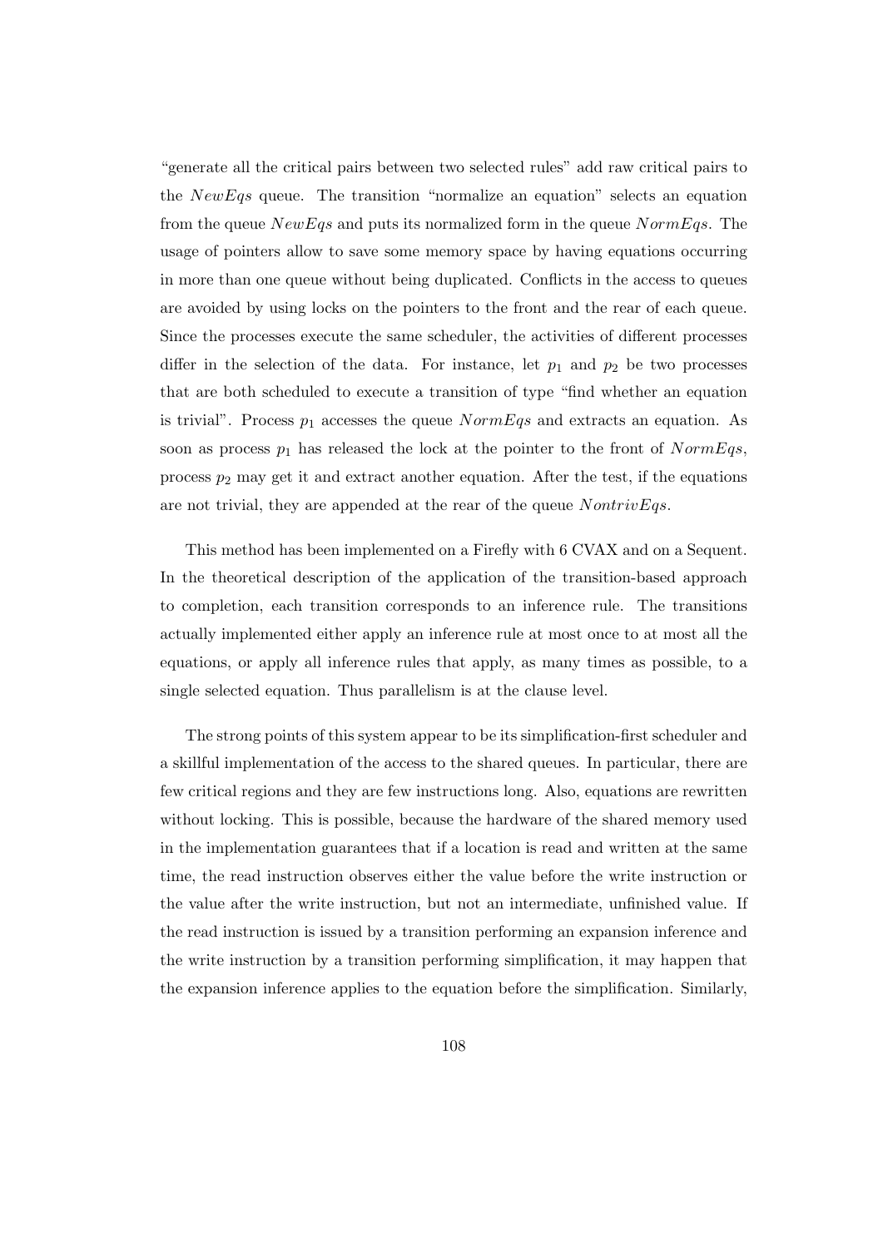"generate all the critical pairs between two selected rules" add raw critical pairs to the  $NewEqs$  queue. The transition "normalize an equation" selects an equation from the queue  $NewEqs$  and puts its normalized form in the queue  $NormEqs$ . The usage of pointers allow to save some memory space by having equations occurring in more than one queue without being duplicated. Conflicts in the access to queues are avoided by using locks on the pointers to the front and the rear of each queue. Since the processes execute the same scheduler, the activities of different processes differ in the selection of the data. For instance, let  $p_1$  and  $p_2$  be two processes that are both scheduled to execute a transition of type "find whether an equation is trivial". Process  $p_1$  accesses the queue  $NormEqs$  and extracts an equation. As soon as process  $p_1$  has released the lock at the pointer to the front of  $NormEqs$ , process  $p_2$  may get it and extract another equation. After the test, if the equations are not trivial, they are appended at the rear of the queue  $NontrivEqs.$ 

This method has been implemented on a Firefly with 6 CVAX and on a Sequent. In the theoretical description of the application of the transition-based approach to completion, each transition corresponds to an inference rule. The transitions actually implemented either apply an inference rule at most once to at most all the equations, or apply all inference rules that apply, as many times as possible, to a single selected equation. Thus parallelism is at the clause level.

The strong points of this system appear to be its simplification-first scheduler and a skillful implementation of the access to the shared queues. In particular, there are few critical regions and they are few instructions long. Also, equations are rewritten without locking. This is possible, because the hardware of the shared memory used in the implementation guarantees that if a location is read and written at the same time, the read instruction observes either the value before the write instruction or the value after the write instruction, but not an intermediate, unfinished value. If the read instruction is issued by a transition performing an expansion inference and the write instruction by a transition performing simplification, it may happen that the expansion inference applies to the equation before the simplification. Similarly,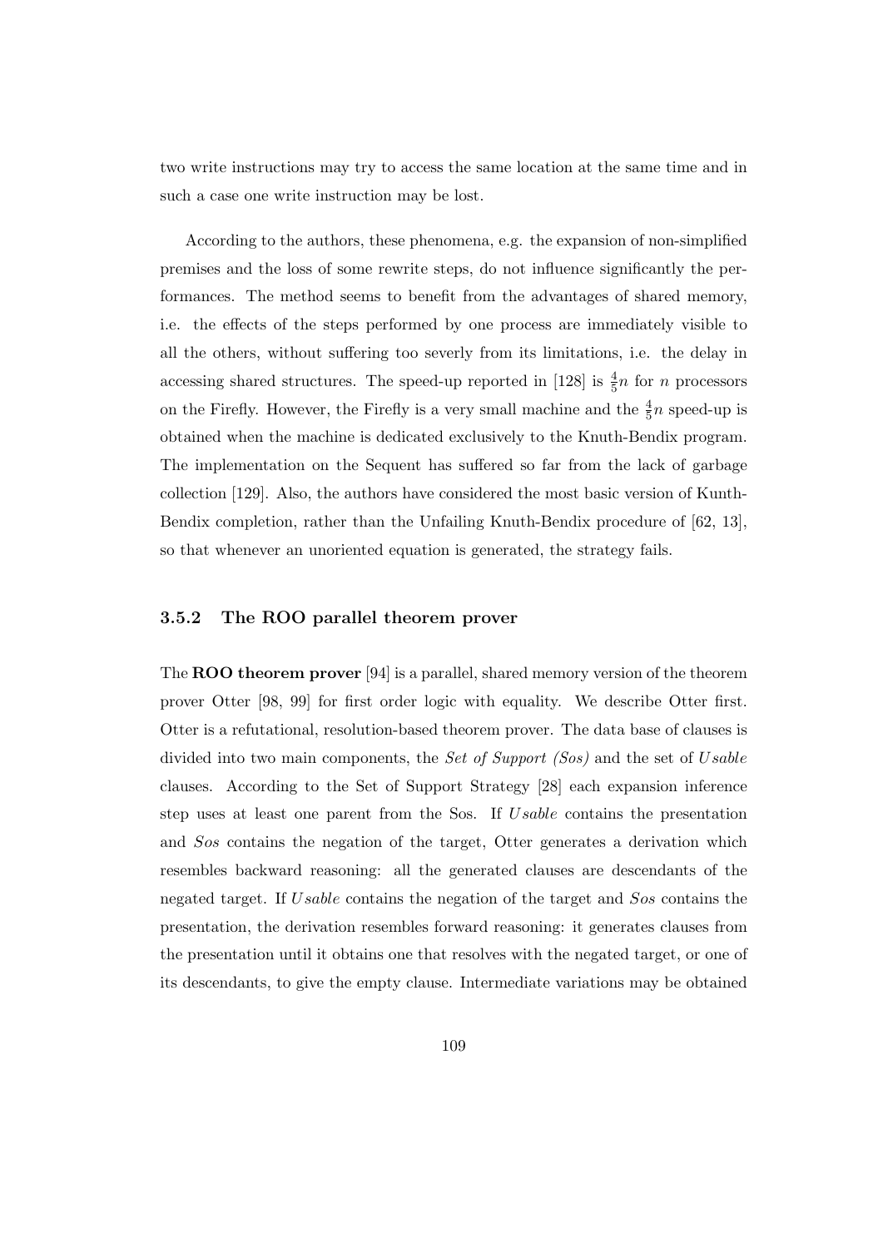two write instructions may try to access the same location at the same time and in such a case one write instruction may be lost.

According to the authors, these phenomena, e.g. the expansion of non-simplified premises and the loss of some rewrite steps, do not influence significantly the performances. The method seems to benefit from the advantages of shared memory, i.e. the effects of the steps performed by one process are immediately visible to all the others, without suffering too severly from its limitations, i.e. the delay in accessing shared structures. The speed-up reported in [128] is  $\frac{4}{5}n$  for n processors on the Firefly. However, the Firefly is a very small machine and the  $\frac{4}{5}n$  speed-up is obtained when the machine is dedicated exclusively to the Knuth-Bendix program. The implementation on the Sequent has suffered so far from the lack of garbage collection [129]. Also, the authors have considered the most basic version of Kunth-Bendix completion, rather than the Unfailing Knuth-Bendix procedure of [62, 13], so that whenever an unoriented equation is generated, the strategy fails.

#### 3.5.2 The ROO parallel theorem prover

The ROO theorem prover [94] is a parallel, shared memory version of the theorem prover Otter [98, 99] for first order logic with equality. We describe Otter first. Otter is a refutational, resolution-based theorem prover. The data base of clauses is divided into two main components, the Set of Support (Sos) and the set of Usable clauses. According to the Set of Support Strategy [28] each expansion inference step uses at least one parent from the Sos. If Usable contains the presentation and Sos contains the negation of the target, Otter generates a derivation which resembles backward reasoning: all the generated clauses are descendants of the negated target. If Usable contains the negation of the target and Sos contains the presentation, the derivation resembles forward reasoning: it generates clauses from the presentation until it obtains one that resolves with the negated target, or one of its descendants, to give the empty clause. Intermediate variations may be obtained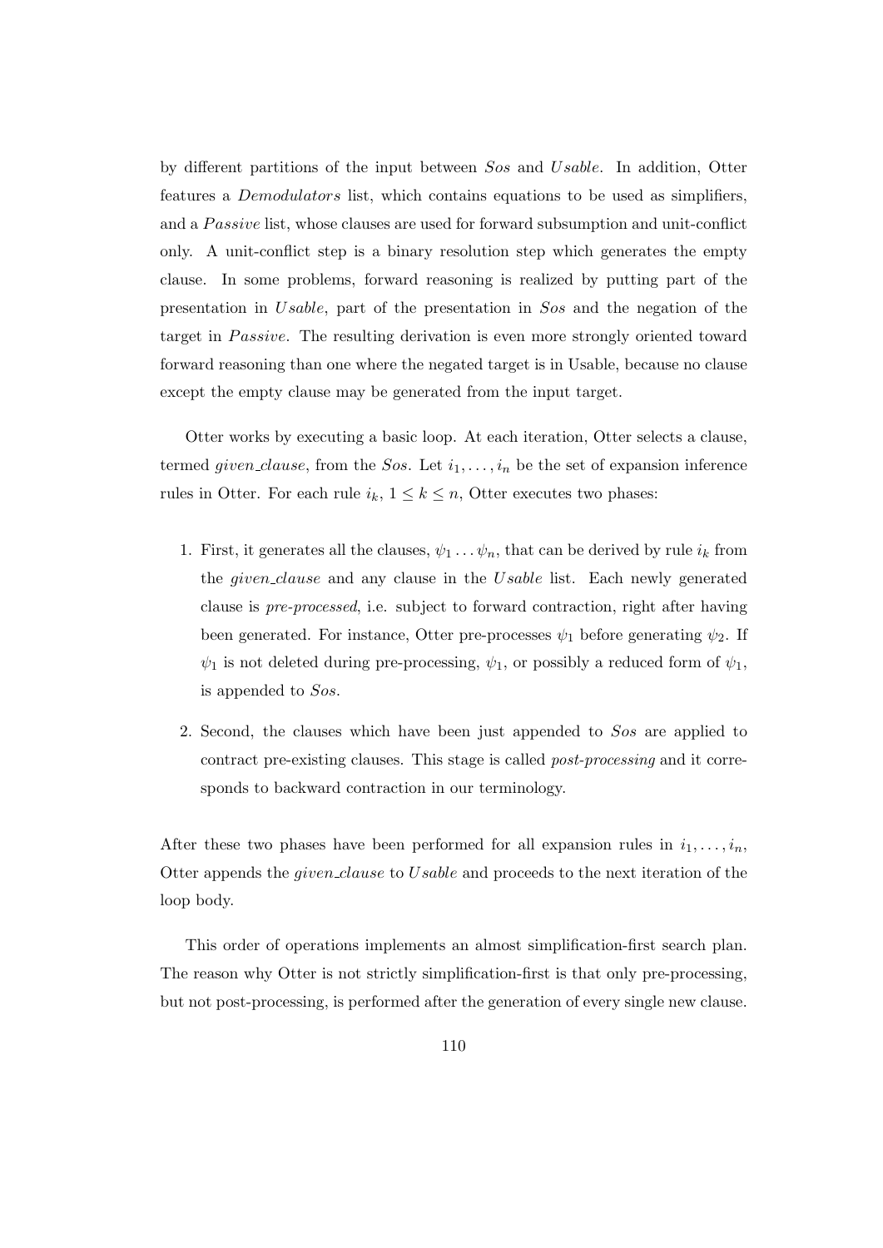by different partitions of the input between Sos and Usable. In addition, Otter features a Demodulators list, which contains equations to be used as simplifiers, and a Passive list, whose clauses are used for forward subsumption and unit-conflict only. A unit-conflict step is a binary resolution step which generates the empty clause. In some problems, forward reasoning is realized by putting part of the presentation in Usable, part of the presentation in Sos and the negation of the target in *Passive*. The resulting derivation is even more strongly oriented toward forward reasoning than one where the negated target is in Usable, because no clause except the empty clause may be generated from the input target.

Otter works by executing a basic loop. At each iteration, Otter selects a clause, termed *given clause*, from the Sos. Let  $i_1, \ldots, i_n$  be the set of expansion inference rules in Otter. For each rule  $i_k$ ,  $1 \leq k \leq n$ , Otter executes two phases:

- 1. First, it generates all the clauses,  $\psi_1 \dots \psi_n$ , that can be derived by rule  $i_k$  from the *given\_clause* and any clause in the Usable list. Each newly generated clause is pre-processed, i.e. subject to forward contraction, right after having been generated. For instance, Otter pre-processes  $\psi_1$  before generating  $\psi_2$ . If  $\psi_1$  is not deleted during pre-processing,  $\psi_1$ , or possibly a reduced form of  $\psi_1$ , is appended to Sos.
- 2. Second, the clauses which have been just appended to Sos are applied to contract pre-existing clauses. This stage is called post-processing and it corresponds to backward contraction in our terminology.

After these two phases have been performed for all expansion rules in  $i_1, \ldots, i_n$ , Otter appends the given clause to Usable and proceeds to the next iteration of the loop body.

This order of operations implements an almost simplification-first search plan. The reason why Otter is not strictly simplification-first is that only pre-processing, but not post-processing, is performed after the generation of every single new clause.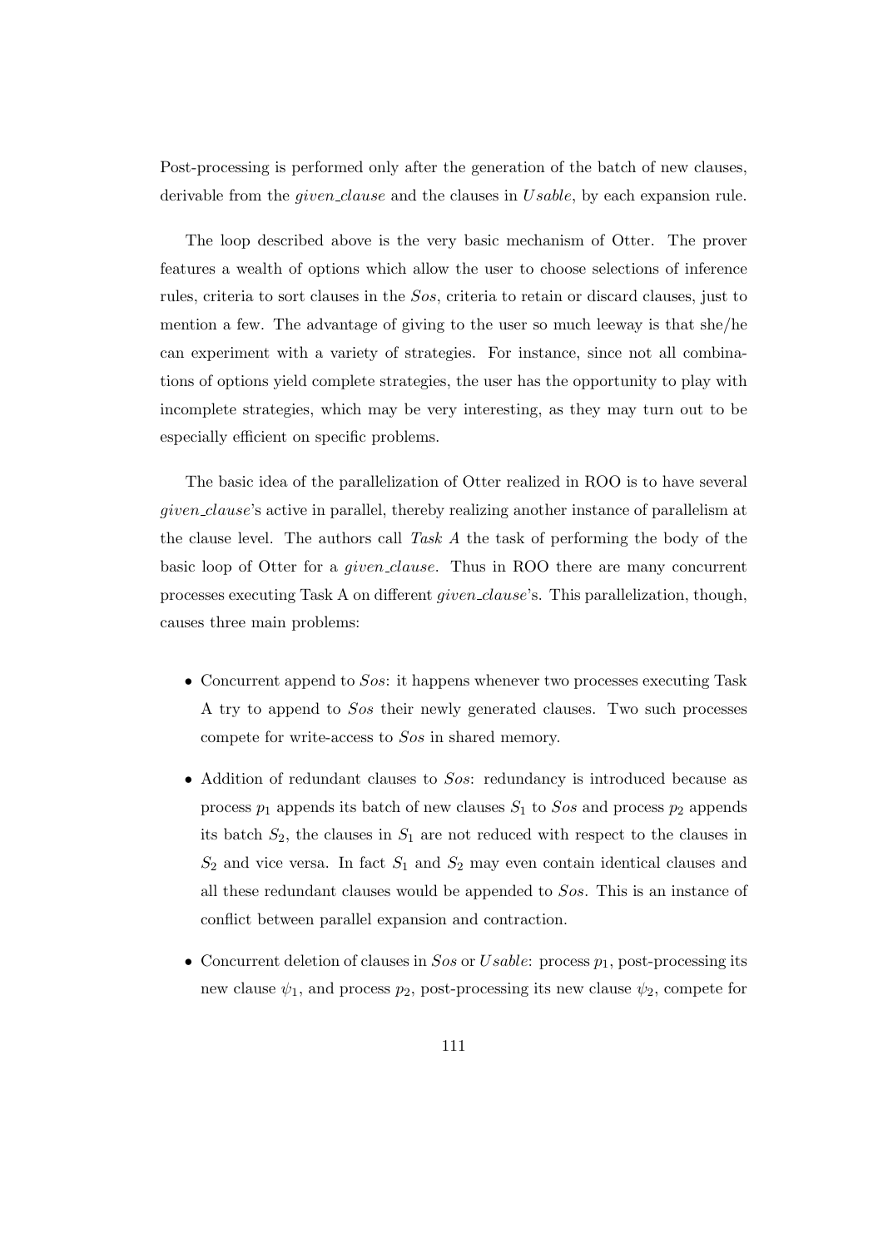Post-processing is performed only after the generation of the batch of new clauses, derivable from the *given clause* and the clauses in *Usable*, by each expansion rule.

The loop described above is the very basic mechanism of Otter. The prover features a wealth of options which allow the user to choose selections of inference rules, criteria to sort clauses in the Sos, criteria to retain or discard clauses, just to mention a few. The advantage of giving to the user so much leeway is that she/he can experiment with a variety of strategies. For instance, since not all combinations of options yield complete strategies, the user has the opportunity to play with incomplete strategies, which may be very interesting, as they may turn out to be especially efficient on specific problems.

The basic idea of the parallelization of Otter realized in ROO is to have several given clause's active in parallel, thereby realizing another instance of parallelism at the clause level. The authors call Task A the task of performing the body of the basic loop of Otter for a *given clause*. Thus in ROO there are many concurrent processes executing Task A on different *given\_clause's*. This parallelization, though, causes three main problems:

- Concurrent append to Sos: it happens whenever two processes executing Task A try to append to Sos their newly generated clauses. Two such processes compete for write-access to Sos in shared memory.
- Addition of redundant clauses to Sos: redundancy is introduced because as process  $p_1$  appends its batch of new clauses  $S_1$  to Sos and process  $p_2$  appends its batch  $S_2$ , the clauses in  $S_1$  are not reduced with respect to the clauses in  $S_2$  and vice versa. In fact  $S_1$  and  $S_2$  may even contain identical clauses and all these redundant clauses would be appended to Sos. This is an instance of conflict between parallel expansion and contraction.
- Concurrent deletion of clauses in  $Sos$  or Usable: process  $p_1$ , post-processing its new clause  $\psi_1$ , and process  $p_2$ , post-processing its new clause  $\psi_2$ , compete for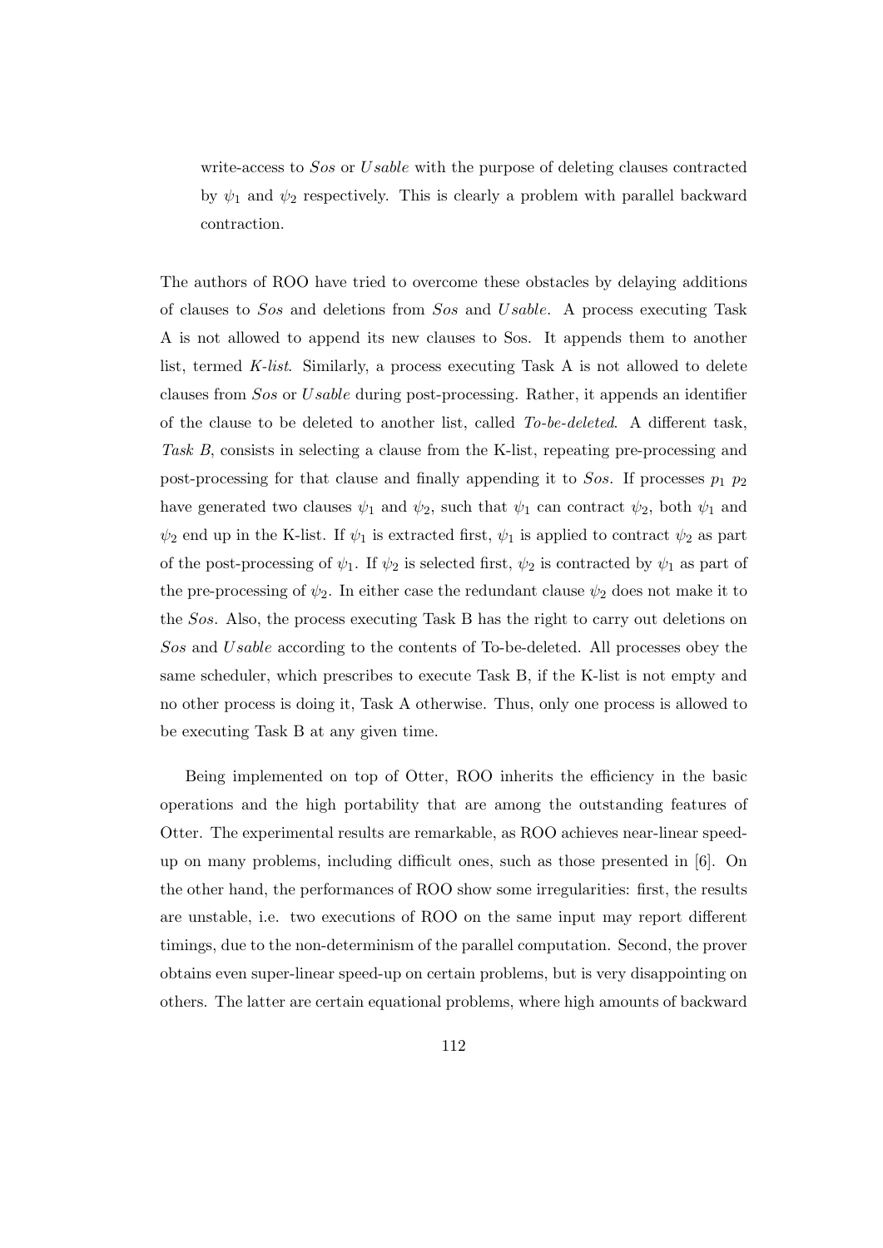write-access to Sos or Usable with the purpose of deleting clauses contracted by  $\psi_1$  and  $\psi_2$  respectively. This is clearly a problem with parallel backward contraction.

The authors of ROO have tried to overcome these obstacles by delaying additions of clauses to Sos and deletions from Sos and Usable. A process executing Task A is not allowed to append its new clauses to Sos. It appends them to another list, termed K-list. Similarly, a process executing Task A is not allowed to delete clauses from Sos or Usable during post-processing. Rather, it appends an identifier of the clause to be deleted to another list, called To-be-deleted. A different task, Task B, consists in selecting a clause from the K-list, repeating pre-processing and post-processing for that clause and finally appending it to  $Sos$ . If processes  $p_1$   $p_2$ have generated two clauses  $\psi_1$  and  $\psi_2$ , such that  $\psi_1$  can contract  $\psi_2$ , both  $\psi_1$  and  $\psi_2$  end up in the K-list. If  $\psi_1$  is extracted first,  $\psi_1$  is applied to contract  $\psi_2$  as part of the post-processing of  $\psi_1$ . If  $\psi_2$  is selected first,  $\psi_2$  is contracted by  $\psi_1$  as part of the pre-processing of  $\psi_2$ . In either case the redundant clause  $\psi_2$  does not make it to the Sos. Also, the process executing Task B has the right to carry out deletions on Sos and Usable according to the contents of To-be-deleted. All processes obey the same scheduler, which prescribes to execute Task B, if the K-list is not empty and no other process is doing it, Task A otherwise. Thus, only one process is allowed to be executing Task B at any given time.

Being implemented on top of Otter, ROO inherits the efficiency in the basic operations and the high portability that are among the outstanding features of Otter. The experimental results are remarkable, as ROO achieves near-linear speedup on many problems, including difficult ones, such as those presented in [6]. On the other hand, the performances of ROO show some irregularities: first, the results are unstable, i.e. two executions of ROO on the same input may report different timings, due to the non-determinism of the parallel computation. Second, the prover obtains even super-linear speed-up on certain problems, but is very disappointing on others. The latter are certain equational problems, where high amounts of backward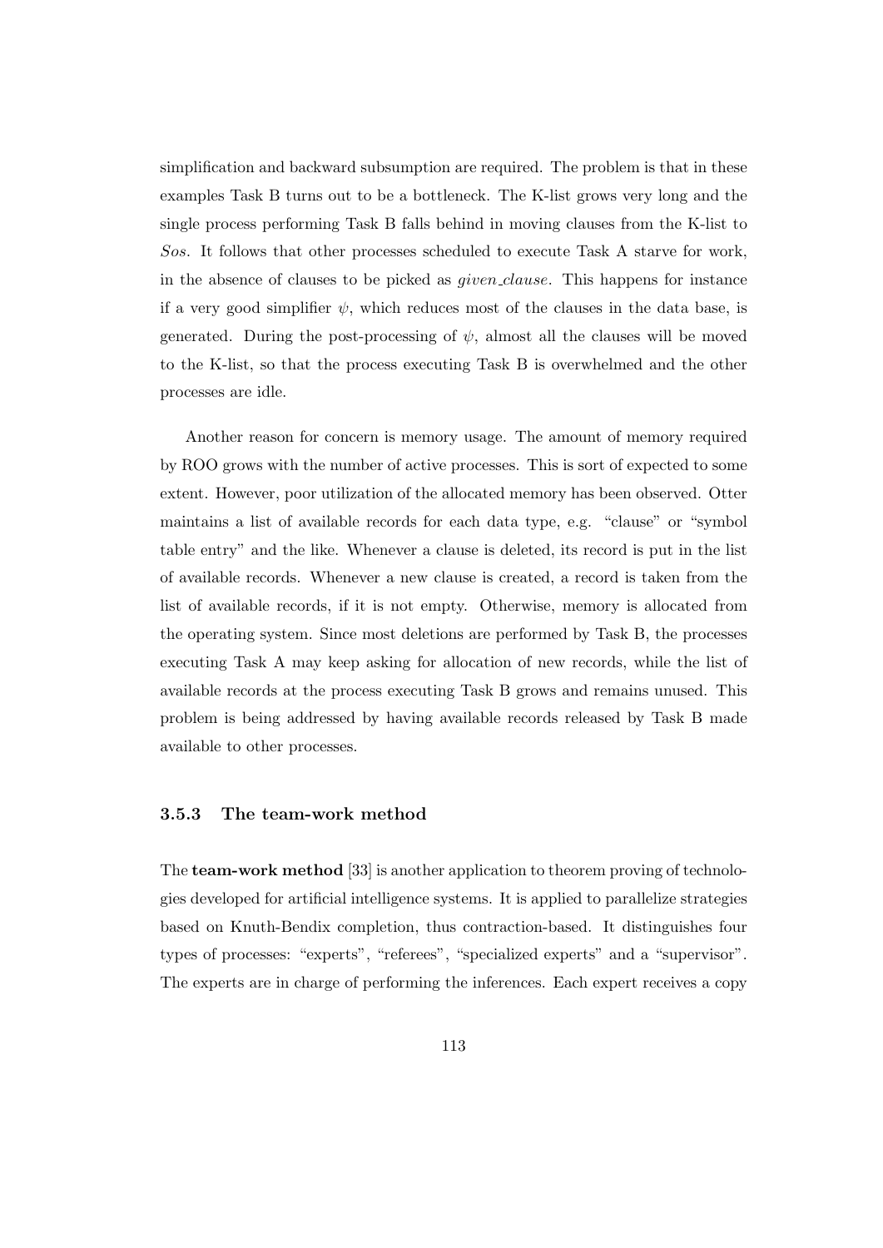simplification and backward subsumption are required. The problem is that in these examples Task B turns out to be a bottleneck. The K-list grows very long and the single process performing Task B falls behind in moving clauses from the K-list to Sos. It follows that other processes scheduled to execute Task A starve for work, in the absence of clauses to be picked as given clause. This happens for instance if a very good simplifier  $\psi$ , which reduces most of the clauses in the data base, is generated. During the post-processing of  $\psi$ , almost all the clauses will be moved to the K-list, so that the process executing Task B is overwhelmed and the other processes are idle.

Another reason for concern is memory usage. The amount of memory required by ROO grows with the number of active processes. This is sort of expected to some extent. However, poor utilization of the allocated memory has been observed. Otter maintains a list of available records for each data type, e.g. "clause" or "symbol table entry" and the like. Whenever a clause is deleted, its record is put in the list of available records. Whenever a new clause is created, a record is taken from the list of available records, if it is not empty. Otherwise, memory is allocated from the operating system. Since most deletions are performed by Task B, the processes executing Task A may keep asking for allocation of new records, while the list of available records at the process executing Task B grows and remains unused. This problem is being addressed by having available records released by Task B made available to other processes.

#### 3.5.3 The team-work method

The team-work method [33] is another application to theorem proving of technologies developed for artificial intelligence systems. It is applied to parallelize strategies based on Knuth-Bendix completion, thus contraction-based. It distinguishes four types of processes: "experts", "referees", "specialized experts" and a "supervisor". The experts are in charge of performing the inferences. Each expert receives a copy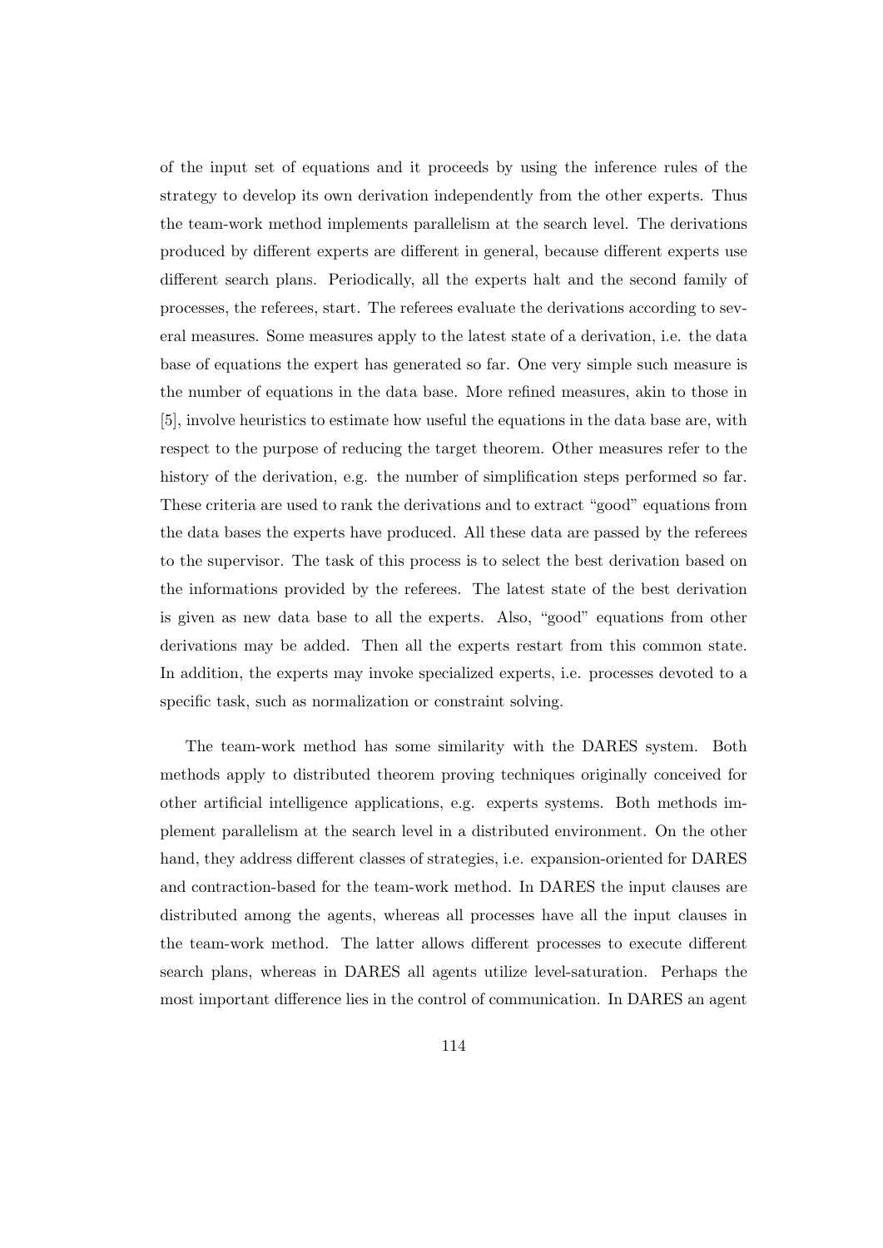of the input set of equations and it proceeds by using the inference rules of the strategy to develop its own derivation independently from the other experts. Thus the team-work method implements parallelism at the search level. The derivations produced by different experts are different in general, because different experts use different search plans. Periodically, all the experts halt and the second family of processes, the referees, start. The referees evaluate the derivations according to several measures. Some measures apply to the latest state of a derivation, i.e. the data base of equations the expert has generated so far. One very simple such measure is the number of equations in the data base. More refined measures, akin to those in [5], involve heuristics to estimate how useful the equations in the data base are, with respect to the purpose of reducing the target theorem. Other measures refer to the history of the derivation, e.g. the number of simplification steps performed so far. These criteria are used to rank the derivations and to extract "good" equations from the data bases the experts have produced. All these data are passed by the referees to the supervisor. The task of this process is to select the best derivation based on the informations provided by the referees. The latest state of the best derivation is given as new data base to all the experts. Also, "good" equations from other derivations may be added. Then all the experts restart from this common state. In addition, the experts may invoke specialized experts, i.e. processes devoted to a specific task, such as normalization or constraint solving.

The team-work method has some similarity with the DARES system. Both methods apply to distributed theorem proving techniques originally conceived for other artificial intelligence applications, e.g. experts systems. Both methods implement parallelism at the search level in a distributed environment. On the other hand, they address different classes of strategies, i.e. expansion-oriented for DARES and contraction-based for the team-work method. In DARES the input clauses are distributed among the agents, whereas all processes have all the input clauses in the team-work method. The latter allows different processes to execute different search plans, whereas in DARES all agents utilize level-saturation. Perhaps the most important difference lies in the control of communication. In DARES an agent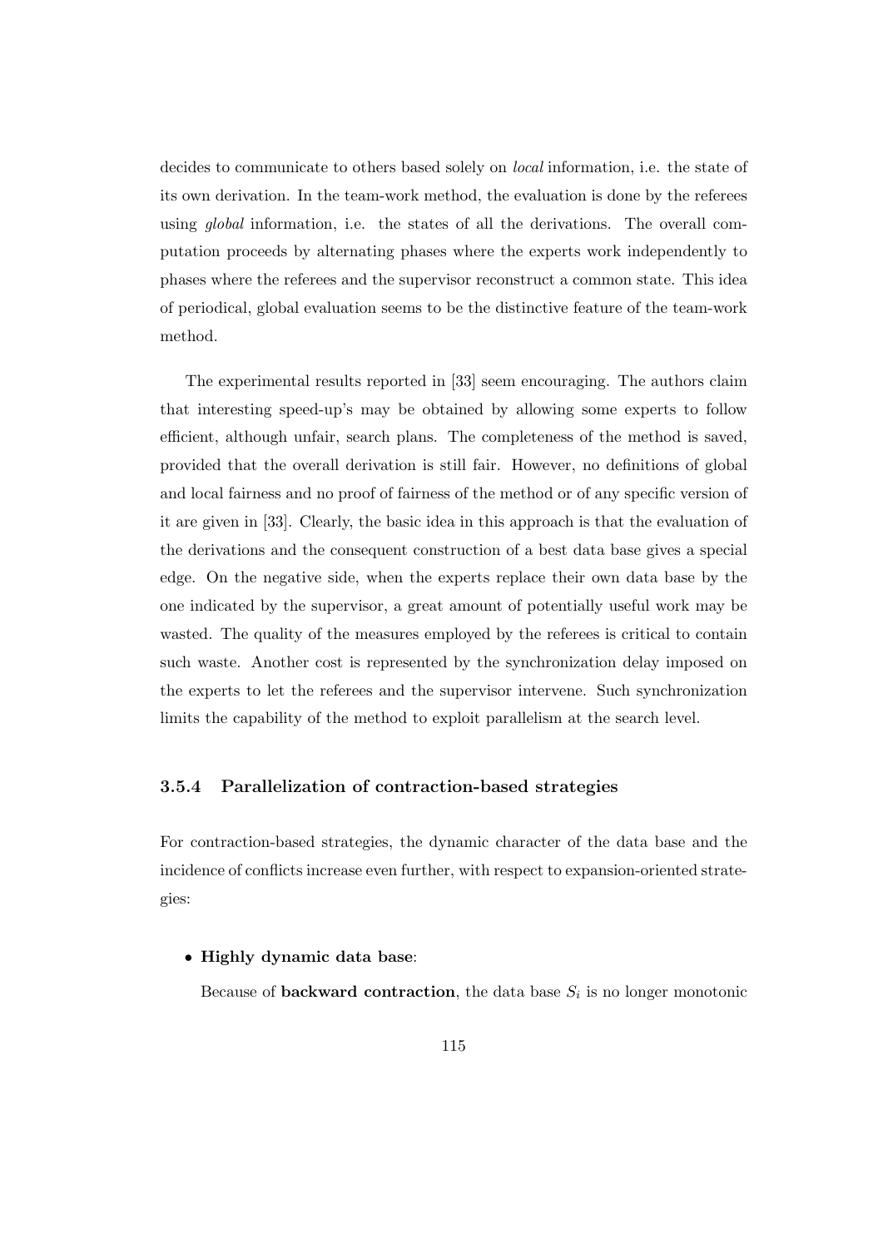decides to communicate to others based solely on local information, i.e. the state of its own derivation. In the team-work method, the evaluation is done by the referees using global information, i.e. the states of all the derivations. The overall computation proceeds by alternating phases where the experts work independently to phases where the referees and the supervisor reconstruct a common state. This idea of periodical, global evaluation seems to be the distinctive feature of the team-work method.

The experimental results reported in [33] seem encouraging. The authors claim that interesting speed-up's may be obtained by allowing some experts to follow efficient, although unfair, search plans. The completeness of the method is saved, provided that the overall derivation is still fair. However, no definitions of global and local fairness and no proof of fairness of the method or of any specific version of it are given in [33]. Clearly, the basic idea in this approach is that the evaluation of the derivations and the consequent construction of a best data base gives a special edge. On the negative side, when the experts replace their own data base by the one indicated by the supervisor, a great amount of potentially useful work may be wasted. The quality of the measures employed by the referees is critical to contain such waste. Another cost is represented by the synchronization delay imposed on the experts to let the referees and the supervisor intervene. Such synchronization limits the capability of the method to exploit parallelism at the search level.

#### 3.5.4 Parallelization of contraction-based strategies

For contraction-based strategies, the dynamic character of the data base and the incidence of conflicts increase even further, with respect to expansion-oriented strategies:

• Highly dynamic data base:

Because of **backward contraction**, the data base  $S_i$  is no longer monotonic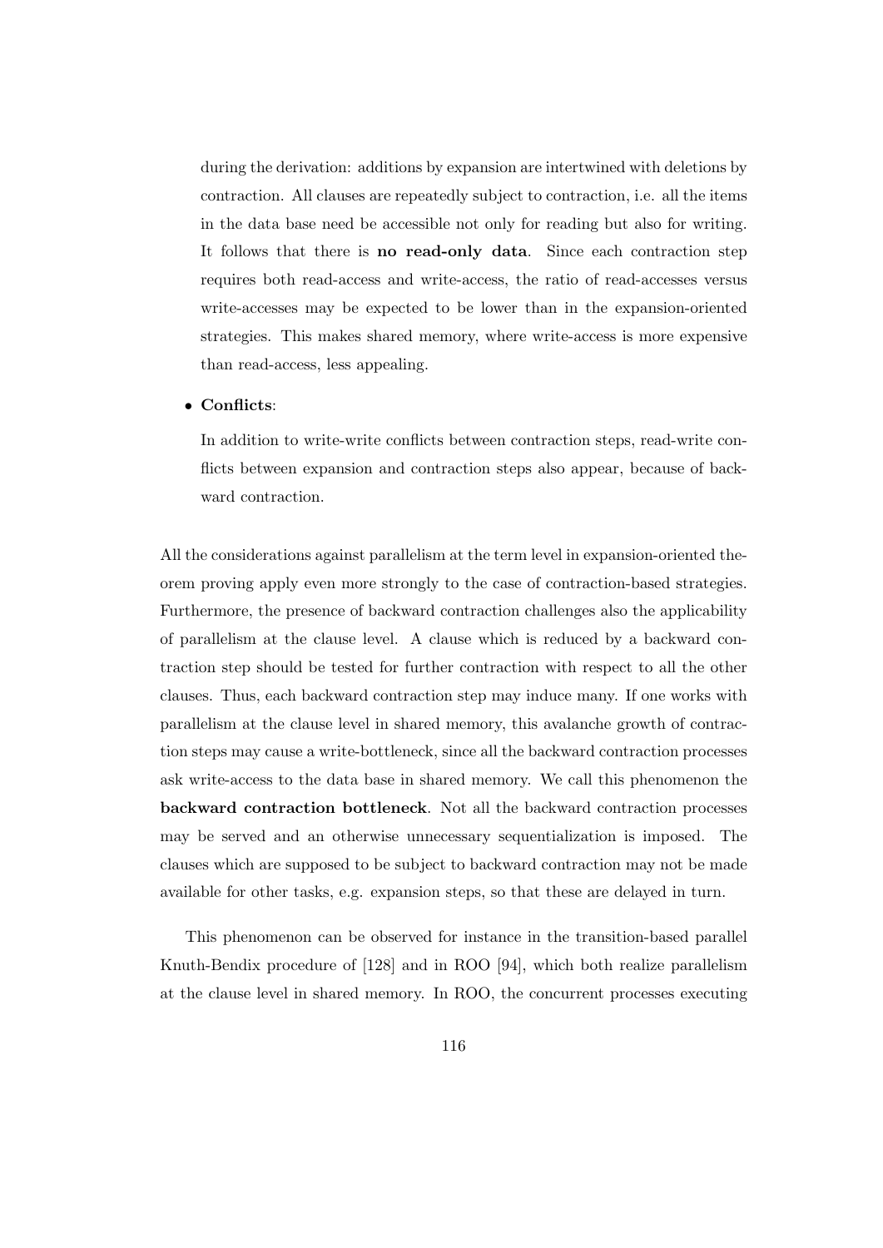during the derivation: additions by expansion are intertwined with deletions by contraction. All clauses are repeatedly subject to contraction, i.e. all the items in the data base need be accessible not only for reading but also for writing. It follows that there is no read-only data. Since each contraction step requires both read-access and write-access, the ratio of read-accesses versus write-accesses may be expected to be lower than in the expansion-oriented strategies. This makes shared memory, where write-access is more expensive than read-access, less appealing.

#### • Conflicts:

In addition to write-write conflicts between contraction steps, read-write conflicts between expansion and contraction steps also appear, because of backward contraction.

All the considerations against parallelism at the term level in expansion-oriented theorem proving apply even more strongly to the case of contraction-based strategies. Furthermore, the presence of backward contraction challenges also the applicability of parallelism at the clause level. A clause which is reduced by a backward contraction step should be tested for further contraction with respect to all the other clauses. Thus, each backward contraction step may induce many. If one works with parallelism at the clause level in shared memory, this avalanche growth of contraction steps may cause a write-bottleneck, since all the backward contraction processes ask write-access to the data base in shared memory. We call this phenomenon the backward contraction bottleneck. Not all the backward contraction processes may be served and an otherwise unnecessary sequentialization is imposed. The clauses which are supposed to be subject to backward contraction may not be made available for other tasks, e.g. expansion steps, so that these are delayed in turn.

This phenomenon can be observed for instance in the transition-based parallel Knuth-Bendix procedure of [128] and in ROO [94], which both realize parallelism at the clause level in shared memory. In ROO, the concurrent processes executing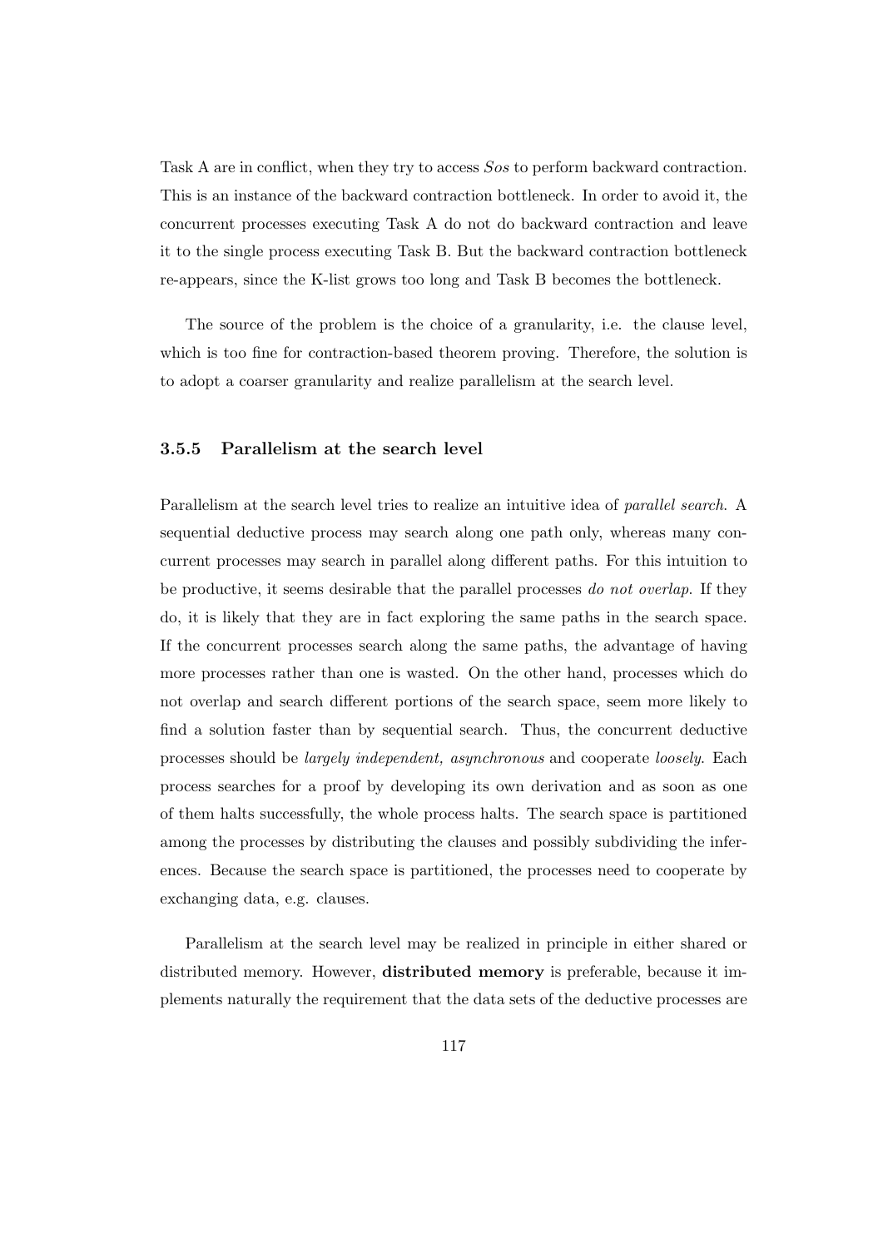Task A are in conflict, when they try to access Sos to perform backward contraction. This is an instance of the backward contraction bottleneck. In order to avoid it, the concurrent processes executing Task A do not do backward contraction and leave it to the single process executing Task B. But the backward contraction bottleneck re-appears, since the K-list grows too long and Task B becomes the bottleneck.

The source of the problem is the choice of a granularity, i.e. the clause level, which is too fine for contraction-based theorem proving. Therefore, the solution is to adopt a coarser granularity and realize parallelism at the search level.

#### 3.5.5 Parallelism at the search level

Parallelism at the search level tries to realize an intuitive idea of *parallel search*. A sequential deductive process may search along one path only, whereas many concurrent processes may search in parallel along different paths. For this intuition to be productive, it seems desirable that the parallel processes do not overlap. If they do, it is likely that they are in fact exploring the same paths in the search space. If the concurrent processes search along the same paths, the advantage of having more processes rather than one is wasted. On the other hand, processes which do not overlap and search different portions of the search space, seem more likely to find a solution faster than by sequential search. Thus, the concurrent deductive processes should be largely independent, asynchronous and cooperate loosely. Each process searches for a proof by developing its own derivation and as soon as one of them halts successfully, the whole process halts. The search space is partitioned among the processes by distributing the clauses and possibly subdividing the inferences. Because the search space is partitioned, the processes need to cooperate by exchanging data, e.g. clauses.

Parallelism at the search level may be realized in principle in either shared or distributed memory. However, distributed memory is preferable, because it implements naturally the requirement that the data sets of the deductive processes are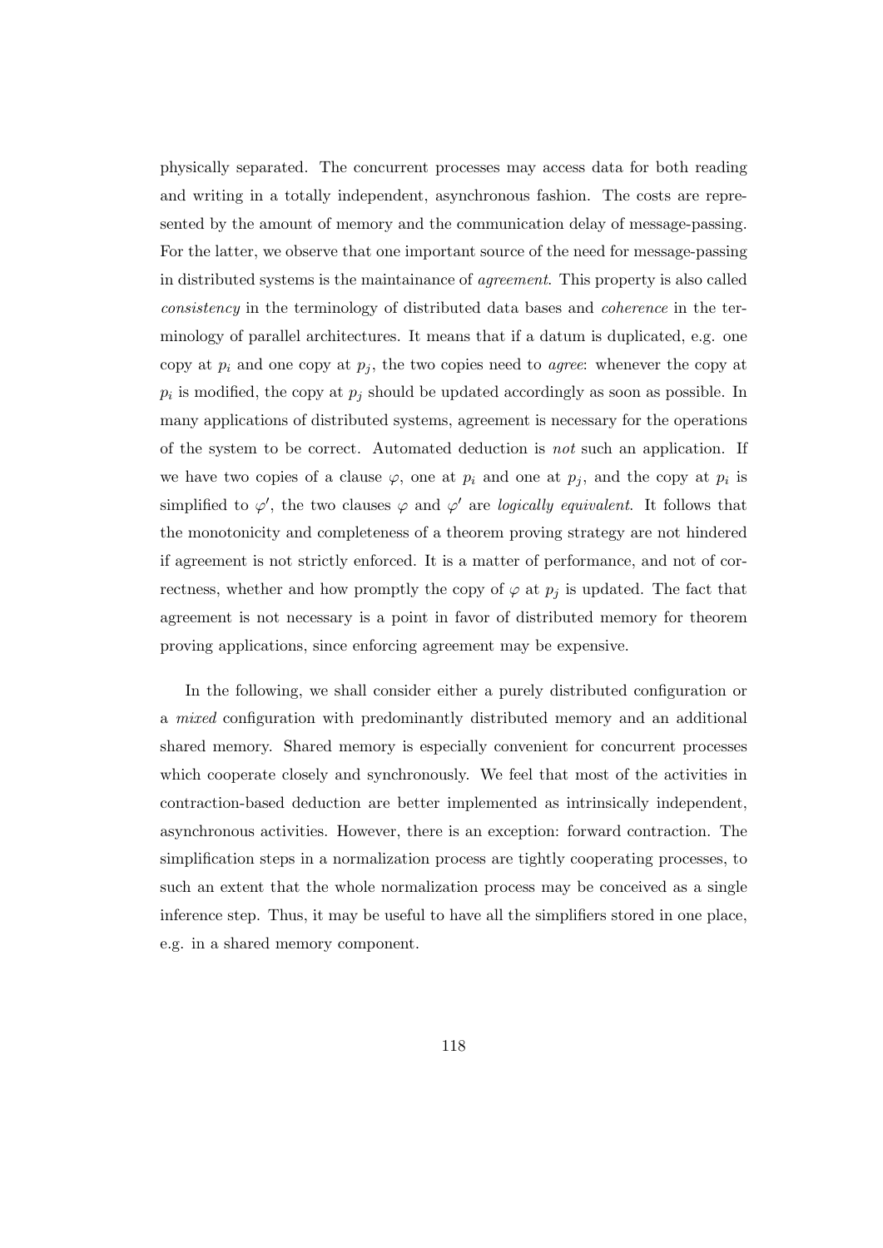physically separated. The concurrent processes may access data for both reading and writing in a totally independent, asynchronous fashion. The costs are represented by the amount of memory and the communication delay of message-passing. For the latter, we observe that one important source of the need for message-passing in distributed systems is the maintainance of agreement. This property is also called consistency in the terminology of distributed data bases and coherence in the terminology of parallel architectures. It means that if a datum is duplicated, e.g. one copy at  $p_i$  and one copy at  $p_j$ , the two copies need to *agree*: whenever the copy at  $p_i$  is modified, the copy at  $p_j$  should be updated accordingly as soon as possible. In many applications of distributed systems, agreement is necessary for the operations of the system to be correct. Automated deduction is not such an application. If we have two copies of a clause  $\varphi$ , one at  $p_i$  and one at  $p_j$ , and the copy at  $p_i$  is simplified to  $\varphi'$ , the two clauses  $\varphi$  and  $\varphi'$  are logically equivalent. It follows that the monotonicity and completeness of a theorem proving strategy are not hindered if agreement is not strictly enforced. It is a matter of performance, and not of correctness, whether and how promptly the copy of  $\varphi$  at  $p_j$  is updated. The fact that agreement is not necessary is a point in favor of distributed memory for theorem proving applications, since enforcing agreement may be expensive.

In the following, we shall consider either a purely distributed configuration or a mixed configuration with predominantly distributed memory and an additional shared memory. Shared memory is especially convenient for concurrent processes which cooperate closely and synchronously. We feel that most of the activities in contraction-based deduction are better implemented as intrinsically independent, asynchronous activities. However, there is an exception: forward contraction. The simplification steps in a normalization process are tightly cooperating processes, to such an extent that the whole normalization process may be conceived as a single inference step. Thus, it may be useful to have all the simplifiers stored in one place, e.g. in a shared memory component.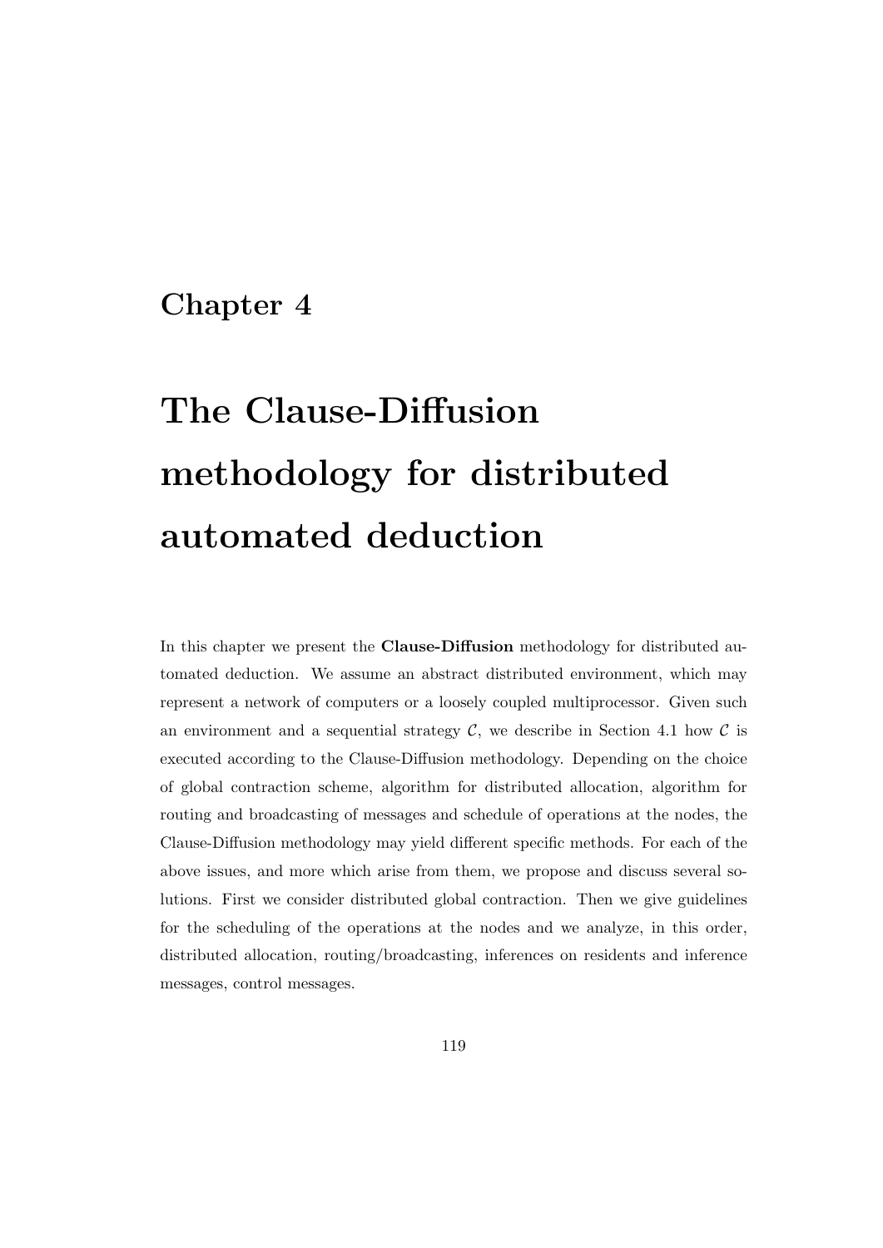# Chapter 4

# The Clause-Diffusion methodology for distributed automated deduction

In this chapter we present the Clause-Diffusion methodology for distributed automated deduction. We assume an abstract distributed environment, which may represent a network of computers or a loosely coupled multiprocessor. Given such an environment and a sequential strategy  $C$ , we describe in Section 4.1 how  $C$  is executed according to the Clause-Diffusion methodology. Depending on the choice of global contraction scheme, algorithm for distributed allocation, algorithm for routing and broadcasting of messages and schedule of operations at the nodes, the Clause-Diffusion methodology may yield different specific methods. For each of the above issues, and more which arise from them, we propose and discuss several solutions. First we consider distributed global contraction. Then we give guidelines for the scheduling of the operations at the nodes and we analyze, in this order, distributed allocation, routing/broadcasting, inferences on residents and inference messages, control messages.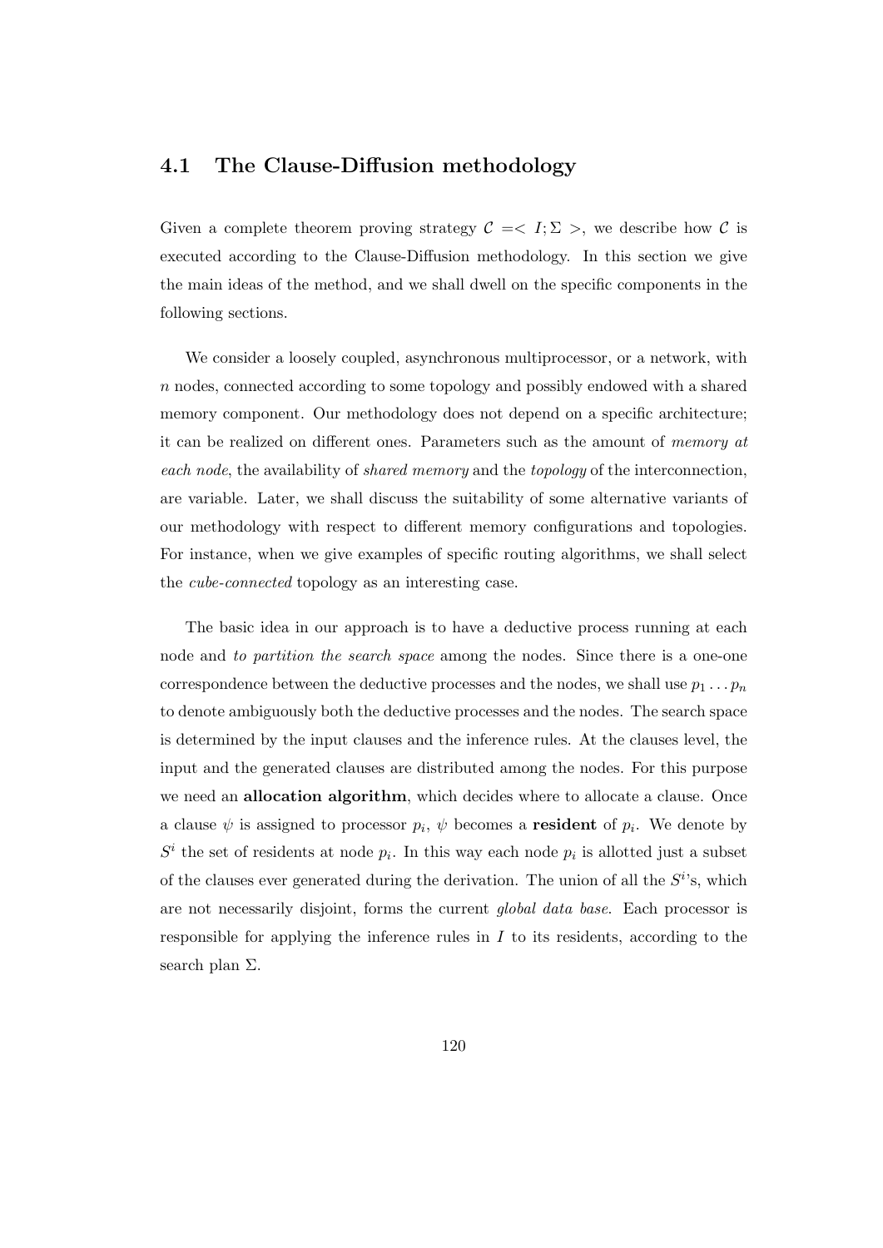## 4.1 The Clause-Diffusion methodology

Given a complete theorem proving strategy  $C = \langle I; \Sigma \rangle$ , we describe how C is executed according to the Clause-Diffusion methodology. In this section we give the main ideas of the method, and we shall dwell on the specific components in the following sections.

We consider a loosely coupled, asynchronous multiprocessor, or a network, with n nodes, connected according to some topology and possibly endowed with a shared memory component. Our methodology does not depend on a specific architecture; it can be realized on different ones. Parameters such as the amount of memory at each node, the availability of *shared memory* and the topology of the interconnection, are variable. Later, we shall discuss the suitability of some alternative variants of our methodology with respect to different memory configurations and topologies. For instance, when we give examples of specific routing algorithms, we shall select the cube-connected topology as an interesting case.

The basic idea in our approach is to have a deductive process running at each node and to partition the search space among the nodes. Since there is a one-one correspondence between the deductive processes and the nodes, we shall use  $p_1 \ldots p_n$ to denote ambiguously both the deductive processes and the nodes. The search space is determined by the input clauses and the inference rules. At the clauses level, the input and the generated clauses are distributed among the nodes. For this purpose we need an **allocation algorithm**, which decides where to allocate a clause. Once a clause  $\psi$  is assigned to processor  $p_i$ ,  $\psi$  becomes a **resident** of  $p_i$ . We denote by  $S<sup>i</sup>$  the set of residents at node  $p<sub>i</sub>$ . In this way each node  $p<sub>i</sub>$  is allotted just a subset of the clauses ever generated during the derivation. The union of all the  $S<sup>i</sup>$ 's, which are not necessarily disjoint, forms the current global data base. Each processor is responsible for applying the inference rules in  $I$  to its residents, according to the search plan Σ.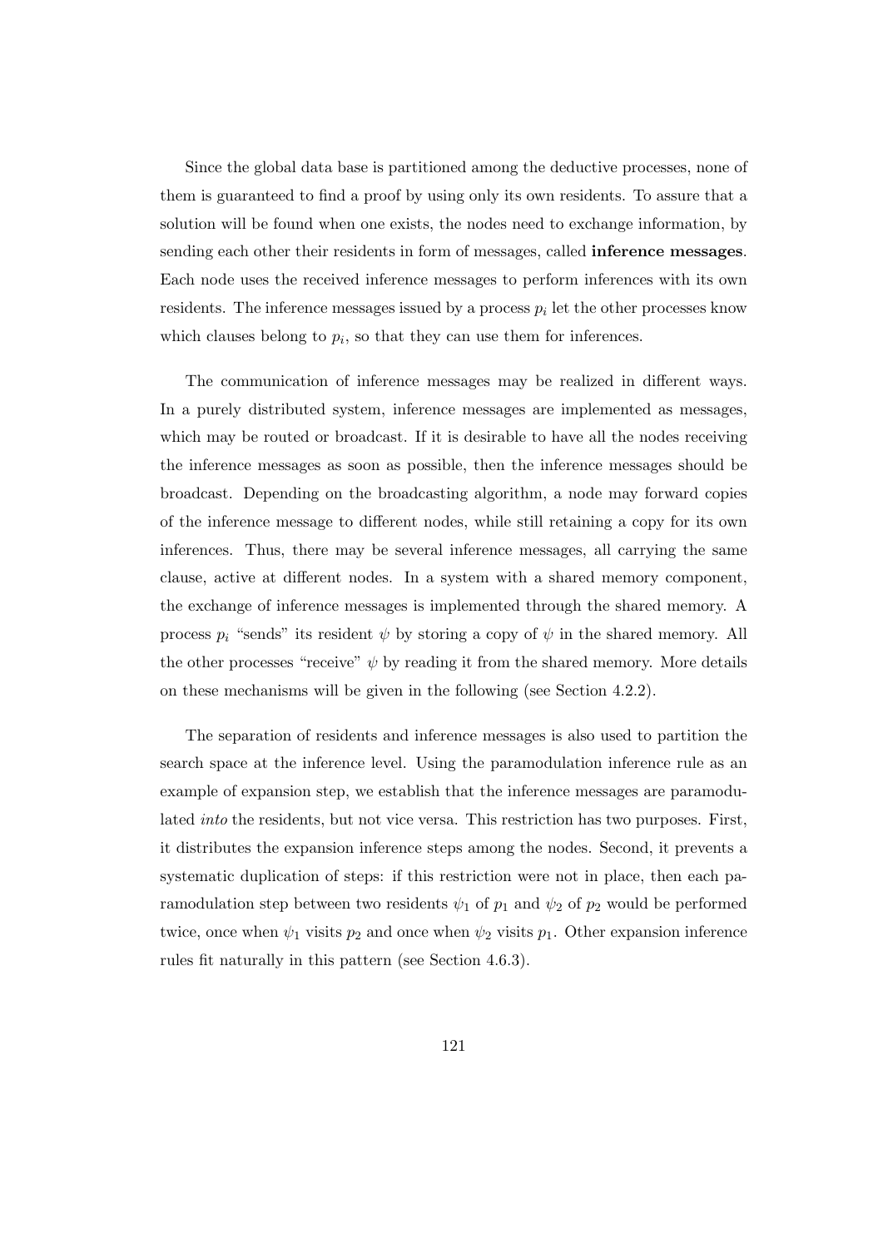Since the global data base is partitioned among the deductive processes, none of them is guaranteed to find a proof by using only its own residents. To assure that a solution will be found when one exists, the nodes need to exchange information, by sending each other their residents in form of messages, called inference messages. Each node uses the received inference messages to perform inferences with its own residents. The inference messages issued by a process  $p_i$  let the other processes know which clauses belong to  $p_i$ , so that they can use them for inferences.

The communication of inference messages may be realized in different ways. In a purely distributed system, inference messages are implemented as messages, which may be routed or broadcast. If it is desirable to have all the nodes receiving the inference messages as soon as possible, then the inference messages should be broadcast. Depending on the broadcasting algorithm, a node may forward copies of the inference message to different nodes, while still retaining a copy for its own inferences. Thus, there may be several inference messages, all carrying the same clause, active at different nodes. In a system with a shared memory component, the exchange of inference messages is implemented through the shared memory. A process  $p_i$  "sends" its resident  $\psi$  by storing a copy of  $\psi$  in the shared memory. All the other processes "receive"  $\psi$  by reading it from the shared memory. More details on these mechanisms will be given in the following (see Section 4.2.2).

The separation of residents and inference messages is also used to partition the search space at the inference level. Using the paramodulation inference rule as an example of expansion step, we establish that the inference messages are paramodulated into the residents, but not vice versa. This restriction has two purposes. First, it distributes the expansion inference steps among the nodes. Second, it prevents a systematic duplication of steps: if this restriction were not in place, then each paramodulation step between two residents  $\psi_1$  of  $p_1$  and  $\psi_2$  of  $p_2$  would be performed twice, once when  $\psi_1$  visits  $p_2$  and once when  $\psi_2$  visits  $p_1$ . Other expansion inference rules fit naturally in this pattern (see Section 4.6.3).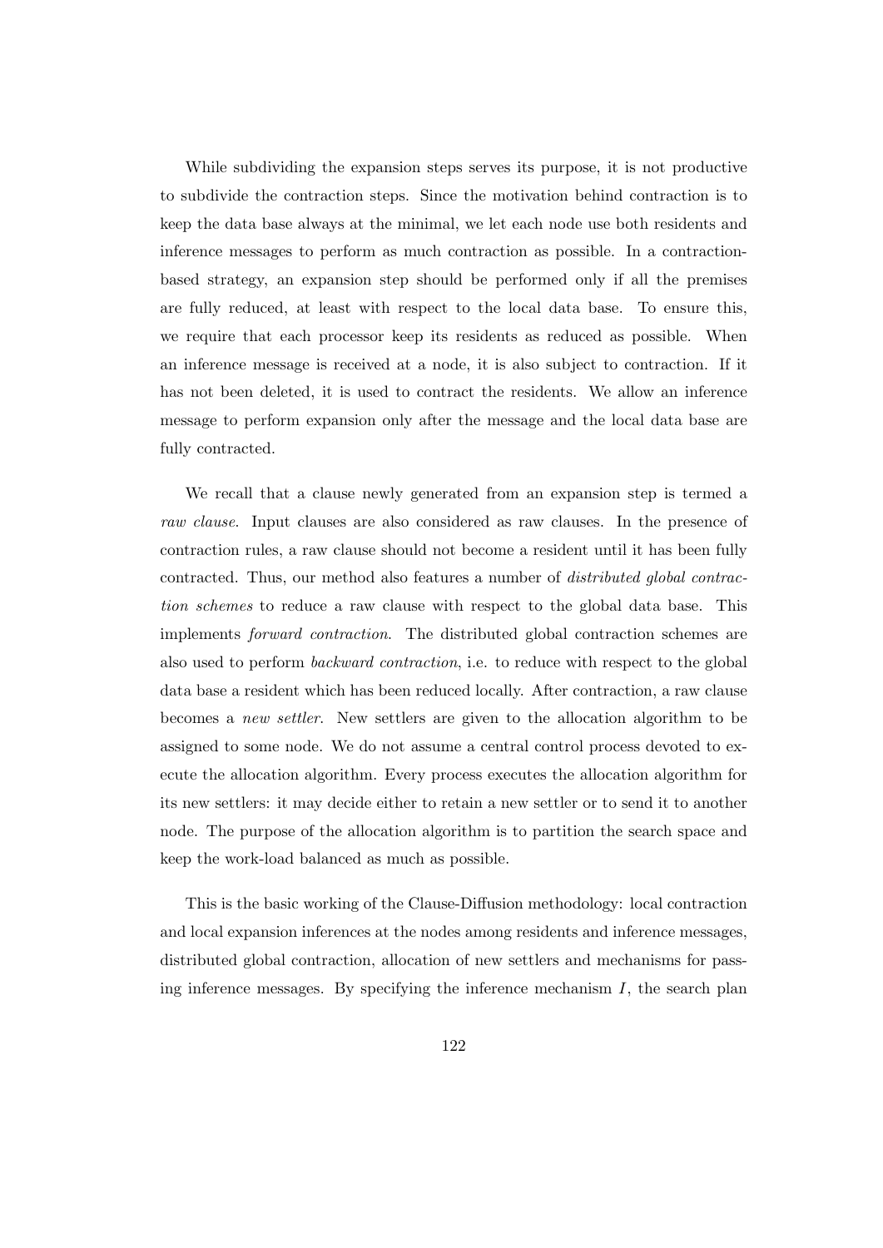While subdividing the expansion steps serves its purpose, it is not productive to subdivide the contraction steps. Since the motivation behind contraction is to keep the data base always at the minimal, we let each node use both residents and inference messages to perform as much contraction as possible. In a contractionbased strategy, an expansion step should be performed only if all the premises are fully reduced, at least with respect to the local data base. To ensure this, we require that each processor keep its residents as reduced as possible. When an inference message is received at a node, it is also subject to contraction. If it has not been deleted, it is used to contract the residents. We allow an inference message to perform expansion only after the message and the local data base are fully contracted.

We recall that a clause newly generated from an expansion step is termed a raw clause. Input clauses are also considered as raw clauses. In the presence of contraction rules, a raw clause should not become a resident until it has been fully contracted. Thus, our method also features a number of distributed global contraction schemes to reduce a raw clause with respect to the global data base. This implements forward contraction. The distributed global contraction schemes are also used to perform backward contraction, i.e. to reduce with respect to the global data base a resident which has been reduced locally. After contraction, a raw clause becomes a new settler. New settlers are given to the allocation algorithm to be assigned to some node. We do not assume a central control process devoted to execute the allocation algorithm. Every process executes the allocation algorithm for its new settlers: it may decide either to retain a new settler or to send it to another node. The purpose of the allocation algorithm is to partition the search space and keep the work-load balanced as much as possible.

This is the basic working of the Clause-Diffusion methodology: local contraction and local expansion inferences at the nodes among residents and inference messages, distributed global contraction, allocation of new settlers and mechanisms for passing inference messages. By specifying the inference mechanism  $I$ , the search plan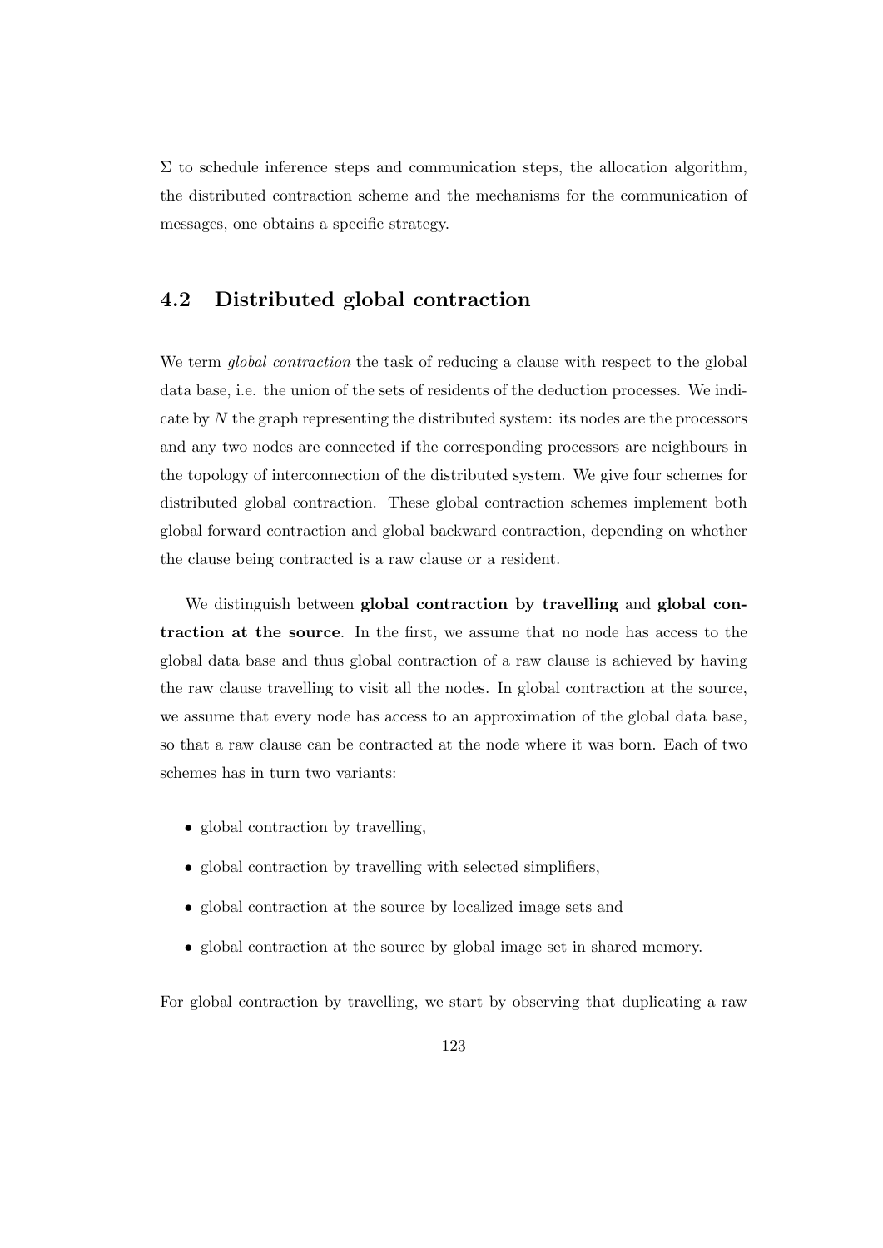$\Sigma$  to schedule inference steps and communication steps, the allocation algorithm, the distributed contraction scheme and the mechanisms for the communication of messages, one obtains a specific strategy.

# 4.2 Distributed global contraction

We term *global contraction* the task of reducing a clause with respect to the global data base, i.e. the union of the sets of residents of the deduction processes. We indicate by N the graph representing the distributed system: its nodes are the processors and any two nodes are connected if the corresponding processors are neighbours in the topology of interconnection of the distributed system. We give four schemes for distributed global contraction. These global contraction schemes implement both global forward contraction and global backward contraction, depending on whether the clause being contracted is a raw clause or a resident.

We distinguish between global contraction by travelling and global contraction at the source. In the first, we assume that no node has access to the global data base and thus global contraction of a raw clause is achieved by having the raw clause travelling to visit all the nodes. In global contraction at the source, we assume that every node has access to an approximation of the global data base, so that a raw clause can be contracted at the node where it was born. Each of two schemes has in turn two variants:

- global contraction by travelling,
- global contraction by travelling with selected simplifiers,
- global contraction at the source by localized image sets and
- global contraction at the source by global image set in shared memory.

For global contraction by travelling, we start by observing that duplicating a raw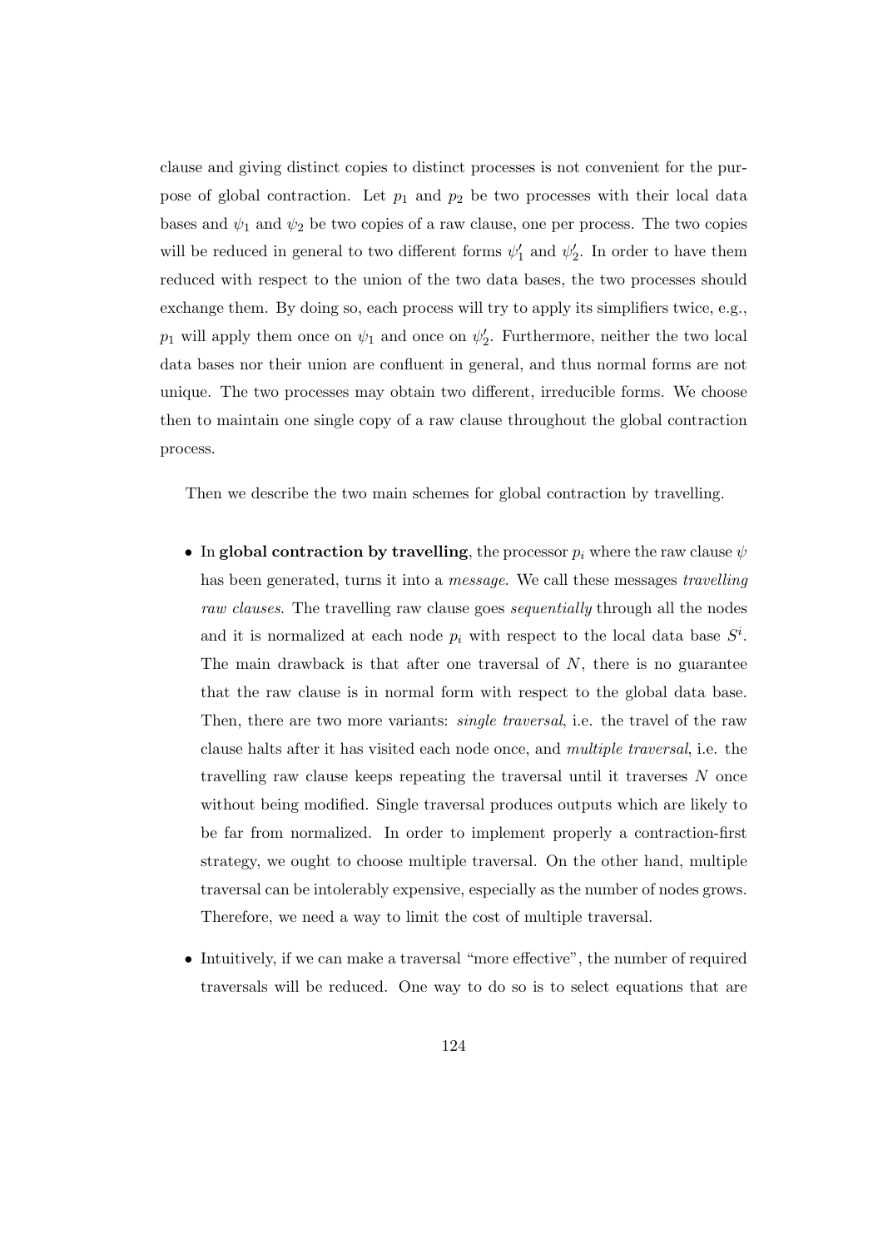clause and giving distinct copies to distinct processes is not convenient for the purpose of global contraction. Let  $p_1$  and  $p_2$  be two processes with their local data bases and  $\psi_1$  and  $\psi_2$  be two copies of a raw clause, one per process. The two copies will be reduced in general to two different forms  $\psi'_1$  and  $\psi'_2$ . In order to have them reduced with respect to the union of the two data bases, the two processes should exchange them. By doing so, each process will try to apply its simplifiers twice, e.g.,  $p_1$  will apply them once on  $\psi_1$  and once on  $\psi_2'$ . Furthermore, neither the two local data bases nor their union are confluent in general, and thus normal forms are not unique. The two processes may obtain two different, irreducible forms. We choose then to maintain one single copy of a raw clause throughout the global contraction process.

Then we describe the two main schemes for global contraction by travelling.

- In global contraction by travelling, the processor  $p_i$  where the raw clause  $\psi$ has been generated, turns it into a *message*. We call these messages *travelling* raw clauses. The travelling raw clause goes *sequentially* through all the nodes and it is normalized at each node  $p_i$  with respect to the local data base  $S^i$ . The main drawback is that after one traversal of  $N$ , there is no guarantee that the raw clause is in normal form with respect to the global data base. Then, there are two more variants: *single traversal*, i.e. the travel of the raw clause halts after it has visited each node once, and multiple traversal, i.e. the travelling raw clause keeps repeating the traversal until it traverses N once without being modified. Single traversal produces outputs which are likely to be far from normalized. In order to implement properly a contraction-first strategy, we ought to choose multiple traversal. On the other hand, multiple traversal can be intolerably expensive, especially as the number of nodes grows. Therefore, we need a way to limit the cost of multiple traversal.
- Intuitively, if we can make a traversal "more effective", the number of required traversals will be reduced. One way to do so is to select equations that are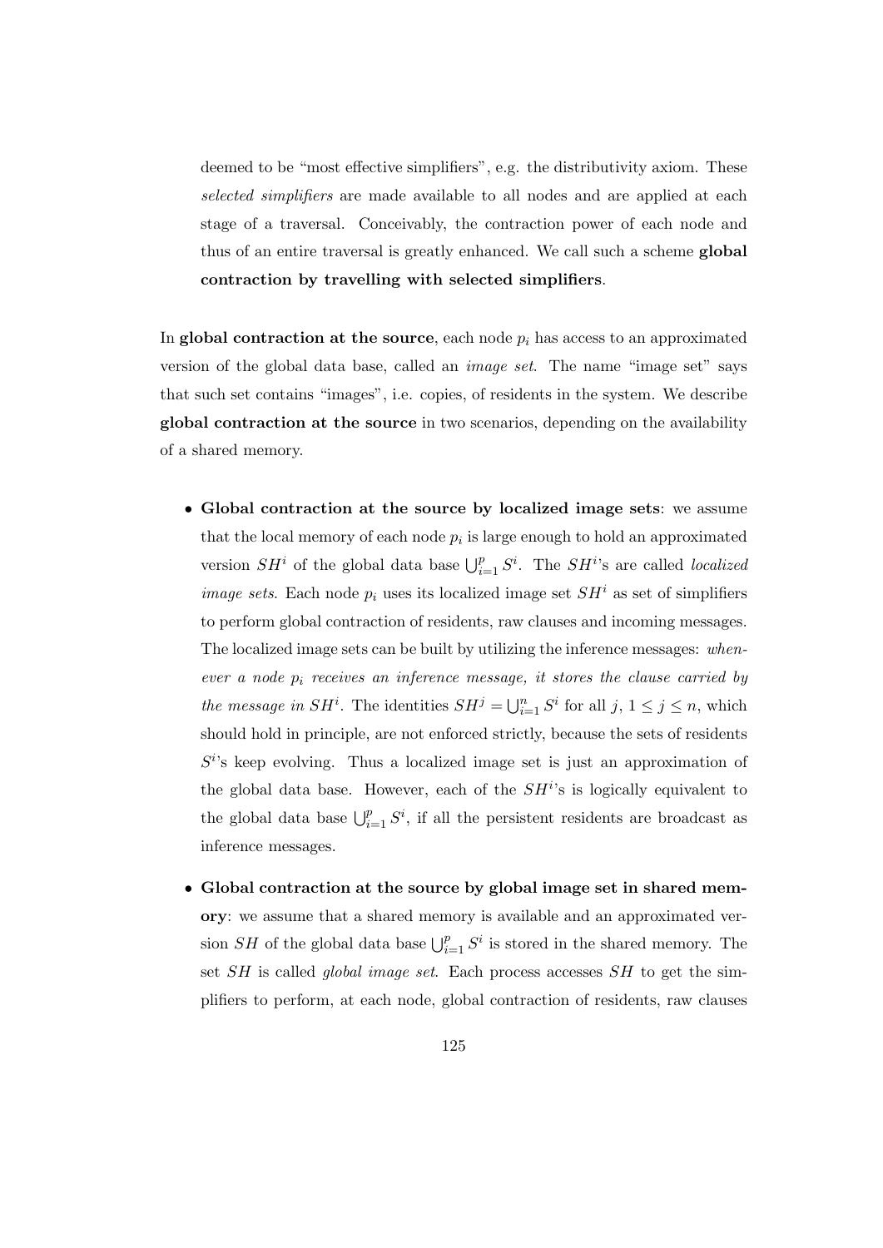deemed to be "most effective simplifiers", e.g. the distributivity axiom. These selected simplifiers are made available to all nodes and are applied at each stage of a traversal. Conceivably, the contraction power of each node and thus of an entire traversal is greatly enhanced. We call such a scheme global contraction by travelling with selected simplifiers.

In global contraction at the source, each node  $p_i$  has access to an approximated version of the global data base, called an image set. The name "image set" says that such set contains "images", i.e. copies, of residents in the system. We describe global contraction at the source in two scenarios, depending on the availability of a shared memory.

- Global contraction at the source by localized image sets: we assume that the local memory of each node  $p_i$  is large enough to hold an approximated version  $SH^i$  of the global data base  $\bigcup_{i=1}^p S^i$ . The  $SH^{i_s}$  are called *localized image sets.* Each node  $p_i$  uses its localized image set  $SH^i$  as set of simplifiers to perform global contraction of residents, raw clauses and incoming messages. The localized image sets can be built by utilizing the inference messages: whenever a node  $p_i$  receives an inference message, it stores the clause carried by the message in  $SH^i$ . The identities  $SH^j = \bigcup_{i=1}^n S^i$  for all  $j, 1 \leq j \leq n$ , which should hold in principle, are not enforced strictly, because the sets of residents  $S^{i}$ 's keep evolving. Thus a localized image set is just an approximation of the global data base. However, each of the  $SH<sup>i</sup>$ 's is logically equivalent to the global data base  $\bigcup_{i=1}^p S^i$ , if all the persistent residents are broadcast as inference messages.
- Global contraction at the source by global image set in shared memory: we assume that a shared memory is available and an approximated version SH of the global data base  $\bigcup_{i=1}^p S^i$  is stored in the shared memory. The set  $SH$  is called *global image set*. Each process accesses  $SH$  to get the simplifiers to perform, at each node, global contraction of residents, raw clauses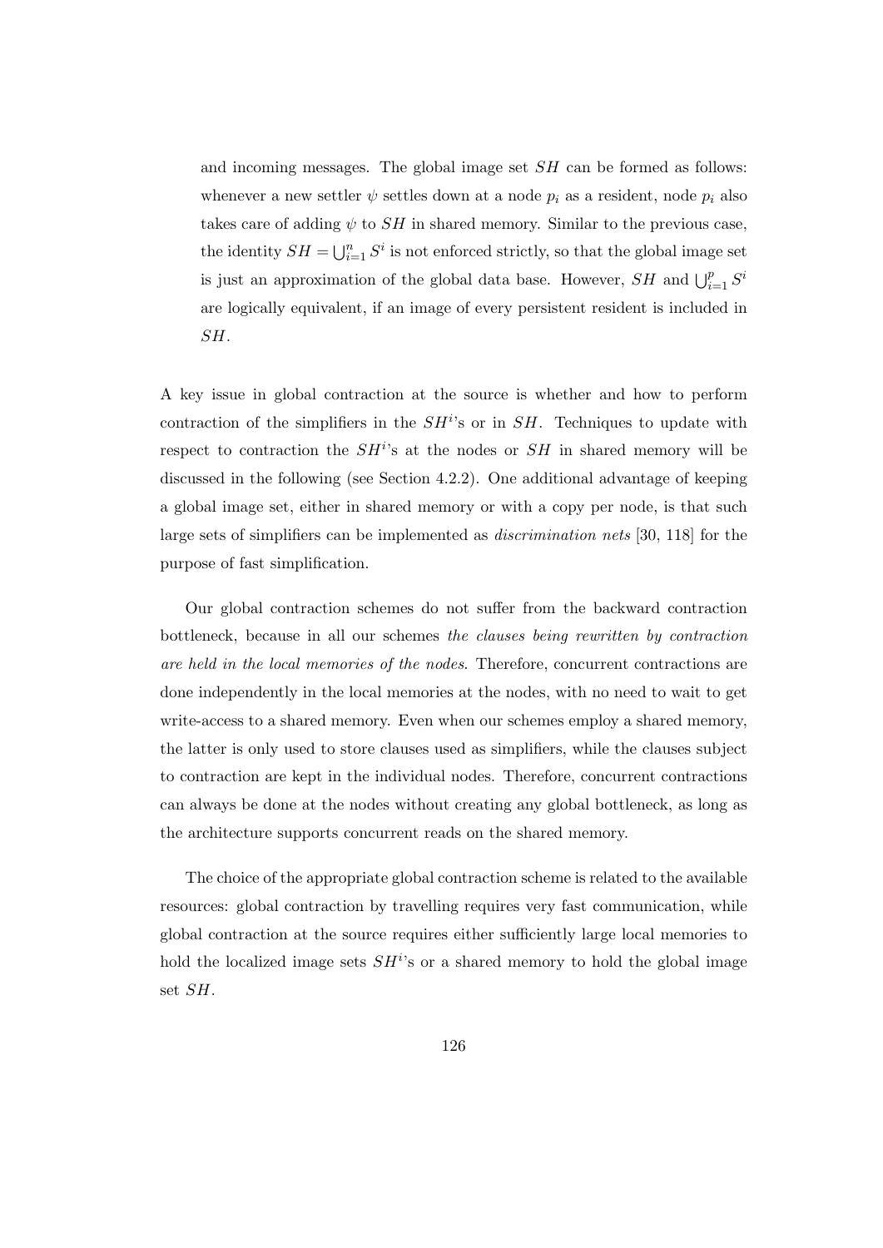and incoming messages. The global image set SH can be formed as follows: whenever a new settler  $\psi$  settles down at a node  $p_i$  as a resident, node  $p_i$  also takes care of adding  $\psi$  to SH in shared memory. Similar to the previous case, the identity  $SH = \bigcup_{i=1}^n S^i$  is not enforced strictly, so that the global image set is just an approximation of the global data base. However,  $SH$  and  $\bigcup_{i=1}^p S^i$ are logically equivalent, if an image of every persistent resident is included in SH.

A key issue in global contraction at the source is whether and how to perform contraction of the simplifiers in the  $SH<sup>i</sup>$ 's or in  $SH$ . Techniques to update with respect to contraction the  $SH<sup>i</sup>$ 's at the nodes or  $SH$  in shared memory will be discussed in the following (see Section 4.2.2). One additional advantage of keeping a global image set, either in shared memory or with a copy per node, is that such large sets of simplifiers can be implemented as discrimination nets [30, 118] for the purpose of fast simplification.

Our global contraction schemes do not suffer from the backward contraction bottleneck, because in all our schemes the clauses being rewritten by contraction are held in the local memories of the nodes. Therefore, concurrent contractions are done independently in the local memories at the nodes, with no need to wait to get write-access to a shared memory. Even when our schemes employ a shared memory, the latter is only used to store clauses used as simplifiers, while the clauses subject to contraction are kept in the individual nodes. Therefore, concurrent contractions can always be done at the nodes without creating any global bottleneck, as long as the architecture supports concurrent reads on the shared memory.

The choice of the appropriate global contraction scheme is related to the available resources: global contraction by travelling requires very fast communication, while global contraction at the source requires either sufficiently large local memories to hold the localized image sets  $SH<sup>i</sup>$ 's or a shared memory to hold the global image set SH.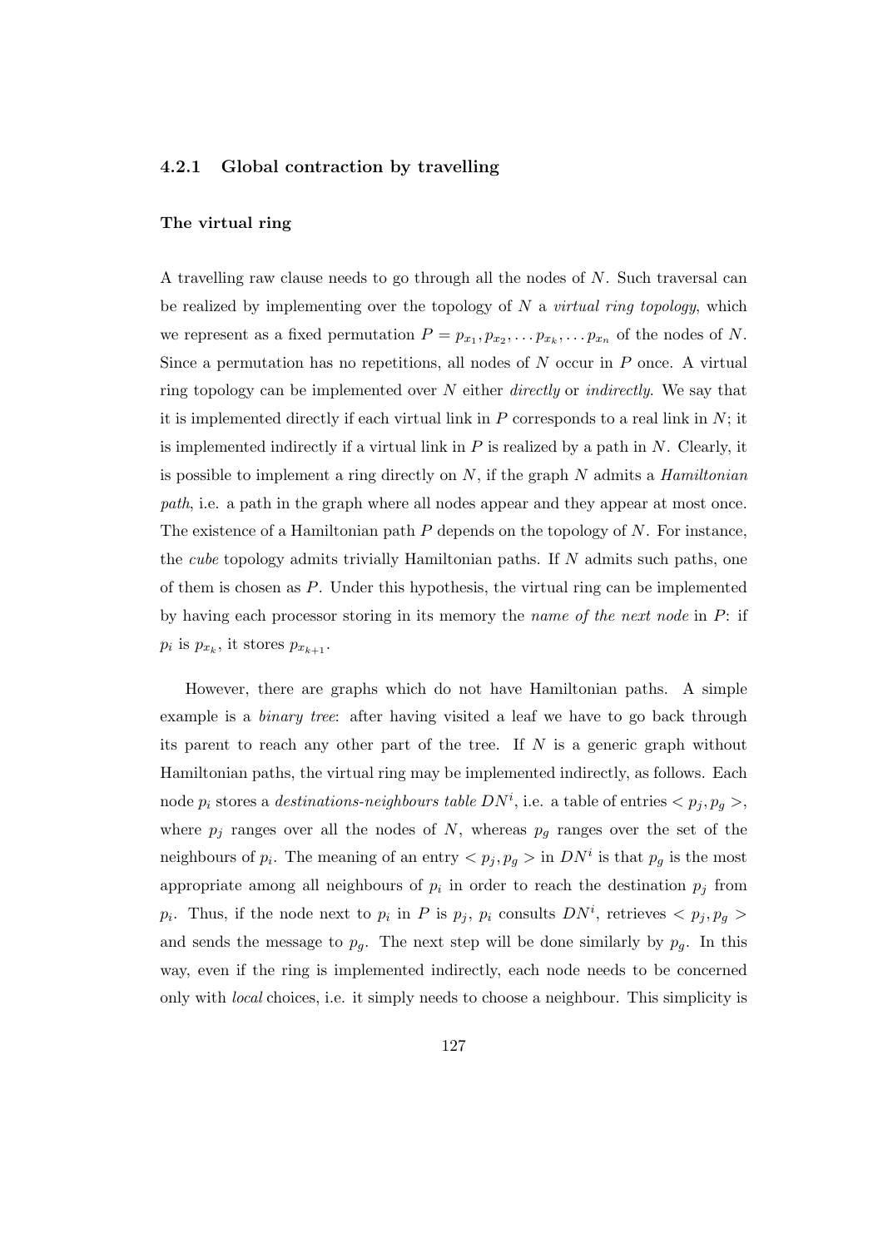#### 4.2.1 Global contraction by travelling

#### The virtual ring

A travelling raw clause needs to go through all the nodes of N. Such traversal can be realized by implementing over the topology of  $N$  a *virtual ring topology*, which we represent as a fixed permutation  $P = p_{x_1}, p_{x_2}, \ldots, p_{x_k}, \ldots, p_{x_n}$  of the nodes of N. Since a permutation has no repetitions, all nodes of  $N$  occur in  $P$  once. A virtual ring topology can be implemented over  $N$  either *directly* or *indirectly*. We say that it is implemented directly if each virtual link in  $P$  corresponds to a real link in  $N$ ; it is implemented indirectly if a virtual link in  $P$  is realized by a path in  $N$ . Clearly, it is possible to implement a ring directly on  $N$ , if the graph  $N$  admits a *Hamiltonian* path, i.e. a path in the graph where all nodes appear and they appear at most once. The existence of a Hamiltonian path  $P$  depends on the topology of  $N$ . For instance, the cube topology admits trivially Hamiltonian paths. If N admits such paths, one of them is chosen as P. Under this hypothesis, the virtual ring can be implemented by having each processor storing in its memory the name of the next node in P: if  $p_i$  is  $p_{x_k}$ , it stores  $p_{x_{k+1}}$ .

However, there are graphs which do not have Hamiltonian paths. A simple example is a *binary tree*: after having visited a leaf we have to go back through its parent to reach any other part of the tree. If  $N$  is a generic graph without Hamiltonian paths, the virtual ring may be implemented indirectly, as follows. Each node  $p_i$  stores a *destinations-neighbours table DN<sup>i</sup>*, i.e. a table of entries  $\langle p_j, p_g \rangle$ , where  $p_j$  ranges over all the nodes of N, whereas  $p_g$  ranges over the set of the neighbours of  $p_i$ . The meaning of an entry  $\langle p_j, p_g \rangle$  in  $DN^i$  is that  $p_g$  is the most appropriate among all neighbours of  $p_i$  in order to reach the destination  $p_j$  from  $p_i$ . Thus, if the node next to  $p_i$  in P is  $p_j$ ,  $p_i$  consults  $DN^i$ , retrieves  $\langle p_j, p_g \rangle$ and sends the message to  $p_q$ . The next step will be done similarly by  $p_q$ . In this way, even if the ring is implemented indirectly, each node needs to be concerned only with local choices, i.e. it simply needs to choose a neighbour. This simplicity is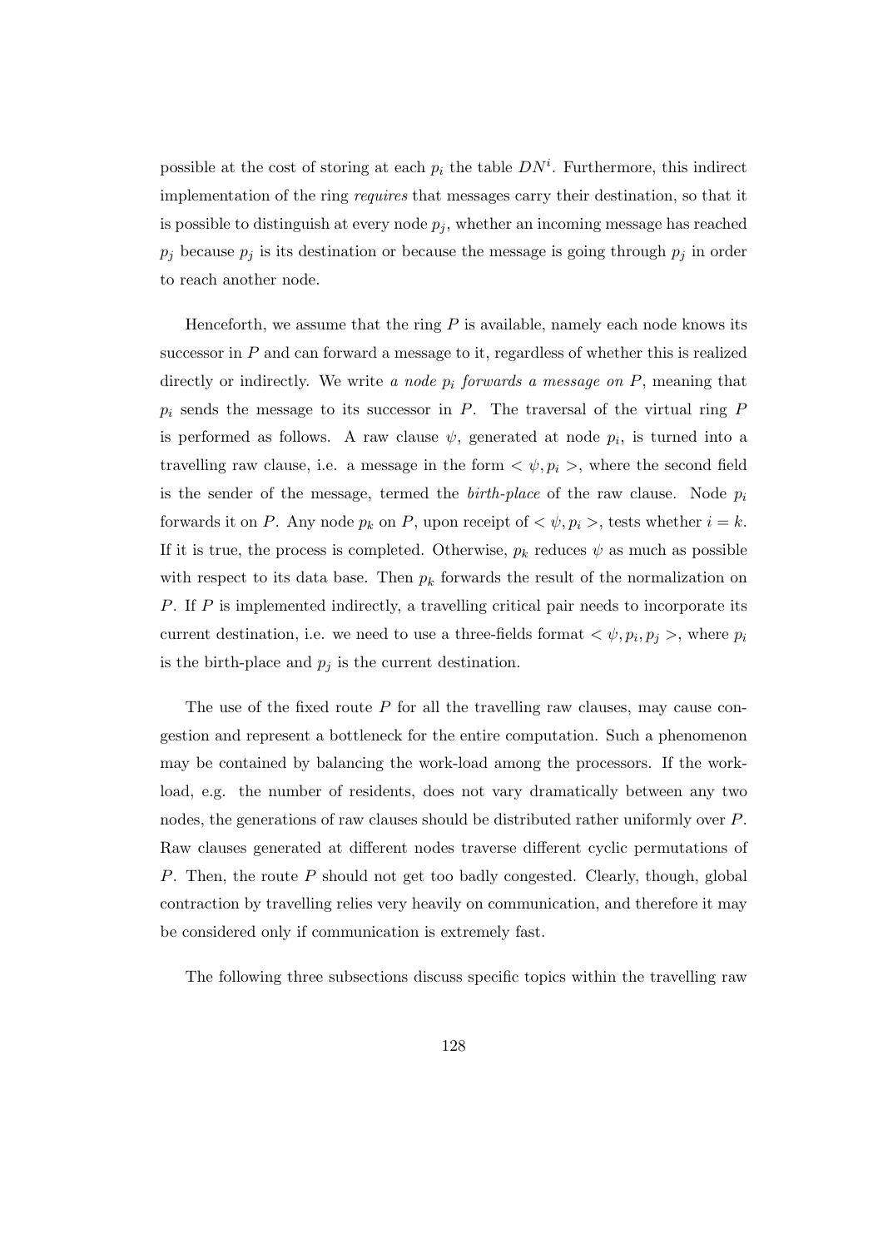possible at the cost of storing at each  $p_i$  the table  $DN^i$ . Furthermore, this indirect implementation of the ring requires that messages carry their destination, so that it is possible to distinguish at every node  $p_i$ , whether an incoming message has reached  $p_j$  because  $p_j$  is its destination or because the message is going through  $p_j$  in order to reach another node.

Henceforth, we assume that the ring  $P$  is available, namely each node knows its successor in  $P$  and can forward a message to it, regardless of whether this is realized directly or indirectly. We write a node  $p_i$  forwards a message on  $P$ , meaning that  $p_i$  sends the message to its successor in  $P$ . The traversal of the virtual ring  $P$ is performed as follows. A raw clause  $\psi$ , generated at node  $p_i$ , is turned into a travelling raw clause, i.e. a message in the form  $\langle \psi, p_i \rangle$ , where the second field is the sender of the message, termed the *birth-place* of the raw clause. Node  $p_i$ forwards it on P. Any node  $p_k$  on P, upon receipt of  $\langle \psi, p_i \rangle$ , tests whether  $i = k$ . If it is true, the process is completed. Otherwise,  $p_k$  reduces  $\psi$  as much as possible with respect to its data base. Then  $p_k$  forwards the result of the normalization on P. If P is implemented indirectly, a travelling critical pair needs to incorporate its current destination, i.e. we need to use a three-fields format  $\langle \psi, p_i, p_j \rangle$ , where  $p_i$ is the birth-place and  $p_j$  is the current destination.

The use of the fixed route  $P$  for all the travelling raw clauses, may cause congestion and represent a bottleneck for the entire computation. Such a phenomenon may be contained by balancing the work-load among the processors. If the workload, e.g. the number of residents, does not vary dramatically between any two nodes, the generations of raw clauses should be distributed rather uniformly over P. Raw clauses generated at different nodes traverse different cyclic permutations of P. Then, the route P should not get too badly congested. Clearly, though, global contraction by travelling relies very heavily on communication, and therefore it may be considered only if communication is extremely fast.

The following three subsections discuss specific topics within the travelling raw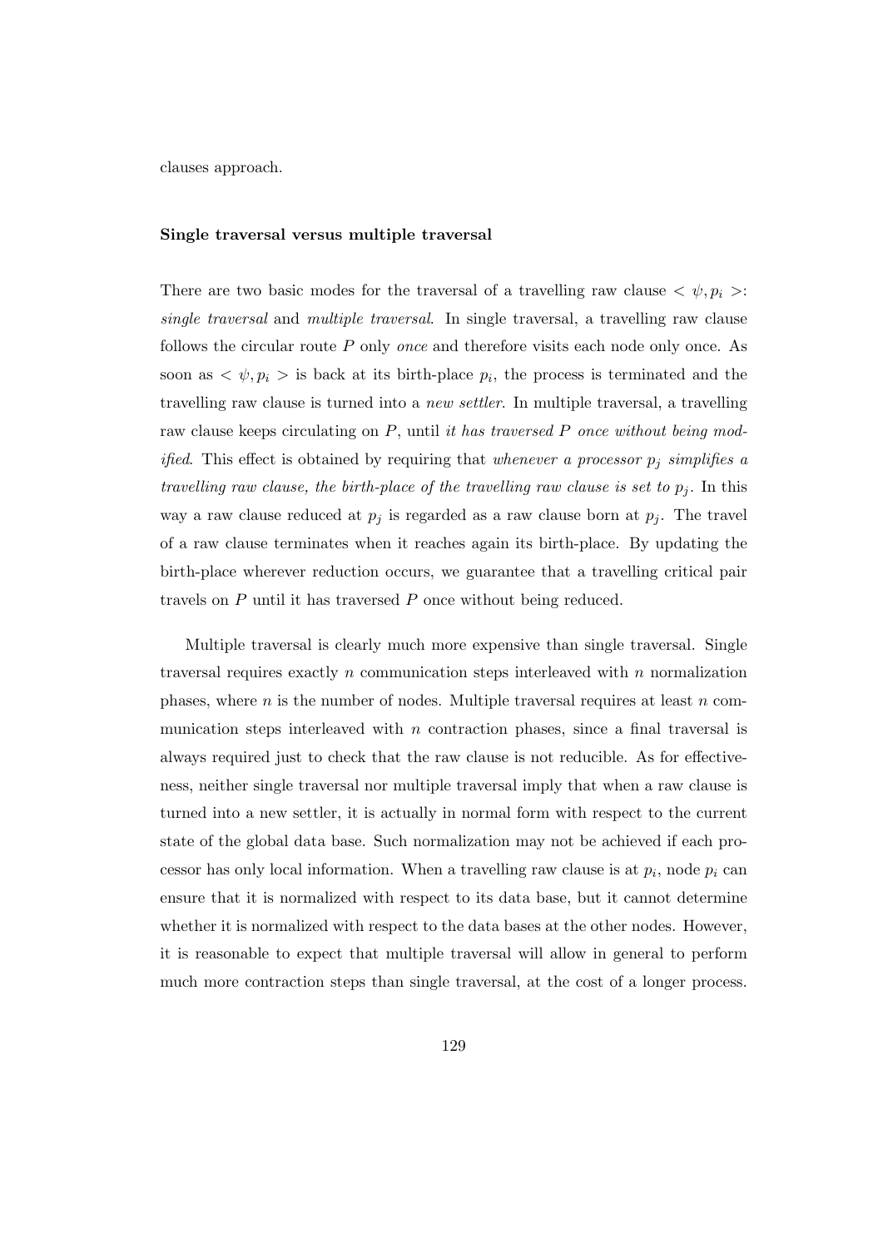clauses approach.

#### Single traversal versus multiple traversal

There are two basic modes for the traversal of a travelling raw clause  $\langle \psi, p_i \rangle$ : single traversal and multiple traversal. In single traversal, a travelling raw clause follows the circular route  $P$  only *once* and therefore visits each node only once. As soon as  $\langle \psi, p_i \rangle$  is back at its birth-place  $p_i$ , the process is terminated and the travelling raw clause is turned into a new settler. In multiple traversal, a travelling raw clause keeps circulating on  $P$ , until it has traversed  $P$  once without being mod*ified.* This effect is obtained by requiring that whenever a processor  $p_j$  simplifies a travelling raw clause, the birth-place of the travelling raw clause is set to  $p_j$ . In this way a raw clause reduced at  $p_j$  is regarded as a raw clause born at  $p_j$ . The travel of a raw clause terminates when it reaches again its birth-place. By updating the birth-place wherever reduction occurs, we guarantee that a travelling critical pair travels on P until it has traversed P once without being reduced.

Multiple traversal is clearly much more expensive than single traversal. Single traversal requires exactly n communication steps interleaved with n normalization phases, where  $n$  is the number of nodes. Multiple traversal requires at least  $n$  communication steps interleaved with  $n$  contraction phases, since a final traversal is always required just to check that the raw clause is not reducible. As for effectiveness, neither single traversal nor multiple traversal imply that when a raw clause is turned into a new settler, it is actually in normal form with respect to the current state of the global data base. Such normalization may not be achieved if each processor has only local information. When a travelling raw clause is at  $p_i$ , node  $p_i$  can ensure that it is normalized with respect to its data base, but it cannot determine whether it is normalized with respect to the data bases at the other nodes. However, it is reasonable to expect that multiple traversal will allow in general to perform much more contraction steps than single traversal, at the cost of a longer process.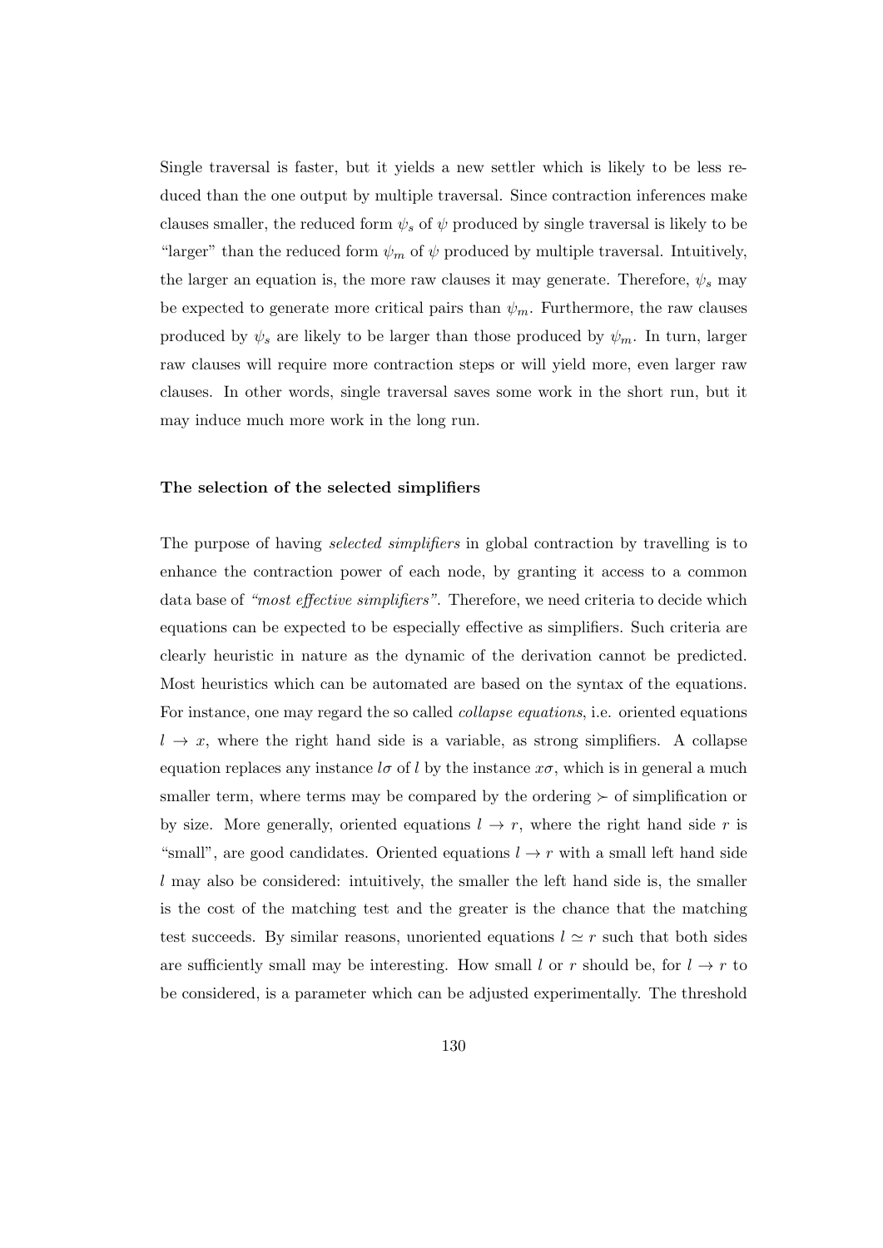Single traversal is faster, but it yields a new settler which is likely to be less reduced than the one output by multiple traversal. Since contraction inferences make clauses smaller, the reduced form  $\psi_s$  of  $\psi$  produced by single traversal is likely to be "larger" than the reduced form  $\psi_m$  of  $\psi$  produced by multiple traversal. Intuitively, the larger an equation is, the more raw clauses it may generate. Therefore,  $\psi_s$  may be expected to generate more critical pairs than  $\psi_m$ . Furthermore, the raw clauses produced by  $\psi_s$  are likely to be larger than those produced by  $\psi_m$ . In turn, larger raw clauses will require more contraction steps or will yield more, even larger raw clauses. In other words, single traversal saves some work in the short run, but it may induce much more work in the long run.

#### The selection of the selected simplifiers

The purpose of having *selected simplifiers* in global contraction by travelling is to enhance the contraction power of each node, by granting it access to a common data base of "most effective simplifiers". Therefore, we need criteria to decide which equations can be expected to be especially effective as simplifiers. Such criteria are clearly heuristic in nature as the dynamic of the derivation cannot be predicted. Most heuristics which can be automated are based on the syntax of the equations. For instance, one may regard the so called collapse equations, i.e. oriented equations  $l \rightarrow x$ , where the right hand side is a variable, as strong simplifiers. A collapse equation replaces any instance  $l\sigma$  of l by the instance  $x\sigma$ , which is in general a much smaller term, where terms may be compared by the ordering  $\succ$  of simplification or by size. More generally, oriented equations  $l \rightarrow r$ , where the right hand side r is "small", are good candidates. Oriented equations  $l \rightarrow r$  with a small left hand side  $l$  may also be considered: intuitively, the smaller the left hand side is, the smaller is the cost of the matching test and the greater is the chance that the matching test succeeds. By similar reasons, unoriented equations  $l \approx r$  such that both sides are sufficiently small may be interesting. How small l or r should be, for  $l \rightarrow r$  to be considered, is a parameter which can be adjusted experimentally. The threshold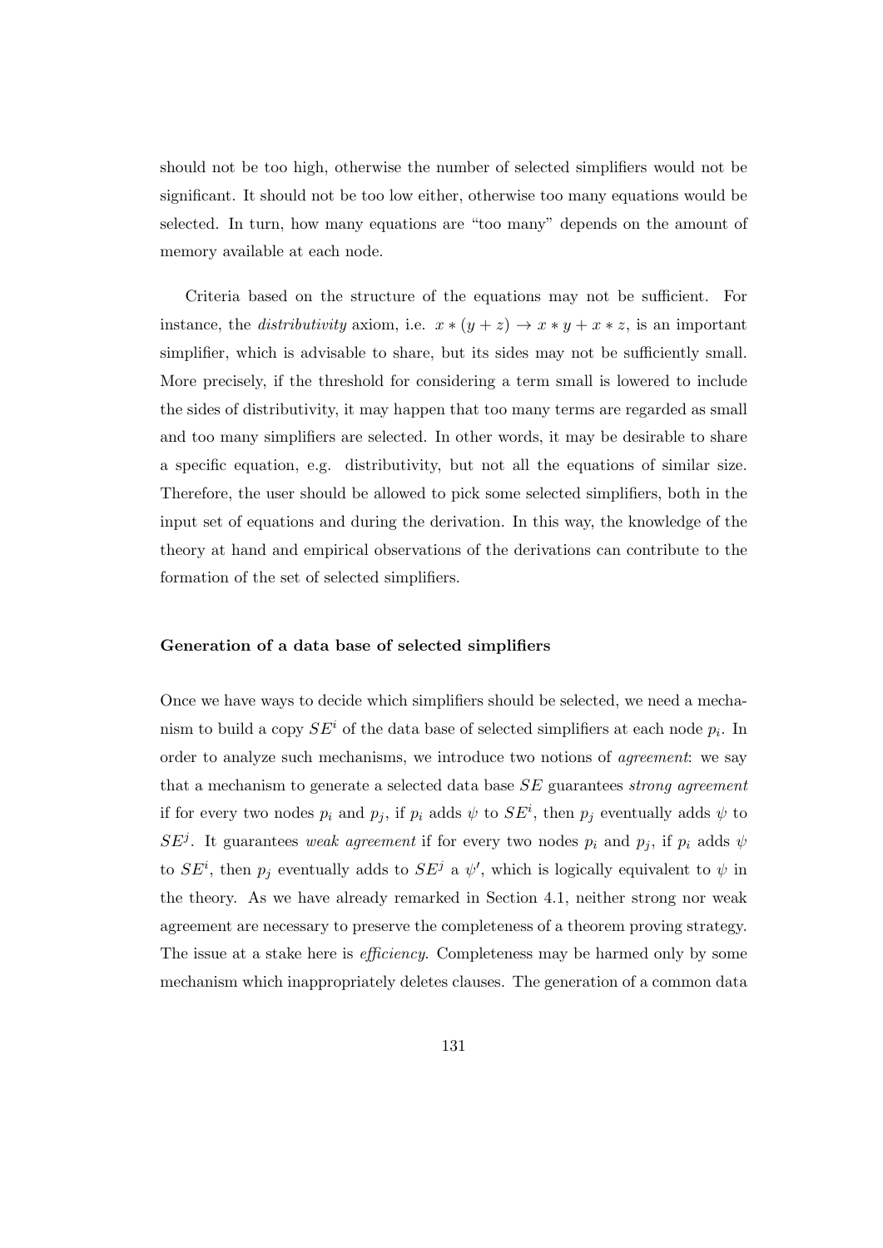should not be too high, otherwise the number of selected simplifiers would not be significant. It should not be too low either, otherwise too many equations would be selected. In turn, how many equations are "too many" depends on the amount of memory available at each node.

Criteria based on the structure of the equations may not be sufficient. For instance, the *distributivity* axiom, i.e.  $x * (y + z) \rightarrow x * y + x * z$ , is an important simplifier, which is advisable to share, but its sides may not be sufficiently small. More precisely, if the threshold for considering a term small is lowered to include the sides of distributivity, it may happen that too many terms are regarded as small and too many simplifiers are selected. In other words, it may be desirable to share a specific equation, e.g. distributivity, but not all the equations of similar size. Therefore, the user should be allowed to pick some selected simplifiers, both in the input set of equations and during the derivation. In this way, the knowledge of the theory at hand and empirical observations of the derivations can contribute to the formation of the set of selected simplifiers.

#### Generation of a data base of selected simplifiers

Once we have ways to decide which simplifiers should be selected, we need a mechanism to build a copy  $SE<sup>i</sup>$  of the data base of selected simplifiers at each node  $p<sub>i</sub>$ . In order to analyze such mechanisms, we introduce two notions of agreement: we say that a mechanism to generate a selected data base SE guarantees strong agreement if for every two nodes  $p_i$  and  $p_j$ , if  $p_i$  adds  $\psi$  to  $SE^i$ , then  $p_j$  eventually adds  $\psi$  to  $SE^{j}$ . It guarantees weak agreement if for every two nodes  $p_i$  and  $p_j$ , if  $p_i$  adds  $\psi$ to  $SE<sup>i</sup>$ , then  $p<sub>j</sub>$  eventually adds to  $SE<sup>j</sup>$  a  $\psi'$ , which is logically equivalent to  $\psi$  in the theory. As we have already remarked in Section 4.1, neither strong nor weak agreement are necessary to preserve the completeness of a theorem proving strategy. The issue at a stake here is *efficiency*. Completeness may be harmed only by some mechanism which inappropriately deletes clauses. The generation of a common data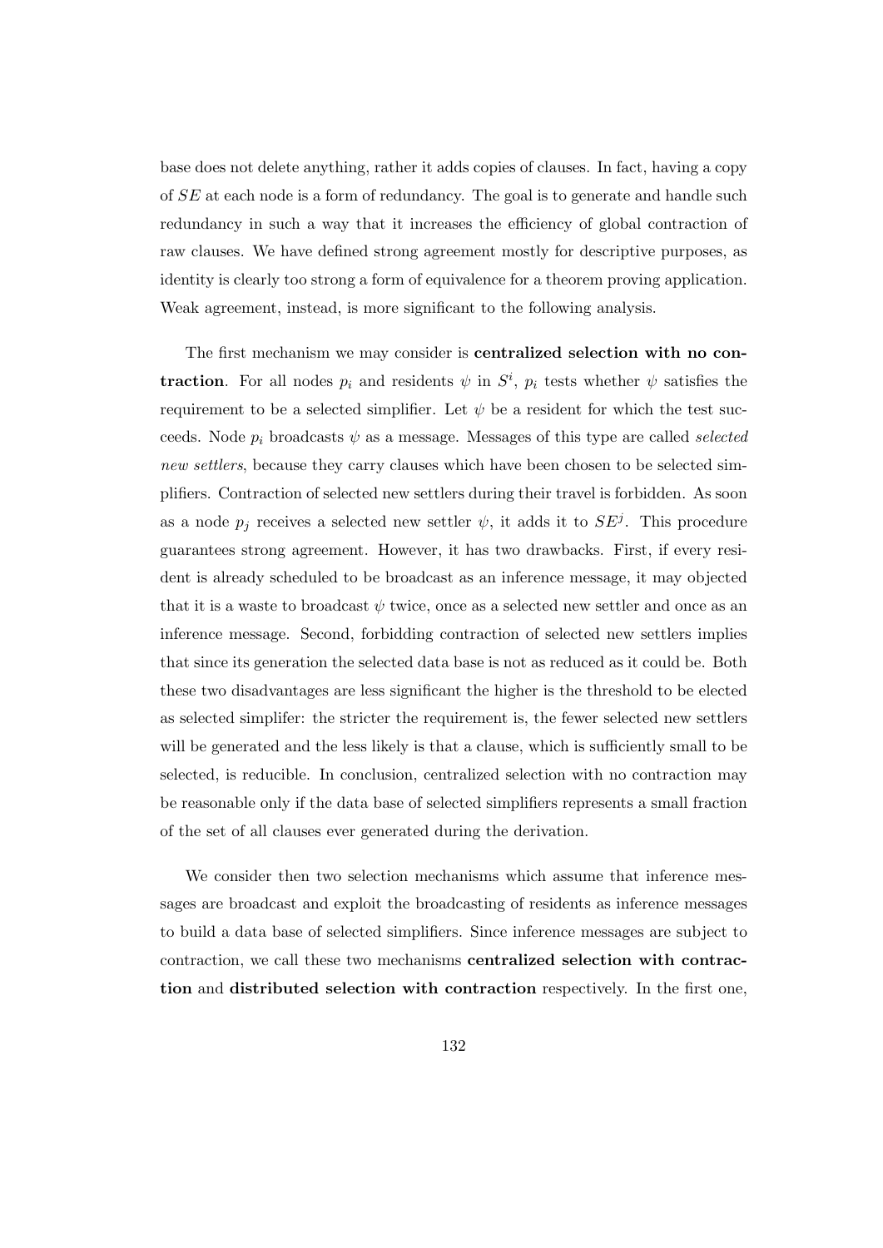base does not delete anything, rather it adds copies of clauses. In fact, having a copy of SE at each node is a form of redundancy. The goal is to generate and handle such redundancy in such a way that it increases the efficiency of global contraction of raw clauses. We have defined strong agreement mostly for descriptive purposes, as identity is clearly too strong a form of equivalence for a theorem proving application. Weak agreement, instead, is more significant to the following analysis.

The first mechanism we may consider is centralized selection with no contraction. For all nodes  $p_i$  and residents  $\psi$  in  $S^i$ ,  $p_i$  tests whether  $\psi$  satisfies the requirement to be a selected simplifier. Let  $\psi$  be a resident for which the test succeeds. Node  $p_i$  broadcasts  $\psi$  as a message. Messages of this type are called selected new settlers, because they carry clauses which have been chosen to be selected simplifiers. Contraction of selected new settlers during their travel is forbidden. As soon as a node  $p_j$  receives a selected new settler  $\psi$ , it adds it to  $SE^j$ . This procedure guarantees strong agreement. However, it has two drawbacks. First, if every resident is already scheduled to be broadcast as an inference message, it may objected that it is a waste to broadcast  $\psi$  twice, once as a selected new settler and once as an inference message. Second, forbidding contraction of selected new settlers implies that since its generation the selected data base is not as reduced as it could be. Both these two disadvantages are less significant the higher is the threshold to be elected as selected simplifer: the stricter the requirement is, the fewer selected new settlers will be generated and the less likely is that a clause, which is sufficiently small to be selected, is reducible. In conclusion, centralized selection with no contraction may be reasonable only if the data base of selected simplifiers represents a small fraction of the set of all clauses ever generated during the derivation.

We consider then two selection mechanisms which assume that inference messages are broadcast and exploit the broadcasting of residents as inference messages to build a data base of selected simplifiers. Since inference messages are subject to contraction, we call these two mechanisms centralized selection with contraction and distributed selection with contraction respectively. In the first one,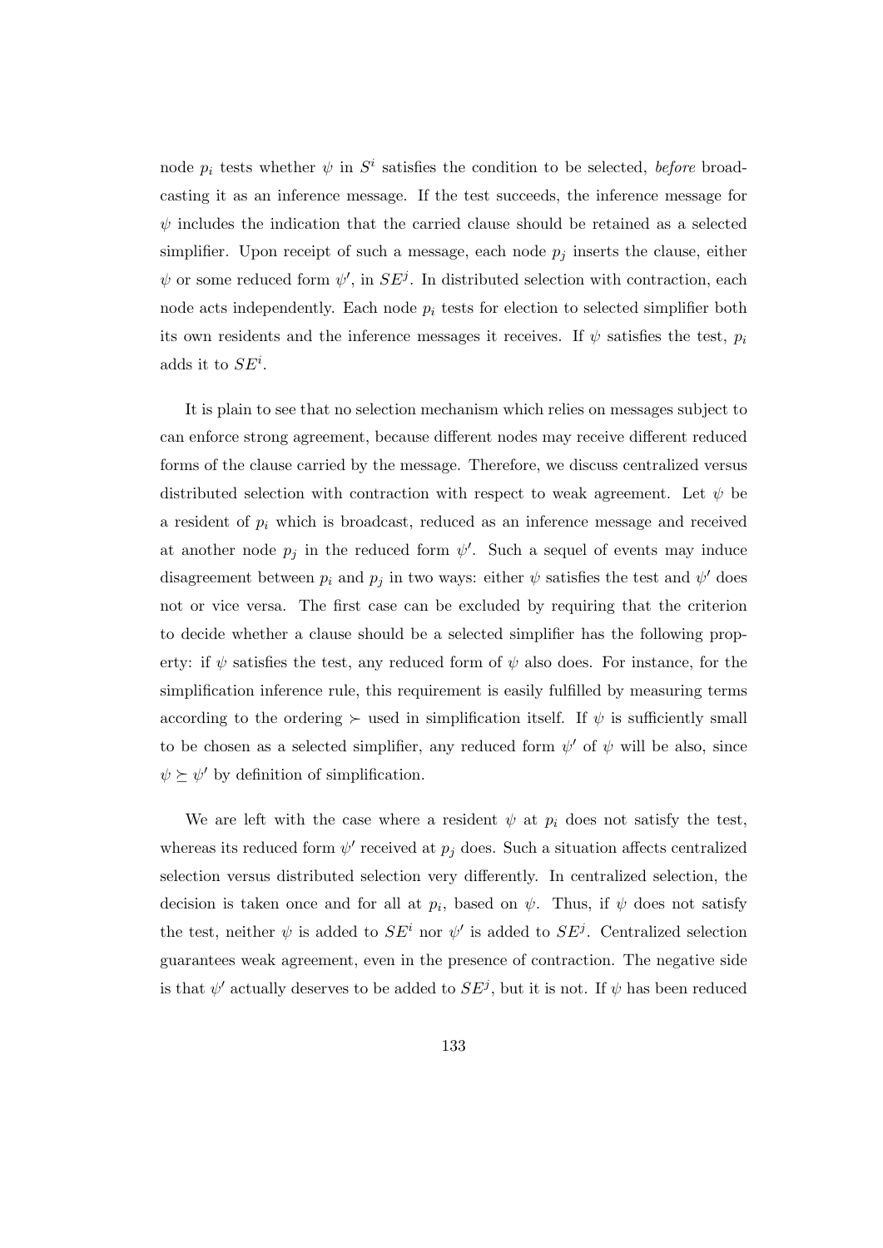node  $p_i$  tests whether  $\psi$  in  $S^i$  satisfies the condition to be selected, before broadcasting it as an inference message. If the test succeeds, the inference message for  $\psi$  includes the indication that the carried clause should be retained as a selected simplifier. Upon receipt of such a message, each node  $p_i$  inserts the clause, either  $\psi$  or some reduced form  $\psi'$ , in  $SE^{j}$ . In distributed selection with contraction, each node acts independently. Each node  $p_i$  tests for election to selected simplifier both its own residents and the inference messages it receives. If  $\psi$  satisfies the test,  $p_i$ adds it to  $SE^i$ .

It is plain to see that no selection mechanism which relies on messages subject to can enforce strong agreement, because different nodes may receive different reduced forms of the clause carried by the message. Therefore, we discuss centralized versus distributed selection with contraction with respect to weak agreement. Let  $\psi$  be a resident of  $p_i$  which is broadcast, reduced as an inference message and received at another node  $p_j$  in the reduced form  $\psi'$ . Such a sequel of events may induce disagreement between  $p_i$  and  $p_j$  in two ways: either  $\psi$  satisfies the test and  $\psi'$  does not or vice versa. The first case can be excluded by requiring that the criterion to decide whether a clause should be a selected simplifier has the following property: if  $\psi$  satisfies the test, any reduced form of  $\psi$  also does. For instance, for the simplification inference rule, this requirement is easily fulfilled by measuring terms according to the ordering  $\succ$  used in simplification itself. If  $\psi$  is sufficiently small to be chosen as a selected simplifier, any reduced form  $\psi'$  of  $\psi$  will be also, since  $\psi \succeq \psi'$  by definition of simplification.

We are left with the case where a resident  $\psi$  at  $p_i$  does not satisfy the test, whereas its reduced form  $\psi'$  received at  $p_j$  does. Such a situation affects centralized selection versus distributed selection very differently. In centralized selection, the decision is taken once and for all at  $p_i$ , based on  $\psi$ . Thus, if  $\psi$  does not satisfy the test, neither  $\psi$  is added to  $SE^i$  nor  $\psi'$  is added to  $SE^j$ . Centralized selection guarantees weak agreement, even in the presence of contraction. The negative side is that  $\psi'$  actually deserves to be added to  $SE<sup>j</sup>$ , but it is not. If  $\psi$  has been reduced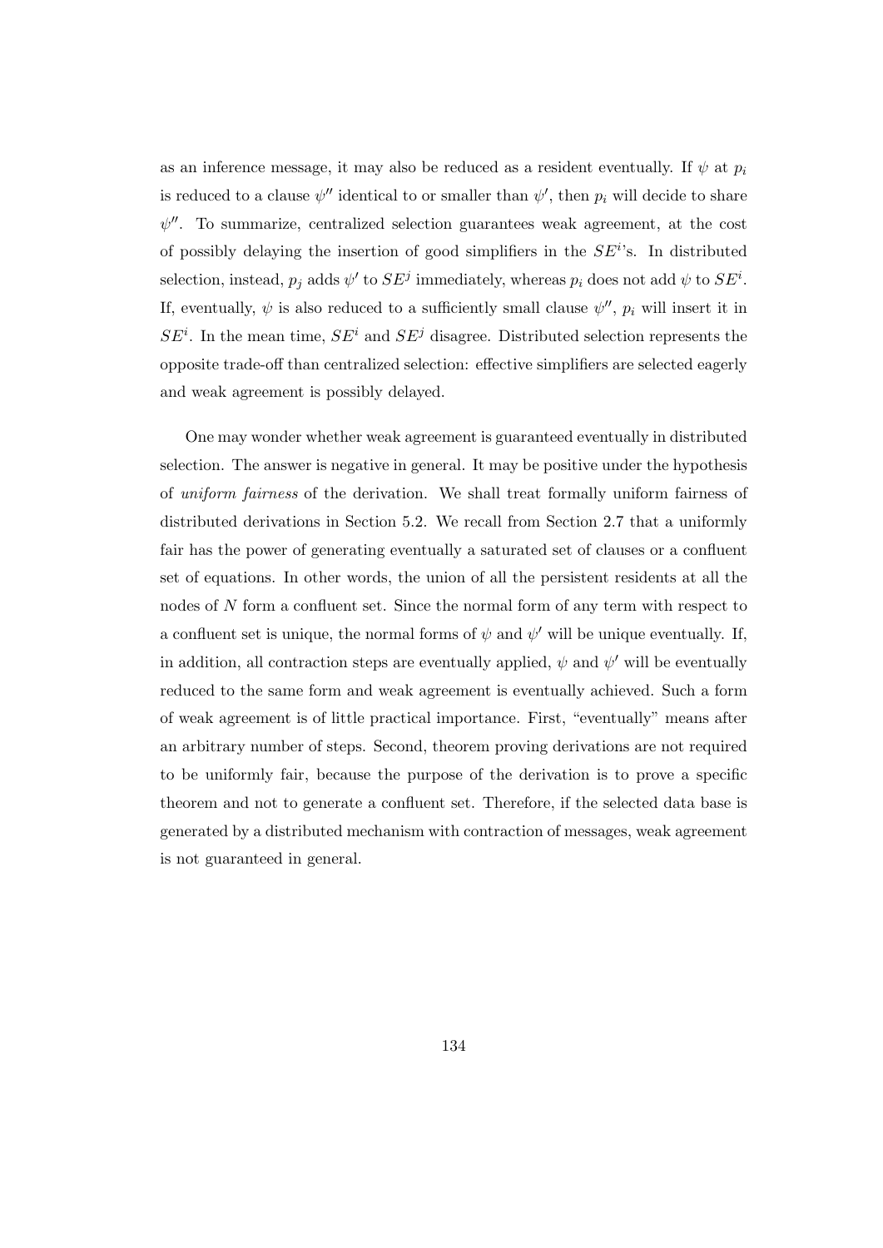as an inference message, it may also be reduced as a resident eventually. If  $\psi$  at  $p_i$ is reduced to a clause  $\psi''$  identical to or smaller than  $\psi'$ , then  $p_i$  will decide to share  $\psi''$ . To summarize, centralized selection guarantees weak agreement, at the cost of possibly delaying the insertion of good simplifiers in the  $SE^{i}$ 's. In distributed selection, instead,  $p_j$  adds  $\psi'$  to  $SE^j$  immediately, whereas  $p_i$  does not add  $\psi$  to  $SE^i$ . If, eventually,  $\psi$  is also reduced to a sufficiently small clause  $\psi''$ ,  $p_i$  will insert it in  $SE<sup>i</sup>$ . In the mean time,  $SE<sup>i</sup>$  and  $SE<sup>j</sup>$  disagree. Distributed selection represents the opposite trade-off than centralized selection: effective simplifiers are selected eagerly and weak agreement is possibly delayed.

One may wonder whether weak agreement is guaranteed eventually in distributed selection. The answer is negative in general. It may be positive under the hypothesis of uniform fairness of the derivation. We shall treat formally uniform fairness of distributed derivations in Section 5.2. We recall from Section 2.7 that a uniformly fair has the power of generating eventually a saturated set of clauses or a confluent set of equations. In other words, the union of all the persistent residents at all the nodes of N form a confluent set. Since the normal form of any term with respect to a confluent set is unique, the normal forms of  $\psi$  and  $\psi'$  will be unique eventually. If, in addition, all contraction steps are eventually applied,  $\psi$  and  $\psi'$  will be eventually reduced to the same form and weak agreement is eventually achieved. Such a form of weak agreement is of little practical importance. First, "eventually" means after an arbitrary number of steps. Second, theorem proving derivations are not required to be uniformly fair, because the purpose of the derivation is to prove a specific theorem and not to generate a confluent set. Therefore, if the selected data base is generated by a distributed mechanism with contraction of messages, weak agreement is not guaranteed in general.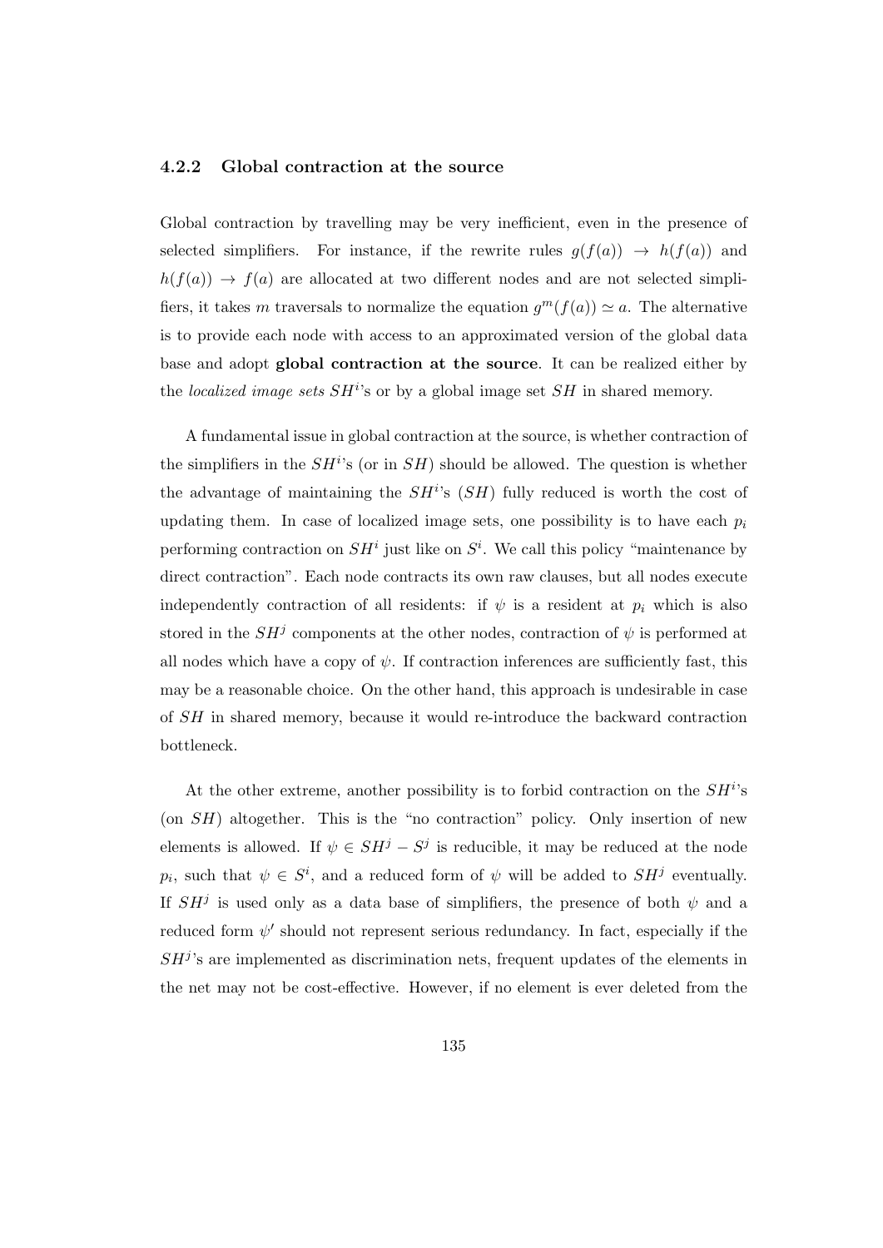### 4.2.2 Global contraction at the source

Global contraction by travelling may be very inefficient, even in the presence of selected simplifiers. For instance, if the rewrite rules  $g(f(a)) \rightarrow h(f(a))$  and  $h(f(a)) \to f(a)$  are allocated at two different nodes and are not selected simplifiers, it takes m traversals to normalize the equation  $g^m(f(a)) \simeq a$ . The alternative is to provide each node with access to an approximated version of the global data base and adopt global contraction at the source. It can be realized either by the localized image sets  $SH<sup>i</sup>$ 's or by a global image set  $SH$  in shared memory.

A fundamental issue in global contraction at the source, is whether contraction of the simplifiers in the  $SH<sup>i</sup>$ 's (or in  $SH$ ) should be allowed. The question is whether the advantage of maintaining the  $SH<sup>i</sup>$ 's  $(SH)$  fully reduced is worth the cost of updating them. In case of localized image sets, one possibility is to have each  $p_i$ performing contraction on  $SH<sup>i</sup>$  just like on  $S<sup>i</sup>$ . We call this policy "maintenance by direct contraction". Each node contracts its own raw clauses, but all nodes execute independently contraction of all residents: if  $\psi$  is a resident at  $p_i$  which is also stored in the  $SH<sup>j</sup>$  components at the other nodes, contraction of  $\psi$  is performed at all nodes which have a copy of  $\psi$ . If contraction inferences are sufficiently fast, this may be a reasonable choice. On the other hand, this approach is undesirable in case of SH in shared memory, because it would re-introduce the backward contraction bottleneck.

At the other extreme, another possibility is to forbid contraction on the  $SH<sup>i</sup>$ 's  $($ on  $SH$ ) altogether. This is the "no contraction" policy. Only insertion of new elements is allowed. If  $\psi \in SH^j - S^j$  is reducible, it may be reduced at the node  $p_i$ , such that  $\psi \in S^i$ , and a reduced form of  $\psi$  will be added to  $SH^j$  eventually. If  $SH<sup>j</sup>$  is used only as a data base of simplifiers, the presence of both  $\psi$  and a reduced form  $\psi'$  should not represent serious redundancy. In fact, especially if the  $SH<sup>j</sup>$ 's are implemented as discrimination nets, frequent updates of the elements in the net may not be cost-effective. However, if no element is ever deleted from the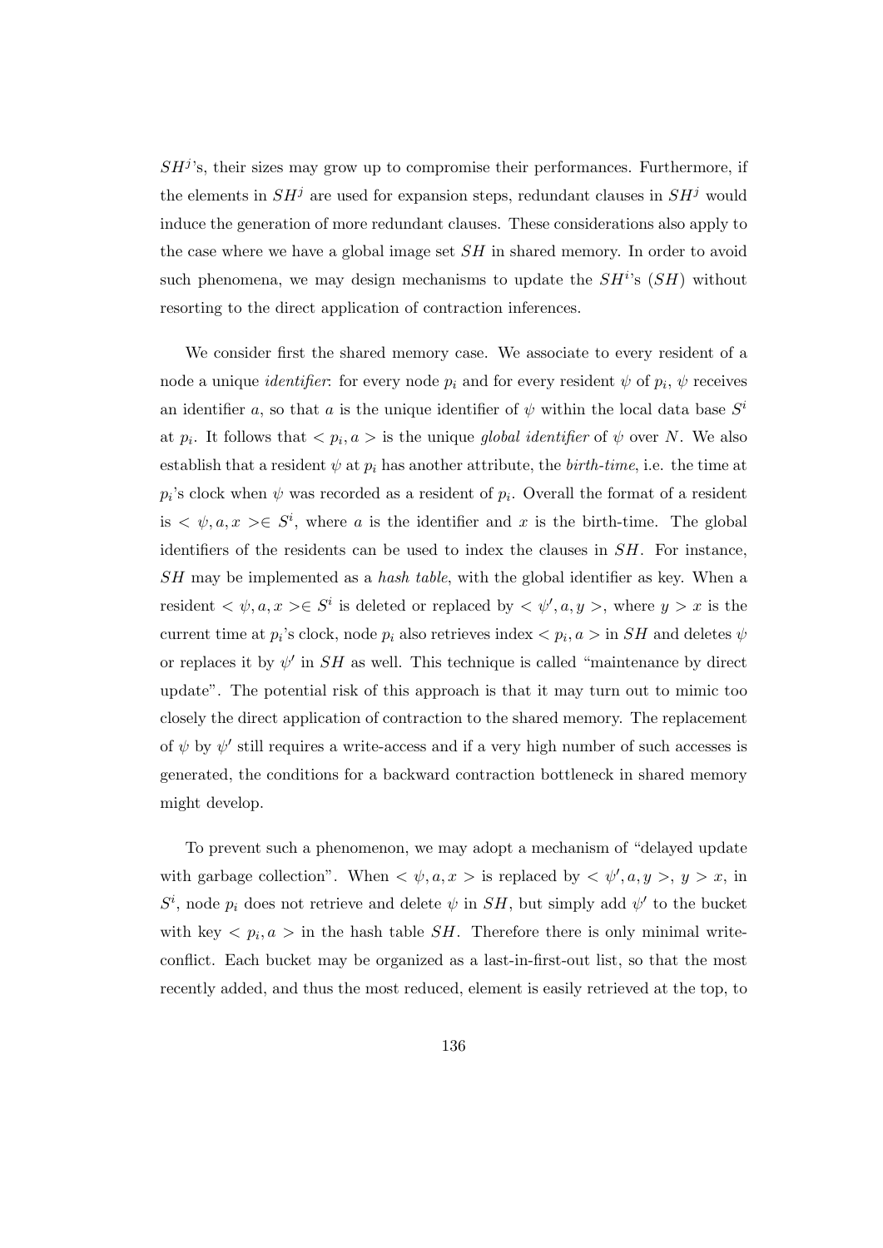$SH<sup>j</sup>$ 's, their sizes may grow up to compromise their performances. Furthermore, if the elements in  $SH<sup>j</sup>$  are used for expansion steps, redundant clauses in  $SH<sup>j</sup>$  would induce the generation of more redundant clauses. These considerations also apply to the case where we have a global image set SH in shared memory. In order to avoid such phenomena, we may design mechanisms to update the  $SH^{i,s}$   $(SH)$  without resorting to the direct application of contraction inferences.

We consider first the shared memory case. We associate to every resident of a node a unique *identifier*: for every node  $p_i$  and for every resident  $\psi$  of  $p_i$ ,  $\psi$  receives an identifier a, so that a is the unique identifier of  $\psi$  within the local data base  $S^i$ at  $p_i$ . It follows that  $\langle p_i, a \rangle$  is the unique global identifier of  $\psi$  over N. We also establish that a resident  $\psi$  at  $p_i$  has another attribute, the *birth-time*, i.e. the time at  $p_i$ 's clock when  $\psi$  was recorded as a resident of  $p_i$ . Overall the format of a resident is  $\langle \psi, a, x \rangle \in S^i$ , where a is the identifier and x is the birth-time. The global identifiers of the residents can be used to index the clauses in  $SH$ . For instance, SH may be implemented as a hash table, with the global identifier as key. When a resident  $\langle \psi, a, x \rangle \in S^i$  is deleted or replaced by  $\langle \psi', a, y \rangle$ , where  $y > x$  is the current time at  $p_i$ 's clock, node  $p_i$  also retrieves index  $\langle p_i, a \rangle$  in  $SH$  and deletes  $\psi$ or replaces it by  $\psi'$  in SH as well. This technique is called "maintenance by direct update". The potential risk of this approach is that it may turn out to mimic too closely the direct application of contraction to the shared memory. The replacement of  $\psi$  by  $\psi'$  still requires a write-access and if a very high number of such accesses is generated, the conditions for a backward contraction bottleneck in shared memory might develop.

To prevent such a phenomenon, we may adopt a mechanism of "delayed update with garbage collection". When  $\langle \psi, a, x \rangle$  is replaced by  $\langle \psi', a, y \rangle, y > x$ , in  $S^i$ , node  $p_i$  does not retrieve and delete  $\psi$  in  $SH$ , but simply add  $\psi'$  to the bucket with key  $\langle p_i, a \rangle$  in the hash table *SH*. Therefore there is only minimal writeconflict. Each bucket may be organized as a last-in-first-out list, so that the most recently added, and thus the most reduced, element is easily retrieved at the top, to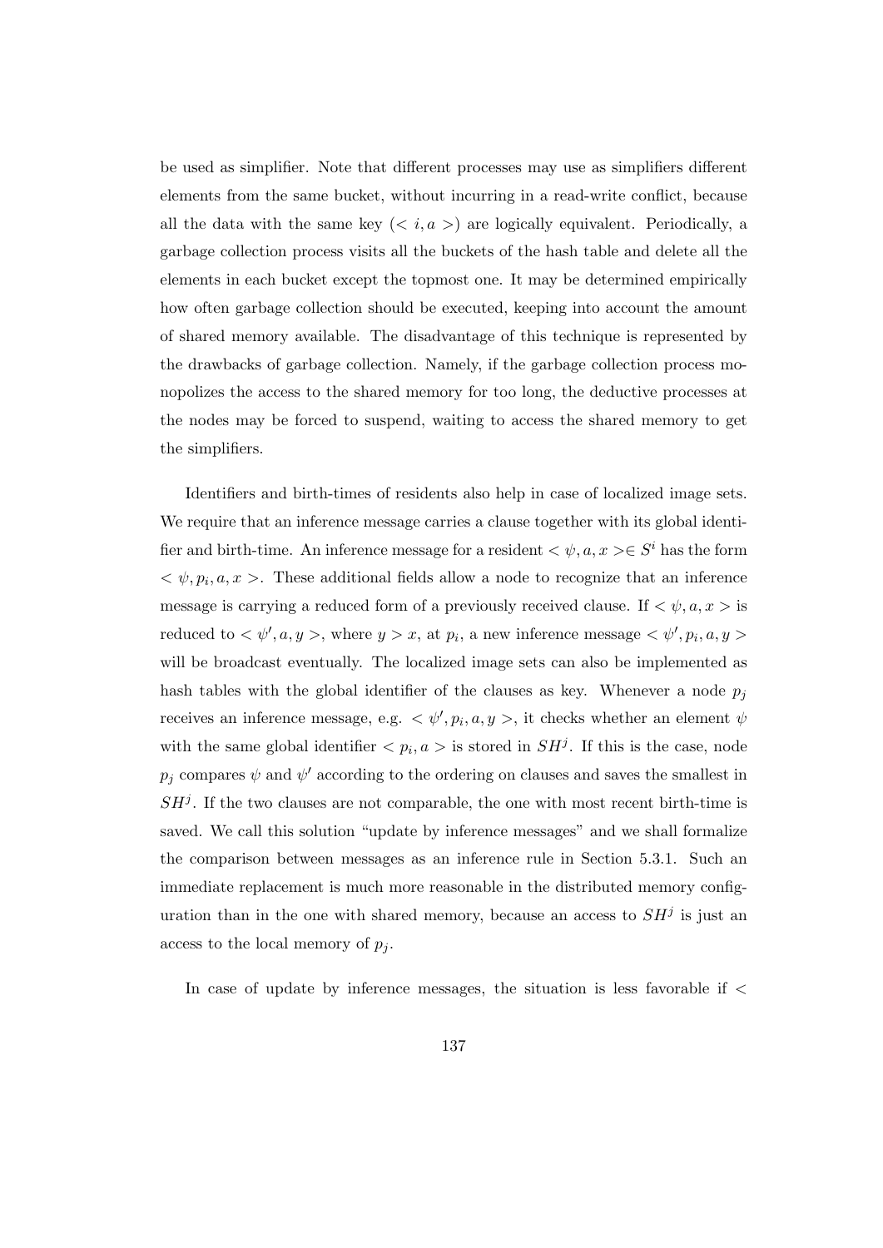be used as simplifier. Note that different processes may use as simplifiers different elements from the same bucket, without incurring in a read-write conflict, because all the data with the same key  $(*i*, a>)$  are logically equivalent. Periodically, a garbage collection process visits all the buckets of the hash table and delete all the elements in each bucket except the topmost one. It may be determined empirically how often garbage collection should be executed, keeping into account the amount of shared memory available. The disadvantage of this technique is represented by the drawbacks of garbage collection. Namely, if the garbage collection process monopolizes the access to the shared memory for too long, the deductive processes at the nodes may be forced to suspend, waiting to access the shared memory to get the simplifiers.

Identifiers and birth-times of residents also help in case of localized image sets. We require that an inference message carries a clause together with its global identifier and birth-time. An inference message for a resident  $\langle \psi, a, x \rangle \in S^i$  has the form  $\langle \psi, p_i, a, x \rangle$ . These additional fields allow a node to recognize that an inference message is carrying a reduced form of a previously received clause. If  $\langle \psi, a, x \rangle$  is reduced to  $\langle \psi', a, y \rangle$ , where  $y > x$ , at  $p_i$ , a new inference message  $\langle \psi', p_i, a, y \rangle$ will be broadcast eventually. The localized image sets can also be implemented as hash tables with the global identifier of the clauses as key. Whenever a node  $p_j$ receives an inference message, e.g.  $\langle \psi', p_i, a, y \rangle$ , it checks whether an element  $\psi$ with the same global identifier  $\langle p_i, a \rangle$  is stored in  $SH^j$ . If this is the case, node  $p_j$  compares  $\psi$  and  $\psi'$  according to the ordering on clauses and saves the smallest in  $SH<sup>j</sup>$ . If the two clauses are not comparable, the one with most recent birth-time is saved. We call this solution "update by inference messages" and we shall formalize the comparison between messages as an inference rule in Section 5.3.1. Such an immediate replacement is much more reasonable in the distributed memory configuration than in the one with shared memory, because an access to  $SH<sup>j</sup>$  is just an access to the local memory of  $p_i$ .

In case of update by inference messages, the situation is less favorable if <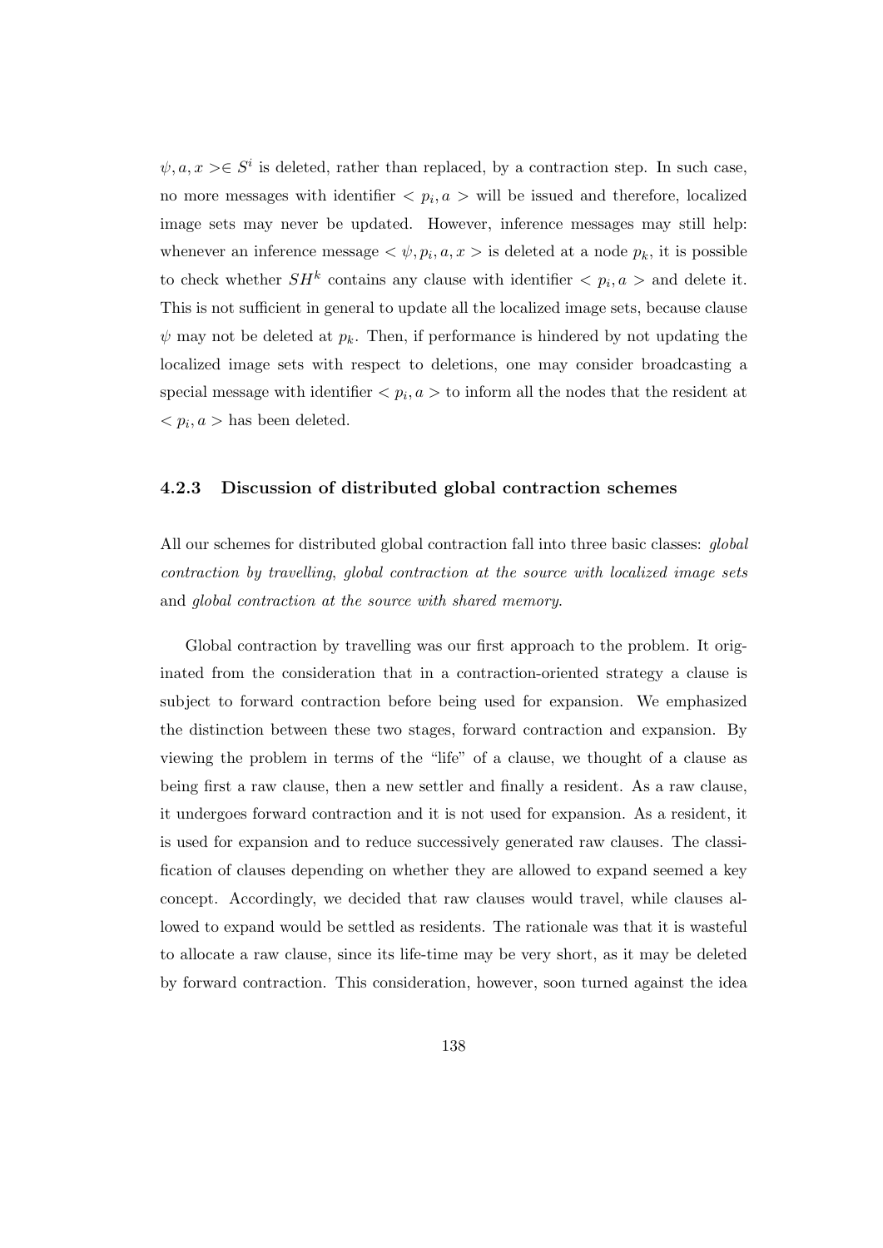$\psi, a, x > \in S^i$  is deleted, rather than replaced, by a contraction step. In such case, no more messages with identifier  $\langle p_i, a \rangle$  will be issued and therefore, localized image sets may never be updated. However, inference messages may still help: whenever an inference message  $\langle \psi, p_i, a, x \rangle$  is deleted at a node  $p_k$ , it is possible to check whether  $SH^k$  contains any clause with identifier  $\langle p_i, a \rangle$  and delete it. This is not sufficient in general to update all the localized image sets, because clause  $\psi$  may not be deleted at  $p_k$ . Then, if performance is hindered by not updating the localized image sets with respect to deletions, one may consider broadcasting a special message with identifier  $\langle p_i, a \rangle$  to inform all the nodes that the resident at  $\langle p_i, a \rangle$  has been deleted.

### 4.2.3 Discussion of distributed global contraction schemes

All our schemes for distributed global contraction fall into three basic classes: global contraction by travelling, global contraction at the source with localized image sets and global contraction at the source with shared memory.

Global contraction by travelling was our first approach to the problem. It originated from the consideration that in a contraction-oriented strategy a clause is subject to forward contraction before being used for expansion. We emphasized the distinction between these two stages, forward contraction and expansion. By viewing the problem in terms of the "life" of a clause, we thought of a clause as being first a raw clause, then a new settler and finally a resident. As a raw clause, it undergoes forward contraction and it is not used for expansion. As a resident, it is used for expansion and to reduce successively generated raw clauses. The classification of clauses depending on whether they are allowed to expand seemed a key concept. Accordingly, we decided that raw clauses would travel, while clauses allowed to expand would be settled as residents. The rationale was that it is wasteful to allocate a raw clause, since its life-time may be very short, as it may be deleted by forward contraction. This consideration, however, soon turned against the idea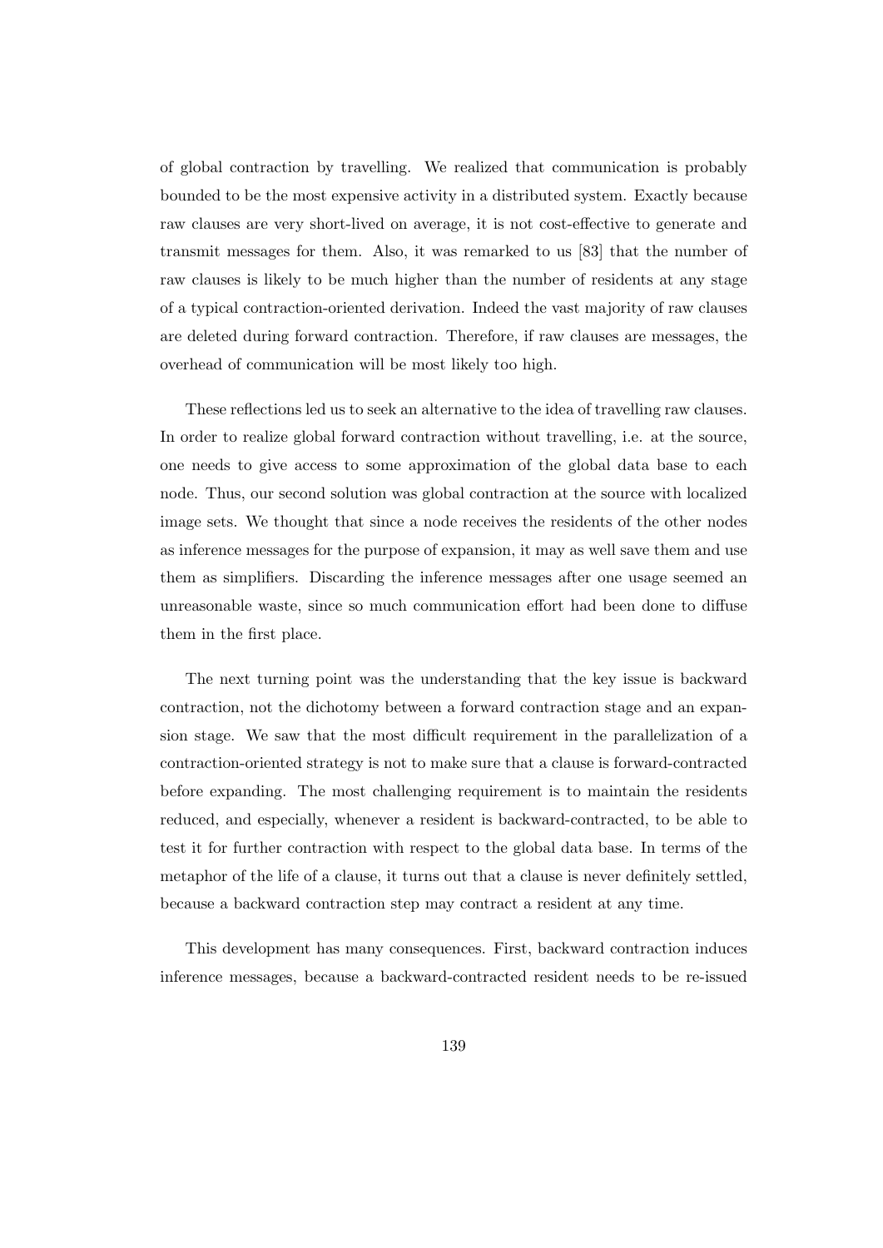of global contraction by travelling. We realized that communication is probably bounded to be the most expensive activity in a distributed system. Exactly because raw clauses are very short-lived on average, it is not cost-effective to generate and transmit messages for them. Also, it was remarked to us [83] that the number of raw clauses is likely to be much higher than the number of residents at any stage of a typical contraction-oriented derivation. Indeed the vast majority of raw clauses are deleted during forward contraction. Therefore, if raw clauses are messages, the overhead of communication will be most likely too high.

These reflections led us to seek an alternative to the idea of travelling raw clauses. In order to realize global forward contraction without travelling, i.e. at the source, one needs to give access to some approximation of the global data base to each node. Thus, our second solution was global contraction at the source with localized image sets. We thought that since a node receives the residents of the other nodes as inference messages for the purpose of expansion, it may as well save them and use them as simplifiers. Discarding the inference messages after one usage seemed an unreasonable waste, since so much communication effort had been done to diffuse them in the first place.

The next turning point was the understanding that the key issue is backward contraction, not the dichotomy between a forward contraction stage and an expansion stage. We saw that the most difficult requirement in the parallelization of a contraction-oriented strategy is not to make sure that a clause is forward-contracted before expanding. The most challenging requirement is to maintain the residents reduced, and especially, whenever a resident is backward-contracted, to be able to test it for further contraction with respect to the global data base. In terms of the metaphor of the life of a clause, it turns out that a clause is never definitely settled, because a backward contraction step may contract a resident at any time.

This development has many consequences. First, backward contraction induces inference messages, because a backward-contracted resident needs to be re-issued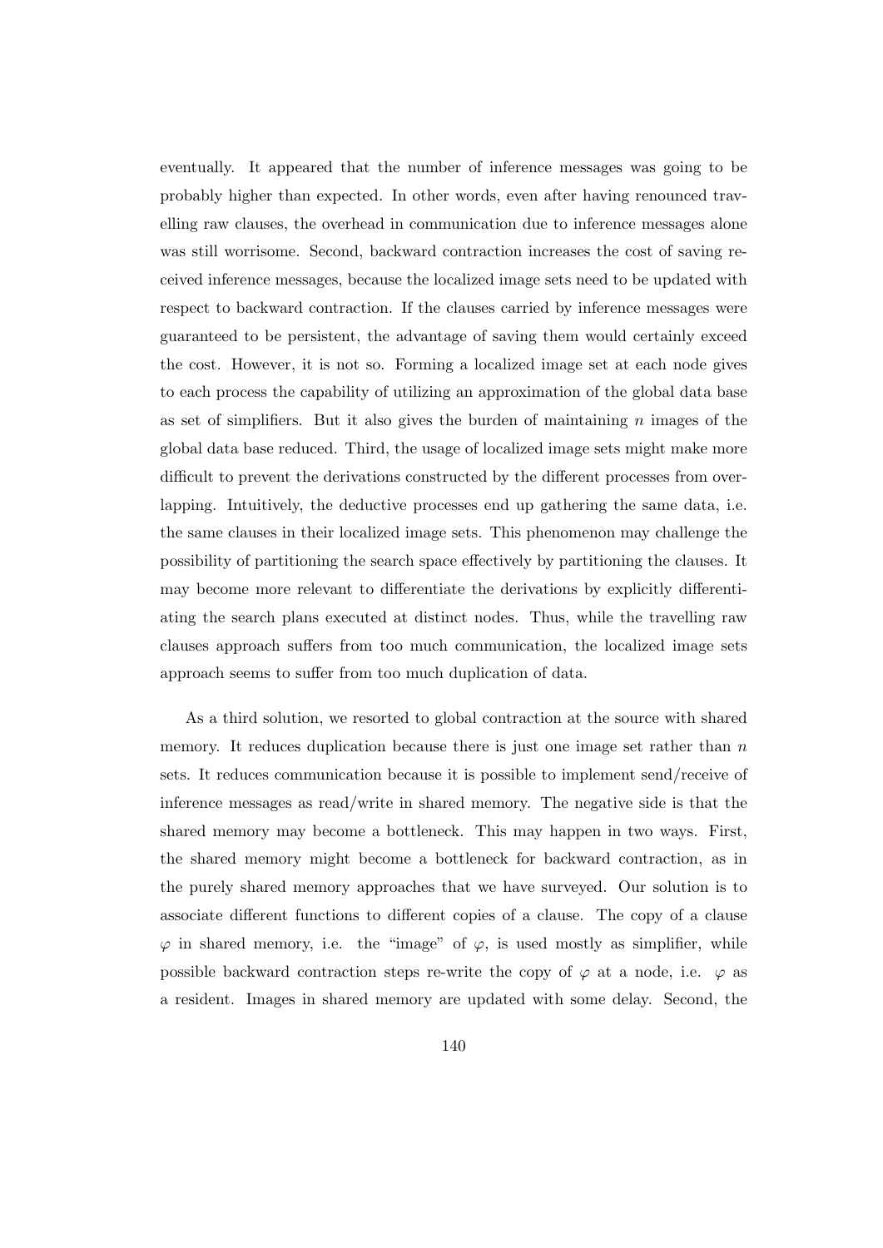eventually. It appeared that the number of inference messages was going to be probably higher than expected. In other words, even after having renounced travelling raw clauses, the overhead in communication due to inference messages alone was still worrisome. Second, backward contraction increases the cost of saving received inference messages, because the localized image sets need to be updated with respect to backward contraction. If the clauses carried by inference messages were guaranteed to be persistent, the advantage of saving them would certainly exceed the cost. However, it is not so. Forming a localized image set at each node gives to each process the capability of utilizing an approximation of the global data base as set of simplifiers. But it also gives the burden of maintaining  $n$  images of the global data base reduced. Third, the usage of localized image sets might make more difficult to prevent the derivations constructed by the different processes from overlapping. Intuitively, the deductive processes end up gathering the same data, i.e. the same clauses in their localized image sets. This phenomenon may challenge the possibility of partitioning the search space effectively by partitioning the clauses. It may become more relevant to differentiate the derivations by explicitly differentiating the search plans executed at distinct nodes. Thus, while the travelling raw clauses approach suffers from too much communication, the localized image sets approach seems to suffer from too much duplication of data.

As a third solution, we resorted to global contraction at the source with shared memory. It reduces duplication because there is just one image set rather than  $n$ sets. It reduces communication because it is possible to implement send/receive of inference messages as read/write in shared memory. The negative side is that the shared memory may become a bottleneck. This may happen in two ways. First, the shared memory might become a bottleneck for backward contraction, as in the purely shared memory approaches that we have surveyed. Our solution is to associate different functions to different copies of a clause. The copy of a clause  $\varphi$  in shared memory, i.e. the "image" of  $\varphi$ , is used mostly as simplifier, while possible backward contraction steps re-write the copy of  $\varphi$  at a node, i.e.  $\varphi$  as a resident. Images in shared memory are updated with some delay. Second, the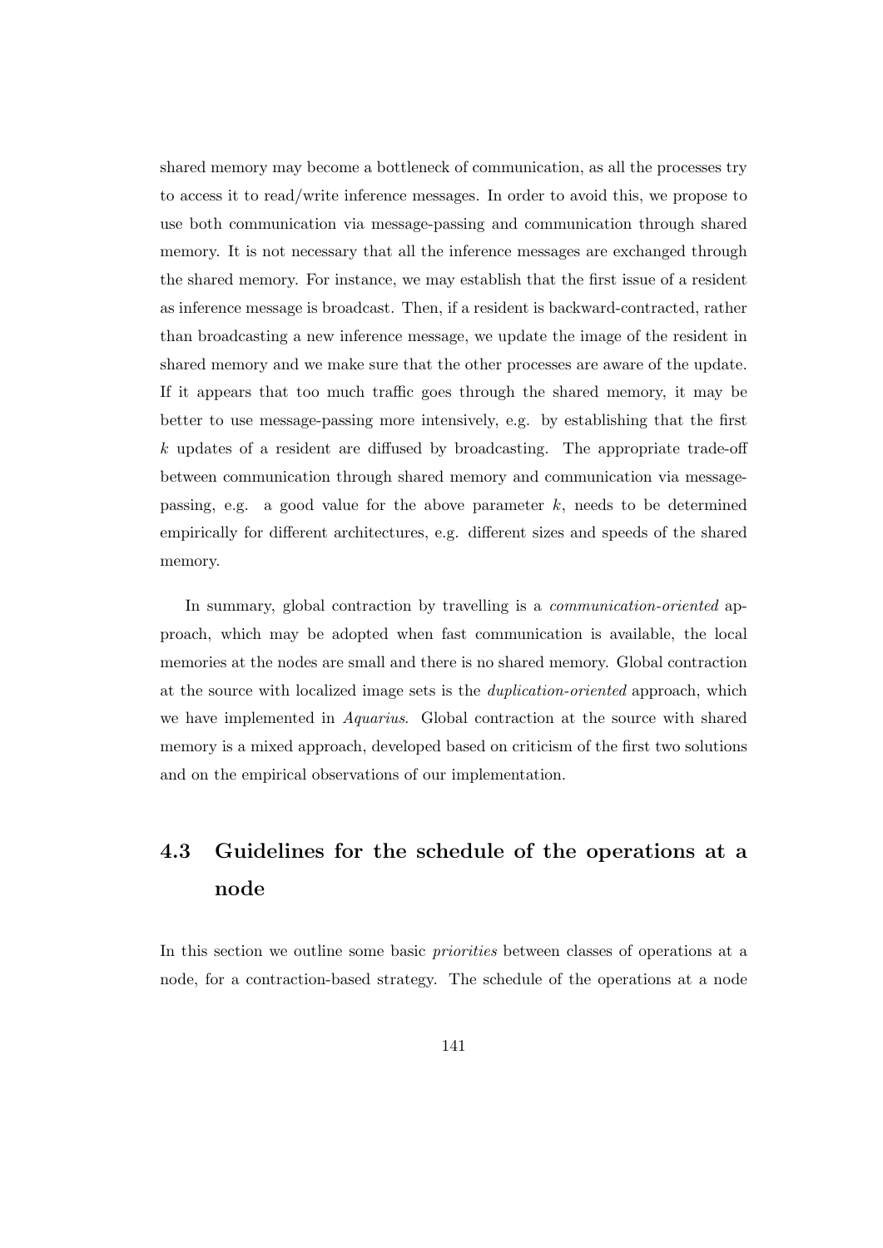shared memory may become a bottleneck of communication, as all the processes try to access it to read/write inference messages. In order to avoid this, we propose to use both communication via message-passing and communication through shared memory. It is not necessary that all the inference messages are exchanged through the shared memory. For instance, we may establish that the first issue of a resident as inference message is broadcast. Then, if a resident is backward-contracted, rather than broadcasting a new inference message, we update the image of the resident in shared memory and we make sure that the other processes are aware of the update. If it appears that too much traffic goes through the shared memory, it may be better to use message-passing more intensively, e.g. by establishing that the first k updates of a resident are diffused by broadcasting. The appropriate trade-off between communication through shared memory and communication via messagepassing, e.g. a good value for the above parameter  $k$ , needs to be determined empirically for different architectures, e.g. different sizes and speeds of the shared memory.

In summary, global contraction by travelling is a *communication-oriented* approach, which may be adopted when fast communication is available, the local memories at the nodes are small and there is no shared memory. Global contraction at the source with localized image sets is the duplication-oriented approach, which we have implemented in Aquarius. Global contraction at the source with shared memory is a mixed approach, developed based on criticism of the first two solutions and on the empirical observations of our implementation.

## 4.3 Guidelines for the schedule of the operations at a node

In this section we outline some basic priorities between classes of operations at a node, for a contraction-based strategy. The schedule of the operations at a node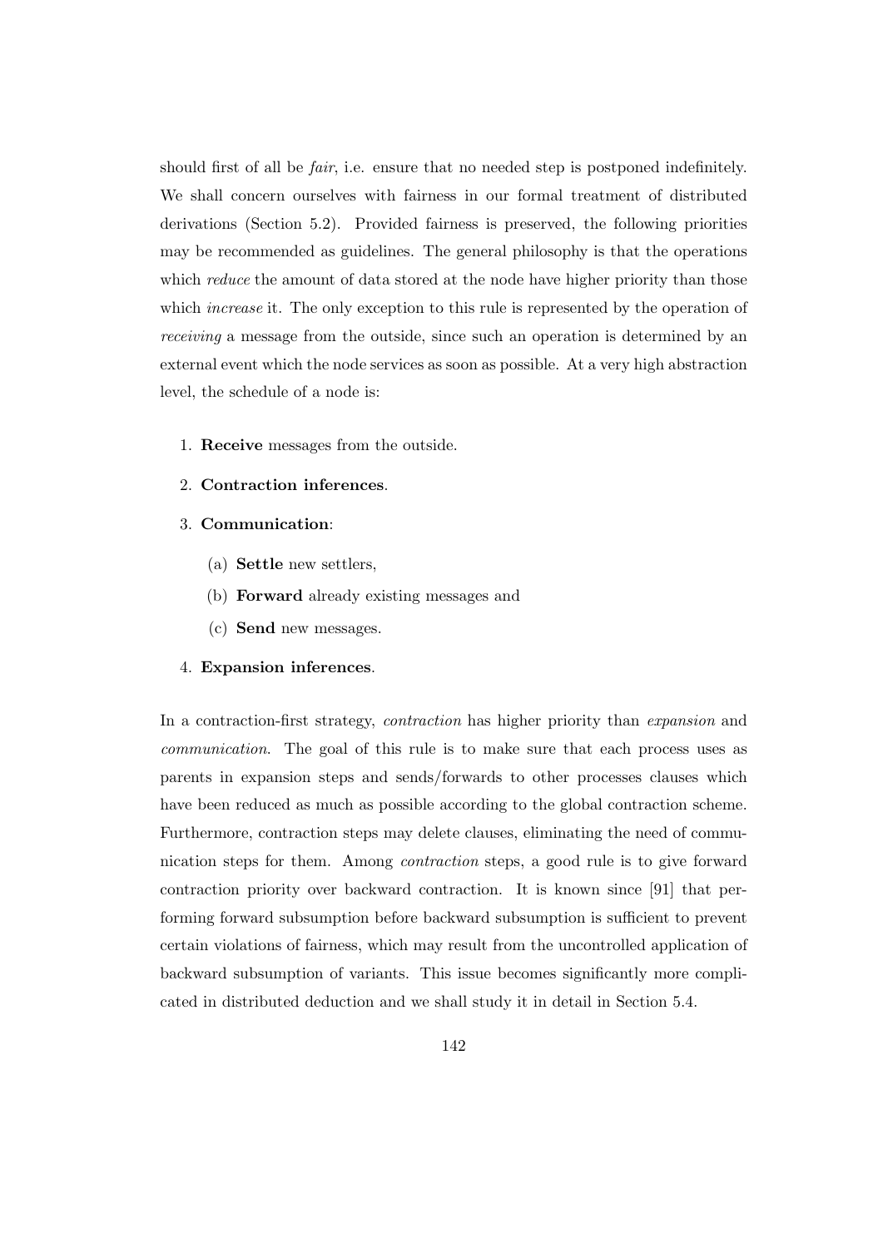should first of all be *fair*, i.e. ensure that no needed step is postponed indefinitely. We shall concern ourselves with fairness in our formal treatment of distributed derivations (Section 5.2). Provided fairness is preserved, the following priorities may be recommended as guidelines. The general philosophy is that the operations which *reduce* the amount of data stored at the node have higher priority than those which *increase* it. The only exception to this rule is represented by the operation of receiving a message from the outside, since such an operation is determined by an external event which the node services as soon as possible. At a very high abstraction level, the schedule of a node is:

- 1. Receive messages from the outside.
- 2. Contraction inferences.
- 3. Communication:
	- (a) Settle new settlers,
	- (b) Forward already existing messages and
	- (c) Send new messages.

## 4. Expansion inferences.

In a contraction-first strategy, contraction has higher priority than expansion and communication. The goal of this rule is to make sure that each process uses as parents in expansion steps and sends/forwards to other processes clauses which have been reduced as much as possible according to the global contraction scheme. Furthermore, contraction steps may delete clauses, eliminating the need of communication steps for them. Among contraction steps, a good rule is to give forward contraction priority over backward contraction. It is known since [91] that performing forward subsumption before backward subsumption is sufficient to prevent certain violations of fairness, which may result from the uncontrolled application of backward subsumption of variants. This issue becomes significantly more complicated in distributed deduction and we shall study it in detail in Section 5.4.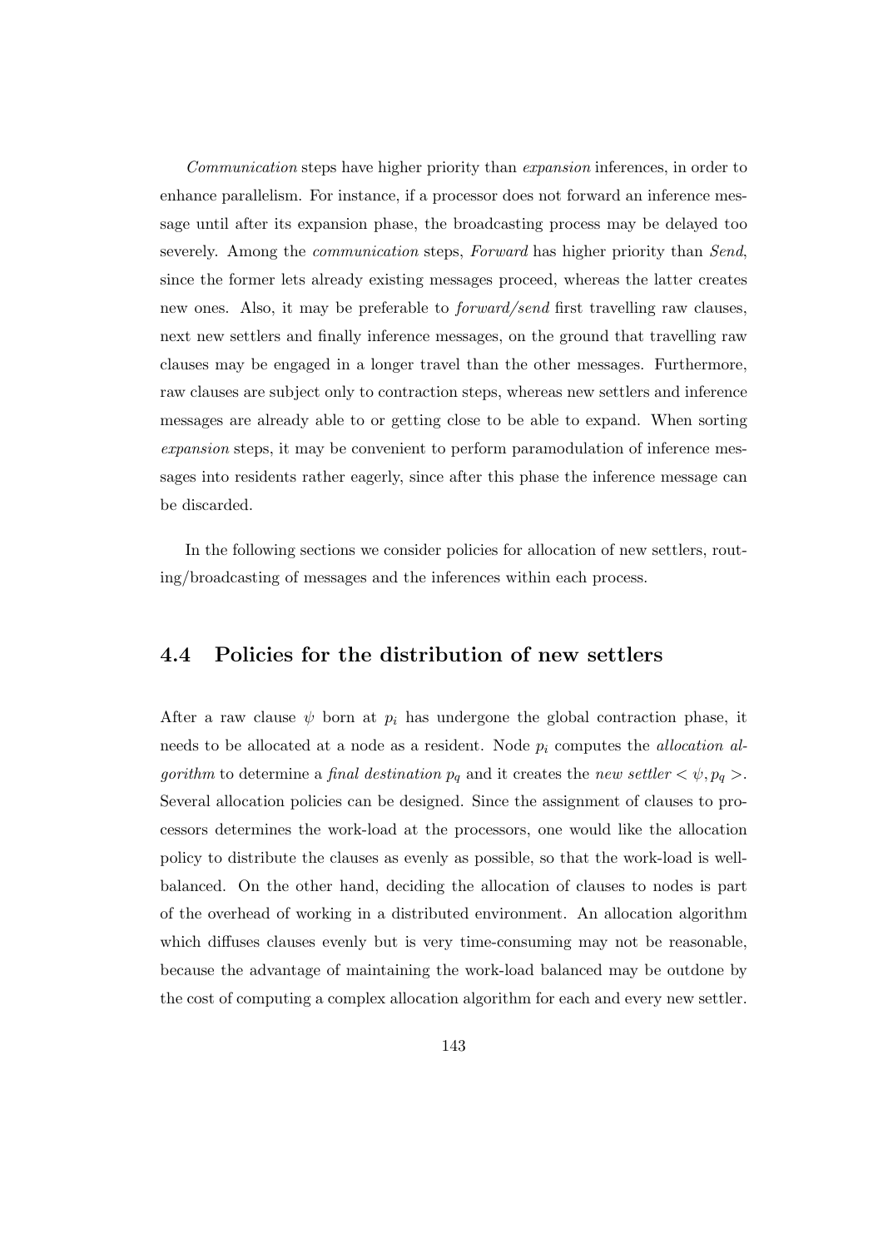Communication steps have higher priority than expansion inferences, in order to enhance parallelism. For instance, if a processor does not forward an inference message until after its expansion phase, the broadcasting process may be delayed too severely. Among the communication steps, Forward has higher priority than Send, since the former lets already existing messages proceed, whereas the latter creates new ones. Also, it may be preferable to forward/send first travelling raw clauses, next new settlers and finally inference messages, on the ground that travelling raw clauses may be engaged in a longer travel than the other messages. Furthermore, raw clauses are subject only to contraction steps, whereas new settlers and inference messages are already able to or getting close to be able to expand. When sorting expansion steps, it may be convenient to perform paramodulation of inference messages into residents rather eagerly, since after this phase the inference message can be discarded.

In the following sections we consider policies for allocation of new settlers, routing/broadcasting of messages and the inferences within each process.

## 4.4 Policies for the distribution of new settlers

After a raw clause  $\psi$  born at  $p_i$  has undergone the global contraction phase, it needs to be allocated at a node as a resident. Node  $p_i$  computes the *allocation al*gorithm to determine a final destination  $p_q$  and it creates the new settler  $\langle \psi, p_q \rangle$ . Several allocation policies can be designed. Since the assignment of clauses to processors determines the work-load at the processors, one would like the allocation policy to distribute the clauses as evenly as possible, so that the work-load is wellbalanced. On the other hand, deciding the allocation of clauses to nodes is part of the overhead of working in a distributed environment. An allocation algorithm which diffuses clauses evenly but is very time-consuming may not be reasonable, because the advantage of maintaining the work-load balanced may be outdone by the cost of computing a complex allocation algorithm for each and every new settler.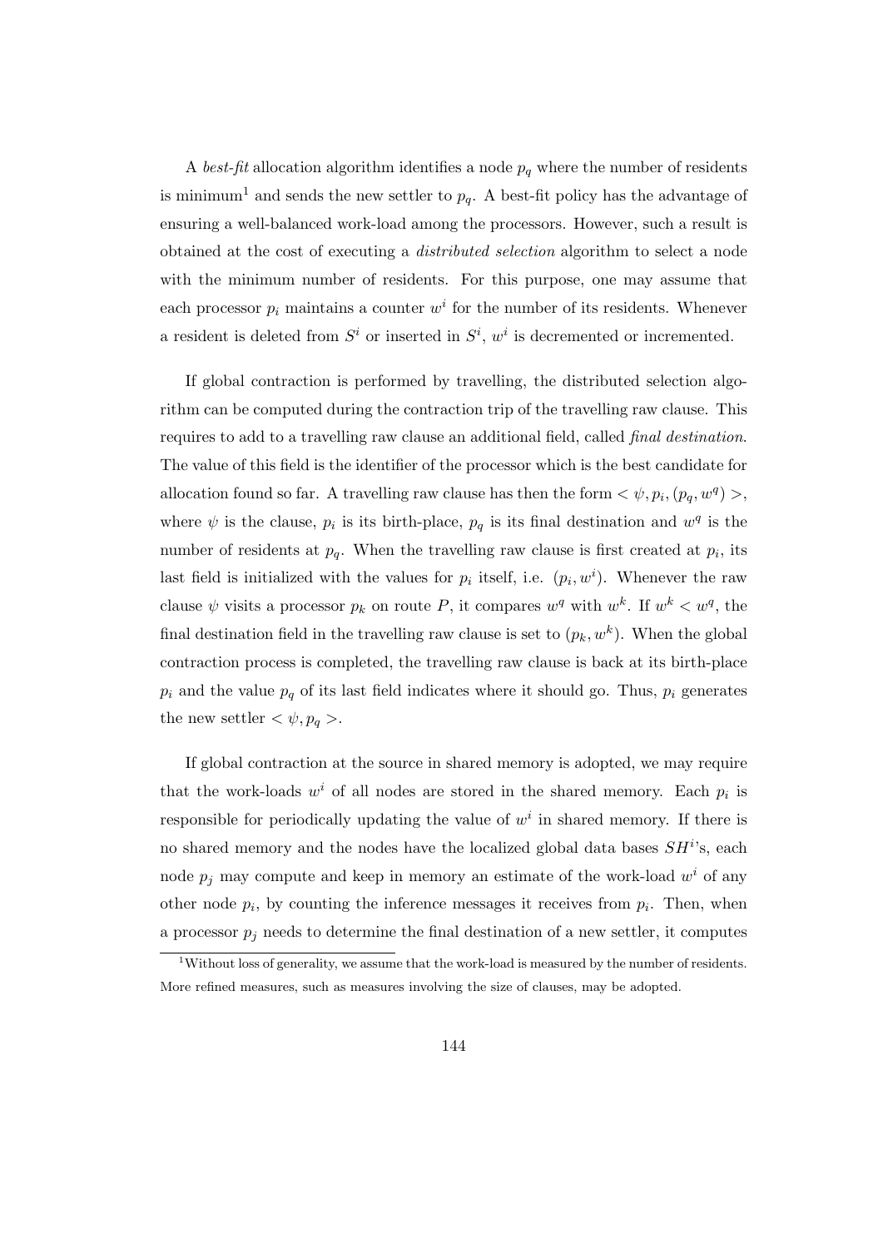A best-fit allocation algorithm identifies a node  $p<sub>q</sub>$  where the number of residents is minimum<sup>1</sup> and sends the new settler to  $p_q$ . A best-fit policy has the advantage of ensuring a well-balanced work-load among the processors. However, such a result is obtained at the cost of executing a distributed selection algorithm to select a node with the minimum number of residents. For this purpose, one may assume that each processor  $p_i$  maintains a counter  $w^i$  for the number of its residents. Whenever a resident is deleted from  $S^i$  or inserted in  $S^i$ ,  $w^i$  is decremented or incremented.

If global contraction is performed by travelling, the distributed selection algorithm can be computed during the contraction trip of the travelling raw clause. This requires to add to a travelling raw clause an additional field, called final destination. The value of this field is the identifier of the processor which is the best candidate for allocation found so far. A travelling raw clause has then the form  $\langle \psi, p_i, (p_q, w^q) \rangle$ , where  $\psi$  is the clause,  $p_i$  is its birth-place,  $p_q$  is its final destination and  $w^q$  is the number of residents at  $p<sub>q</sub>$ . When the travelling raw clause is first created at  $p<sub>i</sub>$ , its last field is initialized with the values for  $p_i$  itself, i.e.  $(p_i, w^i)$ . Whenever the raw clause  $\psi$  visits a processor  $p_k$  on route P, it compares  $w^q$  with  $w^k$ . If  $w^k < w^q$ , the final destination field in the travelling raw clause is set to  $(p_k, w^k)$ . When the global contraction process is completed, the travelling raw clause is back at its birth-place  $p_i$  and the value  $p_q$  of its last field indicates where it should go. Thus,  $p_i$  generates the new settler  $\langle \psi, p_q \rangle$ .

If global contraction at the source in shared memory is adopted, we may require that the work-loads  $w^i$  of all nodes are stored in the shared memory. Each  $p_i$  is responsible for periodically updating the value of  $w<sup>i</sup>$  in shared memory. If there is no shared memory and the nodes have the localized global data bases  $SH<sup>i</sup>$ s, each node  $p_j$  may compute and keep in memory an estimate of the work-load  $w^i$  of any other node  $p_i$ , by counting the inference messages it receives from  $p_i$ . Then, when a processor  $p_j$  needs to determine the final destination of a new settler, it computes

<sup>&</sup>lt;sup>1</sup>Without loss of generality, we assume that the work-load is measured by the number of residents. More refined measures, such as measures involving the size of clauses, may be adopted.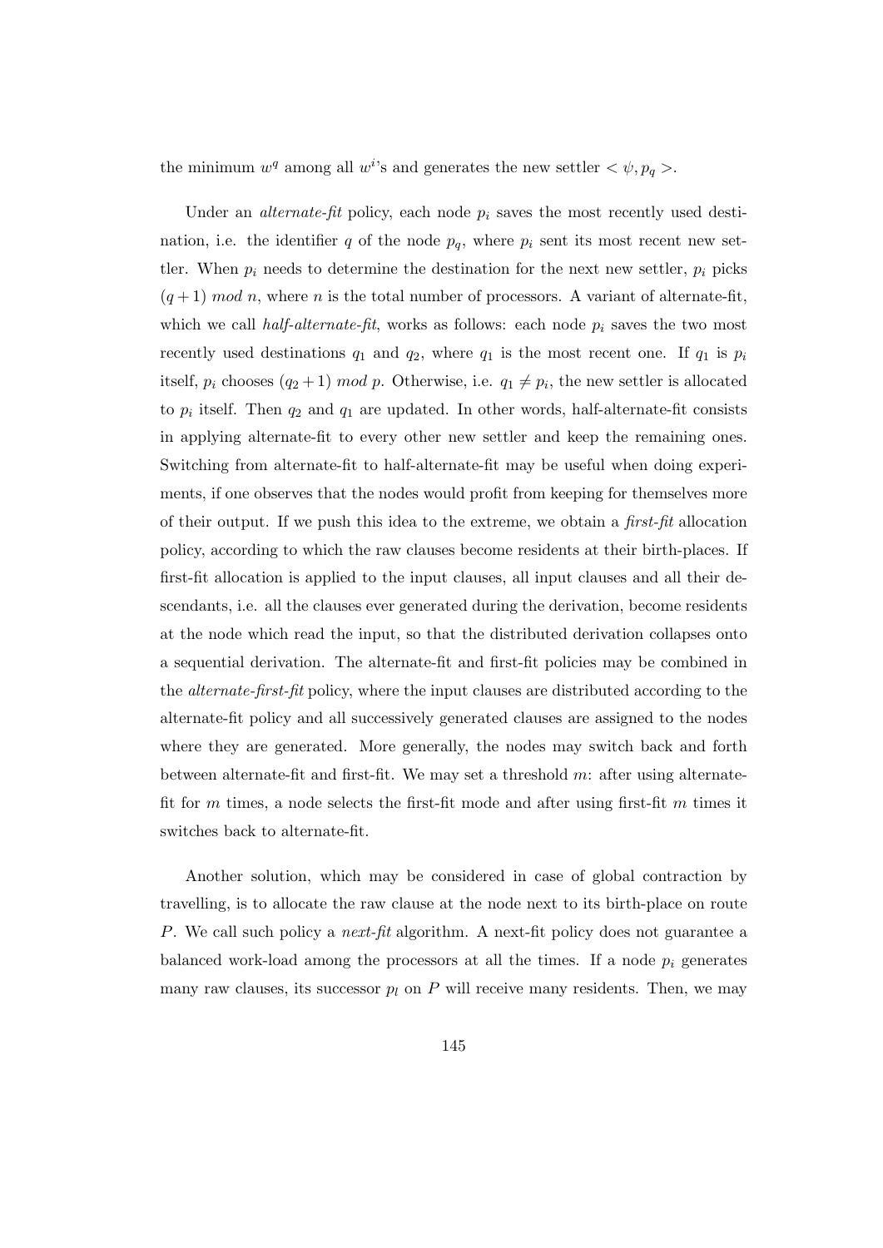the minimum  $w^q$  among all  $w^i$ 's and generates the new settler  $\langle \psi, p_q \rangle$ .

Under an *alternate-fit* policy, each node  $p_i$  saves the most recently used destination, i.e. the identifier q of the node  $p<sub>q</sub>$ , where  $p<sub>i</sub>$  sent its most recent new settler. When  $p_i$  needs to determine the destination for the next new settler,  $p_i$  picks  $(q+1) \mod n$ , where n is the total number of processors. A variant of alternate-fit, which we call *half-alternate-fit*, works as follows: each node  $p_i$  saves the two most recently used destinations  $q_1$  and  $q_2$ , where  $q_1$  is the most recent one. If  $q_1$  is  $p_i$ itself,  $p_i$  chooses  $(q_2 + 1) \mod p$ . Otherwise, i.e.  $q_1 \neq p_i$ , the new settler is allocated to  $p_i$  itself. Then  $q_2$  and  $q_1$  are updated. In other words, half-alternate-fit consists in applying alternate-fit to every other new settler and keep the remaining ones. Switching from alternate-fit to half-alternate-fit may be useful when doing experiments, if one observes that the nodes would profit from keeping for themselves more of their output. If we push this idea to the extreme, we obtain a first-fit allocation policy, according to which the raw clauses become residents at their birth-places. If first-fit allocation is applied to the input clauses, all input clauses and all their descendants, i.e. all the clauses ever generated during the derivation, become residents at the node which read the input, so that the distributed derivation collapses onto a sequential derivation. The alternate-fit and first-fit policies may be combined in the alternate-first-fit policy, where the input clauses are distributed according to the alternate-fit policy and all successively generated clauses are assigned to the nodes where they are generated. More generally, the nodes may switch back and forth between alternate-fit and first-fit. We may set a threshold  $m$ : after using alternatefit for  $m$  times, a node selects the first-fit mode and after using first-fit  $m$  times it switches back to alternate-fit.

Another solution, which may be considered in case of global contraction by travelling, is to allocate the raw clause at the node next to its birth-place on route P. We call such policy a *next-fit* algorithm. A next-fit policy does not guarantee a balanced work-load among the processors at all the times. If a node  $p_i$  generates many raw clauses, its successor  $p_l$  on P will receive many residents. Then, we may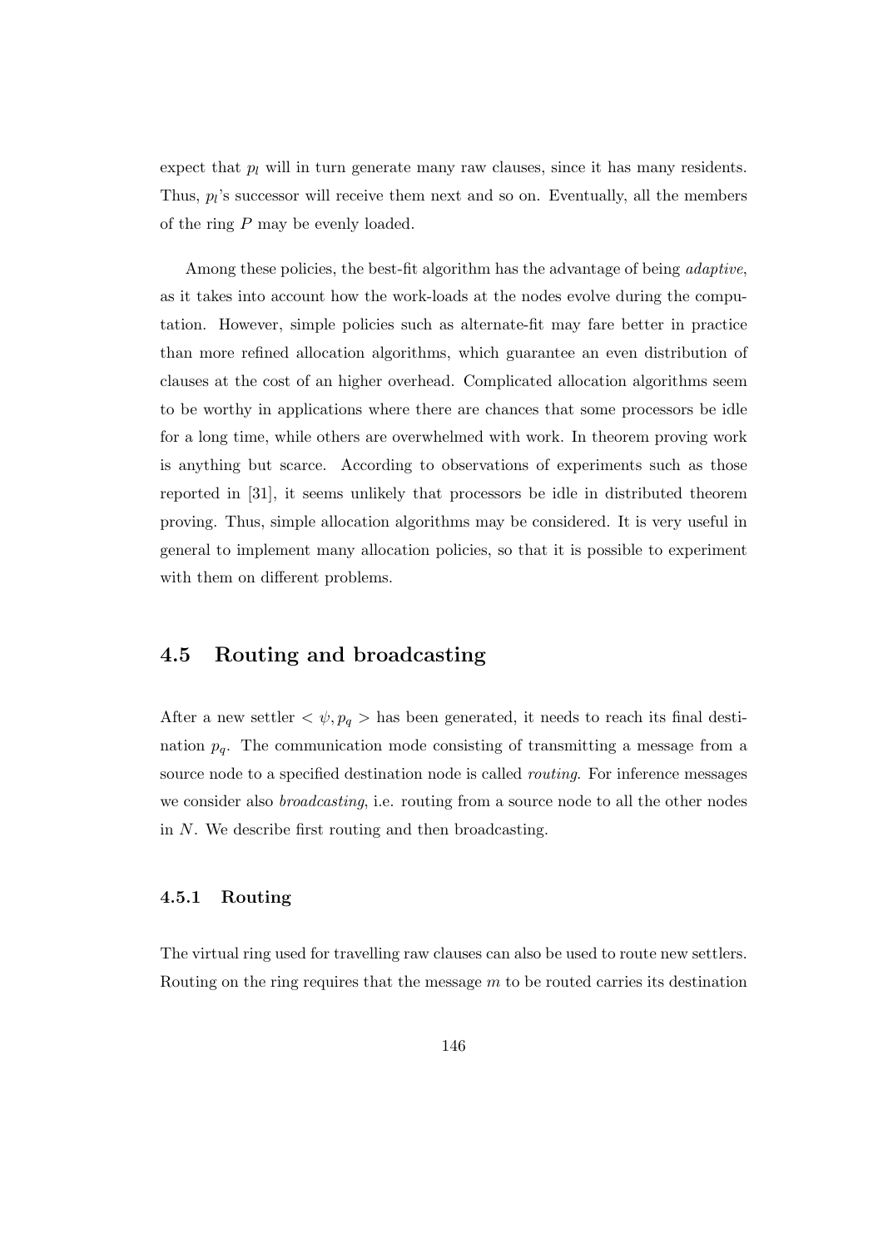expect that  $p_l$  will in turn generate many raw clauses, since it has many residents. Thus,  $pi$ 's successor will receive them next and so on. Eventually, all the members of the ring P may be evenly loaded.

Among these policies, the best-fit algorithm has the advantage of being *adaptive*, as it takes into account how the work-loads at the nodes evolve during the computation. However, simple policies such as alternate-fit may fare better in practice than more refined allocation algorithms, which guarantee an even distribution of clauses at the cost of an higher overhead. Complicated allocation algorithms seem to be worthy in applications where there are chances that some processors be idle for a long time, while others are overwhelmed with work. In theorem proving work is anything but scarce. According to observations of experiments such as those reported in [31], it seems unlikely that processors be idle in distributed theorem proving. Thus, simple allocation algorithms may be considered. It is very useful in general to implement many allocation policies, so that it is possible to experiment with them on different problems.

## 4.5 Routing and broadcasting

After a new settler  $\langle \psi, p_q \rangle$  has been generated, it needs to reach its final destination  $p_q$ . The communication mode consisting of transmitting a message from a source node to a specified destination node is called *routing*. For inference messages we consider also broadcasting, i.e. routing from a source node to all the other nodes in N. We describe first routing and then broadcasting.

## 4.5.1 Routing

The virtual ring used for travelling raw clauses can also be used to route new settlers. Routing on the ring requires that the message m to be routed carries its destination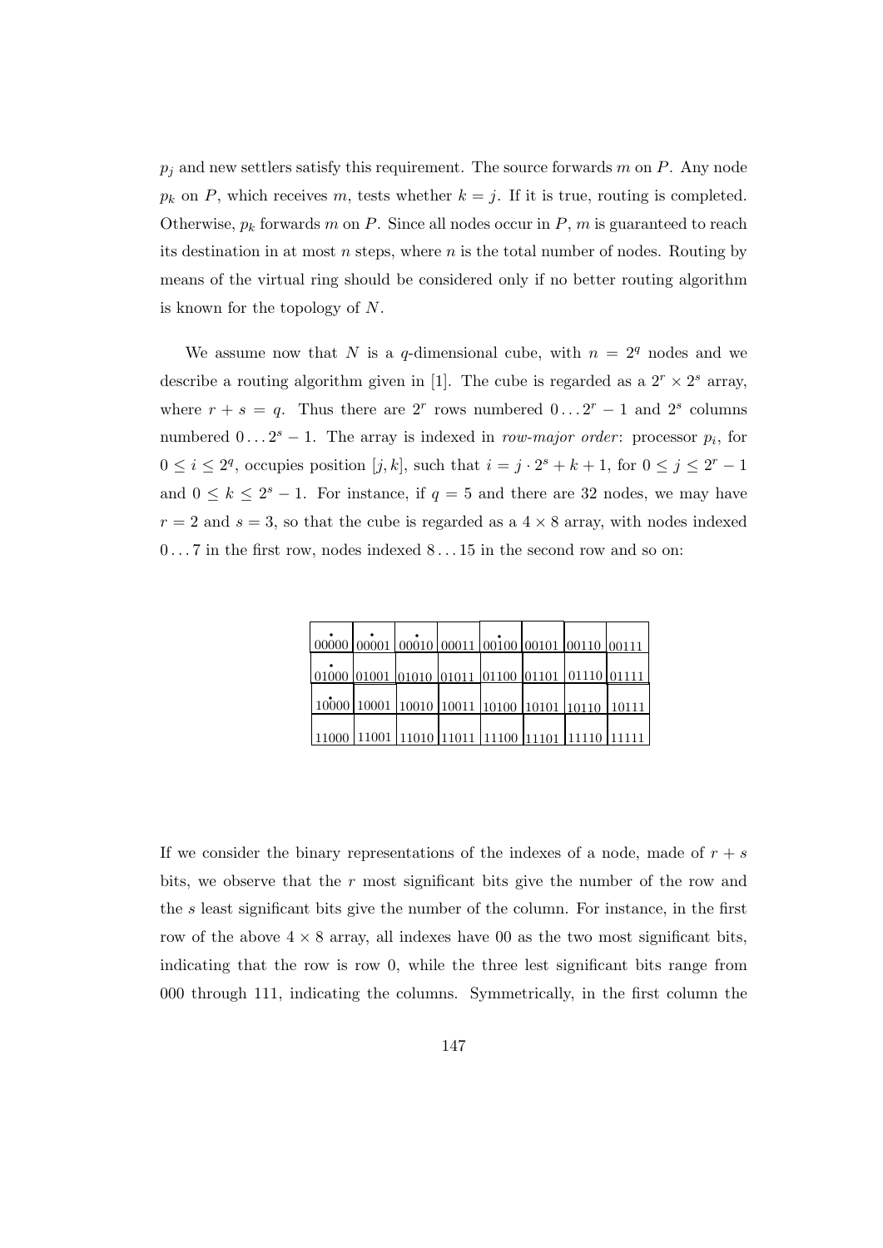$p_j$  and new settlers satisfy this requirement. The source forwards m on P. Any node  $p_k$  on P, which receives m, tests whether  $k = j$ . If it is true, routing is completed. Otherwise,  $p_k$  forwards m on P. Since all nodes occur in P, m is guaranteed to reach its destination in at most  $n$  steps, where  $n$  is the total number of nodes. Routing by means of the virtual ring should be considered only if no better routing algorithm is known for the topology of N.

We assume now that N is a q-dimensional cube, with  $n = 2<sup>q</sup>$  nodes and we describe a routing algorithm given in [1]. The cube is regarded as a  $2^r \times 2^s$  array, where  $r + s = q$ . Thus there are  $2^r$  rows numbered  $0 \dots 2^r - 1$  and  $2^s$  columns numbered  $0...2^{s}-1$ . The array is indexed in *row-major order*: processor  $p_i$ , for  $0 \leq i \leq 2^q$ , occupies position  $[j, k]$ , such that  $i = j \cdot 2^s + k + 1$ , for  $0 \leq j \leq 2^r - 1$ and  $0 \leq k \leq 2^{s} - 1$ . For instance, if  $q = 5$  and there are 32 nodes, we may have  $r = 2$  and  $s = 3$ , so that the cube is regarded as a  $4 \times 8$  array, with nodes indexed  $0 \ldots 7$  in the first row, nodes indexed  $8 \ldots 15$  in the second row and so on:

| $\mid 00000 \mid 00001 \mid 00010 \mid 00011 \mid 00100 \mid 00101 \mid 00110 \mid 00111$ |  |  |  |
|-------------------------------------------------------------------------------------------|--|--|--|
|                                                                                           |  |  |  |
| 01000 01001 01010 01011 01100 01101 01110 01111                                           |  |  |  |
|                                                                                           |  |  |  |
| 10000   10001   10 <u>010   10011   10100   10101   10110   10111</u>                     |  |  |  |
|                                                                                           |  |  |  |
| 11000  11 <u>001  11010  </u> 11011 <u> 11100  11101  11110  11111</u>                    |  |  |  |

If we consider the binary representations of the indexes of a node, made of  $r + s$ bits, we observe that the  $r$  most significant bits give the number of the row and the s least significant bits give the number of the column. For instance, in the first row of the above  $4 \times 8$  array, all indexes have 00 as the two most significant bits, indicating that the row is row 0, while the three lest significant bits range from 000 through 111, indicating the columns. Symmetrically, in the first column the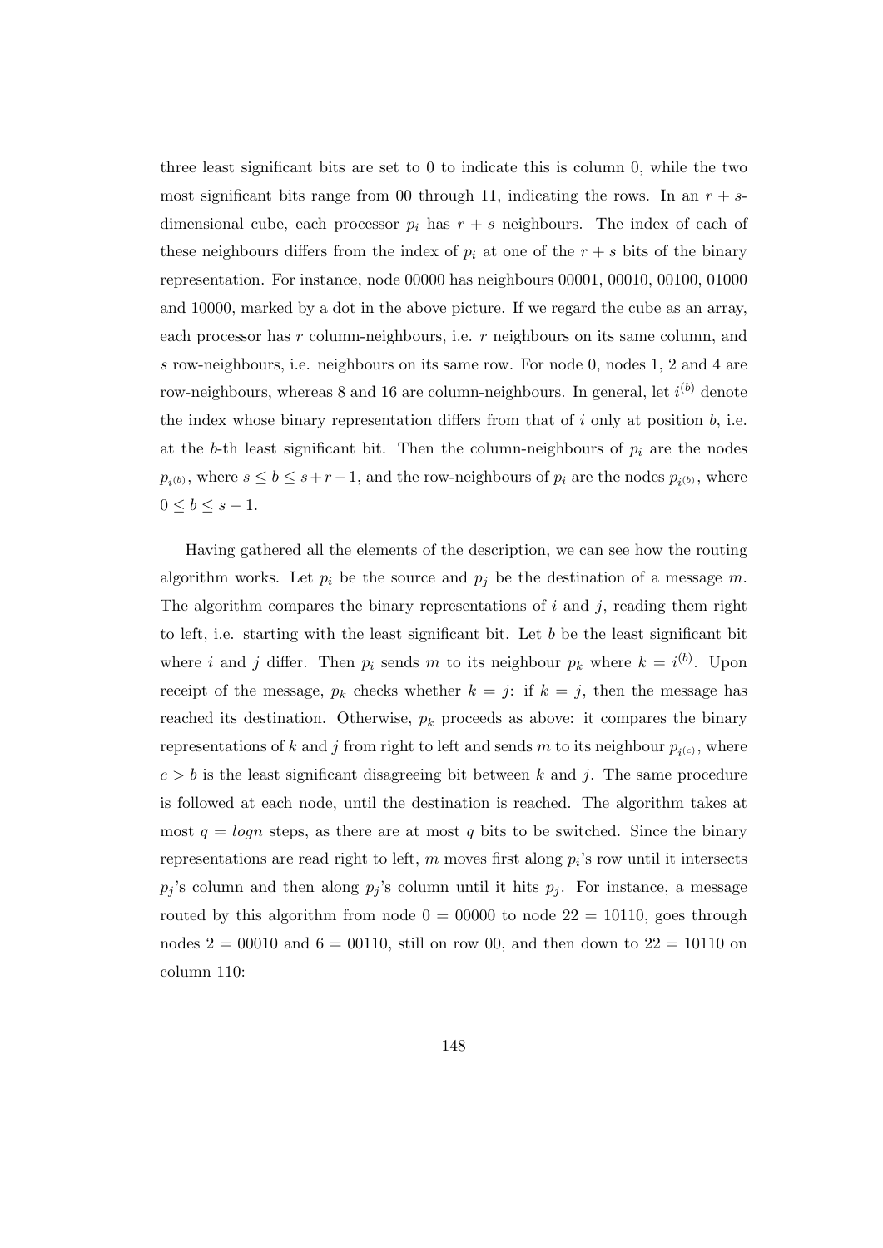three least significant bits are set to 0 to indicate this is column 0, while the two most significant bits range from 00 through 11, indicating the rows. In an  $r + s$ dimensional cube, each processor  $p_i$  has  $r + s$  neighbours. The index of each of these neighbours differs from the index of  $p_i$  at one of the  $r + s$  bits of the binary representation. For instance, node 00000 has neighbours 00001, 00010, 00100, 01000 and 10000, marked by a dot in the above picture. If we regard the cube as an array, each processor has r column-neighbours, i.e. r neighbours on its same column, and s row-neighbours, i.e. neighbours on its same row. For node 0, nodes 1, 2 and 4 are row-neighbours, whereas 8 and 16 are column-neighbours. In general, let  $i^{(b)}$  denote the index whose binary representation differs from that of  $i$  only at position  $b$ , i.e. at the b-th least significant bit. Then the column-neighbours of  $p_i$  are the nodes  $p_{i^{(b)}},$  where  $s \leq b \leq s+r-1$ , and the row-neighbours of  $p_i$  are the nodes  $p_{i^{(b)}},$  where  $0 \leq b \leq s-1$ .

Having gathered all the elements of the description, we can see how the routing algorithm works. Let  $p_i$  be the source and  $p_j$  be the destination of a message m. The algorithm compares the binary representations of  $i$  and  $j$ , reading them right to left, i.e. starting with the least significant bit. Let  $b$  be the least significant bit where i and j differ. Then  $p_i$  sends m to its neighbour  $p_k$  where  $k = i^{(b)}$ . Upon receipt of the message,  $p_k$  checks whether  $k = j$ : if  $k = j$ , then the message has reached its destination. Otherwise,  $p_k$  proceeds as above: it compares the binary representations of k and j from right to left and sends m to its neighbour  $p_{i^{(c)}}$ , where  $c > b$  is the least significant disagreeing bit between k and j. The same procedure is followed at each node, until the destination is reached. The algorithm takes at most  $q = logn$  steps, as there are at most q bits to be switched. Since the binary representations are read right to left,  $m$  moves first along  $p_i$ 's row until it intersects  $p_j$ 's column and then along  $p_j$ 's column until it hits  $p_j$ . For instance, a message routed by this algorithm from node  $0 = 00000$  to node  $22 = 10110$ , goes through nodes  $2 = 00010$  and  $6 = 00110$ , still on row 00, and then down to  $22 = 10110$  on column 110: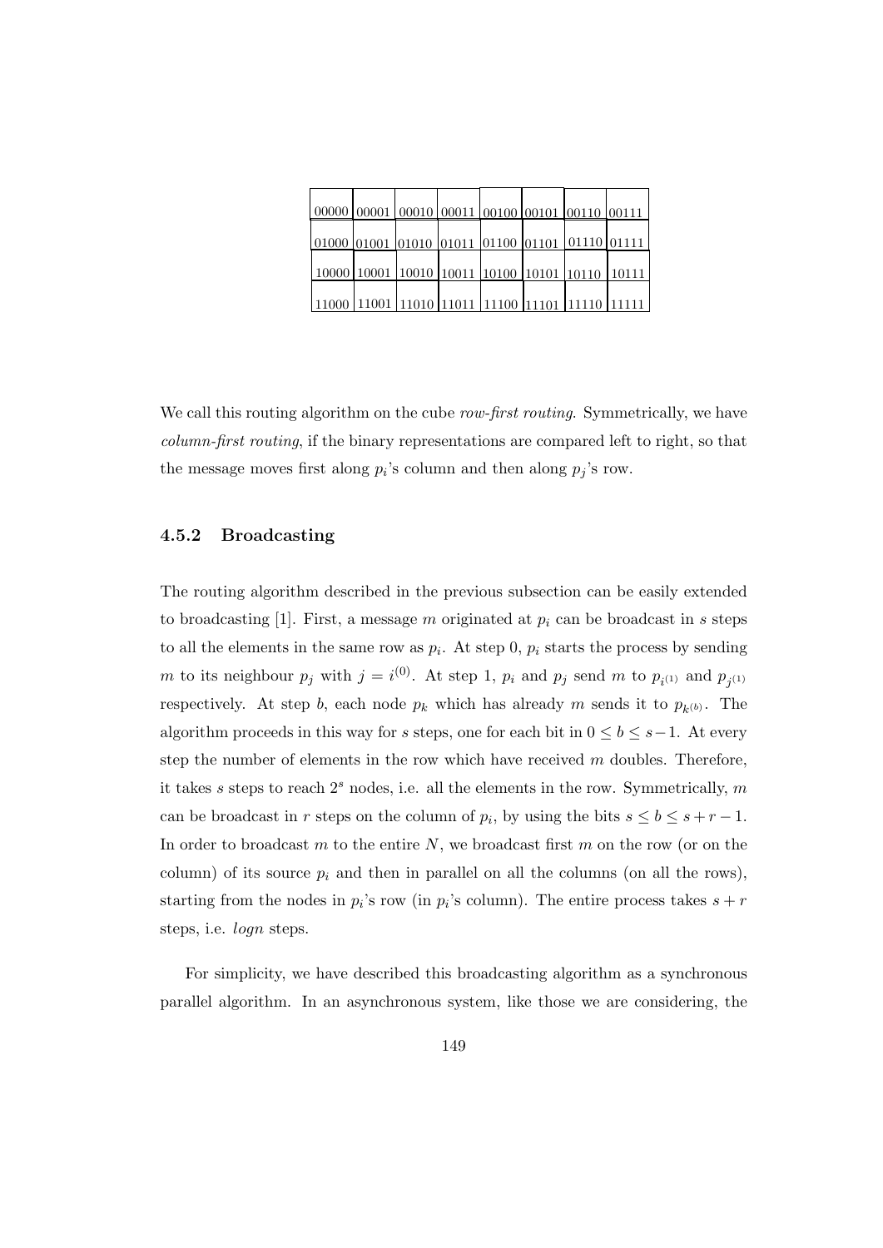| 00000 00001 00010 00011 00100 00101 00110 00111                                                                                                                  |  |  |  |                                                        |
|------------------------------------------------------------------------------------------------------------------------------------------------------------------|--|--|--|--------------------------------------------------------|
| 01000 01001 01010 01011 01100 01101 01110 01111                                                                                                                  |  |  |  |                                                        |
| $\mid$ 10000 $\mid$ 10001 $\mid$ <u>10010 <math>\mid</math>10011 <math>\mid</math>10100 <math>\mid</math>10101 <math>\mid</math>10110 <math>\mid</math>10111</u> |  |  |  |                                                        |
|                                                                                                                                                                  |  |  |  | 11000  11001  11010  11011  11100  11101  11110  11111 |

We call this routing algorithm on the cube *row-first routing*. Symmetrically, we have column-first routing, if the binary representations are compared left to right, so that the message moves first along  $p_i$ 's column and then along  $p_j$ 's row.

## 4.5.2 Broadcasting

The routing algorithm described in the previous subsection can be easily extended to broadcasting [1]. First, a message m originated at  $p_i$  can be broadcast in s steps to all the elements in the same row as  $p_i$ . At step 0,  $p_i$  starts the process by sending m to its neighbour  $p_j$  with  $j = i^{(0)}$ . At step 1,  $p_i$  and  $p_j$  send m to  $p_{i^{(1)}}$  and  $p_{j^{(1)}}$ respectively. At step b, each node  $p_k$  which has already m sends it to  $p_{k^{(b)}}$ . The algorithm proceeds in this way for s steps, one for each bit in  $0 \leq b \leq s-1$ . At every step the number of elements in the row which have received  $m$  doubles. Therefore, it takes s steps to reach  $2<sup>s</sup>$  nodes, i.e. all the elements in the row. Symmetrically, m can be broadcast in r steps on the column of  $p_i$ , by using the bits  $s \leq b \leq s + r - 1$ . In order to broadcast  $m$  to the entire  $N$ , we broadcast first  $m$  on the row (or on the column) of its source  $p_i$  and then in parallel on all the columns (on all the rows), starting from the nodes in  $p_i$ 's row (in  $p_i$ 's column). The entire process takes  $s + r$ steps, i.e. logn steps.

For simplicity, we have described this broadcasting algorithm as a synchronous parallel algorithm. In an asynchronous system, like those we are considering, the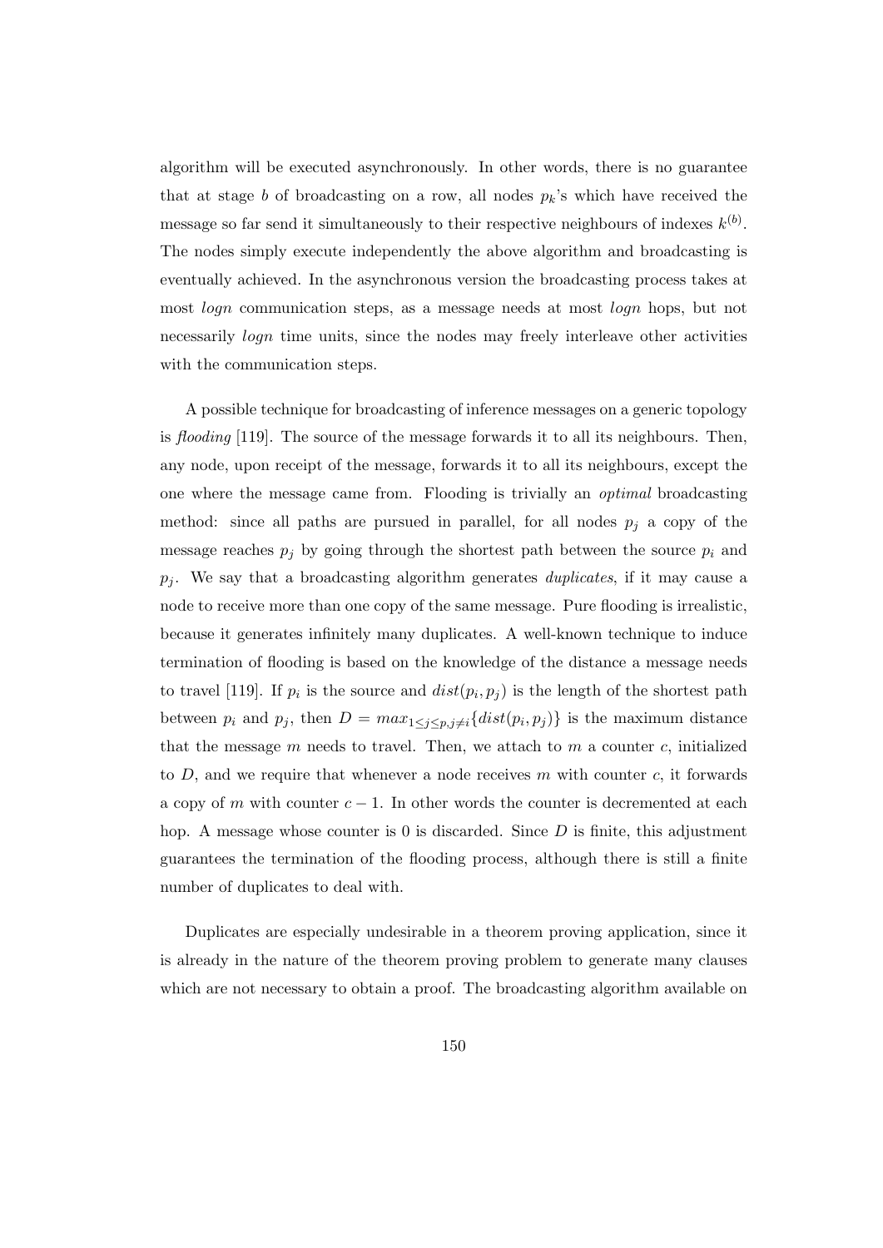algorithm will be executed asynchronously. In other words, there is no guarantee that at stage b of broadcasting on a row, all nodes  $p_k$ 's which have received the message so far send it simultaneously to their respective neighbours of indexes  $k^{(b)}$ . The nodes simply execute independently the above algorithm and broadcasting is eventually achieved. In the asynchronous version the broadcasting process takes at most *logn* communication steps, as a message needs at most *logn* hops, but not necessarily logn time units, since the nodes may freely interleave other activities with the communication steps.

A possible technique for broadcasting of inference messages on a generic topology is flooding  $[119]$ . The source of the message forwards it to all its neighbours. Then, any node, upon receipt of the message, forwards it to all its neighbours, except the one where the message came from. Flooding is trivially an optimal broadcasting method: since all paths are pursued in parallel, for all nodes  $p_i$  a copy of the message reaches  $p_j$  by going through the shortest path between the source  $p_i$  and  $p_i$ . We say that a broadcasting algorithm generates *duplicates*, if it may cause a node to receive more than one copy of the same message. Pure flooding is irrealistic, because it generates infinitely many duplicates. A well-known technique to induce termination of flooding is based on the knowledge of the distance a message needs to travel [119]. If  $p_i$  is the source and  $dist(p_i, p_j)$  is the length of the shortest path between  $p_i$  and  $p_j$ , then  $D = max_{1 \leq j \leq p, j \neq i} \{dist(p_i, p_j)\}\$ is the maximum distance that the message  $m$  needs to travel. Then, we attach to  $m$  a counter  $c$ , initialized to  $D$ , and we require that whenever a node receives  $m$  with counter  $c$ , it forwards a copy of m with counter  $c - 1$ . In other words the counter is decremented at each hop. A message whose counter is 0 is discarded. Since  $D$  is finite, this adjustment guarantees the termination of the flooding process, although there is still a finite number of duplicates to deal with.

Duplicates are especially undesirable in a theorem proving application, since it is already in the nature of the theorem proving problem to generate many clauses which are not necessary to obtain a proof. The broadcasting algorithm available on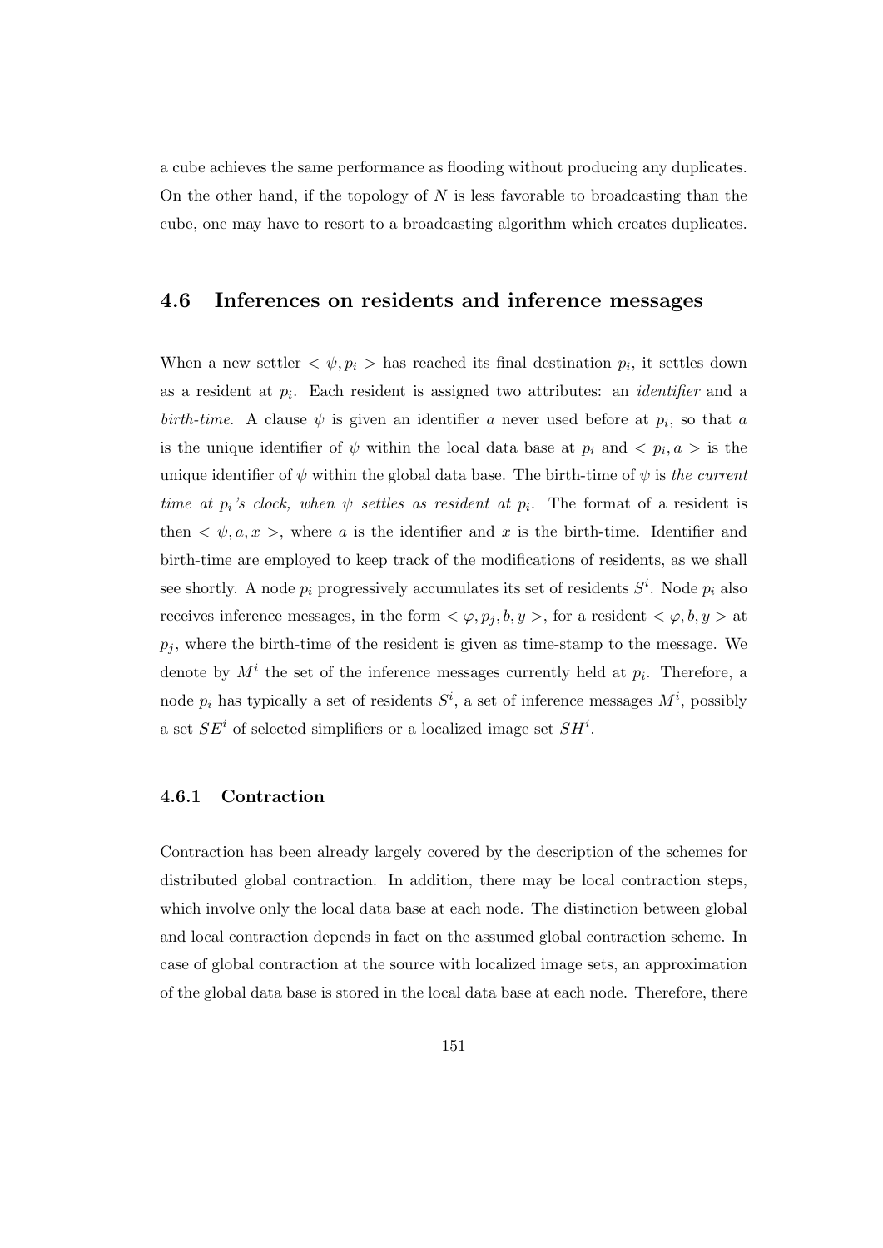a cube achieves the same performance as flooding without producing any duplicates. On the other hand, if the topology of  $N$  is less favorable to broadcasting than the cube, one may have to resort to a broadcasting algorithm which creates duplicates.

## 4.6 Inferences on residents and inference messages

When a new settler  $\langle \psi, p_i \rangle$  has reached its final destination  $p_i$ , it settles down as a resident at  $p_i$ . Each resident is assigned two attributes: an *identifier* and a birth-time. A clause  $\psi$  is given an identifier a never used before at  $p_i$ , so that a is the unique identifier of  $\psi$  within the local data base at  $p_i$  and  $\langle p_i, a \rangle$  is the unique identifier of  $\psi$  within the global data base. The birth-time of  $\psi$  is the current time at  $p_i$ 's clock, when  $\psi$  settles as resident at  $p_i$ . The format of a resident is then  $\langle \psi, a, x \rangle$ , where a is the identifier and x is the birth-time. Identifier and birth-time are employed to keep track of the modifications of residents, as we shall see shortly. A node  $p_i$  progressively accumulates its set of residents  $S^i$ . Node  $p_i$  also receives inference messages, in the form  $\langle \varphi, p_j, b, y \rangle$ , for a resident  $\langle \varphi, b, y \rangle$  at  $p_i$ , where the birth-time of the resident is given as time-stamp to the message. We denote by  $M^i$  the set of the inference messages currently held at  $p_i$ . Therefore, a node  $p_i$  has typically a set of residents  $S^i$ , a set of inference messages  $M^i$ , possibly a set  $SE<sup>i</sup>$  of selected simplifiers or a localized image set  $SH<sup>i</sup>$ .

## 4.6.1 Contraction

Contraction has been already largely covered by the description of the schemes for distributed global contraction. In addition, there may be local contraction steps, which involve only the local data base at each node. The distinction between global and local contraction depends in fact on the assumed global contraction scheme. In case of global contraction at the source with localized image sets, an approximation of the global data base is stored in the local data base at each node. Therefore, there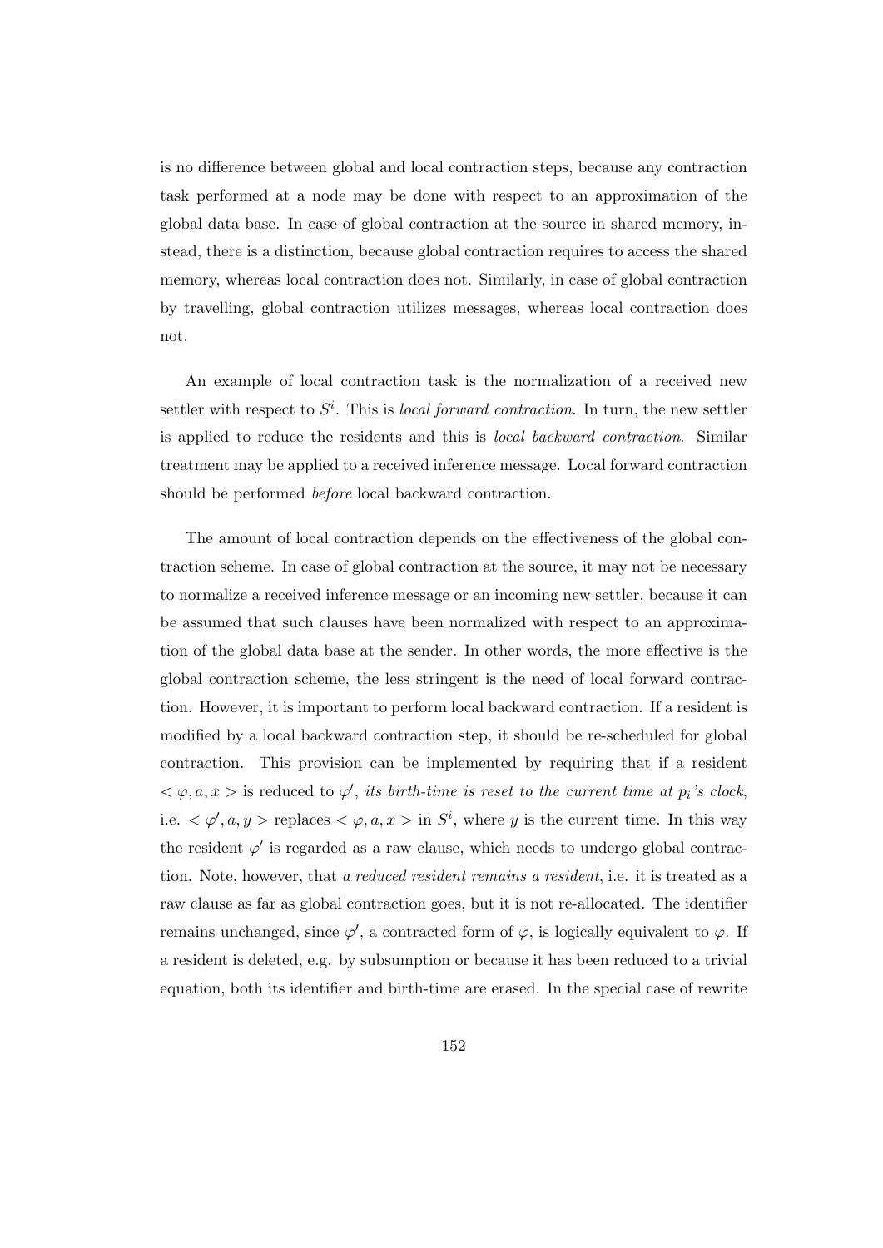is no difference between global and local contraction steps, because any contraction task performed at a node may be done with respect to an approximation of the global data base. In case of global contraction at the source in shared memory, instead, there is a distinction, because global contraction requires to access the shared memory, whereas local contraction does not. Similarly, in case of global contraction by travelling, global contraction utilizes messages, whereas local contraction does not.

An example of local contraction task is the normalization of a received new settler with respect to  $S^i$ . This is *local forward contraction*. In turn, the new settler is applied to reduce the residents and this is local backward contraction. Similar treatment may be applied to a received inference message. Local forward contraction should be performed before local backward contraction.

The amount of local contraction depends on the effectiveness of the global contraction scheme. In case of global contraction at the source, it may not be necessary to normalize a received inference message or an incoming new settler, because it can be assumed that such clauses have been normalized with respect to an approximation of the global data base at the sender. In other words, the more effective is the global contraction scheme, the less stringent is the need of local forward contraction. However, it is important to perform local backward contraction. If a resident is modified by a local backward contraction step, it should be re-scheduled for global contraction. This provision can be implemented by requiring that if a resident  $<\varphi$ ,  $a, x >$  is reduced to  $\varphi'$ , its birth-time is reset to the current time at  $p_i$ 's clock, i.e.  $\langle \varphi', a, y \rangle$  replaces  $\langle \varphi, a, x \rangle$  in  $S^i$ , where y is the current time. In this way the resident  $\varphi'$  is regarded as a raw clause, which needs to undergo global contraction. Note, however, that a reduced resident remains a resident, i.e. it is treated as a raw clause as far as global contraction goes, but it is not re-allocated. The identifier remains unchanged, since  $\varphi'$ , a contracted form of  $\varphi$ , is logically equivalent to  $\varphi$ . If a resident is deleted, e.g. by subsumption or because it has been reduced to a trivial equation, both its identifier and birth-time are erased. In the special case of rewrite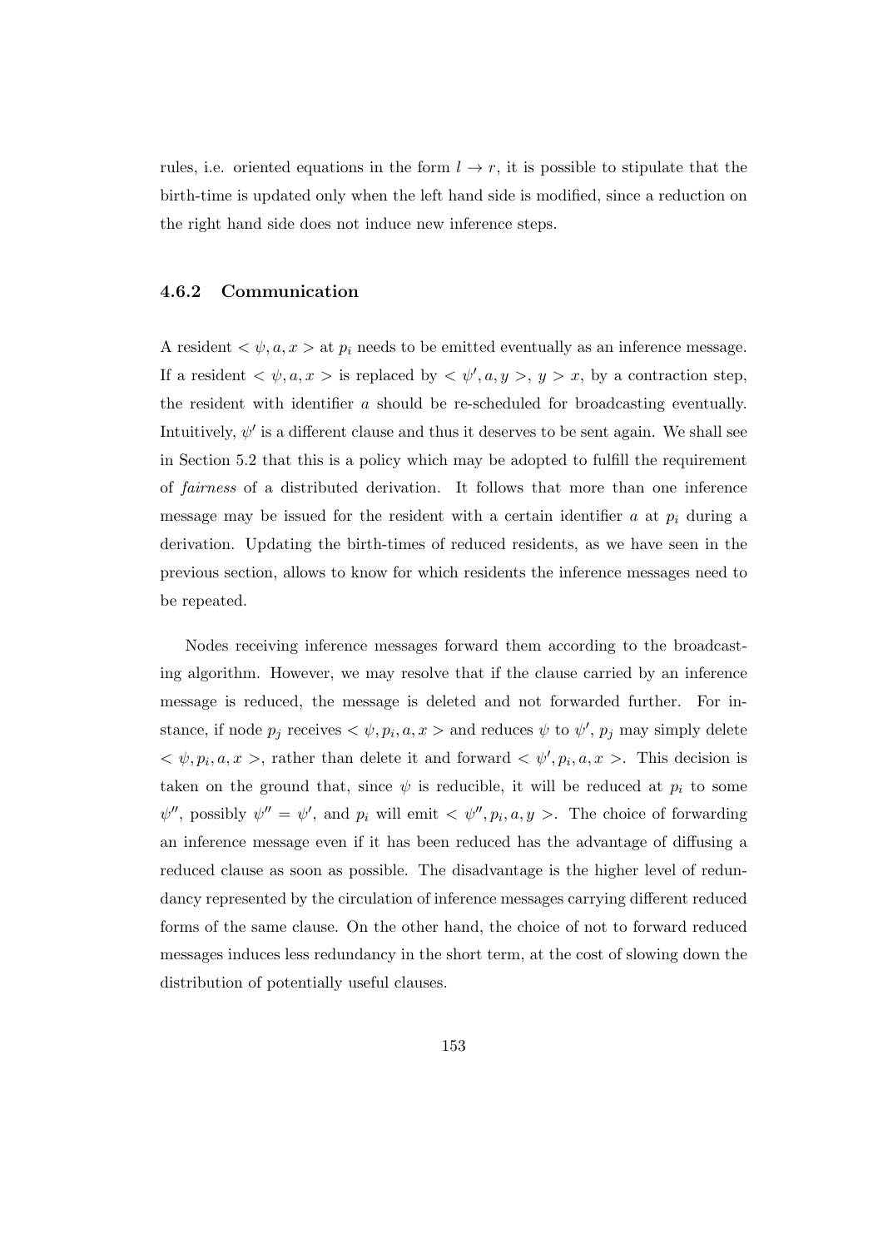rules, i.e. oriented equations in the form  $l \to r$ , it is possible to stipulate that the birth-time is updated only when the left hand side is modified, since a reduction on the right hand side does not induce new inference steps.

## 4.6.2 Communication

A resident  $\langle \psi, a, x \rangle$  at  $p_i$  needs to be emitted eventually as an inference message. If a resident  $\langle \psi, a, x \rangle$  is replaced by  $\langle \psi', a, y \rangle, y > x$ , by a contraction step, the resident with identifier a should be re-scheduled for broadcasting eventually. Intuitively,  $\psi'$  is a different clause and thus it deserves to be sent again. We shall see in Section 5.2 that this is a policy which may be adopted to fulfill the requirement of fairness of a distributed derivation. It follows that more than one inference message may be issued for the resident with a certain identifier a at  $p_i$  during a derivation. Updating the birth-times of reduced residents, as we have seen in the previous section, allows to know for which residents the inference messages need to be repeated.

Nodes receiving inference messages forward them according to the broadcasting algorithm. However, we may resolve that if the clause carried by an inference message is reduced, the message is deleted and not forwarded further. For instance, if node  $p_j$  receives  $\langle \psi, p_i, a, x \rangle$  and reduces  $\psi$  to  $\psi'$ ,  $p_j$  may simply delete  $\langle \psi, p_i, a, x \rangle$ , rather than delete it and forward  $\langle \psi', p_i, a, x \rangle$ . This decision is taken on the ground that, since  $\psi$  is reducible, it will be reduced at  $p_i$  to some  $\psi''$ , possibly  $\psi'' = \psi'$ , and  $p_i$  will emit  $\langle \psi'', p_i, a, y \rangle$ . The choice of forwarding an inference message even if it has been reduced has the advantage of diffusing a reduced clause as soon as possible. The disadvantage is the higher level of redundancy represented by the circulation of inference messages carrying different reduced forms of the same clause. On the other hand, the choice of not to forward reduced messages induces less redundancy in the short term, at the cost of slowing down the distribution of potentially useful clauses.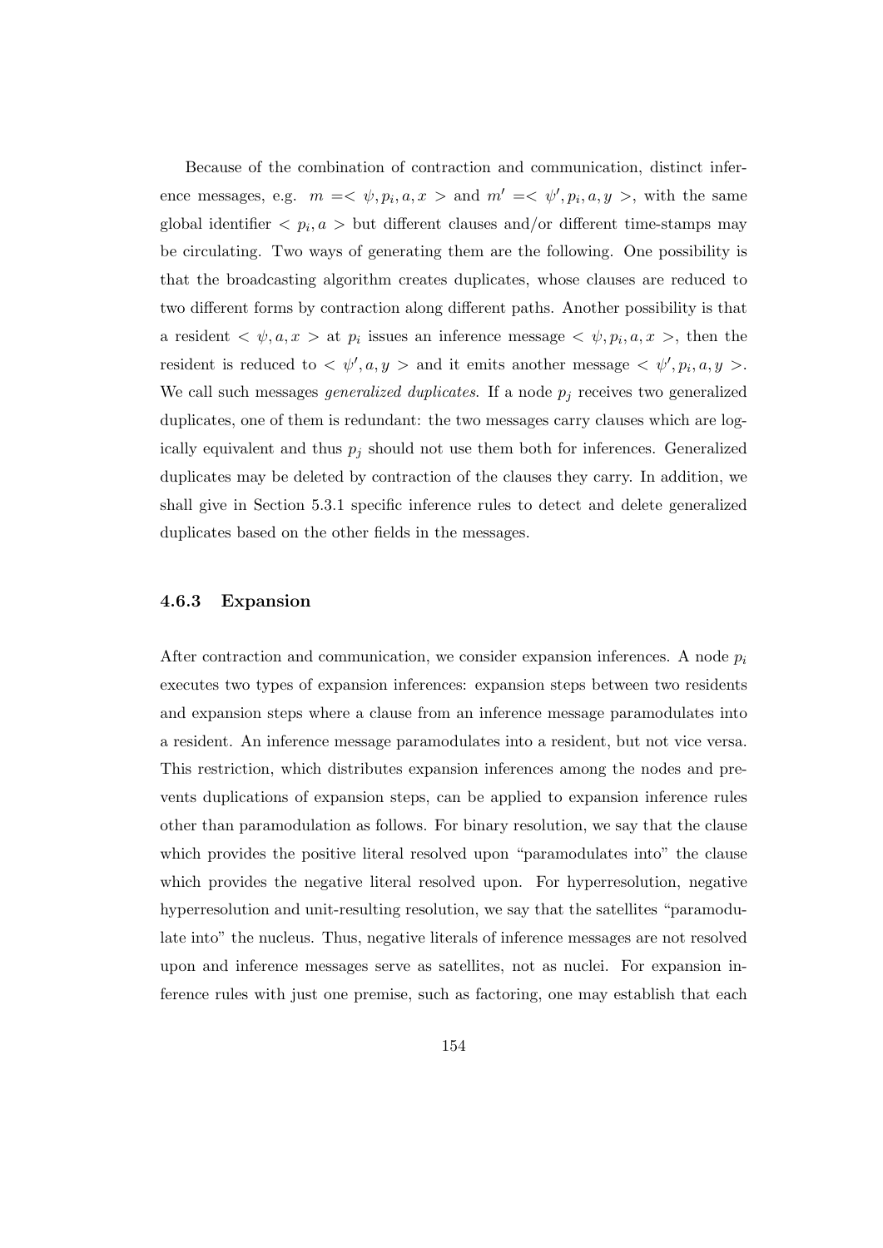Because of the combination of contraction and communication, distinct inference messages, e.g.  $m = \langle \psi, p_i, a, x \rangle$  and  $m' = \langle \psi', p_i, a, y \rangle$ , with the same global identifier  $\langle p_i, a \rangle$  but different clauses and/or different time-stamps may be circulating. Two ways of generating them are the following. One possibility is that the broadcasting algorithm creates duplicates, whose clauses are reduced to two different forms by contraction along different paths. Another possibility is that a resident  $\langle \psi, a, x \rangle$  at  $p_i$  issues an inference message  $\langle \psi, p_i, a, x \rangle$ , then the resident is reduced to  $\langle \psi', a, y \rangle$  and it emits another message  $\langle \psi', p_i, a, y \rangle$ . We call such messages *generalized duplicates*. If a node  $p_j$  receives two generalized duplicates, one of them is redundant: the two messages carry clauses which are logically equivalent and thus  $p_i$  should not use them both for inferences. Generalized duplicates may be deleted by contraction of the clauses they carry. In addition, we shall give in Section 5.3.1 specific inference rules to detect and delete generalized duplicates based on the other fields in the messages.

## 4.6.3 Expansion

After contraction and communication, we consider expansion inferences. A node  $p_i$ executes two types of expansion inferences: expansion steps between two residents and expansion steps where a clause from an inference message paramodulates into a resident. An inference message paramodulates into a resident, but not vice versa. This restriction, which distributes expansion inferences among the nodes and prevents duplications of expansion steps, can be applied to expansion inference rules other than paramodulation as follows. For binary resolution, we say that the clause which provides the positive literal resolved upon "paramodulates into" the clause which provides the negative literal resolved upon. For hyperresolution, negative hyperresolution and unit-resulting resolution, we say that the satellites "paramodulate into" the nucleus. Thus, negative literals of inference messages are not resolved upon and inference messages serve as satellites, not as nuclei. For expansion inference rules with just one premise, such as factoring, one may establish that each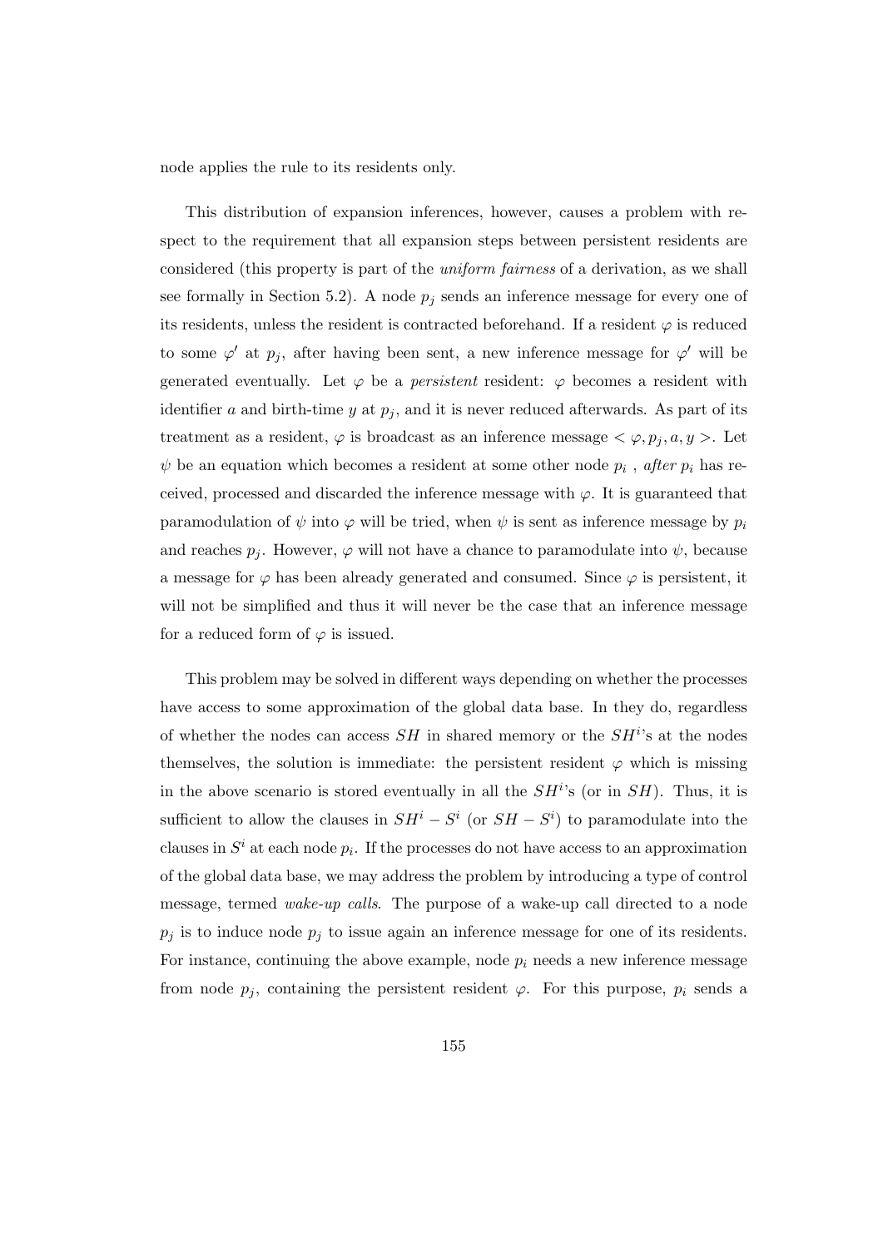node applies the rule to its residents only.

This distribution of expansion inferences, however, causes a problem with respect to the requirement that all expansion steps between persistent residents are considered (this property is part of the uniform fairness of a derivation, as we shall see formally in Section 5.2). A node  $p_j$  sends an inference message for every one of its residents, unless the resident is contracted beforehand. If a resident  $\varphi$  is reduced to some  $\varphi'$  at  $p_j$ , after having been sent, a new inference message for  $\varphi'$  will be generated eventually. Let  $\varphi$  be a *persistent* resident:  $\varphi$  becomes a resident with identifier a and birth-time y at  $p_i$ , and it is never reduced afterwards. As part of its treatment as a resident,  $\varphi$  is broadcast as an inference message  $\langle \varphi, p_i, a, y \rangle$ . Let  $\psi$  be an equation which becomes a resident at some other node  $p_i$ , after  $p_i$  has received, processed and discarded the inference message with  $\varphi$ . It is guaranteed that paramodulation of  $\psi$  into  $\varphi$  will be tried, when  $\psi$  is sent as inference message by  $p_i$ and reaches  $p_j$ . However,  $\varphi$  will not have a chance to paramodulate into  $\psi$ , because a message for  $\varphi$  has been already generated and consumed. Since  $\varphi$  is persistent, it will not be simplified and thus it will never be the case that an inference message for a reduced form of  $\varphi$  is issued.

This problem may be solved in different ways depending on whether the processes have access to some approximation of the global data base. In they do, regardless of whether the nodes can access  $SH$  in shared memory or the  $SH<sup>i</sup>$ 's at the nodes themselves, the solution is immediate: the persistent resident  $\varphi$  which is missing in the above scenario is stored eventually in all the  $SH<sup>i</sup>$ 's (or in  $SH$ ). Thus, it is sufficient to allow the clauses in  $SH^i - S^i$  (or  $SH - S^i$ ) to paramodulate into the clauses in  $S^i$  at each node  $p_i$ . If the processes do not have access to an approximation of the global data base, we may address the problem by introducing a type of control message, termed wake-up calls. The purpose of a wake-up call directed to a node  $p_j$  is to induce node  $p_j$  to issue again an inference message for one of its residents. For instance, continuing the above example, node  $p_i$  needs a new inference message from node  $p_j$ , containing the persistent resident  $\varphi$ . For this purpose,  $p_i$  sends a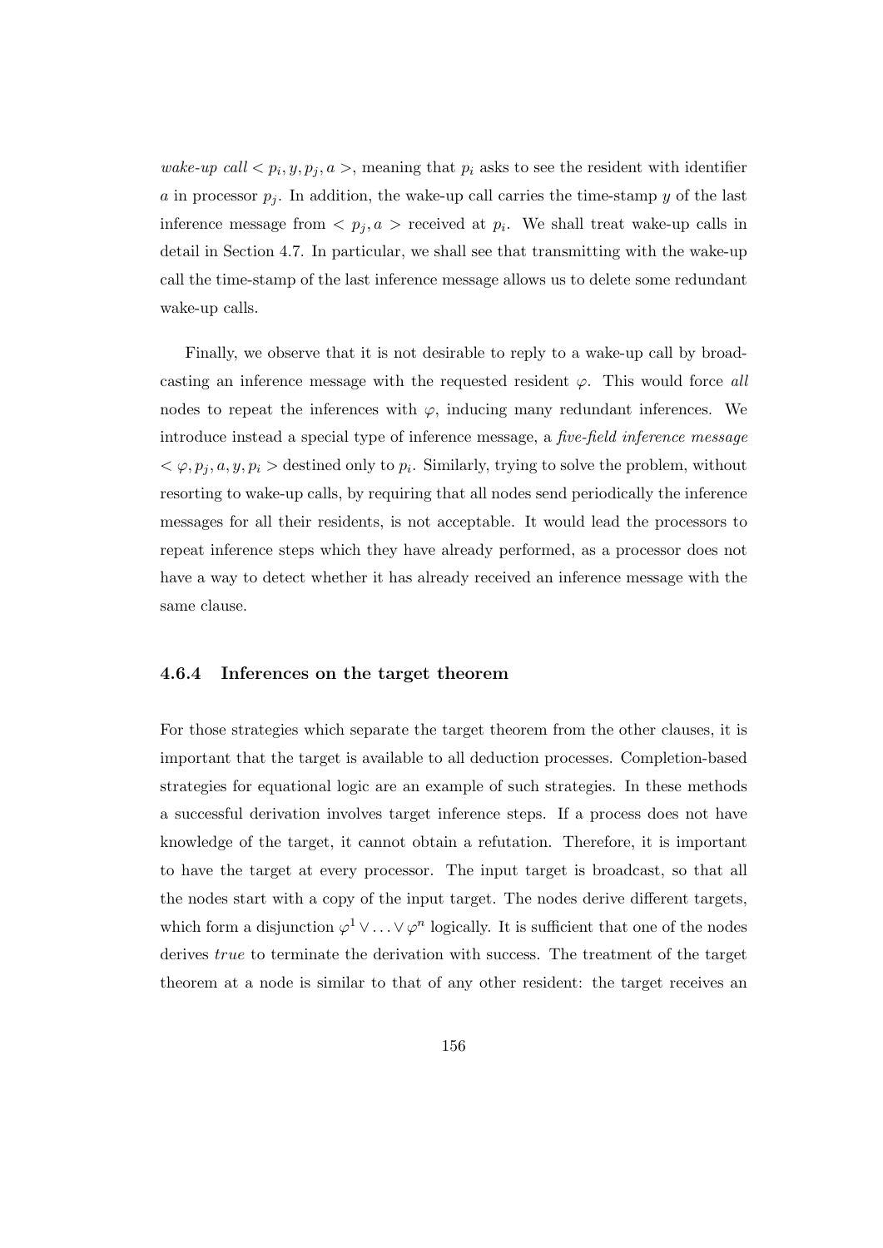wake-up call  $\langle p_i, y, p_j, a \rangle$ , meaning that  $p_i$  asks to see the resident with identifier a in processor  $p_j$ . In addition, the wake-up call carries the time-stamp y of the last inference message from  $\langle p_j, a \rangle$  received at  $p_i$ . We shall treat wake-up calls in detail in Section 4.7. In particular, we shall see that transmitting with the wake-up call the time-stamp of the last inference message allows us to delete some redundant wake-up calls.

Finally, we observe that it is not desirable to reply to a wake-up call by broadcasting an inference message with the requested resident  $\varphi$ . This would force all nodes to repeat the inferences with  $\varphi$ , inducing many redundant inferences. We introduce instead a special type of inference message, a five-field inference message  $<\varphi, p_j, a, y, p_i > 0$  destined only to  $p_i$ . Similarly, trying to solve the problem, without resorting to wake-up calls, by requiring that all nodes send periodically the inference messages for all their residents, is not acceptable. It would lead the processors to repeat inference steps which they have already performed, as a processor does not have a way to detect whether it has already received an inference message with the same clause.

### 4.6.4 Inferences on the target theorem

For those strategies which separate the target theorem from the other clauses, it is important that the target is available to all deduction processes. Completion-based strategies for equational logic are an example of such strategies. In these methods a successful derivation involves target inference steps. If a process does not have knowledge of the target, it cannot obtain a refutation. Therefore, it is important to have the target at every processor. The input target is broadcast, so that all the nodes start with a copy of the input target. The nodes derive different targets, which form a disjunction  $\varphi^1 \vee \ldots \vee \varphi^n$  logically. It is sufficient that one of the nodes derives *true* to terminate the derivation with success. The treatment of the target theorem at a node is similar to that of any other resident: the target receives an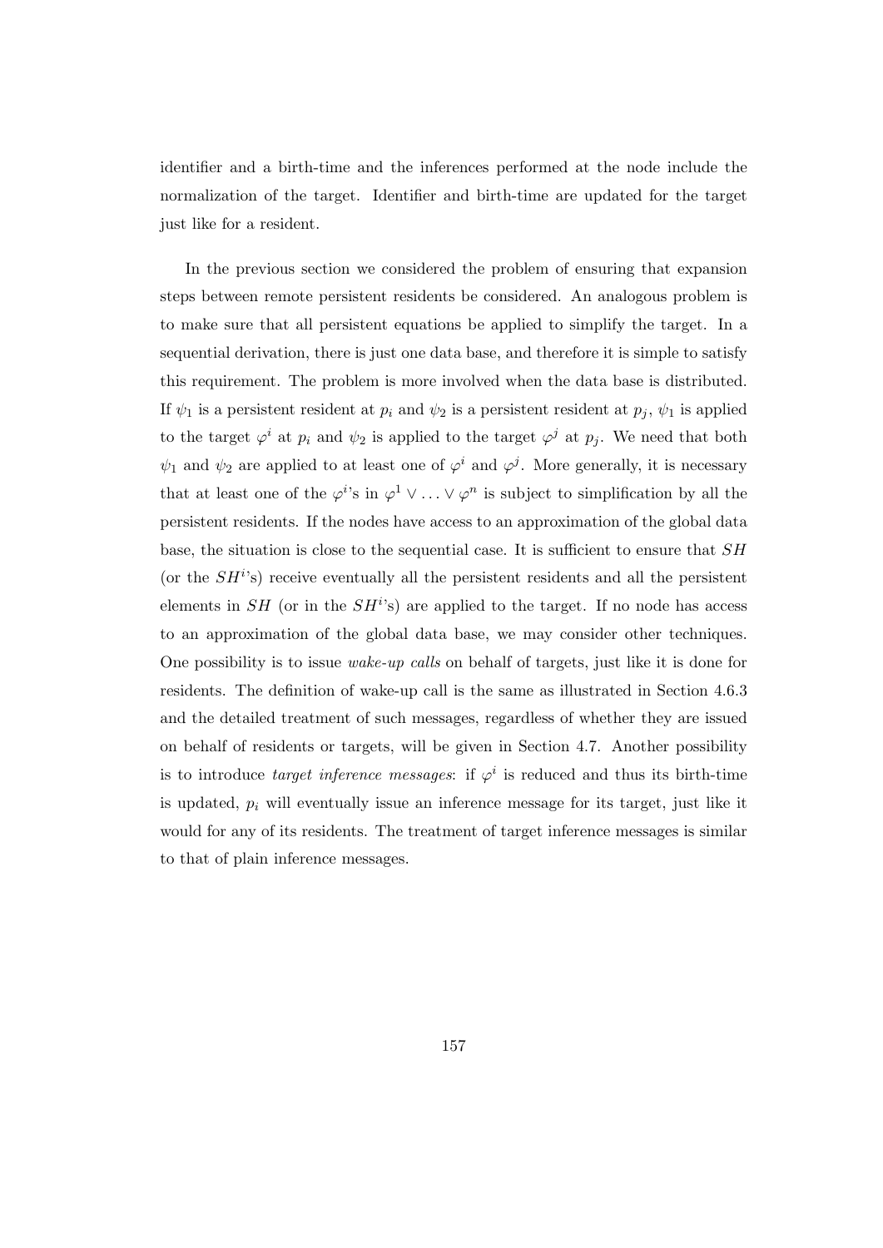identifier and a birth-time and the inferences performed at the node include the normalization of the target. Identifier and birth-time are updated for the target just like for a resident.

In the previous section we considered the problem of ensuring that expansion steps between remote persistent residents be considered. An analogous problem is to make sure that all persistent equations be applied to simplify the target. In a sequential derivation, there is just one data base, and therefore it is simple to satisfy this requirement. The problem is more involved when the data base is distributed. If  $\psi_1$  is a persistent resident at  $p_i$  and  $\psi_2$  is a persistent resident at  $p_j$ ,  $\psi_1$  is applied to the target  $\varphi^i$  at  $p_i$  and  $\psi_2$  is applied to the target  $\varphi^j$  at  $p_j$ . We need that both  $\psi_1$  and  $\psi_2$  are applied to at least one of  $\varphi^i$  and  $\varphi^j$ . More generally, it is necessary that at least one of the  $\varphi^{i}$ 's in  $\varphi^{1} \vee \ldots \vee \varphi^{n}$  is subject to simplification by all the persistent residents. If the nodes have access to an approximation of the global data base, the situation is close to the sequential case. It is sufficient to ensure that  $SH$ (or the  $SH<sup>i</sup>$ s) receive eventually all the persistent residents and all the persistent elements in  $SH$  (or in the  $SH<sup>i</sup>$ s) are applied to the target. If no node has access to an approximation of the global data base, we may consider other techniques. One possibility is to issue wake-up calls on behalf of targets, just like it is done for residents. The definition of wake-up call is the same as illustrated in Section 4.6.3 and the detailed treatment of such messages, regardless of whether they are issued on behalf of residents or targets, will be given in Section 4.7. Another possibility is to introduce *target inference messages*: if  $\varphi^i$  is reduced and thus its birth-time is updated,  $p_i$  will eventually issue an inference message for its target, just like it would for any of its residents. The treatment of target inference messages is similar to that of plain inference messages.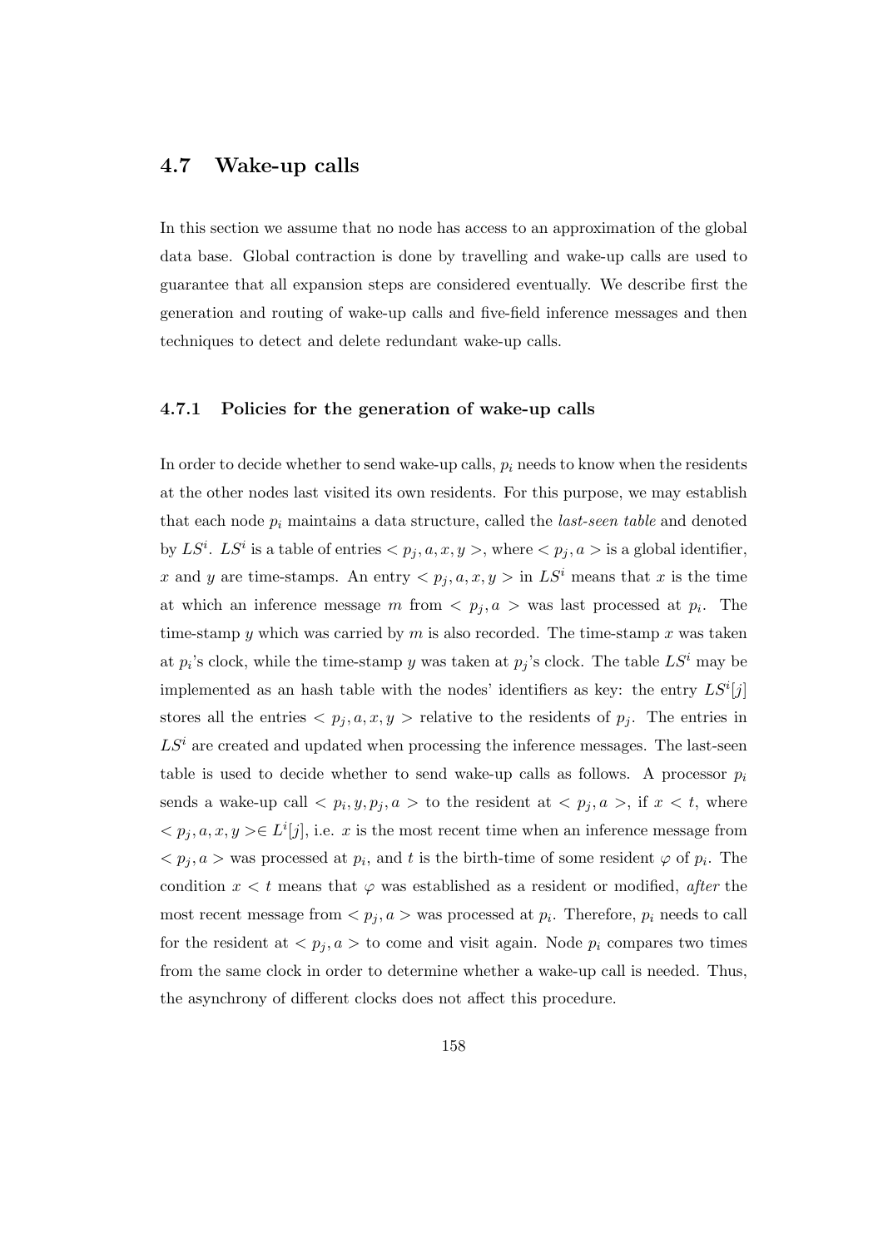## 4.7 Wake-up calls

In this section we assume that no node has access to an approximation of the global data base. Global contraction is done by travelling and wake-up calls are used to guarantee that all expansion steps are considered eventually. We describe first the generation and routing of wake-up calls and five-field inference messages and then techniques to detect and delete redundant wake-up calls.

## 4.7.1 Policies for the generation of wake-up calls

In order to decide whether to send wake-up calls,  $p_i$  needs to know when the residents at the other nodes last visited its own residents. For this purpose, we may establish that each node  $p_i$  maintains a data structure, called the *last-seen table* and denoted by  $LS^i$ .  $LS^i$  is a table of entries  $\langle p_j, a, x, y \rangle$ , where  $\langle p_j, a \rangle$  is a global identifier, x and y are time-stamps. An entry  $\langle p_j, a, x, y \rangle$  in  $LS^i$  means that x is the time at which an inference message m from  $\langle p_j, a \rangle$  was last processed at  $p_i$ . The time-stamp y which was carried by m is also recorded. The time-stamp x was taken at  $p_i$ 's clock, while the time-stamp y was taken at  $p_j$ 's clock. The table  $LS^i$  may be implemented as an hash table with the nodes' identifiers as key: the entry  $LS<sup>i</sup>[j]$ stores all the entries  $\langle p_j, a, x, y \rangle$  relative to the residents of  $p_j$ . The entries in  $LS<sup>i</sup>$  are created and updated when processing the inference messages. The last-seen table is used to decide whether to send wake-up calls as follows. A processor  $p_i$ sends a wake-up call  $\langle p_i, y, p_j, a \rangle$  to the resident at  $\langle p_j, a \rangle$ , if  $x \langle t \rangle$ , where  $\langle p_j, a, x, y \rangle \in L^i[j],$  i.e. x is the most recent time when an inference message from  $\langle p_j, a \rangle$  was processed at  $p_i$ , and t is the birth-time of some resident  $\varphi$  of  $p_i$ . The condition  $x < t$  means that  $\varphi$  was established as a resident or modified, *after* the most recent message from  $\langle p_j, a \rangle$  was processed at  $p_i$ . Therefore,  $p_i$  needs to call for the resident at  $\langle p_j, a \rangle$  to come and visit again. Node  $p_i$  compares two times from the same clock in order to determine whether a wake-up call is needed. Thus, the asynchrony of different clocks does not affect this procedure.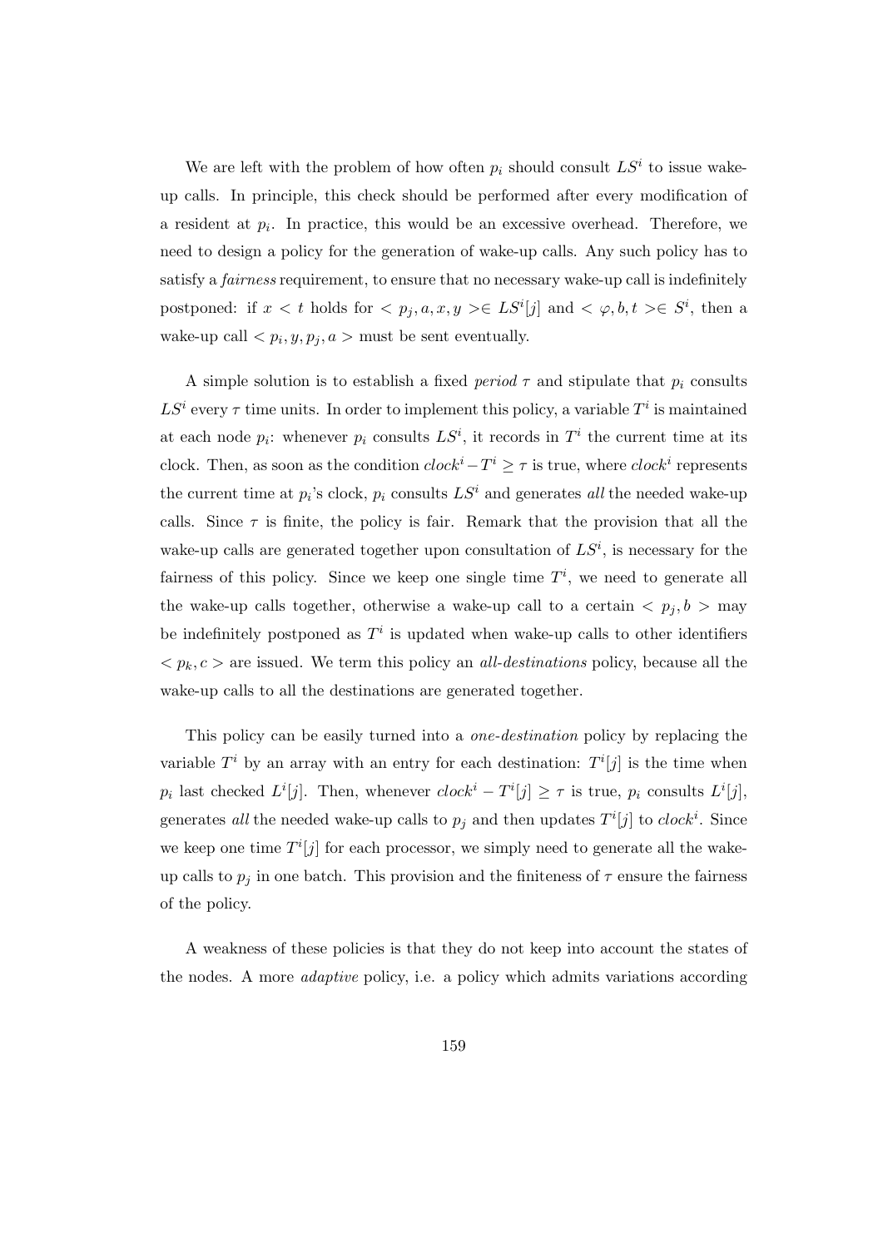We are left with the problem of how often  $p_i$  should consult  $LS^i$  to issue wakeup calls. In principle, this check should be performed after every modification of a resident at  $p_i$ . In practice, this would be an excessive overhead. Therefore, we need to design a policy for the generation of wake-up calls. Any such policy has to satisfy a *fairness* requirement, to ensure that no necessary wake-up call is indefinitely postponed: if  $x < t$  holds for  $\langle p_j, a, x, y \rangle \in LS^i[j]$  and  $\langle \varphi, b, t \rangle \in S^i$ , then a wake-up call  $\langle p_i, y, p_j, a \rangle$  must be sent eventually.

A simple solution is to establish a fixed period  $\tau$  and stipulate that  $p_i$  consults  $LS<sup>i</sup>$  every  $\tau$  time units. In order to implement this policy, a variable  $T<sup>i</sup>$  is maintained at each node  $p_i$ : whenever  $p_i$  consults  $LS^i$ , it records in  $T^i$  the current time at its clock. Then, as soon as the condition  $clock^i - T^i \geq \tau$  is true, where  $clock^i$  represents the current time at  $p_i$ 's clock,  $p_i$  consults  $LS^i$  and generates all the needed wake-up calls. Since  $\tau$  is finite, the policy is fair. Remark that the provision that all the wake-up calls are generated together upon consultation of  $LS<sup>i</sup>$ , is necessary for the fairness of this policy. Since we keep one single time  $T<sup>i</sup>$ , we need to generate all the wake-up calls together, otherwise a wake-up call to a certain  $\langle p_j, b \rangle$  may be indefinitely postponed as  $T<sup>i</sup>$  is updated when wake-up calls to other identifiers  $\langle p_k, c \rangle$  are issued. We term this policy an *all-destinations* policy, because all the wake-up calls to all the destinations are generated together.

This policy can be easily turned into a *one-destination* policy by replacing the variable  $T^i$  by an array with an entry for each destination:  $T^i[j]$  is the time when  $p_i$  last checked  $L^i[j]$ . Then, whenever  $clock^i - T^i[j] \geq \tau$  is true,  $p_i$  consults  $L^i[j]$ , generates all the needed wake-up calls to  $p_j$  and then updates  $T^i[j]$  to  $clock^i$ . Since we keep one time  $T^{i}[j]$  for each processor, we simply need to generate all the wakeup calls to  $p_j$  in one batch. This provision and the finiteness of  $\tau$  ensure the fairness of the policy.

A weakness of these policies is that they do not keep into account the states of the nodes. A more adaptive policy, i.e. a policy which admits variations according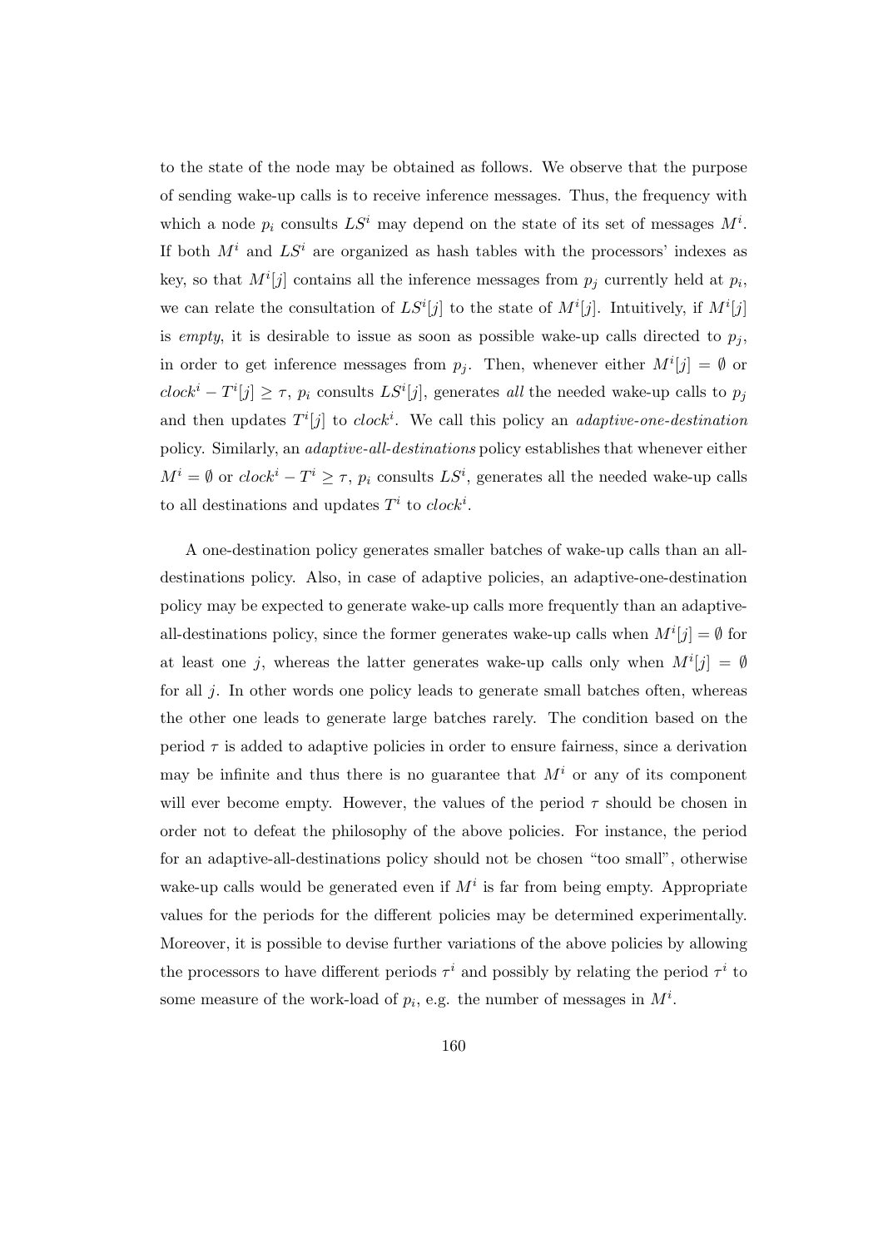to the state of the node may be obtained as follows. We observe that the purpose of sending wake-up calls is to receive inference messages. Thus, the frequency with which a node  $p_i$  consults  $LS^i$  may depend on the state of its set of messages  $M^i$ . If both  $M<sup>i</sup>$  and  $LS<sup>i</sup>$  are organized as hash tables with the processors' indexes as key, so that  $M^{i}[j]$  contains all the inference messages from  $p_j$  currently held at  $p_i$ , we can relate the consultation of  $LS<sup>i</sup>[j]$  to the state of  $M<sup>i</sup>[j]$ . Intuitively, if  $M<sup>i</sup>[j]$ is empty, it is desirable to issue as soon as possible wake-up calls directed to  $p_i$ , in order to get inference messages from  $p_j$ . Then, whenever either  $M^i[j] = \emptyset$  or  $clock^i - T^i[j] \geq \tau$ ,  $p_i$  consults  $LS^i[j]$ , generates all the needed wake-up calls to  $p_j$ and then updates  $T^i[j]$  to clock<sup>i</sup>. We call this policy an *adaptive-one-destination* policy. Similarly, an adaptive-all-destinations policy establishes that whenever either  $M^i = \emptyset$  or  $clock^i - T^i \geq \tau$ ,  $p_i$  consults  $LS^i$ , generates all the needed wake-up calls to all destinations and updates  $T^i$  to  $clock^i$ .

A one-destination policy generates smaller batches of wake-up calls than an alldestinations policy. Also, in case of adaptive policies, an adaptive-one-destination policy may be expected to generate wake-up calls more frequently than an adaptiveall-destinations policy, since the former generates wake-up calls when  $M^{i}[j] = \emptyset$  for at least one j, whereas the latter generates wake-up calls only when  $M^{i}[j] = \emptyset$ for all j. In other words one policy leads to generate small batches often, whereas the other one leads to generate large batches rarely. The condition based on the period  $\tau$  is added to adaptive policies in order to ensure fairness, since a derivation may be infinite and thus there is no guarantee that  $M<sup>i</sup>$  or any of its component will ever become empty. However, the values of the period  $\tau$  should be chosen in order not to defeat the philosophy of the above policies. For instance, the period for an adaptive-all-destinations policy should not be chosen "too small", otherwise wake-up calls would be generated even if  $M^i$  is far from being empty. Appropriate values for the periods for the different policies may be determined experimentally. Moreover, it is possible to devise further variations of the above policies by allowing the processors to have different periods  $\tau^i$  and possibly by relating the period  $\tau^i$  to some measure of the work-load of  $p_i$ , e.g. the number of messages in  $M^i$ .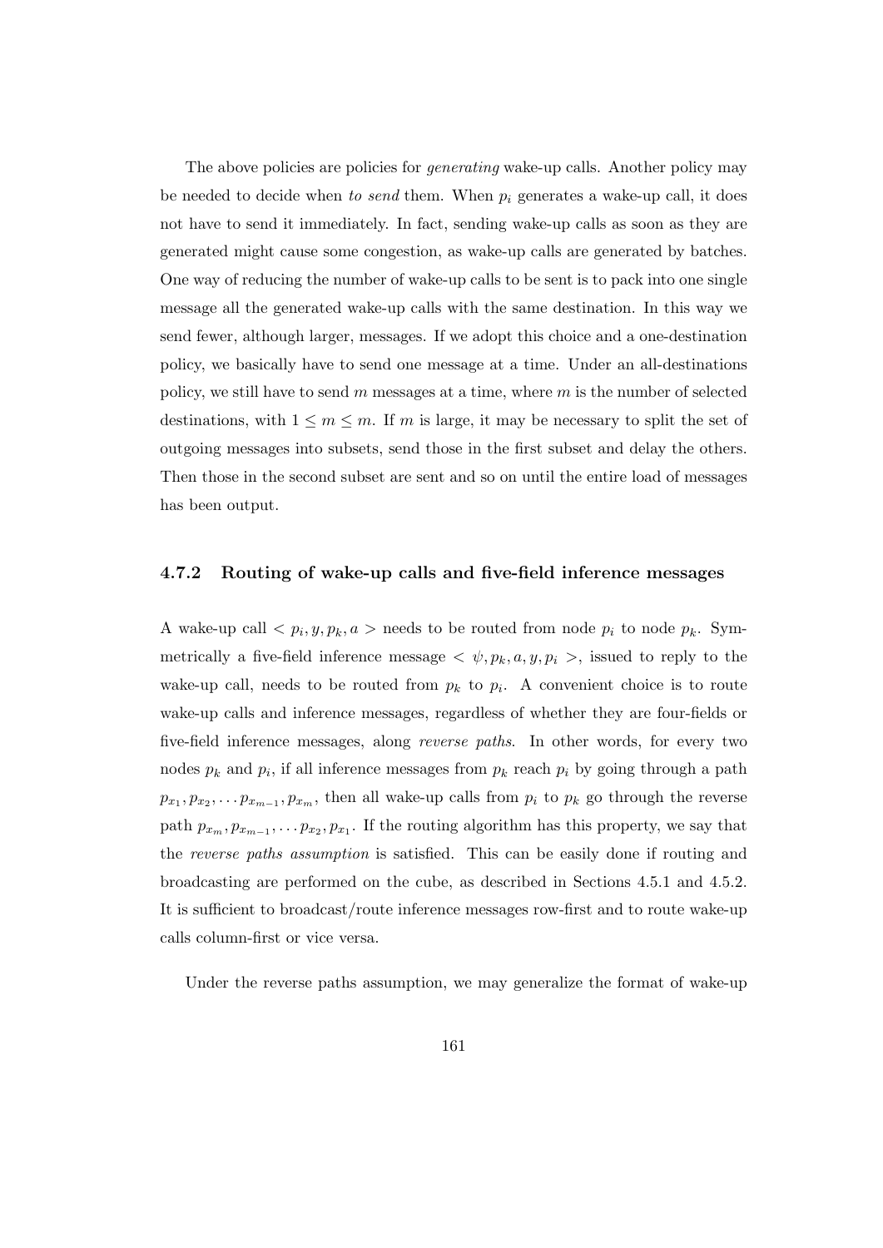The above policies are policies for *generating* wake-up calls. Another policy may be needed to decide when to send them. When  $p_i$  generates a wake-up call, it does not have to send it immediately. In fact, sending wake-up calls as soon as they are generated might cause some congestion, as wake-up calls are generated by batches. One way of reducing the number of wake-up calls to be sent is to pack into one single message all the generated wake-up calls with the same destination. In this way we send fewer, although larger, messages. If we adopt this choice and a one-destination policy, we basically have to send one message at a time. Under an all-destinations policy, we still have to send  $m$  messages at a time, where  $m$  is the number of selected destinations, with  $1 \leq m \leq m$ . If m is large, it may be necessary to split the set of outgoing messages into subsets, send those in the first subset and delay the others. Then those in the second subset are sent and so on until the entire load of messages has been output.

## 4.7.2 Routing of wake-up calls and five-field inference messages

A wake-up call  $\langle p_i, y, p_k, a \rangle$  needs to be routed from node  $p_i$  to node  $p_k$ . Symmetrically a five-field inference message  $\langle \psi, p_k, a, y, p_i \rangle$ , issued to reply to the wake-up call, needs to be routed from  $p_k$  to  $p_i$ . A convenient choice is to route wake-up calls and inference messages, regardless of whether they are four-fields or five-field inference messages, along reverse paths. In other words, for every two nodes  $p_k$  and  $p_i$ , if all inference messages from  $p_k$  reach  $p_i$  by going through a path  $p_{x_1}, p_{x_2}, \ldots p_{x_{m-1}}, p_{x_m}$ , then all wake-up calls from  $p_i$  to  $p_k$  go through the reverse path  $p_{x_m}, p_{x_{m-1}}, \ldots p_{x_2}, p_{x_1}$ . If the routing algorithm has this property, we say that the reverse paths assumption is satisfied. This can be easily done if routing and broadcasting are performed on the cube, as described in Sections 4.5.1 and 4.5.2. It is sufficient to broadcast/route inference messages row-first and to route wake-up calls column-first or vice versa.

Under the reverse paths assumption, we may generalize the format of wake-up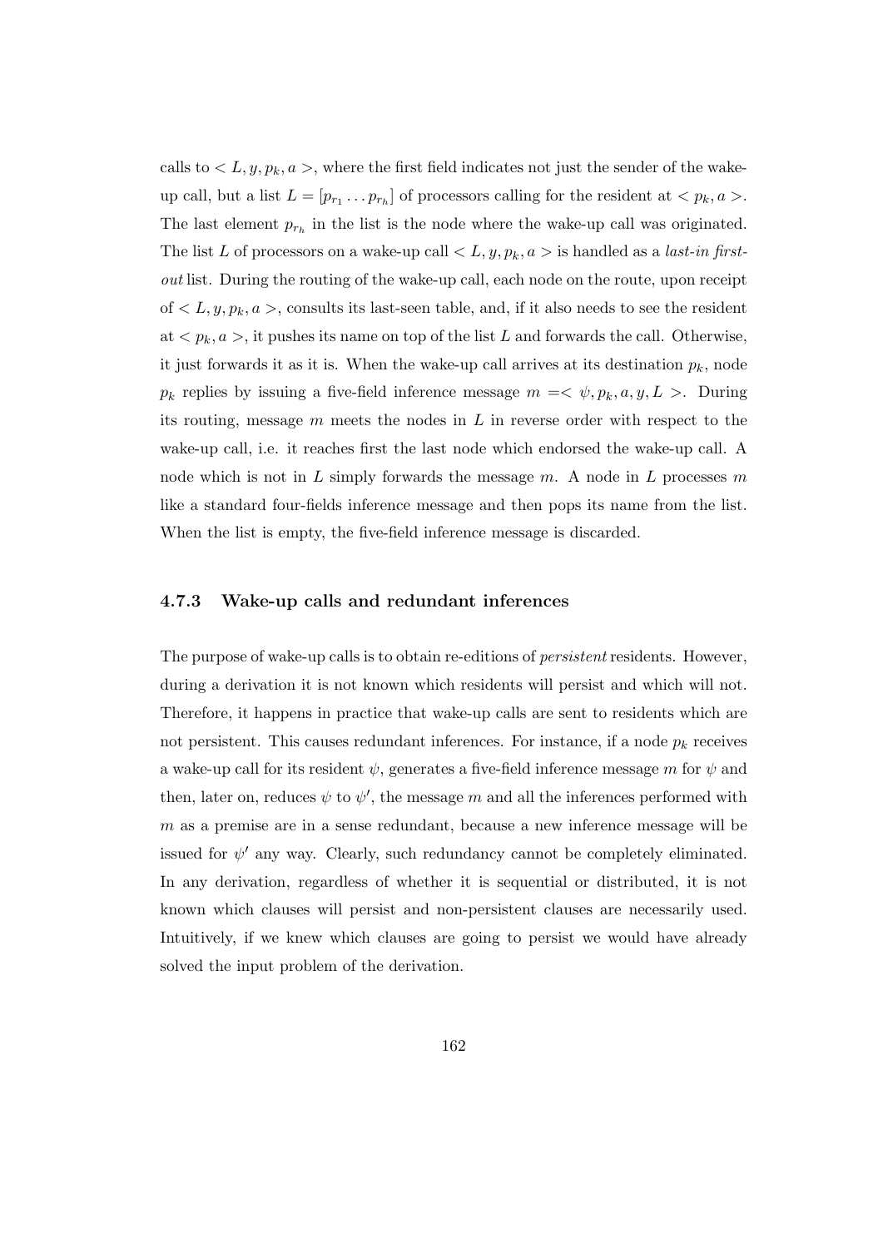calls to  $\langle L, y, p_k, a \rangle$ , where the first field indicates not just the sender of the wakeup call, but a list  $L = [p_{r_1} \dots p_{r_h}]$  of processors calling for the resident at  $\langle p_k, a \rangle$ . The last element  $p_{r_h}$  in the list is the node where the wake-up call was originated. The list L of processors on a wake-up call  $\langle L, y, p_k, a \rangle$  is handled as a *last-in first*out list. During the routing of the wake-up call, each node on the route, upon receipt of  $\langle L, y, p_k, a \rangle$ , consults its last-seen table, and, if it also needs to see the resident at  $\langle p_k, a \rangle$ , it pushes its name on top of the list L and forwards the call. Otherwise, it just forwards it as it is. When the wake-up call arrives at its destination  $p_k$ , node  $p_k$  replies by issuing a five-field inference message  $m = \langle \psi, p_k, a, y, L \rangle$ . During its routing, message  $m$  meets the nodes in  $L$  in reverse order with respect to the wake-up call, i.e. it reaches first the last node which endorsed the wake-up call. A node which is not in L simply forwards the message  $m$ . A node in L processes  $m$ like a standard four-fields inference message and then pops its name from the list. When the list is empty, the five-field inference message is discarded.

### 4.7.3 Wake-up calls and redundant inferences

The purpose of wake-up calls is to obtain re-editions of *persistent* residents. However, during a derivation it is not known which residents will persist and which will not. Therefore, it happens in practice that wake-up calls are sent to residents which are not persistent. This causes redundant inferences. For instance, if a node  $p_k$  receives a wake-up call for its resident  $\psi$ , generates a five-field inference message m for  $\psi$  and then, later on, reduces  $\psi$  to  $\psi'$ , the message m and all the inferences performed with m as a premise are in a sense redundant, because a new inference message will be issued for  $\psi'$  any way. Clearly, such redundancy cannot be completely eliminated. In any derivation, regardless of whether it is sequential or distributed, it is not known which clauses will persist and non-persistent clauses are necessarily used. Intuitively, if we knew which clauses are going to persist we would have already solved the input problem of the derivation.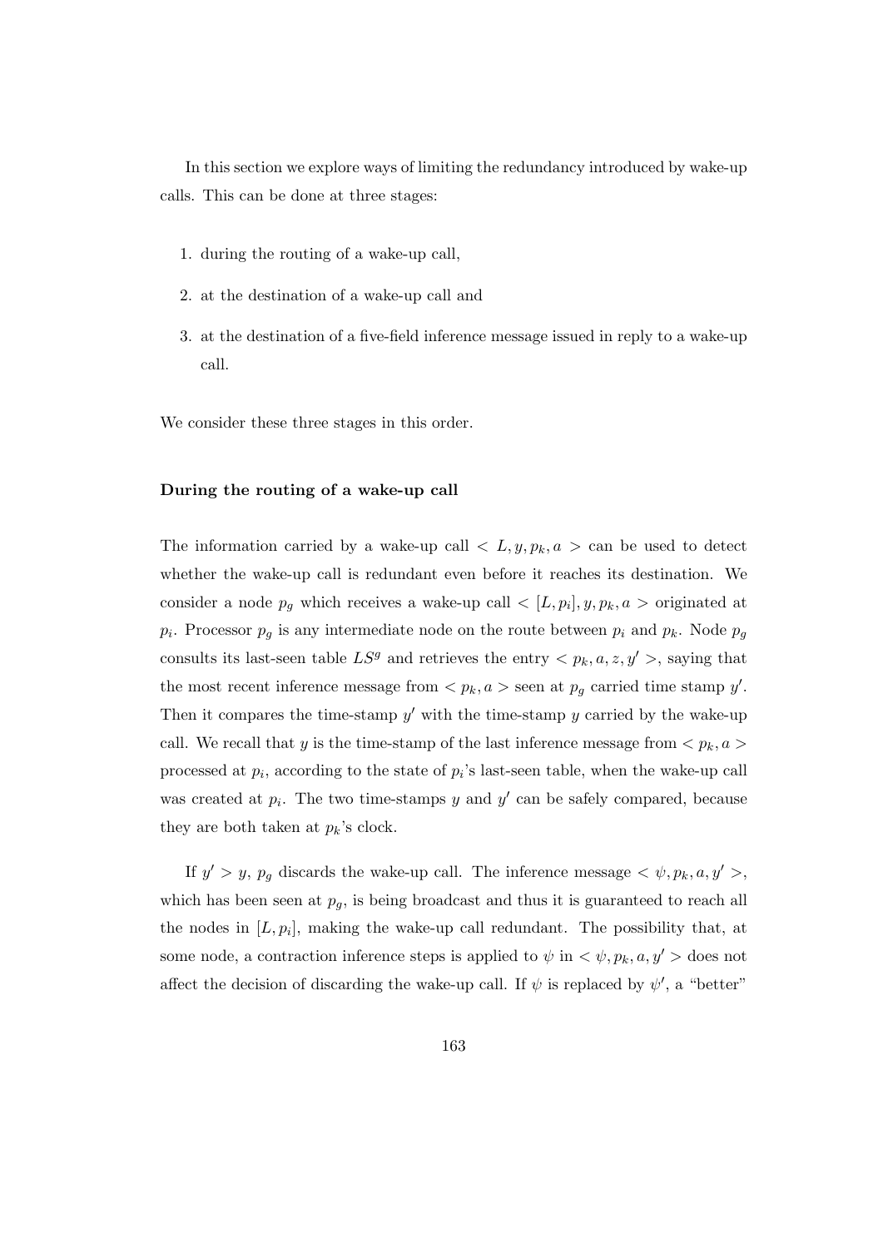In this section we explore ways of limiting the redundancy introduced by wake-up calls. This can be done at three stages:

- 1. during the routing of a wake-up call,
- 2. at the destination of a wake-up call and
- 3. at the destination of a five-field inference message issued in reply to a wake-up call.

We consider these three stages in this order.

#### During the routing of a wake-up call

The information carried by a wake-up call  $\langle L, y, p_k, a \rangle$  can be used to detect whether the wake-up call is redundant even before it reaches its destination. We consider a node  $p_g$  which receives a wake-up call  $\langle L, p_i], y, p_k, a \rangle$  originated at  $p_i$ . Processor  $p_g$  is any intermediate node on the route between  $p_i$  and  $p_k$ . Node  $p_g$ consults its last-seen table  $LS<sup>g</sup>$  and retrieves the entry  $\langle p_k, a, z, y' \rangle$ , saying that the most recent inference message from  $\langle p_k, a \rangle$  seen at  $p_g$  carried time stamp y'. Then it compares the time-stamp  $y'$  with the time-stamp  $y$  carried by the wake-up call. We recall that y is the time-stamp of the last inference message from  $\langle p_k, a \rangle$ processed at  $p_i$ , according to the state of  $p_i$ 's last-seen table, when the wake-up call was created at  $p_i$ . The two time-stamps y and y' can be safely compared, because they are both taken at  $p_k$ 's clock.

If  $y' > y$ ,  $p_g$  discards the wake-up call. The inference message  $\langle \psi, p_k, a, y' \rangle$ , which has been seen at  $p_g$ , is being broadcast and thus it is guaranteed to reach all the nodes in  $[L, p_i]$ , making the wake-up call redundant. The possibility that, at some node, a contraction inference steps is applied to  $\psi$  in  $\langle \psi, p_k, a, y' \rangle$  does not affect the decision of discarding the wake-up call. If  $\psi$  is replaced by  $\psi'$ , a "better"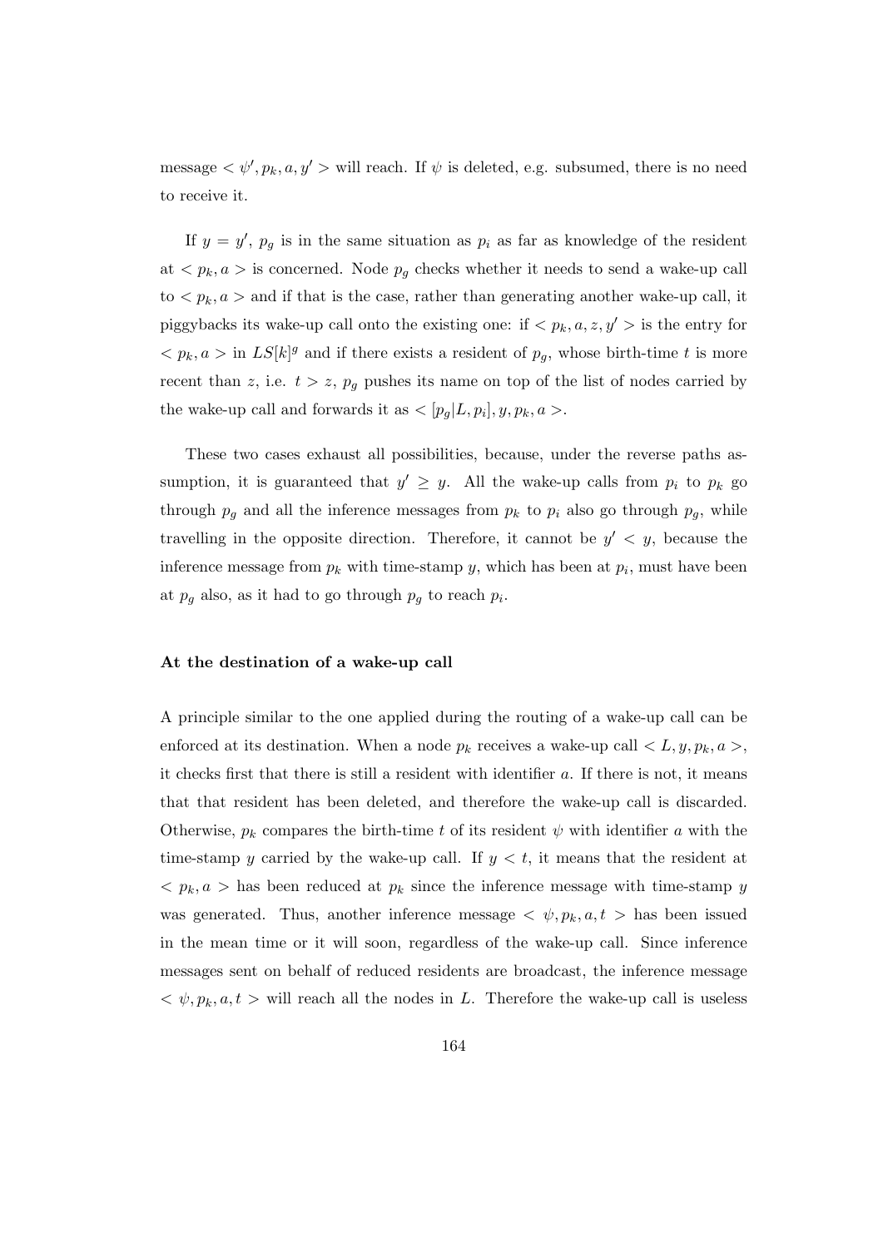message  $\langle \psi', p_k, a, y' \rangle$  will reach. If  $\psi$  is deleted, e.g. subsumed, there is no need to receive it.

If  $y = y'$ ,  $p_g$  is in the same situation as  $p_i$  as far as knowledge of the resident at  $\langle p_k, a \rangle$  is concerned. Node  $p_q$  checks whether it needs to send a wake-up call  $\tau$  to  $\langle p_k, a \rangle$  and if that is the case, rather than generating another wake-up call, it piggybacks its wake-up call onto the existing one: if  $\langle p_k, a, z, y' \rangle$  is the entry for  $\langle p_k, a \rangle$  in  $LS[k]^g$  and if there exists a resident of  $p_g$ , whose birth-time t is more recent than z, i.e.  $t > z$ ,  $p<sub>g</sub>$  pushes its name on top of the list of nodes carried by the wake-up call and forwards it as  $\langle [p_g | L, p_i], y, p_k, a \rangle$ .

These two cases exhaust all possibilities, because, under the reverse paths assumption, it is guaranteed that  $y' \geq y$ . All the wake-up calls from  $p_i$  to  $p_k$  go through  $p<sub>g</sub>$  and all the inference messages from  $p<sub>k</sub>$  to  $p<sub>i</sub>$  also go through  $p<sub>g</sub>$ , while travelling in the opposite direction. Therefore, it cannot be  $y' < y$ , because the inference message from  $p_k$  with time-stamp y, which has been at  $p_i$ , must have been at  $p_g$  also, as it had to go through  $p_g$  to reach  $p_i$ .

### At the destination of a wake-up call

A principle similar to the one applied during the routing of a wake-up call can be enforced at its destination. When a node  $p_k$  receives a wake-up call  $\langle L, y, p_k, a \rangle$ , it checks first that there is still a resident with identifier a. If there is not, it means that that resident has been deleted, and therefore the wake-up call is discarded. Otherwise,  $p_k$  compares the birth-time t of its resident  $\psi$  with identifier a with the time-stamp y carried by the wake-up call. If  $y < t$ , it means that the resident at  $\langle p_k, a \rangle$  has been reduced at  $p_k$  since the inference message with time-stamp y was generated. Thus, another inference message  $\langle \psi, p_k, a, t \rangle$  has been issued in the mean time or it will soon, regardless of the wake-up call. Since inference messages sent on behalf of reduced residents are broadcast, the inference message  $\langle \psi, p_k, a, t \rangle$  will reach all the nodes in L. Therefore the wake-up call is useless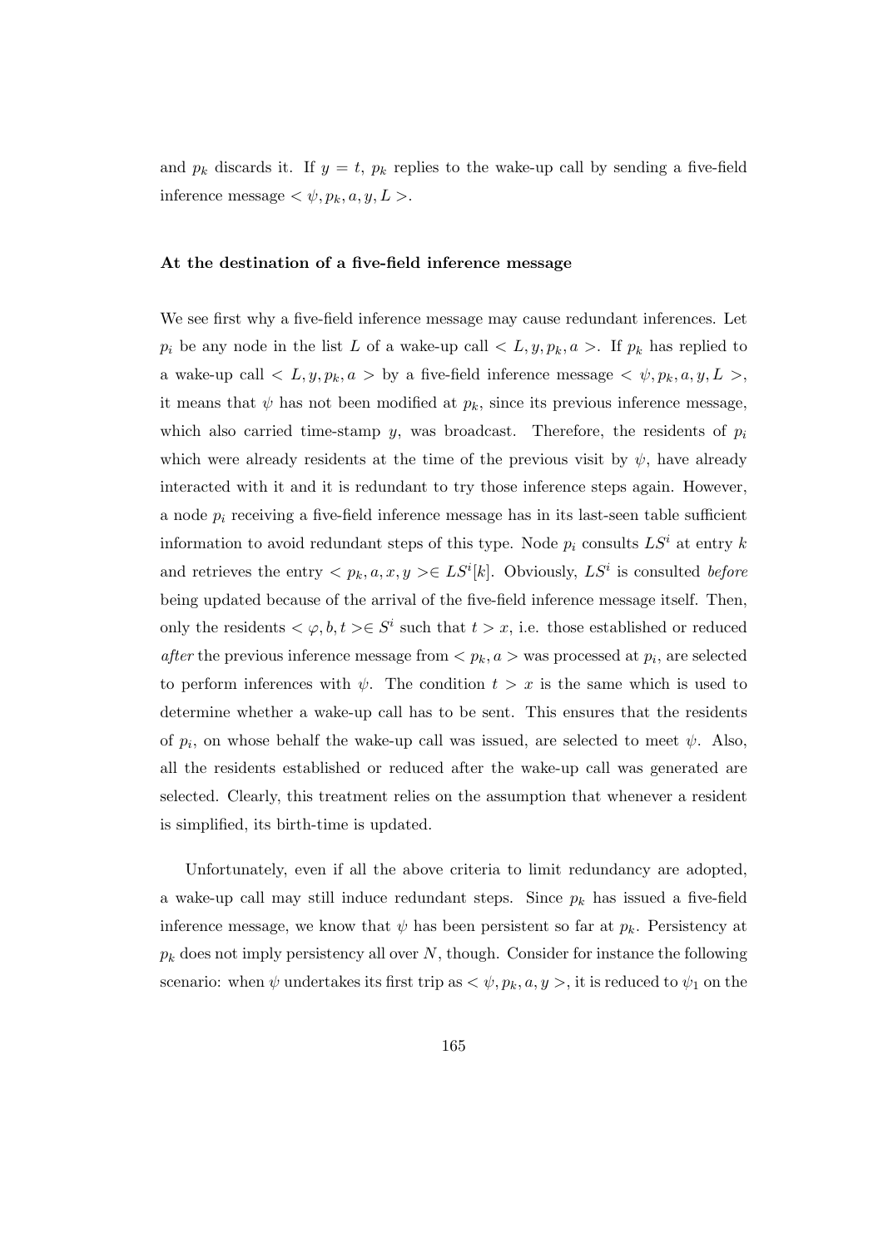and  $p_k$  discards it. If  $y = t$ ,  $p_k$  replies to the wake-up call by sending a five-field inference message  $\langle \psi, p_k, a, y, L \rangle$ .

#### At the destination of a five-field inference message

We see first why a five-field inference message may cause redundant inferences. Let  $p_i$  be any node in the list L of a wake-up call  $\langle L, y, p_k, a \rangle$ . If  $p_k$  has replied to a wake-up call  $\langle L, y, p_k, a \rangle$  by a five-field inference message  $\langle \psi, p_k, a, y, L \rangle$ , it means that  $\psi$  has not been modified at  $p_k$ , since its previous inference message, which also carried time-stamp y, was broadcast. Therefore, the residents of  $p_i$ which were already residents at the time of the previous visit by  $\psi$ , have already interacted with it and it is redundant to try those inference steps again. However, a node  $p_i$  receiving a five-field inference message has in its last-seen table sufficient information to avoid redundant steps of this type. Node  $p_i$  consults  $LS^i$  at entry k and retrieves the entry  $\langle p_k, a, x, y \rangle \in LS^i[k]$ . Obviously,  $LS^i$  is consulted before being updated because of the arrival of the five-field inference message itself. Then, only the residents  $\langle \varphi, b, t \rangle \in S^i$  such that  $t > x$ , i.e. those established or reduced *after* the previous inference message from  $\langle p_k, a \rangle$  was processed at  $p_i$ , are selected to perform inferences with  $\psi$ . The condition  $t > x$  is the same which is used to determine whether a wake-up call has to be sent. This ensures that the residents of  $p_i$ , on whose behalf the wake-up call was issued, are selected to meet  $\psi$ . Also, all the residents established or reduced after the wake-up call was generated are selected. Clearly, this treatment relies on the assumption that whenever a resident is simplified, its birth-time is updated.

Unfortunately, even if all the above criteria to limit redundancy are adopted, a wake-up call may still induce redundant steps. Since  $p_k$  has issued a five-field inference message, we know that  $\psi$  has been persistent so far at  $p_k$ . Persistency at  $p_k$  does not imply persistency all over N, though. Consider for instance the following scenario: when  $\psi$  undertakes its first trip as  $\langle \psi, p_k, a, y \rangle$ , it is reduced to  $\psi_1$  on the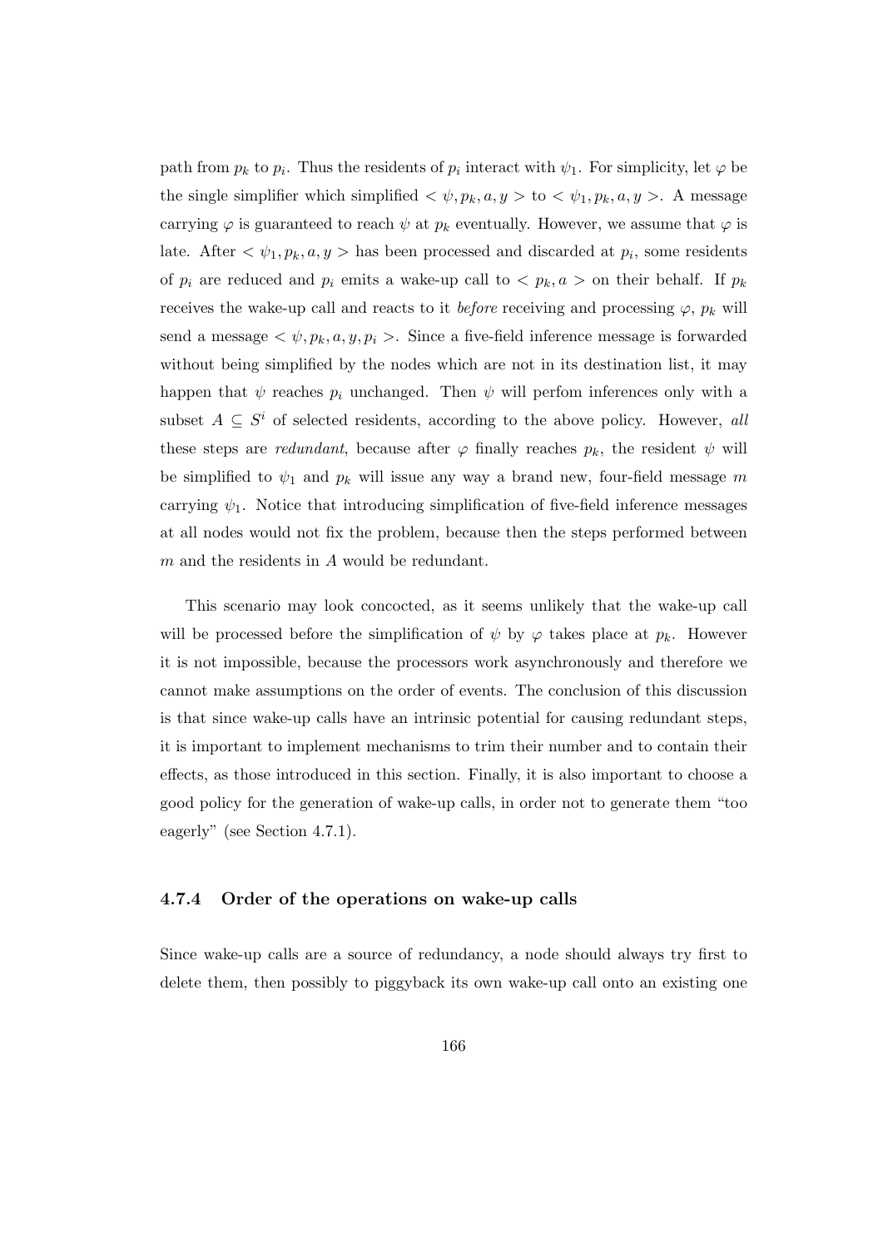path from  $p_k$  to  $p_i$ . Thus the residents of  $p_i$  interact with  $\psi_1$ . For simplicity, let  $\varphi$  be the single simplifier which simplified  $\langle \psi, p_k, a, y \rangle$  to  $\langle \psi_1, p_k, a, y \rangle$ . A message carrying  $\varphi$  is guaranteed to reach  $\psi$  at  $p_k$  eventually. However, we assume that  $\varphi$  is late. After  $\langle \psi_1, p_k, a, y \rangle$  has been processed and discarded at  $p_i$ , some residents of  $p_i$  are reduced and  $p_i$  emits a wake-up call to  $\langle p_k, a \rangle$  on their behalf. If  $p_k$ receives the wake-up call and reacts to it *before* receiving and processing  $\varphi$ ,  $p_k$  will send a message  $\langle \psi, p_k, a, y, p_i \rangle$ . Since a five-field inference message is forwarded without being simplified by the nodes which are not in its destination list, it may happen that  $\psi$  reaches  $p_i$  unchanged. Then  $\psi$  will perfom inferences only with a subset  $A \subseteq S^i$  of selected residents, according to the above policy. However, all these steps are *redundant*, because after  $\varphi$  finally reaches  $p_k$ , the resident  $\psi$  will be simplified to  $\psi_1$  and  $p_k$  will issue any way a brand new, four-field message m carrying  $\psi_1$ . Notice that introducing simplification of five-field inference messages at all nodes would not fix the problem, because then the steps performed between m and the residents in A would be redundant.

This scenario may look concocted, as it seems unlikely that the wake-up call will be processed before the simplification of  $\psi$  by  $\varphi$  takes place at  $p_k$ . However it is not impossible, because the processors work asynchronously and therefore we cannot make assumptions on the order of events. The conclusion of this discussion is that since wake-up calls have an intrinsic potential for causing redundant steps, it is important to implement mechanisms to trim their number and to contain their effects, as those introduced in this section. Finally, it is also important to choose a good policy for the generation of wake-up calls, in order not to generate them "too eagerly" (see Section 4.7.1).

## 4.7.4 Order of the operations on wake-up calls

Since wake-up calls are a source of redundancy, a node should always try first to delete them, then possibly to piggyback its own wake-up call onto an existing one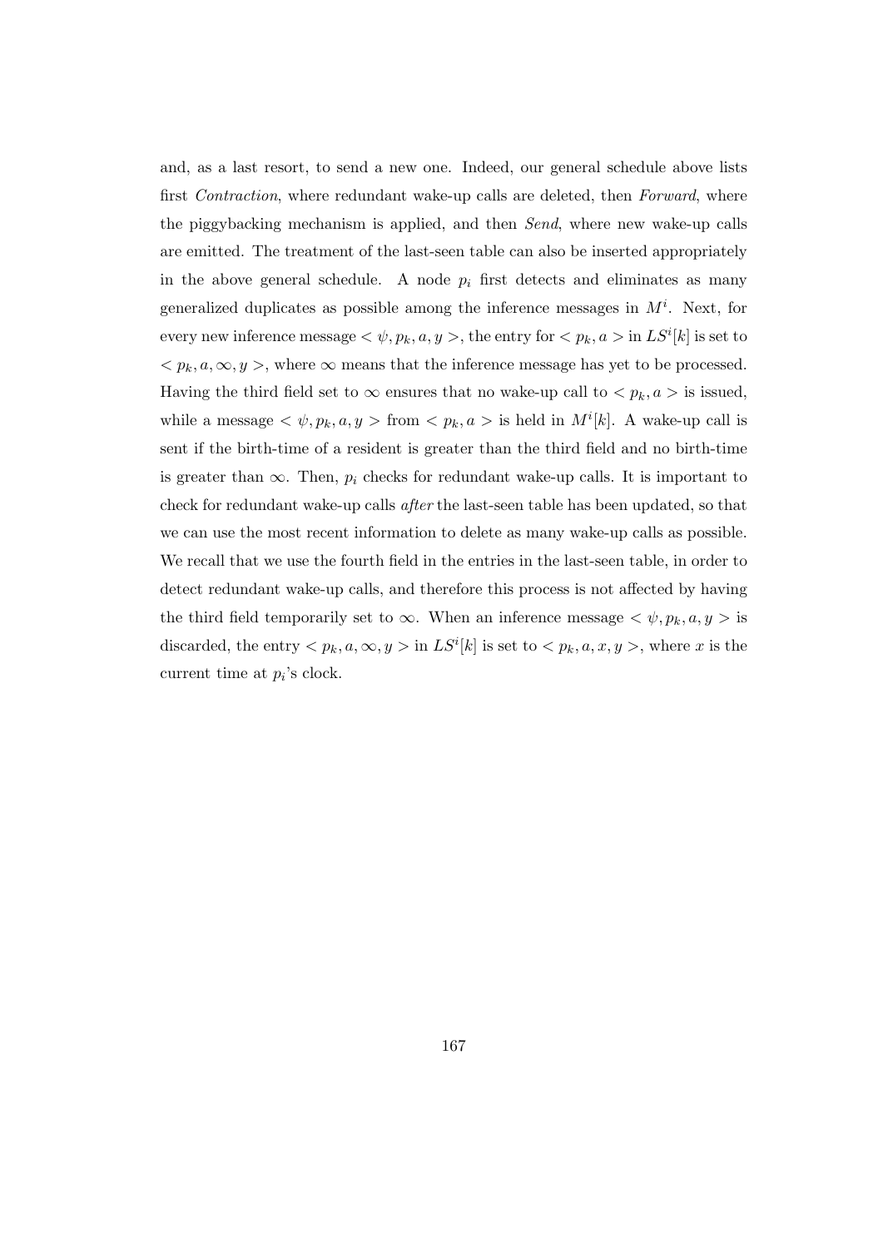and, as a last resort, to send a new one. Indeed, our general schedule above lists first Contraction, where redundant wake-up calls are deleted, then Forward, where the piggybacking mechanism is applied, and then Send, where new wake-up calls are emitted. The treatment of the last-seen table can also be inserted appropriately in the above general schedule. A node  $p_i$  first detects and eliminates as many generalized duplicates as possible among the inference messages in  $M^i$ . Next, for every new inference message  $\langle \psi, p_k, a, y \rangle$ , the entry for  $\langle p_k, a \rangle$  in  $LS^i[k]$  is set to  $\langle p_k, a, \infty, y \rangle$ , where  $\infty$  means that the inference message has yet to be processed. Having the third field set to  $\infty$  ensures that no wake-up call to  $\langle p_k, a \rangle$  is issued, while a message  $\langle \psi, p_k, a, y \rangle$  from  $\langle p_k, a \rangle$  is held in  $M^i[k]$ . A wake-up call is sent if the birth-time of a resident is greater than the third field and no birth-time is greater than  $\infty$ . Then,  $p_i$  checks for redundant wake-up calls. It is important to check for redundant wake-up calls after the last-seen table has been updated, so that we can use the most recent information to delete as many wake-up calls as possible. We recall that we use the fourth field in the entries in the last-seen table, in order to detect redundant wake-up calls, and therefore this process is not affected by having the third field temporarily set to  $\infty$ . When an inference message  $\langle \psi, p_k, a, y \rangle$  is discarded, the entry  $\langle p_k, a, \infty, y \rangle$  in  $LS^i[k]$  is set to  $\langle p_k, a, x, y \rangle$ , where x is the current time at  $p_i$ 's clock.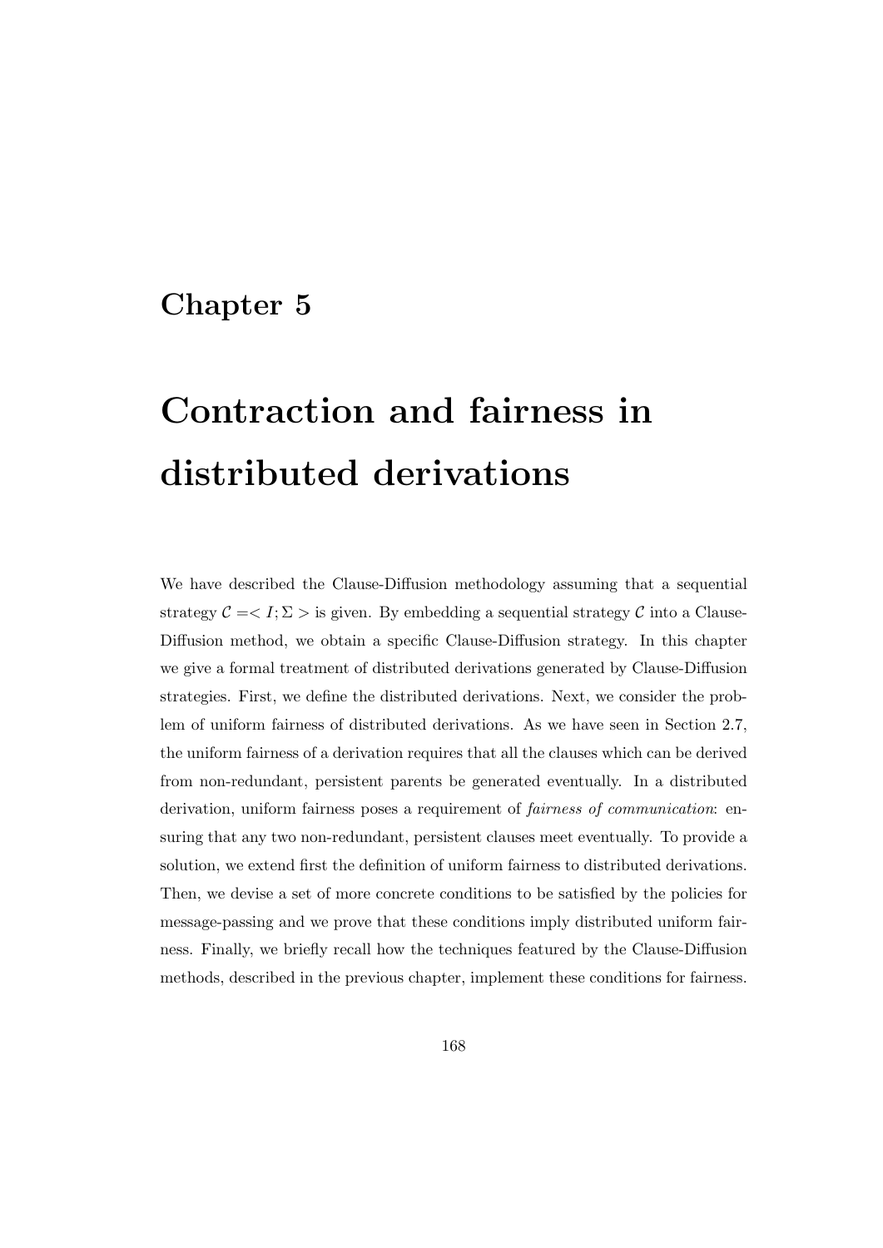# Chapter 5

# Contraction and fairness in distributed derivations

We have described the Clause-Diffusion methodology assuming that a sequential strategy  $\mathcal{C} = \langle I; \Sigma \rangle$  is given. By embedding a sequential strategy  $\mathcal{C}$  into a Clause-Diffusion method, we obtain a specific Clause-Diffusion strategy. In this chapter we give a formal treatment of distributed derivations generated by Clause-Diffusion strategies. First, we define the distributed derivations. Next, we consider the problem of uniform fairness of distributed derivations. As we have seen in Section 2.7, the uniform fairness of a derivation requires that all the clauses which can be derived from non-redundant, persistent parents be generated eventually. In a distributed derivation, uniform fairness poses a requirement of fairness of communication: ensuring that any two non-redundant, persistent clauses meet eventually. To provide a solution, we extend first the definition of uniform fairness to distributed derivations. Then, we devise a set of more concrete conditions to be satisfied by the policies for message-passing and we prove that these conditions imply distributed uniform fairness. Finally, we briefly recall how the techniques featured by the Clause-Diffusion methods, described in the previous chapter, implement these conditions for fairness.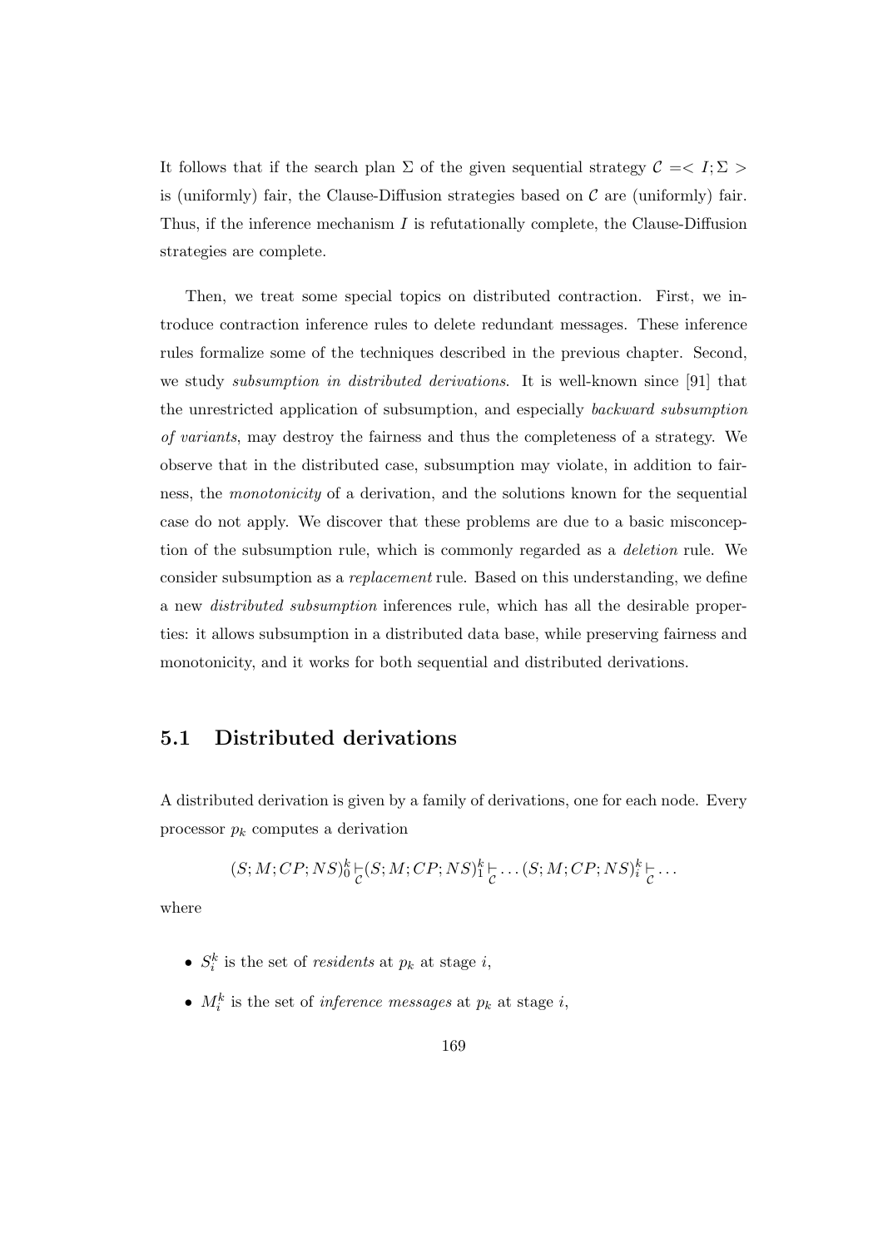It follows that if the search plan  $\Sigma$  of the given sequential strategy  $\mathcal{C} = \langle I; \Sigma \rangle$ is (uniformly) fair, the Clause-Diffusion strategies based on  $\mathcal C$  are (uniformly) fair. Thus, if the inference mechanism  $I$  is refutationally complete, the Clause-Diffusion strategies are complete.

Then, we treat some special topics on distributed contraction. First, we introduce contraction inference rules to delete redundant messages. These inference rules formalize some of the techniques described in the previous chapter. Second, we study *subsumption in distributed derivations*. It is well-known since [91] that the unrestricted application of subsumption, and especially backward subsumption of variants, may destroy the fairness and thus the completeness of a strategy. We observe that in the distributed case, subsumption may violate, in addition to fairness, the monotonicity of a derivation, and the solutions known for the sequential case do not apply. We discover that these problems are due to a basic misconception of the subsumption rule, which is commonly regarded as a deletion rule. We consider subsumption as a replacement rule. Based on this understanding, we define a new distributed subsumption inferences rule, which has all the desirable properties: it allows subsumption in a distributed data base, while preserving fairness and monotonicity, and it works for both sequential and distributed derivations.

## 5.1 Distributed derivations

A distributed derivation is given by a family of derivations, one for each node. Every processor  $p_k$  computes a derivation

$$
(S;M;CP;NS)^k_0\underset{\mathcal{C}}{\models}(S;M;CP;NS)^k_1\underset{\mathcal{C}}{\models}\dots(S;M;CP;NS)^k_i\underset{\mathcal{C}}{\models}\dots
$$

where

- $S_i^k$  is the set of *residents* at  $p_k$  at stage *i*,
- $M_i^k$  is the set of *inference messages* at  $p_k$  at stage *i*,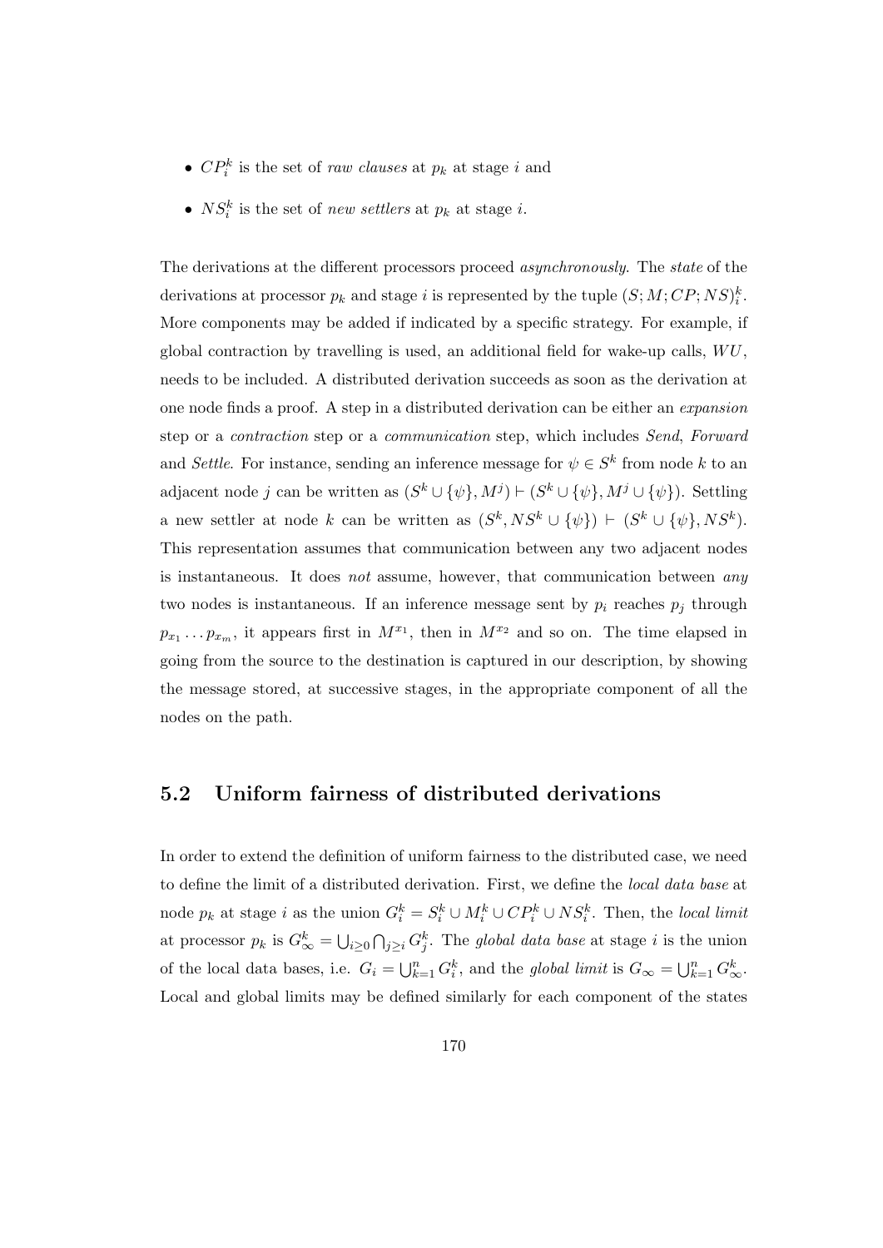- $\mathbb{C}P_i^k$  is the set of *raw clauses* at  $p_k$  at stage *i* and
- $NS_i^k$  is the set of *new settlers* at  $p_k$  at stage *i*.

The derivations at the different processors proceed asynchronously. The state of the derivations at processor  $p_k$  and stage i is represented by the tuple  $(S; M; CP; NS)_i^k$ . More components may be added if indicated by a specific strategy. For example, if global contraction by travelling is used, an additional field for wake-up calls,  $WU$ , needs to be included. A distributed derivation succeeds as soon as the derivation at one node finds a proof. A step in a distributed derivation can be either an expansion step or a contraction step or a communication step, which includes Send, Forward and Settle. For instance, sending an inference message for  $\psi \in S^k$  from node k to an adjacent node j can be written as  $(S^k \cup \{\psi\}, M^j) \vdash (S^k \cup \{\psi\}, M^j \cup \{\psi\})$ . Settling a new settler at node k can be written as  $(S^k, NS^k \cup \{\psi\}) \vdash (S^k \cup \{\psi\}, NS^k).$ This representation assumes that communication between any two adjacent nodes is instantaneous. It does not assume, however, that communication between any two nodes is instantaneous. If an inference message sent by  $p_i$  reaches  $p_j$  through  $p_{x_1} \ldots p_{x_m}$ , it appears first in  $M^{x_1}$ , then in  $M^{x_2}$  and so on. The time elapsed in going from the source to the destination is captured in our description, by showing the message stored, at successive stages, in the appropriate component of all the nodes on the path.

# 5.2 Uniform fairness of distributed derivations

In order to extend the definition of uniform fairness to the distributed case, we need to define the limit of a distributed derivation. First, we define the local data base at node  $p_k$  at stage i as the union  $G_i^k = S_i^k \cup M_i^k \cup CP_i^k \cup NS_i^k$ . Then, the local limit at processor  $p_k$  is  $G^k_{\infty} = \bigcup_{i \geq 0} \bigcap_{j \geq i} G^k_j$ . The global data base at stage i is the union of the local data bases, i.e.  $G_i = \bigcup_{k=1}^n G_i^k$ , and the global limit is  $G_\infty = \bigcup_{k=1}^n G_\infty^k$ . Local and global limits may be defined similarly for each component of the states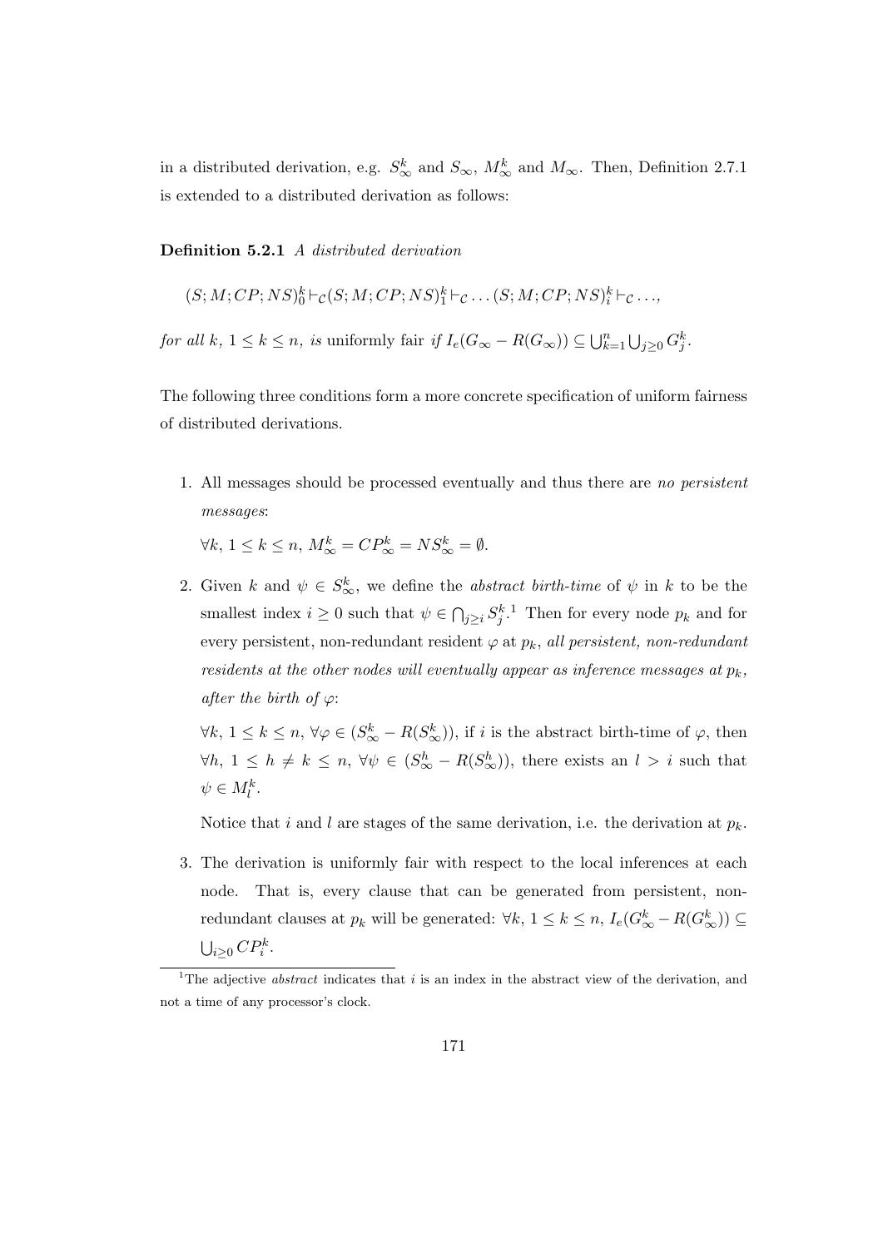in a distributed derivation, e.g.  $S^k_{\infty}$  and  $S_{\infty}$ ,  $M^k_{\infty}$  and  $M_{\infty}$ . Then, Definition 2.7.1 is extended to a distributed derivation as follows:

Definition 5.2.1 A distributed derivation

 $(S; M; CP; NS)_0^k \vdash_{\mathcal{C}} (S; M; CP; NS)_1^k \vdash_{\mathcal{C}} \ldots (S; M; CP; NS)_i^k \vdash_{\mathcal{C}} \ldots,$ 

for all k,  $1 \leq k \leq n$ , is uniformly fair if  $I_e(G_{\infty} - R(G_{\infty})) \subseteq \bigcup_{k=1}^n \bigcup_{j \geq 0} G_j^k$ .

The following three conditions form a more concrete specification of uniform fairness of distributed derivations.

1. All messages should be processed eventually and thus there are no persistent messages:

 $\forall k, 1 \leq k \leq n, M^k_{\infty} = CP^k_{\infty} = NS^k_{\infty} = \emptyset.$ 

2. Given k and  $\psi \in S^k_{\infty}$ , we define the *abstract birth-time* of  $\psi$  in k to be the smallest index  $i \geq 0$  such that  $\psi \in \bigcap_{j \geq i} S_j^{k-1}$  Then for every node  $p_k$  and for every persistent, non-redundant resident  $\varphi$  at  $p_k$ , all persistent, non-redundant residents at the other nodes will eventually appear as inference messages at  $p_k$ , after the birth of  $\varphi$ :

 $\forall k, 1 \leq k \leq n, \forall \varphi \in (S^k_{\infty} - R(S^k_{\infty}))$ , if i is the abstract birth-time of  $\varphi$ , then  $\forall h, 1 \leq h \neq k \leq n, \forall \psi \in (S^h_{\infty} - R(S^h_{\infty}))$ , there exists an  $l > i$  such that  $\psi \in M_l^k$ .

Notice that i and l are stages of the same derivation, i.e. the derivation at  $p_k$ .

3. The derivation is uniformly fair with respect to the local inferences at each node. That is, every clause that can be generated from persistent, nonredundant clauses at  $p_k$  will be generated:  $\forall k, 1 \leq k \leq n$ ,  $I_e(G_{\infty}^k - R(G_{\infty}^k)) \subseteq$  $\bigcup_{i\geq 0} CP_i^k$ .

<sup>&</sup>lt;sup>1</sup>The adjective *abstract* indicates that i is an index in the abstract view of the derivation, and not a time of any processor's clock.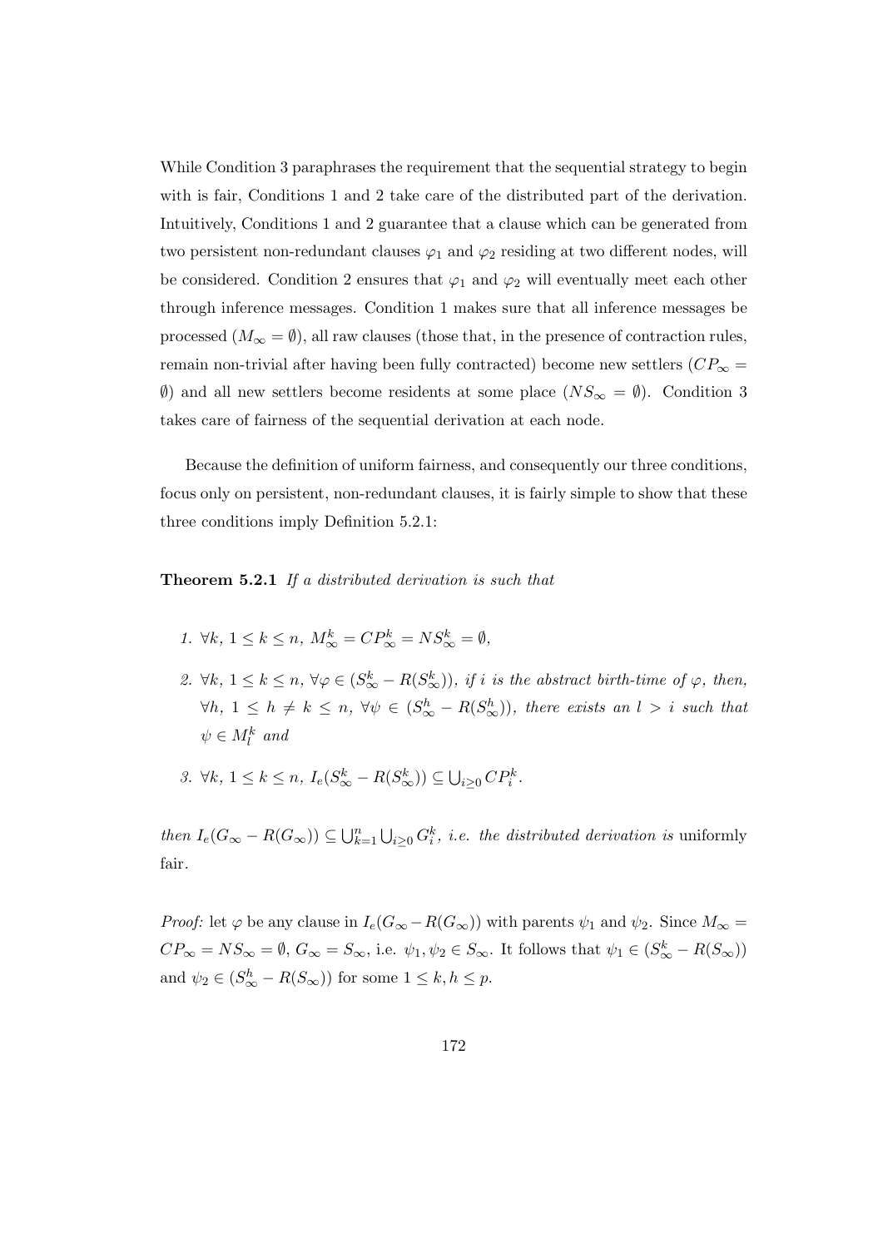While Condition 3 paraphrases the requirement that the sequential strategy to begin with is fair, Conditions 1 and 2 take care of the distributed part of the derivation. Intuitively, Conditions 1 and 2 guarantee that a clause which can be generated from two persistent non-redundant clauses  $\varphi_1$  and  $\varphi_2$  residing at two different nodes, will be considered. Condition 2 ensures that  $\varphi_1$  and  $\varphi_2$  will eventually meet each other through inference messages. Condition 1 makes sure that all inference messages be processed  $(M_{\infty} = \emptyset)$ , all raw clauses (those that, in the presence of contraction rules, remain non-trivial after having been fully contracted) become new settlers ( $CP_{\infty}$  =  $\emptyset$ ) and all new settlers become residents at some place  $(NS_{\infty} = \emptyset)$ . Condition 3 takes care of fairness of the sequential derivation at each node.

Because the definition of uniform fairness, and consequently our three conditions, focus only on persistent, non-redundant clauses, it is fairly simple to show that these three conditions imply Definition 5.2.1:

#### Theorem 5.2.1 If a distributed derivation is such that

- 1.  $\forall k, 1 \leq k \leq n, M_{\infty}^k = CP_{\infty}^k = NS_{\infty}^k = \emptyset$ ,
- 2.  $\forall k, 1 \leq k \leq n, \forall \varphi \in (S^k_{\infty} R(S^k_{\infty}))$ , if i is the abstract birth-time of  $\varphi$ , then,  $\forall h, 1 \leq h \neq k \leq n, \forall \psi \in (S^h_{\infty} - R(S^h_{\infty}))$ , there exists an  $l > i$  such that  $\psi \in M_l^k$  and
- 3.  $\forall k, 1 \leq k \leq n, I_e(S^k_{\infty} R(S^k_{\infty})) \subseteq \bigcup_{i \geq 0} CP^k_i$ .

then  $I_e(G_{\infty} - R(G_{\infty})) \subseteq \bigcup_{k=1}^n \bigcup_{i \geq 0} G_i^k$ , i.e. the distributed derivation is uniformly fair.

*Proof:* let  $\varphi$  be any clause in  $I_e(G_{\infty} - R(G_{\infty}))$  with parents  $\psi_1$  and  $\psi_2$ . Since  $M_{\infty} =$  $CP_{\infty} = NS_{\infty} = \emptyset$ ,  $G_{\infty} = S_{\infty}$ , i.e.  $\psi_1, \psi_2 \in S_{\infty}$ . It follows that  $\psi_1 \in (S_{\infty}^k - R(S_{\infty}))$ and  $\psi_2 \in (S_\infty^h - R(S_\infty))$  for some  $1 \le k, h \le p$ .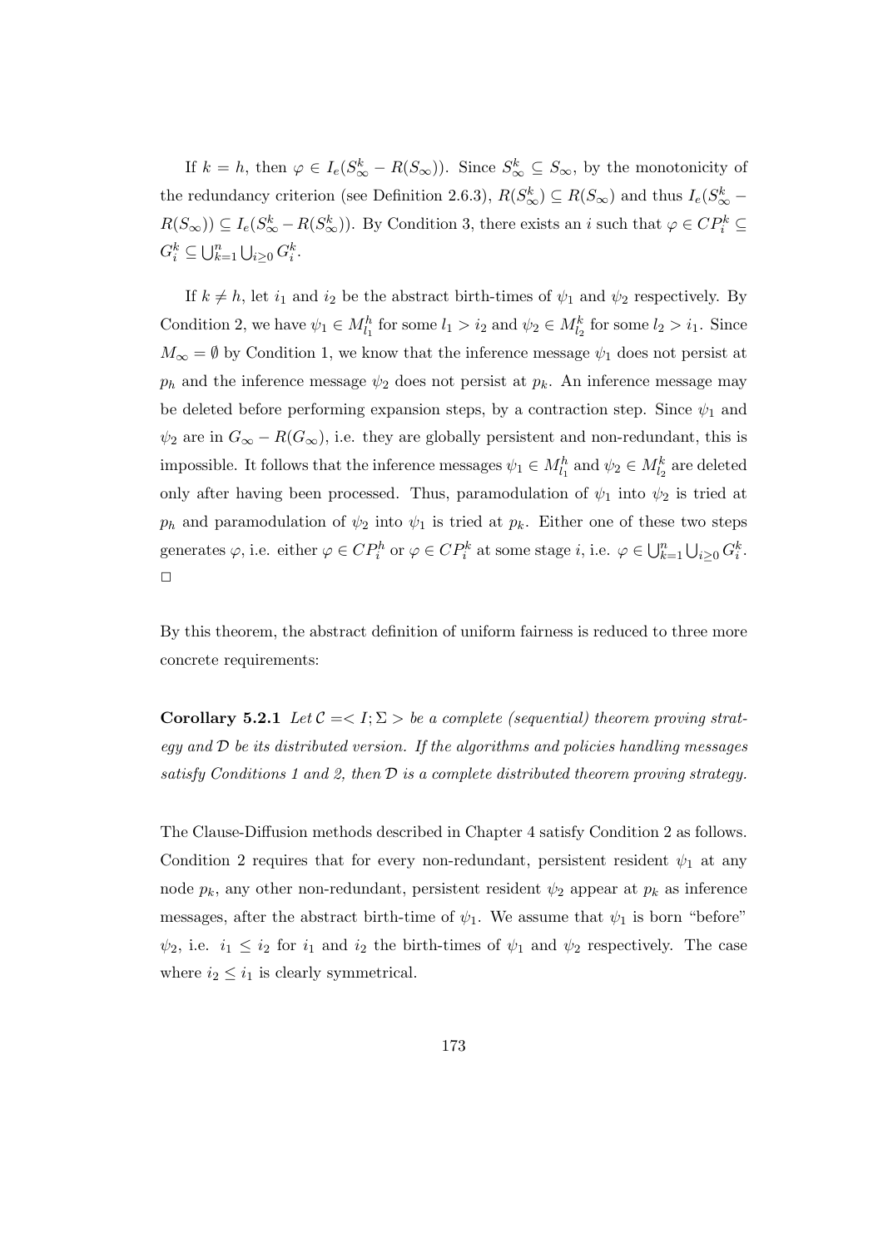If  $k = h$ , then  $\varphi \in I_e(S^k_{\infty} - R(S_{\infty}))$ . Since  $S^k_{\infty} \subseteq S_{\infty}$ , by the monotonicity of the redundancy criterion (see Definition 2.6.3),  $R(S_{\infty}^k) \subseteq R(S_{\infty})$  and thus  $I_e(S_{\infty}^k R(S_{\infty}) \subseteq I_e(S_{\infty}^k - R(S_{\infty}^k))$ . By Condition 3, there exists an i such that  $\varphi \in CP_i^k \subseteq$  $G_i^k \subseteq \bigcup_{k=1}^n \bigcup_{i \geq 0} G_i^k$ .

If  $k \neq h$ , let  $i_1$  and  $i_2$  be the abstract birth-times of  $\psi_1$  and  $\psi_2$  respectively. By Condition 2, we have  $\psi_1 \in M_{l_1}^h$  for some  $l_1 > i_2$  and  $\psi_2 \in M_{l_2}^k$  for some  $l_2 > i_1$ . Since  $M_{\infty} = \emptyset$  by Condition 1, we know that the inference message  $\psi_1$  does not persist at  $p_h$  and the inference message  $\psi_2$  does not persist at  $p_k$ . An inference message may be deleted before performing expansion steps, by a contraction step. Since  $\psi_1$  and  $\psi_2$  are in  $G_{\infty} - R(G_{\infty})$ , i.e. they are globally persistent and non-redundant, this is impossible. It follows that the inference messages  $\psi_1 \in M_{l_1}^h$  and  $\psi_2 \in M_{l_2}^k$  are deleted only after having been processed. Thus, paramodulation of  $\psi_1$  into  $\psi_2$  is tried at  $p_h$  and paramodulation of  $\psi_2$  into  $\psi_1$  is tried at  $p_k$ . Either one of these two steps generates  $\varphi$ , i.e. either  $\varphi \in CP_i^h$  or  $\varphi \in CP_i^k$  at some stage i, i.e.  $\varphi \in \bigcup_{k=1}^n \bigcup_{i \geq 0} G_i^k$ .  $\Box$ 

By this theorem, the abstract definition of uniform fairness is reduced to three more concrete requirements:

Corollary 5.2.1 Let  $C = \langle I; \Sigma \rangle$  be a complete (sequential) theorem proving strategy and  $\mathcal D$  be its distributed version. If the algorithms and policies handling messages satisfy Conditions 1 and 2, then  $\mathcal D$  is a complete distributed theorem proving strategy.

The Clause-Diffusion methods described in Chapter 4 satisfy Condition 2 as follows. Condition 2 requires that for every non-redundant, persistent resident  $\psi_1$  at any node  $p_k$ , any other non-redundant, persistent resident  $\psi_2$  appear at  $p_k$  as inference messages, after the abstract birth-time of  $\psi_1$ . We assume that  $\psi_1$  is born "before"  $\psi_2$ , i.e.  $i_1 \leq i_2$  for  $i_1$  and  $i_2$  the birth-times of  $\psi_1$  and  $\psi_2$  respectively. The case where  $i_2 \leq i_1$  is clearly symmetrical.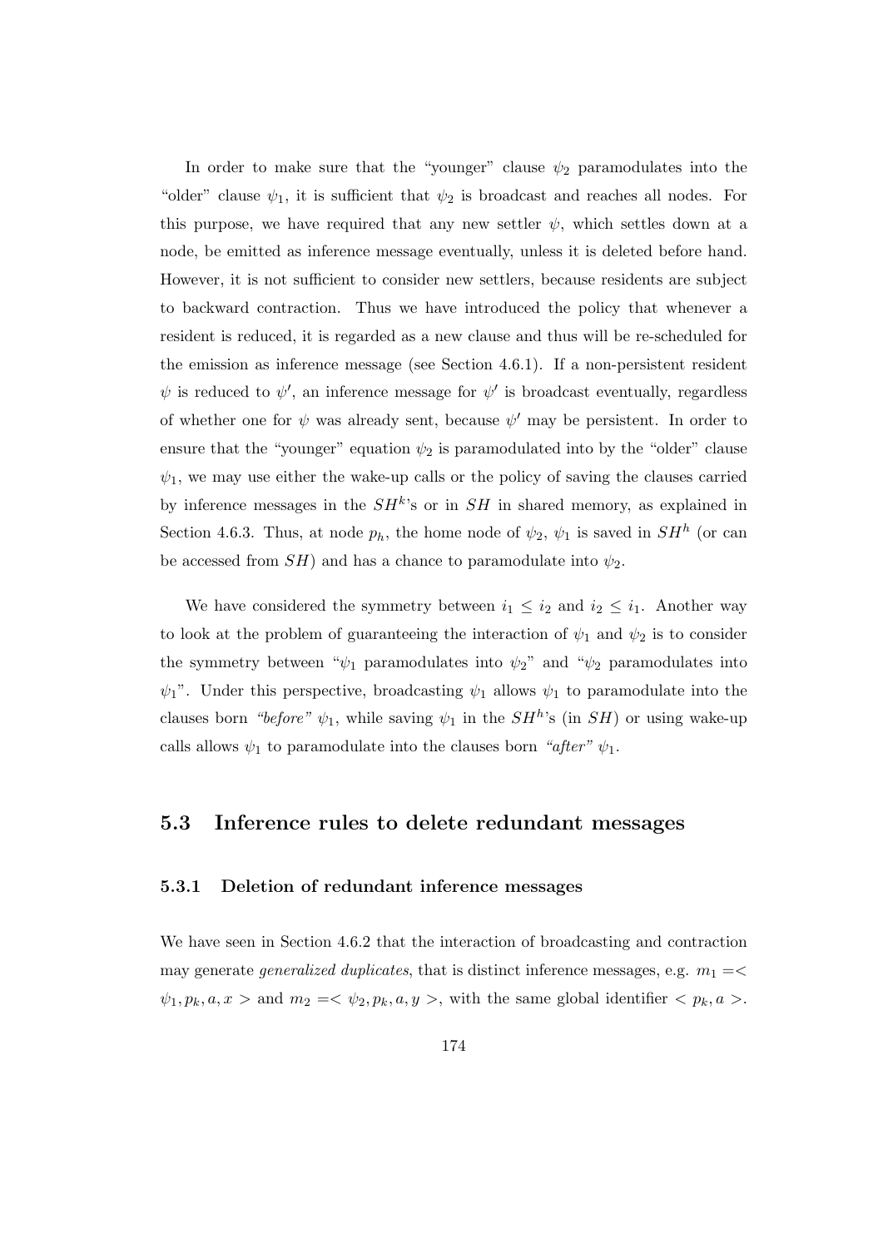In order to make sure that the "younger" clause  $\psi_2$  paramodulates into the "older" clause  $\psi_1$ , it is sufficient that  $\psi_2$  is broadcast and reaches all nodes. For this purpose, we have required that any new settler  $\psi$ , which settles down at a node, be emitted as inference message eventually, unless it is deleted before hand. However, it is not sufficient to consider new settlers, because residents are subject to backward contraction. Thus we have introduced the policy that whenever a resident is reduced, it is regarded as a new clause and thus will be re-scheduled for the emission as inference message (see Section 4.6.1). If a non-persistent resident  $\psi$  is reduced to  $\psi'$ , an inference message for  $\psi'$  is broadcast eventually, regardless of whether one for  $\psi$  was already sent, because  $\psi'$  may be persistent. In order to ensure that the "younger" equation  $\psi_2$  is paramodulated into by the "older" clause  $\psi_1$ , we may use either the wake-up calls or the policy of saving the clauses carried by inference messages in the  $SH<sup>k</sup>$ 's or in  $SH$  in shared memory, as explained in Section 4.6.3. Thus, at node  $p_h$ , the home node of  $\psi_2$ ,  $\psi_1$  is saved in  $SH^h$  (or can be accessed from  $SH$ ) and has a chance to paramodulate into  $\psi_2$ .

We have considered the symmetry between  $i_1 \leq i_2$  and  $i_2 \leq i_1$ . Another way to look at the problem of guaranteeing the interaction of  $\psi_1$  and  $\psi_2$  is to consider the symmetry between " $\psi_1$  paramodulates into  $\psi_2$ " and " $\psi_2$  paramodulates into  $\psi_1$ ". Under this perspective, broadcasting  $\psi_1$  allows  $\psi_1$  to paramodulate into the clauses born "before"  $\psi_1$ , while saving  $\psi_1$  in the  $SH^h$ 's (in SH) or using wake-up calls allows  $\psi_1$  to paramodulate into the clauses born "after"  $\psi_1$ .

# 5.3 Inference rules to delete redundant messages

### 5.3.1 Deletion of redundant inference messages

We have seen in Section 4.6.2 that the interaction of broadcasting and contraction may generate *generalized duplicates*, that is distinct inference messages, e.g.  $m_1 = \leq$  $\psi_1, p_k, a, x >$  and  $m_2 = \langle \psi_2, p_k, a, y > \rangle$ , with the same global identifier  $\langle p_k, a \rangle$ .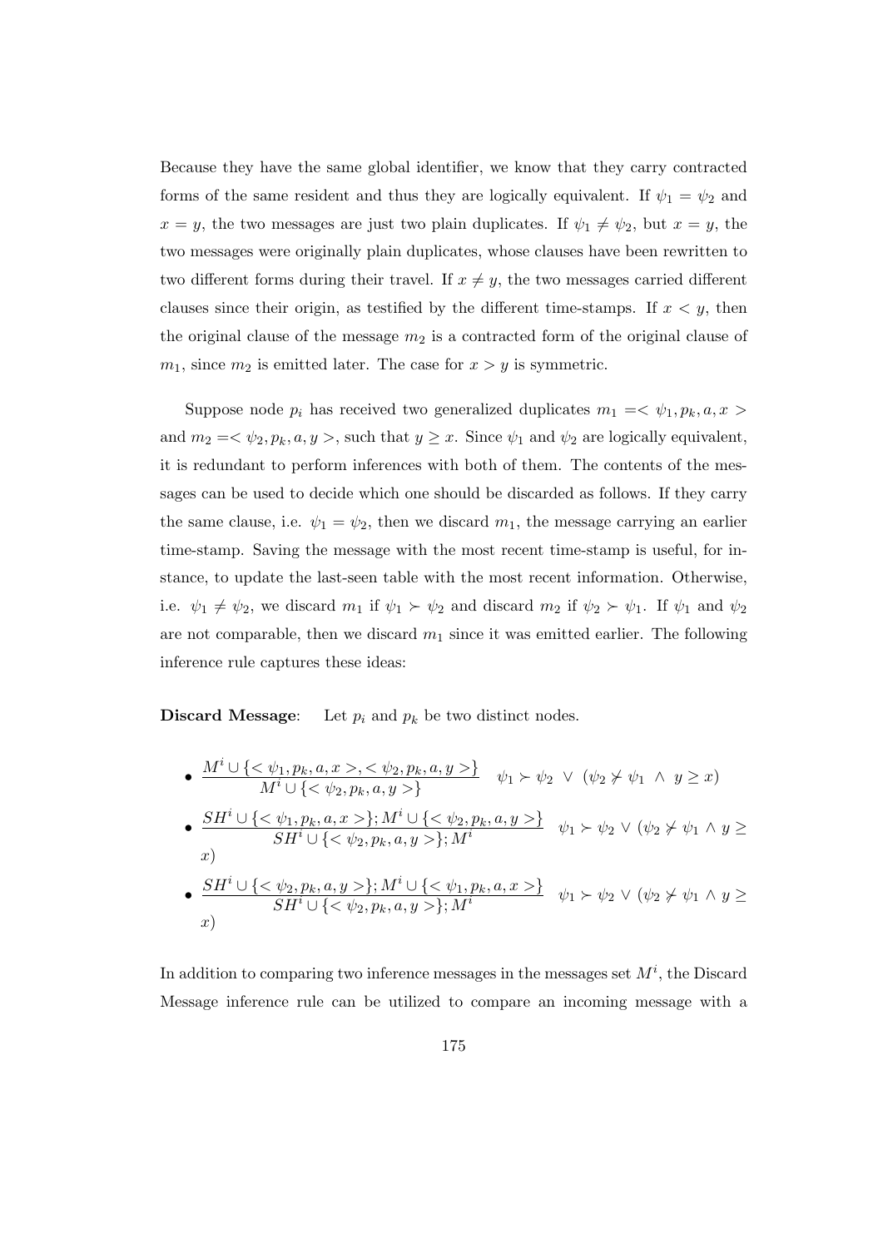Because they have the same global identifier, we know that they carry contracted forms of the same resident and thus they are logically equivalent. If  $\psi_1 = \psi_2$  and  $x = y$ , the two messages are just two plain duplicates. If  $\psi_1 \neq \psi_2$ , but  $x = y$ , the two messages were originally plain duplicates, whose clauses have been rewritten to two different forms during their travel. If  $x \neq y$ , the two messages carried different clauses since their origin, as testified by the different time-stamps. If  $x < y$ , then the original clause of the message  $m_2$  is a contracted form of the original clause of  $m_1$ , since  $m_2$  is emitted later. The case for  $x > y$  is symmetric.

Suppose node  $p_i$  has received two generalized duplicates  $m_1 = \langle \psi_1, p_k, a, x \rangle$ and  $m_2 = \langle \psi_2, p_k, a, y \rangle$ , such that  $y \geq x$ . Since  $\psi_1$  and  $\psi_2$  are logically equivalent, it is redundant to perform inferences with both of them. The contents of the messages can be used to decide which one should be discarded as follows. If they carry the same clause, i.e.  $\psi_1 = \psi_2$ , then we discard  $m_1$ , the message carrying an earlier time-stamp. Saving the message with the most recent time-stamp is useful, for instance, to update the last-seen table with the most recent information. Otherwise, i.e.  $\psi_1 \neq \psi_2$ , we discard  $m_1$  if  $\psi_1 \succ \psi_2$  and discard  $m_2$  if  $\psi_2 \succ \psi_1$ . If  $\psi_1$  and  $\psi_2$ are not comparable, then we discard  $m_1$  since it was emitted earlier. The following inference rule captures these ideas:

**Discard Message:** Let  $p_i$  and  $p_k$  be two distinct nodes.

\n- \n
$$
\begin{array}{ll}\n & M^i \cup \{ < \psi_1, p_k, a, x > \, < \psi_2, p_k, a, y > \} \\
& M^i \cup \{ < \psi_2, p_k, a, y > \} \\
& \psi_1 > \psi_2 \ \lor \ (\psi_2 \neq \psi_1 \ \land \ y \geq x) \\
& \sum_{i=1}^{\infty} \frac{S H^i \cup \{ < \psi_1, p_k, a, x > \}; M^i \cup \{ < \psi_2, p_k, a, y > \}}{S H^i \cup \{ < \psi_2, p_k, a, y > \}; M^i} \\
& \psi_1 > \psi_2 \ \lor \ (\psi_2 \neq \psi_1 \ \land \ y \geq x) \\
& \sum_{i=1}^{\infty} \frac{S H^i \cup \{ < \psi_2, p_k, a, y > \}; M^i \cup \{ < \psi_1, p_k, a, x > \}}{S H^i \cup \{ < \psi_2, p_k, a, y > \}; M^i} \\
& \psi_1 > \psi_2 \ \lor \ (\psi_2 \neq \psi_1 \ \land \ y \geq x) \\
& \psi_2 \ \lor \ (\psi_2 \neq \psi_1 \ \land \ y \geq x) \\
& \psi_1 \ \land \ \psi_2 \ \lor \ (\psi_2 \neq \psi_1 \ \land \ y \geq x) \\
& \psi_2 \ \lor \ (\psi_2 \neq \psi_1 \ \land \ y \geq x) \\
& \psi_2 \ \lor \ (\psi_2 \neq \psi_1 \ \land \ y \geq x) \\
& \psi_2 \ \lor \ (\psi_2 \neq \psi_1 \ \land \ y \geq x) \\
& \psi_2 \ \lor \ (\psi_2 \neq \psi_1 \ \land \ y \geq x) \\
& \psi_2 \ \lor \ (\psi_2 \neq \psi_1 \ \land \ y \geq x) \\
& \psi_2 \ \lor \ (\psi_2 \neq \psi_1 \ \land \ y \geq x) \\
& \psi_2 \ \lor \ (\psi_2 \neq \psi_1 \ \land \ y \geq x) \\
& \psi_2 \ \lor \ (\psi_2 \neq \psi_1 \ \land \ y \geq x) \\
&
$$

In addition to comparing two inference messages in the messages set  $M^i$ , the Discard Message inference rule can be utilized to compare an incoming message with a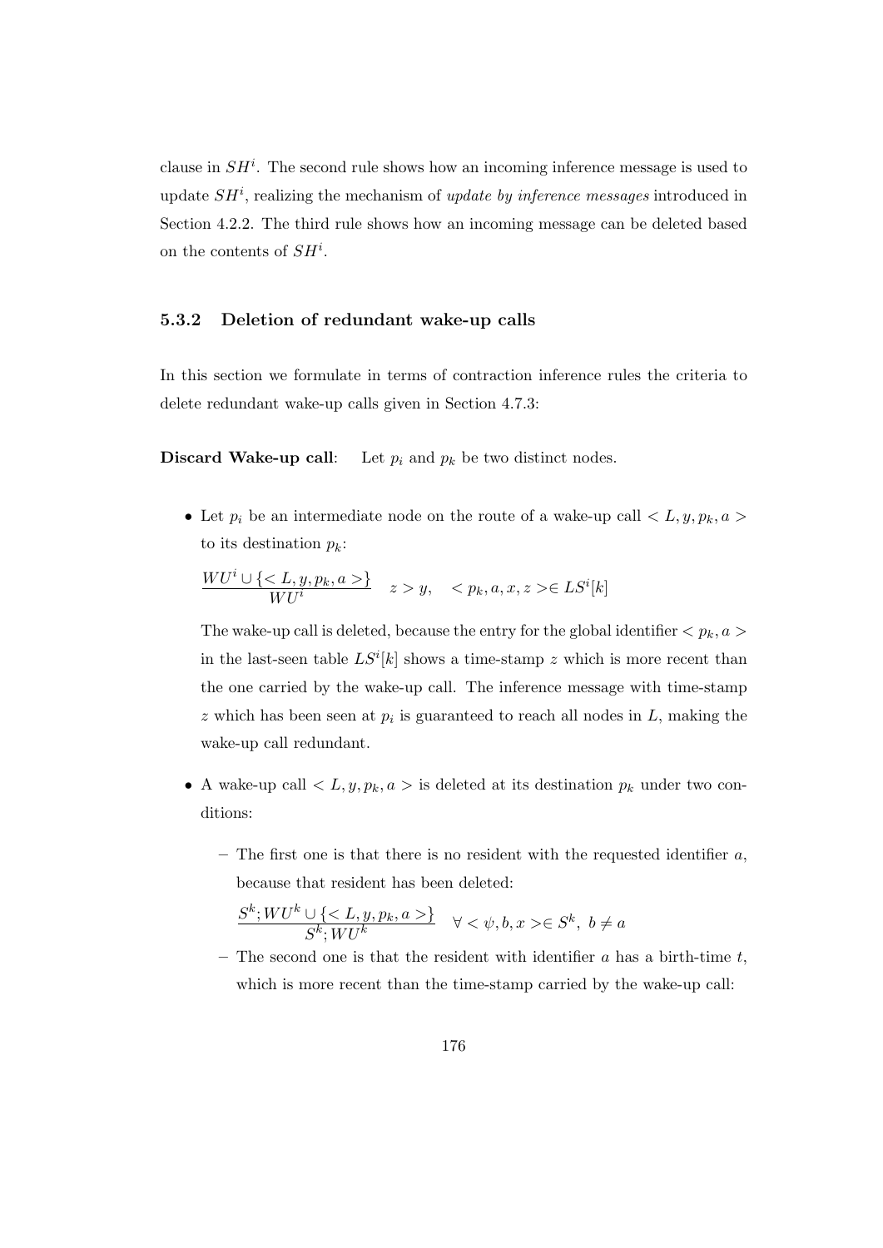clause in  $SH<sup>i</sup>$ . The second rule shows how an incoming inference message is used to update  $SH<sup>i</sup>$ , realizing the mechanism of update by inference messages introduced in Section 4.2.2. The third rule shows how an incoming message can be deleted based on the contents of  $SH^i$ .

#### 5.3.2 Deletion of redundant wake-up calls

In this section we formulate in terms of contraction inference rules the criteria to delete redundant wake-up calls given in Section 4.7.3:

**Discard Wake-up call:** Let  $p_i$  and  $p_k$  be two distinct nodes.

• Let  $p_i$  be an intermediate node on the route of a wake-up call  $\langle L, y, p_k, a \rangle$ to its destination  $p_k$ :

$$
\frac{WU^i \cup \{ \langle L, y, p_k, a \rangle \}}{WU^i} \quad z > y, \quad \langle p_k, a, x, z \rangle \in LS^i[k]
$$

The wake-up call is deleted, because the entry for the global identifier  $\langle p_k, a \rangle$ in the last-seen table  $LS^{i}[k]$  shows a time-stamp z which is more recent than the one carried by the wake-up call. The inference message with time-stamp  $z$  which has been seen at  $p_i$  is guaranteed to reach all nodes in  $L$ , making the wake-up call redundant.

- A wake-up call  $\langle L, y, p_k, a \rangle$  is deleted at its destination  $p_k$  under two conditions:
	- The first one is that there is no resident with the requested identifier  $a$ , because that resident has been deleted:

$$
\frac{S^k;WU^k\cup\{\}}{S^k;WU^k}\quad\forall<\psi,b,x>\in S^k,\ b\neq a
$$

– The second one is that the resident with identifier  $a$  has a birth-time  $t$ , which is more recent than the time-stamp carried by the wake-up call: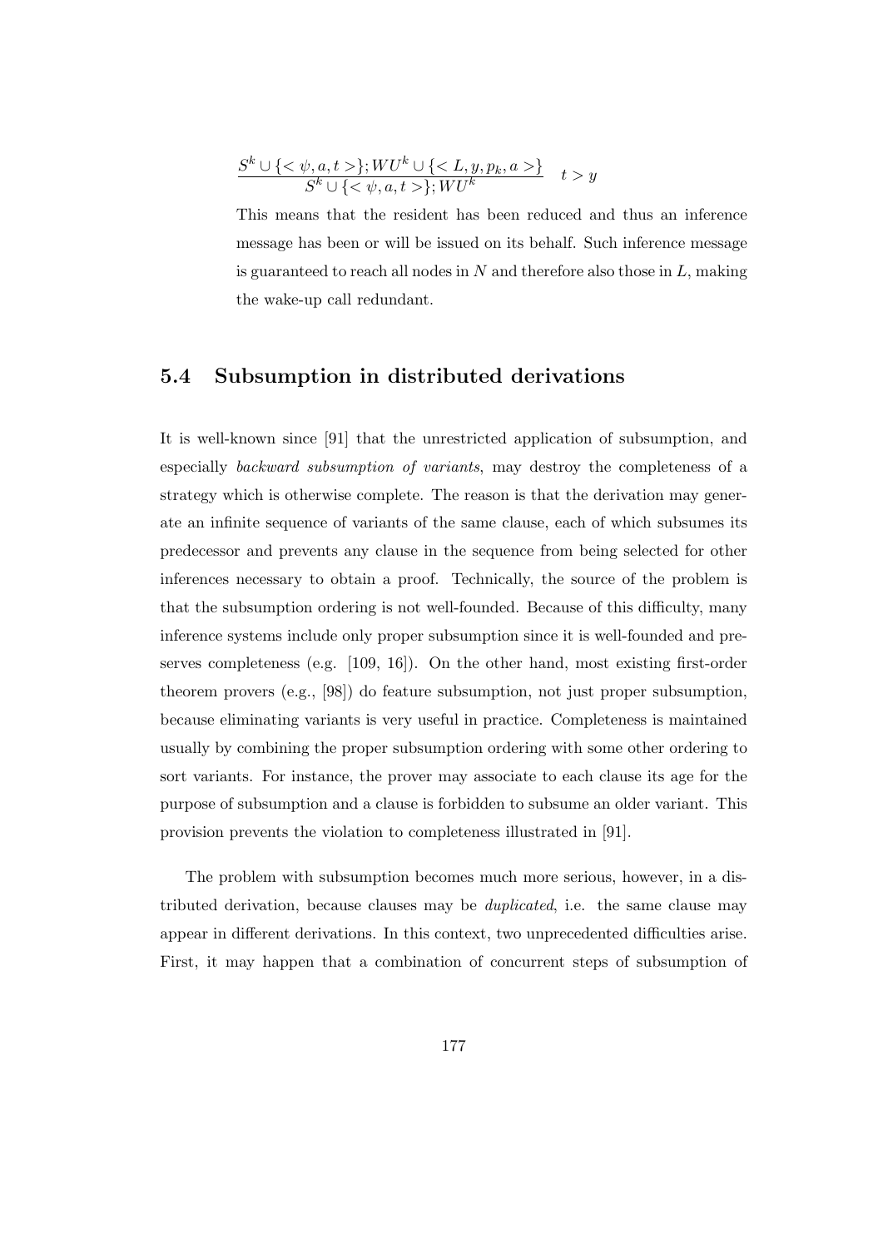$$
\frac{S^k \cup \{<\psi, a, t>\}; WU^k \cup \{\}}{S^k \cup \{<\psi, a, t>\}; WU^k} \quad t > y
$$

This means that the resident has been reduced and thus an inference message has been or will be issued on its behalf. Such inference message is guaranteed to reach all nodes in  $N$  and therefore also those in  $L$ , making the wake-up call redundant.

# 5.4 Subsumption in distributed derivations

It is well-known since [91] that the unrestricted application of subsumption, and especially backward subsumption of variants, may destroy the completeness of a strategy which is otherwise complete. The reason is that the derivation may generate an infinite sequence of variants of the same clause, each of which subsumes its predecessor and prevents any clause in the sequence from being selected for other inferences necessary to obtain a proof. Technically, the source of the problem is that the subsumption ordering is not well-founded. Because of this difficulty, many inference systems include only proper subsumption since it is well-founded and preserves completeness (e.g. [109, 16]). On the other hand, most existing first-order theorem provers (e.g., [98]) do feature subsumption, not just proper subsumption, because eliminating variants is very useful in practice. Completeness is maintained usually by combining the proper subsumption ordering with some other ordering to sort variants. For instance, the prover may associate to each clause its age for the purpose of subsumption and a clause is forbidden to subsume an older variant. This provision prevents the violation to completeness illustrated in [91].

The problem with subsumption becomes much more serious, however, in a distributed derivation, because clauses may be duplicated, i.e. the same clause may appear in different derivations. In this context, two unprecedented difficulties arise. First, it may happen that a combination of concurrent steps of subsumption of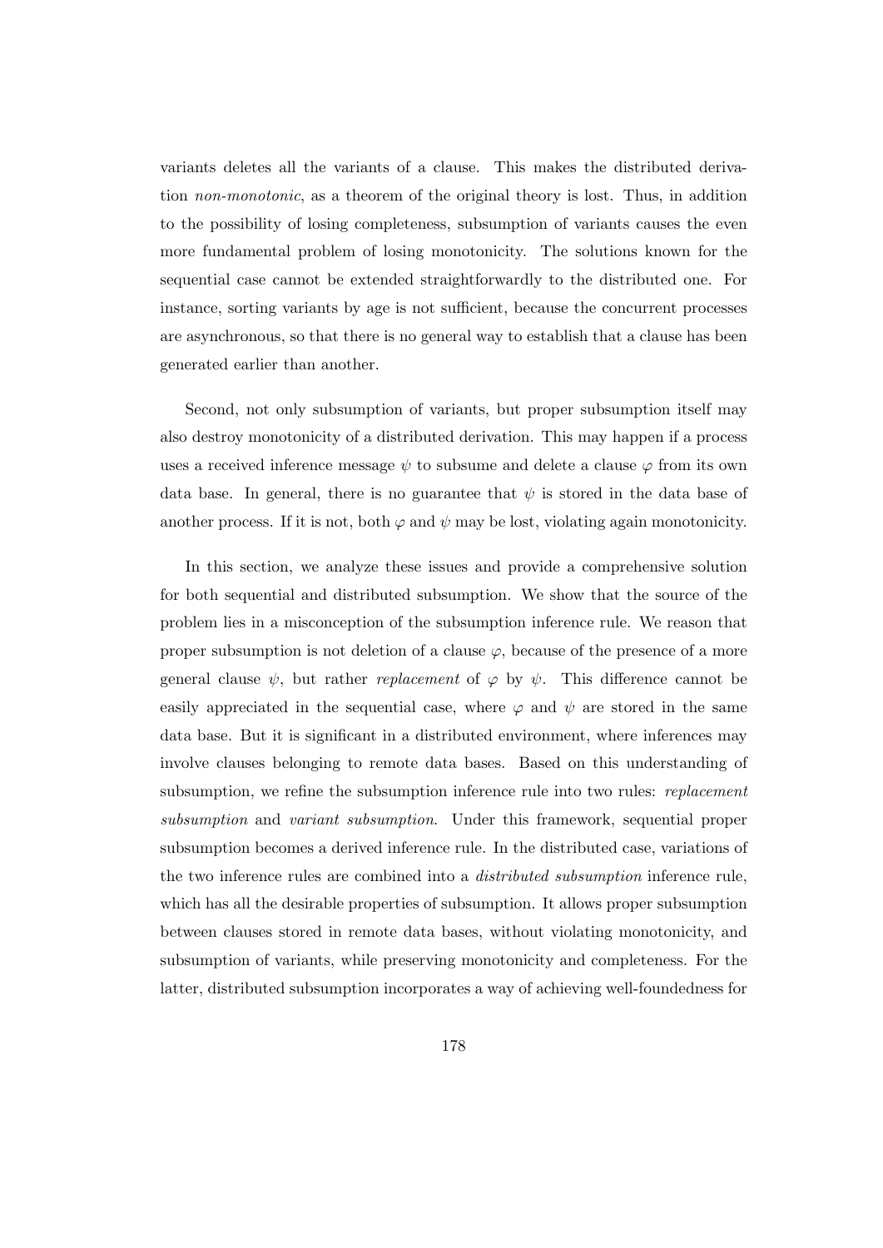variants deletes all the variants of a clause. This makes the distributed derivation non-monotonic, as a theorem of the original theory is lost. Thus, in addition to the possibility of losing completeness, subsumption of variants causes the even more fundamental problem of losing monotonicity. The solutions known for the sequential case cannot be extended straightforwardly to the distributed one. For instance, sorting variants by age is not sufficient, because the concurrent processes are asynchronous, so that there is no general way to establish that a clause has been generated earlier than another.

Second, not only subsumption of variants, but proper subsumption itself may also destroy monotonicity of a distributed derivation. This may happen if a process uses a received inference message  $\psi$  to subsume and delete a clause  $\varphi$  from its own data base. In general, there is no guarantee that  $\psi$  is stored in the data base of another process. If it is not, both  $\varphi$  and  $\psi$  may be lost, violating again monotonicity.

In this section, we analyze these issues and provide a comprehensive solution for both sequential and distributed subsumption. We show that the source of the problem lies in a misconception of the subsumption inference rule. We reason that proper subsumption is not deletion of a clause  $\varphi$ , because of the presence of a more general clause  $\psi$ , but rather *replacement* of  $\varphi$  by  $\psi$ . This difference cannot be easily appreciated in the sequential case, where  $\varphi$  and  $\psi$  are stored in the same data base. But it is significant in a distributed environment, where inferences may involve clauses belonging to remote data bases. Based on this understanding of subsumption, we refine the subsumption inference rule into two rules: *replacement* subsumption and variant subsumption. Under this framework, sequential proper subsumption becomes a derived inference rule. In the distributed case, variations of the two inference rules are combined into a distributed subsumption inference rule, which has all the desirable properties of subsumption. It allows proper subsumption between clauses stored in remote data bases, without violating monotonicity, and subsumption of variants, while preserving monotonicity and completeness. For the latter, distributed subsumption incorporates a way of achieving well-foundedness for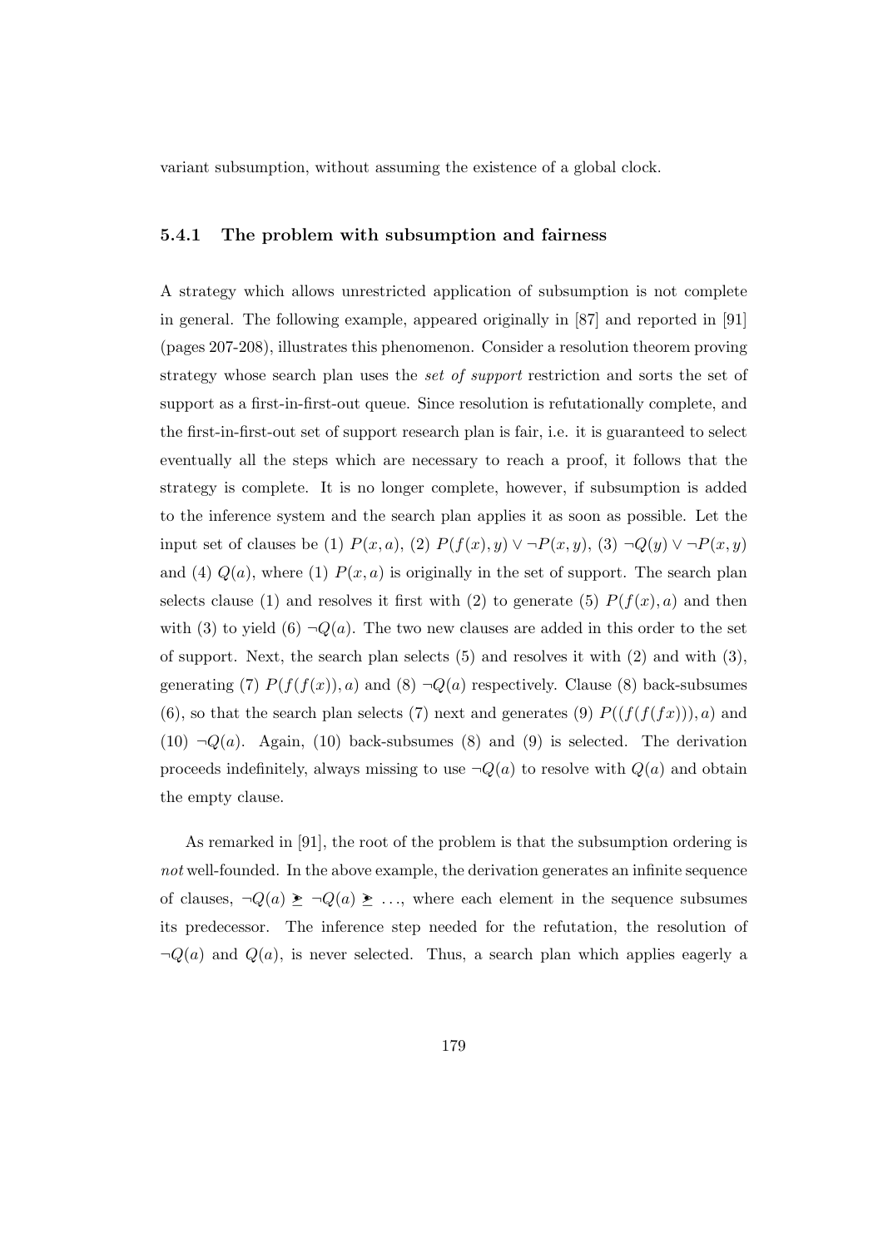variant subsumption, without assuming the existence of a global clock.

#### 5.4.1 The problem with subsumption and fairness

A strategy which allows unrestricted application of subsumption is not complete in general. The following example, appeared originally in [87] and reported in [91] (pages 207-208), illustrates this phenomenon. Consider a resolution theorem proving strategy whose search plan uses the set of support restriction and sorts the set of support as a first-in-first-out queue. Since resolution is refutationally complete, and the first-in-first-out set of support research plan is fair, i.e. it is guaranteed to select eventually all the steps which are necessary to reach a proof, it follows that the strategy is complete. It is no longer complete, however, if subsumption is added to the inference system and the search plan applies it as soon as possible. Let the input set of clauses be (1)  $P(x, a)$ , (2)  $P(f(x), y) \vee \neg P(x, y)$ , (3)  $\neg Q(y) \vee \neg P(x, y)$ and (4)  $Q(a)$ , where (1)  $P(x, a)$  is originally in the set of support. The search plan selects clause (1) and resolves it first with (2) to generate (5)  $P(f(x), a)$  and then with (3) to yield (6)  $\neg Q(a)$ . The two new clauses are added in this order to the set of support. Next, the search plan selects (5) and resolves it with (2) and with (3), generating (7)  $P(f(f(x)), a)$  and (8)  $\neg Q(a)$  respectively. Clause (8) back-subsumes (6), so that the search plan selects (7) next and generates (9)  $P((f(f(f(x))), a)$  and (10)  $\neg Q(a)$ . Again, (10) back-subsumes (8) and (9) is selected. The derivation proceeds indefinitely, always missing to use  $\neg Q(a)$  to resolve with  $Q(a)$  and obtain the empty clause.

As remarked in [91], the root of the problem is that the subsumption ordering is not well-founded. In the above example, the derivation generates an infinite sequence of clauses,  $\neg Q(a) \geq \neg Q(a) \geq \dots$ , where each element in the sequence subsumes its predecessor. The inference step needed for the refutation, the resolution of  $\neg Q(a)$  and  $Q(a)$ , is never selected. Thus, a search plan which applies eagerly a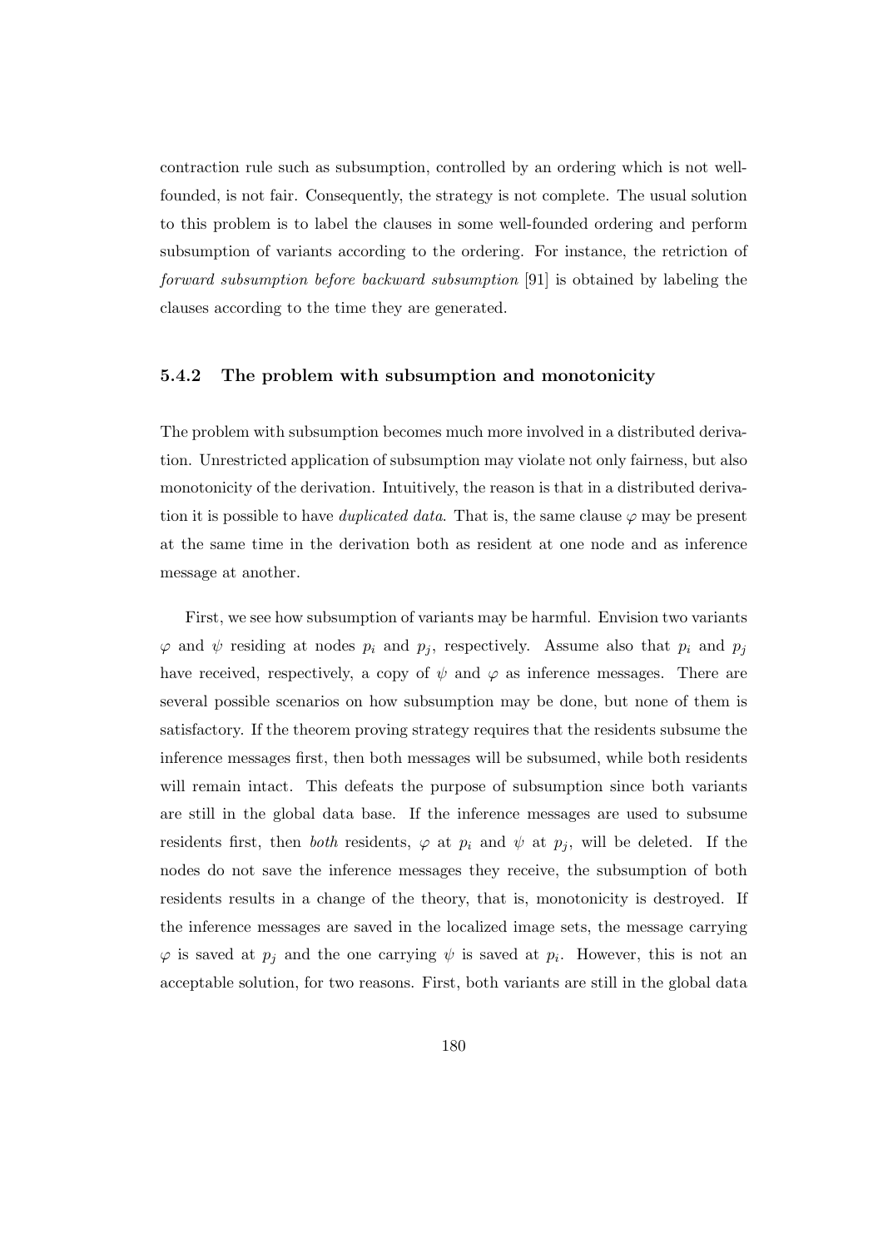contraction rule such as subsumption, controlled by an ordering which is not wellfounded, is not fair. Consequently, the strategy is not complete. The usual solution to this problem is to label the clauses in some well-founded ordering and perform subsumption of variants according to the ordering. For instance, the retriction of forward subsumption before backward subsumption [91] is obtained by labeling the clauses according to the time they are generated.

#### 5.4.2 The problem with subsumption and monotonicity

The problem with subsumption becomes much more involved in a distributed derivation. Unrestricted application of subsumption may violate not only fairness, but also monotonicity of the derivation. Intuitively, the reason is that in a distributed derivation it is possible to have *duplicated data*. That is, the same clause  $\varphi$  may be present at the same time in the derivation both as resident at one node and as inference message at another.

First, we see how subsumption of variants may be harmful. Envision two variants  $\varphi$  and  $\psi$  residing at nodes  $p_i$  and  $p_j$ , respectively. Assume also that  $p_i$  and  $p_j$ have received, respectively, a copy of  $\psi$  and  $\varphi$  as inference messages. There are several possible scenarios on how subsumption may be done, but none of them is satisfactory. If the theorem proving strategy requires that the residents subsume the inference messages first, then both messages will be subsumed, while both residents will remain intact. This defeats the purpose of subsumption since both variants are still in the global data base. If the inference messages are used to subsume residents first, then both residents,  $\varphi$  at  $p_i$  and  $\psi$  at  $p_j$ , will be deleted. If the nodes do not save the inference messages they receive, the subsumption of both residents results in a change of the theory, that is, monotonicity is destroyed. If the inference messages are saved in the localized image sets, the message carrying  $\varphi$  is saved at  $p_j$  and the one carrying  $\psi$  is saved at  $p_i$ . However, this is not an acceptable solution, for two reasons. First, both variants are still in the global data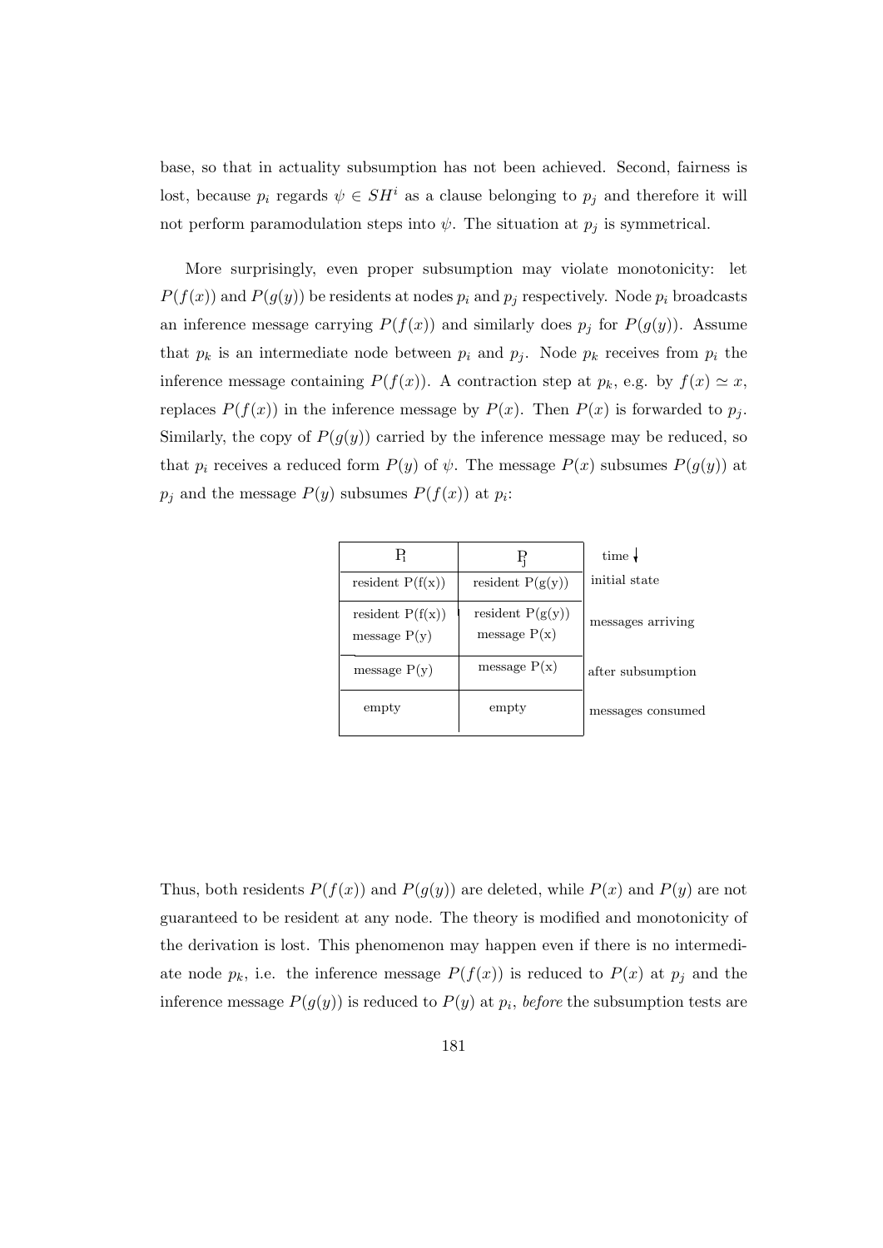base, so that in actuality subsumption has not been achieved. Second, fairness is lost, because  $p_i$  regards  $\psi \in SH^i$  as a clause belonging to  $p_j$  and therefore it will not perform paramodulation steps into  $\psi$ . The situation at  $p_j$  is symmetrical.

More surprisingly, even proper subsumption may violate monotonicity: let  $P(f(x))$  and  $P(g(y))$  be residents at nodes  $p_i$  and  $p_j$  respectively. Node  $p_i$  broadcasts an inference message carrying  $P(f(x))$  and similarly does  $p_j$  for  $P(g(y))$ . Assume that  $p_k$  is an intermediate node between  $p_i$  and  $p_j$ . Node  $p_k$  receives from  $p_i$  the inference message containing  $P(f(x))$ . A contraction step at  $p_k$ , e.g. by  $f(x) \simeq x$ , replaces  $P(f(x))$  in the inference message by  $P(x)$ . Then  $P(x)$  is forwarded to  $p_j$ . Similarly, the copy of  $P(g(y))$  carried by the inference message may be reduced, so that  $p_i$  receives a reduced form  $P(y)$  of  $\psi$ . The message  $P(x)$  subsumes  $P(g(y))$  at  $p_j$  and the message  $P(y)$  subsumes  $P(f(x))$  at  $p_i$ :

| В                                    | Ę                                    | time $\downarrow$ |
|--------------------------------------|--------------------------------------|-------------------|
| resident $P(f(x))$                   | resident $P(g(y))$                   | initial state     |
| resident $P(f(x))$<br>message $P(y)$ | resident $P(g(y))$<br>message $P(x)$ | messages arriving |
| message $P(y)$                       | message $P(x)$                       | after subsumption |
| empty                                | empty                                | messages consumed |

Thus, both residents  $P(f(x))$  and  $P(g(y))$  are deleted, while  $P(x)$  and  $P(y)$  are not guaranteed to be resident at any node. The theory is modified and monotonicity of the derivation is lost. This phenomenon may happen even if there is no intermediate node  $p_k$ , i.e. the inference message  $P(f(x))$  is reduced to  $P(x)$  at  $p_j$  and the inference message  $P(g(y))$  is reduced to  $P(y)$  at  $p_i$ , before the subsumption tests are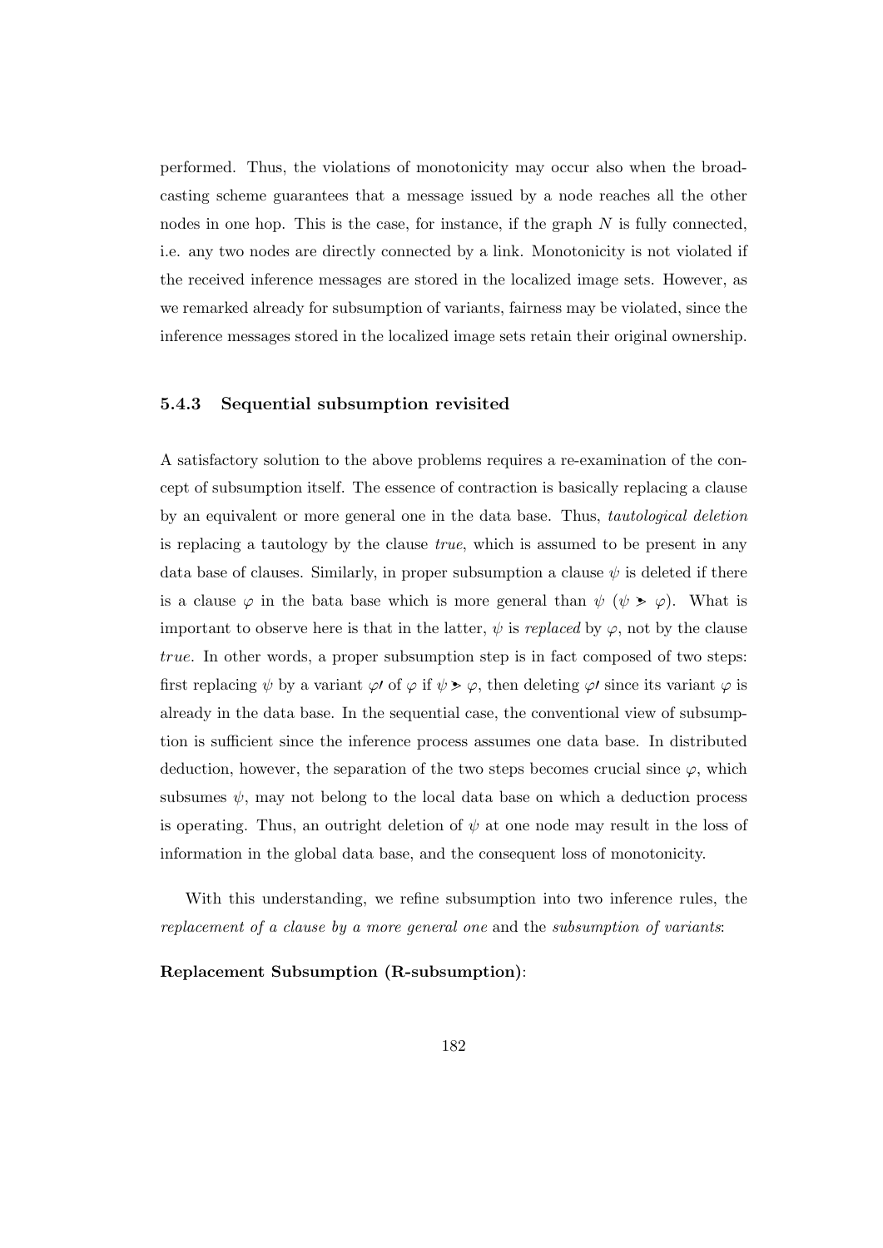performed. Thus, the violations of monotonicity may occur also when the broadcasting scheme guarantees that a message issued by a node reaches all the other nodes in one hop. This is the case, for instance, if the graph  $N$  is fully connected, i.e. any two nodes are directly connected by a link. Monotonicity is not violated if the received inference messages are stored in the localized image sets. However, as we remarked already for subsumption of variants, fairness may be violated, since the inference messages stored in the localized image sets retain their original ownership.

#### 5.4.3 Sequential subsumption revisited

A satisfactory solution to the above problems requires a re-examination of the concept of subsumption itself. The essence of contraction is basically replacing a clause by an equivalent or more general one in the data base. Thus, tautological deletion is replacing a tautology by the clause true, which is assumed to be present in any data base of clauses. Similarly, in proper subsumption a clause  $\psi$  is deleted if there is a clause  $\varphi$  in the bata base which is more general than  $\psi$  ( $\psi > \varphi$ ). What is important to observe here is that in the latter,  $\psi$  is *replaced* by  $\varphi$ , not by the clause true. In other words, a proper subsumption step is in fact composed of two steps: first replacing  $\psi$  by a variant  $\varphi$  of  $\varphi$  if  $\psi > \varphi$ , then deleting  $\varphi$  since its variant  $\varphi$  is already in the data base. In the sequential case, the conventional view of subsumption is sufficient since the inference process assumes one data base. In distributed deduction, however, the separation of the two steps becomes crucial since  $\varphi$ , which subsumes  $\psi$ , may not belong to the local data base on which a deduction process is operating. Thus, an outright deletion of  $\psi$  at one node may result in the loss of information in the global data base, and the consequent loss of monotonicity.

With this understanding, we refine subsumption into two inference rules, the replacement of a clause by a more general one and the subsumption of variants:

#### Replacement Subsumption (R-subsumption):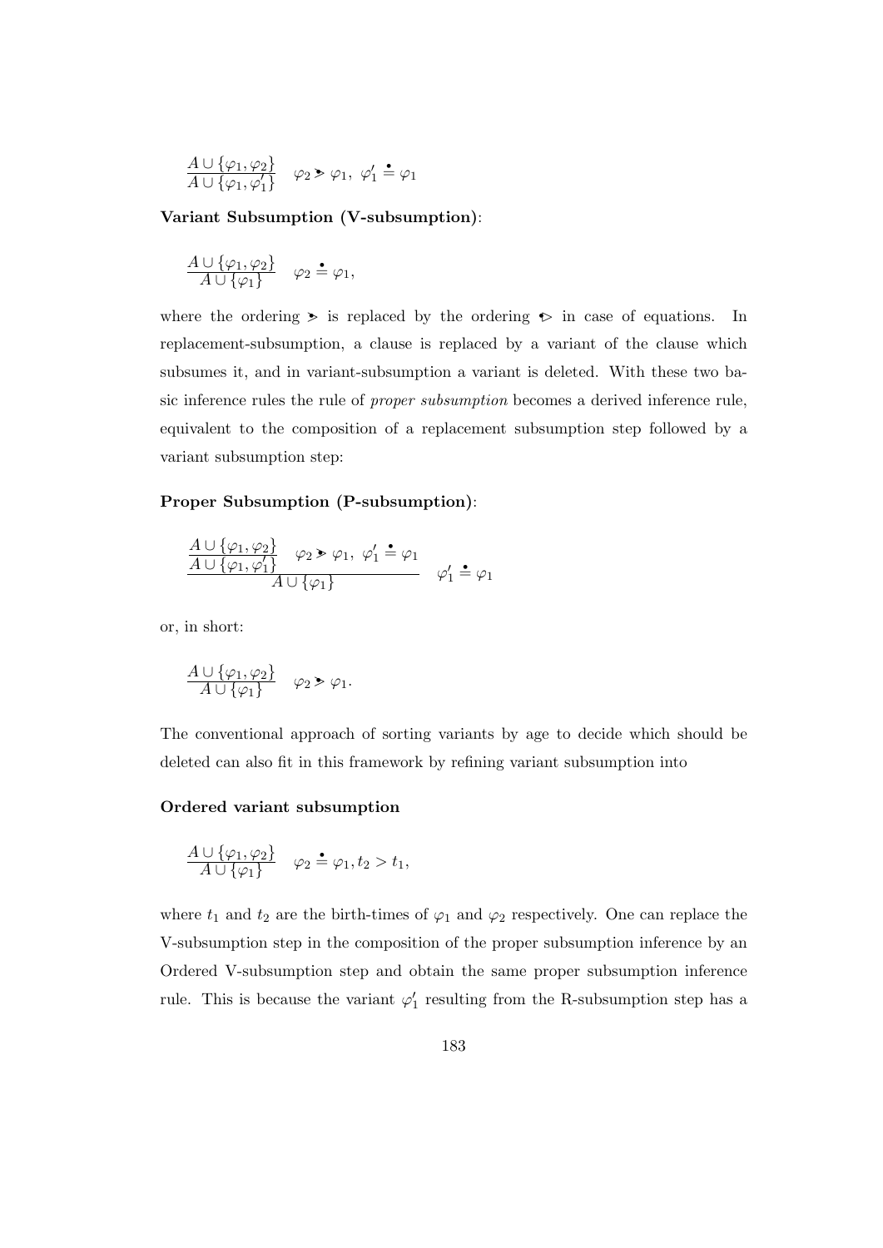$$
\frac{A \cup \{\varphi_1, \varphi_2\}}{A \cup \{\varphi_1, \varphi'_1\}} \quad \varphi_2 > \varphi_1, \ \varphi'_1 \stackrel{\bullet}{=} \varphi_1
$$

Variant Subsumption (V-subsumption):

$$
\frac{A \cup \{\varphi_1, \varphi_2\}}{A \cup \{\varphi_1\}} \quad \varphi_2 \triangleq \varphi_1,
$$

where the ordering  $\triangleright$  is replaced by the ordering  $\triangleright$  in case of equations. In replacement-subsumption, a clause is replaced by a variant of the clause which subsumes it, and in variant-subsumption a variant is deleted. With these two basic inference rules the rule of proper subsumption becomes a derived inference rule, equivalent to the composition of a replacement subsumption step followed by a variant subsumption step:

#### Proper Subsumption (P-subsumption):

$$
\frac{A \cup \{\varphi_1, \varphi_2\}}{A \cup \{\varphi_1, \varphi_1'\}} \varphi_2 \ge \varphi_1, \varphi_1' \stackrel{\bullet}{=} \varphi_1
$$
  

$$
A \cup \{\varphi_1\}
$$
 
$$
\varphi_1' \stackrel{\bullet}{=} \varphi_1
$$

or, in short:

$$
\frac{A\cup\{\varphi_1,\varphi_2\}}{A\cup\{\varphi_1\}}\quad \varphi_2\geqslant \varphi_1.
$$

The conventional approach of sorting variants by age to decide which should be deleted can also fit in this framework by refining variant subsumption into

#### Ordered variant subsumption

$$
\frac{A \cup {\varphi_1, \varphi_2}}{A \cup {\varphi_1}} \quad \varphi_2 \triangleq \varphi_1, t_2 > t_1,
$$

where  $t_1$  and  $t_2$  are the birth-times of  $\varphi_1$  and  $\varphi_2$  respectively. One can replace the V-subsumption step in the composition of the proper subsumption inference by an Ordered V-subsumption step and obtain the same proper subsumption inference rule. This is because the variant  $\varphi'_1$  resulting from the R-subsumption step has a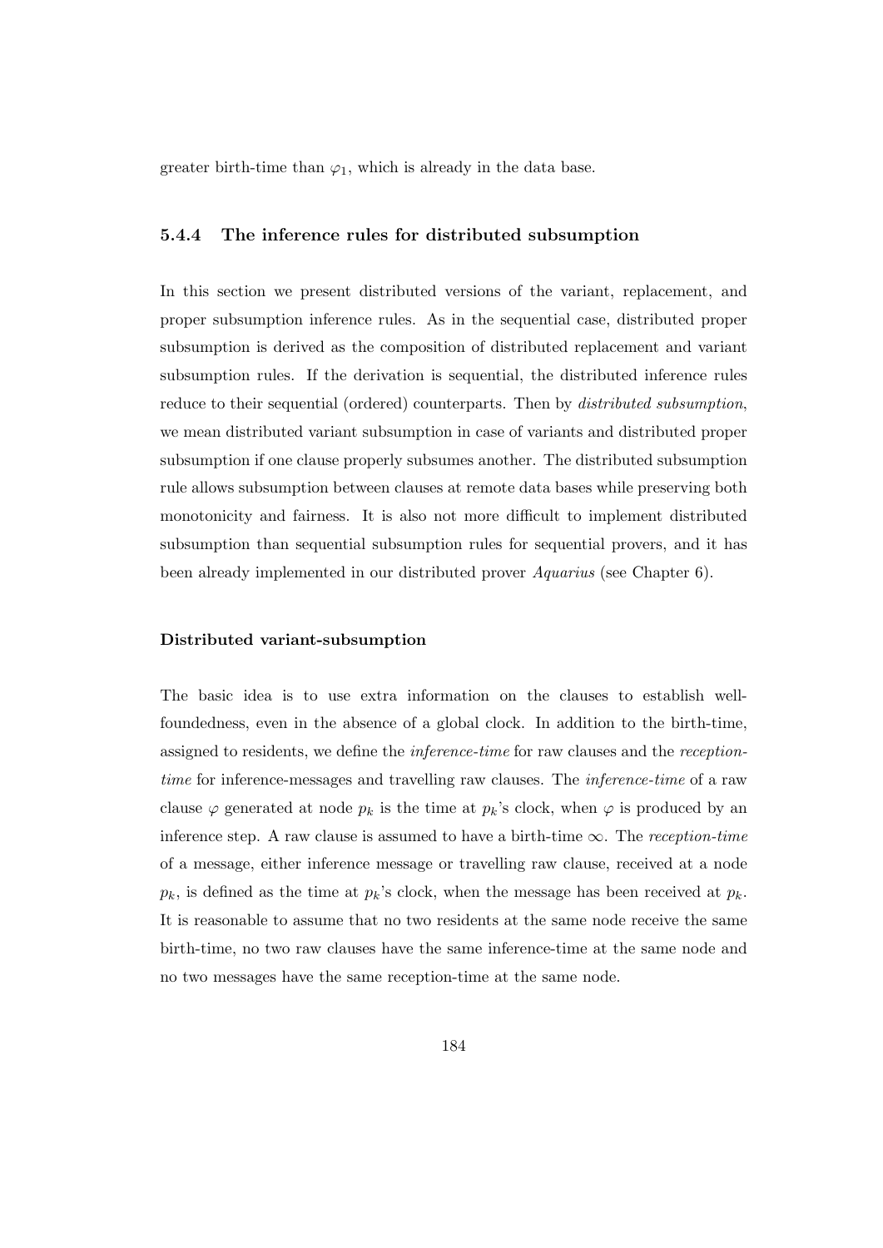greater birth-time than  $\varphi_1$ , which is already in the data base.

#### 5.4.4 The inference rules for distributed subsumption

In this section we present distributed versions of the variant, replacement, and proper subsumption inference rules. As in the sequential case, distributed proper subsumption is derived as the composition of distributed replacement and variant subsumption rules. If the derivation is sequential, the distributed inference rules reduce to their sequential (ordered) counterparts. Then by *distributed subsumption*, we mean distributed variant subsumption in case of variants and distributed proper subsumption if one clause properly subsumes another. The distributed subsumption rule allows subsumption between clauses at remote data bases while preserving both monotonicity and fairness. It is also not more difficult to implement distributed subsumption than sequential subsumption rules for sequential provers, and it has been already implemented in our distributed prover Aquarius (see Chapter 6).

#### Distributed variant-subsumption

The basic idea is to use extra information on the clauses to establish wellfoundedness, even in the absence of a global clock. In addition to the birth-time, assigned to residents, we define the inference-time for raw clauses and the receptiontime for inference-messages and travelling raw clauses. The *inference-time* of a raw clause  $\varphi$  generated at node  $p_k$  is the time at  $p_k$ 's clock, when  $\varphi$  is produced by an inference step. A raw clause is assumed to have a birth-time  $\infty$ . The reception-time of a message, either inference message or travelling raw clause, received at a node  $p_k$ , is defined as the time at  $p_k$ 's clock, when the message has been received at  $p_k$ . It is reasonable to assume that no two residents at the same node receive the same birth-time, no two raw clauses have the same inference-time at the same node and no two messages have the same reception-time at the same node.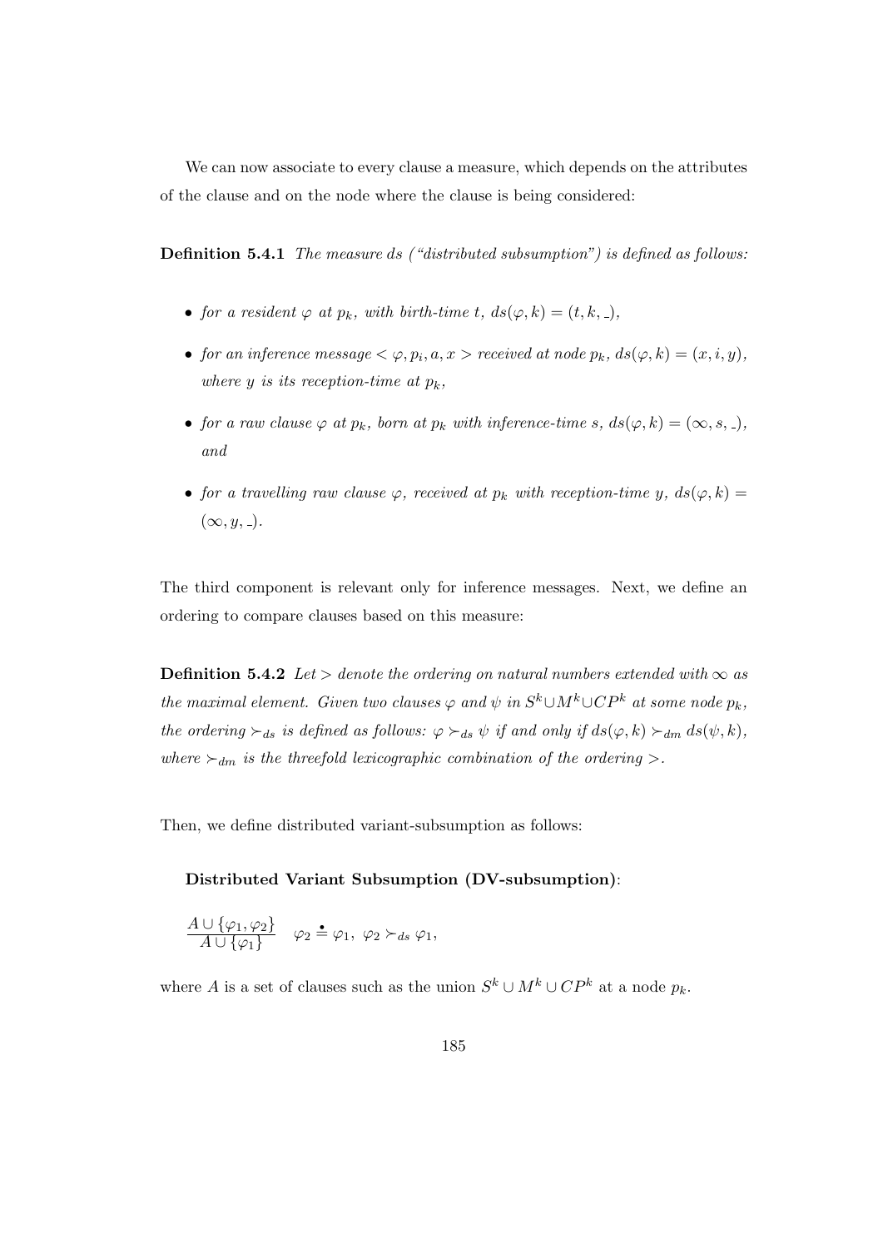We can now associate to every clause a measure, which depends on the attributes of the clause and on the node where the clause is being considered:

Definition 5.4.1 The measure ds ("distributed subsumption") is defined as follows:

- for a resident  $\varphi$  at  $p_k$ , with birth-time t,  $ds(\varphi, k) = (t, k, ...)$ ,
- for an inference message  $\langle \varphi, p_i, a, x \rangle$  received at node  $p_k$ ,  $ds(\varphi, k) = (x, i, y)$ , where y is its reception-time at  $p_k$ ,
- for a raw clause  $\varphi$  at  $p_k$ , born at  $p_k$  with inference-time s,  $ds(\varphi, k) = (\infty, s, \ldots)$ , and
- for a travelling raw clause  $\varphi$ , received at  $p_k$  with reception-time y,  $ds(\varphi, k) =$  $(\infty, y, ...)$ .

The third component is relevant only for inference messages. Next, we define an ordering to compare clauses based on this measure:

**Definition 5.4.2** Let > denote the ordering on natural numbers extended with  $\infty$  as the maximal element. Given two clauses  $\varphi$  and  $\psi$  in  $S^k \cup M^k \cup CP^k$  at some node  $p_k$ , the ordering  $\succ_{ds}$  is defined as follows:  $\varphi \succ_{ds} \psi$  if and only if  $ds(\varphi, k) \succ_{dm} ds(\psi, k)$ , where  $\succ_{dm}$  is the threefold lexicographic combination of the ordering  $\rhd$ .

Then, we define distributed variant-subsumption as follows:

#### Distributed Variant Subsumption (DV-subsumption):

$$
\frac{A \cup \{\varphi_1, \varphi_2\}}{A \cup \{\varphi_1\}} \quad \varphi_2 \triangleq \varphi_1, \ \varphi_2 \succ_{ds} \varphi_1,
$$

where A is a set of clauses such as the union  $S^k \cup M^k \cup CP^k$  at a node  $p_k$ .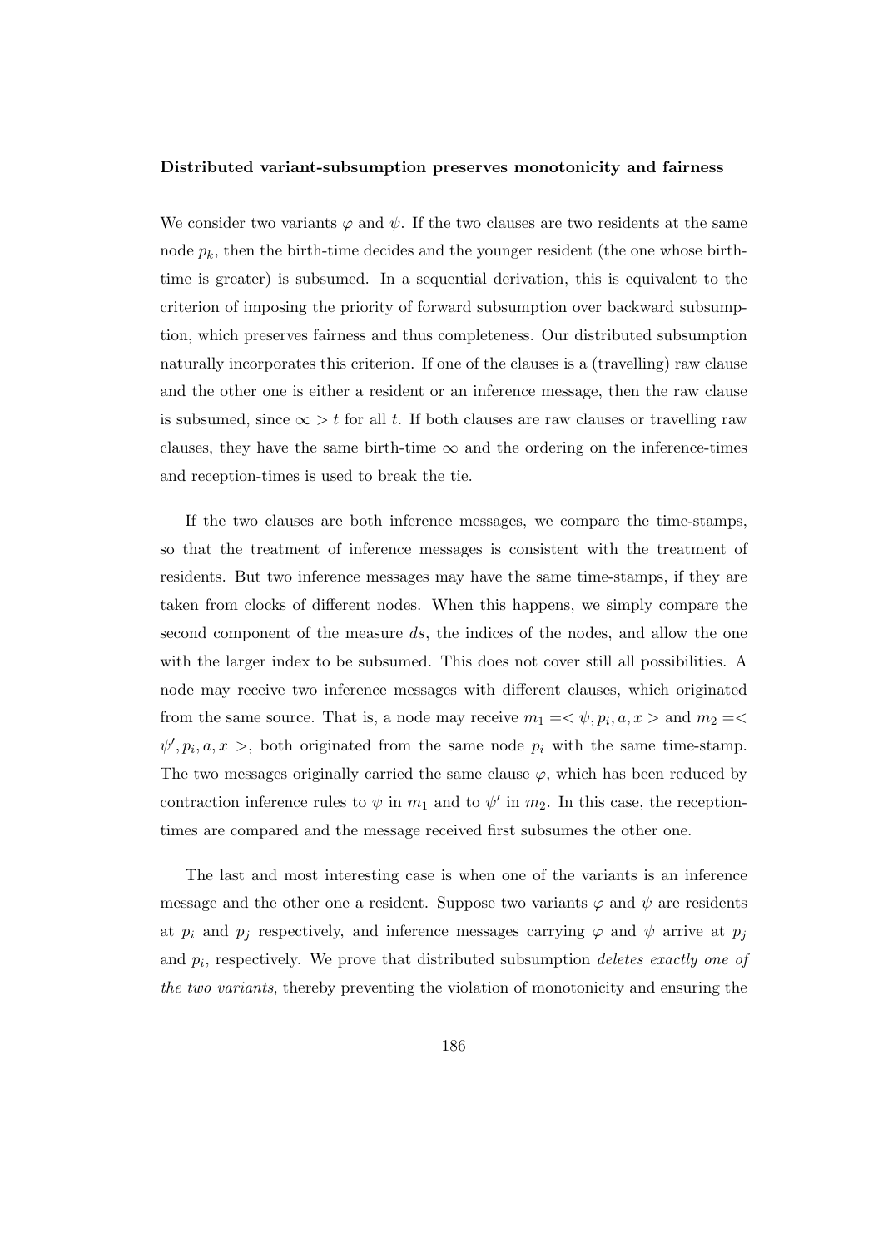#### Distributed variant-subsumption preserves monotonicity and fairness

We consider two variants  $\varphi$  and  $\psi$ . If the two clauses are two residents at the same node  $p_k$ , then the birth-time decides and the younger resident (the one whose birthtime is greater) is subsumed. In a sequential derivation, this is equivalent to the criterion of imposing the priority of forward subsumption over backward subsumption, which preserves fairness and thus completeness. Our distributed subsumption naturally incorporates this criterion. If one of the clauses is a (travelling) raw clause and the other one is either a resident or an inference message, then the raw clause is subsumed, since  $\infty > t$  for all t. If both clauses are raw clauses or travelling raw clauses, they have the same birth-time  $\infty$  and the ordering on the inference-times and reception-times is used to break the tie.

If the two clauses are both inference messages, we compare the time-stamps, so that the treatment of inference messages is consistent with the treatment of residents. But two inference messages may have the same time-stamps, if they are taken from clocks of different nodes. When this happens, we simply compare the second component of the measure ds, the indices of the nodes, and allow the one with the larger index to be subsumed. This does not cover still all possibilities. A node may receive two inference messages with different clauses, which originated from the same source. That is, a node may receive  $m_1 = \langle \psi, p_i, a, x \rangle$  and  $m_2 = \langle$  $\psi', p_i, a, x >$ , both originated from the same node  $p_i$  with the same time-stamp. The two messages originally carried the same clause  $\varphi$ , which has been reduced by contraction inference rules to  $\psi$  in  $m_1$  and to  $\psi'$  in  $m_2$ . In this case, the receptiontimes are compared and the message received first subsumes the other one.

The last and most interesting case is when one of the variants is an inference message and the other one a resident. Suppose two variants  $\varphi$  and  $\psi$  are residents at  $p_i$  and  $p_j$  respectively, and inference messages carrying  $\varphi$  and  $\psi$  arrive at  $p_j$ and  $p_i$ , respectively. We prove that distributed subsumption *deletes exactly one of* the two variants, thereby preventing the violation of monotonicity and ensuring the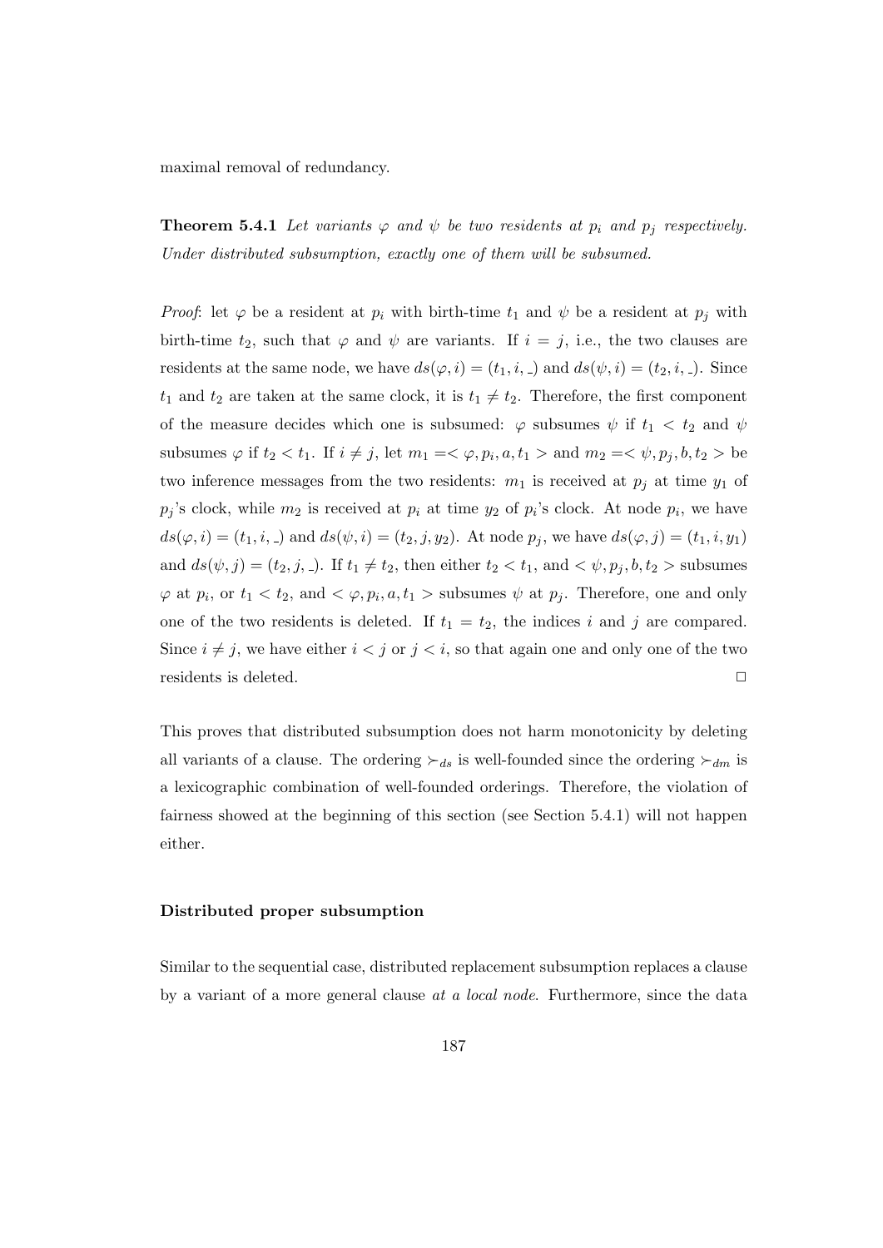maximal removal of redundancy.

**Theorem 5.4.1** Let variants  $\varphi$  and  $\psi$  be two residents at  $p_i$  and  $p_j$  respectively. Under distributed subsumption, exactly one of them will be subsumed.

*Proof*: let  $\varphi$  be a resident at  $p_i$  with birth-time  $t_1$  and  $\psi$  be a resident at  $p_j$  with birth-time  $t_2$ , such that  $\varphi$  and  $\psi$  are variants. If  $i = j$ , i.e., the two clauses are residents at the same node, we have  $ds(\varphi, i) = (t_1, i, \ldots)$  and  $ds(\psi, i) = (t_2, i, \ldots)$ . Since  $t_1$  and  $t_2$  are taken at the same clock, it is  $t_1 \neq t_2$ . Therefore, the first component of the measure decides which one is subsumed:  $\varphi$  subsumes  $\psi$  if  $t_1 < t_2$  and  $\psi$ subsumes  $\varphi$  if  $t_2 < t_1$ . If  $i \neq j$ , let  $m_1 = <\varphi, p_i, a, t_1 >$  and  $m_2 = <\psi, p_j, b, t_2 >$  be two inference messages from the two residents:  $m_1$  is received at  $p_i$  at time  $y_1$  of  $p_j$ 's clock, while  $m_2$  is received at  $p_i$  at time  $y_2$  of  $p_i$ 's clock. At node  $p_i$ , we have  $ds(\varphi, i) = (t_1, i, \ldots)$  and  $ds(\psi, i) = (t_2, j, y_2)$ . At node  $p_j$ , we have  $ds(\varphi, i) = (t_1, i, y_1)$ and  $ds(\psi, j) = (t_2, j, ...)$ . If  $t_1 \neq t_2$ , then either  $t_2 < t_1$ , and  $\langle \psi, p_j, b, t_2 \rangle$  subsumes  $\varphi$  at  $p_i$ , or  $t_1 < t_2$ , and  $\langle \varphi, p_i, a, t_1 \rangle$  subsumes  $\psi$  at  $p_j$ . Therefore, one and only one of the two residents is deleted. If  $t_1 = t_2$ , the indices i and j are compared. Since  $i \neq j$ , we have either  $i < j$  or  $j < i$ , so that again one and only one of the two residents is deleted.

This proves that distributed subsumption does not harm monotonicity by deleting all variants of a clause. The ordering  $\succ_{ds}$  is well-founded since the ordering  $\succ_{dm}$  is a lexicographic combination of well-founded orderings. Therefore, the violation of fairness showed at the beginning of this section (see Section 5.4.1) will not happen either.

#### Distributed proper subsumption

Similar to the sequential case, distributed replacement subsumption replaces a clause by a variant of a more general clause at a local node. Furthermore, since the data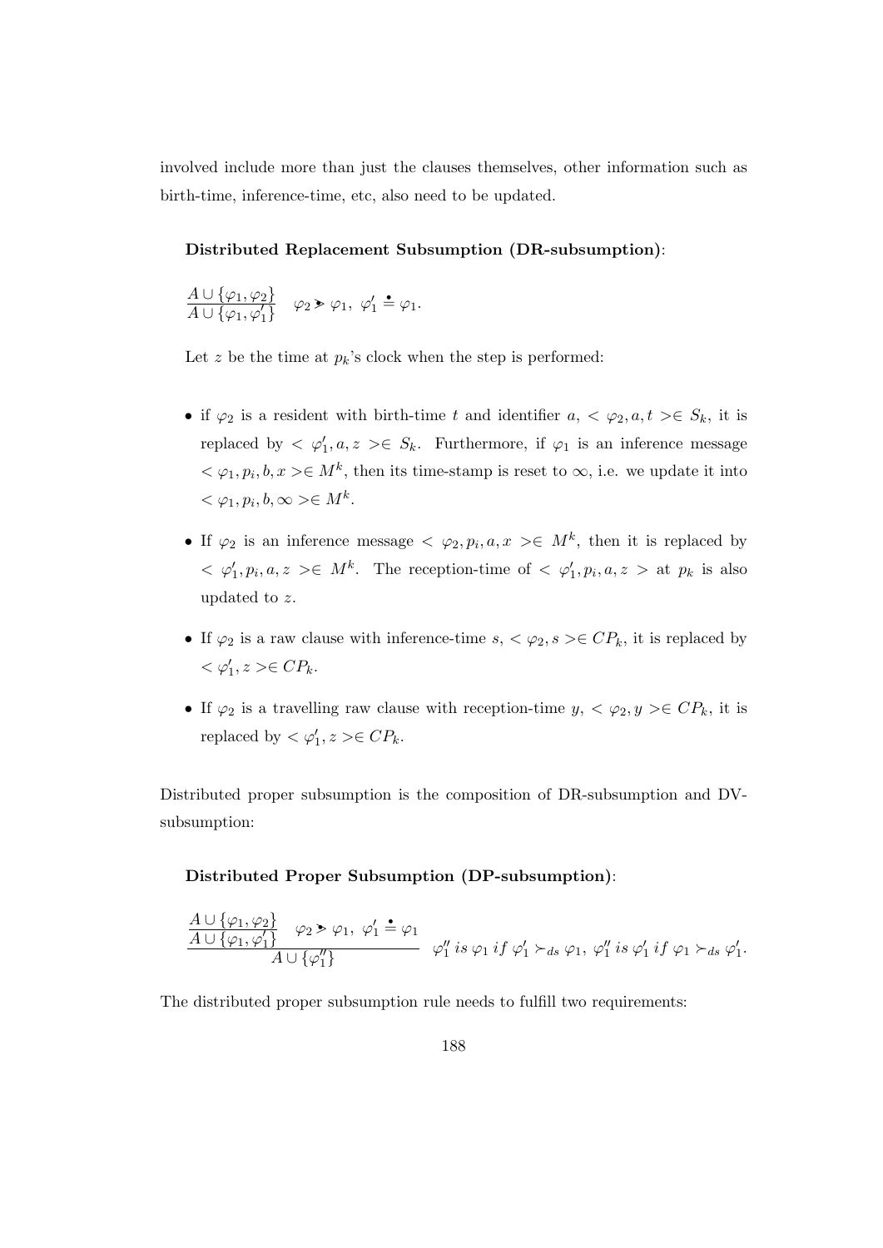involved include more than just the clauses themselves, other information such as birth-time, inference-time, etc, also need to be updated.

#### Distributed Replacement Subsumption (DR-subsumption):

$$
\frac{A \cup \{\varphi_1, \varphi_2\}}{A \cup \{\varphi_1, \varphi_1'\}} \quad \varphi_2 \ge \varphi_1, \ \varphi_1' \stackrel{\bullet}{=} \varphi_1.
$$

Let z be the time at  $p_k$ 's clock when the step is performed:

- if  $\varphi_2$  is a resident with birth-time t and identifier  $a, \langle \varphi_2, a, t \rangle \in S_k$ , it is replaced by  $\langle \varphi'_1, a, z \rangle \in S_k$ . Furthermore, if  $\varphi_1$  is an inference message  $<\varphi_1, p_i, b, x> \in M^k$ , then its time-stamp is reset to  $\infty$ , i.e. we update it into  $<\varphi_1, p_i, b, \infty> \in M^k$ .
- If  $\varphi_2$  is an inference message  $\langle \varphi_2, p_i, a, x \rangle \in M^k$ , then it is replaced by  $\langle \varphi'_1, p_i, a, z \rangle \in M^k$ . The reception-time of  $\langle \varphi'_1, p_i, a, z \rangle$  at  $p_k$  is also updated to z.
- If  $\varphi_2$  is a raw clause with inference-time  $s, <\varphi_2, s> \in CP_k$ , it is replaced by  $<\varphi_1', z> \in CP_k.$
- If  $\varphi_2$  is a travelling raw clause with reception-time  $y, \langle \varphi_2, y \rangle \in CP_k$ , it is replaced by  $\langle \varphi'_1, z \rangle \in CP_k$ .

Distributed proper subsumption is the composition of DR-subsumption and DVsubsumption:

#### Distributed Proper Subsumption (DP-subsumption):

$$
\frac{A \cup {\varphi_1, \varphi_2}}{A \cup {\varphi_1, \varphi_1'}} \quad \varphi_2 > \varphi_1, \ \varphi_1' \doteq \varphi_1
$$
\n
$$
\varphi_1'' \ is \ \varphi_1 \ if \ \varphi_1' \succ_{ds} \varphi_1, \ \varphi_1'' \ is \ \varphi_1' \ if \ \varphi_1 \succ_{ds} \varphi_1'.
$$

The distributed proper subsumption rule needs to fulfill two requirements: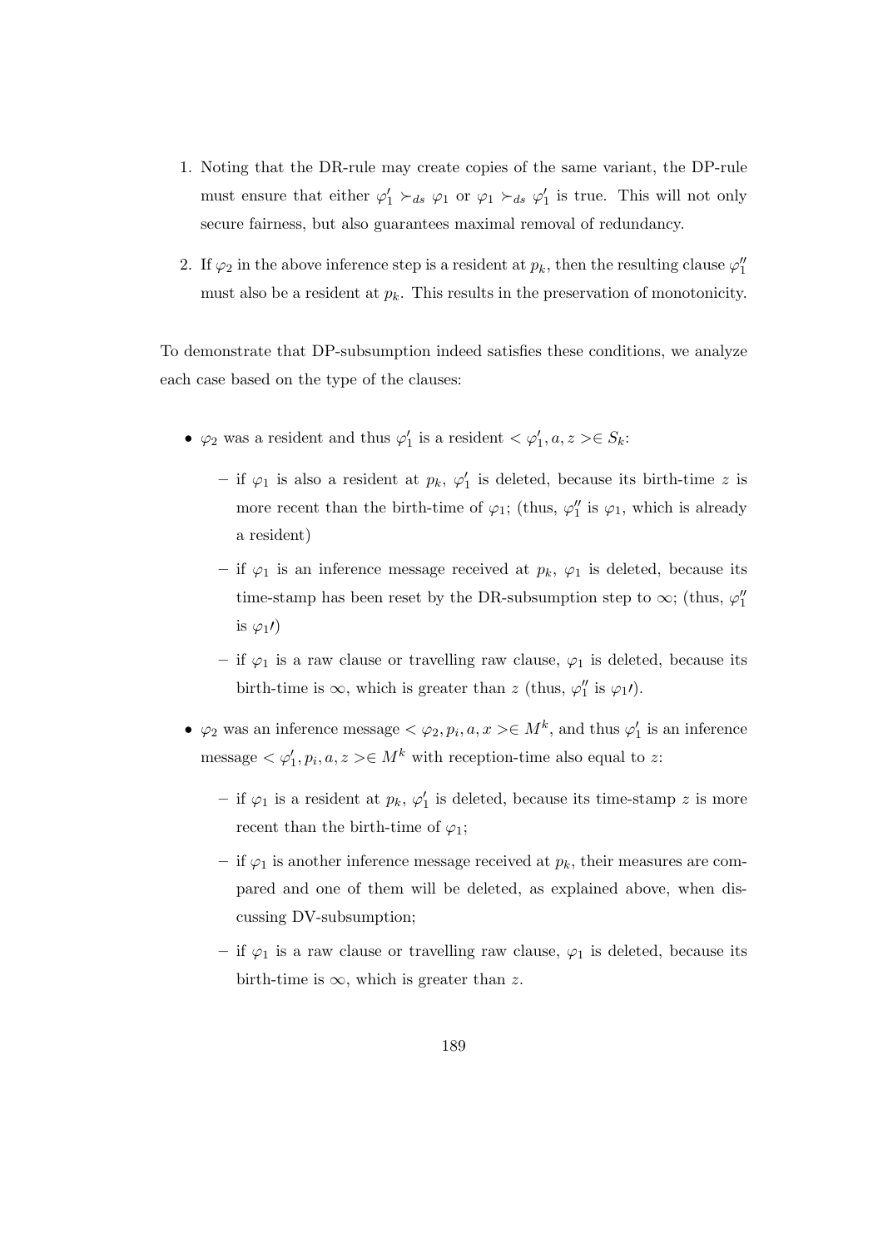- 1. Noting that the DR-rule may create copies of the same variant, the DP-rule must ensure that either  $\varphi'_1 \succ_{ds} \varphi_1$  or  $\varphi_1 \succ_{ds} \varphi'_1$  is true. This will not only secure fairness, but also guarantees maximal removal of redundancy.
- 2. If  $\varphi_2$  in the above inference step is a resident at  $p_k$ , then the resulting clause  $\varphi_1''$ must also be a resident at  $p_k$ . This results in the preservation of monotonicity.

To demonstrate that DP-subsumption indeed satisfies these conditions, we analyze each case based on the type of the clauses:

- $\varphi_2$  was a resident and thus  $\varphi'_1$  is a resident  $\langle \varphi'_1, a, z \rangle \in S_k$ :
	- if  $\varphi_1$  is also a resident at  $p_k$ ,  $\varphi'_1$  is deleted, because its birth-time z is more recent than the birth-time of  $\varphi_1$ ; (thus,  $\varphi_1''$  is  $\varphi_1$ , which is already a resident)
	- if  $\varphi_1$  is an inference message received at  $p_k$ ,  $\varphi_1$  is deleted, because its time-stamp has been reset by the DR-subsumption step to  $\infty$ ; (thus,  $\varphi_1''$ is  $\varphi_1$ *i*)
	- if  $\varphi_1$  is a raw clause or travelling raw clause,  $\varphi_1$  is deleted, because its birth-time is  $\infty$ , which is greater than z (thus,  $\varphi_1''$  is  $\varphi_1'$ ).
- $\varphi_2$  was an inference message  $\langle \varphi_2, p_i, a, x \rangle \in M^k$ , and thus  $\varphi'_1$  is an inference message  $\langle \varphi'_1, p_i, a, z \rangle \in M^k$  with reception-time also equal to z:
	- $-$  if  $\varphi_1$  is a resident at  $p_k$ ,  $\varphi'_1$  is deleted, because its time-stamp z is more recent than the birth-time of  $\varphi_1$ ;
	- if  $\varphi_1$  is another inference message received at  $p_k$ , their measures are compared and one of them will be deleted, as explained above, when discussing DV-subsumption;
	- if  $\varphi_1$  is a raw clause or travelling raw clause,  $\varphi_1$  is deleted, because its birth-time is  $\infty$ , which is greater than z.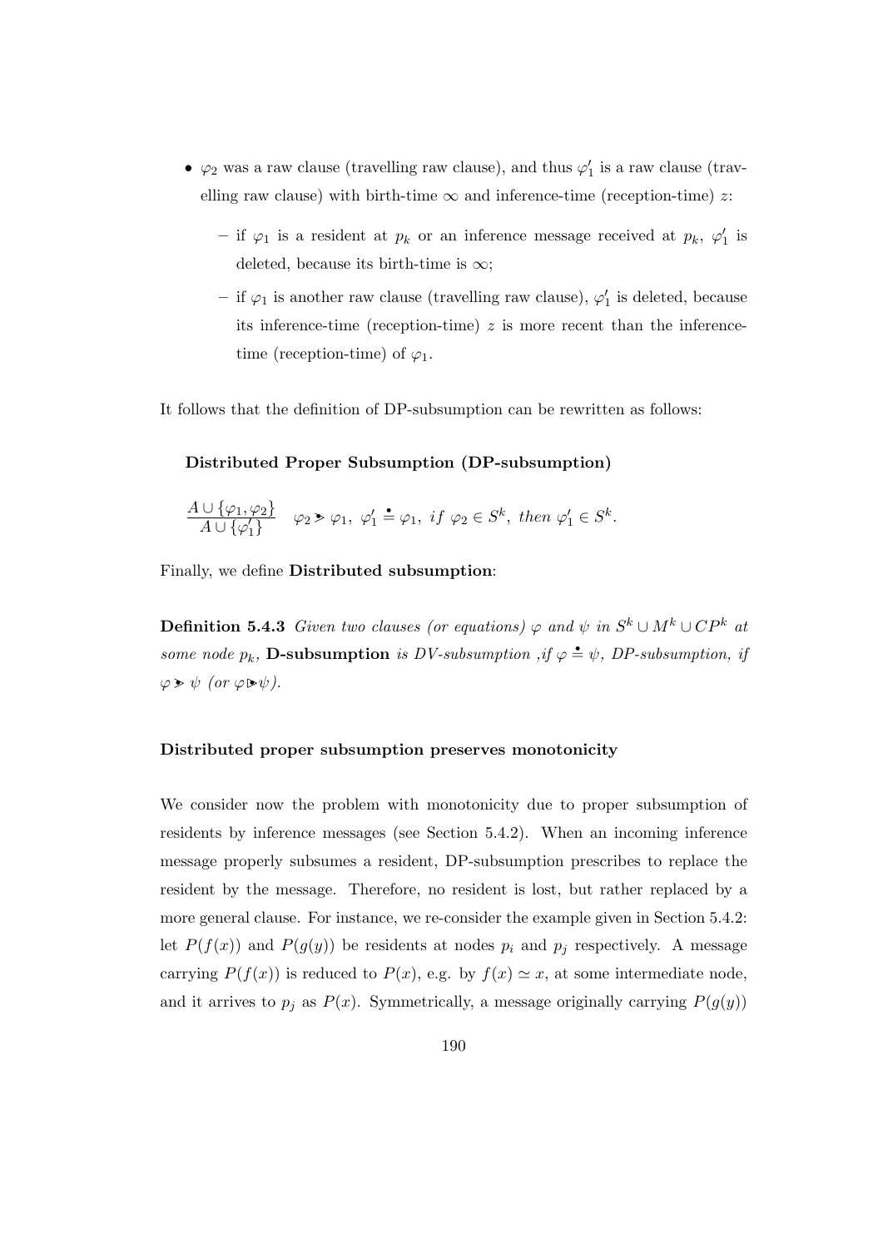- $\varphi_2$  was a raw clause (travelling raw clause), and thus  $\varphi'_1$  is a raw clause (travelling raw clause) with birth-time  $\infty$  and inference-time (reception-time) z:
	- if  $\varphi_1$  is a resident at  $p_k$  or an inference message received at  $p_k$ ,  $\varphi'_1$  is deleted, because its birth-time is  $\infty$ ;
	- $-$  if  $\varphi_1$  is another raw clause (travelling raw clause),  $\varphi_1'$  is deleted, because its inference-time (reception-time)  $z$  is more recent than the inferencetime (reception-time) of  $\varphi_1$ .

It follows that the definition of DP-subsumption can be rewritten as follows:

#### Distributed Proper Subsumption (DP-subsumption)

$$
\frac{A \cup \{\varphi_1, \varphi_2\}}{A \cup \{\varphi_1'\}} \quad \varphi_2 \ge \varphi_1, \ \varphi_1' \stackrel{\bullet}{=} \varphi_1, \ if \ \varphi_2 \in S^k, \ then \ \varphi_1' \in S^k.
$$

Finally, we define Distributed subsumption:

**Definition 5.4.3** Given two clauses (or equations)  $\varphi$  and  $\psi$  in  $S^k \cup M^k \cup CP^k$  at some node  $p_k$ , **D-subsumption** is DV-subsumption, if  $\varphi \triangleq \psi$ , DP-subsumption, if  $\varphi \triangleright \psi$  (or  $\varphi \triangleright \psi$ ).

#### Distributed proper subsumption preserves monotonicity

We consider now the problem with monotonicity due to proper subsumption of residents by inference messages (see Section 5.4.2). When an incoming inference message properly subsumes a resident, DP-subsumption prescribes to replace the resident by the message. Therefore, no resident is lost, but rather replaced by a more general clause. For instance, we re-consider the example given in Section 5.4.2: let  $P(f(x))$  and  $P(g(y))$  be residents at nodes  $p_i$  and  $p_j$  respectively. A message carrying  $P(f(x))$  is reduced to  $P(x)$ , e.g. by  $f(x) \simeq x$ , at some intermediate node, and it arrives to  $p_j$  as  $P(x)$ . Symmetrically, a message originally carrying  $P(g(y))$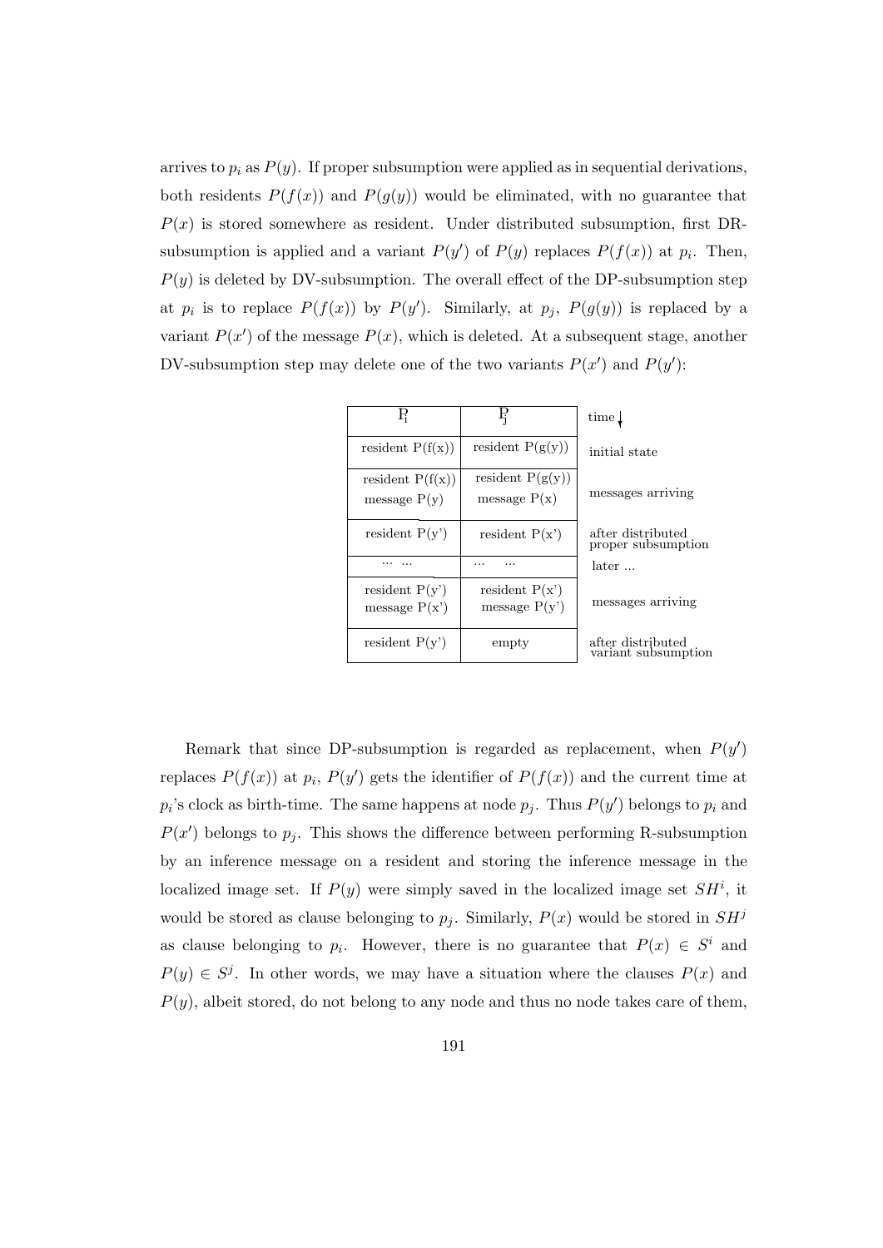arrives to  $p_i$  as  $P(y)$ . If proper subsumption were applied as in sequential derivations, both residents  $P(f(x))$  and  $P(g(y))$  would be eliminated, with no guarantee that  $P(x)$  is stored somewhere as resident. Under distributed subsumption, first DRsubsumption is applied and a variant  $P(y')$  of  $P(y)$  replaces  $P(f(x))$  at  $p_i$ . Then,  $P(y)$  is deleted by DV-subsumption. The overall effect of the DP-subsumption step at  $p_i$  is to replace  $P(f(x))$  by  $P(y')$ . Similarly, at  $p_j$ ,  $P(g(y))$  is replaced by a variant  $P(x')$  of the message  $P(x)$ , which is deleted. At a subsequent stage, another DV-subsumption step may delete one of the two variants  $P(x')$  and  $P(y')$ :

| $\rm P_i$                            | Ę                                    | time $\downarrow$    |
|--------------------------------------|--------------------------------------|----------------------|
| resident $P(f(x))$                   | resident $P(g(y))$                   | initial s            |
| resident $P(f(x))$<br>message $P(y)$ | resident $P(g(y))$<br>message $P(x)$ | message              |
| resident $P(y')$                     | resident $P(x')$                     | after dis<br>proper: |
|                                      |                                      | later                |
| resident $P(y')$<br>message $P(x')$  | resident $P(x')$<br>message $P(y')$  | messag               |
| resident $P(y')$                     | empty                                | after dis<br>variant |

variant subsumption after distributed

Remark that since DP-subsumption is regarded as replacement, when  $P(y')$ replaces  $P(f(x))$  at  $p_i$ ,  $P(y')$  gets the identifier of  $P(f(x))$  and the current time at  $p_i$ 's clock as birth-time. The same happens at node  $p_j$ . Thus  $P(y')$  belongs to  $p_i$  and  $P(x')$  belongs to  $p_j$ . This shows the difference between performing R-subsumption by an inference message on a resident and storing the inference message in the localized image set. If  $P(y)$  were simply saved in the localized image set  $SH^i$ , it would be stored as clause belonging to  $p_j$ . Similarly,  $P(x)$  would be stored in  $SH^j$ as clause belonging to  $p_i$ . However, there is no guarantee that  $P(x) \in S^i$  and  $P(y) \in S^j$ . In other words, we may have a situation where the clauses  $P(x)$  and  $P(y)$ , albeit stored, do not belong to any node and thus no node takes care of them,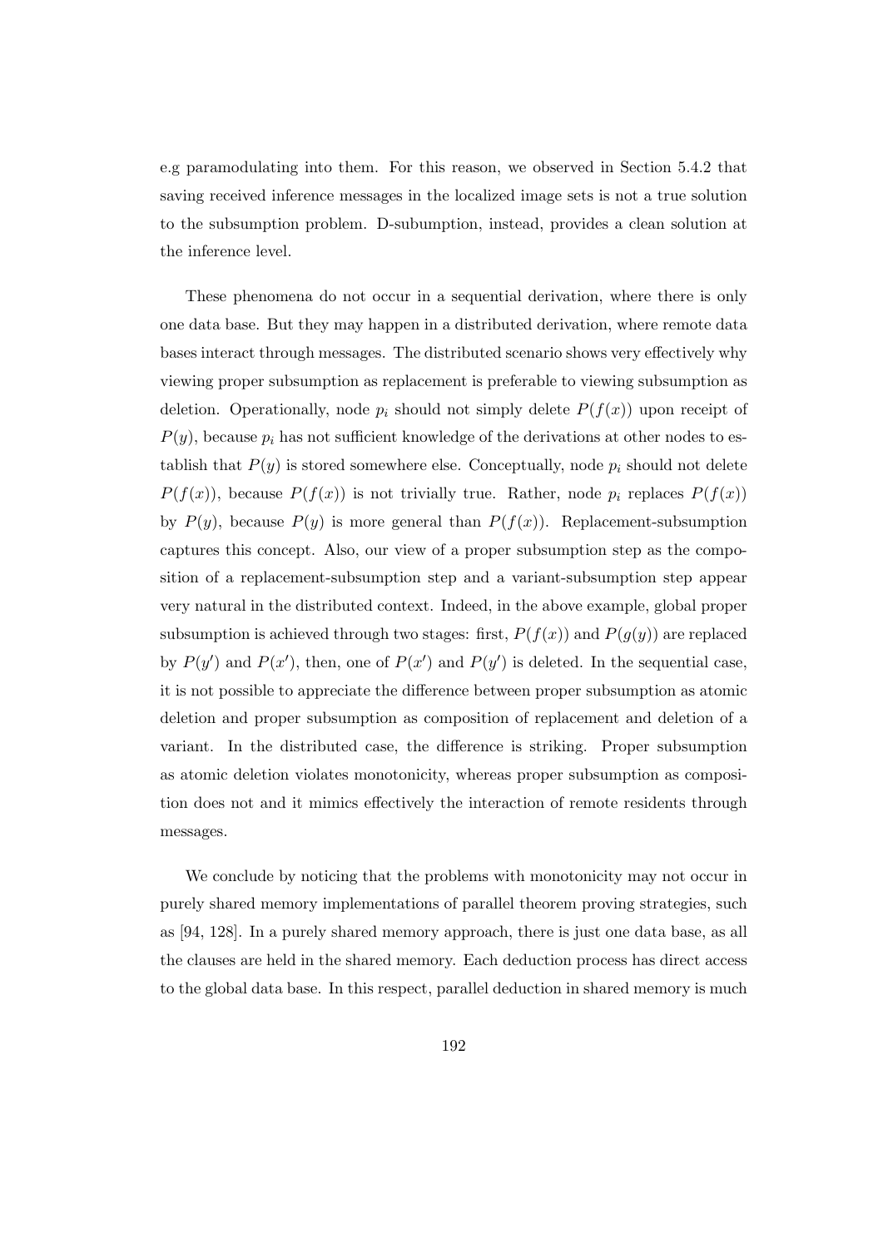e.g paramodulating into them. For this reason, we observed in Section 5.4.2 that saving received inference messages in the localized image sets is not a true solution to the subsumption problem. D-subumption, instead, provides a clean solution at the inference level.

These phenomena do not occur in a sequential derivation, where there is only one data base. But they may happen in a distributed derivation, where remote data bases interact through messages. The distributed scenario shows very effectively why viewing proper subsumption as replacement is preferable to viewing subsumption as deletion. Operationally, node  $p_i$  should not simply delete  $P(f(x))$  upon receipt of  $P(y)$ , because  $p_i$  has not sufficient knowledge of the derivations at other nodes to establish that  $P(y)$  is stored somewhere else. Conceptually, node  $p_i$  should not delete  $P(f(x))$ , because  $P(f(x))$  is not trivially true. Rather, node  $p_i$  replaces  $P(f(x))$ by  $P(y)$ , because  $P(y)$  is more general than  $P(f(x))$ . Replacement-subsumption captures this concept. Also, our view of a proper subsumption step as the composition of a replacement-subsumption step and a variant-subsumption step appear very natural in the distributed context. Indeed, in the above example, global proper subsumption is achieved through two stages: first,  $P(f(x))$  and  $P(g(y))$  are replaced by  $P(y')$  and  $P(x')$ , then, one of  $P(x')$  and  $P(y')$  is deleted. In the sequential case, it is not possible to appreciate the difference between proper subsumption as atomic deletion and proper subsumption as composition of replacement and deletion of a variant. In the distributed case, the difference is striking. Proper subsumption as atomic deletion violates monotonicity, whereas proper subsumption as composition does not and it mimics effectively the interaction of remote residents through messages.

We conclude by noticing that the problems with monotonicity may not occur in purely shared memory implementations of parallel theorem proving strategies, such as [94, 128]. In a purely shared memory approach, there is just one data base, as all the clauses are held in the shared memory. Each deduction process has direct access to the global data base. In this respect, parallel deduction in shared memory is much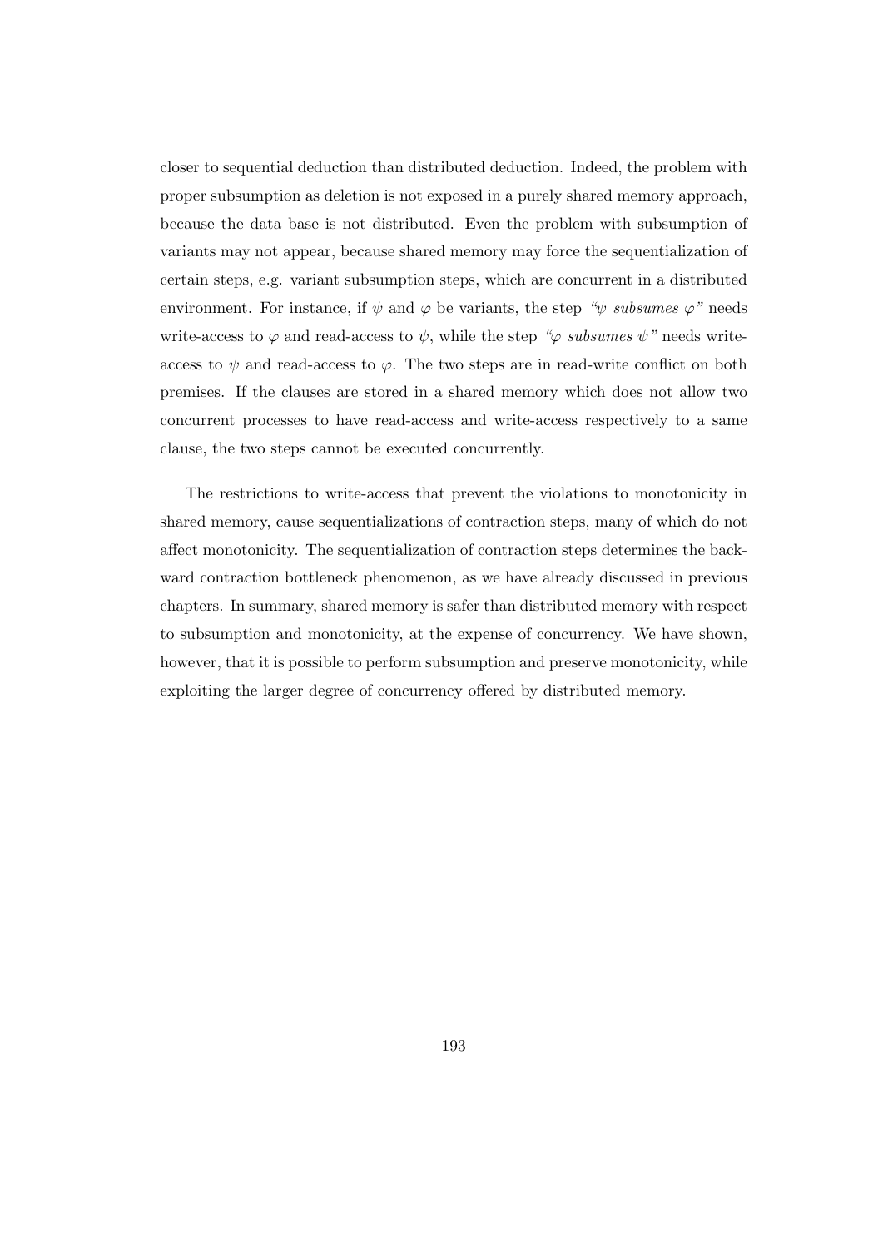closer to sequential deduction than distributed deduction. Indeed, the problem with proper subsumption as deletion is not exposed in a purely shared memory approach, because the data base is not distributed. Even the problem with subsumption of variants may not appear, because shared memory may force the sequentialization of certain steps, e.g. variant subsumption steps, which are concurrent in a distributed environment. For instance, if  $\psi$  and  $\varphi$  be variants, the step " $\psi$  subsumes  $\varphi$ " needs write-access to  $\varphi$  and read-access to  $\psi$ , while the step " $\varphi$  subsumes  $\psi$ " needs writeaccess to  $\psi$  and read-access to  $\varphi$ . The two steps are in read-write conflict on both premises. If the clauses are stored in a shared memory which does not allow two concurrent processes to have read-access and write-access respectively to a same clause, the two steps cannot be executed concurrently.

The restrictions to write-access that prevent the violations to monotonicity in shared memory, cause sequentializations of contraction steps, many of which do not affect monotonicity. The sequentialization of contraction steps determines the backward contraction bottleneck phenomenon, as we have already discussed in previous chapters. In summary, shared memory is safer than distributed memory with respect to subsumption and monotonicity, at the expense of concurrency. We have shown, however, that it is possible to perform subsumption and preserve monotonicity, while exploiting the larger degree of concurrency offered by distributed memory.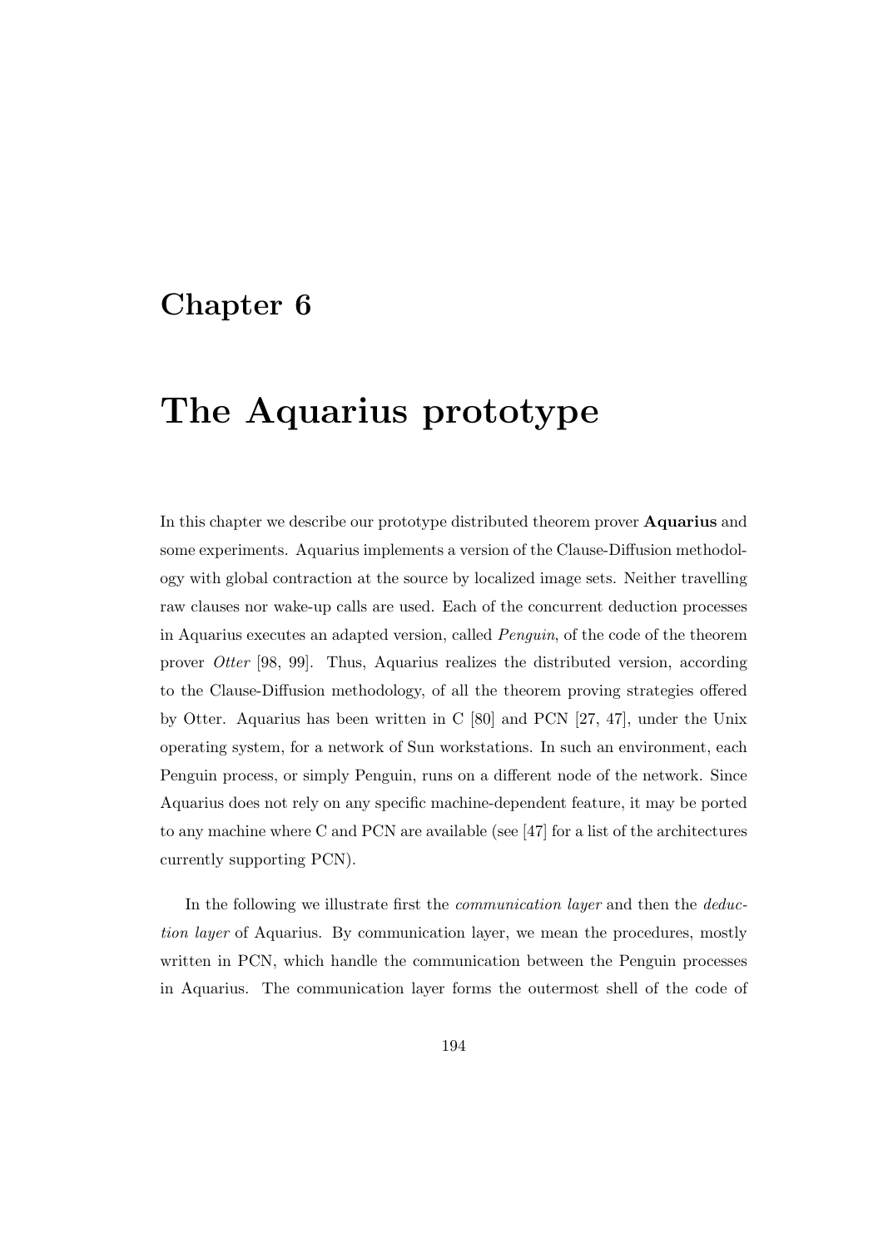# Chapter 6

# The Aquarius prototype

In this chapter we describe our prototype distributed theorem prover Aquarius and some experiments. Aquarius implements a version of the Clause-Diffusion methodology with global contraction at the source by localized image sets. Neither travelling raw clauses nor wake-up calls are used. Each of the concurrent deduction processes in Aquarius executes an adapted version, called Penguin, of the code of the theorem prover Otter [98, 99]. Thus, Aquarius realizes the distributed version, according to the Clause-Diffusion methodology, of all the theorem proving strategies offered by Otter. Aquarius has been written in C [80] and PCN [27, 47], under the Unix operating system, for a network of Sun workstations. In such an environment, each Penguin process, or simply Penguin, runs on a different node of the network. Since Aquarius does not rely on any specific machine-dependent feature, it may be ported to any machine where C and PCN are available (see [47] for a list of the architectures currently supporting PCN).

In the following we illustrate first the *communication layer* and then the *deduc*tion layer of Aquarius. By communication layer, we mean the procedures, mostly written in PCN, which handle the communication between the Penguin processes in Aquarius. The communication layer forms the outermost shell of the code of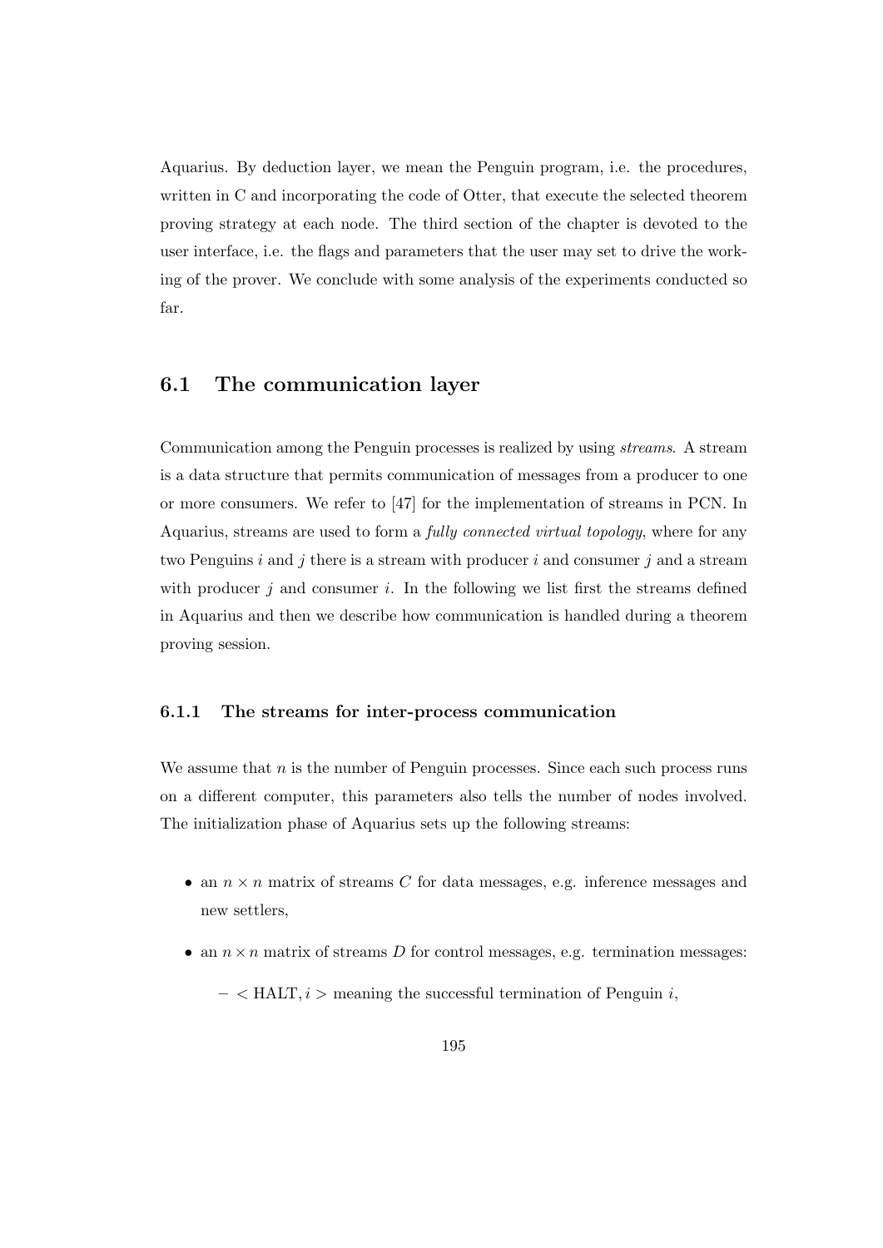Aquarius. By deduction layer, we mean the Penguin program, i.e. the procedures, written in C and incorporating the code of Otter, that execute the selected theorem proving strategy at each node. The third section of the chapter is devoted to the user interface, i.e. the flags and parameters that the user may set to drive the working of the prover. We conclude with some analysis of the experiments conducted so far.

# 6.1 The communication layer

Communication among the Penguin processes is realized by using streams. A stream is a data structure that permits communication of messages from a producer to one or more consumers. We refer to [47] for the implementation of streams in PCN. In Aquarius, streams are used to form a fully connected virtual topology, where for any two Penguins  $i$  and  $j$  there is a stream with producer  $i$  and consumer  $j$  and a stream with producer  $j$  and consumer  $i$ . In the following we list first the streams defined in Aquarius and then we describe how communication is handled during a theorem proving session.

#### 6.1.1 The streams for inter-process communication

We assume that  $n$  is the number of Penguin processes. Since each such process runs on a different computer, this parameters also tells the number of nodes involved. The initialization phase of Aquarius sets up the following streams:

- an  $n \times n$  matrix of streams C for data messages, e.g. inference messages and new settlers,
- an  $n \times n$  matrix of streams D for control messages, e.g. termination messages:
	- $-$  < HALT,  $i$  > meaning the successful termination of Penguin  $i$ ,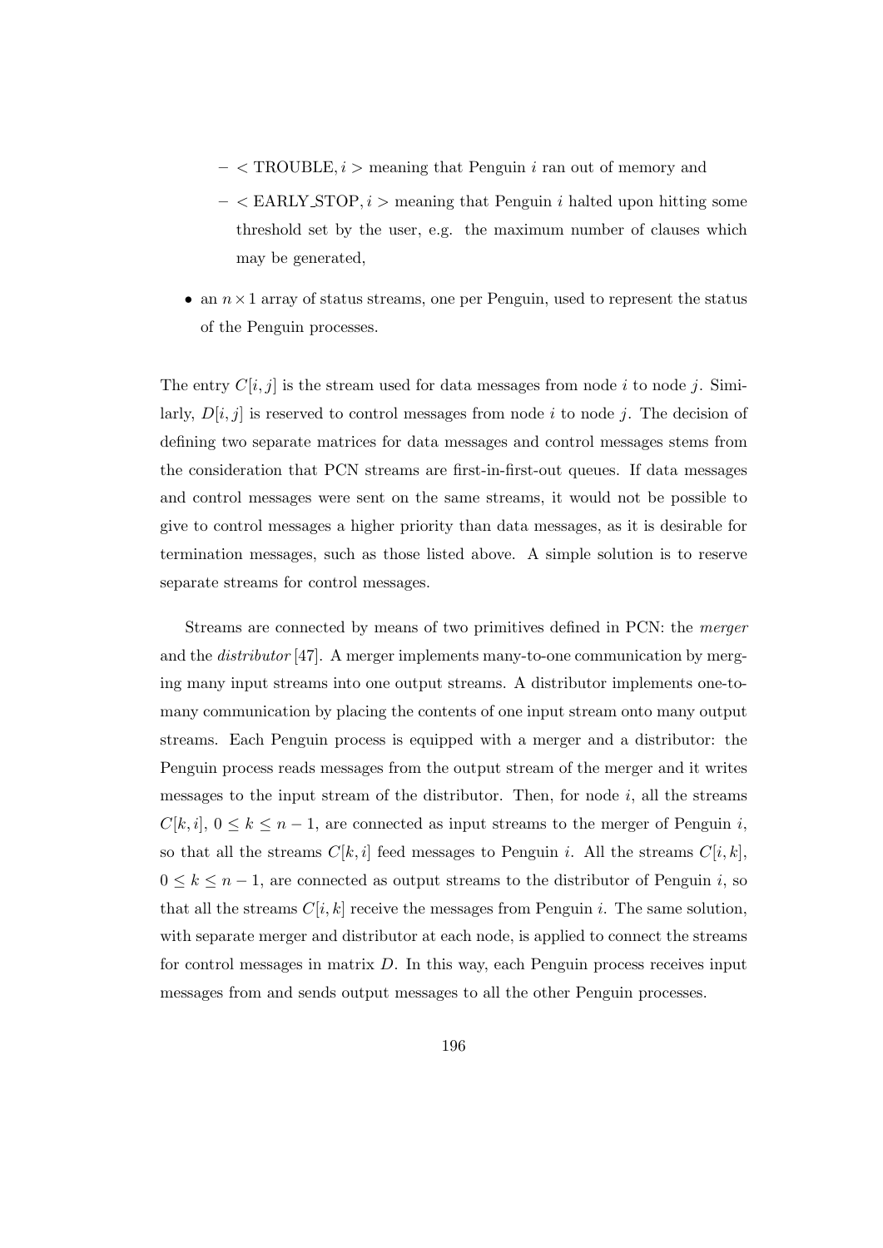- $-$  < TROUBLE,  $i$  > meaning that Penguin i ran out of memory and
- $-$  < EARLY\_STOP,  $i$  > meaning that Penguin i halted upon hitting some threshold set by the user, e.g. the maximum number of clauses which may be generated,
- an  $n \times 1$  array of status streams, one per Penguin, used to represent the status of the Penguin processes.

The entry  $C[i, j]$  is the stream used for data messages from node i to node j. Similarly,  $D[i, j]$  is reserved to control messages from node i to node j. The decision of defining two separate matrices for data messages and control messages stems from the consideration that PCN streams are first-in-first-out queues. If data messages and control messages were sent on the same streams, it would not be possible to give to control messages a higher priority than data messages, as it is desirable for termination messages, such as those listed above. A simple solution is to reserve separate streams for control messages.

Streams are connected by means of two primitives defined in PCN: the merger and the distributor [47]. A merger implements many-to-one communication by merging many input streams into one output streams. A distributor implements one-tomany communication by placing the contents of one input stream onto many output streams. Each Penguin process is equipped with a merger and a distributor: the Penguin process reads messages from the output stream of the merger and it writes messages to the input stream of the distributor. Then, for node  $i$ , all the streams  $C[k, i], 0 \leq k \leq n-1$ , are connected as input streams to the merger of Penguin i, so that all the streams  $C[k, i]$  feed messages to Penguin i. All the streams  $C[i, k]$ ,  $0 \leq k \leq n-1$ , are connected as output streams to the distributor of Penguin i, so that all the streams  $C[i, k]$  receive the messages from Penguin i. The same solution, with separate merger and distributor at each node, is applied to connect the streams for control messages in matrix  $D$ . In this way, each Penguin process receives input messages from and sends output messages to all the other Penguin processes.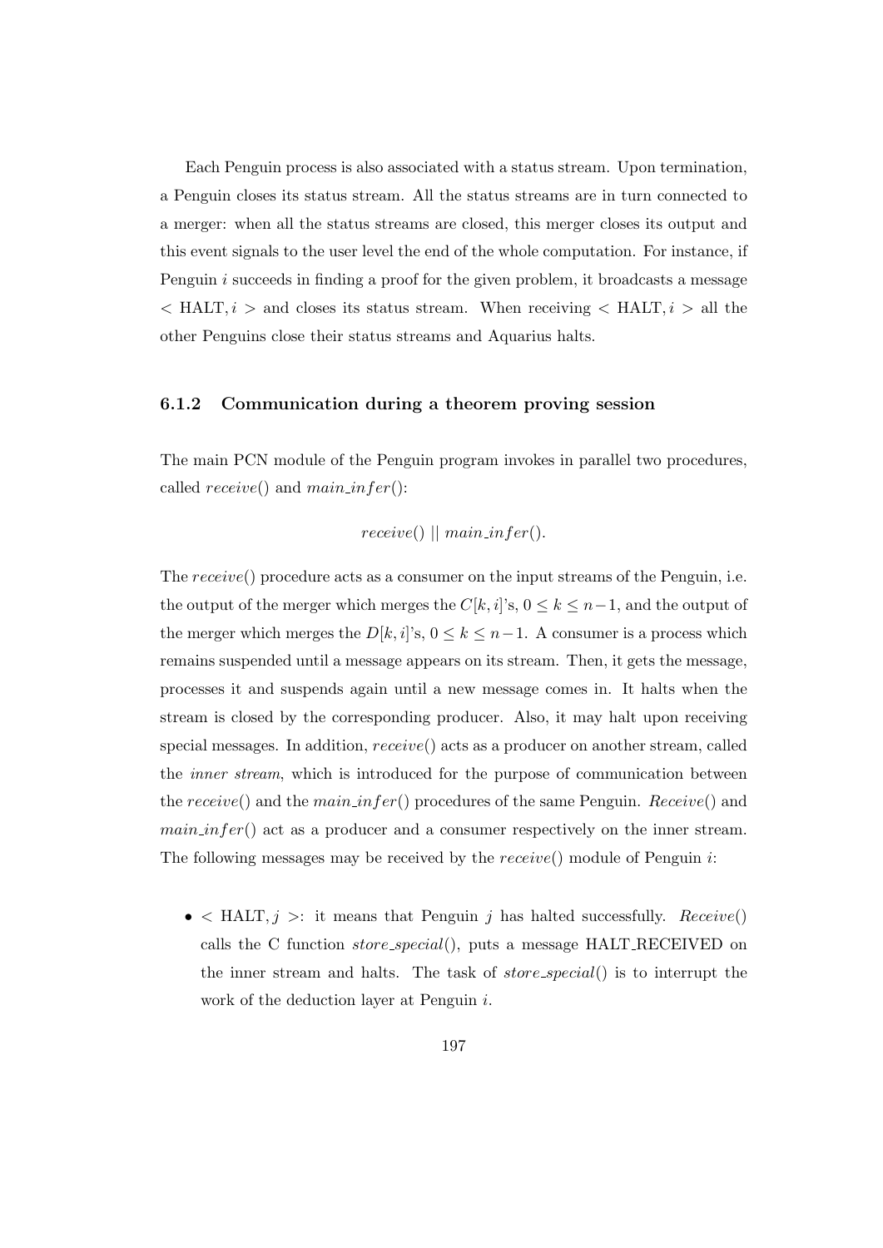Each Penguin process is also associated with a status stream. Upon termination, a Penguin closes its status stream. All the status streams are in turn connected to a merger: when all the status streams are closed, this merger closes its output and this event signals to the user level the end of the whole computation. For instance, if Penguin *i* succeeds in finding a proof for the given problem, it broadcasts a message  $\langle$  HALT,  $i$  > and closes its status stream. When receiving  $\langle$  HALT,  $i$  > all the other Penguins close their status streams and Aquarius halts.

#### 6.1.2 Communication during a theorem proving session

The main PCN module of the Penguin program invokes in parallel two procedures, called  $receive()$  and  $main_$ 

$$
receive() || main_info()
$$
.

The receive() procedure acts as a consumer on the input streams of the Penguin, i.e. the output of the merger which merges the  $C[k, i]$ 's,  $0 \leq k \leq n-1$ , and the output of the merger which merges the  $D[k, i]$ 's,  $0 \le k \le n-1$ . A consumer is a process which remains suspended until a message appears on its stream. Then, it gets the message, processes it and suspends again until a new message comes in. It halts when the stream is closed by the corresponding producer. Also, it may halt upon receiving special messages. In addition, receive() acts as a producer on another stream, called the inner stream, which is introduced for the purpose of communication between the receive() and the main infer() procedures of the same Penguin. Receive() and  $main_infer()$  act as a producer and a consumer respectively on the inner stream. The following messages may be received by the  $receive()$  module of Penguin  $i$ :

•  $\leq$  HALT,  $j >:$  it means that Penguin j has halted successfully. Receive() calls the C function store special(), puts a message HALT RECEIVED on the inner stream and halts. The task of  $store\_special()$  is to interrupt the work of the deduction layer at Penguin i.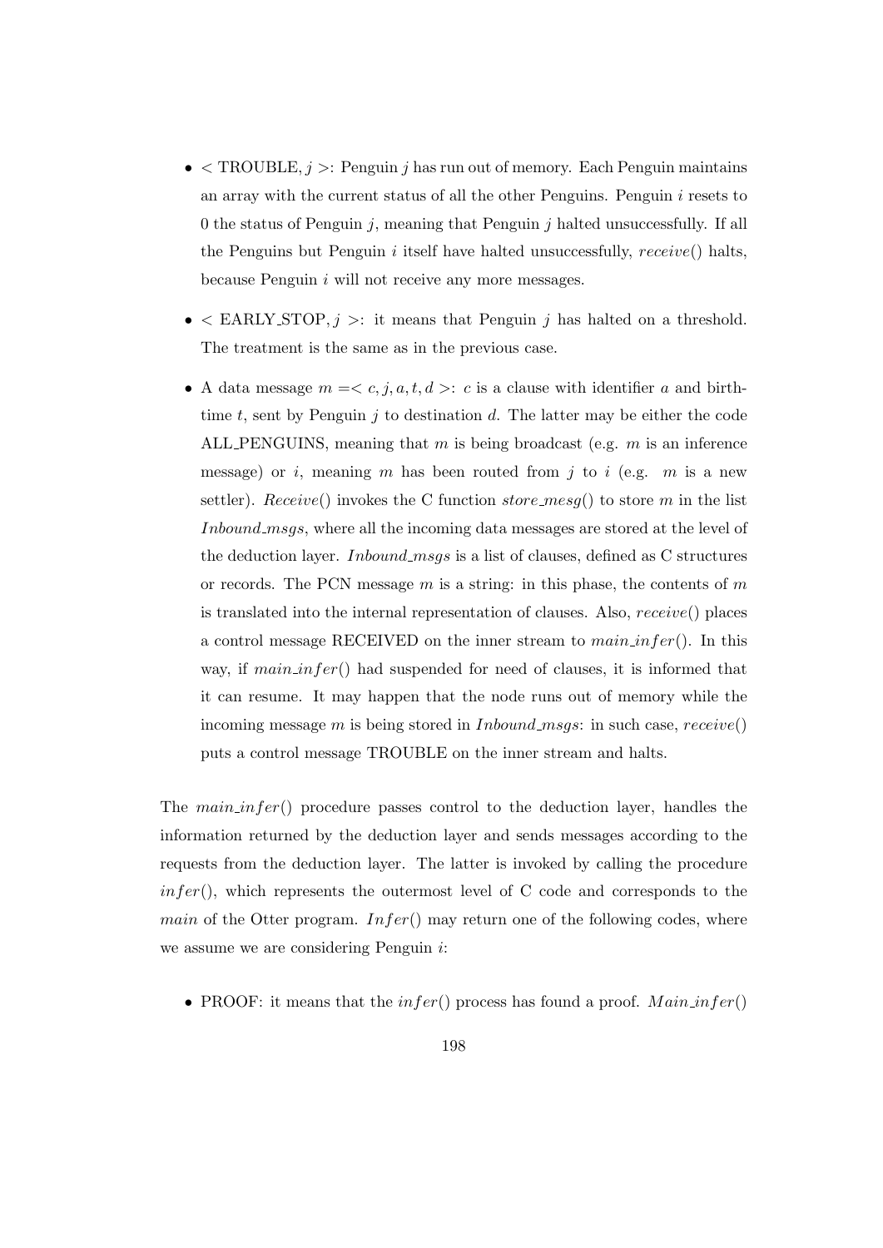- $\bullet$  < TROUBLE,  $j$  >: Penguin j has run out of memory. Each Penguin maintains an array with the current status of all the other Penguins. Penguin i resets to 0 the status of Penguin  $j$ , meaning that Penguin  $j$  halted unsuccessfully. If all the Penguins but Penguin i itself have halted unsuccessfully,  $receive()$  halts, because Penguin i will not receive any more messages.
- $\bullet$  < EARLY\_STOP,  $j >:$  it means that Penguin j has halted on a threshold. The treatment is the same as in the previous case.
- A data message  $m = < c, j, a, t, d >: c$  is a clause with identifier a and birthtime t, sent by Penguin  $j$  to destination d. The latter may be either the code ALL PENGUINS, meaning that m is being broadcast (e.g.  $m$  is an inference message) or i, meaning m has been routed from j to i (e.g. m is a new settler). Receive() invokes the C function store mess () to store m in the list Inbound msgs, where all the incoming data messages are stored at the level of the deduction layer. *Inbound msgs* is a list of clauses, defined as C structures or records. The PCN message  $m$  is a string: in this phase, the contents of  $m$ is translated into the internal representation of clauses. Also, receive() places a control message RECEIVED on the inner stream to  $mainfer()$ . In this way, if  $main_infer()$  had suspended for need of clauses, it is informed that it can resume. It may happen that the node runs out of memory while the incoming message m is being stored in *Inbound msgs*: in such case,  $receiver()$ puts a control message TROUBLE on the inner stream and halts.

The  $main_$  infer() procedure passes control to the deduction layer, handles the information returned by the deduction layer and sends messages according to the requests from the deduction layer. The latter is invoked by calling the procedure  $infer(),$  which represents the outermost level of C code and corresponds to the *main* of the Otter program.  $Infer()$  may return one of the following codes, where we assume we are considering Penguin i:

• PROOF: it means that the  $infer()$  process has found a proof.  $Main_info()$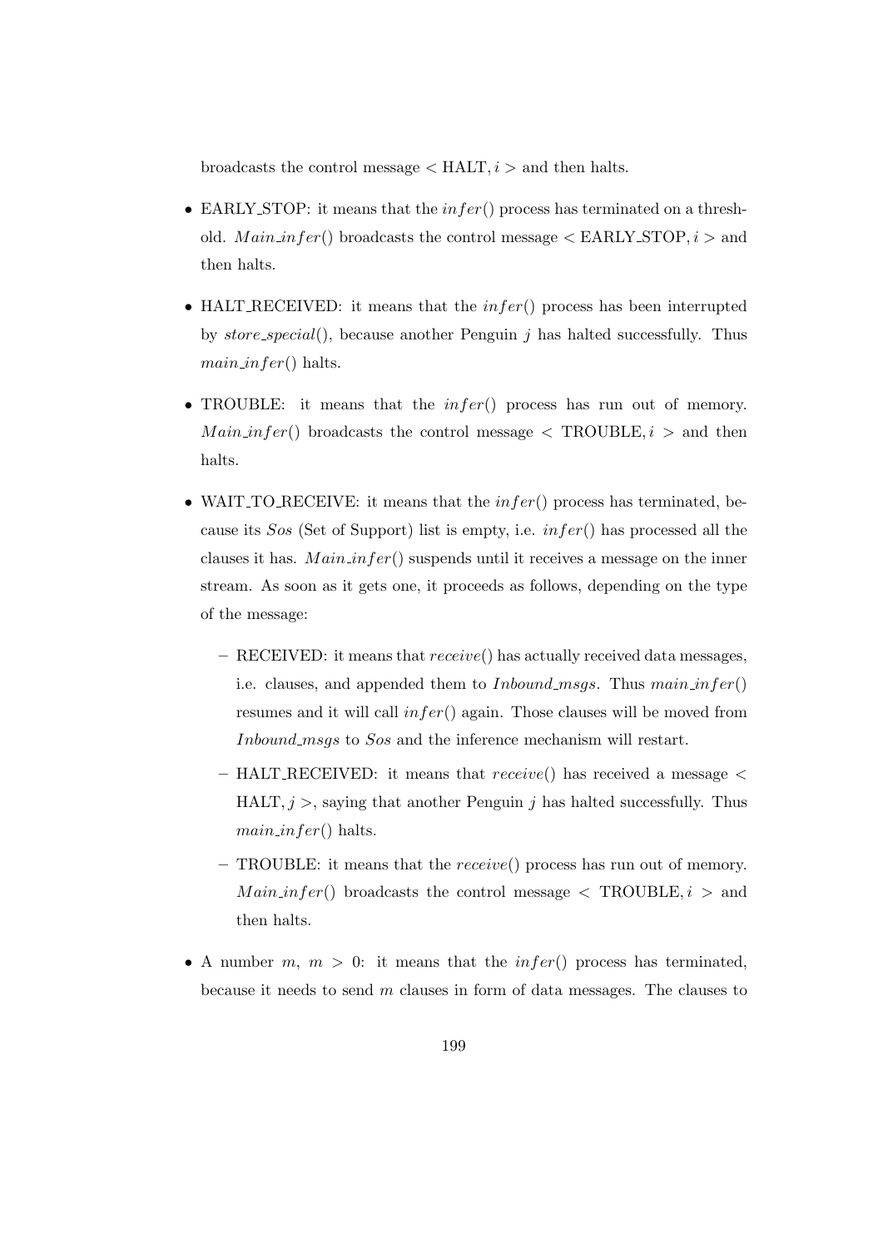broadcasts the control message  $\langle \text{HALT}, i \rangle$  and then halts.

- EARLY STOP: it means that the  $infer()$  process has terminated on a threshold.  $Main_infer()$  broadcasts the control message  $\langle$  EARLY\_STOP,  $i$   $>$  and then halts.
- HALT\_RECEIVED: it means that the  $infer()$  process has been interrupted by store special(), because another Penguin  $j$  has halted successfully. Thus  $main_$ (fer() halts.
- TROUBLE: it means that the  $infer()$  process has run out of memory.  $Main_infer()$  broadcasts the control message  $\langle$  TROUBLE,  $i >$  and then halts.
- WAIT\_TO\_RECEIVE: it means that the  $infer()$  process has terminated, because its Sos (Set of Support) list is empty, i.e. infer() has processed all the clauses it has.  $Main_infor()$  suspends until it receives a message on the inner stream. As soon as it gets one, it proceeds as follows, depending on the type of the message:
	- $-$  RECEIVED: it means that  $receive()$  has actually received data messages, i.e. clauses, and appended them to *Inbound\_msgs*. Thus  $main_$ resumes and it will call  $infer()$  again. Those clauses will be moved from Inbound msgs to Sos and the inference mechanism will restart.
	- HALT\_RECEIVED: it means that  $receive()$  has received a message  $\leq$ HALT,  $j >$ , saying that another Penguin j has halted successfully. Thus  $main_$  in fer() halts.
	- TROUBLE: it means that the receive() process has run out of memory.  $Main\text{-}infer()$  broadcasts the control message  $\langle$  TROUBLE,  $i$   $>$  and then halts.
- A number  $m, m > 0$ : it means that the  $infer()$  process has terminated, because it needs to send  $m$  clauses in form of data messages. The clauses to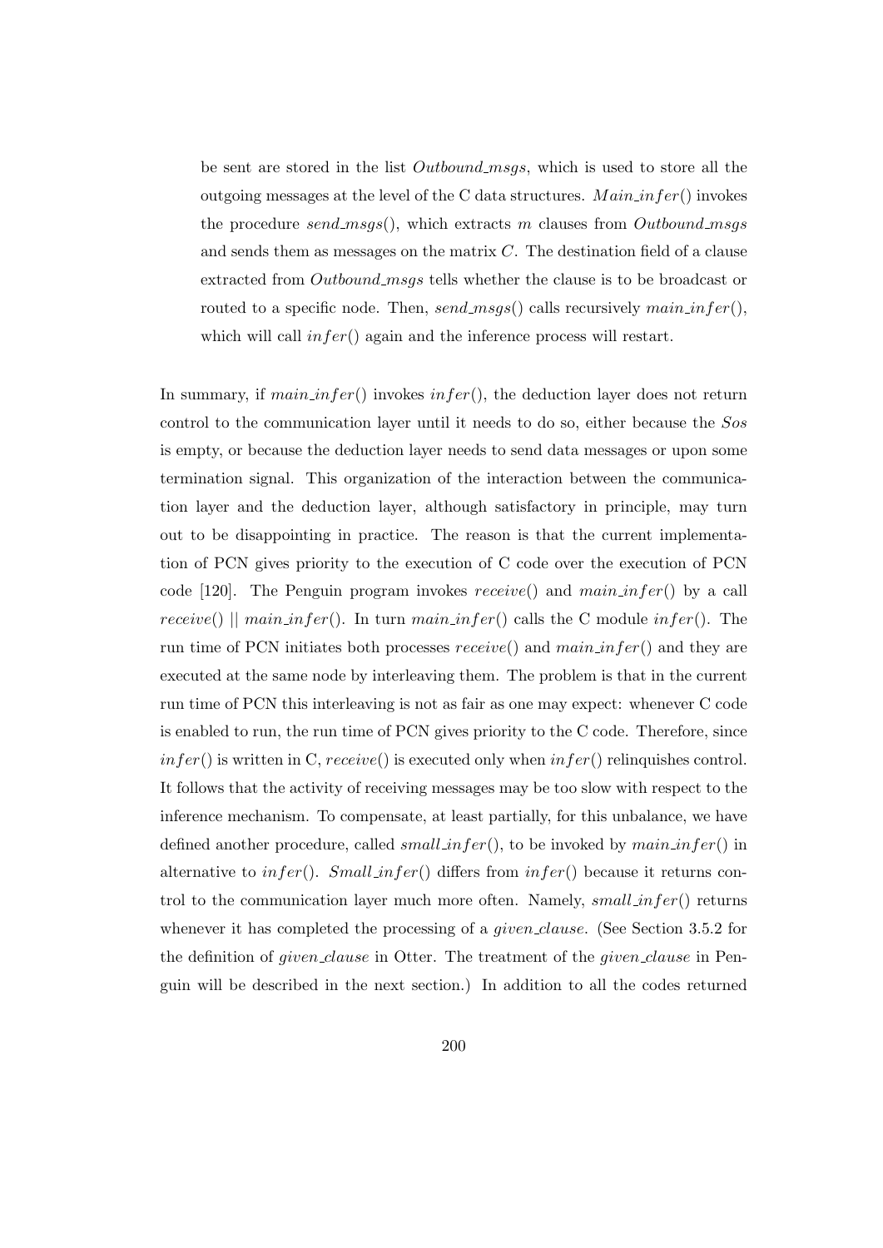be sent are stored in the list *Outbound\_msgs*, which is used to store all the outgoing messages at the level of the C data structures.  $Main_info()$  invokes the procedure send msgs(), which extracts m clauses from Outbound msgs and sends them as messages on the matrix C. The destination field of a clause extracted from *Outbound\_msgs* tells whether the clause is to be broadcast or routed to a specific node. Then,  $send\_msgs()$  calls recursively  $mainfer(),$ which will call  $infer()$  again and the inference process will restart.

In summary, if  $main\_infer()$  invokes  $infer(),$  the deduction layer does not return control to the communication layer until it needs to do so, either because the Sos is empty, or because the deduction layer needs to send data messages or upon some termination signal. This organization of the interaction between the communication layer and the deduction layer, although satisfactory in principle, may turn out to be disappointing in practice. The reason is that the current implementation of PCN gives priority to the execution of C code over the execution of PCN code [120]. The Penguin program invokes  $receive()$  and  $main_infer()$  by a call receive()  $\parallel$  main\_infer(). In turn main\_infer() calls the C module infer(). The run time of PCN initiates both processes  $receive()$  and  $main_infer()$  and they are executed at the same node by interleaving them. The problem is that in the current run time of PCN this interleaving is not as fair as one may expect: whenever C code is enabled to run, the run time of PCN gives priority to the C code. Therefore, since  $infer()$  is written in C,  $receive()$  is executed only when  $infer()$  relinquishes control. It follows that the activity of receiving messages may be too slow with respect to the inference mechanism. To compensate, at least partially, for this unbalance, we have defined another procedure, called  $small\_infer()$ , to be invoked by  $main_inter()$  in alternative to  $infer()$ . Small infer() differs from  $infer()$  because it returns control to the communication layer much more often. Namely,  $small\_infer()$  returns whenever it has completed the processing of a *given clause*. (See Section 3.5.2 for the definition of *given clause* in Otter. The treatment of the *given clause* in Penguin will be described in the next section.) In addition to all the codes returned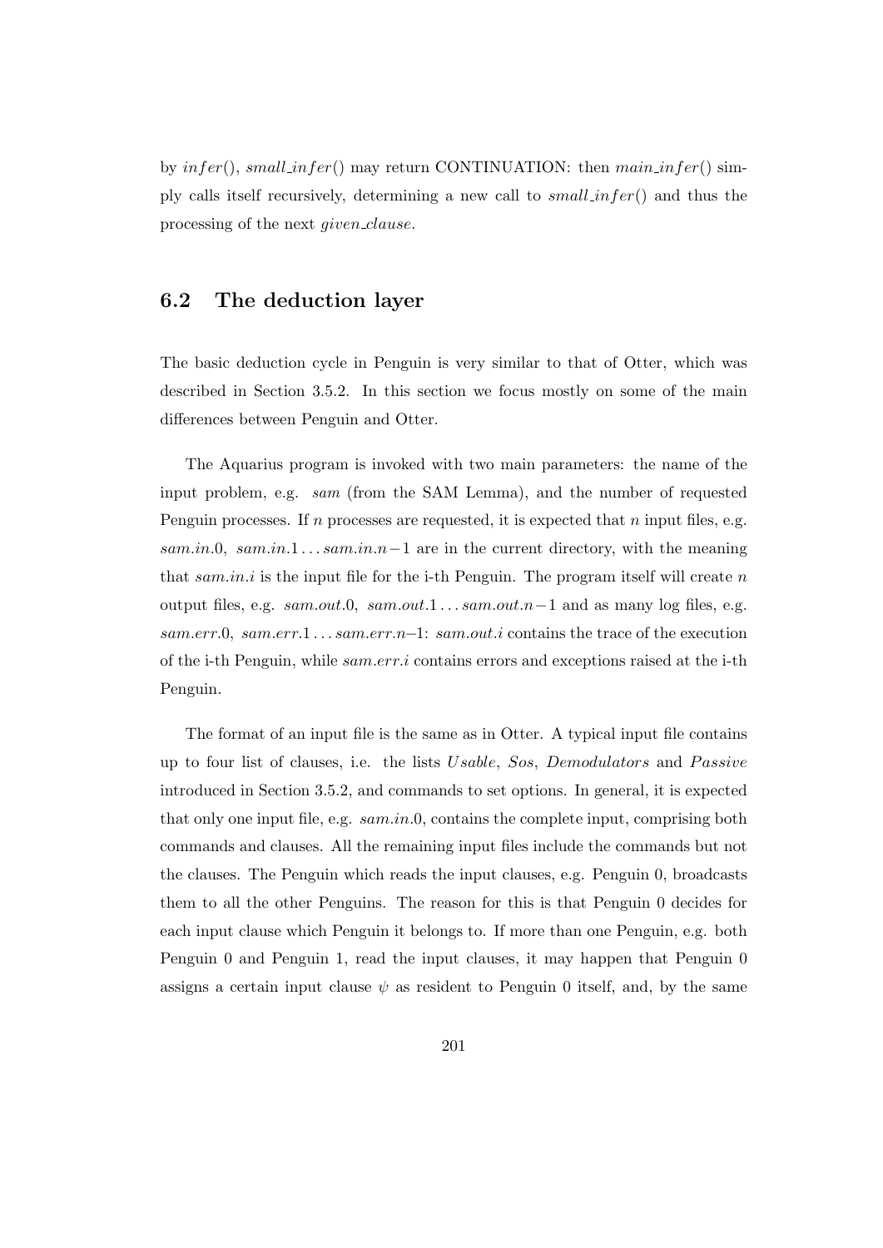by  $infer(), small_infer()$  may return CONTINUATION: then  $mainfer()$  simply calls itself recursively, determining a new call to small infer() and thus the processing of the next given clause.

# 6.2 The deduction layer

The basic deduction cycle in Penguin is very similar to that of Otter, which was described in Section 3.5.2. In this section we focus mostly on some of the main differences between Penguin and Otter.

The Aquarius program is invoked with two main parameters: the name of the input problem, e.g. sam (from the SAM Lemma), and the number of requested Penguin processes. If n processes are requested, it is expected that n input files, e.g.  $sam.in.0, sam.in.1... sam.in.n-1$  are in the current directory, with the meaning that sam.in.i is the input file for the i-th Penguin. The program itself will create n output files, e.g.  $sam.out.0$ ,  $sam.out.1... sam.out.n-1$  and as many log files, e.g. sam.err.0, sam.err.1 . . . sam.err.n−1: sam.out.i contains the trace of the execution of the i-th Penguin, while sam.err.i contains errors and exceptions raised at the i-th Penguin.

The format of an input file is the same as in Otter. A typical input file contains up to four list of clauses, i.e. the lists  $Usable$ , Sos, Demodulators and Passive introduced in Section 3.5.2, and commands to set options. In general, it is expected that only one input file, e.g.  $sam.in.0$ , contains the complete input, comprising both commands and clauses. All the remaining input files include the commands but not the clauses. The Penguin which reads the input clauses, e.g. Penguin 0, broadcasts them to all the other Penguins. The reason for this is that Penguin 0 decides for each input clause which Penguin it belongs to. If more than one Penguin, e.g. both Penguin 0 and Penguin 1, read the input clauses, it may happen that Penguin 0 assigns a certain input clause  $\psi$  as resident to Penguin 0 itself, and, by the same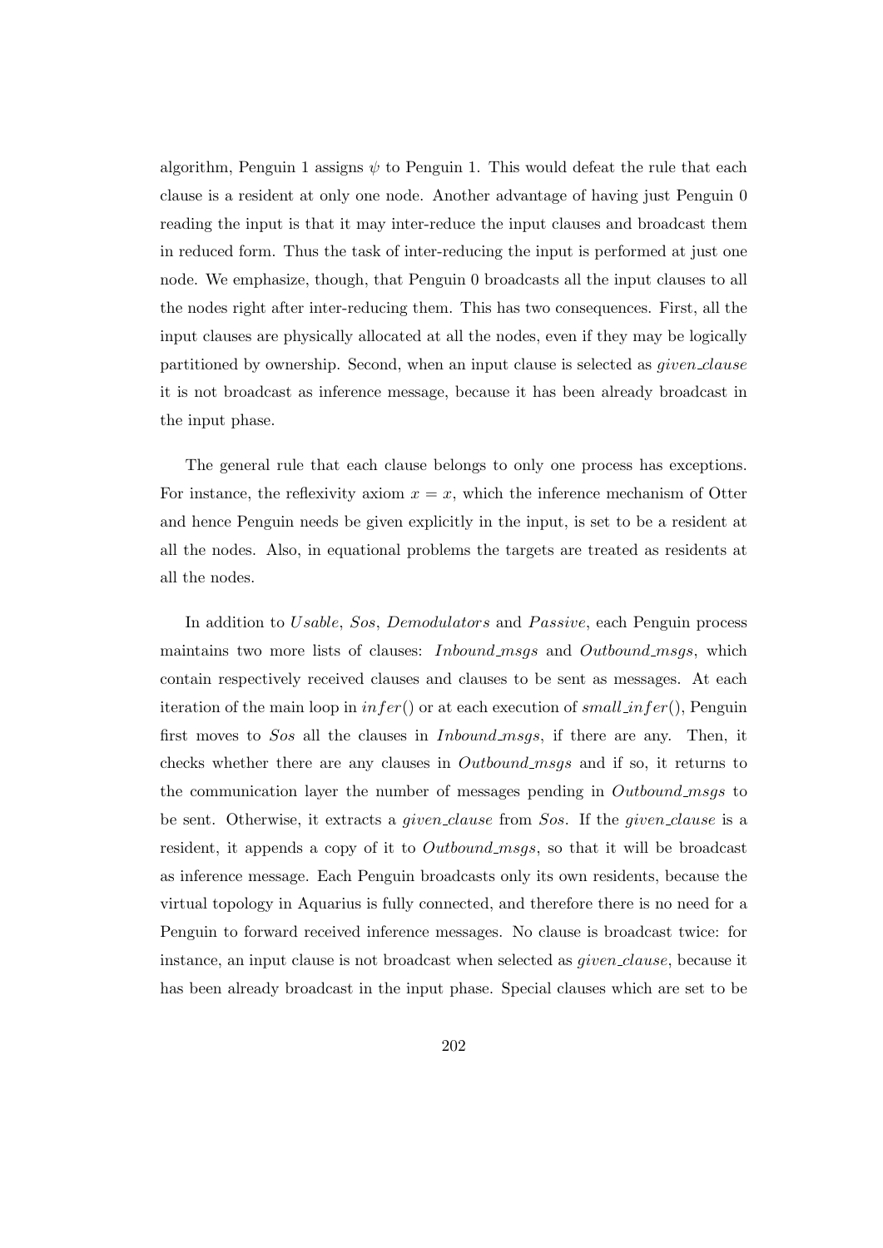algorithm, Penguin 1 assigns  $\psi$  to Penguin 1. This would defeat the rule that each clause is a resident at only one node. Another advantage of having just Penguin 0 reading the input is that it may inter-reduce the input clauses and broadcast them in reduced form. Thus the task of inter-reducing the input is performed at just one node. We emphasize, though, that Penguin 0 broadcasts all the input clauses to all the nodes right after inter-reducing them. This has two consequences. First, all the input clauses are physically allocated at all the nodes, even if they may be logically partitioned by ownership. Second, when an input clause is selected as *given\_clause* it is not broadcast as inference message, because it has been already broadcast in the input phase.

The general rule that each clause belongs to only one process has exceptions. For instance, the reflexivity axiom  $x = x$ , which the inference mechanism of Otter and hence Penguin needs be given explicitly in the input, is set to be a resident at all the nodes. Also, in equational problems the targets are treated as residents at all the nodes.

In addition to Usable, Sos, Demodulators and Passive, each Penguin process maintains two more lists of clauses: *Inbound\_msgs* and *Outbound\_msgs*, which contain respectively received clauses and clauses to be sent as messages. At each iteration of the main loop in  $infer()$  or at each execution of small infer(), Penguin first moves to Sos all the clauses in Inbound msgs, if there are any. Then, it checks whether there are any clauses in *Outbound\_msgs* and if so, it returns to the communication layer the number of messages pending in Outbound msgs to be sent. Otherwise, it extracts a *given clause* from Sos. If the *given clause* is a resident, it appends a copy of it to *Outbound msgs*, so that it will be broadcast as inference message. Each Penguin broadcasts only its own residents, because the virtual topology in Aquarius is fully connected, and therefore there is no need for a Penguin to forward received inference messages. No clause is broadcast twice: for instance, an input clause is not broadcast when selected as *given\_clause*, because it has been already broadcast in the input phase. Special clauses which are set to be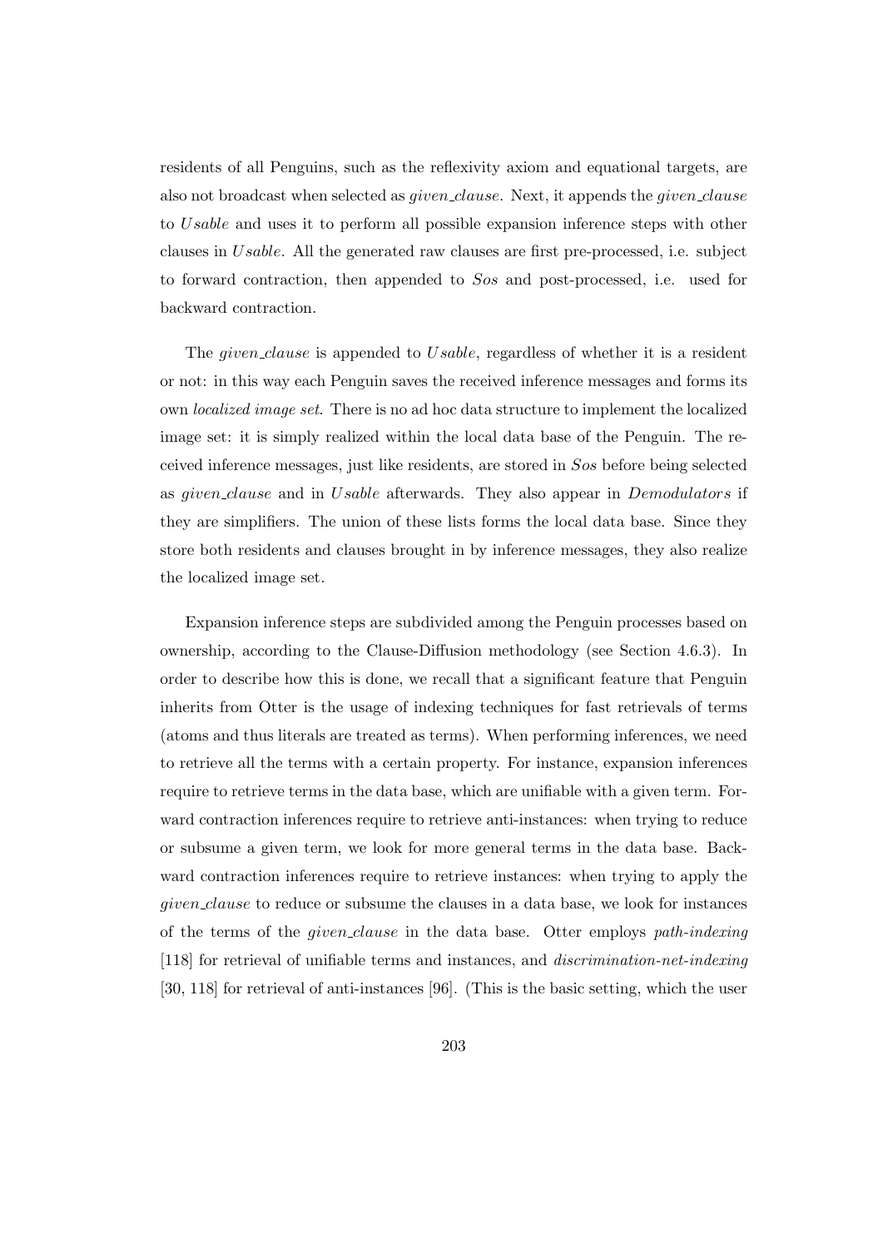residents of all Penguins, such as the reflexivity axiom and equational targets, are also not broadcast when selected as *given\_clause*. Next, it appends the *given\_clause* to Usable and uses it to perform all possible expansion inference steps with other clauses in Usable. All the generated raw clauses are first pre-processed, i.e. subject to forward contraction, then appended to Sos and post-processed, i.e. used for backward contraction.

The *given clause* is appended to *Usable*, regardless of whether it is a resident or not: in this way each Penguin saves the received inference messages and forms its own localized image set. There is no ad hoc data structure to implement the localized image set: it is simply realized within the local data base of the Penguin. The received inference messages, just like residents, are stored in Sos before being selected as given clause and in Usable afterwards. They also appear in Demodulators if they are simplifiers. The union of these lists forms the local data base. Since they store both residents and clauses brought in by inference messages, they also realize the localized image set.

Expansion inference steps are subdivided among the Penguin processes based on ownership, according to the Clause-Diffusion methodology (see Section 4.6.3). In order to describe how this is done, we recall that a significant feature that Penguin inherits from Otter is the usage of indexing techniques for fast retrievals of terms (atoms and thus literals are treated as terms). When performing inferences, we need to retrieve all the terms with a certain property. For instance, expansion inferences require to retrieve terms in the data base, which are unifiable with a given term. Forward contraction inferences require to retrieve anti-instances: when trying to reduce or subsume a given term, we look for more general terms in the data base. Backward contraction inferences require to retrieve instances: when trying to apply the given clause to reduce or subsume the clauses in a data base, we look for instances of the terms of the given clause in the data base. Otter employs path-indexing [118] for retrieval of unifiable terms and instances, and discrimination-net-indexing [30, 118] for retrieval of anti-instances [96]. (This is the basic setting, which the user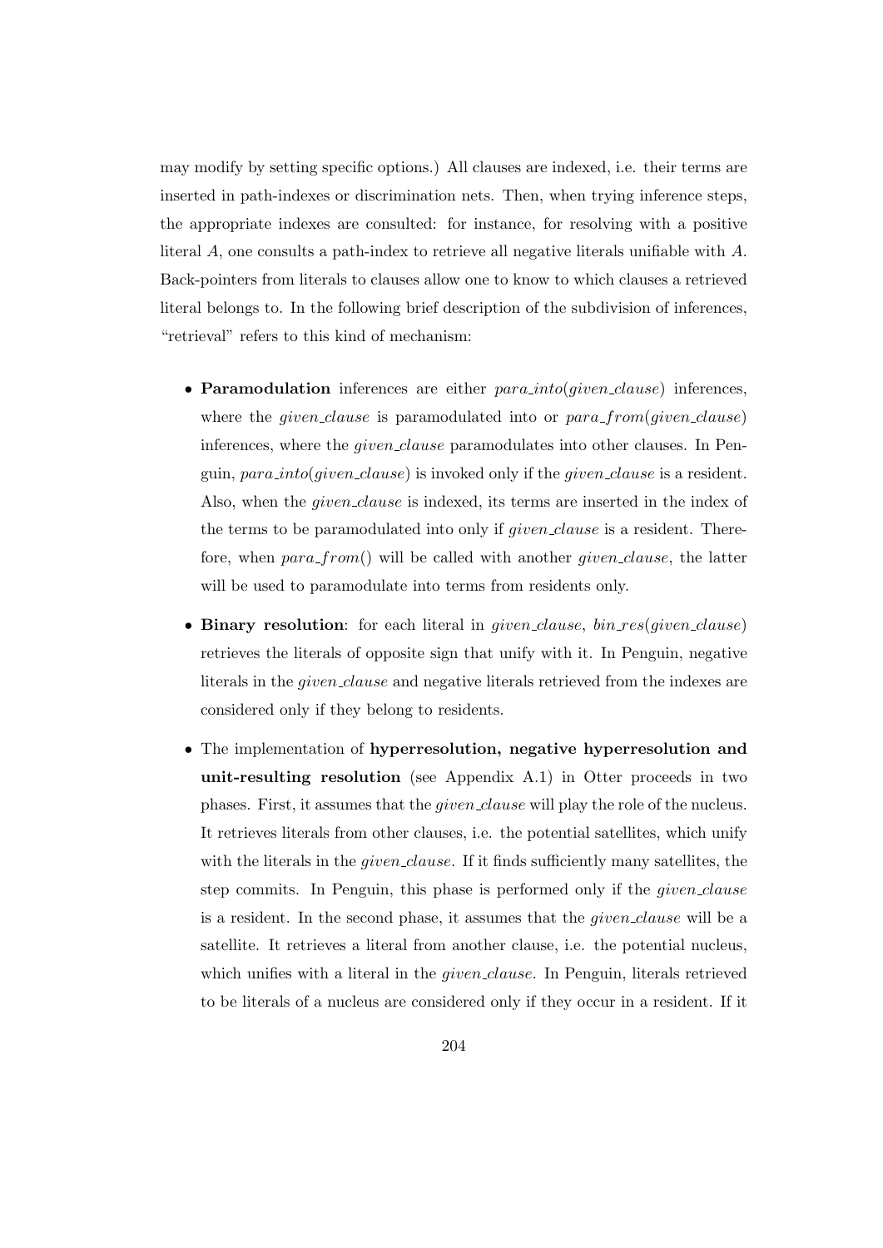may modify by setting specific options.) All clauses are indexed, i.e. their terms are inserted in path-indexes or discrimination nets. Then, when trying inference steps, the appropriate indexes are consulted: for instance, for resolving with a positive literal A, one consults a path-index to retrieve all negative literals unifiable with A. Back-pointers from literals to clauses allow one to know to which clauses a retrieved literal belongs to. In the following brief description of the subdivision of inferences, "retrieval" refers to this kind of mechanism:

- Paramodulation inferences are either  $para\_into(qiven\_clause)$  inferences, where the *given clause* is paramodulated into or  $para\_from(given\_clause)$ inferences, where the *given clause* paramodulates into other clauses. In Penguin,  $para\_into(given\_clause)$  is invoked only if the *given* clause is a resident. Also, when the *given clause* is indexed, its terms are inserted in the index of the terms to be paramodulated into only if given clause is a resident. Therefore, when  $para\_from()$  will be called with another *given\_clause*, the latter will be used to paramodulate into terms from residents only.
- Binary resolution: for each literal in *given clause*,  $bin\_res(qiven\_clause)$ retrieves the literals of opposite sign that unify with it. In Penguin, negative literals in the given clause and negative literals retrieved from the indexes are considered only if they belong to residents.
- The implementation of hyperresolution, negative hyperresolution and unit-resulting resolution (see Appendix A.1) in Otter proceeds in two phases. First, it assumes that the *given clause* will play the role of the nucleus. It retrieves literals from other clauses, i.e. the potential satellites, which unify with the literals in the *given clause*. If it finds sufficiently many satellites, the step commits. In Penguin, this phase is performed only if the *given clause* is a resident. In the second phase, it assumes that the given clause will be a satellite. It retrieves a literal from another clause, i.e. the potential nucleus, which unifies with a literal in the *given\_clause*. In Penguin, literals retrieved to be literals of a nucleus are considered only if they occur in a resident. If it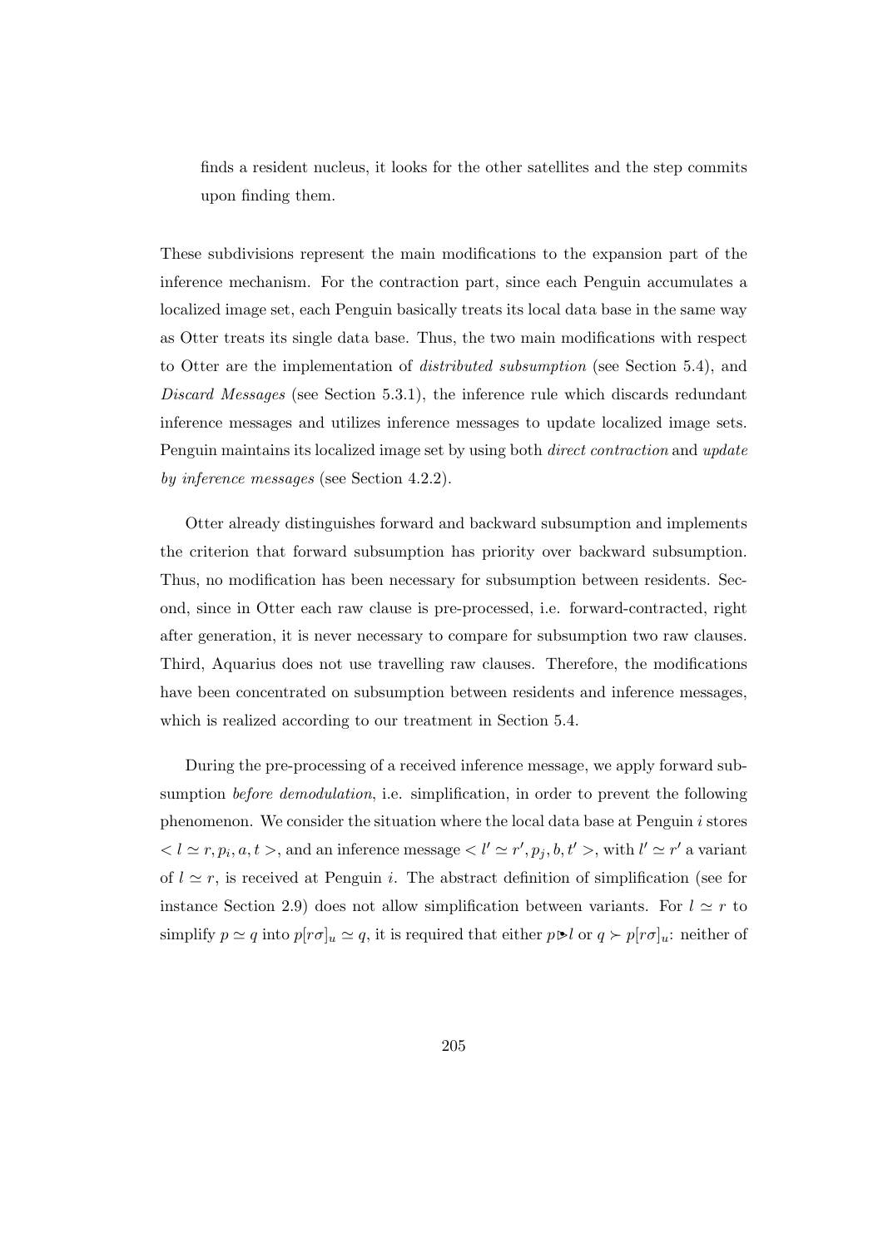finds a resident nucleus, it looks for the other satellites and the step commits upon finding them.

These subdivisions represent the main modifications to the expansion part of the inference mechanism. For the contraction part, since each Penguin accumulates a localized image set, each Penguin basically treats its local data base in the same way as Otter treats its single data base. Thus, the two main modifications with respect to Otter are the implementation of distributed subsumption (see Section 5.4), and Discard Messages (see Section 5.3.1), the inference rule which discards redundant inference messages and utilizes inference messages to update localized image sets. Penguin maintains its localized image set by using both direct contraction and update by inference messages (see Section 4.2.2).

Otter already distinguishes forward and backward subsumption and implements the criterion that forward subsumption has priority over backward subsumption. Thus, no modification has been necessary for subsumption between residents. Second, since in Otter each raw clause is pre-processed, i.e. forward-contracted, right after generation, it is never necessary to compare for subsumption two raw clauses. Third, Aquarius does not use travelling raw clauses. Therefore, the modifications have been concentrated on subsumption between residents and inference messages, which is realized according to our treatment in Section 5.4.

During the pre-processing of a received inference message, we apply forward subsumption before demodulation, i.e. simplification, in order to prevent the following phenomenon. We consider the situation where the local data base at Penguin i stores  $l < l \simeq r, p_i, a, t >$ , and an inference message  $l' \simeq r', p_j, b, t' >$ , with  $l' \simeq r'$  a variant of  $l \simeq r$ , is received at Penguin i. The abstract definition of simplification (see for instance Section 2.9) does not allow simplification between variants. For  $l \simeq r$  to simplify  $p \simeq q$  into  $p[r\sigma]_u \simeq q$ , it is required that either  $p \triangleright l$  or  $q \succ p[r\sigma]_u$ : neither of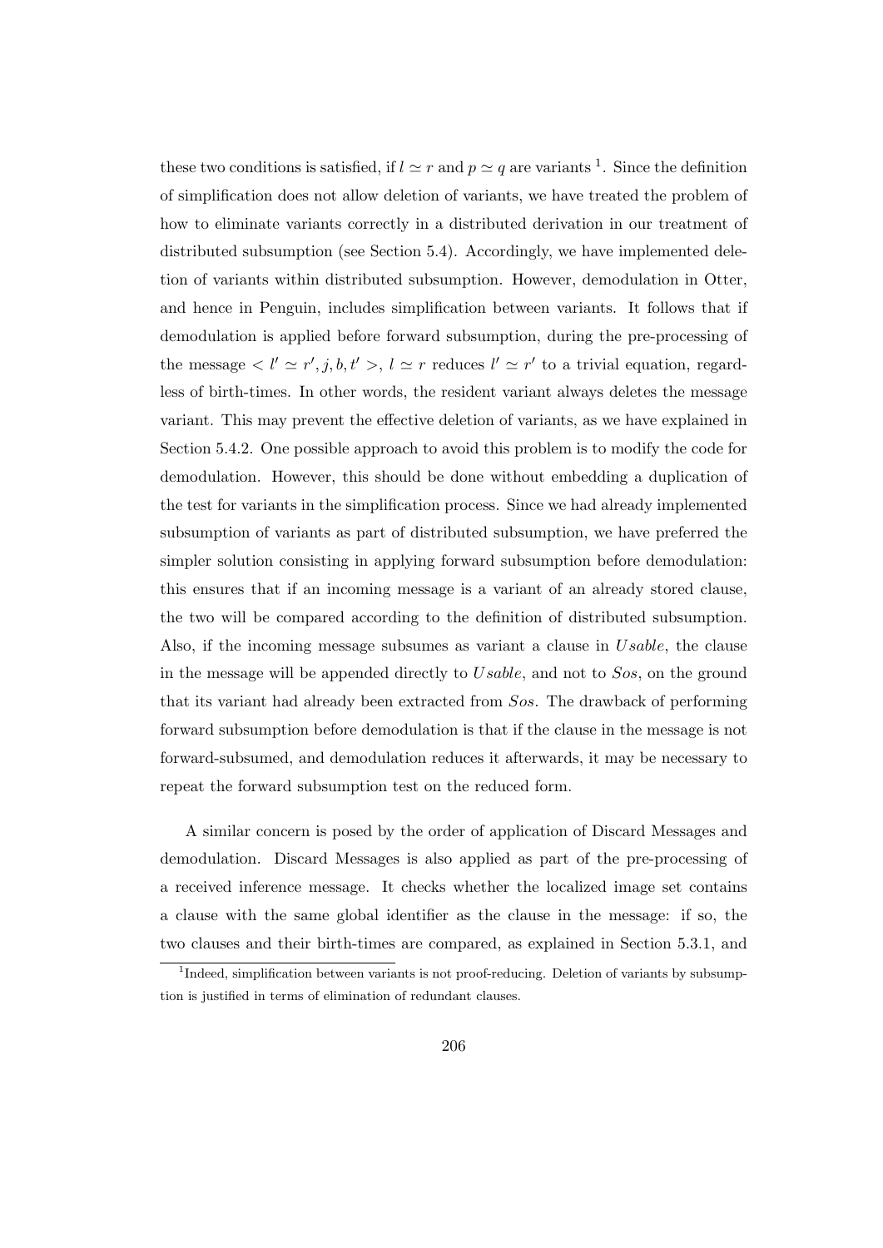these two conditions is satisfied, if  $l \simeq r$  and  $p \simeq q$  are variants <sup>1</sup>. Since the definition of simplification does not allow deletion of variants, we have treated the problem of how to eliminate variants correctly in a distributed derivation in our treatment of distributed subsumption (see Section 5.4). Accordingly, we have implemented deletion of variants within distributed subsumption. However, demodulation in Otter, and hence in Penguin, includes simplification between variants. It follows that if demodulation is applied before forward subsumption, during the pre-processing of the message  $\langle l' \simeq r', j, b, t' \rangle, l \simeq r$  reduces  $l' \simeq r'$  to a trivial equation, regardless of birth-times. In other words, the resident variant always deletes the message variant. This may prevent the effective deletion of variants, as we have explained in Section 5.4.2. One possible approach to avoid this problem is to modify the code for demodulation. However, this should be done without embedding a duplication of the test for variants in the simplification process. Since we had already implemented subsumption of variants as part of distributed subsumption, we have preferred the simpler solution consisting in applying forward subsumption before demodulation: this ensures that if an incoming message is a variant of an already stored clause, the two will be compared according to the definition of distributed subsumption. Also, if the incoming message subsumes as variant a clause in Usable, the clause in the message will be appended directly to Usable, and not to Sos, on the ground that its variant had already been extracted from Sos. The drawback of performing forward subsumption before demodulation is that if the clause in the message is not forward-subsumed, and demodulation reduces it afterwards, it may be necessary to repeat the forward subsumption test on the reduced form.

A similar concern is posed by the order of application of Discard Messages and demodulation. Discard Messages is also applied as part of the pre-processing of a received inference message. It checks whether the localized image set contains a clause with the same global identifier as the clause in the message: if so, the two clauses and their birth-times are compared, as explained in Section 5.3.1, and

<sup>&</sup>lt;sup>1</sup>Indeed, simplification between variants is not proof-reducing. Deletion of variants by subsumption is justified in terms of elimination of redundant clauses.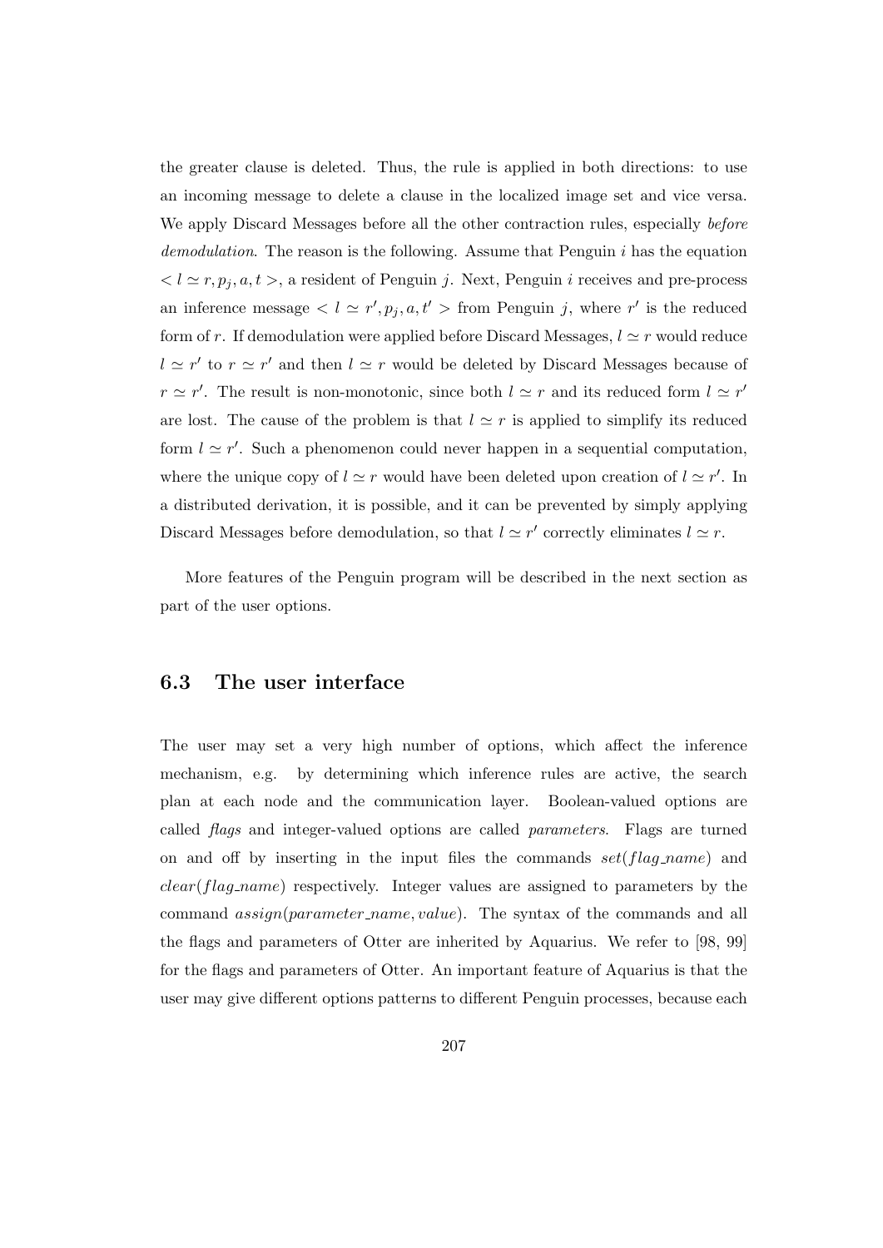the greater clause is deleted. Thus, the rule is applied in both directions: to use an incoming message to delete a clause in the localized image set and vice versa. We apply Discard Messages before all the other contraction rules, especially *before* demodulation. The reason is the following. Assume that Penguin  $i$  has the equation  $l < l \simeq r, p_j, a, t >$ , a resident of Penguin j. Next, Penguin i receives and pre-process an inference message  $\langle l \simeq r', p_j, a, t' \rangle$  from Penguin j, where r' is the reduced form of r. If demodulation were applied before Discard Messages,  $l \approx r$  would reduce  $l \simeq r'$  to  $r \simeq r'$  and then  $l \simeq r$  would be deleted by Discard Messages because of  $r \simeq r'$ . The result is non-monotonic, since both  $l \simeq r$  and its reduced form  $l \simeq r'$ are lost. The cause of the problem is that  $l \simeq r$  is applied to simplify its reduced form  $l \simeq r'$ . Such a phenomenon could never happen in a sequential computation, where the unique copy of  $l \simeq r$  would have been deleted upon creation of  $l \simeq r'$ . In a distributed derivation, it is possible, and it can be prevented by simply applying Discard Messages before demodulation, so that  $l \simeq r'$  correctly eliminates  $l \simeq r$ .

More features of the Penguin program will be described in the next section as part of the user options.

## 6.3 The user interface

The user may set a very high number of options, which affect the inference mechanism, e.g. by determining which inference rules are active, the search plan at each node and the communication layer. Boolean-valued options are called flags and integer-valued options are called parameters. Flags are turned on and off by inserting in the input files the commands  $set(flag_name)$  and clear(flag name) respectively. Integer values are assigned to parameters by the command  $assign(parameter_name, value)$ . The syntax of the commands and all the flags and parameters of Otter are inherited by Aquarius. We refer to [98, 99] for the flags and parameters of Otter. An important feature of Aquarius is that the user may give different options patterns to different Penguin processes, because each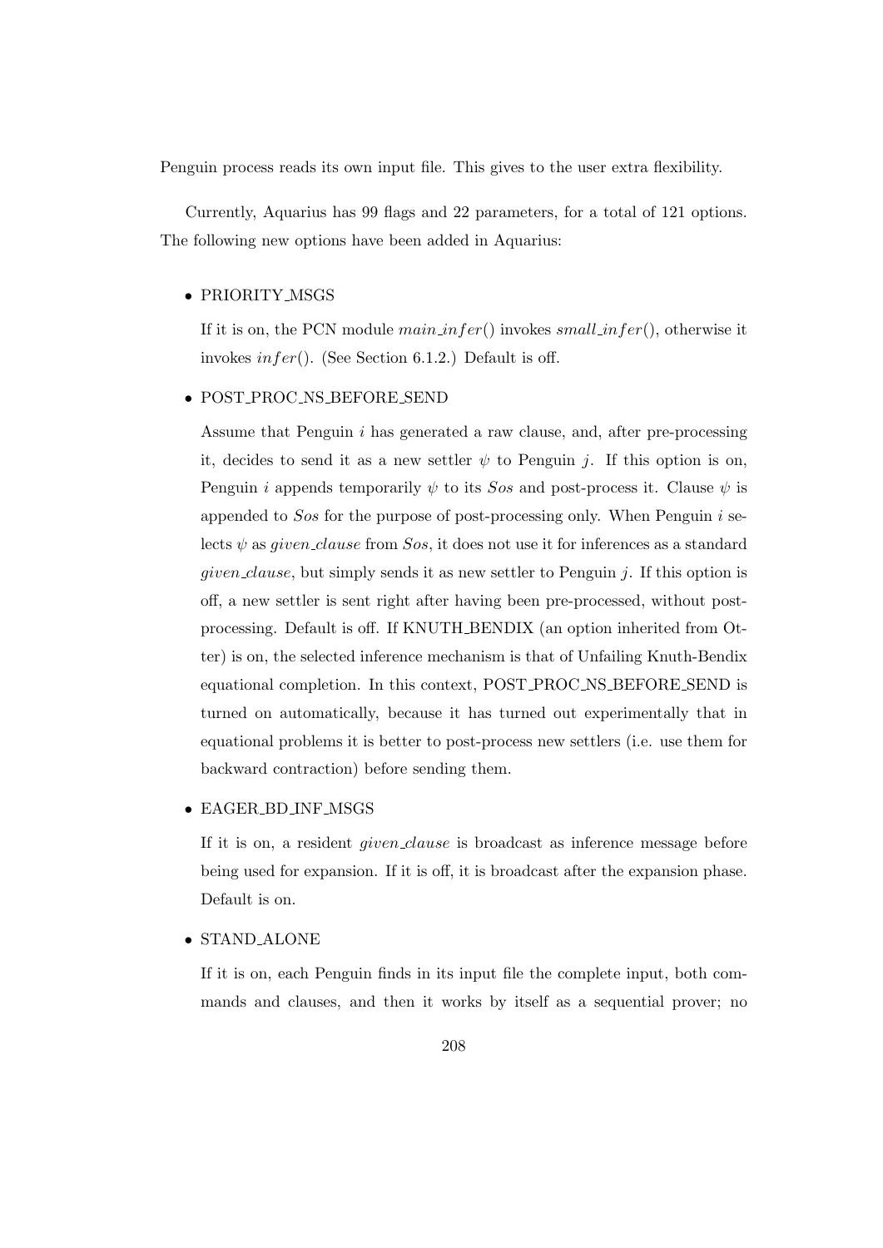Penguin process reads its own input file. This gives to the user extra flexibility.

Currently, Aquarius has 99 flags and 22 parameters, for a total of 121 options. The following new options have been added in Aquarius:

#### • PRIORITY MSGS

If it is on, the PCN module  $mainfer()$  invokes small infer(), otherwise it invokes  $infer()$ . (See Section 6.1.2.) Default is off.

#### • POST PROC NS BEFORE SEND

Assume that Penguin i has generated a raw clause, and, after pre-processing it, decides to send it as a new settler  $\psi$  to Penguin j. If this option is on, Penguin *i* appends temporarily  $\psi$  to its Sos and post-process it. Clause  $\psi$  is appended to  $Sos$  for the purpose of post-processing only. When Penguin i selects  $\psi$  as *given clause* from Sos, it does not use it for inferences as a standard *given clause*, but simply sends it as new settler to Penguin  $j$ . If this option is off, a new settler is sent right after having been pre-processed, without postprocessing. Default is off. If KNUTH BENDIX (an option inherited from Otter) is on, the selected inference mechanism is that of Unfailing Knuth-Bendix equational completion. In this context, POST PROC NS BEFORE SEND is turned on automatically, because it has turned out experimentally that in equational problems it is better to post-process new settlers (i.e. use them for backward contraction) before sending them.

#### • EAGER BD INF MSGS

If it is on, a resident given clause is broadcast as inference message before being used for expansion. If it is off, it is broadcast after the expansion phase. Default is on.

#### • STAND ALONE

If it is on, each Penguin finds in its input file the complete input, both commands and clauses, and then it works by itself as a sequential prover; no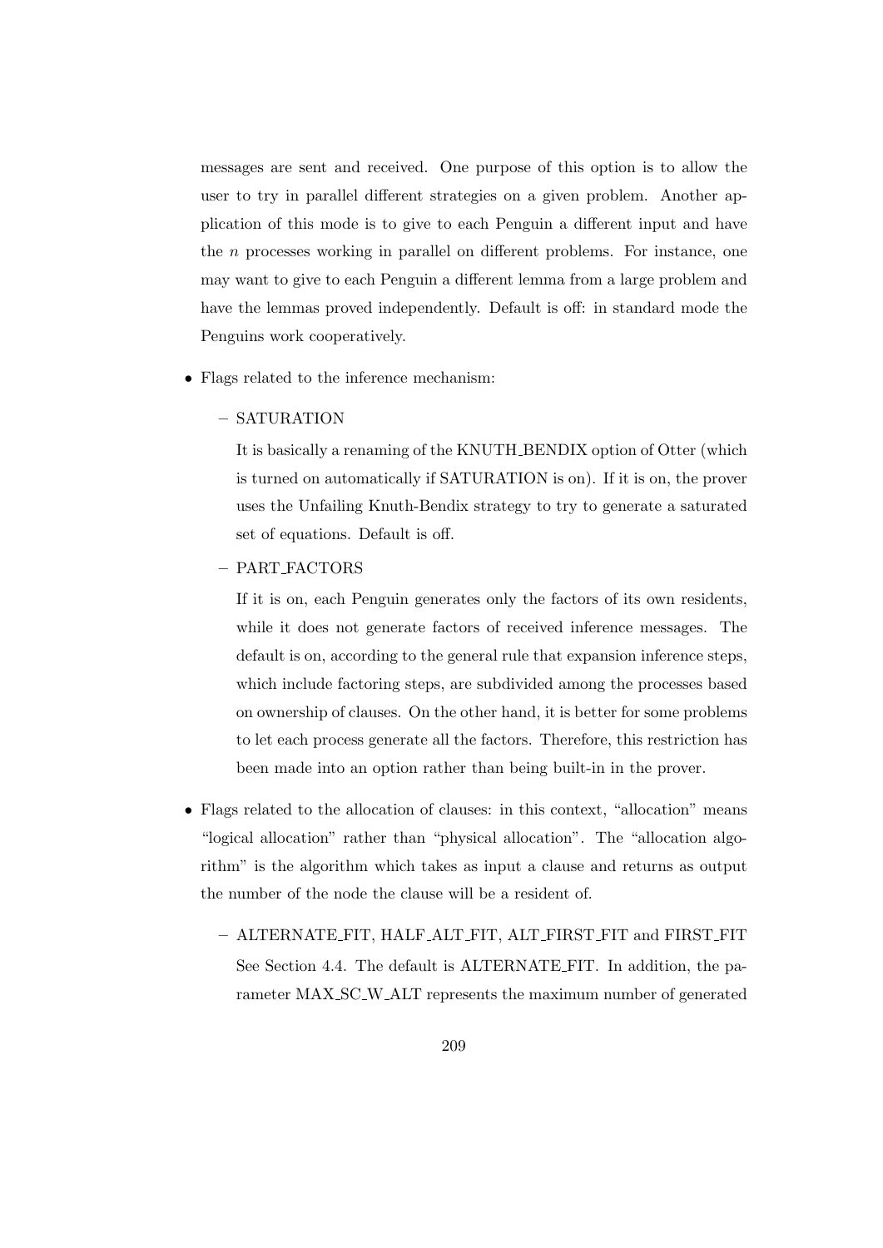messages are sent and received. One purpose of this option is to allow the user to try in parallel different strategies on a given problem. Another application of this mode is to give to each Penguin a different input and have the n processes working in parallel on different problems. For instance, one may want to give to each Penguin a different lemma from a large problem and have the lemmas proved independently. Default is off: in standard mode the Penguins work cooperatively.

- Flags related to the inference mechanism:
	- SATURATION

It is basically a renaming of the KNUTH BENDIX option of Otter (which is turned on automatically if SATURATION is on). If it is on, the prover uses the Unfailing Knuth-Bendix strategy to try to generate a saturated set of equations. Default is off.

– PART FACTORS

If it is on, each Penguin generates only the factors of its own residents, while it does not generate factors of received inference messages. The default is on, according to the general rule that expansion inference steps, which include factoring steps, are subdivided among the processes based on ownership of clauses. On the other hand, it is better for some problems to let each process generate all the factors. Therefore, this restriction has been made into an option rather than being built-in in the prover.

- Flags related to the allocation of clauses: in this context, "allocation" means "logical allocation" rather than "physical allocation". The "allocation algorithm" is the algorithm which takes as input a clause and returns as output the number of the node the clause will be a resident of.
	- ALTERNATE FIT, HALF ALT FIT, ALT FIRST FIT and FIRST FIT See Section 4.4. The default is ALTERNATE FIT. In addition, the parameter MAX SC W ALT represents the maximum number of generated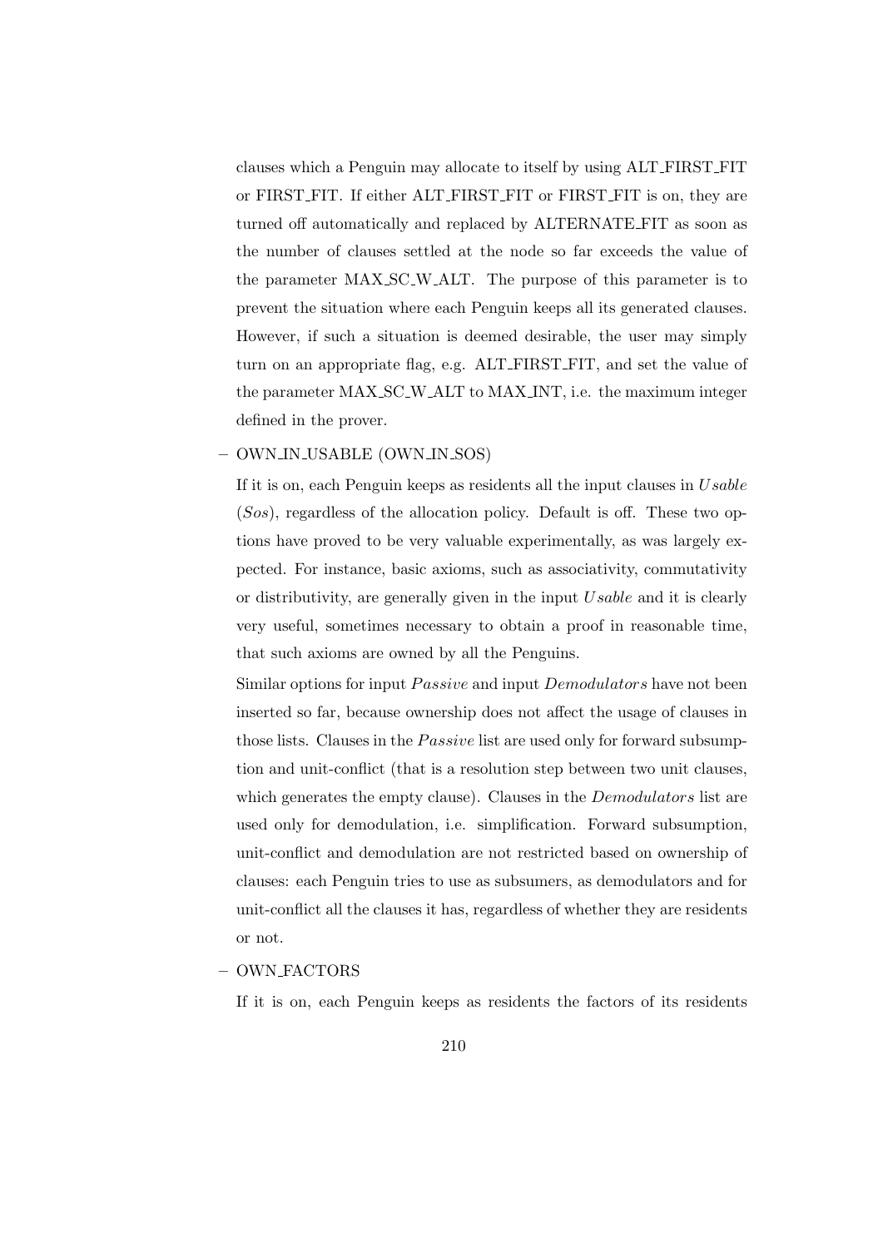clauses which a Penguin may allocate to itself by using ALT FIRST FIT or FIRST FIT. If either ALT FIRST FIT or FIRST FIT is on, they are turned off automatically and replaced by ALTERNATE FIT as soon as the number of clauses settled at the node so far exceeds the value of the parameter MAX SC W ALT. The purpose of this parameter is to prevent the situation where each Penguin keeps all its generated clauses. However, if such a situation is deemed desirable, the user may simply turn on an appropriate flag, e.g. ALT FIRST FIT, and set the value of the parameter MAX SC W ALT to MAX INT, i.e. the maximum integer defined in the prover.

#### – OWN IN USABLE (OWN IN SOS)

If it is on, each Penguin keeps as residents all the input clauses in  $Usable$  $(Sos)$ , regardless of the allocation policy. Default is off. These two options have proved to be very valuable experimentally, as was largely expected. For instance, basic axioms, such as associativity, commutativity or distributivity, are generally given in the input Usable and it is clearly very useful, sometimes necessary to obtain a proof in reasonable time, that such axioms are owned by all the Penguins.

Similar options for input *Passive* and input *Demodulators* have not been inserted so far, because ownership does not affect the usage of clauses in those lists. Clauses in the *Passive* list are used only for forward subsumption and unit-conflict (that is a resolution step between two unit clauses, which generates the empty clause). Clauses in the *Demodulators* list are used only for demodulation, i.e. simplification. Forward subsumption, unit-conflict and demodulation are not restricted based on ownership of clauses: each Penguin tries to use as subsumers, as demodulators and for unit-conflict all the clauses it has, regardless of whether they are residents or not.

#### – OWN FACTORS

If it is on, each Penguin keeps as residents the factors of its residents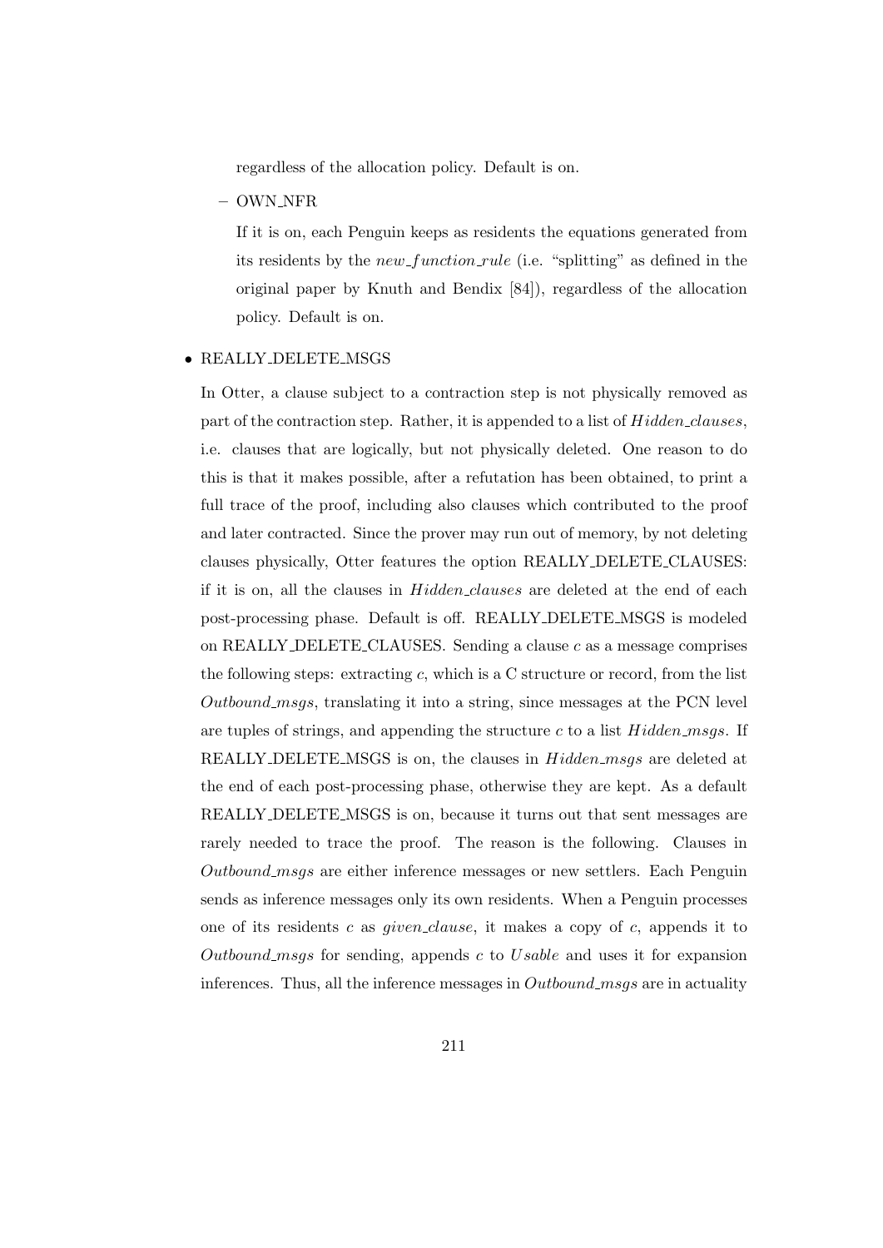regardless of the allocation policy. Default is on.

– OWN NFR

If it is on, each Penguin keeps as residents the equations generated from its residents by the new function rule (i.e. "splitting" as defined in the original paper by Knuth and Bendix [84]), regardless of the allocation policy. Default is on.

#### • REALLY DELETE MSGS

In Otter, a clause subject to a contraction step is not physically removed as part of the contraction step. Rather, it is appended to a list of Hidden\_clauses, i.e. clauses that are logically, but not physically deleted. One reason to do this is that it makes possible, after a refutation has been obtained, to print a full trace of the proof, including also clauses which contributed to the proof and later contracted. Since the prover may run out of memory, by not deleting clauses physically, Otter features the option REALLY DELETE CLAUSES: if it is on, all the clauses in Hidden clauses are deleted at the end of each post-processing phase. Default is off. REALLY DELETE MSGS is modeled on REALLY DELETE CLAUSES. Sending a clause  $c$  as a message comprises the following steps: extracting  $c$ , which is a C structure or record, from the list Outbound msgs, translating it into a string, since messages at the PCN level are tuples of strings, and appending the structure c to a list  $Hidden_msgs$ . If REALLY DELETE MSGS is on, the clauses in  $Hidden_msgs$  are deleted at the end of each post-processing phase, otherwise they are kept. As a default REALLY DELETE MSGS is on, because it turns out that sent messages are rarely needed to trace the proof. The reason is the following. Clauses in Outbound msgs are either inference messages or new settlers. Each Penguin sends as inference messages only its own residents. When a Penguin processes one of its residents c as *given clause*, it makes a copy of c, appends it to Outbound msgs for sending, appends c to Usable and uses it for expansion inferences. Thus, all the inference messages in Outbound msgs are in actuality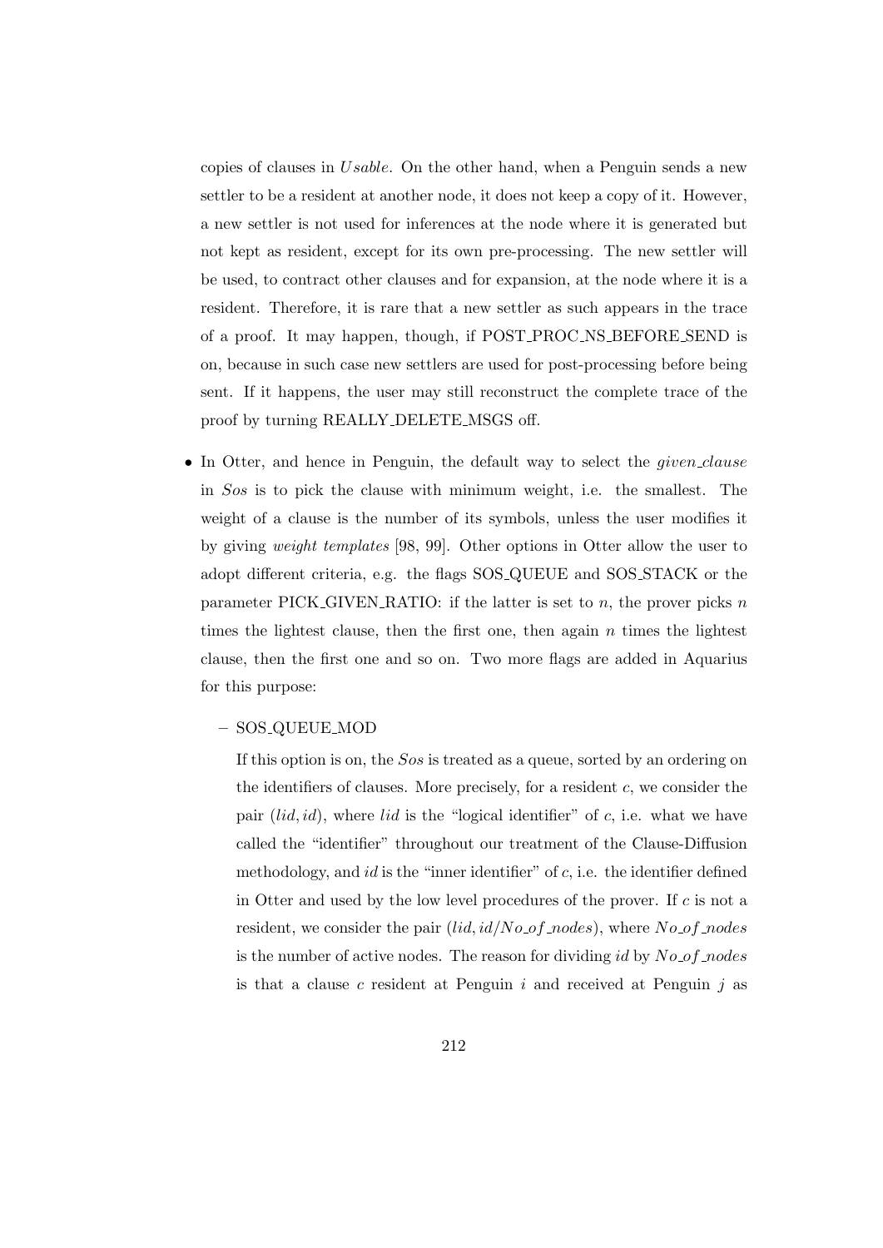copies of clauses in Usable. On the other hand, when a Penguin sends a new settler to be a resident at another node, it does not keep a copy of it. However, a new settler is not used for inferences at the node where it is generated but not kept as resident, except for its own pre-processing. The new settler will be used, to contract other clauses and for expansion, at the node where it is a resident. Therefore, it is rare that a new settler as such appears in the trace of a proof. It may happen, though, if POST PROC NS BEFORE SEND is on, because in such case new settlers are used for post-processing before being sent. If it happens, the user may still reconstruct the complete trace of the proof by turning REALLY DELETE MSGS off.

• In Otter, and hence in Penguin, the default way to select the *given clause* in Sos is to pick the clause with minimum weight, i.e. the smallest. The weight of a clause is the number of its symbols, unless the user modifies it by giving weight templates [98, 99]. Other options in Otter allow the user to adopt different criteria, e.g. the flags SOS QUEUE and SOS STACK or the parameter PICK GIVEN RATIO: if the latter is set to  $n$ , the prover picks  $n$ times the lightest clause, then the first one, then again  $n$  times the lightest clause, then the first one and so on. Two more flags are added in Aquarius for this purpose:

#### – SOS QUEUE MOD

If this option is on, the Sos is treated as a queue, sorted by an ordering on the identifiers of clauses. More precisely, for a resident  $c$ , we consider the pair  $(lid, id)$ , where  $lid$  is the "logical identifier" of c, i.e. what we have called the "identifier" throughout our treatment of the Clause-Diffusion methodology, and  $id$  is the "inner identifier" of  $c$ , i.e. the identifier defined in Otter and used by the low level procedures of the prover. If c is not a resident, we consider the pair  $(\text{lid}, \text{id}/\text{No}_of\_nodes)$ , where  $\text{No}_of\_nodes$ is the number of active nodes. The reason for dividing id by  $No\_of\_nodes$ is that a clause c resident at Penguin  $i$  and received at Penguin  $j$  as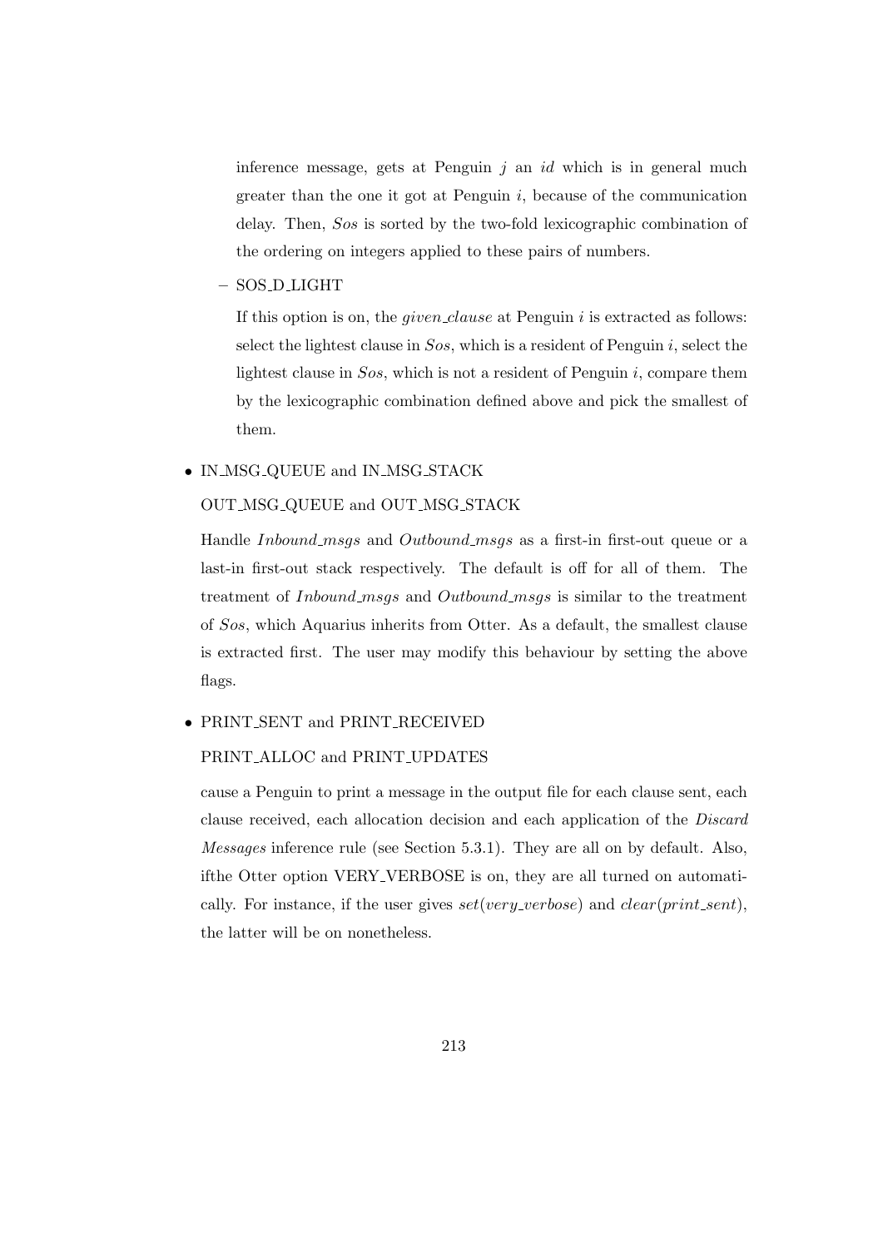inference message, gets at Penguin  $j$  an  $id$  which is in general much greater than the one it got at Penguin  $i$ , because of the communication delay. Then, Sos is sorted by the two-fold lexicographic combination of the ordering on integers applied to these pairs of numbers.

– SOS D LIGHT

If this option is on, the *given-clause* at Penguin  $i$  is extracted as follows: select the lightest clause in  $Sos$ , which is a resident of Penguin i, select the lightest clause in  $Sos$ , which is not a resident of Penguin i, compare them by the lexicographic combination defined above and pick the smallest of them.

#### • IN\_MSG\_QUEUE and IN\_MSG\_STACK

#### OUT MSG QUEUE and OUT MSG STACK

Handle *Inbound msgs* and *Outbound msgs* as a first-in first-out queue or a last-in first-out stack respectively. The default is off for all of them. The treatment of *Inbound\_msgs* and *Outbound\_msgs* is similar to the treatment of Sos, which Aquarius inherits from Otter. As a default, the smallest clause is extracted first. The user may modify this behaviour by setting the above flags.

#### • PRINT SENT and PRINT RECEIVED

#### PRINT ALLOC and PRINT UPDATES

cause a Penguin to print a message in the output file for each clause sent, each clause received, each allocation decision and each application of the Discard Messages inference rule (see Section 5.3.1). They are all on by default. Also, ifthe Otter option VERY VERBOSE is on, they are all turned on automatically. For instance, if the user gives  $set(very\_verbose)$  and  $clear(print\_sent)$ , the latter will be on nonetheless.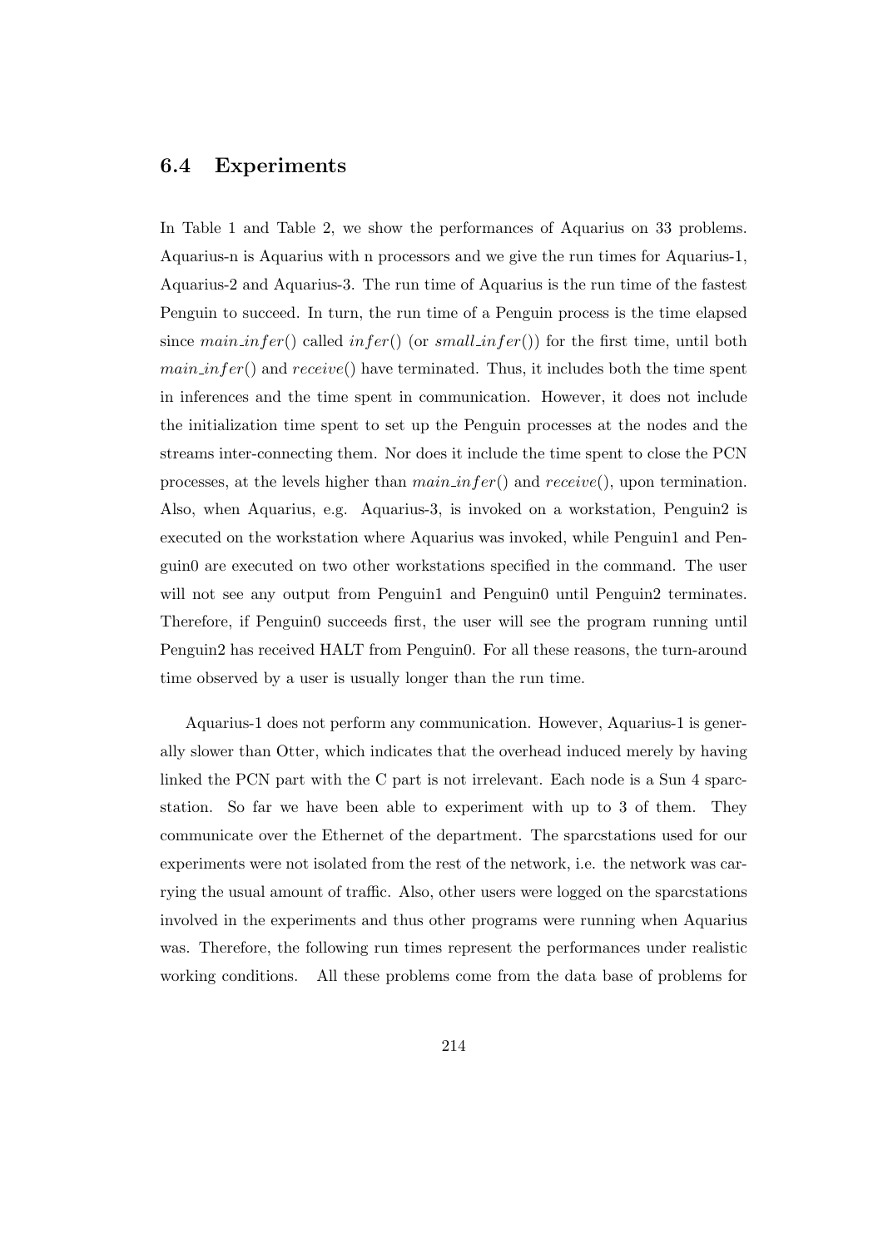## 6.4 Experiments

In Table 1 and Table 2, we show the performances of Aquarius on 33 problems. Aquarius-n is Aquarius with n processors and we give the run times for Aquarius-1, Aquarius-2 and Aquarius-3. The run time of Aquarius is the run time of the fastest Penguin to succeed. In turn, the run time of a Penguin process is the time elapsed since main infer() called infer() (or small infer()) for the first time, until both  $main.infer()$  and  $receive()$  have terminated. Thus, it includes both the time spent in inferences and the time spent in communication. However, it does not include the initialization time spent to set up the Penguin processes at the nodes and the streams inter-connecting them. Nor does it include the time spent to close the PCN processes, at the levels higher than  $main$  in  $fer()$  and  $receive()$ , upon termination. Also, when Aquarius, e.g. Aquarius-3, is invoked on a workstation, Penguin2 is executed on the workstation where Aquarius was invoked, while Penguin1 and Penguin0 are executed on two other workstations specified in the command. The user will not see any output from Penguin1 and Penguin0 until Penguin2 terminates. Therefore, if Penguin0 succeeds first, the user will see the program running until Penguin2 has received HALT from Penguin0. For all these reasons, the turn-around time observed by a user is usually longer than the run time.

Aquarius-1 does not perform any communication. However, Aquarius-1 is generally slower than Otter, which indicates that the overhead induced merely by having linked the PCN part with the C part is not irrelevant. Each node is a Sun 4 sparcstation. So far we have been able to experiment with up to 3 of them. They communicate over the Ethernet of the department. The sparcstations used for our experiments were not isolated from the rest of the network, i.e. the network was carrying the usual amount of traffic. Also, other users were logged on the sparcstations involved in the experiments and thus other programs were running when Aquarius was. Therefore, the following run times represent the performances under realistic working conditions. All these problems come from the data base of problems for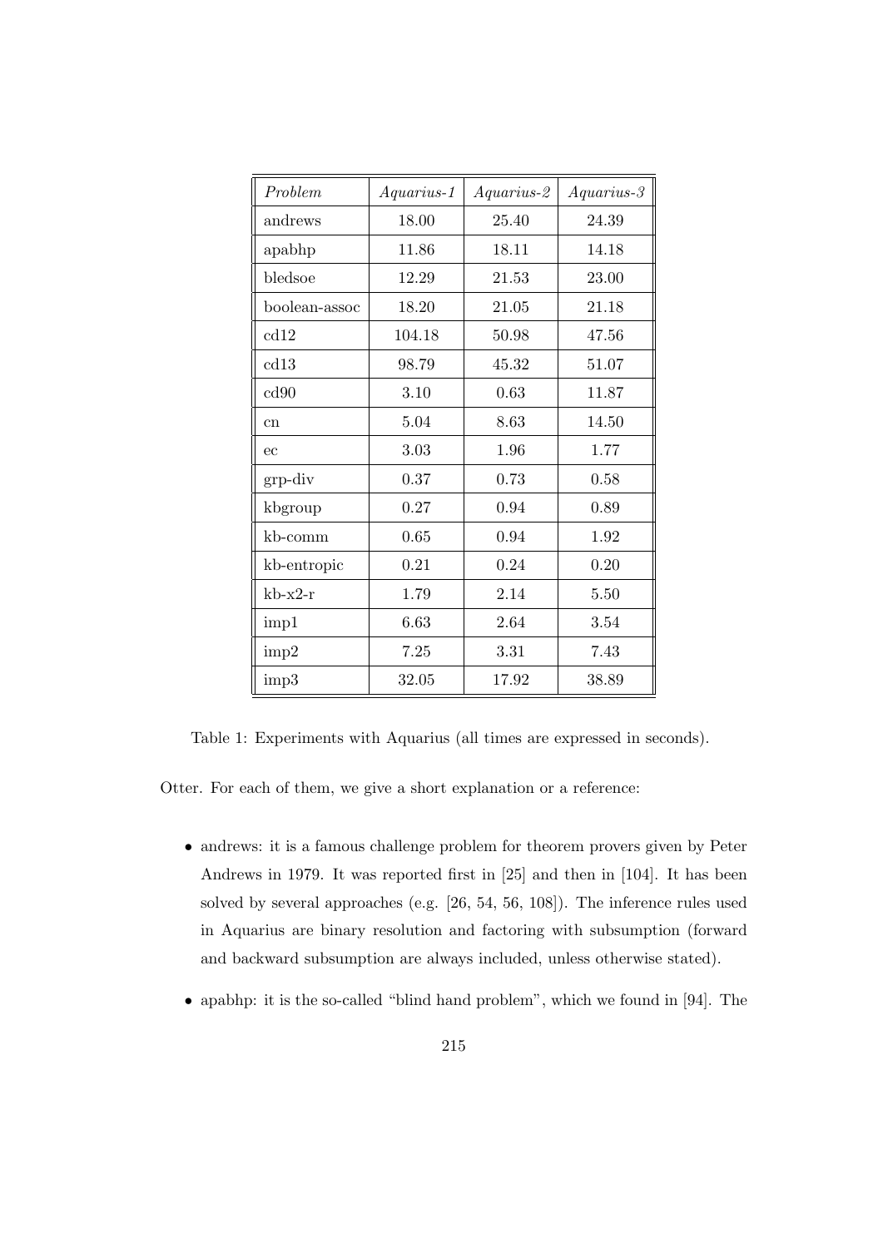| Problem       | $A quarius-1$ | $A quarius-2$ | $A quarius-3$ |
|---------------|---------------|---------------|---------------|
| andrews       | 18.00         | 25.40         | 24.39         |
| apabhp        | 11.86         | 18.11         | 14.18         |
| bledsoe       | 12.29         | 21.53         | 23.00         |
| boolean-assoc | 18.20         | 21.05         | 21.18         |
| cd12          | 104.18        | 50.98         | 47.56         |
| cd13          | 98.79         | 45.32         | 51.07         |
| cd90          | 3.10          | 0.63          | 11.87         |
| cn            | 5.04          | 8.63          | 14.50         |
| ec            | 3.03          | 1.96          | 1.77          |
| grp-div       | 0.37          | 0.73          | 0.58          |
| kbgroup       | 0.27          | 0.94          | 0.89          |
| kb-comm       | 0.65          | 0.94          | 1.92          |
| kb-entropic   | 0.21          | 0.24          | 0.20          |
| $kb-x2-r$     | 1.79          | 2.14          | 5.50          |
| imp1          | 6.63          | 2.64          | 3.54          |
| imp2          | 7.25          | 3.31          | 7.43          |
| imp3          | 32.05         | 17.92         | 38.89         |

Table 1: Experiments with Aquarius (all times are expressed in seconds).

Otter. For each of them, we give a short explanation or a reference:

- andrews: it is a famous challenge problem for theorem provers given by Peter Andrews in 1979. It was reported first in [25] and then in [104]. It has been solved by several approaches (e.g. [26, 54, 56, 108]). The inference rules used in Aquarius are binary resolution and factoring with subsumption (forward and backward subsumption are always included, unless otherwise stated).
- apabhp: it is the so-called "blind hand problem", which we found in [94]. The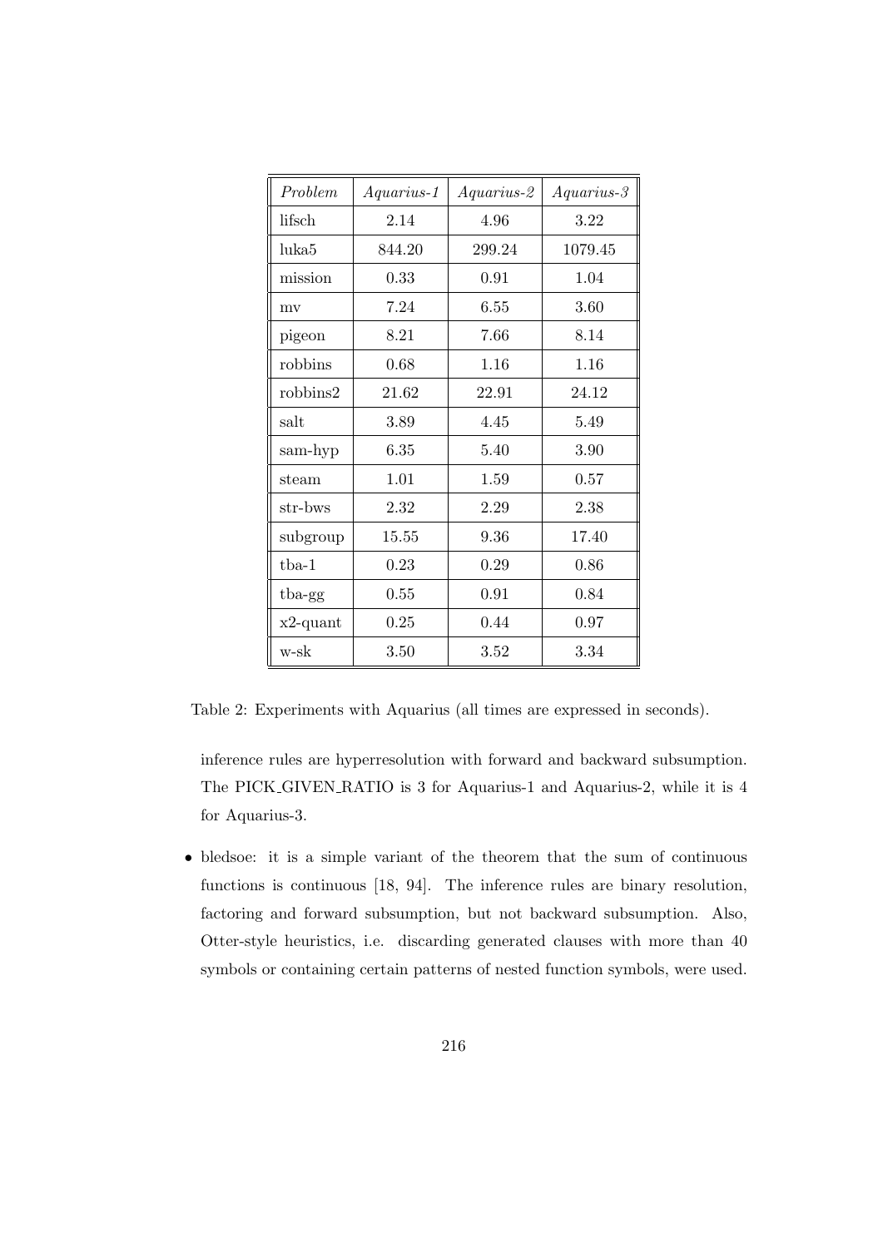| Problem           | $A quarius-1$ | $A quarius-2$ | $A quarius-3$ |
|-------------------|---------------|---------------|---------------|
| lifsch            | 2.14          | 4.96          | 3.22          |
| luka <sub>5</sub> | 844.20        | 299.24        | 1079.45       |
| mission           | 0.33          | 0.91          | 1.04          |
| mv                | 7.24          | 6.55          | 3.60          |
| pigeon            | 8.21          | 7.66          | 8.14          |
| robbins           | 0.68          | 1.16          | 1.16          |
| robbins2          | 21.62         | 22.91         | 24.12         |
| salt              | 3.89          | 4.45          | 5.49          |
| sam-hyp           | 6.35          | 5.40          | 3.90          |
| steam             | 1.01          | 1.59          | 0.57          |
| str-bws           | 2.32          | 2.29          | 2.38          |
| subgroup          | 15.55         | 9.36          | 17.40         |
| $tba-1$           | 0.23          | 0.29          | 0.86          |
| tba-gg            | 0.55          | 0.91          | 0.84          |
| $x2$ -quant       | 0.25          | 0.44          | 0.97          |
| w-sk              | 3.50          | 3.52          | 3.34          |

Table 2: Experiments with Aquarius (all times are expressed in seconds).

inference rules are hyperresolution with forward and backward subsumption. The PICK GIVEN RATIO is 3 for Aquarius-1 and Aquarius-2, while it is 4 for Aquarius-3.

• bledsoe: it is a simple variant of the theorem that the sum of continuous functions is continuous [18, 94]. The inference rules are binary resolution, factoring and forward subsumption, but not backward subsumption. Also, Otter-style heuristics, i.e. discarding generated clauses with more than 40 symbols or containing certain patterns of nested function symbols, were used.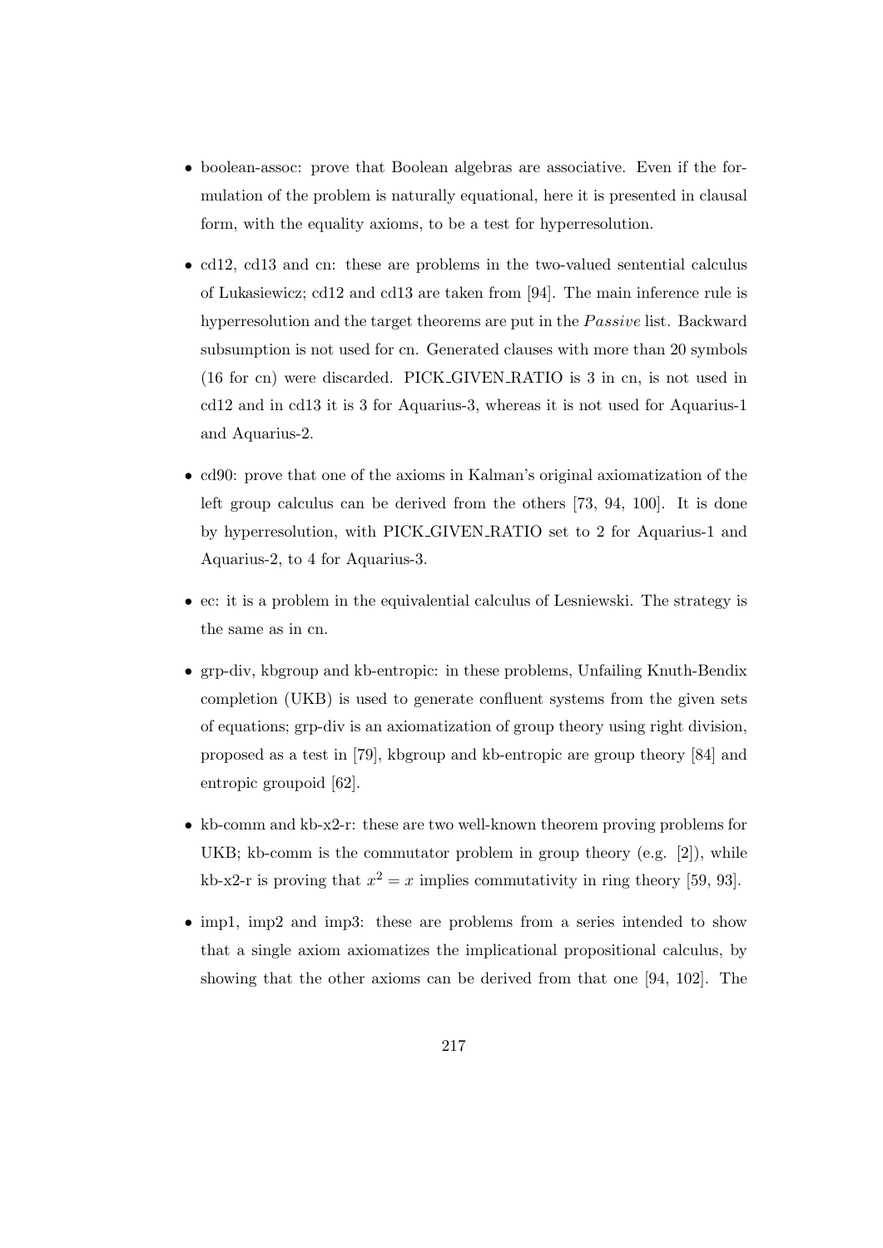- boolean-assoc: prove that Boolean algebras are associative. Even if the formulation of the problem is naturally equational, here it is presented in clausal form, with the equality axioms, to be a test for hyperresolution.
- cd12, cd13 and cn: these are problems in the two-valued sentential calculus of Lukasiewicz; cd12 and cd13 are taken from [94]. The main inference rule is hyperresolution and the target theorems are put in the  $Passive$  list. Backward subsumption is not used for cn. Generated clauses with more than 20 symbols (16 for cn) were discarded. PICK GIVEN RATIO is 3 in cn, is not used in cd12 and in cd13 it is 3 for Aquarius-3, whereas it is not used for Aquarius-1 and Aquarius-2.
- cd90: prove that one of the axioms in Kalman's original axiomatization of the left group calculus can be derived from the others [73, 94, 100]. It is done by hyperresolution, with PICK GIVEN RATIO set to 2 for Aquarius-1 and Aquarius-2, to 4 for Aquarius-3.
- ec: it is a problem in the equivalential calculus of Lesniewski. The strategy is the same as in cn.
- grp-div, kbgroup and kb-entropic: in these problems, Unfailing Knuth-Bendix completion (UKB) is used to generate confluent systems from the given sets of equations; grp-div is an axiomatization of group theory using right division, proposed as a test in [79], kbgroup and kb-entropic are group theory [84] and entropic groupoid [62].
- kb-comm and kb-x2-r: these are two well-known theorem proving problems for UKB; kb-comm is the commutator problem in group theory  $(e.g. [2])$ , while kb-x2-r is proving that  $x^2 = x$  implies commutativity in ring theory [59, 93].
- imp1, imp2 and imp3: these are problems from a series intended to show that a single axiom axiomatizes the implicational propositional calculus, by showing that the other axioms can be derived from that one [94, 102]. The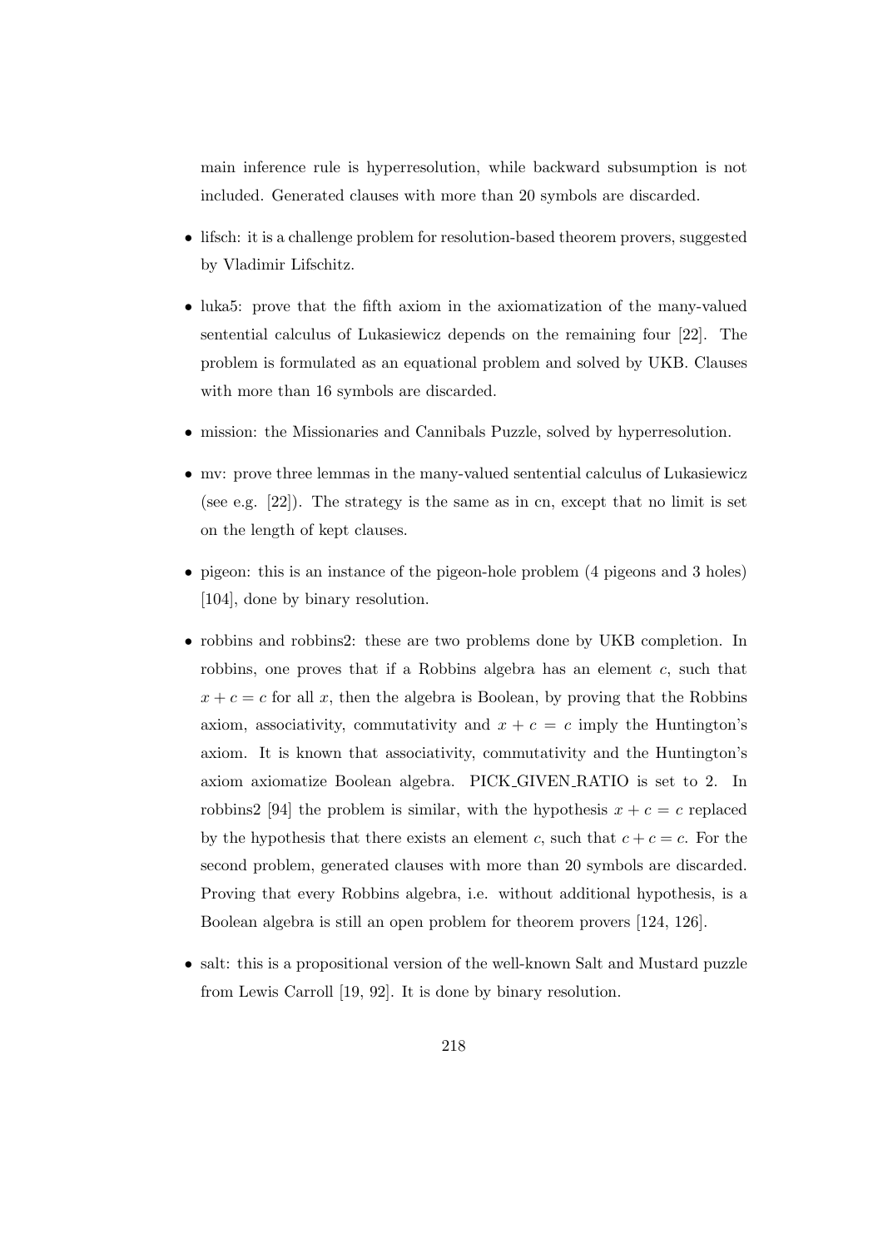main inference rule is hyperresolution, while backward subsumption is not included. Generated clauses with more than 20 symbols are discarded.

- lifsch: it is a challenge problem for resolution-based theorem provers, suggested by Vladimir Lifschitz.
- luka5: prove that the fifth axiom in the axiomatization of the many-valued sentential calculus of Lukasiewicz depends on the remaining four [22]. The problem is formulated as an equational problem and solved by UKB. Clauses with more than 16 symbols are discarded.
- mission: the Missionaries and Cannibals Puzzle, solved by hyperresolution.
- mv: prove three lemmas in the many-valued sentential calculus of Lukasiewicz (see e.g. [22]). The strategy is the same as in cn, except that no limit is set on the length of kept clauses.
- pigeon: this is an instance of the pigeon-hole problem (4 pigeons and 3 holes) [104], done by binary resolution.
- robbins and robbins2: these are two problems done by UKB completion. In robbins, one proves that if a Robbins algebra has an element c, such that  $x + c = c$  for all x, then the algebra is Boolean, by proving that the Robbins axiom, associativity, commutativity and  $x + c = c$  imply the Huntington's axiom. It is known that associativity, commutativity and the Huntington's axiom axiomatize Boolean algebra. PICK GIVEN RATIO is set to 2. In robbins2 [94] the problem is similar, with the hypothesis  $x + c = c$  replaced by the hypothesis that there exists an element c, such that  $c + c = c$ . For the second problem, generated clauses with more than 20 symbols are discarded. Proving that every Robbins algebra, i.e. without additional hypothesis, is a Boolean algebra is still an open problem for theorem provers [124, 126].
- salt: this is a propositional version of the well-known Salt and Mustard puzzle from Lewis Carroll [19, 92]. It is done by binary resolution.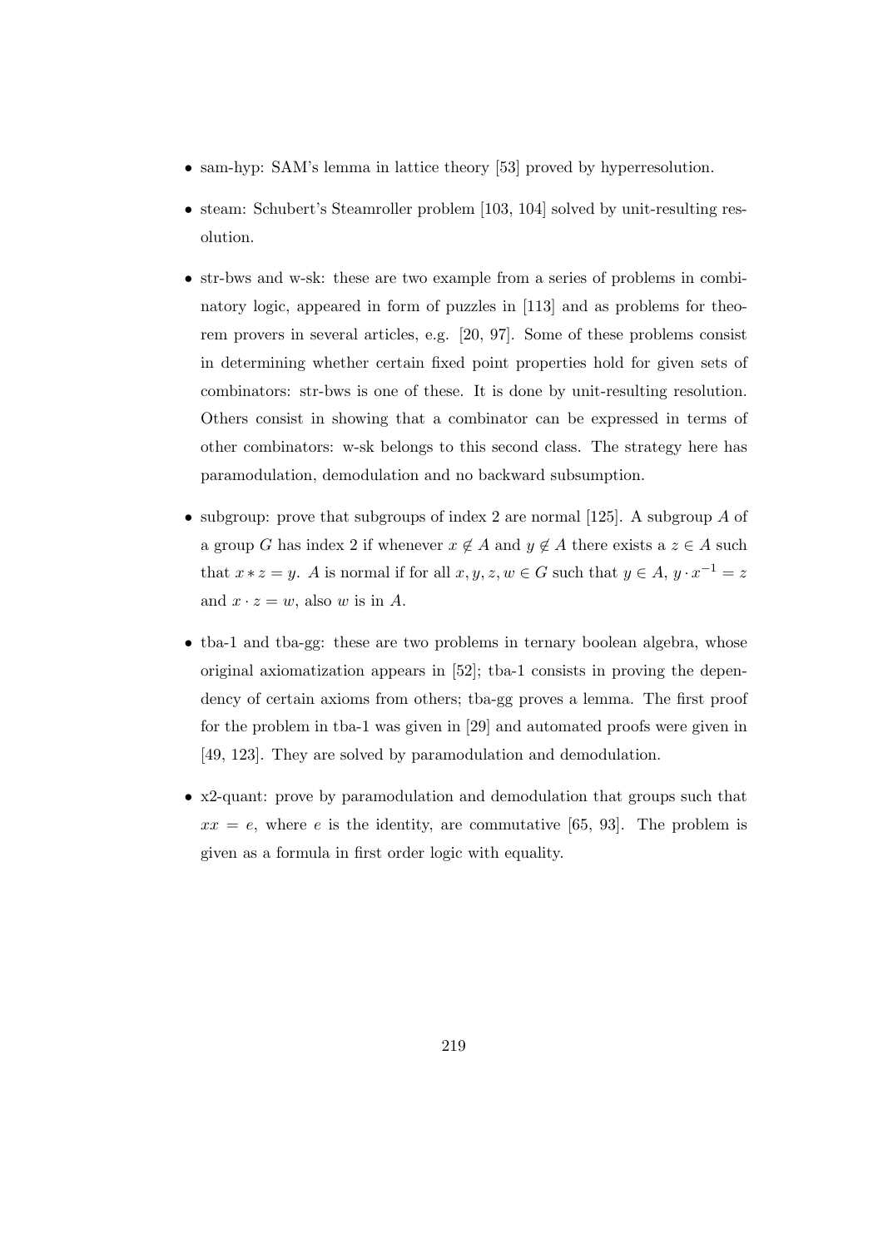- sam-hyp: SAM's lemma in lattice theory [53] proved by hyperresolution.
- steam: Schubert's Steamroller problem [103, 104] solved by unit-resulting resolution.
- str-bws and w-sk: these are two example from a series of problems in combinatory logic, appeared in form of puzzles in [113] and as problems for theorem provers in several articles, e.g. [20, 97]. Some of these problems consist in determining whether certain fixed point properties hold for given sets of combinators: str-bws is one of these. It is done by unit-resulting resolution. Others consist in showing that a combinator can be expressed in terms of other combinators: w-sk belongs to this second class. The strategy here has paramodulation, demodulation and no backward subsumption.
- subgroup: prove that subgroups of index 2 are normal [125]. A subgroup  $A$  of a group G has index 2 if whenever  $x \notin A$  and  $y \notin A$  there exists a  $z \in A$  such that  $x * z = y$ . A is normal if for all  $x, y, z, w \in G$  such that  $y \in A$ ,  $y \cdot x^{-1} = z$ and  $x \cdot z = w$ , also w is in A.
- tba-1 and tba-gg: these are two problems in ternary boolean algebra, whose original axiomatization appears in [52]; tba-1 consists in proving the dependency of certain axioms from others; tba-gg proves a lemma. The first proof for the problem in tba-1 was given in [29] and automated proofs were given in [49, 123]. They are solved by paramodulation and demodulation.
- x2-quant: prove by paramodulation and demodulation that groups such that  $xx = e$ , where e is the identity, are commutative [65, 93]. The problem is given as a formula in first order logic with equality.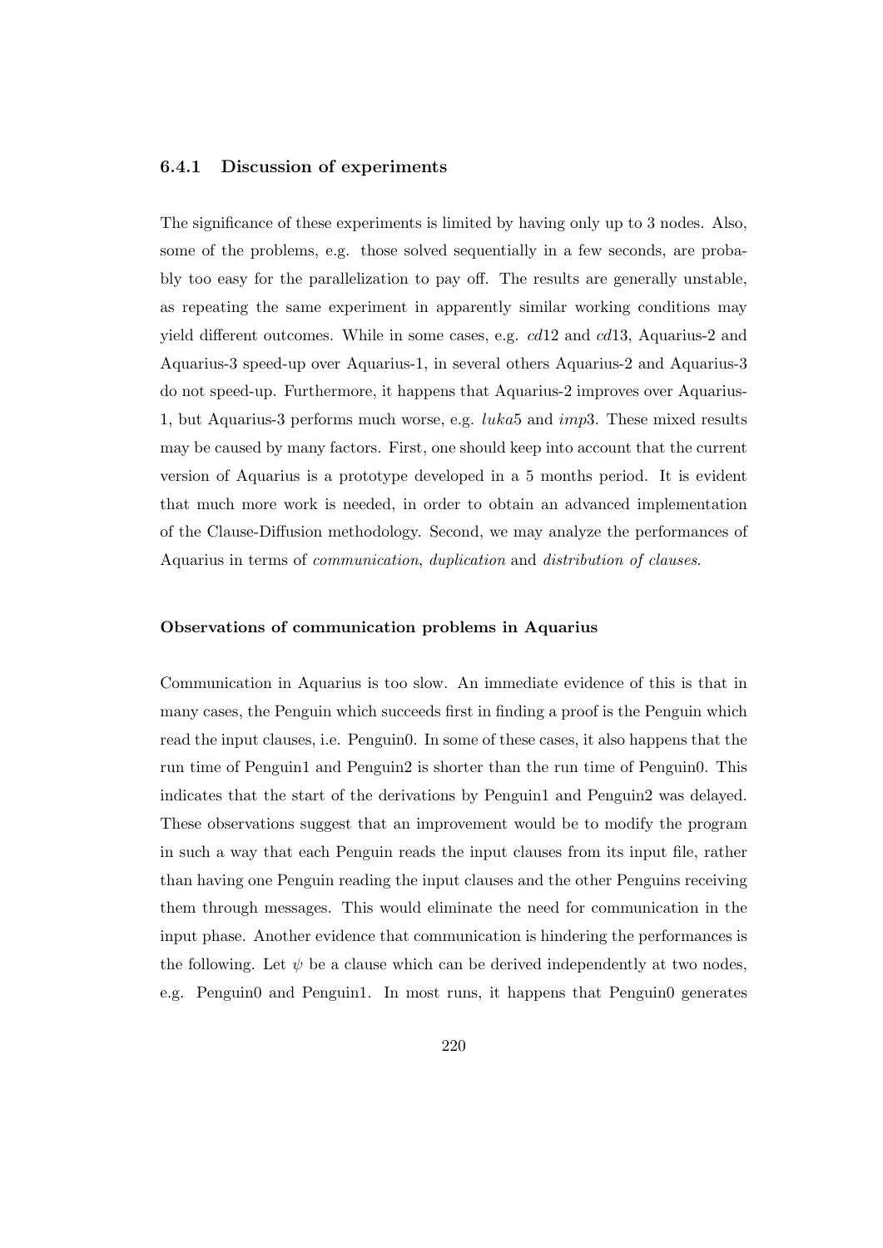#### 6.4.1 Discussion of experiments

The significance of these experiments is limited by having only up to 3 nodes. Also, some of the problems, e.g. those solved sequentially in a few seconds, are probably too easy for the parallelization to pay off. The results are generally unstable, as repeating the same experiment in apparently similar working conditions may yield different outcomes. While in some cases, e.g. cd12 and cd13, Aquarius-2 and Aquarius-3 speed-up over Aquarius-1, in several others Aquarius-2 and Aquarius-3 do not speed-up. Furthermore, it happens that Aquarius-2 improves over Aquarius-1, but Aquarius-3 performs much worse, e.g.  $luka5$  and  $imp3$ . These mixed results may be caused by many factors. First, one should keep into account that the current version of Aquarius is a prototype developed in a 5 months period. It is evident that much more work is needed, in order to obtain an advanced implementation of the Clause-Diffusion methodology. Second, we may analyze the performances of Aquarius in terms of communication, duplication and distribution of clauses.

#### Observations of communication problems in Aquarius

Communication in Aquarius is too slow. An immediate evidence of this is that in many cases, the Penguin which succeeds first in finding a proof is the Penguin which read the input clauses, i.e. Penguin0. In some of these cases, it also happens that the run time of Penguin1 and Penguin2 is shorter than the run time of Penguin0. This indicates that the start of the derivations by Penguin1 and Penguin2 was delayed. These observations suggest that an improvement would be to modify the program in such a way that each Penguin reads the input clauses from its input file, rather than having one Penguin reading the input clauses and the other Penguins receiving them through messages. This would eliminate the need for communication in the input phase. Another evidence that communication is hindering the performances is the following. Let  $\psi$  be a clause which can be derived independently at two nodes, e.g. Penguin0 and Penguin1. In most runs, it happens that Penguin0 generates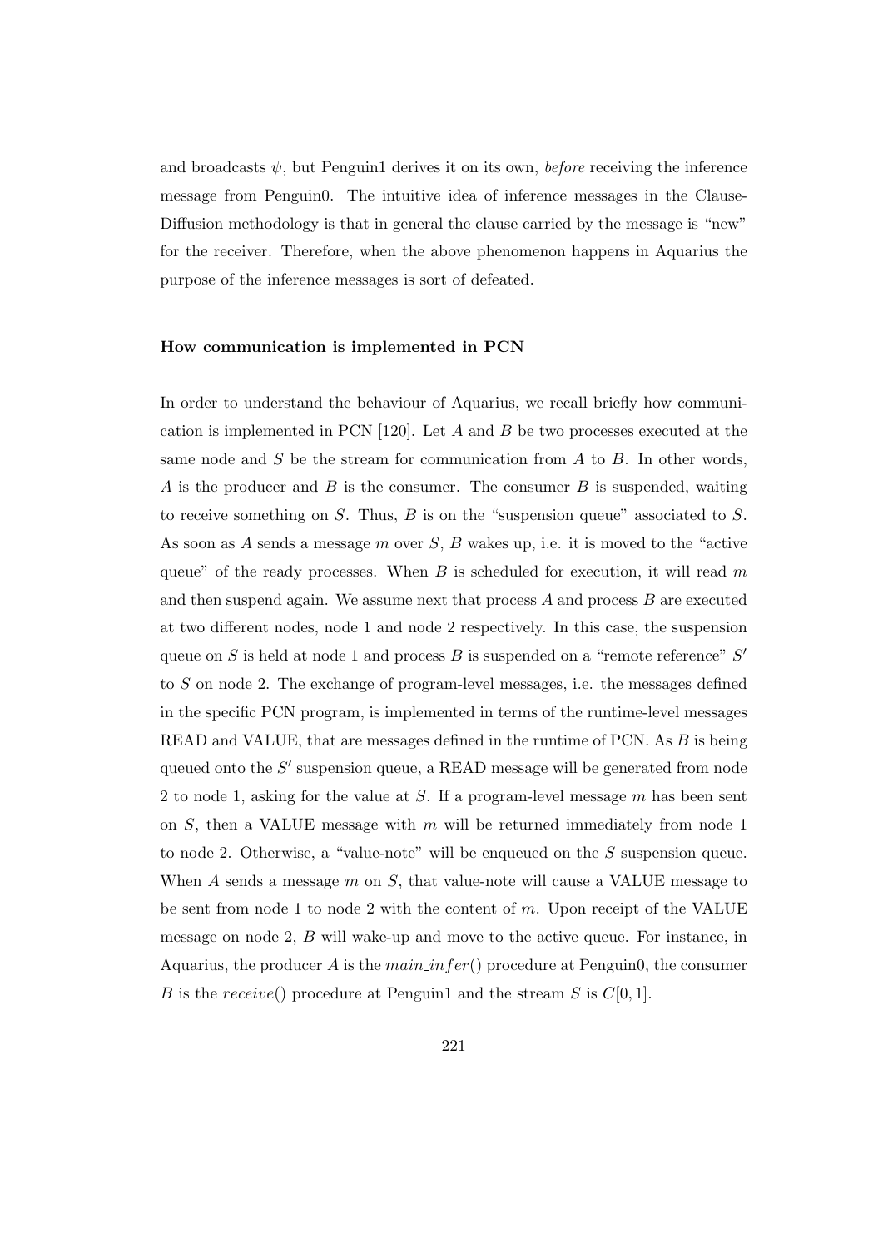and broadcasts  $\psi$ , but Penguin1 derives it on its own, *before* receiving the inference message from Penguin0. The intuitive idea of inference messages in the Clause-Diffusion methodology is that in general the clause carried by the message is "new" for the receiver. Therefore, when the above phenomenon happens in Aquarius the purpose of the inference messages is sort of defeated.

#### How communication is implemented in PCN

In order to understand the behaviour of Aquarius, we recall briefly how communication is implemented in PCN  $[120]$ . Let A and B be two processes executed at the same node and  $S$  be the stream for communication from  $A$  to  $B$ . In other words, A is the producer and B is the consumer. The consumer B is suspended, waiting to receive something on  $S$ . Thus,  $B$  is on the "suspension queue" associated to  $S$ . As soon as A sends a message m over  $S$ ,  $B$  wakes up, i.e. it is moved to the "active" queue" of the ready processes. When  $B$  is scheduled for execution, it will read m and then suspend again. We assume next that process  $A$  and process  $B$  are executed at two different nodes, node 1 and node 2 respectively. In this case, the suspension queue on S is held at node 1 and process  $B$  is suspended on a "remote reference"  $S'$ to S on node 2. The exchange of program-level messages, i.e. the messages defined in the specific PCN program, is implemented in terms of the runtime-level messages READ and VALUE, that are messages defined in the runtime of PCN. As B is being queued onto the  $S'$  suspension queue, a READ message will be generated from node 2 to node 1, asking for the value at  $S$ . If a program-level message  $m$  has been sent on  $S$ , then a VALUE message with  $m$  will be returned immediately from node 1 to node 2. Otherwise, a "value-note" will be enqueued on the  $S$  suspension queue. When  $A$  sends a message  $m$  on  $S$ , that value-note will cause a VALUE message to be sent from node 1 to node 2 with the content of  $m$ . Upon receipt of the VALUE message on node 2, B will wake-up and move to the active queue. For instance, in Aquarius, the producer A is the main infer() procedure at Penguin0, the consumer B is the receive() procedure at Penguin1 and the stream S is  $C[0, 1]$ .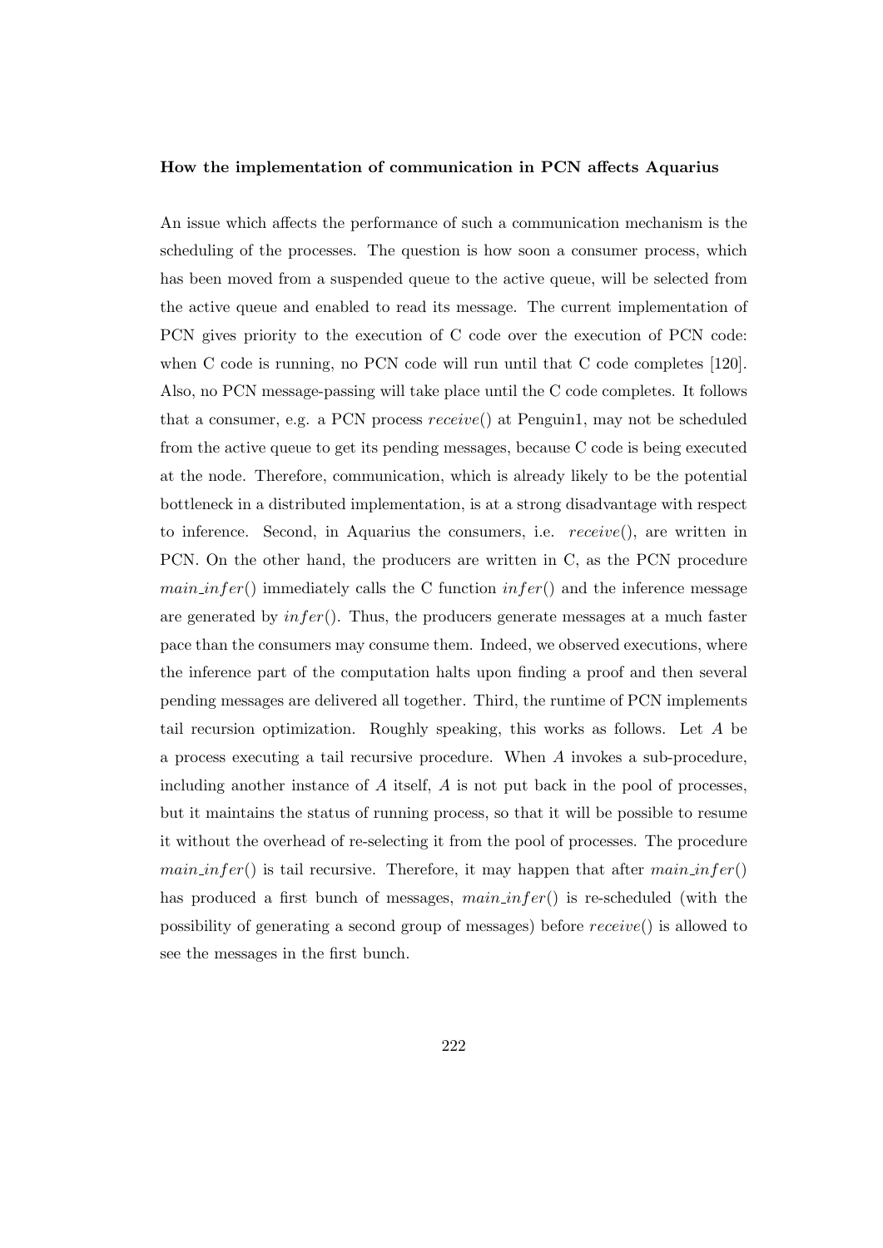#### How the implementation of communication in PCN affects Aquarius

An issue which affects the performance of such a communication mechanism is the scheduling of the processes. The question is how soon a consumer process, which has been moved from a suspended queue to the active queue, will be selected from the active queue and enabled to read its message. The current implementation of PCN gives priority to the execution of C code over the execution of PCN code: when C code is running, no PCN code will run until that C code completes [120]. Also, no PCN message-passing will take place until the C code completes. It follows that a consumer, e.g. a PCN process  $receive()$  at Penguin1, may not be scheduled from the active queue to get its pending messages, because C code is being executed at the node. Therefore, communication, which is already likely to be the potential bottleneck in a distributed implementation, is at a strong disadvantage with respect to inference. Second, in Aquarius the consumers, i.e. receive(), are written in PCN. On the other hand, the producers are written in C, as the PCN procedure  $main_infer()$  immediately calls the C function  $infer()$  and the inference message are generated by  $infer(.)$ . Thus, the producers generate messages at a much faster pace than the consumers may consume them. Indeed, we observed executions, where the inference part of the computation halts upon finding a proof and then several pending messages are delivered all together. Third, the runtime of PCN implements tail recursion optimization. Roughly speaking, this works as follows. Let A be a process executing a tail recursive procedure. When A invokes a sub-procedure, including another instance of  $A$  itself,  $A$  is not put back in the pool of processes, but it maintains the status of running process, so that it will be possible to resume it without the overhead of re-selecting it from the pool of processes. The procedure  $main_infer()$  is tail recursive. Therefore, it may happen that after  $mainfer()$ has produced a first bunch of messages,  $main_1$  is re-scheduled (with the possibility of generating a second group of messages) before receive() is allowed to see the messages in the first bunch.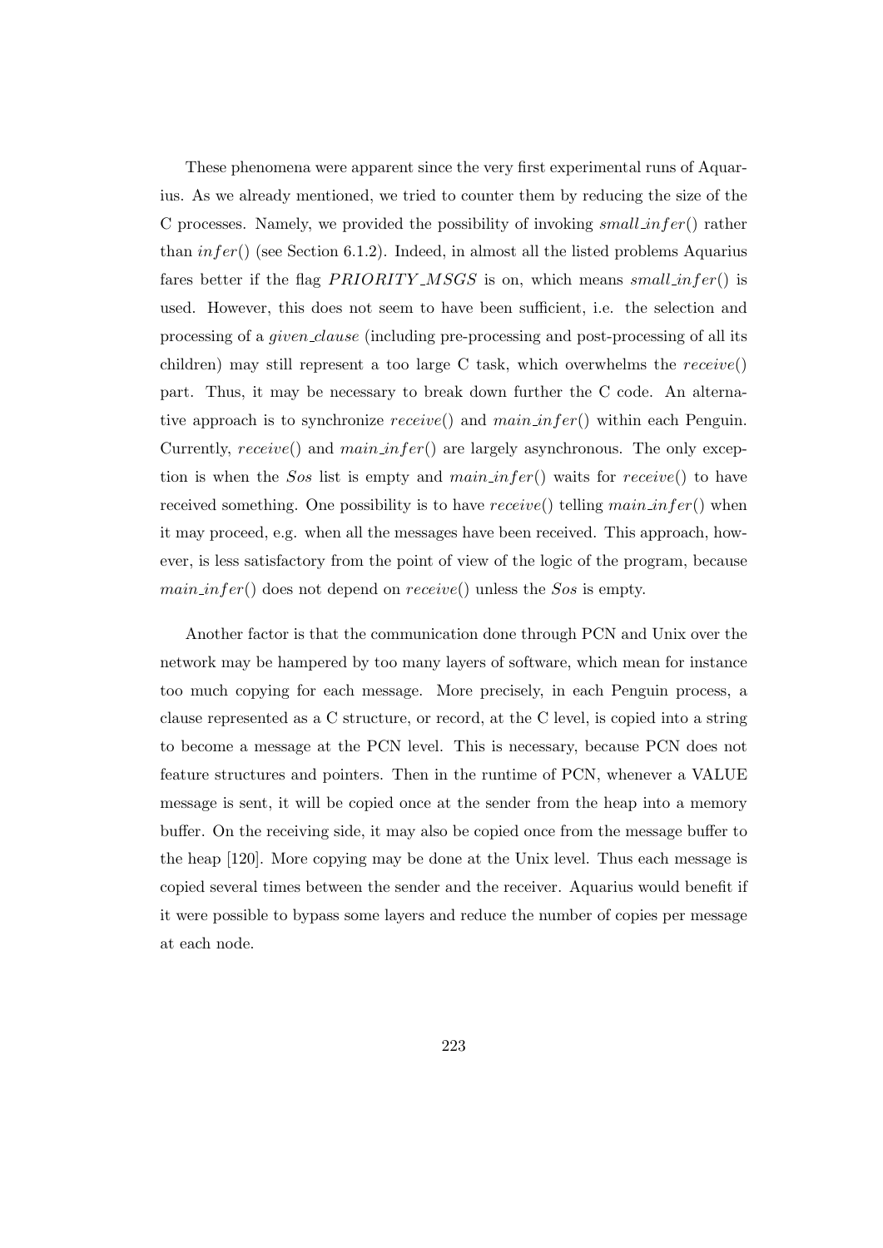These phenomena were apparent since the very first experimental runs of Aquarius. As we already mentioned, we tried to counter them by reducing the size of the C processes. Namely, we provided the possibility of invoking  $small\_infer()$  rather than  $infer()$  (see Section 6.1.2). Indeed, in almost all the listed problems Aquarius fares better if the flag  $PRIORITY\_MSGS$  is on, which means small infer() is used. However, this does not seem to have been sufficient, i.e. the selection and processing of a *given clause* (including pre-processing and post-processing of all its children) may still represent a too large C task, which overwhelms the receive() part. Thus, it may be necessary to break down further the C code. An alternative approach is to synchronize  $receive()$  and  $main_infer()$  within each Penguin. Currently,  $receive()$  and  $main_infer()$  are largely asynchronous. The only exception is when the Sos list is empty and  $main_$ infer() waits for receive() to have received something. One possibility is to have  $receive()$  telling  $main_infer()$  when it may proceed, e.g. when all the messages have been received. This approach, however, is less satisfactory from the point of view of the logic of the program, because  $main_infer()$  does not depend on  $receive()$  unless the Sos is empty.

Another factor is that the communication done through PCN and Unix over the network may be hampered by too many layers of software, which mean for instance too much copying for each message. More precisely, in each Penguin process, a clause represented as a C structure, or record, at the C level, is copied into a string to become a message at the PCN level. This is necessary, because PCN does not feature structures and pointers. Then in the runtime of PCN, whenever a VALUE message is sent, it will be copied once at the sender from the heap into a memory buffer. On the receiving side, it may also be copied once from the message buffer to the heap [120]. More copying may be done at the Unix level. Thus each message is copied several times between the sender and the receiver. Aquarius would benefit if it were possible to bypass some layers and reduce the number of copies per message at each node.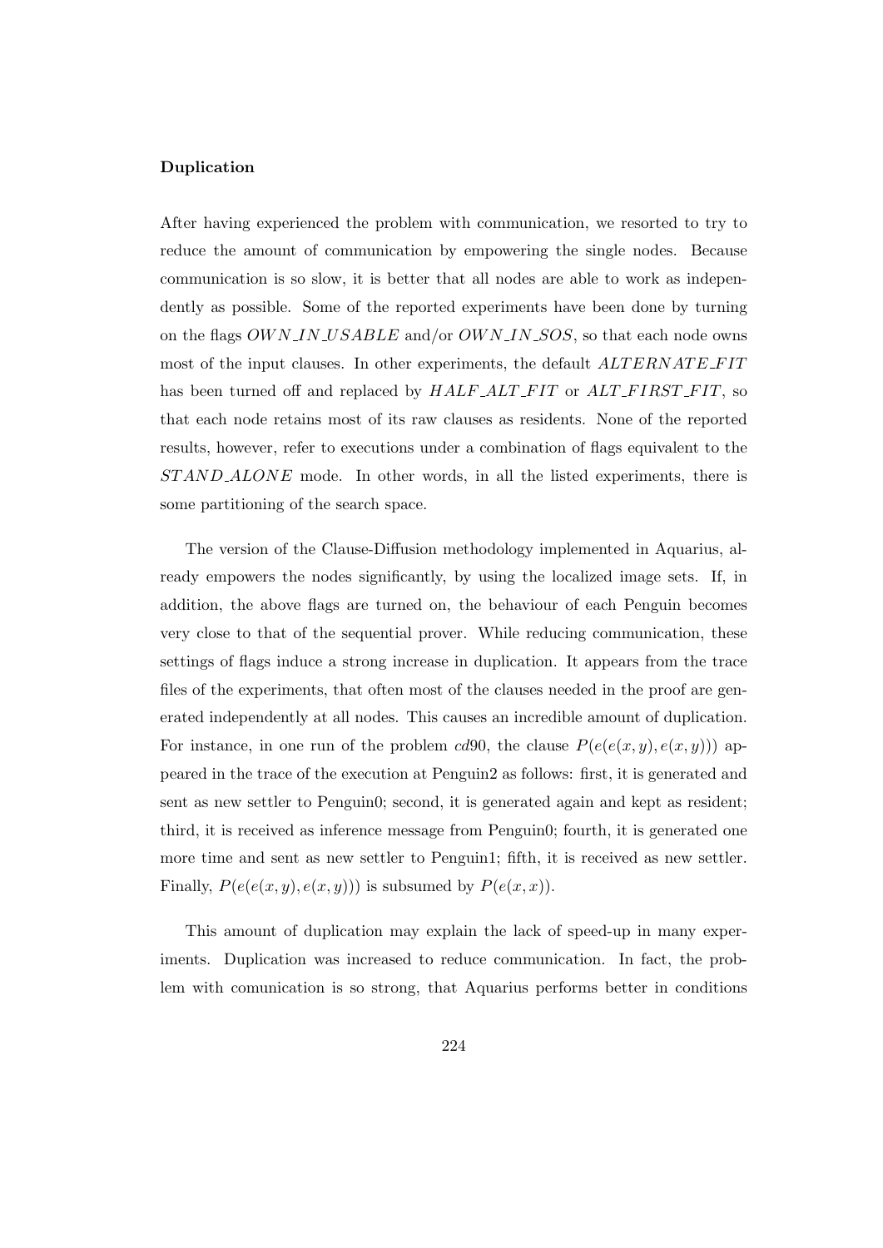#### Duplication

After having experienced the problem with communication, we resorted to try to reduce the amount of communication by empowering the single nodes. Because communication is so slow, it is better that all nodes are able to work as independently as possible. Some of the reported experiments have been done by turning on the flags OWN\_IN\_USABLE and/or OWN\_IN\_SOS, so that each node owns most of the input clauses. In other experiments, the default  $ALTERNATE-FIT$ has been turned off and replaced by  $HALF\_ALT\_FIT$  or  $ALT\_FIRST\_FIT$ , so that each node retains most of its raw clauses as residents. None of the reported results, however, refer to executions under a combination of flags equivalent to the ST AND ALONE mode. In other words, in all the listed experiments, there is some partitioning of the search space.

The version of the Clause-Diffusion methodology implemented in Aquarius, already empowers the nodes significantly, by using the localized image sets. If, in addition, the above flags are turned on, the behaviour of each Penguin becomes very close to that of the sequential prover. While reducing communication, these settings of flags induce a strong increase in duplication. It appears from the trace files of the experiments, that often most of the clauses needed in the proof are generated independently at all nodes. This causes an incredible amount of duplication. For instance, in one run of the problem cd90, the clause  $P(e(e(x, y), e(x, y)))$  appeared in the trace of the execution at Penguin2 as follows: first, it is generated and sent as new settler to Penguin0; second, it is generated again and kept as resident; third, it is received as inference message from Penguin0; fourth, it is generated one more time and sent as new settler to Penguin1; fifth, it is received as new settler. Finally,  $P(e(e(x, y), e(x, y)))$  is subsumed by  $P(e(x, x))$ .

This amount of duplication may explain the lack of speed-up in many experiments. Duplication was increased to reduce communication. In fact, the problem with comunication is so strong, that Aquarius performs better in conditions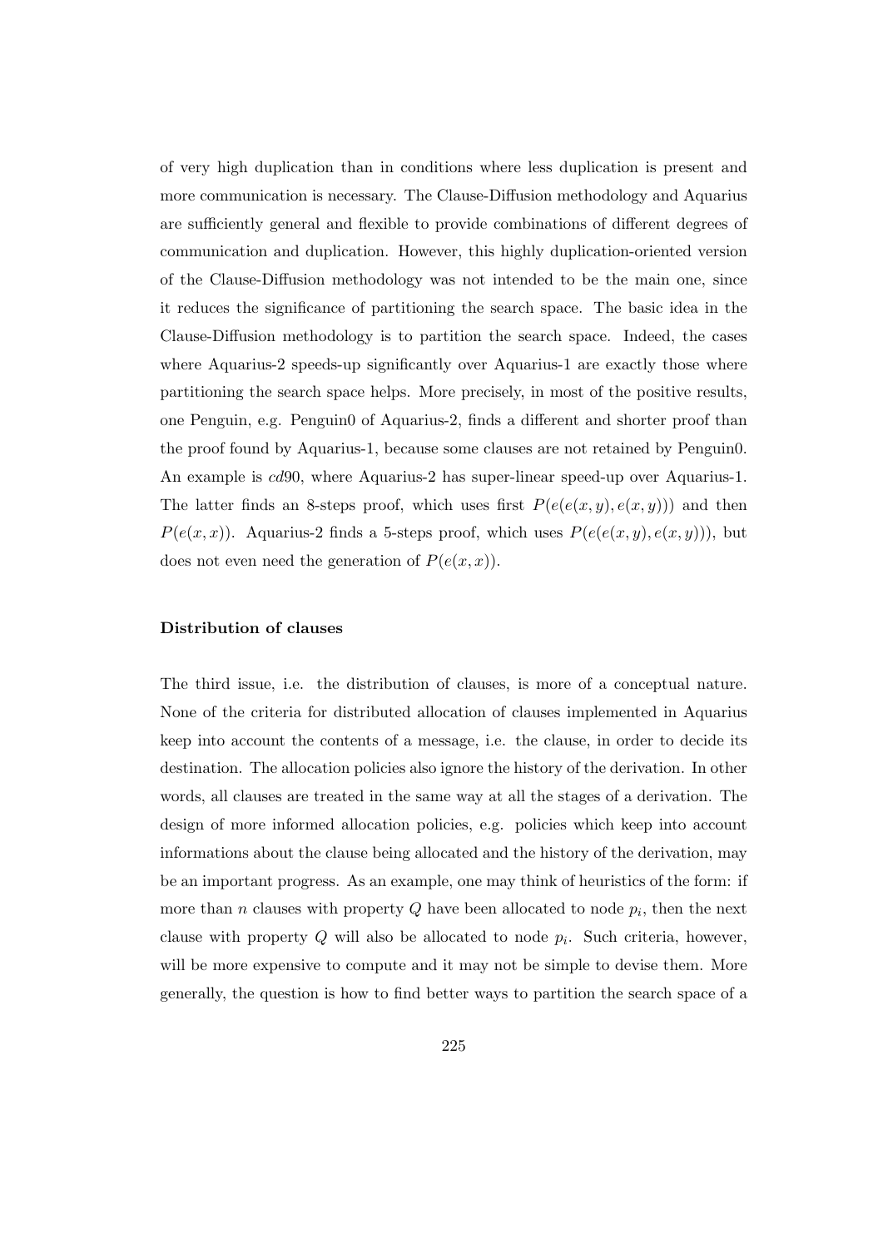of very high duplication than in conditions where less duplication is present and more communication is necessary. The Clause-Diffusion methodology and Aquarius are sufficiently general and flexible to provide combinations of different degrees of communication and duplication. However, this highly duplication-oriented version of the Clause-Diffusion methodology was not intended to be the main one, since it reduces the significance of partitioning the search space. The basic idea in the Clause-Diffusion methodology is to partition the search space. Indeed, the cases where Aquarius-2 speeds-up significantly over Aquarius-1 are exactly those where partitioning the search space helps. More precisely, in most of the positive results, one Penguin, e.g. Penguin0 of Aquarius-2, finds a different and shorter proof than the proof found by Aquarius-1, because some clauses are not retained by Penguin0. An example is cd90, where Aquarius-2 has super-linear speed-up over Aquarius-1. The latter finds an 8-steps proof, which uses first  $P(e(e(x, y), e(x, y)))$  and then  $P(e(x, x))$ . Aquarius-2 finds a 5-steps proof, which uses  $P(e(e(x, y), e(x, y)))$ , but does not even need the generation of  $P(e(x, x))$ .

#### Distribution of clauses

The third issue, i.e. the distribution of clauses, is more of a conceptual nature. None of the criteria for distributed allocation of clauses implemented in Aquarius keep into account the contents of a message, i.e. the clause, in order to decide its destination. The allocation policies also ignore the history of the derivation. In other words, all clauses are treated in the same way at all the stages of a derivation. The design of more informed allocation policies, e.g. policies which keep into account informations about the clause being allocated and the history of the derivation, may be an important progress. As an example, one may think of heuristics of the form: if more than n clauses with property  $Q$  have been allocated to node  $p_i$ , then the next clause with property  $Q$  will also be allocated to node  $p_i$ . Such criteria, however, will be more expensive to compute and it may not be simple to devise them. More generally, the question is how to find better ways to partition the search space of a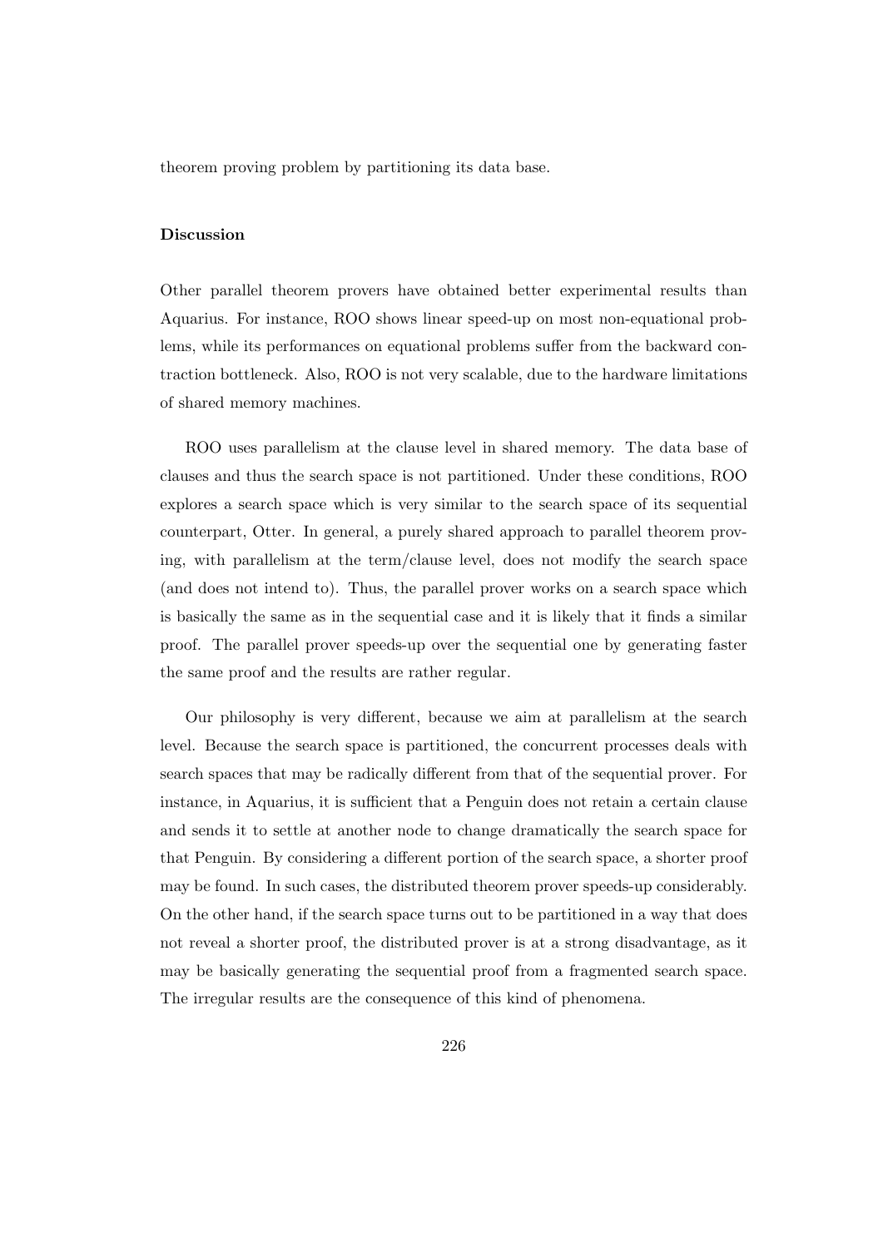theorem proving problem by partitioning its data base.

#### Discussion

Other parallel theorem provers have obtained better experimental results than Aquarius. For instance, ROO shows linear speed-up on most non-equational problems, while its performances on equational problems suffer from the backward contraction bottleneck. Also, ROO is not very scalable, due to the hardware limitations of shared memory machines.

ROO uses parallelism at the clause level in shared memory. The data base of clauses and thus the search space is not partitioned. Under these conditions, ROO explores a search space which is very similar to the search space of its sequential counterpart, Otter. In general, a purely shared approach to parallel theorem proving, with parallelism at the term/clause level, does not modify the search space (and does not intend to). Thus, the parallel prover works on a search space which is basically the same as in the sequential case and it is likely that it finds a similar proof. The parallel prover speeds-up over the sequential one by generating faster the same proof and the results are rather regular.

Our philosophy is very different, because we aim at parallelism at the search level. Because the search space is partitioned, the concurrent processes deals with search spaces that may be radically different from that of the sequential prover. For instance, in Aquarius, it is sufficient that a Penguin does not retain a certain clause and sends it to settle at another node to change dramatically the search space for that Penguin. By considering a different portion of the search space, a shorter proof may be found. In such cases, the distributed theorem prover speeds-up considerably. On the other hand, if the search space turns out to be partitioned in a way that does not reveal a shorter proof, the distributed prover is at a strong disadvantage, as it may be basically generating the sequential proof from a fragmented search space. The irregular results are the consequence of this kind of phenomena.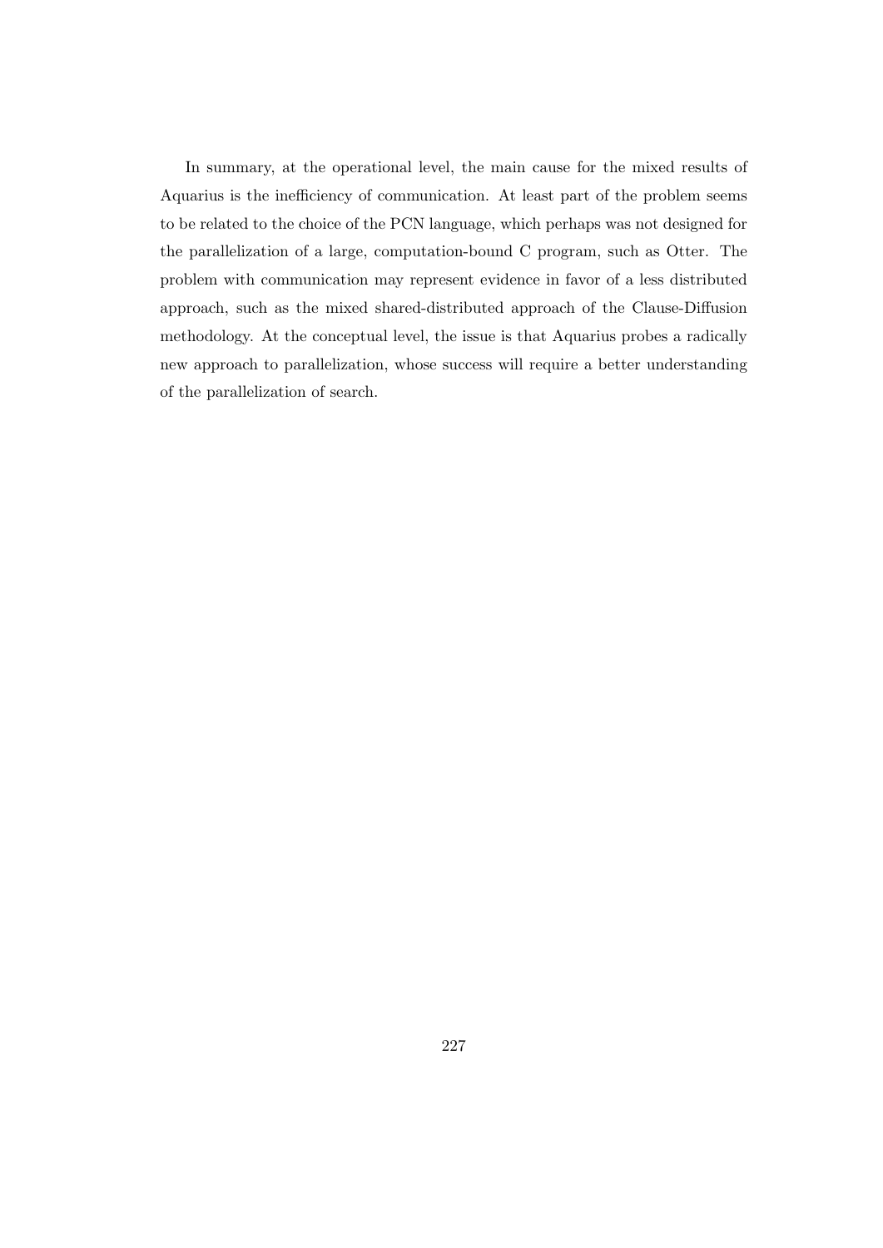In summary, at the operational level, the main cause for the mixed results of Aquarius is the inefficiency of communication. At least part of the problem seems to be related to the choice of the PCN language, which perhaps was not designed for the parallelization of a large, computation-bound C program, such as Otter. The problem with communication may represent evidence in favor of a less distributed approach, such as the mixed shared-distributed approach of the Clause-Diffusion methodology. At the conceptual level, the issue is that Aquarius probes a radically new approach to parallelization, whose success will require a better understanding of the parallelization of search.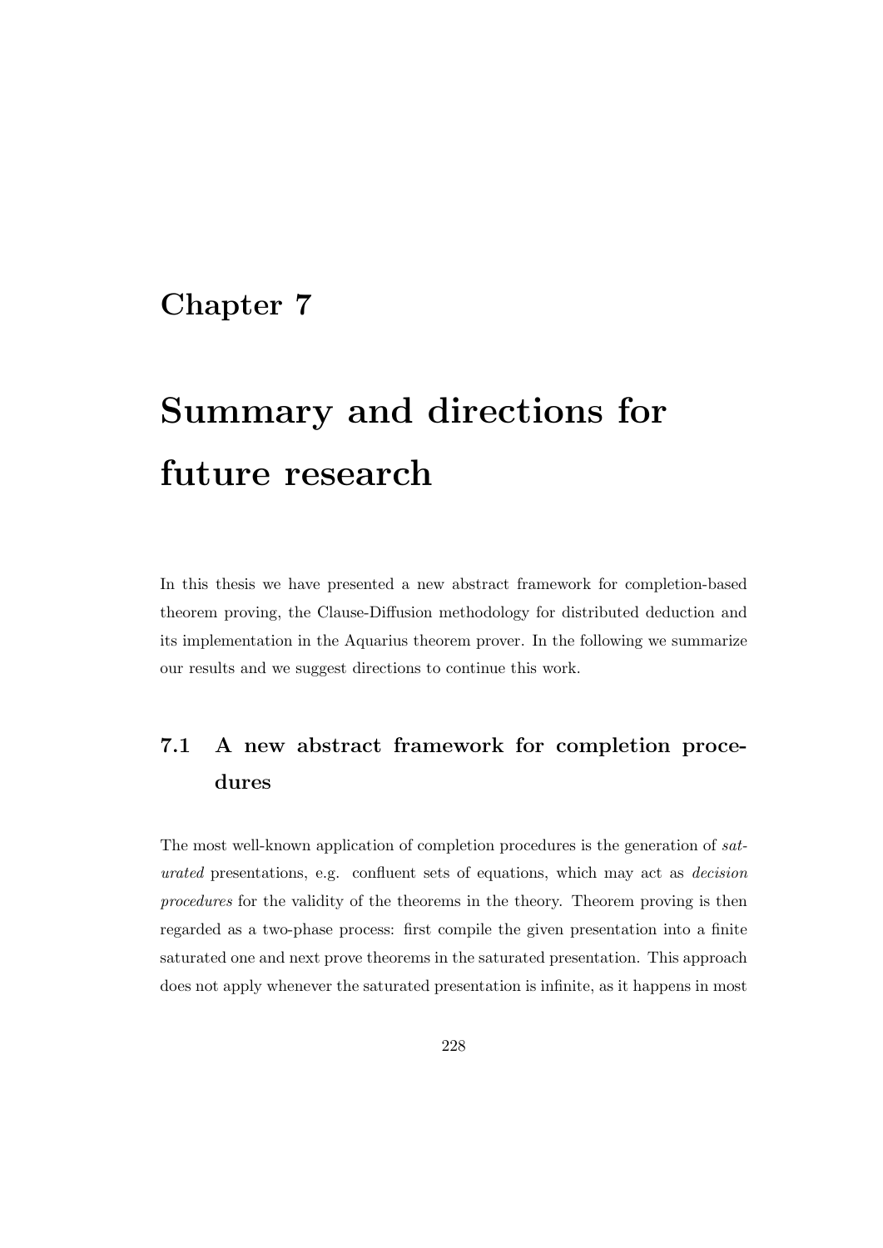# Chapter 7

# Summary and directions for future research

In this thesis we have presented a new abstract framework for completion-based theorem proving, the Clause-Diffusion methodology for distributed deduction and its implementation in the Aquarius theorem prover. In the following we summarize our results and we suggest directions to continue this work.

# 7.1 A new abstract framework for completion procedures

The most well-known application of completion procedures is the generation of saturated presentations, e.g. confluent sets of equations, which may act as decision procedures for the validity of the theorems in the theory. Theorem proving is then regarded as a two-phase process: first compile the given presentation into a finite saturated one and next prove theorems in the saturated presentation. This approach does not apply whenever the saturated presentation is infinite, as it happens in most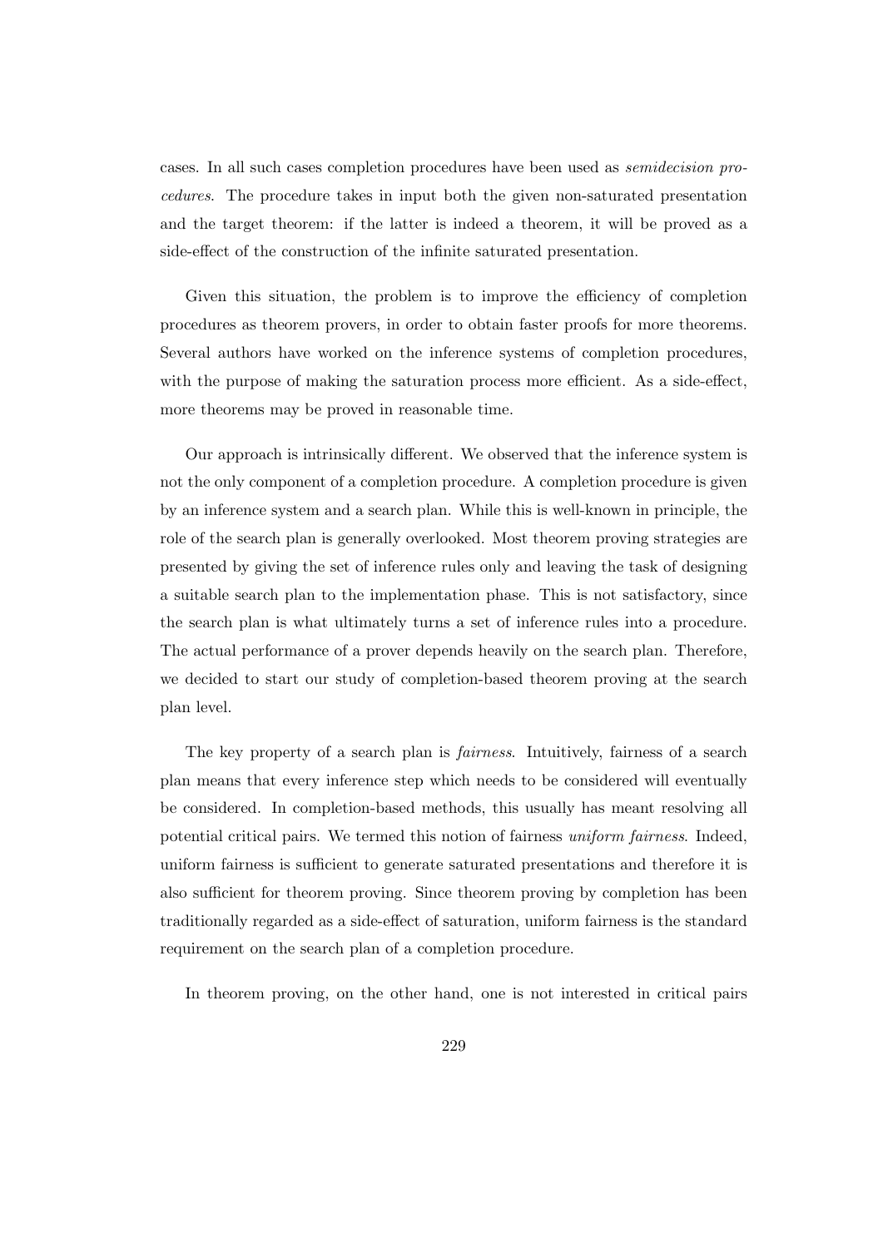cases. In all such cases completion procedures have been used as semidecision procedures. The procedure takes in input both the given non-saturated presentation and the target theorem: if the latter is indeed a theorem, it will be proved as a side-effect of the construction of the infinite saturated presentation.

Given this situation, the problem is to improve the efficiency of completion procedures as theorem provers, in order to obtain faster proofs for more theorems. Several authors have worked on the inference systems of completion procedures, with the purpose of making the saturation process more efficient. As a side-effect, more theorems may be proved in reasonable time.

Our approach is intrinsically different. We observed that the inference system is not the only component of a completion procedure. A completion procedure is given by an inference system and a search plan. While this is well-known in principle, the role of the search plan is generally overlooked. Most theorem proving strategies are presented by giving the set of inference rules only and leaving the task of designing a suitable search plan to the implementation phase. This is not satisfactory, since the search plan is what ultimately turns a set of inference rules into a procedure. The actual performance of a prover depends heavily on the search plan. Therefore, we decided to start our study of completion-based theorem proving at the search plan level.

The key property of a search plan is *fairness*. Intuitively, fairness of a search plan means that every inference step which needs to be considered will eventually be considered. In completion-based methods, this usually has meant resolving all potential critical pairs. We termed this notion of fairness uniform fairness. Indeed, uniform fairness is sufficient to generate saturated presentations and therefore it is also sufficient for theorem proving. Since theorem proving by completion has been traditionally regarded as a side-effect of saturation, uniform fairness is the standard requirement on the search plan of a completion procedure.

In theorem proving, on the other hand, one is not interested in critical pairs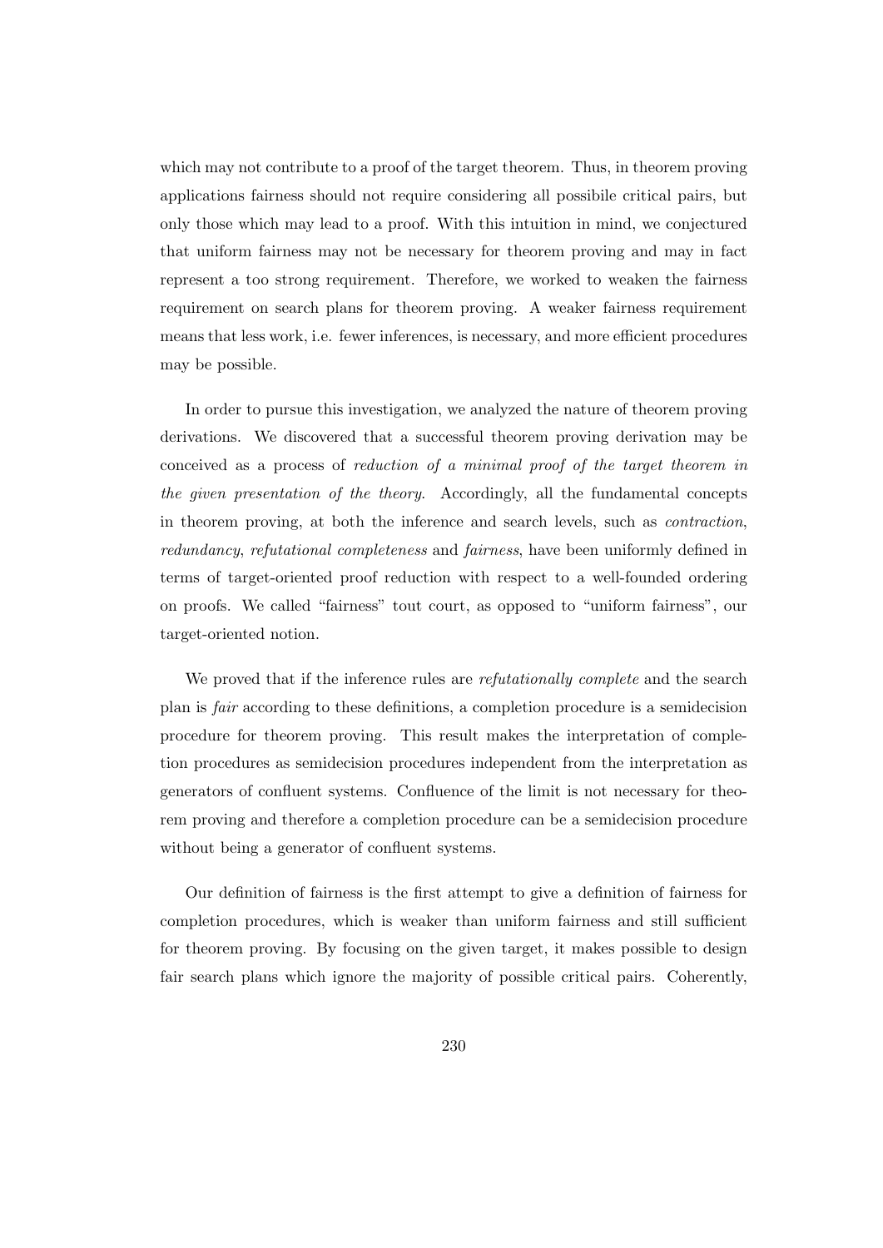which may not contribute to a proof of the target theorem. Thus, in theorem proving applications fairness should not require considering all possibile critical pairs, but only those which may lead to a proof. With this intuition in mind, we conjectured that uniform fairness may not be necessary for theorem proving and may in fact represent a too strong requirement. Therefore, we worked to weaken the fairness requirement on search plans for theorem proving. A weaker fairness requirement means that less work, i.e. fewer inferences, is necessary, and more efficient procedures may be possible.

In order to pursue this investigation, we analyzed the nature of theorem proving derivations. We discovered that a successful theorem proving derivation may be conceived as a process of reduction of a minimal proof of the target theorem in the given presentation of the theory. Accordingly, all the fundamental concepts in theorem proving, at both the inference and search levels, such as contraction, redundancy, refutational completeness and fairness, have been uniformly defined in terms of target-oriented proof reduction with respect to a well-founded ordering on proofs. We called "fairness" tout court, as opposed to "uniform fairness", our target-oriented notion.

We proved that if the inference rules are *refutationally complete* and the search plan is fair according to these definitions, a completion procedure is a semidecision procedure for theorem proving. This result makes the interpretation of completion procedures as semidecision procedures independent from the interpretation as generators of confluent systems. Confluence of the limit is not necessary for theorem proving and therefore a completion procedure can be a semidecision procedure without being a generator of confluent systems.

Our definition of fairness is the first attempt to give a definition of fairness for completion procedures, which is weaker than uniform fairness and still sufficient for theorem proving. By focusing on the given target, it makes possible to design fair search plans which ignore the majority of possible critical pairs. Coherently,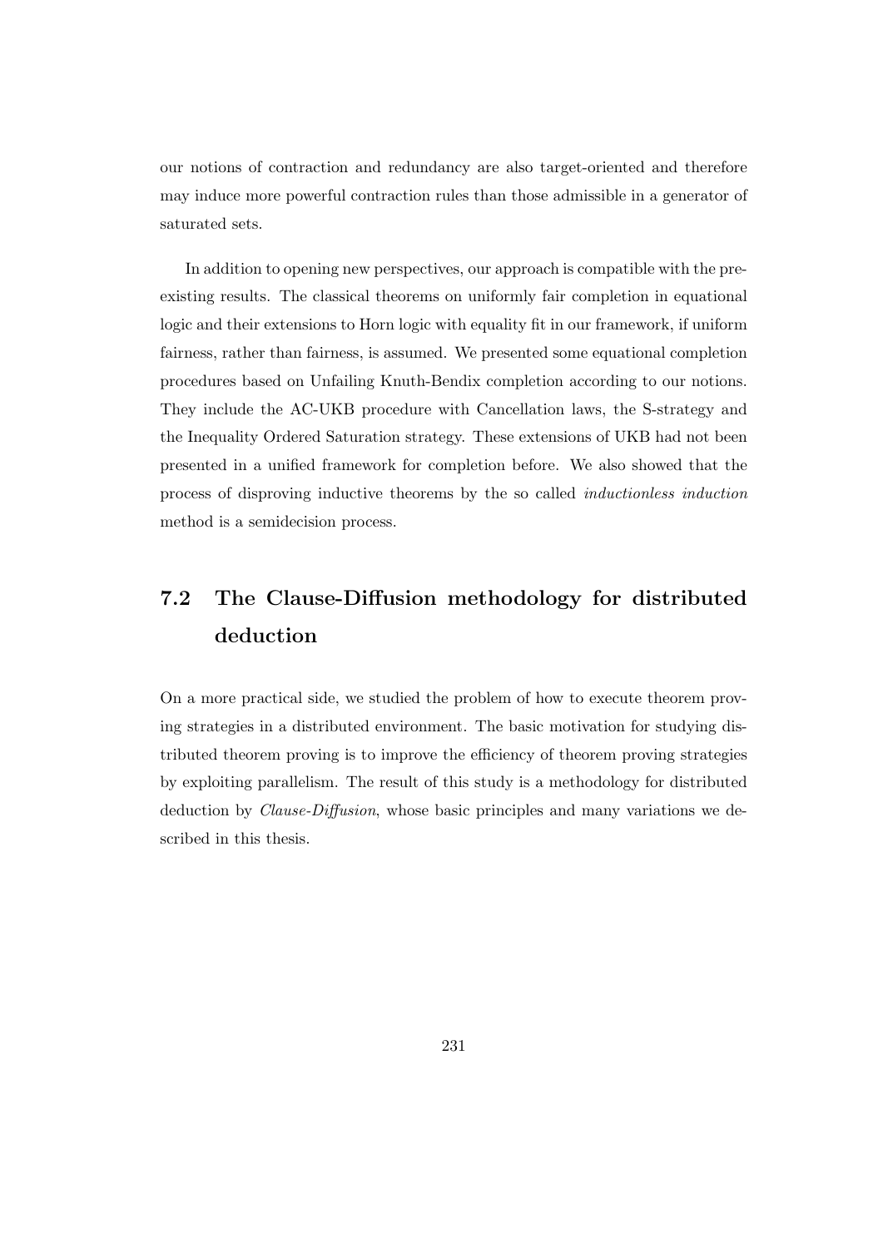our notions of contraction and redundancy are also target-oriented and therefore may induce more powerful contraction rules than those admissible in a generator of saturated sets.

In addition to opening new perspectives, our approach is compatible with the preexisting results. The classical theorems on uniformly fair completion in equational logic and their extensions to Horn logic with equality fit in our framework, if uniform fairness, rather than fairness, is assumed. We presented some equational completion procedures based on Unfailing Knuth-Bendix completion according to our notions. They include the AC-UKB procedure with Cancellation laws, the S-strategy and the Inequality Ordered Saturation strategy. These extensions of UKB had not been presented in a unified framework for completion before. We also showed that the process of disproving inductive theorems by the so called inductionless induction method is a semidecision process.

# 7.2 The Clause-Diffusion methodology for distributed deduction

On a more practical side, we studied the problem of how to execute theorem proving strategies in a distributed environment. The basic motivation for studying distributed theorem proving is to improve the efficiency of theorem proving strategies by exploiting parallelism. The result of this study is a methodology for distributed deduction by *Clause-Diffusion*, whose basic principles and many variations we described in this thesis.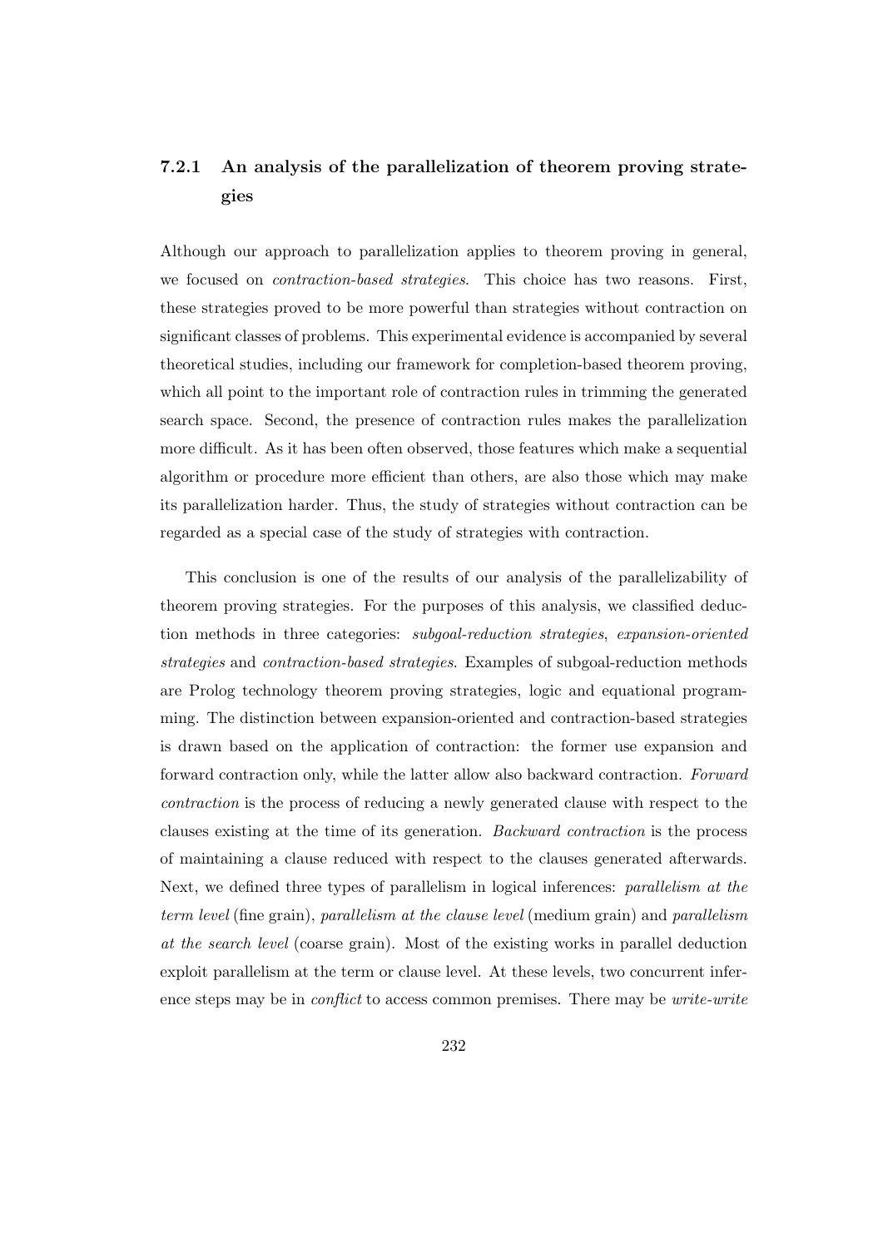# 7.2.1 An analysis of the parallelization of theorem proving strategies

Although our approach to parallelization applies to theorem proving in general, we focused on contraction-based strategies. This choice has two reasons. First, these strategies proved to be more powerful than strategies without contraction on significant classes of problems. This experimental evidence is accompanied by several theoretical studies, including our framework for completion-based theorem proving, which all point to the important role of contraction rules in trimming the generated search space. Second, the presence of contraction rules makes the parallelization more difficult. As it has been often observed, those features which make a sequential algorithm or procedure more efficient than others, are also those which may make its parallelization harder. Thus, the study of strategies without contraction can be regarded as a special case of the study of strategies with contraction.

This conclusion is one of the results of our analysis of the parallelizability of theorem proving strategies. For the purposes of this analysis, we classified deduction methods in three categories: subgoal-reduction strategies, expansion-oriented strategies and contraction-based strategies. Examples of subgoal-reduction methods are Prolog technology theorem proving strategies, logic and equational programming. The distinction between expansion-oriented and contraction-based strategies is drawn based on the application of contraction: the former use expansion and forward contraction only, while the latter allow also backward contraction. Forward contraction is the process of reducing a newly generated clause with respect to the clauses existing at the time of its generation. Backward contraction is the process of maintaining a clause reduced with respect to the clauses generated afterwards. Next, we defined three types of parallelism in logical inferences: parallelism at the term level (fine grain), parallelism at the clause level (medium grain) and parallelism at the search level (coarse grain). Most of the existing works in parallel deduction exploit parallelism at the term or clause level. At these levels, two concurrent inference steps may be in conflict to access common premises. There may be write-write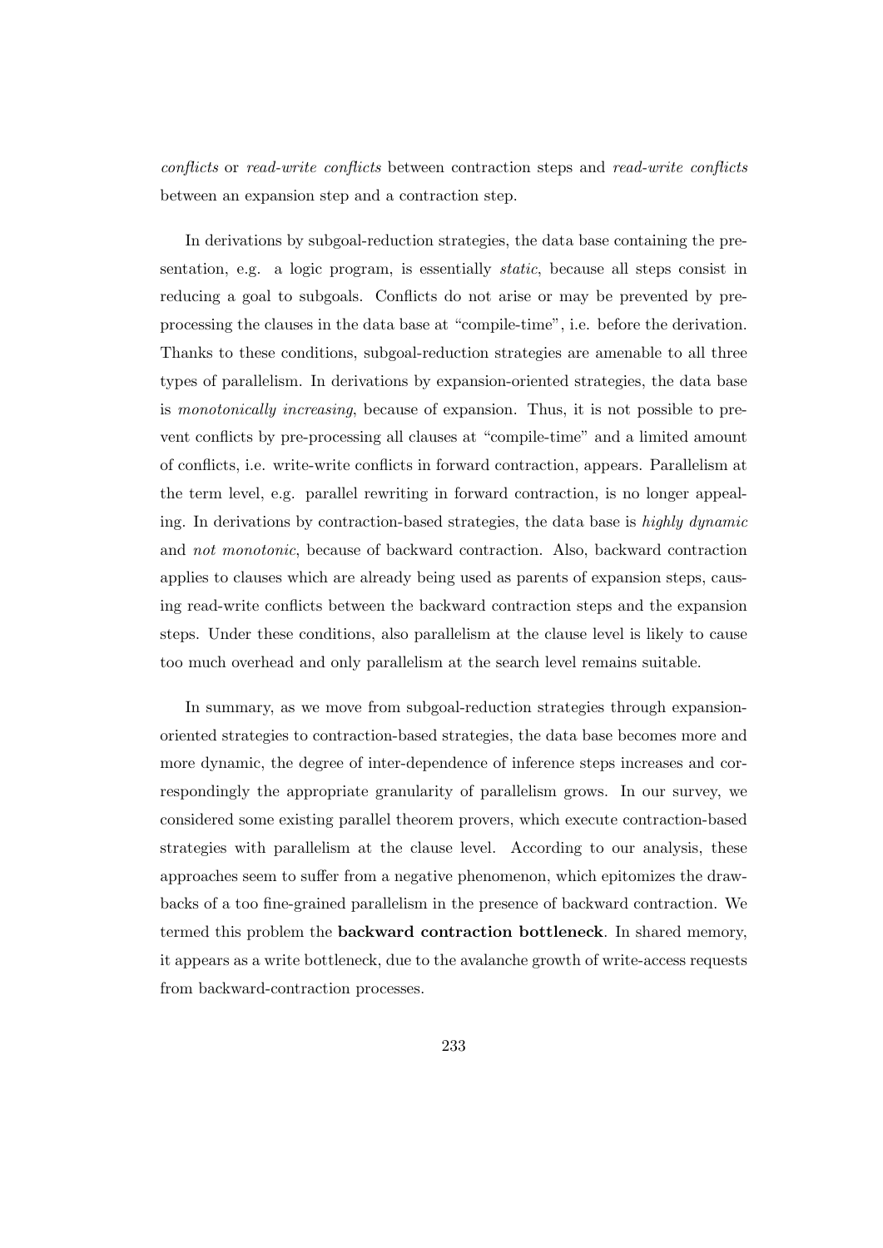conflicts or read-write conflicts between contraction steps and read-write conflicts between an expansion step and a contraction step.

In derivations by subgoal-reduction strategies, the data base containing the presentation, e.g. a logic program, is essentially static, because all steps consist in reducing a goal to subgoals. Conflicts do not arise or may be prevented by preprocessing the clauses in the data base at "compile-time", i.e. before the derivation. Thanks to these conditions, subgoal-reduction strategies are amenable to all three types of parallelism. In derivations by expansion-oriented strategies, the data base is monotonically increasing, because of expansion. Thus, it is not possible to prevent conflicts by pre-processing all clauses at "compile-time" and a limited amount of conflicts, i.e. write-write conflicts in forward contraction, appears. Parallelism at the term level, e.g. parallel rewriting in forward contraction, is no longer appealing. In derivations by contraction-based strategies, the data base is highly dynamic and not monotonic, because of backward contraction. Also, backward contraction applies to clauses which are already being used as parents of expansion steps, causing read-write conflicts between the backward contraction steps and the expansion steps. Under these conditions, also parallelism at the clause level is likely to cause too much overhead and only parallelism at the search level remains suitable.

In summary, as we move from subgoal-reduction strategies through expansionoriented strategies to contraction-based strategies, the data base becomes more and more dynamic, the degree of inter-dependence of inference steps increases and correspondingly the appropriate granularity of parallelism grows. In our survey, we considered some existing parallel theorem provers, which execute contraction-based strategies with parallelism at the clause level. According to our analysis, these approaches seem to suffer from a negative phenomenon, which epitomizes the drawbacks of a too fine-grained parallelism in the presence of backward contraction. We termed this problem the backward contraction bottleneck. In shared memory, it appears as a write bottleneck, due to the avalanche growth of write-access requests from backward-contraction processes.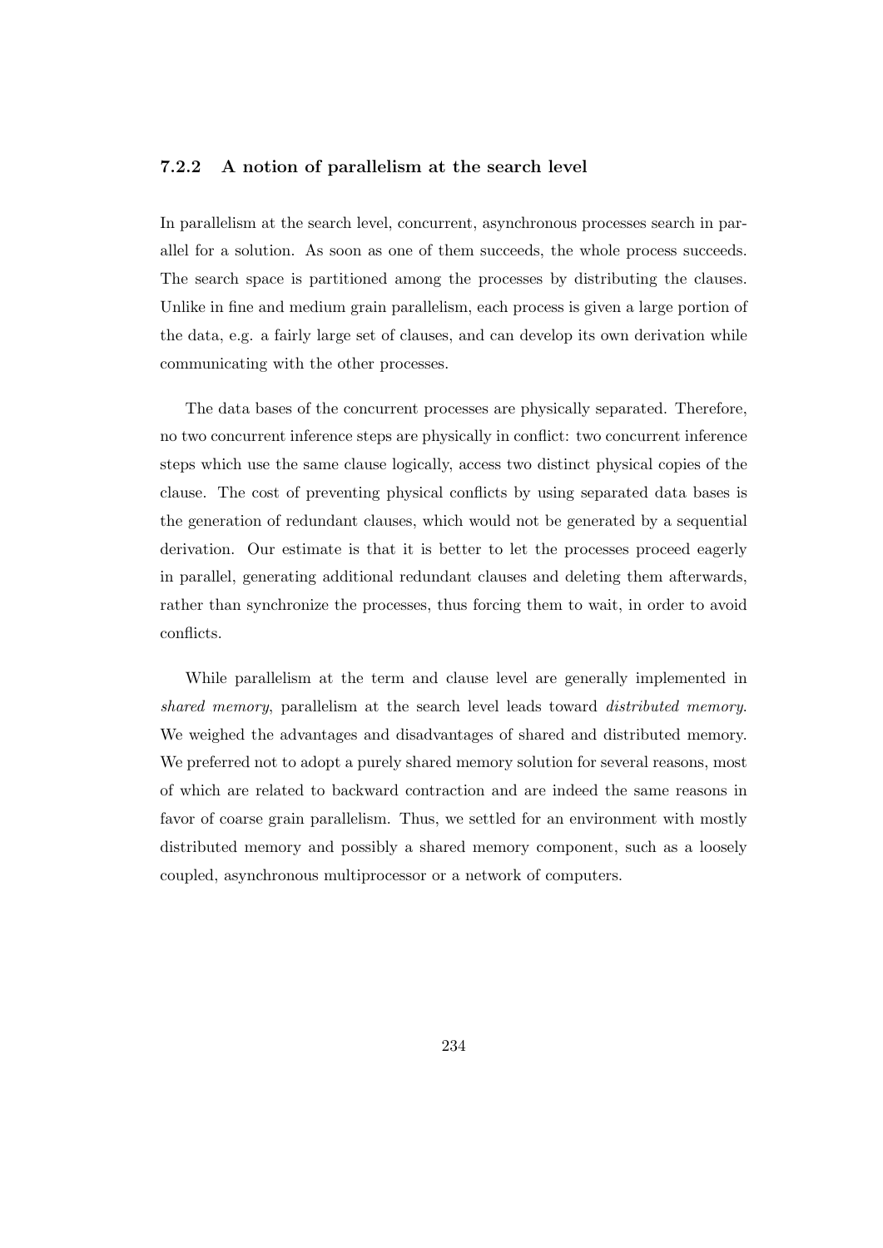#### 7.2.2 A notion of parallelism at the search level

In parallelism at the search level, concurrent, asynchronous processes search in parallel for a solution. As soon as one of them succeeds, the whole process succeeds. The search space is partitioned among the processes by distributing the clauses. Unlike in fine and medium grain parallelism, each process is given a large portion of the data, e.g. a fairly large set of clauses, and can develop its own derivation while communicating with the other processes.

The data bases of the concurrent processes are physically separated. Therefore, no two concurrent inference steps are physically in conflict: two concurrent inference steps which use the same clause logically, access two distinct physical copies of the clause. The cost of preventing physical conflicts by using separated data bases is the generation of redundant clauses, which would not be generated by a sequential derivation. Our estimate is that it is better to let the processes proceed eagerly in parallel, generating additional redundant clauses and deleting them afterwards, rather than synchronize the processes, thus forcing them to wait, in order to avoid conflicts.

While parallelism at the term and clause level are generally implemented in shared memory, parallelism at the search level leads toward *distributed memory*. We weighed the advantages and disadvantages of shared and distributed memory. We preferred not to adopt a purely shared memory solution for several reasons, most of which are related to backward contraction and are indeed the same reasons in favor of coarse grain parallelism. Thus, we settled for an environment with mostly distributed memory and possibly a shared memory component, such as a loosely coupled, asynchronous multiprocessor or a network of computers.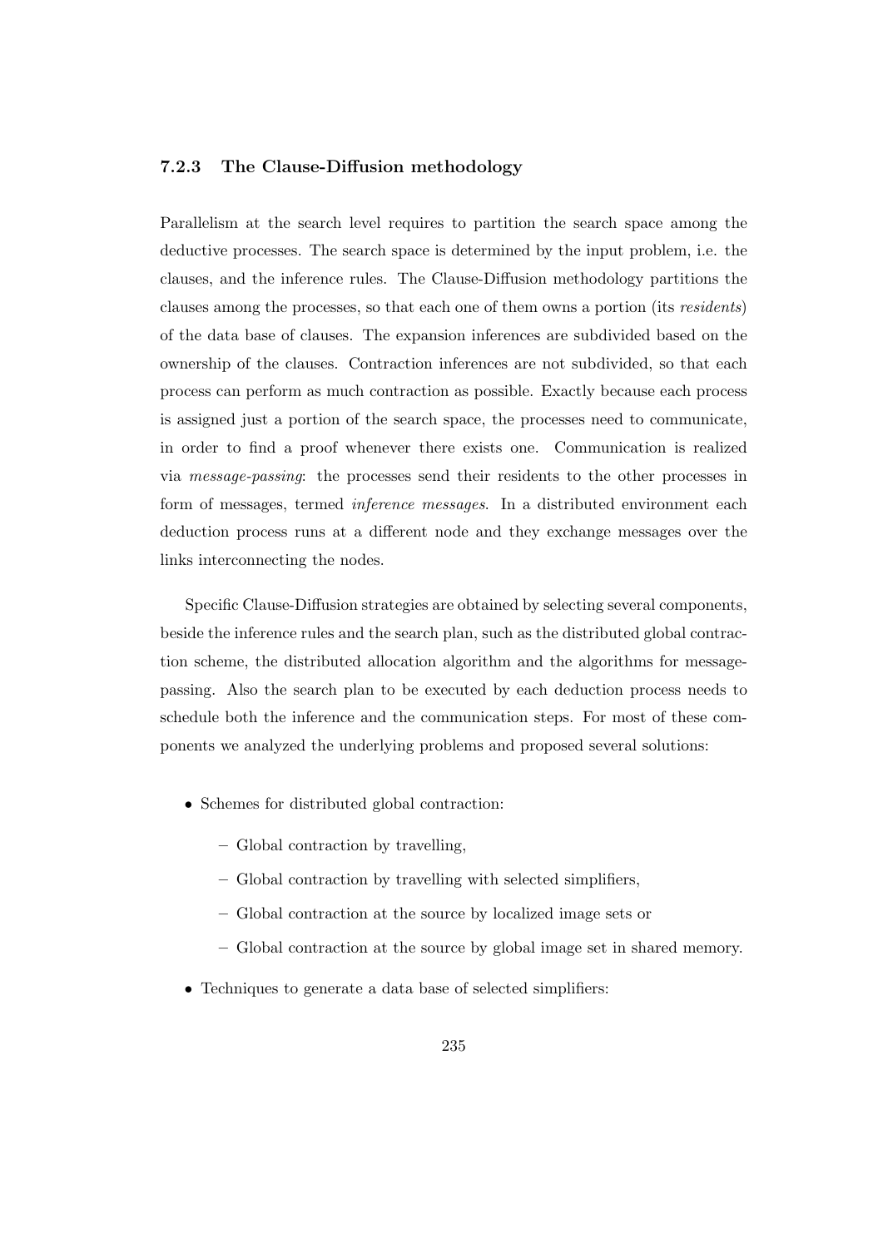#### 7.2.3 The Clause-Diffusion methodology

Parallelism at the search level requires to partition the search space among the deductive processes. The search space is determined by the input problem, i.e. the clauses, and the inference rules. The Clause-Diffusion methodology partitions the clauses among the processes, so that each one of them owns a portion (its residents) of the data base of clauses. The expansion inferences are subdivided based on the ownership of the clauses. Contraction inferences are not subdivided, so that each process can perform as much contraction as possible. Exactly because each process is assigned just a portion of the search space, the processes need to communicate, in order to find a proof whenever there exists one. Communication is realized via message-passing: the processes send their residents to the other processes in form of messages, termed inference messages. In a distributed environment each deduction process runs at a different node and they exchange messages over the links interconnecting the nodes.

Specific Clause-Diffusion strategies are obtained by selecting several components, beside the inference rules and the search plan, such as the distributed global contraction scheme, the distributed allocation algorithm and the algorithms for messagepassing. Also the search plan to be executed by each deduction process needs to schedule both the inference and the communication steps. For most of these components we analyzed the underlying problems and proposed several solutions:

- Schemes for distributed global contraction:
	- Global contraction by travelling,
	- Global contraction by travelling with selected simplifiers,
	- Global contraction at the source by localized image sets or
	- Global contraction at the source by global image set in shared memory.
- Techniques to generate a data base of selected simplifiers: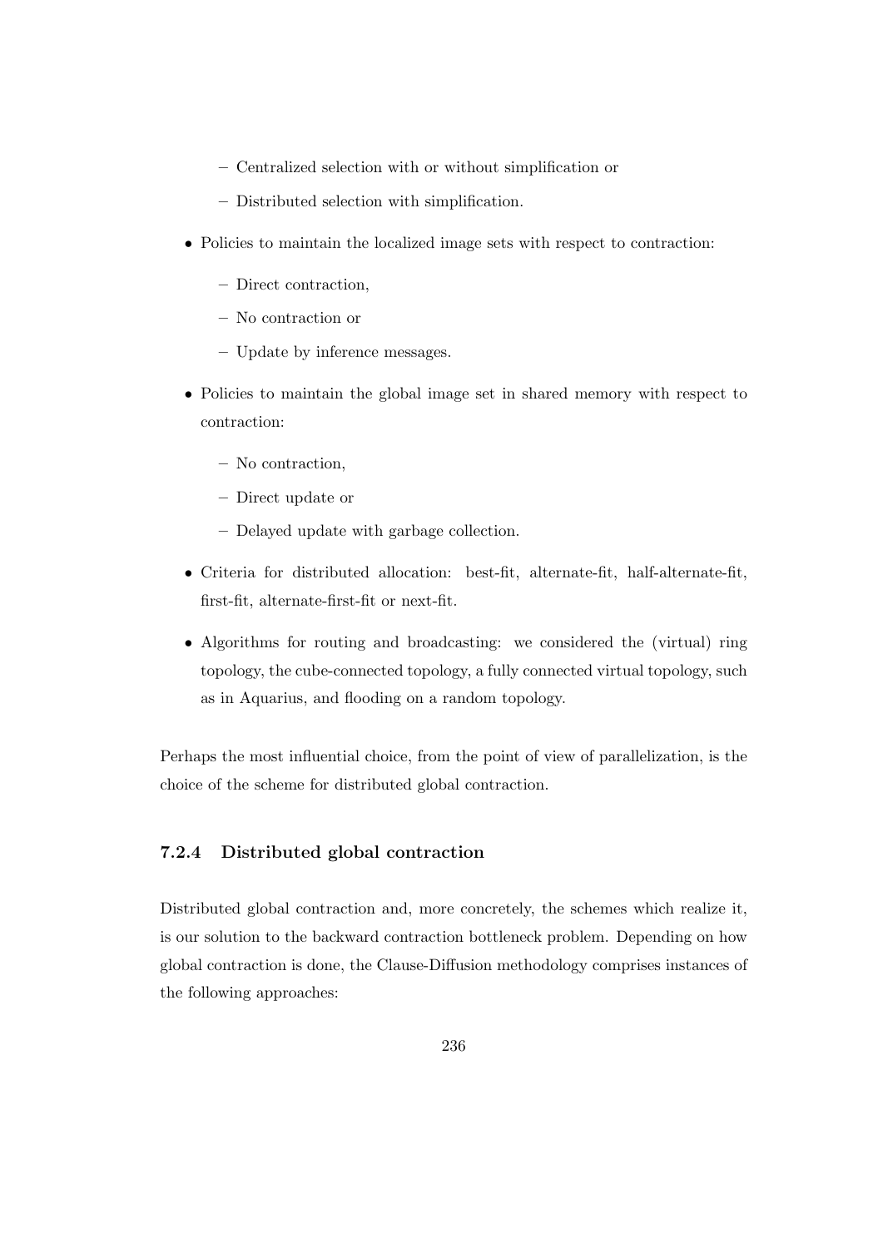- Centralized selection with or without simplification or
- Distributed selection with simplification.
- Policies to maintain the localized image sets with respect to contraction:
	- Direct contraction,
	- No contraction or
	- Update by inference messages.
- Policies to maintain the global image set in shared memory with respect to contraction:
	- No contraction,
	- Direct update or
	- Delayed update with garbage collection.
- Criteria for distributed allocation: best-fit, alternate-fit, half-alternate-fit, first-fit, alternate-first-fit or next-fit.
- Algorithms for routing and broadcasting: we considered the (virtual) ring topology, the cube-connected topology, a fully connected virtual topology, such as in Aquarius, and flooding on a random topology.

Perhaps the most influential choice, from the point of view of parallelization, is the choice of the scheme for distributed global contraction.

## 7.2.4 Distributed global contraction

Distributed global contraction and, more concretely, the schemes which realize it, is our solution to the backward contraction bottleneck problem. Depending on how global contraction is done, the Clause-Diffusion methodology comprises instances of the following approaches: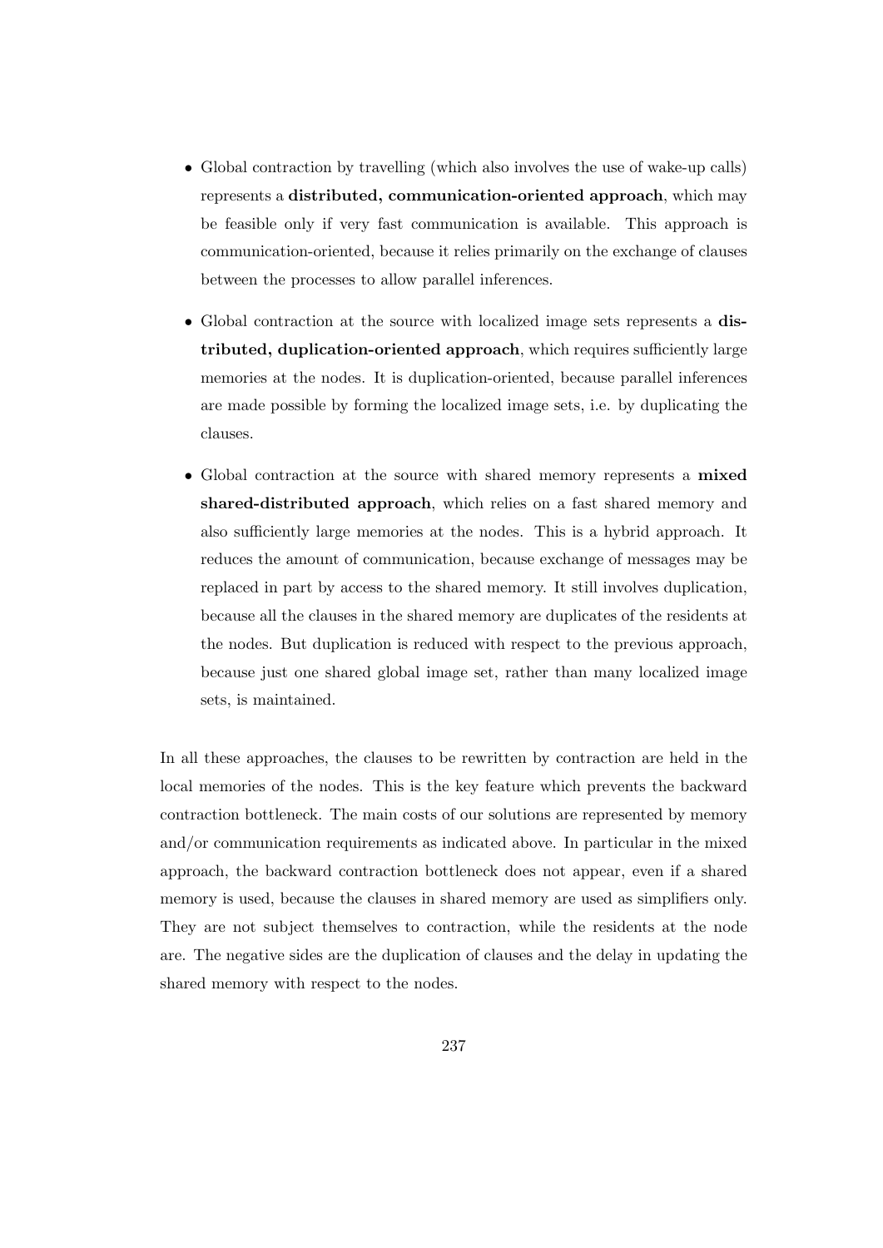- Global contraction by travelling (which also involves the use of wake-up calls) represents a distributed, communication-oriented approach, which may be feasible only if very fast communication is available. This approach is communication-oriented, because it relies primarily on the exchange of clauses between the processes to allow parallel inferences.
- Global contraction at the source with localized image sets represents a distributed, duplication-oriented approach, which requires sufficiently large memories at the nodes. It is duplication-oriented, because parallel inferences are made possible by forming the localized image sets, i.e. by duplicating the clauses.
- Global contraction at the source with shared memory represents a mixed shared-distributed approach, which relies on a fast shared memory and also sufficiently large memories at the nodes. This is a hybrid approach. It reduces the amount of communication, because exchange of messages may be replaced in part by access to the shared memory. It still involves duplication, because all the clauses in the shared memory are duplicates of the residents at the nodes. But duplication is reduced with respect to the previous approach, because just one shared global image set, rather than many localized image sets, is maintained.

In all these approaches, the clauses to be rewritten by contraction are held in the local memories of the nodes. This is the key feature which prevents the backward contraction bottleneck. The main costs of our solutions are represented by memory and/or communication requirements as indicated above. In particular in the mixed approach, the backward contraction bottleneck does not appear, even if a shared memory is used, because the clauses in shared memory are used as simplifiers only. They are not subject themselves to contraction, while the residents at the node are. The negative sides are the duplication of clauses and the delay in updating the shared memory with respect to the nodes.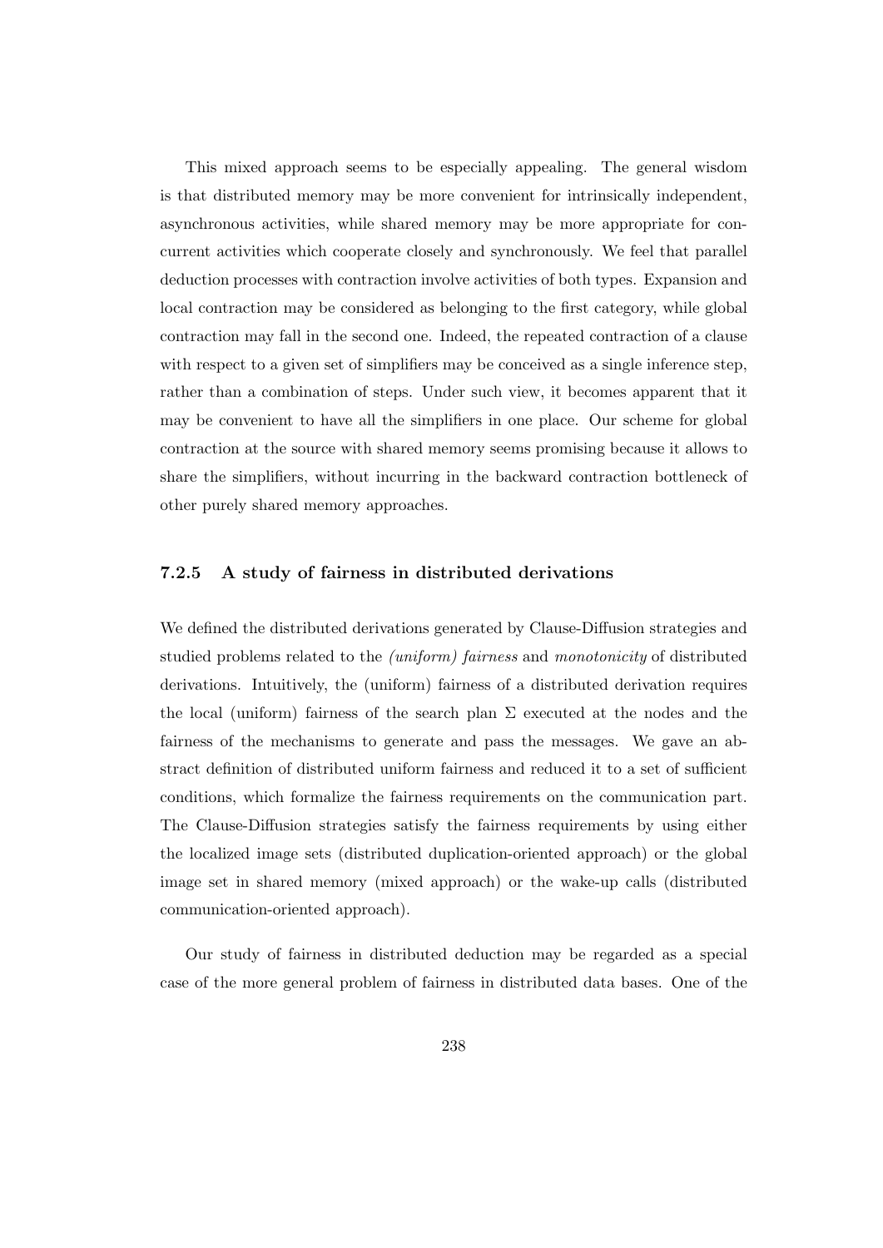This mixed approach seems to be especially appealing. The general wisdom is that distributed memory may be more convenient for intrinsically independent, asynchronous activities, while shared memory may be more appropriate for concurrent activities which cooperate closely and synchronously. We feel that parallel deduction processes with contraction involve activities of both types. Expansion and local contraction may be considered as belonging to the first category, while global contraction may fall in the second one. Indeed, the repeated contraction of a clause with respect to a given set of simplifiers may be conceived as a single inference step, rather than a combination of steps. Under such view, it becomes apparent that it may be convenient to have all the simplifiers in one place. Our scheme for global contraction at the source with shared memory seems promising because it allows to share the simplifiers, without incurring in the backward contraction bottleneck of other purely shared memory approaches.

#### 7.2.5 A study of fairness in distributed derivations

We defined the distributed derivations generated by Clause-Diffusion strategies and studied problems related to the (uniform) fairness and monotonicity of distributed derivations. Intuitively, the (uniform) fairness of a distributed derivation requires the local (uniform) fairness of the search plan  $\Sigma$  executed at the nodes and the fairness of the mechanisms to generate and pass the messages. We gave an abstract definition of distributed uniform fairness and reduced it to a set of sufficient conditions, which formalize the fairness requirements on the communication part. The Clause-Diffusion strategies satisfy the fairness requirements by using either the localized image sets (distributed duplication-oriented approach) or the global image set in shared memory (mixed approach) or the wake-up calls (distributed communication-oriented approach).

Our study of fairness in distributed deduction may be regarded as a special case of the more general problem of fairness in distributed data bases. One of the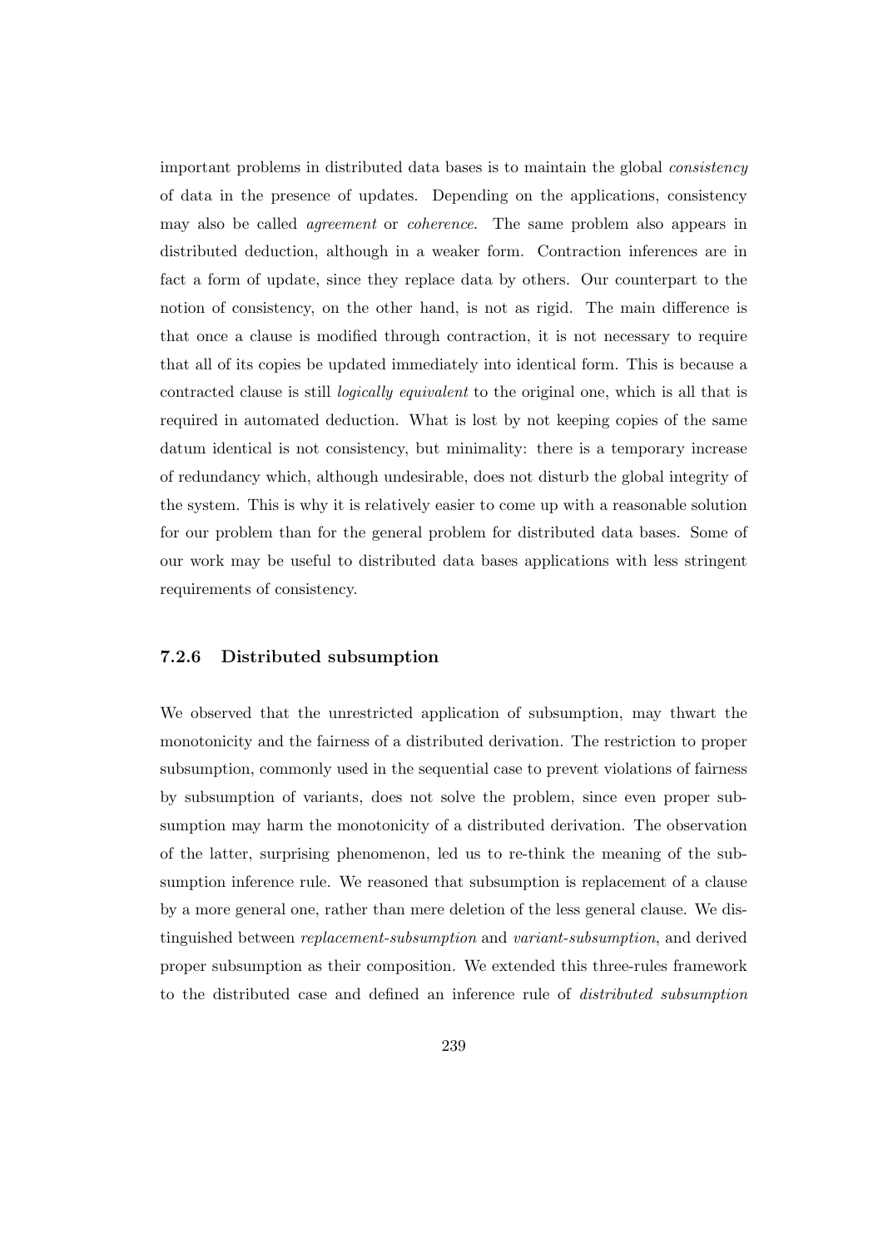important problems in distributed data bases is to maintain the global consistency of data in the presence of updates. Depending on the applications, consistency may also be called agreement or coherence. The same problem also appears in distributed deduction, although in a weaker form. Contraction inferences are in fact a form of update, since they replace data by others. Our counterpart to the notion of consistency, on the other hand, is not as rigid. The main difference is that once a clause is modified through contraction, it is not necessary to require that all of its copies be updated immediately into identical form. This is because a contracted clause is still logically equivalent to the original one, which is all that is required in automated deduction. What is lost by not keeping copies of the same datum identical is not consistency, but minimality: there is a temporary increase of redundancy which, although undesirable, does not disturb the global integrity of the system. This is why it is relatively easier to come up with a reasonable solution for our problem than for the general problem for distributed data bases. Some of our work may be useful to distributed data bases applications with less stringent requirements of consistency.

#### 7.2.6 Distributed subsumption

We observed that the unrestricted application of subsumption, may thwart the monotonicity and the fairness of a distributed derivation. The restriction to proper subsumption, commonly used in the sequential case to prevent violations of fairness by subsumption of variants, does not solve the problem, since even proper subsumption may harm the monotonicity of a distributed derivation. The observation of the latter, surprising phenomenon, led us to re-think the meaning of the subsumption inference rule. We reasoned that subsumption is replacement of a clause by a more general one, rather than mere deletion of the less general clause. We distinguished between replacement-subsumption and variant-subsumption, and derived proper subsumption as their composition. We extended this three-rules framework to the distributed case and defined an inference rule of distributed subsumption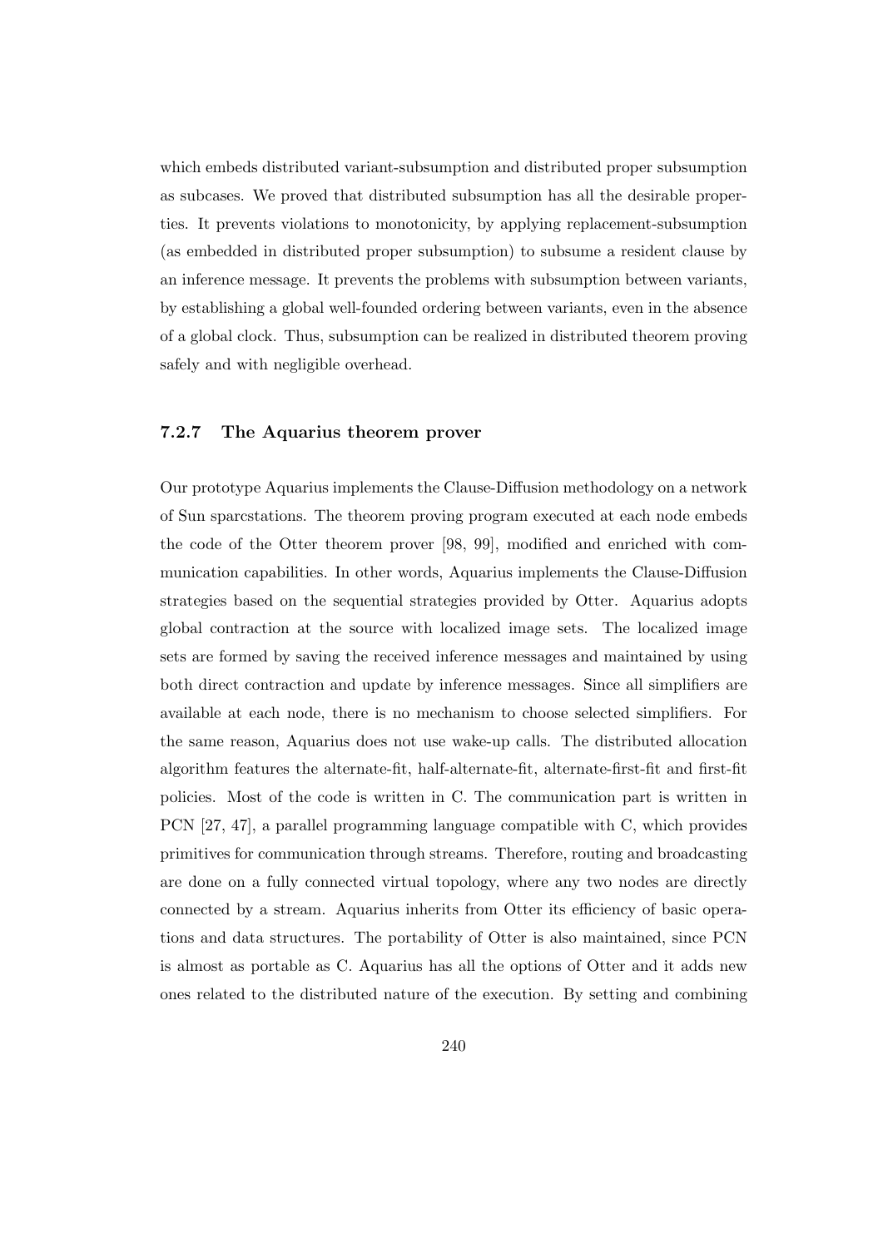which embeds distributed variant-subsumption and distributed proper subsumption as subcases. We proved that distributed subsumption has all the desirable properties. It prevents violations to monotonicity, by applying replacement-subsumption (as embedded in distributed proper subsumption) to subsume a resident clause by an inference message. It prevents the problems with subsumption between variants, by establishing a global well-founded ordering between variants, even in the absence of a global clock. Thus, subsumption can be realized in distributed theorem proving safely and with negligible overhead.

## 7.2.7 The Aquarius theorem prover

Our prototype Aquarius implements the Clause-Diffusion methodology on a network of Sun sparcstations. The theorem proving program executed at each node embeds the code of the Otter theorem prover [98, 99], modified and enriched with communication capabilities. In other words, Aquarius implements the Clause-Diffusion strategies based on the sequential strategies provided by Otter. Aquarius adopts global contraction at the source with localized image sets. The localized image sets are formed by saving the received inference messages and maintained by using both direct contraction and update by inference messages. Since all simplifiers are available at each node, there is no mechanism to choose selected simplifiers. For the same reason, Aquarius does not use wake-up calls. The distributed allocation algorithm features the alternate-fit, half-alternate-fit, alternate-first-fit and first-fit policies. Most of the code is written in C. The communication part is written in PCN [27, 47], a parallel programming language compatible with C, which provides primitives for communication through streams. Therefore, routing and broadcasting are done on a fully connected virtual topology, where any two nodes are directly connected by a stream. Aquarius inherits from Otter its efficiency of basic operations and data structures. The portability of Otter is also maintained, since PCN is almost as portable as C. Aquarius has all the options of Otter and it adds new ones related to the distributed nature of the execution. By setting and combining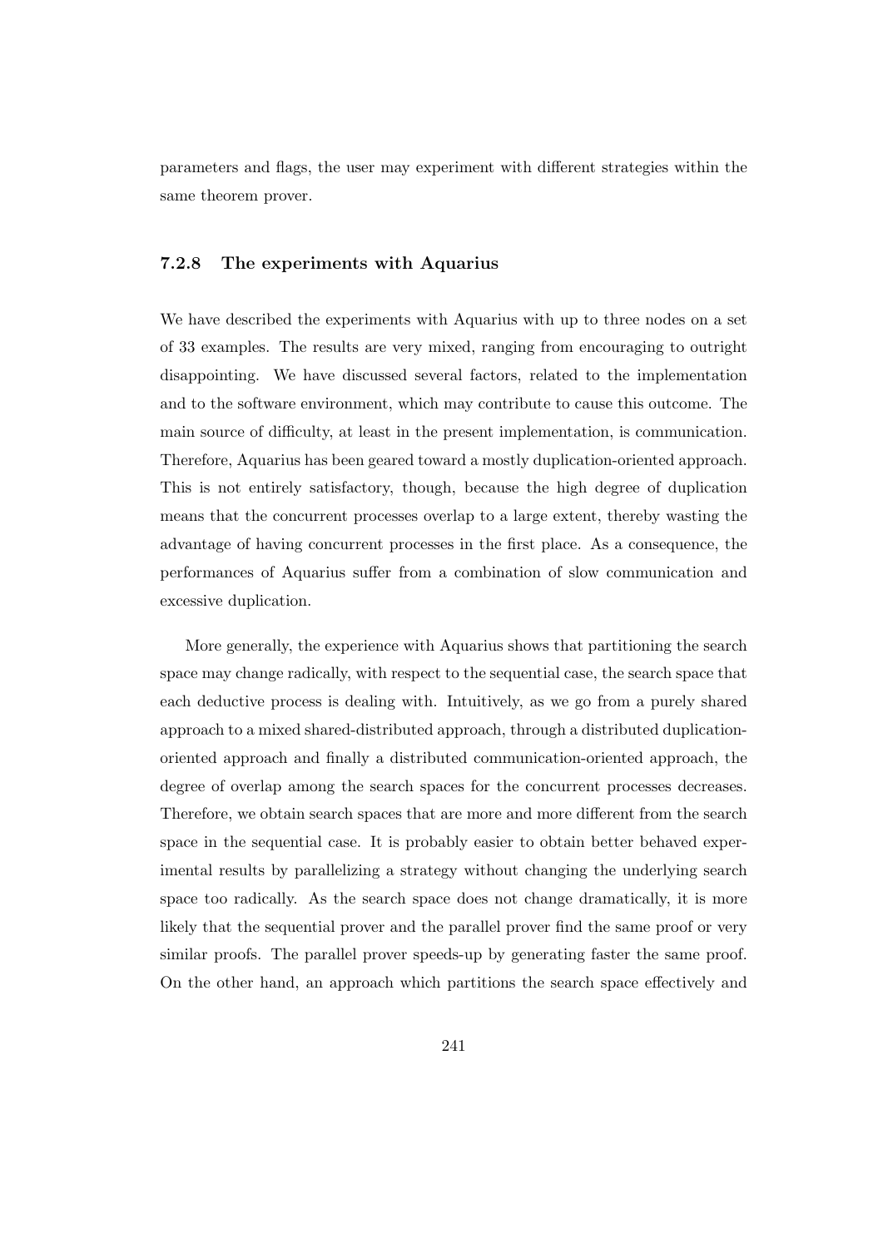parameters and flags, the user may experiment with different strategies within the same theorem prover.

#### 7.2.8 The experiments with Aquarius

We have described the experiments with Aquarius with up to three nodes on a set of 33 examples. The results are very mixed, ranging from encouraging to outright disappointing. We have discussed several factors, related to the implementation and to the software environment, which may contribute to cause this outcome. The main source of difficulty, at least in the present implementation, is communication. Therefore, Aquarius has been geared toward a mostly duplication-oriented approach. This is not entirely satisfactory, though, because the high degree of duplication means that the concurrent processes overlap to a large extent, thereby wasting the advantage of having concurrent processes in the first place. As a consequence, the performances of Aquarius suffer from a combination of slow communication and excessive duplication.

More generally, the experience with Aquarius shows that partitioning the search space may change radically, with respect to the sequential case, the search space that each deductive process is dealing with. Intuitively, as we go from a purely shared approach to a mixed shared-distributed approach, through a distributed duplicationoriented approach and finally a distributed communication-oriented approach, the degree of overlap among the search spaces for the concurrent processes decreases. Therefore, we obtain search spaces that are more and more different from the search space in the sequential case. It is probably easier to obtain better behaved experimental results by parallelizing a strategy without changing the underlying search space too radically. As the search space does not change dramatically, it is more likely that the sequential prover and the parallel prover find the same proof or very similar proofs. The parallel prover speeds-up by generating faster the same proof. On the other hand, an approach which partitions the search space effectively and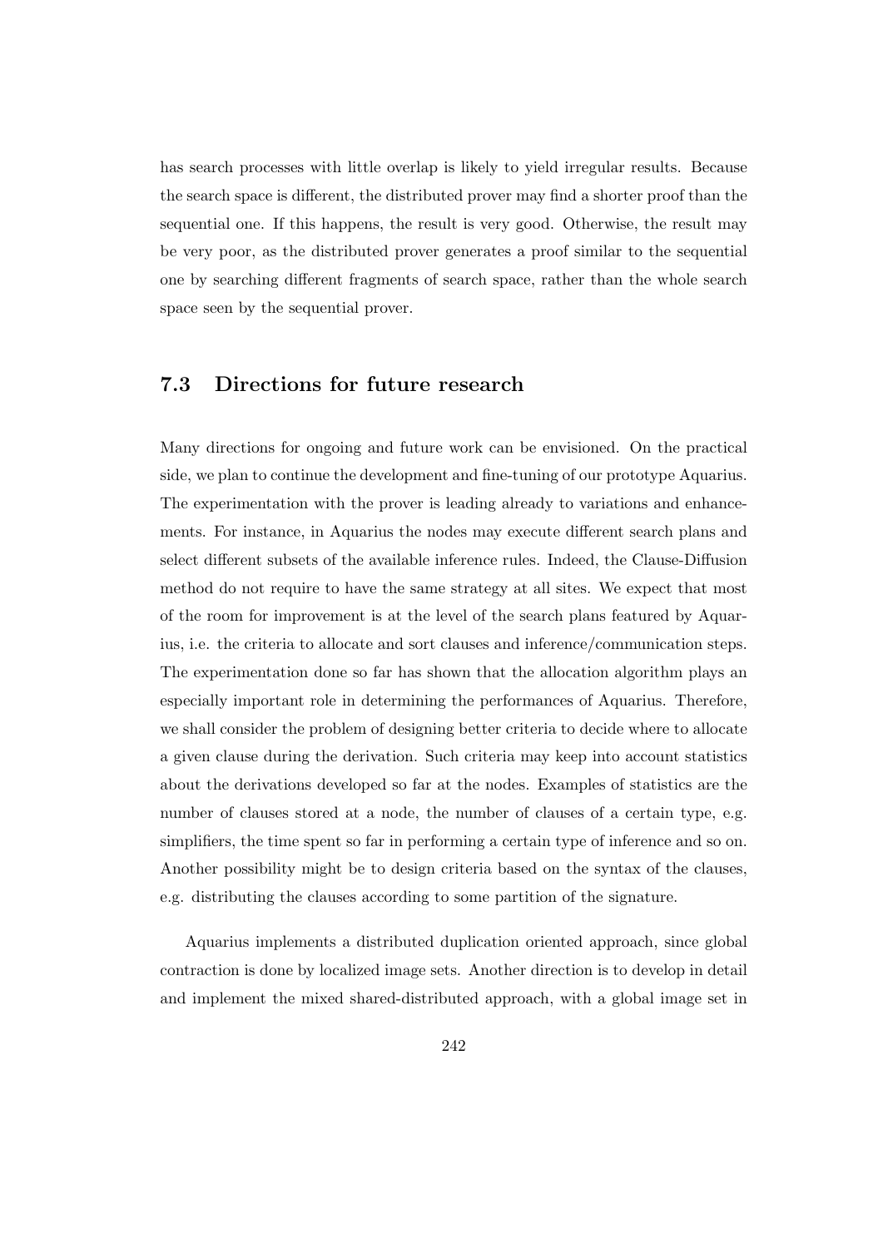has search processes with little overlap is likely to yield irregular results. Because the search space is different, the distributed prover may find a shorter proof than the sequential one. If this happens, the result is very good. Otherwise, the result may be very poor, as the distributed prover generates a proof similar to the sequential one by searching different fragments of search space, rather than the whole search space seen by the sequential prover.

## 7.3 Directions for future research

Many directions for ongoing and future work can be envisioned. On the practical side, we plan to continue the development and fine-tuning of our prototype Aquarius. The experimentation with the prover is leading already to variations and enhancements. For instance, in Aquarius the nodes may execute different search plans and select different subsets of the available inference rules. Indeed, the Clause-Diffusion method do not require to have the same strategy at all sites. We expect that most of the room for improvement is at the level of the search plans featured by Aquarius, i.e. the criteria to allocate and sort clauses and inference/communication steps. The experimentation done so far has shown that the allocation algorithm plays an especially important role in determining the performances of Aquarius. Therefore, we shall consider the problem of designing better criteria to decide where to allocate a given clause during the derivation. Such criteria may keep into account statistics about the derivations developed so far at the nodes. Examples of statistics are the number of clauses stored at a node, the number of clauses of a certain type, e.g. simplifiers, the time spent so far in performing a certain type of inference and so on. Another possibility might be to design criteria based on the syntax of the clauses, e.g. distributing the clauses according to some partition of the signature.

Aquarius implements a distributed duplication oriented approach, since global contraction is done by localized image sets. Another direction is to develop in detail and implement the mixed shared-distributed approach, with a global image set in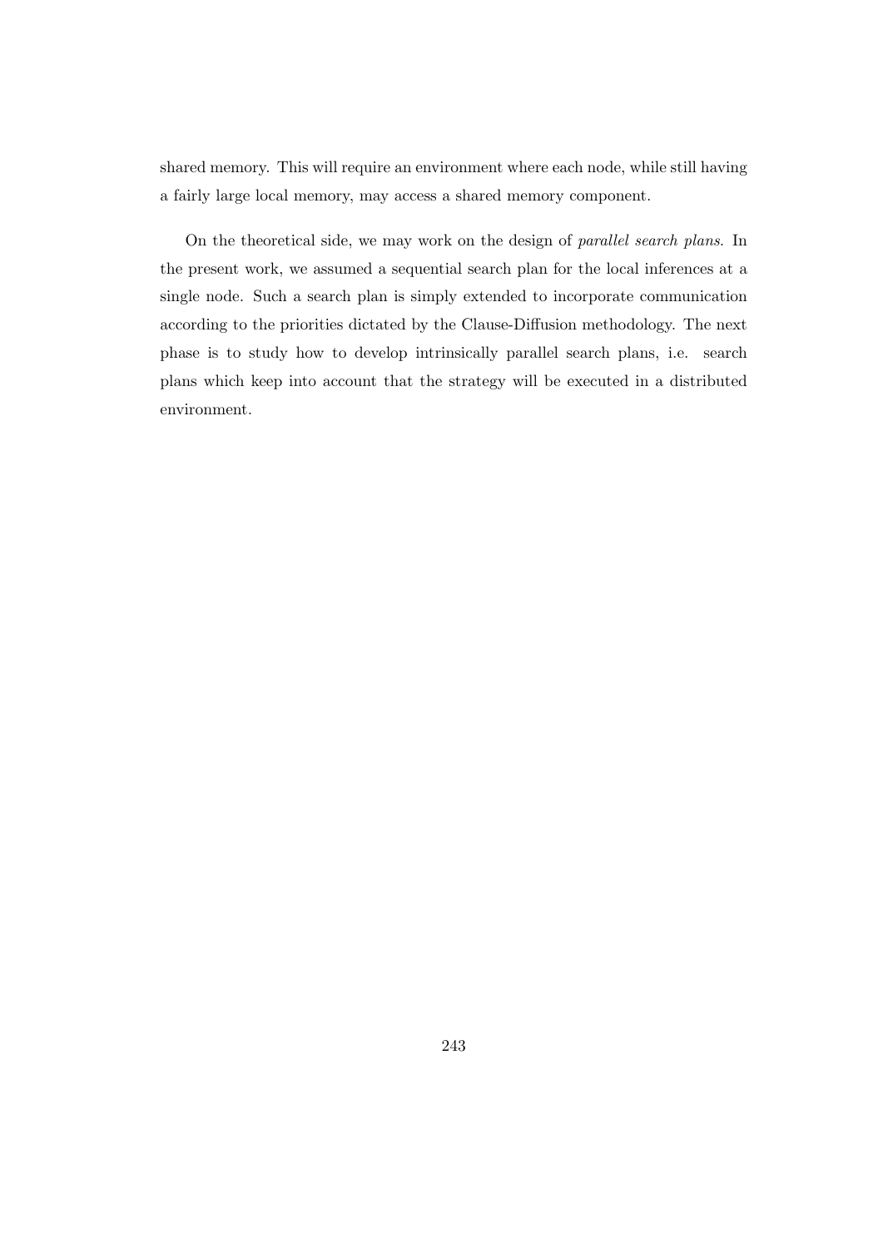shared memory. This will require an environment where each node, while still having a fairly large local memory, may access a shared memory component.

On the theoretical side, we may work on the design of parallel search plans. In the present work, we assumed a sequential search plan for the local inferences at a single node. Such a search plan is simply extended to incorporate communication according to the priorities dictated by the Clause-Diffusion methodology. The next phase is to study how to develop intrinsically parallel search plans, i.e. search plans which keep into account that the strategy will be executed in a distributed environment.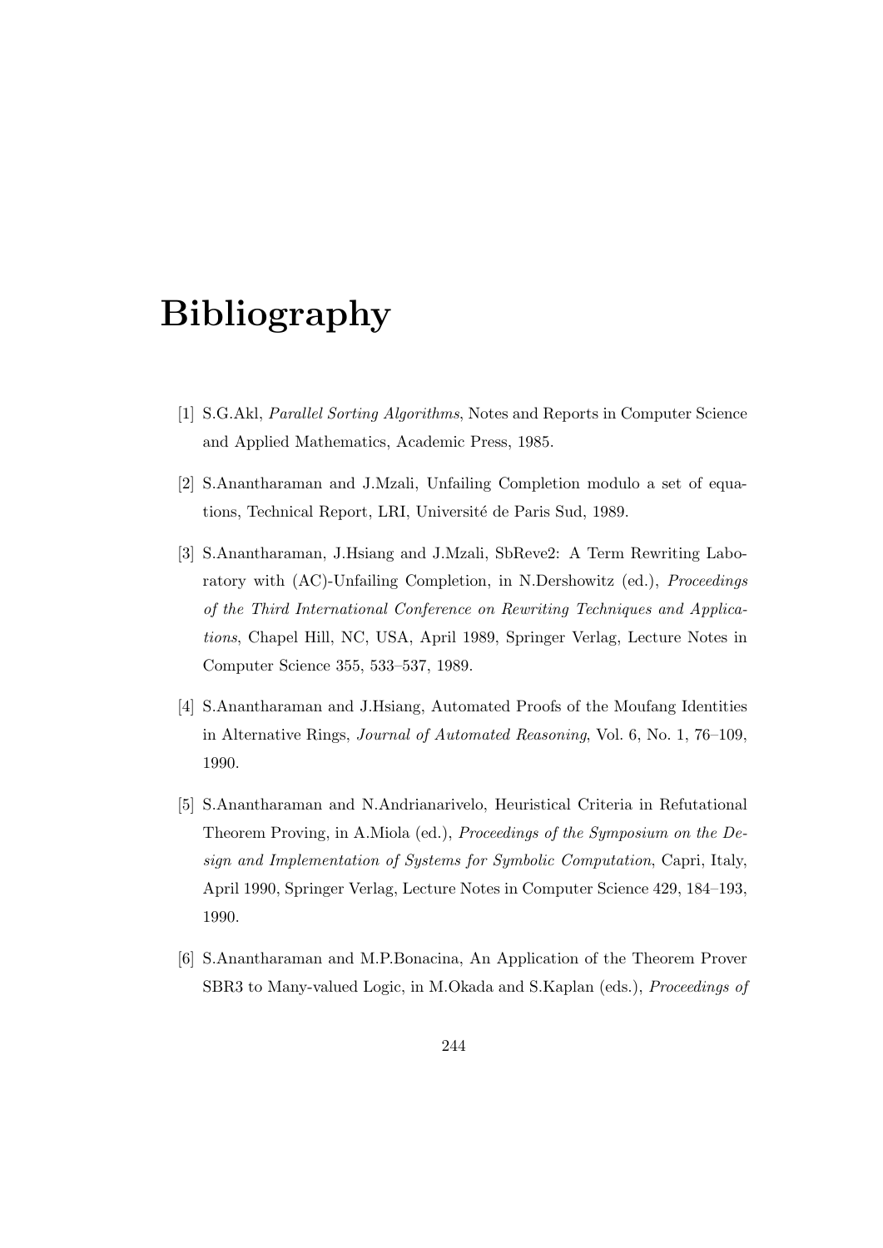# Bibliography

- [1] S.G.Akl, Parallel Sorting Algorithms, Notes and Reports in Computer Science and Applied Mathematics, Academic Press, 1985.
- [2] S.Anantharaman and J.Mzali, Unfailing Completion modulo a set of equations, Technical Report, LRI, Université de Paris Sud, 1989.
- [3] S.Anantharaman, J.Hsiang and J.Mzali, SbReve2: A Term Rewriting Laboratory with (AC)-Unfailing Completion, in N.Dershowitz (ed.), Proceedings of the Third International Conference on Rewriting Techniques and Applications, Chapel Hill, NC, USA, April 1989, Springer Verlag, Lecture Notes in Computer Science 355, 533–537, 1989.
- [4] S.Anantharaman and J.Hsiang, Automated Proofs of the Moufang Identities in Alternative Rings, Journal of Automated Reasoning, Vol. 6, No. 1, 76–109, 1990.
- [5] S.Anantharaman and N.Andrianarivelo, Heuristical Criteria in Refutational Theorem Proving, in A.Miola (ed.), Proceedings of the Symposium on the Design and Implementation of Systems for Symbolic Computation, Capri, Italy, April 1990, Springer Verlag, Lecture Notes in Computer Science 429, 184–193, 1990.
- [6] S.Anantharaman and M.P.Bonacina, An Application of the Theorem Prover SBR3 to Many-valued Logic, in M.Okada and S.Kaplan (eds.), *Proceedings of*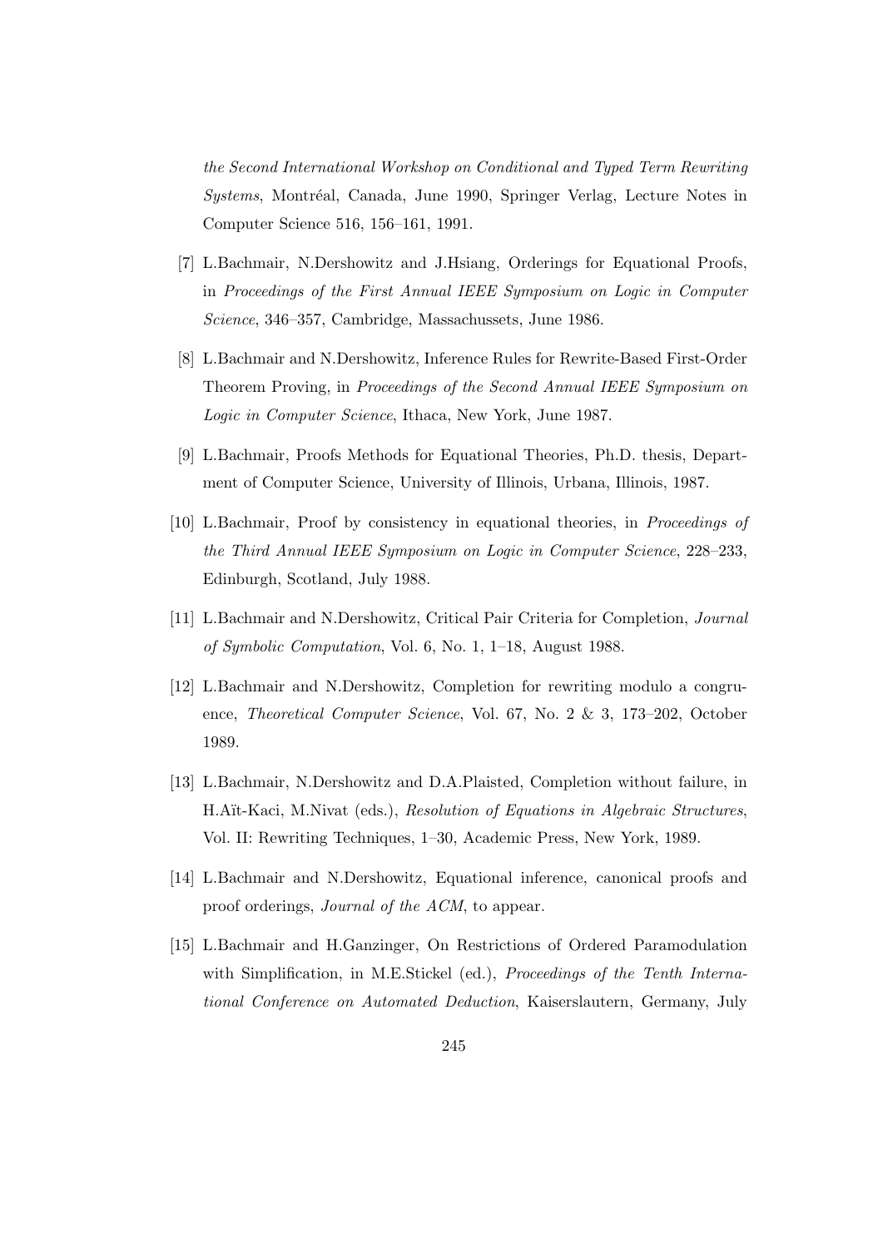the Second International Workshop on Conditional and Typed Term Rewriting Systems, Montréal, Canada, June 1990, Springer Verlag, Lecture Notes in Computer Science 516, 156–161, 1991.

- [7] L.Bachmair, N.Dershowitz and J.Hsiang, Orderings for Equational Proofs, in Proceedings of the First Annual IEEE Symposium on Logic in Computer Science, 346–357, Cambridge, Massachussets, June 1986.
- [8] L.Bachmair and N.Dershowitz, Inference Rules for Rewrite-Based First-Order Theorem Proving, in Proceedings of the Second Annual IEEE Symposium on Logic in Computer Science, Ithaca, New York, June 1987.
- [9] L.Bachmair, Proofs Methods for Equational Theories, Ph.D. thesis, Department of Computer Science, University of Illinois, Urbana, Illinois, 1987.
- [10] L.Bachmair, Proof by consistency in equational theories, in Proceedings of the Third Annual IEEE Symposium on Logic in Computer Science, 228–233, Edinburgh, Scotland, July 1988.
- [11] L.Bachmair and N.Dershowitz, Critical Pair Criteria for Completion, Journal of Symbolic Computation, Vol. 6, No. 1, 1–18, August 1988.
- [12] L.Bachmair and N.Dershowitz, Completion for rewriting modulo a congruence, Theoretical Computer Science, Vol. 67, No. 2 & 3, 173–202, October 1989.
- [13] L.Bachmair, N.Dershowitz and D.A.Plaisted, Completion without failure, in H.Aït-Kaci, M.Nivat (eds.), Resolution of Equations in Algebraic Structures, Vol. II: Rewriting Techniques, 1–30, Academic Press, New York, 1989.
- [14] L.Bachmair and N.Dershowitz, Equational inference, canonical proofs and proof orderings, Journal of the ACM, to appear.
- [15] L.Bachmair and H.Ganzinger, On Restrictions of Ordered Paramodulation with Simplification, in M.E.Stickel (ed.), Proceedings of the Tenth International Conference on Automated Deduction, Kaiserslautern, Germany, July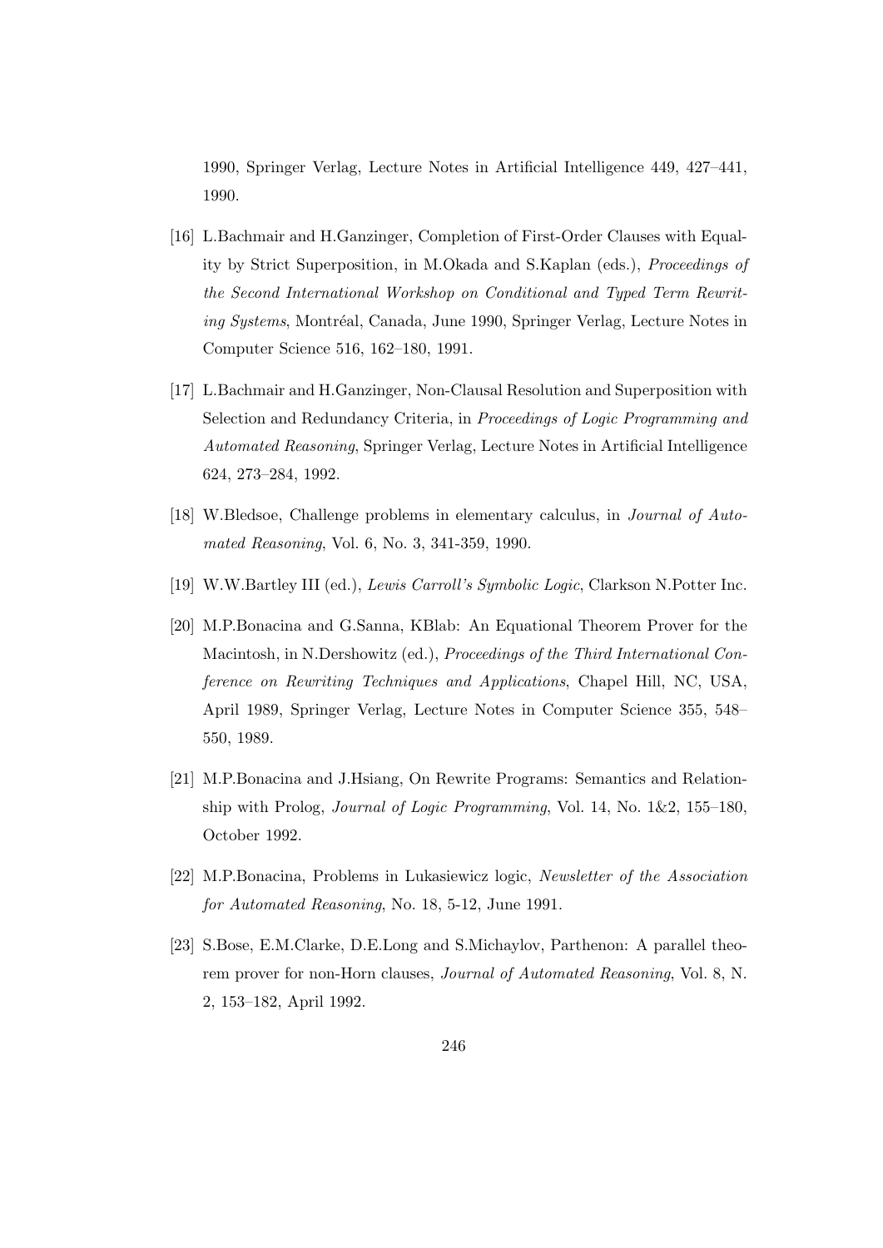1990, Springer Verlag, Lecture Notes in Artificial Intelligence 449, 427–441, 1990.

- [16] L.Bachmair and H.Ganzinger, Completion of First-Order Clauses with Equality by Strict Superposition, in M.Okada and S.Kaplan (eds.), Proceedings of the Second International Workshop on Conditional and Typed Term Rewriting Systems, Montréal, Canada, June 1990, Springer Verlag, Lecture Notes in Computer Science 516, 162–180, 1991.
- [17] L.Bachmair and H.Ganzinger, Non-Clausal Resolution and Superposition with Selection and Redundancy Criteria, in Proceedings of Logic Programming and Automated Reasoning, Springer Verlag, Lecture Notes in Artificial Intelligence 624, 273–284, 1992.
- [18] W.Bledsoe, Challenge problems in elementary calculus, in Journal of Automated Reasoning, Vol. 6, No. 3, 341-359, 1990.
- [19] W.W.Bartley III (ed.), Lewis Carroll's Symbolic Logic, Clarkson N.Potter Inc.
- [20] M.P.Bonacina and G.Sanna, KBlab: An Equational Theorem Prover for the Macintosh, in N.Dershowitz (ed.), Proceedings of the Third International Conference on Rewriting Techniques and Applications, Chapel Hill, NC, USA, April 1989, Springer Verlag, Lecture Notes in Computer Science 355, 548– 550, 1989.
- [21] M.P.Bonacina and J.Hsiang, On Rewrite Programs: Semantics and Relationship with Prolog, *Journal of Logic Programming*, Vol. 14, No.  $1\&2$ ,  $155-180$ , October 1992.
- [22] M.P.Bonacina, Problems in Lukasiewicz logic, Newsletter of the Association for Automated Reasoning, No. 18, 5-12, June 1991.
- [23] S.Bose, E.M.Clarke, D.E.Long and S.Michaylov, Parthenon: A parallel theorem prover for non-Horn clauses, Journal of Automated Reasoning, Vol. 8, N. 2, 153–182, April 1992.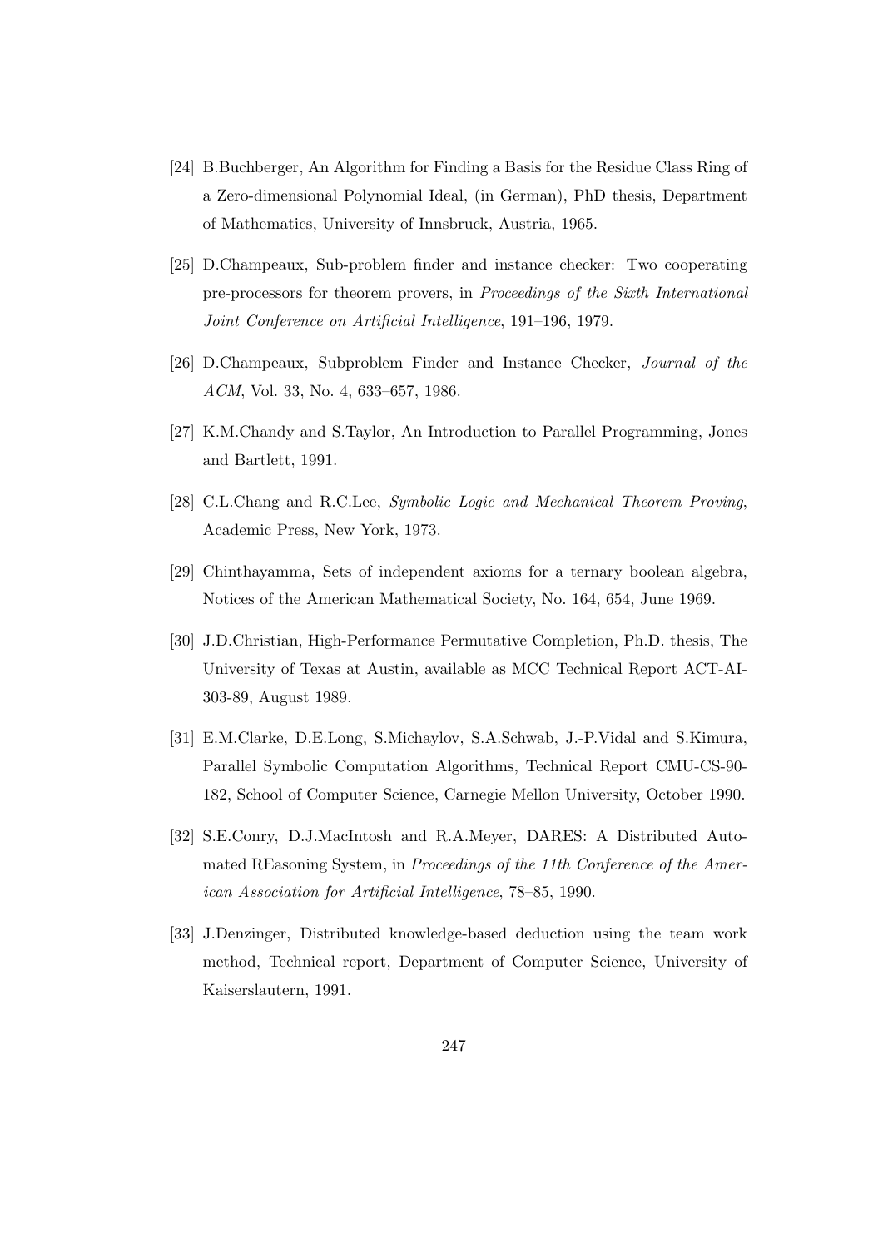- [24] B.Buchberger, An Algorithm for Finding a Basis for the Residue Class Ring of a Zero-dimensional Polynomial Ideal, (in German), PhD thesis, Department of Mathematics, University of Innsbruck, Austria, 1965.
- [25] D.Champeaux, Sub-problem finder and instance checker: Two cooperating pre-processors for theorem provers, in Proceedings of the Sixth International Joint Conference on Artificial Intelligence, 191–196, 1979.
- [26] D.Champeaux, Subproblem Finder and Instance Checker, Journal of the ACM, Vol. 33, No. 4, 633–657, 1986.
- [27] K.M.Chandy and S.Taylor, An Introduction to Parallel Programming, Jones and Bartlett, 1991.
- [28] C.L.Chang and R.C.Lee, Symbolic Logic and Mechanical Theorem Proving, Academic Press, New York, 1973.
- [29] Chinthayamma, Sets of independent axioms for a ternary boolean algebra, Notices of the American Mathematical Society, No. 164, 654, June 1969.
- [30] J.D.Christian, High-Performance Permutative Completion, Ph.D. thesis, The University of Texas at Austin, available as MCC Technical Report ACT-AI-303-89, August 1989.
- [31] E.M.Clarke, D.E.Long, S.Michaylov, S.A.Schwab, J.-P.Vidal and S.Kimura, Parallel Symbolic Computation Algorithms, Technical Report CMU-CS-90- 182, School of Computer Science, Carnegie Mellon University, October 1990.
- [32] S.E.Conry, D.J.MacIntosh and R.A.Meyer, DARES: A Distributed Automated REasoning System, in Proceedings of the 11th Conference of the American Association for Artificial Intelligence, 78–85, 1990.
- [33] J.Denzinger, Distributed knowledge-based deduction using the team work method, Technical report, Department of Computer Science, University of Kaiserslautern, 1991.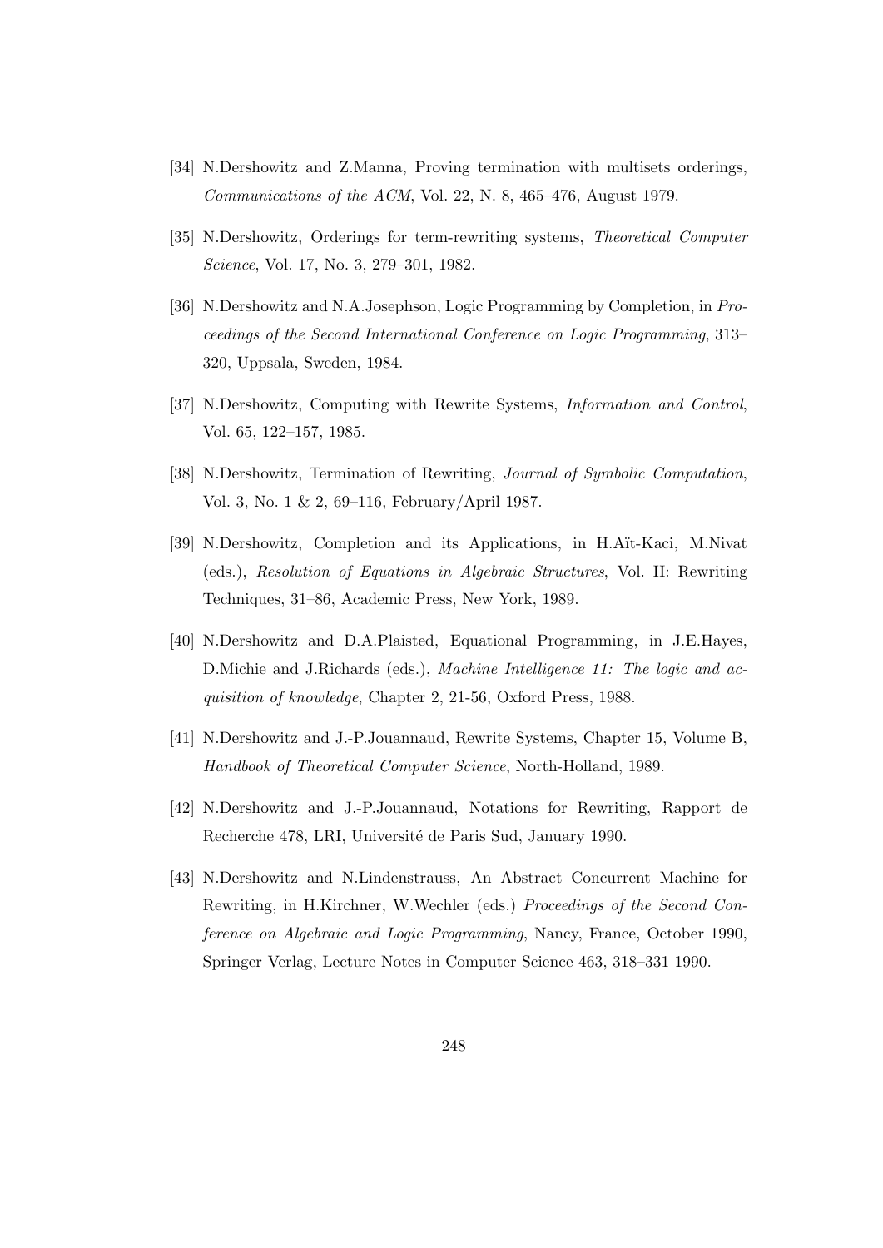- [34] N.Dershowitz and Z.Manna, Proving termination with multisets orderings, Communications of the ACM, Vol. 22, N. 8, 465–476, August 1979.
- [35] N.Dershowitz, Orderings for term-rewriting systems, Theoretical Computer Science, Vol. 17, No. 3, 279–301, 1982.
- [36] N.Dershowitz and N.A.Josephson, Logic Programming by Completion, in Proceedings of the Second International Conference on Logic Programming, 313– 320, Uppsala, Sweden, 1984.
- [37] N.Dershowitz, Computing with Rewrite Systems, Information and Control, Vol. 65, 122–157, 1985.
- [38] N.Dershowitz, Termination of Rewriting, Journal of Symbolic Computation, Vol. 3, No. 1 & 2, 69–116, February/April 1987.
- [39] N.Dershowitz, Completion and its Applications, in H.A¨ıt-Kaci, M.Nivat (eds.), Resolution of Equations in Algebraic Structures, Vol. II: Rewriting Techniques, 31–86, Academic Press, New York, 1989.
- [40] N.Dershowitz and D.A.Plaisted, Equational Programming, in J.E.Hayes, D. Michie and J. Richards (eds.), *Machine Intelligence 11: The logic and ac*quisition of knowledge, Chapter 2, 21-56, Oxford Press, 1988.
- [41] N.Dershowitz and J.-P.Jouannaud, Rewrite Systems, Chapter 15, Volume B, Handbook of Theoretical Computer Science, North-Holland, 1989.
- [42] N.Dershowitz and J.-P.Jouannaud, Notations for Rewriting, Rapport de Recherche 478, LRI, Université de Paris Sud, January 1990.
- [43] N.Dershowitz and N.Lindenstrauss, An Abstract Concurrent Machine for Rewriting, in H.Kirchner, W.Wechler (eds.) Proceedings of the Second Conference on Algebraic and Logic Programming, Nancy, France, October 1990, Springer Verlag, Lecture Notes in Computer Science 463, 318–331 1990.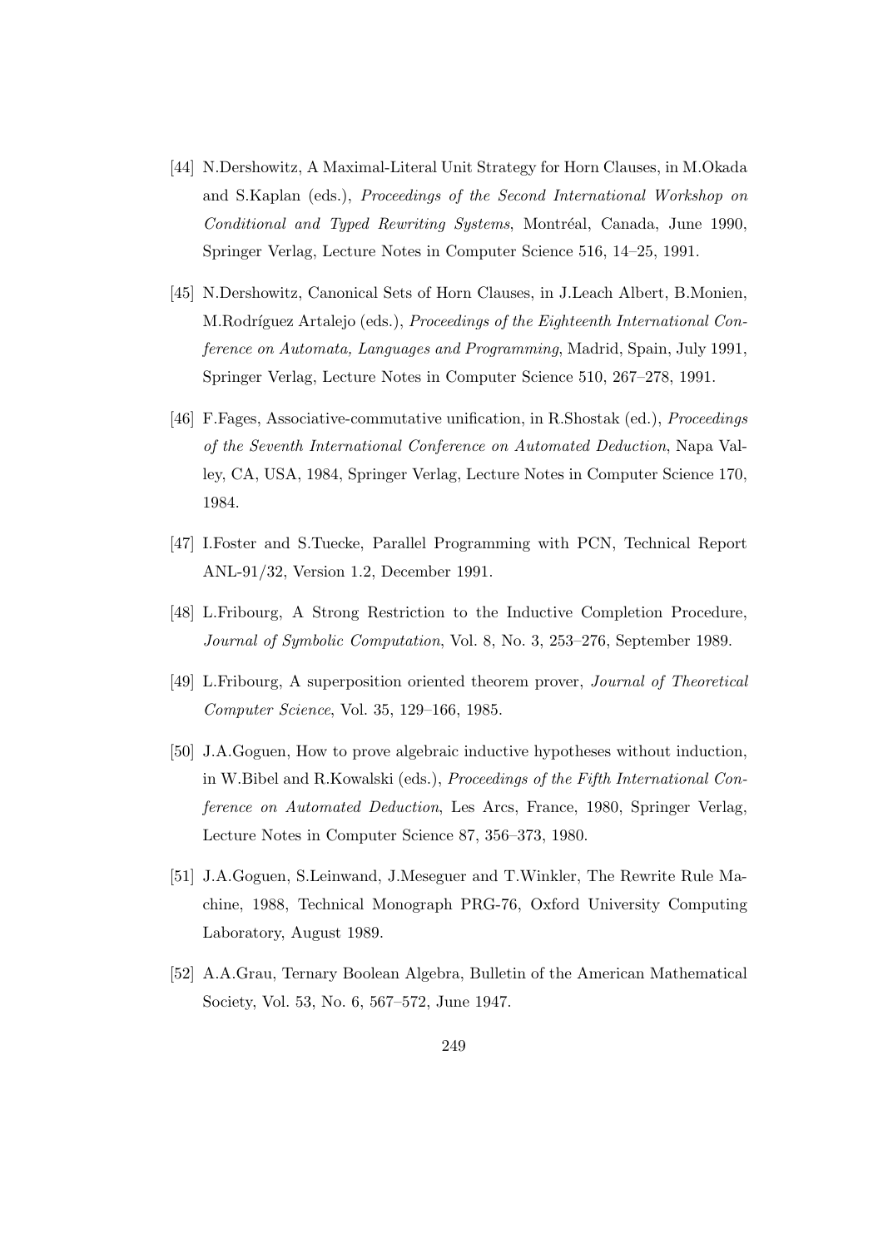- [44] N.Dershowitz, A Maximal-Literal Unit Strategy for Horn Clauses, in M.Okada and S.Kaplan (eds.), Proceedings of the Second International Workshop on Conditional and Typed Rewriting Systems, Montréal, Canada, June 1990, Springer Verlag, Lecture Notes in Computer Science 516, 14–25, 1991.
- [45] N.Dershowitz, Canonical Sets of Horn Clauses, in J.Leach Albert, B.Monien, M.Rodríguez Artalejo (eds.), Proceedings of the Eighteenth International Conference on Automata, Languages and Programming, Madrid, Spain, July 1991, Springer Verlag, Lecture Notes in Computer Science 510, 267–278, 1991.
- [46] F.Fages, Associative-commutative unification, in R.Shostak (ed.), Proceedings of the Seventh International Conference on Automated Deduction, Napa Valley, CA, USA, 1984, Springer Verlag, Lecture Notes in Computer Science 170, 1984.
- [47] I.Foster and S.Tuecke, Parallel Programming with PCN, Technical Report ANL-91/32, Version 1.2, December 1991.
- [48] L.Fribourg, A Strong Restriction to the Inductive Completion Procedure, Journal of Symbolic Computation, Vol. 8, No. 3, 253–276, September 1989.
- [49] L.Fribourg, A superposition oriented theorem prover, Journal of Theoretical Computer Science, Vol. 35, 129–166, 1985.
- [50] J.A.Goguen, How to prove algebraic inductive hypotheses without induction, in W.Bibel and R.Kowalski (eds.), Proceedings of the Fifth International Conference on Automated Deduction, Les Arcs, France, 1980, Springer Verlag, Lecture Notes in Computer Science 87, 356–373, 1980.
- [51] J.A.Goguen, S.Leinwand, J.Meseguer and T.Winkler, The Rewrite Rule Machine, 1988, Technical Monograph PRG-76, Oxford University Computing Laboratory, August 1989.
- [52] A.A.Grau, Ternary Boolean Algebra, Bulletin of the American Mathematical Society, Vol. 53, No. 6, 567–572, June 1947.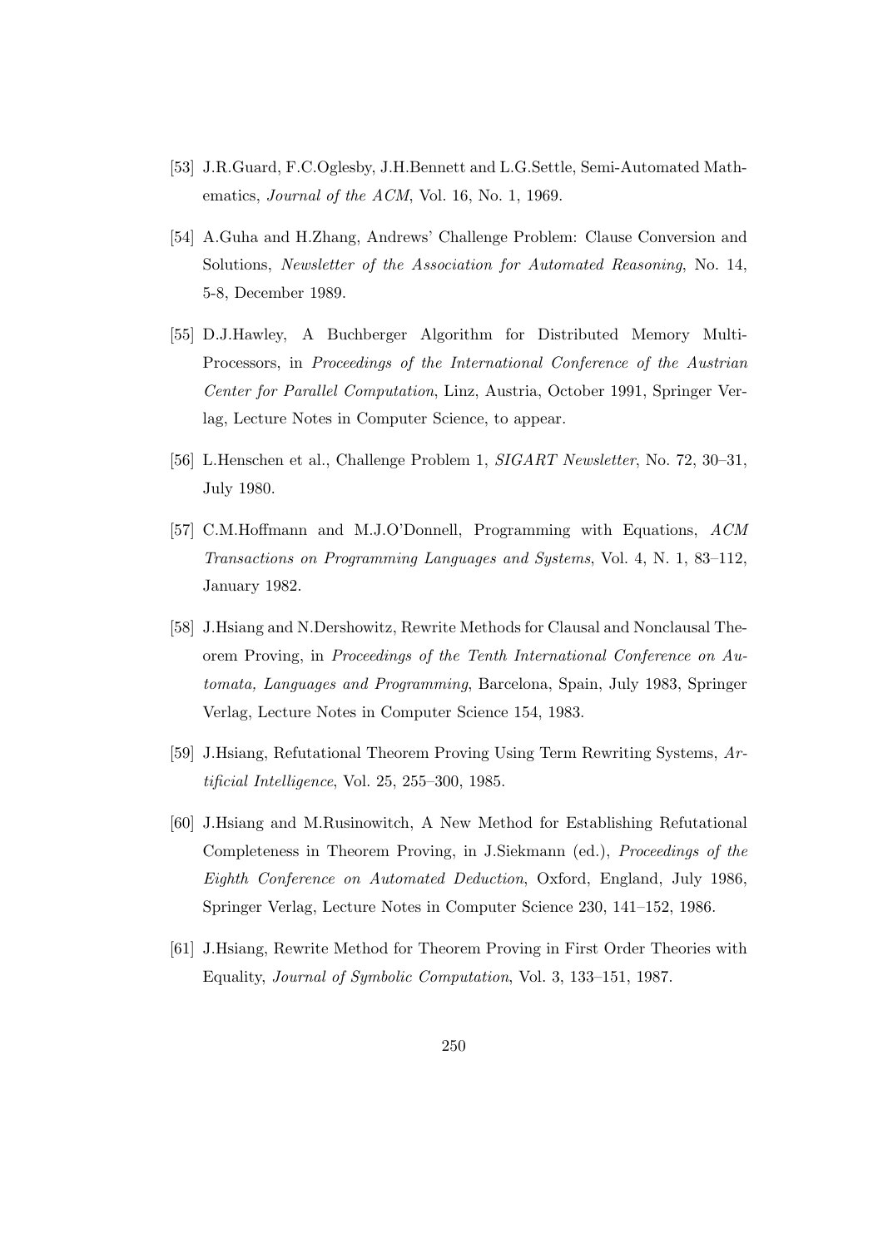- [53] J.R.Guard, F.C.Oglesby, J.H.Bennett and L.G.Settle, Semi-Automated Mathematics, *Journal of the ACM*, Vol. 16, No. 1, 1969.
- [54] A.Guha and H.Zhang, Andrews' Challenge Problem: Clause Conversion and Solutions, Newsletter of the Association for Automated Reasoning, No. 14, 5-8, December 1989.
- [55] D.J.Hawley, A Buchberger Algorithm for Distributed Memory Multi-Processors, in Proceedings of the International Conference of the Austrian Center for Parallel Computation, Linz, Austria, October 1991, Springer Verlag, Lecture Notes in Computer Science, to appear.
- [56] L.Henschen et al., Challenge Problem 1, SIGART Newsletter, No. 72, 30–31, July 1980.
- [57] C.M.Hoffmann and M.J.O'Donnell, Programming with Equations, ACM Transactions on Programming Languages and Systems, Vol. 4, N. 1, 83–112, January 1982.
- [58] J.Hsiang and N.Dershowitz, Rewrite Methods for Clausal and Nonclausal Theorem Proving, in Proceedings of the Tenth International Conference on Automata, Languages and Programming, Barcelona, Spain, July 1983, Springer Verlag, Lecture Notes in Computer Science 154, 1983.
- [59] J.Hsiang, Refutational Theorem Proving Using Term Rewriting Systems, Artificial Intelligence, Vol. 25, 255–300, 1985.
- [60] J.Hsiang and M.Rusinowitch, A New Method for Establishing Refutational Completeness in Theorem Proving, in J.Siekmann (ed.), Proceedings of the Eighth Conference on Automated Deduction, Oxford, England, July 1986, Springer Verlag, Lecture Notes in Computer Science 230, 141–152, 1986.
- [61] J.Hsiang, Rewrite Method for Theorem Proving in First Order Theories with Equality, Journal of Symbolic Computation, Vol. 3, 133–151, 1987.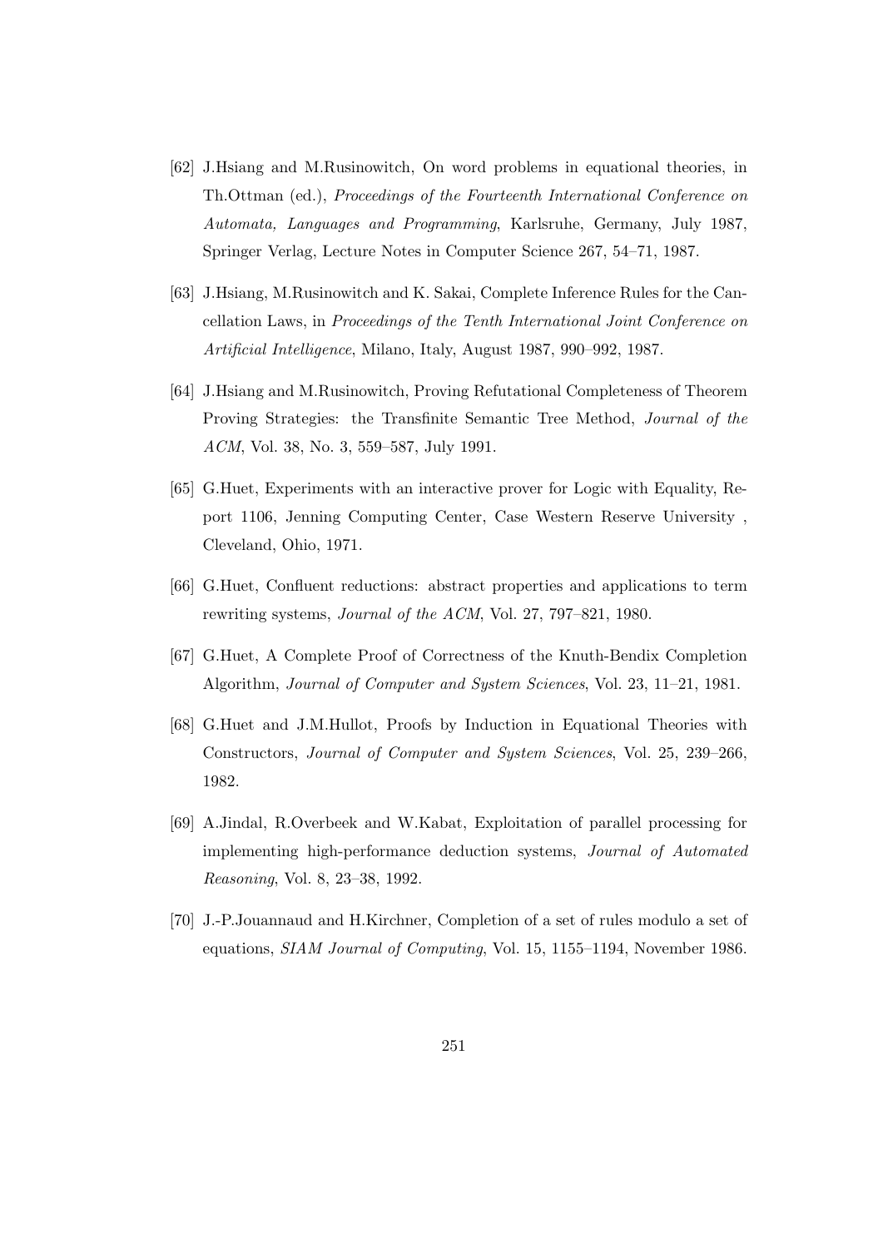- [62] J.Hsiang and M.Rusinowitch, On word problems in equational theories, in Th.Ottman (ed.), Proceedings of the Fourteenth International Conference on Automata, Languages and Programming, Karlsruhe, Germany, July 1987, Springer Verlag, Lecture Notes in Computer Science 267, 54–71, 1987.
- [63] J.Hsiang, M.Rusinowitch and K. Sakai, Complete Inference Rules for the Cancellation Laws, in Proceedings of the Tenth International Joint Conference on Artificial Intelligence, Milano, Italy, August 1987, 990–992, 1987.
- [64] J.Hsiang and M.Rusinowitch, Proving Refutational Completeness of Theorem Proving Strategies: the Transfinite Semantic Tree Method, Journal of the ACM, Vol. 38, No. 3, 559–587, July 1991.
- [65] G.Huet, Experiments with an interactive prover for Logic with Equality, Report 1106, Jenning Computing Center, Case Western Reserve University , Cleveland, Ohio, 1971.
- [66] G.Huet, Confluent reductions: abstract properties and applications to term rewriting systems, Journal of the ACM, Vol. 27, 797–821, 1980.
- [67] G.Huet, A Complete Proof of Correctness of the Knuth-Bendix Completion Algorithm, Journal of Computer and System Sciences, Vol. 23, 11–21, 1981.
- [68] G.Huet and J.M.Hullot, Proofs by Induction in Equational Theories with Constructors, Journal of Computer and System Sciences, Vol. 25, 239–266, 1982.
- [69] A.Jindal, R.Overbeek and W.Kabat, Exploitation of parallel processing for implementing high-performance deduction systems, Journal of Automated Reasoning, Vol. 8, 23–38, 1992.
- [70] J.-P.Jouannaud and H.Kirchner, Completion of a set of rules modulo a set of equations, SIAM Journal of Computing, Vol. 15, 1155–1194, November 1986.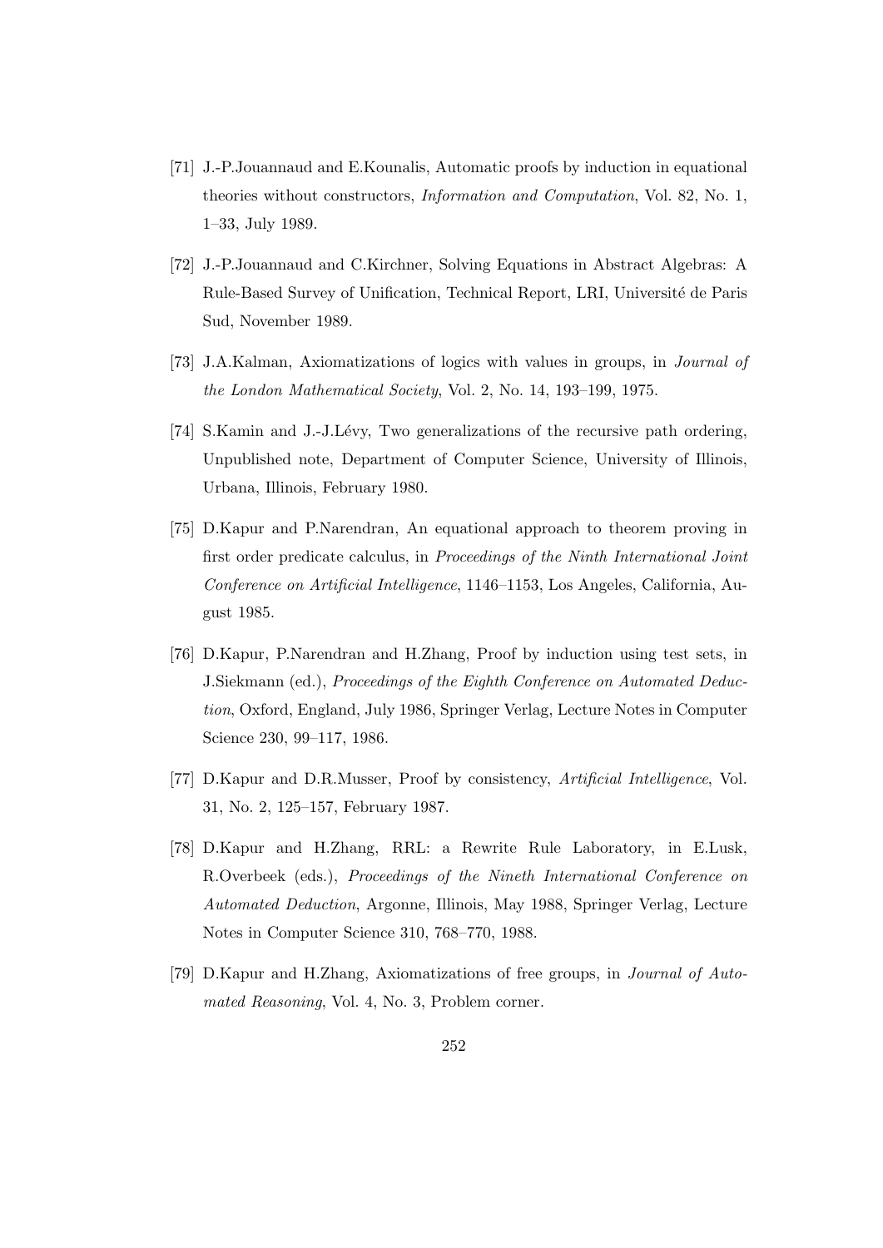- [71] J.-P.Jouannaud and E.Kounalis, Automatic proofs by induction in equational theories without constructors, Information and Computation, Vol. 82, No. 1, 1–33, July 1989.
- [72] J.-P.Jouannaud and C.Kirchner, Solving Equations in Abstract Algebras: A Rule-Based Survey of Unification, Technical Report, LRI, Université de Paris Sud, November 1989.
- [73] J.A.Kalman, Axiomatizations of logics with values in groups, in Journal of the London Mathematical Society, Vol. 2, No. 14, 193–199, 1975.
- [74] S.Kamin and J.-J.Lévy, Two generalizations of the recursive path ordering, Unpublished note, Department of Computer Science, University of Illinois, Urbana, Illinois, February 1980.
- [75] D.Kapur and P.Narendran, An equational approach to theorem proving in first order predicate calculus, in Proceedings of the Ninth International Joint Conference on Artificial Intelligence, 1146–1153, Los Angeles, California, August 1985.
- [76] D.Kapur, P.Narendran and H.Zhang, Proof by induction using test sets, in J.Siekmann (ed.), Proceedings of the Eighth Conference on Automated Deduction, Oxford, England, July 1986, Springer Verlag, Lecture Notes in Computer Science 230, 99–117, 1986.
- [77] D.Kapur and D.R.Musser, Proof by consistency, Artificial Intelligence, Vol. 31, No. 2, 125–157, February 1987.
- [78] D.Kapur and H.Zhang, RRL: a Rewrite Rule Laboratory, in E.Lusk, R.Overbeek (eds.), Proceedings of the Nineth International Conference on Automated Deduction, Argonne, Illinois, May 1988, Springer Verlag, Lecture Notes in Computer Science 310, 768–770, 1988.
- [79] D.Kapur and H.Zhang, Axiomatizations of free groups, in Journal of Automated Reasoning, Vol. 4, No. 3, Problem corner.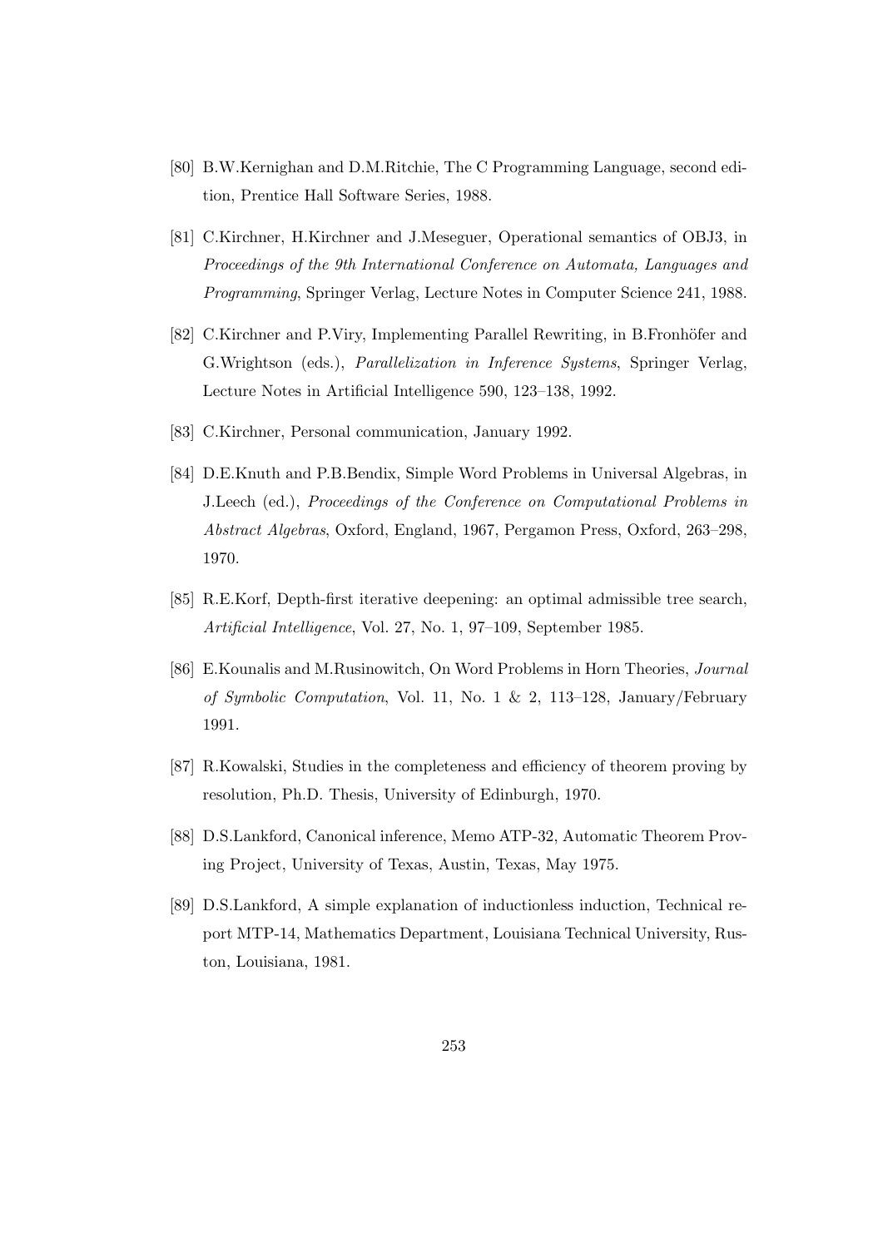- [80] B.W.Kernighan and D.M.Ritchie, The C Programming Language, second edition, Prentice Hall Software Series, 1988.
- [81] C.Kirchner, H.Kirchner and J.Meseguer, Operational semantics of OBJ3, in Proceedings of the 9th International Conference on Automata, Languages and Programming, Springer Verlag, Lecture Notes in Computer Science 241, 1988.
- [82] C.Kirchner and P.Viry, Implementing Parallel Rewriting, in B.Fronhöfer and G.Wrightson (eds.), Parallelization in Inference Systems, Springer Verlag, Lecture Notes in Artificial Intelligence 590, 123–138, 1992.
- [83] C.Kirchner, Personal communication, January 1992.
- [84] D.E.Knuth and P.B.Bendix, Simple Word Problems in Universal Algebras, in J.Leech (ed.), Proceedings of the Conference on Computational Problems in Abstract Algebras, Oxford, England, 1967, Pergamon Press, Oxford, 263–298, 1970.
- [85] R.E.Korf, Depth-first iterative deepening: an optimal admissible tree search, Artificial Intelligence, Vol. 27, No. 1, 97–109, September 1985.
- [86] E.Kounalis and M.Rusinowitch, On Word Problems in Horn Theories, Journal of Symbolic Computation, Vol. 11, No. 1 & 2, 113–128, January/February 1991.
- [87] R.Kowalski, Studies in the completeness and efficiency of theorem proving by resolution, Ph.D. Thesis, University of Edinburgh, 1970.
- [88] D.S.Lankford, Canonical inference, Memo ATP-32, Automatic Theorem Proving Project, University of Texas, Austin, Texas, May 1975.
- [89] D.S.Lankford, A simple explanation of inductionless induction, Technical report MTP-14, Mathematics Department, Louisiana Technical University, Ruston, Louisiana, 1981.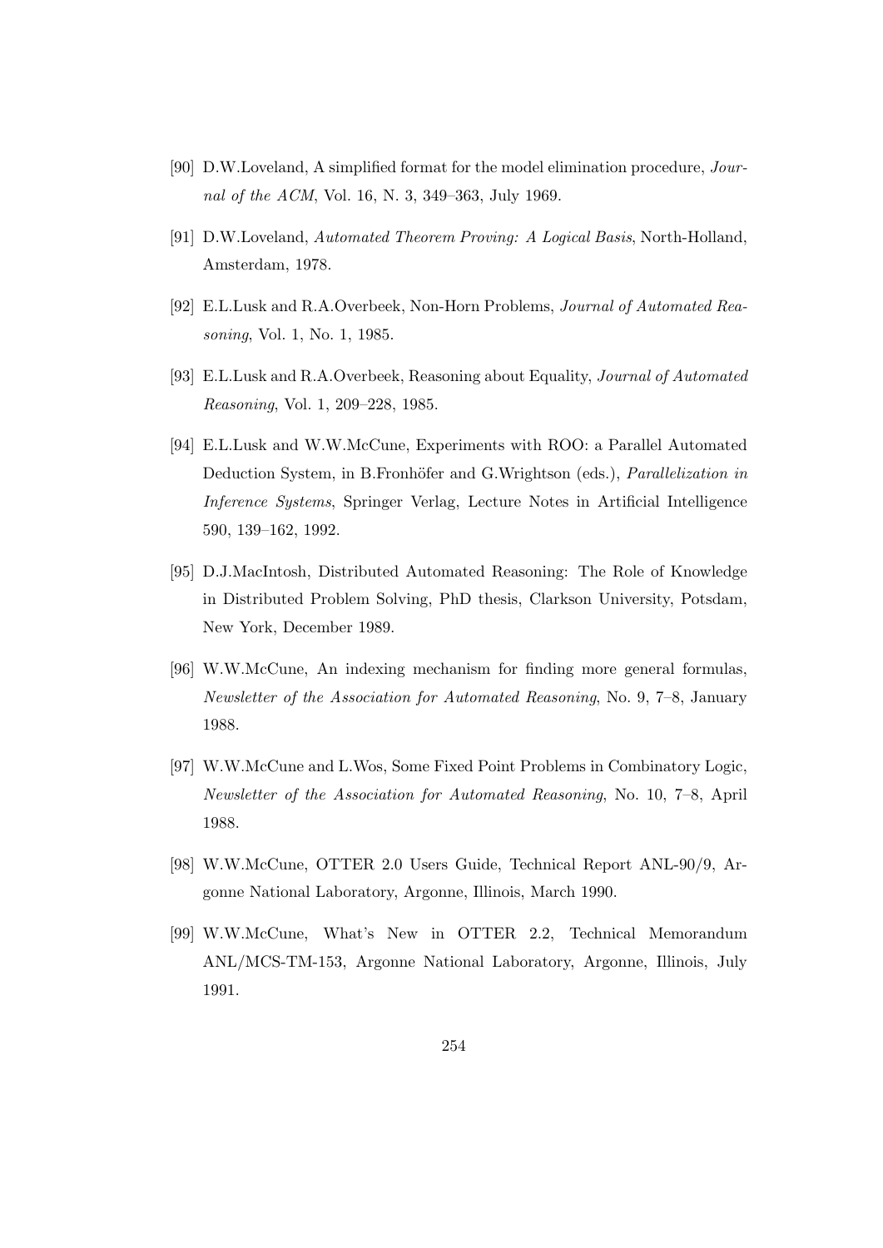- [90] D.W.Loveland, A simplified format for the model elimination procedure, Journal of the ACM, Vol. 16, N. 3, 349–363, July 1969.
- [91] D.W.Loveland, Automated Theorem Proving: A Logical Basis, North-Holland, Amsterdam, 1978.
- [92] E.L.Lusk and R.A.Overbeek, Non-Horn Problems, Journal of Automated Reasoning, Vol. 1, No. 1, 1985.
- [93] E.L.Lusk and R.A.Overbeek, Reasoning about Equality, Journal of Automated Reasoning, Vol. 1, 209–228, 1985.
- [94] E.L.Lusk and W.W.McCune, Experiments with ROO: a Parallel Automated Deduction System, in B.Fronhöfer and G.Wrightson (eds.), *Parallelization in* Inference Systems, Springer Verlag, Lecture Notes in Artificial Intelligence 590, 139–162, 1992.
- [95] D.J.MacIntosh, Distributed Automated Reasoning: The Role of Knowledge in Distributed Problem Solving, PhD thesis, Clarkson University, Potsdam, New York, December 1989.
- [96] W.W.McCune, An indexing mechanism for finding more general formulas, Newsletter of the Association for Automated Reasoning, No. 9, 7–8, January 1988.
- [97] W.W.McCune and L.Wos, Some Fixed Point Problems in Combinatory Logic, Newsletter of the Association for Automated Reasoning, No. 10, 7–8, April 1988.
- [98] W.W.McCune, OTTER 2.0 Users Guide, Technical Report ANL-90/9, Argonne National Laboratory, Argonne, Illinois, March 1990.
- [99] W.W.McCune, What's New in OTTER 2.2, Technical Memorandum ANL/MCS-TM-153, Argonne National Laboratory, Argonne, Illinois, July 1991.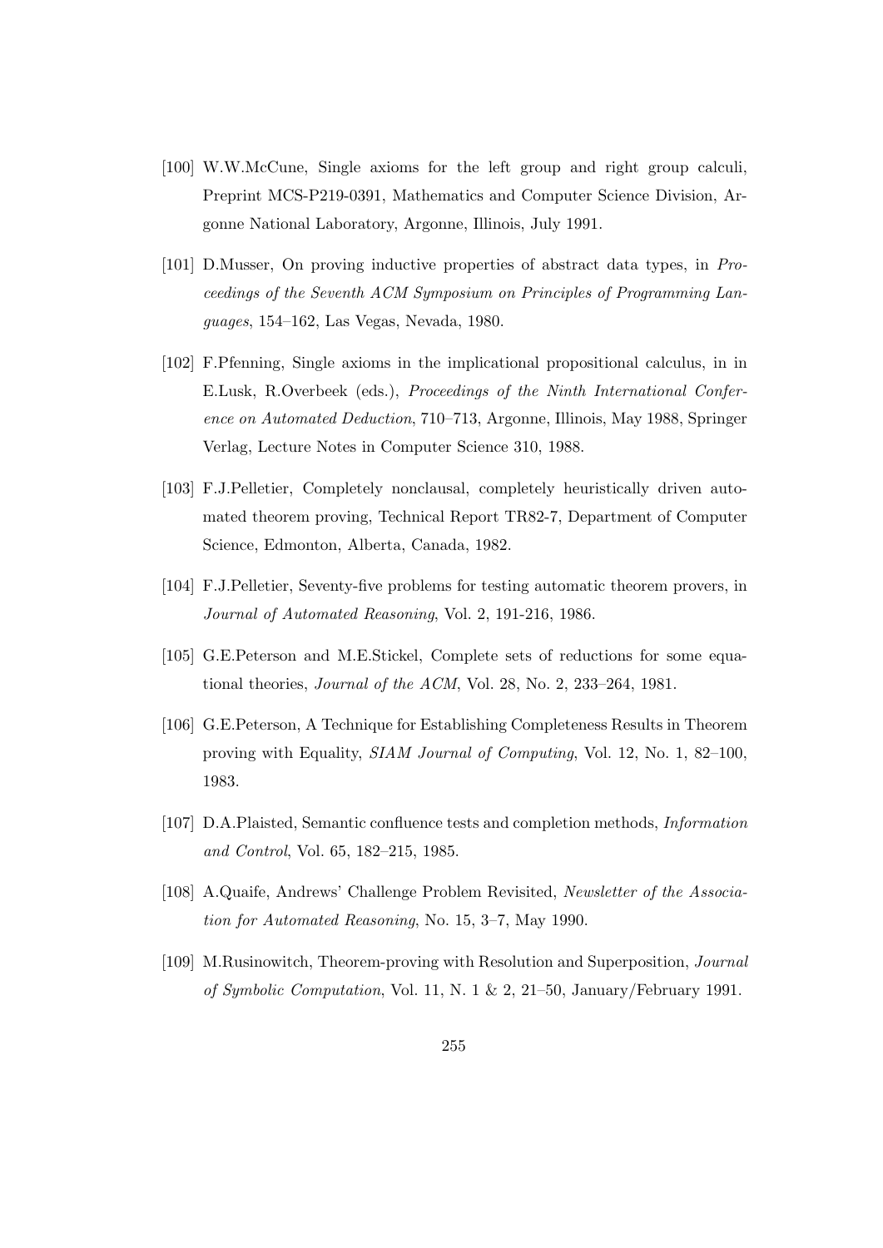- [100] W.W.McCune, Single axioms for the left group and right group calculi, Preprint MCS-P219-0391, Mathematics and Computer Science Division, Argonne National Laboratory, Argonne, Illinois, July 1991.
- [101] D.Musser, On proving inductive properties of abstract data types, in Proceedings of the Seventh ACM Symposium on Principles of Programming Languages, 154–162, Las Vegas, Nevada, 1980.
- [102] F.Pfenning, Single axioms in the implicational propositional calculus, in in E.Lusk, R.Overbeek (eds.), Proceedings of the Ninth International Conference on Automated Deduction, 710–713, Argonne, Illinois, May 1988, Springer Verlag, Lecture Notes in Computer Science 310, 1988.
- [103] F.J.Pelletier, Completely nonclausal, completely heuristically driven automated theorem proving, Technical Report TR82-7, Department of Computer Science, Edmonton, Alberta, Canada, 1982.
- [104] F.J.Pelletier, Seventy-five problems for testing automatic theorem provers, in Journal of Automated Reasoning, Vol. 2, 191-216, 1986.
- [105] G.E.Peterson and M.E.Stickel, Complete sets of reductions for some equational theories, Journal of the ACM, Vol. 28, No. 2, 233–264, 1981.
- [106] G.E.Peterson, A Technique for Establishing Completeness Results in Theorem proving with Equality, SIAM Journal of Computing, Vol. 12, No. 1, 82–100, 1983.
- [107] D.A.Plaisted, Semantic confluence tests and completion methods, Information and Control, Vol. 65, 182–215, 1985.
- [108] A.Quaife, Andrews' Challenge Problem Revisited, Newsletter of the Association for Automated Reasoning, No. 15, 3–7, May 1990.
- [109] M.Rusinowitch, Theorem-proving with Resolution and Superposition, Journal of Symbolic Computation, Vol. 11, N. 1 & 2, 21–50, January/February 1991.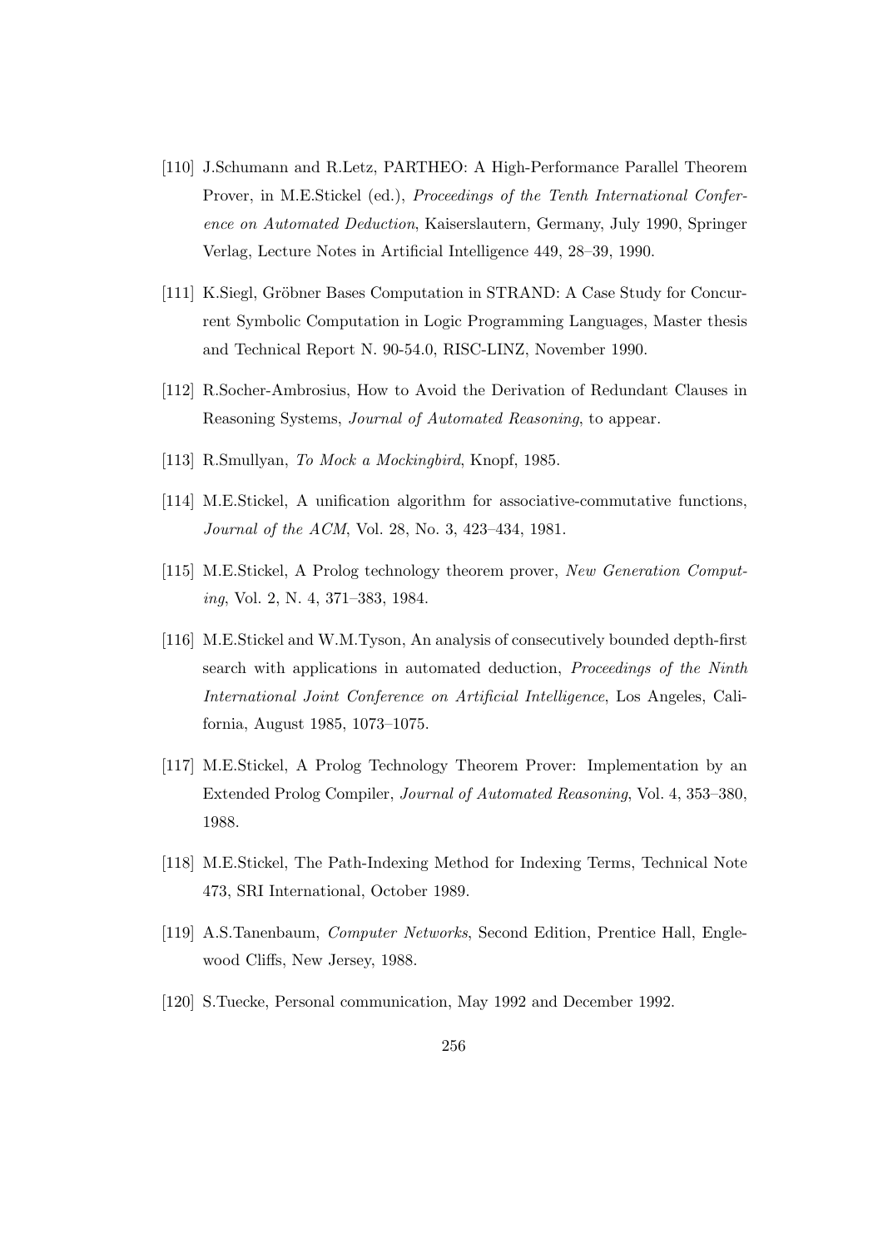- [110] J.Schumann and R.Letz, PARTHEO: A High-Performance Parallel Theorem Prover, in M.E.Stickel (ed.), Proceedings of the Tenth International Conference on Automated Deduction, Kaiserslautern, Germany, July 1990, Springer Verlag, Lecture Notes in Artificial Intelligence 449, 28–39, 1990.
- [111] K.Siegl, Gröbner Bases Computation in STRAND: A Case Study for Concurrent Symbolic Computation in Logic Programming Languages, Master thesis and Technical Report N. 90-54.0, RISC-LINZ, November 1990.
- [112] R.Socher-Ambrosius, How to Avoid the Derivation of Redundant Clauses in Reasoning Systems, Journal of Automated Reasoning, to appear.
- [113] R.Smullyan, To Mock a Mockingbird, Knopf, 1985.
- [114] M.E.Stickel, A unification algorithm for associative-commutative functions, Journal of the ACM, Vol. 28, No. 3, 423–434, 1981.
- [115] M.E.Stickel, A Prolog technology theorem prover, New Generation Computing, Vol. 2, N. 4, 371–383, 1984.
- [116] M.E.Stickel and W.M.Tyson, An analysis of consecutively bounded depth-first search with applications in automated deduction, Proceedings of the Ninth International Joint Conference on Artificial Intelligence, Los Angeles, California, August 1985, 1073–1075.
- [117] M.E.Stickel, A Prolog Technology Theorem Prover: Implementation by an Extended Prolog Compiler, Journal of Automated Reasoning, Vol. 4, 353–380, 1988.
- [118] M.E.Stickel, The Path-Indexing Method for Indexing Terms, Technical Note 473, SRI International, October 1989.
- [119] A.S.Tanenbaum, Computer Networks, Second Edition, Prentice Hall, Englewood Cliffs, New Jersey, 1988.
- [120] S.Tuecke, Personal communication, May 1992 and December 1992.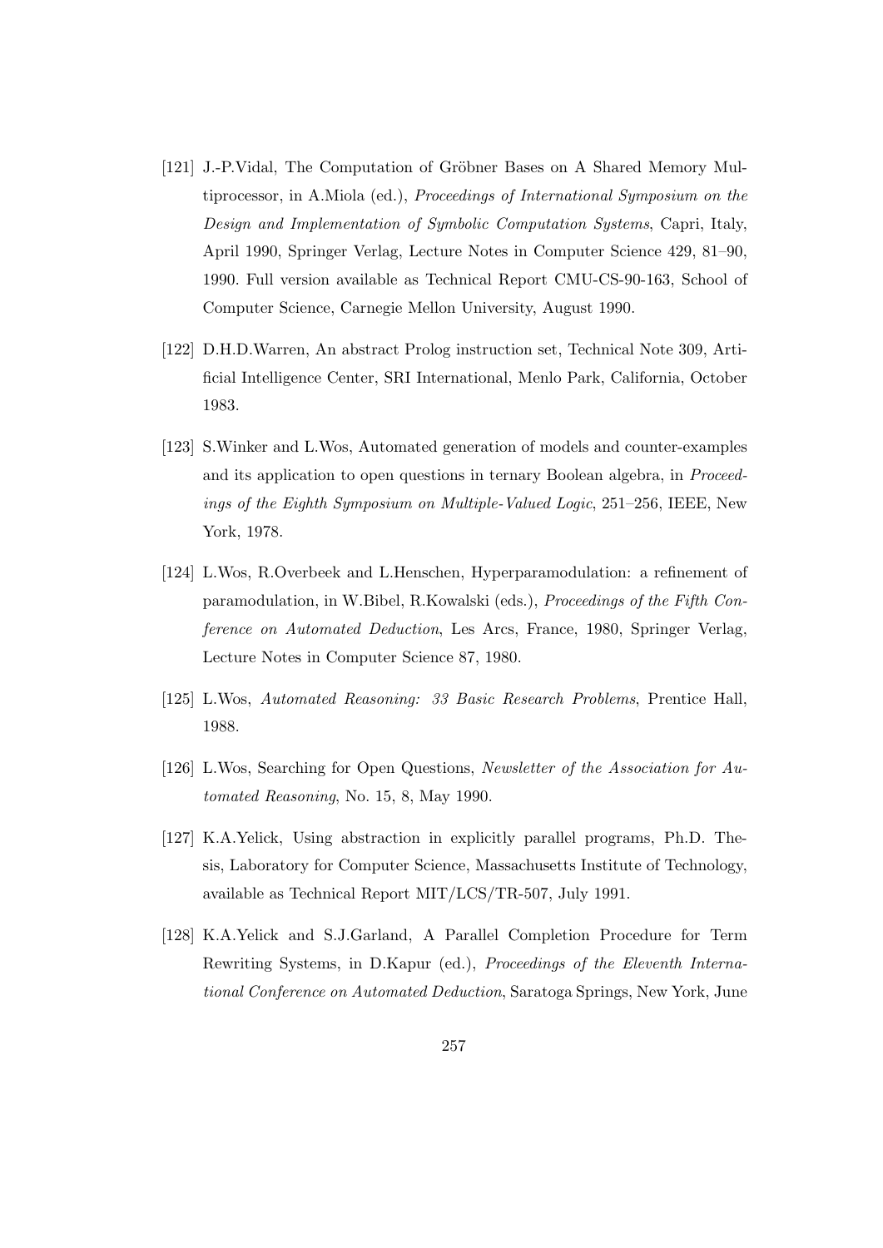- [121] J.-P.Vidal, The Computation of Gröbner Bases on A Shared Memory Multiprocessor, in A.Miola (ed.), Proceedings of International Symposium on the Design and Implementation of Symbolic Computation Systems, Capri, Italy, April 1990, Springer Verlag, Lecture Notes in Computer Science 429, 81–90, 1990. Full version available as Technical Report CMU-CS-90-163, School of Computer Science, Carnegie Mellon University, August 1990.
- [122] D.H.D.Warren, An abstract Prolog instruction set, Technical Note 309, Artificial Intelligence Center, SRI International, Menlo Park, California, October 1983.
- [123] S.Winker and L.Wos, Automated generation of models and counter-examples and its application to open questions in ternary Boolean algebra, in Proceedings of the Eighth Symposium on Multiple-Valued Logic, 251–256, IEEE, New York, 1978.
- [124] L.Wos, R.Overbeek and L.Henschen, Hyperparamodulation: a refinement of paramodulation, in W.Bibel, R.Kowalski (eds.), Proceedings of the Fifth Conference on Automated Deduction, Les Arcs, France, 1980, Springer Verlag, Lecture Notes in Computer Science 87, 1980.
- [125] L.Wos, Automated Reasoning: 33 Basic Research Problems, Prentice Hall, 1988.
- [126] L.Wos, Searching for Open Questions, Newsletter of the Association for Automated Reasoning, No. 15, 8, May 1990.
- [127] K.A.Yelick, Using abstraction in explicitly parallel programs, Ph.D. Thesis, Laboratory for Computer Science, Massachusetts Institute of Technology, available as Technical Report MIT/LCS/TR-507, July 1991.
- [128] K.A.Yelick and S.J.Garland, A Parallel Completion Procedure for Term Rewriting Systems, in D.Kapur (ed.), Proceedings of the Eleventh International Conference on Automated Deduction, Saratoga Springs, New York, June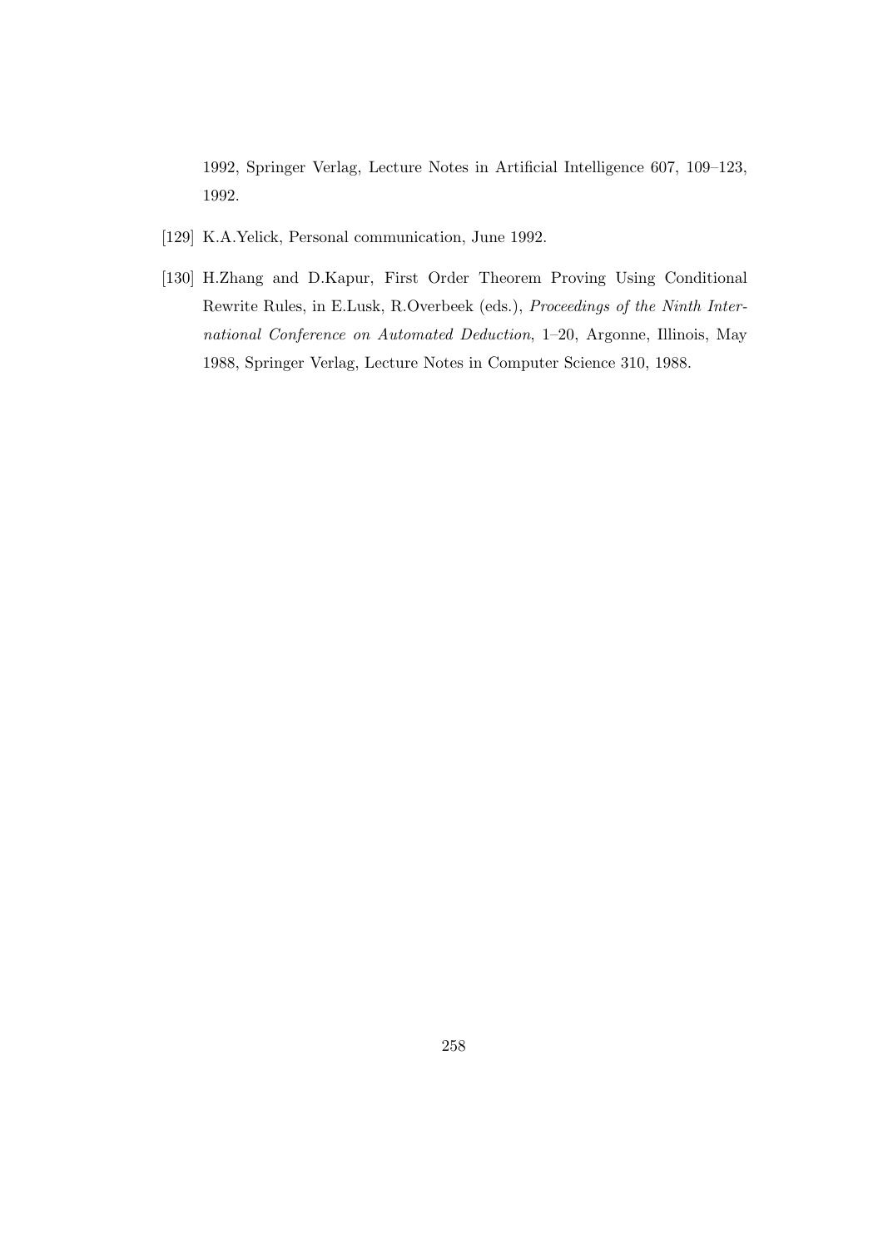1992, Springer Verlag, Lecture Notes in Artificial Intelligence 607, 109–123, 1992.

- [129] K.A.Yelick, Personal communication, June 1992.
- [130] H.Zhang and D.Kapur, First Order Theorem Proving Using Conditional Rewrite Rules, in E.Lusk, R.Overbeek (eds.), Proceedings of the Ninth International Conference on Automated Deduction, 1–20, Argonne, Illinois, May 1988, Springer Verlag, Lecture Notes in Computer Science 310, 1988.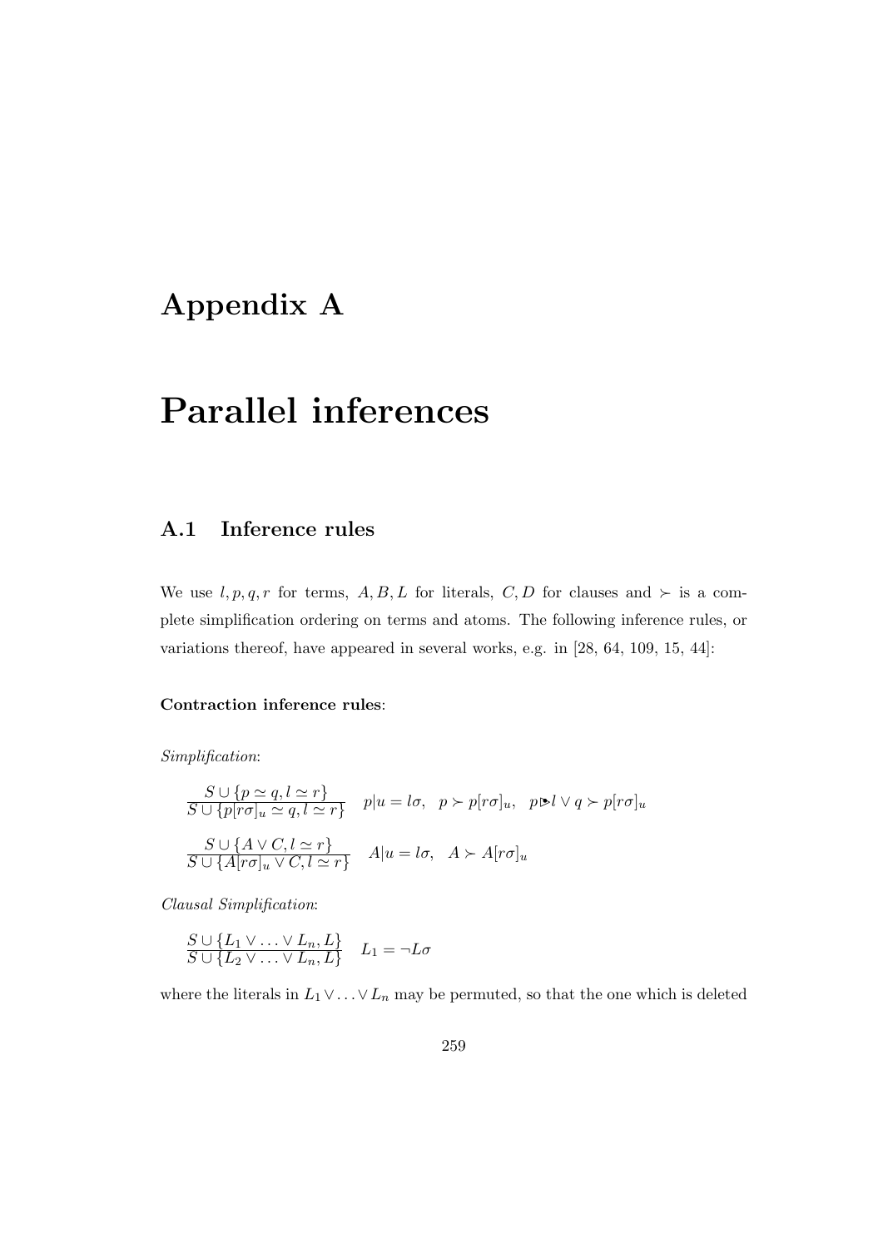# Appendix A

# Parallel inferences

### A.1 Inference rules

We use  $l, p, q, r$  for terms,  $A, B, L$  for literals,  $C, D$  for clauses and  $\succ$  is a complete simplification ordering on terms and atoms. The following inference rules, or variations thereof, have appeared in several works, e.g. in [28, 64, 109, 15, 44]:

#### Contraction inference rules:

Simplification:

$$
\frac{S \cup \{p \simeq q, l \simeq r\}}{S \cup \{p[r\sigma]_u \simeq q, l \simeq r\}} \quad p|u = l\sigma, \quad p \succ p[r\sigma]_u, \quad p \triangleright l \vee q \succ p[r\sigma]_u
$$

$$
\frac{S \cup \{A \vee C, l \simeq r\}}{S \cup \{A[r\sigma]_u \vee C, l \simeq r\}} \quad A|u = l\sigma, \quad A \succ A[r\sigma]_u
$$

Clausal Simplification:

$$
\frac{S \cup \{L_1 \vee \ldots \vee L_n, L\}}{S \cup \{L_2 \vee \ldots \vee L_n, L\}} \quad L_1 = \neg L \sigma
$$

where the literals in  $L_1 \vee \ldots \vee L_n$  may be permuted, so that the one which is deleted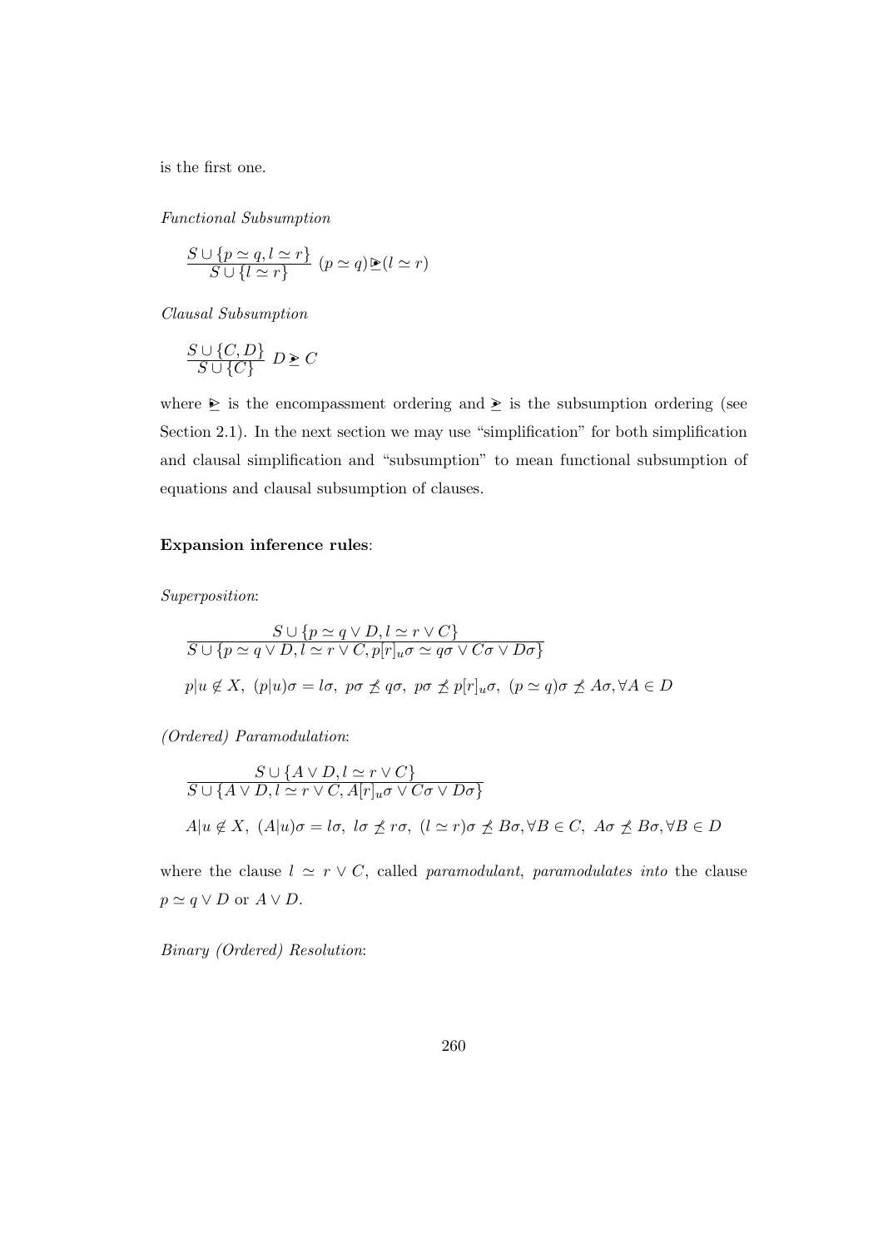is the first one.

Functional Subsumption

$$
\frac{S \cup \{p \simeq q, l \simeq r\}}{S \cup \{l \simeq r\}} \ (p \simeq q) \mathbb{P}(l \simeq r)
$$

Clausal Subsumption

$$
\frac{S \cup \{C, D\}}{S \cup \{C\}} D \geq C
$$

where  $\geq$  is the encompassment ordering and  $\geq$  is the subsumption ordering (see Section 2.1). In the next section we may use "simplification" for both simplification and clausal simplification and "subsumption" to mean functional subsumption of equations and clausal subsumption of clauses.

#### Expansion inference rules:

Superposition:

$$
S \cup \{p \simeq q \lor D, l \simeq r \lor C\}
$$
  

$$
S \cup \{p \simeq q \lor D, l \simeq r \lor C, p[r]_u \sigma \simeq q\sigma \lor C\sigma \lor D\sigma\}
$$
  

$$
p|u \notin X, (p|u)\sigma = l\sigma, p\sigma \nleq q\sigma, p\sigma \nleq p[r]_u \sigma, (p \simeq q)\sigma \nleq A\sigma, \forall A \in D
$$

(Ordered) Paramodulation:

$$
S \cup \{A \vee D, l \simeq r \vee C\}
$$
  

$$
S \cup \{A \vee D, l \simeq r \vee C, A[r]_u \sigma \vee C\sigma \vee D\sigma\}
$$
  

$$
A|u \notin X, (A|u)\sigma = l\sigma, l\sigma \npreceq r\sigma, (l \simeq r)\sigma \npreceq B\sigma, \forall B \in C, A\sigma \npreceq B\sigma, \forall B \in D
$$

where the clause  $l \simeq r \vee C$ , called paramodulant, paramodulates into the clause  $p \simeq q \vee D$  or  $A \vee D$ .

Binary (Ordered) Resolution: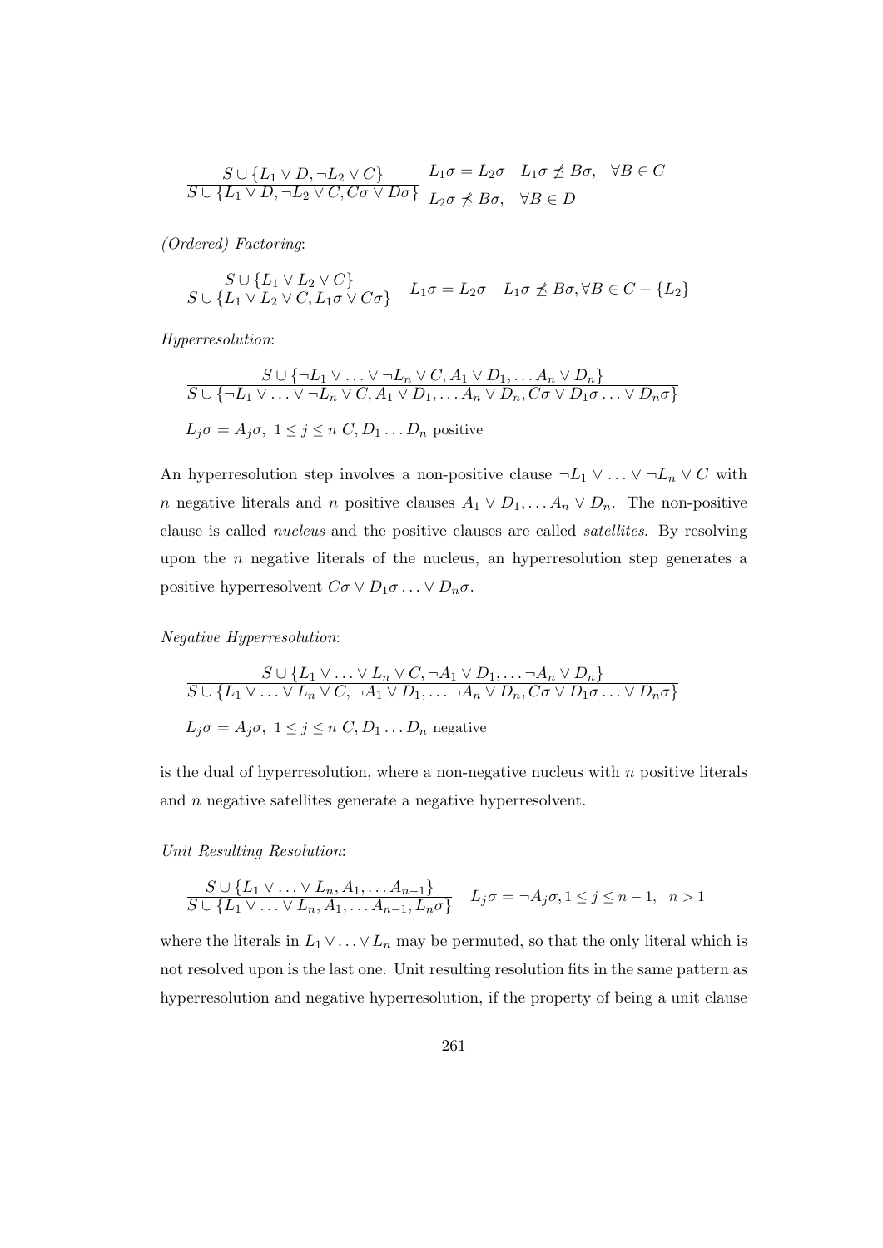$$
\frac{S \cup \{L_1 \vee D, \neg L_2 \vee C\}}{S \cup \{L_1 \vee D, \neg L_2 \vee C, C\sigma \vee D\sigma\}} \quad L_1 \sigma = L_2 \sigma \quad L_1 \sigma \npreceq B\sigma, \quad \forall B \in C
$$

(Ordered) Factoring:

$$
\frac{S \cup \{L_1 \vee L_2 \vee C\}}{S \cup \{L_1 \vee L_2 \vee C, L_1 \sigma \vee C \sigma\}} \quad L_1 \sigma = L_2 \sigma \quad L_1 \sigma \npreceq B \sigma, \forall B \in C - \{L_2\}
$$

Hyperresolution:

$$
S \cup \{\neg L_1 \lor \dots \lor \neg L_n \lor C, A_1 \lor D_1, \dots A_n \lor D_n\}
$$
  

$$
S \cup \{\neg L_1 \lor \dots \lor \neg L_n \lor C, A_1 \lor D_1, \dots A_n \lor D_n, C\sigma \lor D_1\sigma \dots \lor D_n\sigma\}
$$
  

$$
L_j\sigma = A_j\sigma, \ 1 \leq j \leq n \ C, D_1 \dots D_n \text{ positive}
$$

An hyperresolution step involves a non-positive clause  $\neg L_1 \vee \ldots \vee \neg L_n \vee C$  with n negative literals and n positive clauses  $A_1 \vee D_1, \ldots A_n \vee D_n$ . The non-positive clause is called nucleus and the positive clauses are called satellites. By resolving upon the  $n$  negative literals of the nucleus, an hyperresolution step generates a positive hyperresolvent  $C\sigma \vee D_1\sigma \ldots \vee D_n\sigma$ .

Negative Hyperresolution:

$$
S \cup \{L_1 \vee \ldots \vee L_n \vee C, \neg A_1 \vee D_1, \ldots \neg A_n \vee D_n\}
$$
  

$$
S \cup \{L_1 \vee \ldots \vee L_n \vee C, \neg A_1 \vee D_1, \ldots \neg A_n \vee D_n, C\sigma \vee D_1\sigma \ldots \vee D_n\sigma\}
$$
  

$$
L_j\sigma = A_j\sigma, \ 1 \le j \le n \ C, D_1 \ldots D_n \text{ negative}
$$

is the dual of hyperresolution, where a non-negative nucleus with  $n$  positive literals and n negative satellites generate a negative hyperresolvent.

Unit Resulting Resolution:

$$
\frac{S \cup \{L_1 \vee \ldots \vee L_n, A_1, \ldots A_{n-1}\}}{S \cup \{L_1 \vee \ldots \vee L_n, A_1, \ldots A_{n-1}, L_n \sigma\}} \quad L_j \sigma = \neg A_j \sigma, 1 \le j \le n-1, \quad n > 1
$$

where the literals in  $L_1 \vee \ldots \vee L_n$  may be permuted, so that the only literal which is not resolved upon is the last one. Unit resulting resolution fits in the same pattern as hyperresolution and negative hyperresolution, if the property of being a unit clause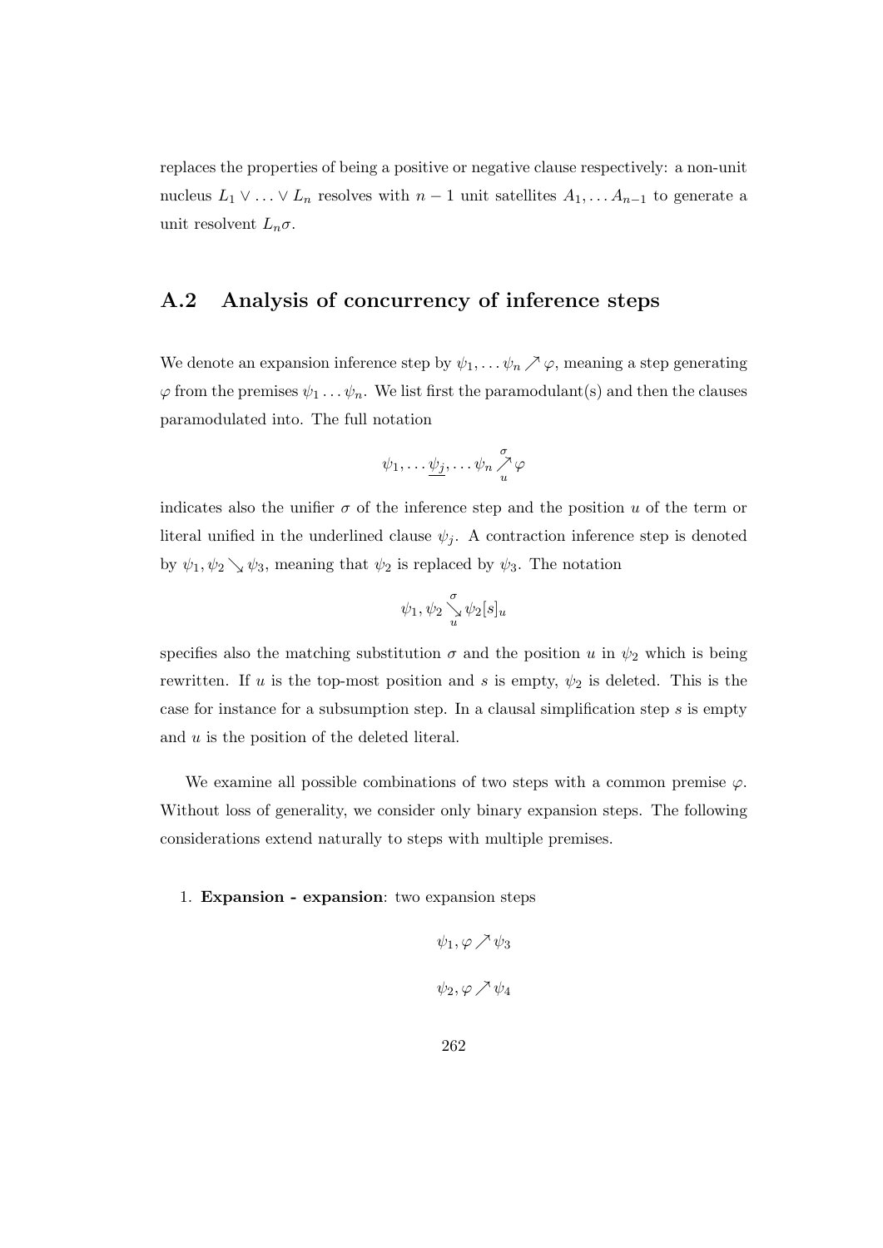replaces the properties of being a positive or negative clause respectively: a non-unit nucleus  $L_1 \vee \ldots \vee L_n$  resolves with  $n-1$  unit satellites  $A_1, \ldots, A_{n-1}$  to generate a unit resolvent  $L_n \sigma$ .

## A.2 Analysis of concurrency of inference steps

We denote an expansion inference step by  $\psi_1, \dots, \psi_n \nearrow \varphi$ , meaning a step generating  $\varphi$  from the premises  $\psi_1 \dots \psi_n$ . We list first the paramodulant(s) and then the clauses paramodulated into. The full notation

$$
\psi_1,\ldots\underline{\psi_j},\ldots\psi_n\overset{\sigma}{\underset{u}{\nearrow}}\varphi
$$

indicates also the unifier  $\sigma$  of the inference step and the position u of the term or literal unified in the underlined clause  $\psi_i$ . A contraction inference step is denoted by  $\psi_1, \psi_2 \searrow \psi_3$ , meaning that  $\psi_2$  is replaced by  $\psi_3$ . The notation

$$
\psi_1,\psi_2\mathop{\searrow}\limits^{\sigma}_u\psi_2[s]_u
$$

specifies also the matching substitution  $\sigma$  and the position u in  $\psi_2$  which is being rewritten. If u is the top-most position and s is empty,  $\psi_2$  is deleted. This is the case for instance for a subsumption step. In a clausal simplification step  $s$  is empty and  $u$  is the position of the deleted literal.

We examine all possible combinations of two steps with a common premise  $\varphi$ . Without loss of generality, we consider only binary expansion steps. The following considerations extend naturally to steps with multiple premises.

#### 1. Expansion - expansion: two expansion steps

$$
\psi_1, \varphi \nearrow \psi_3
$$

$$
\psi_2, \varphi \nearrow \psi_4
$$

262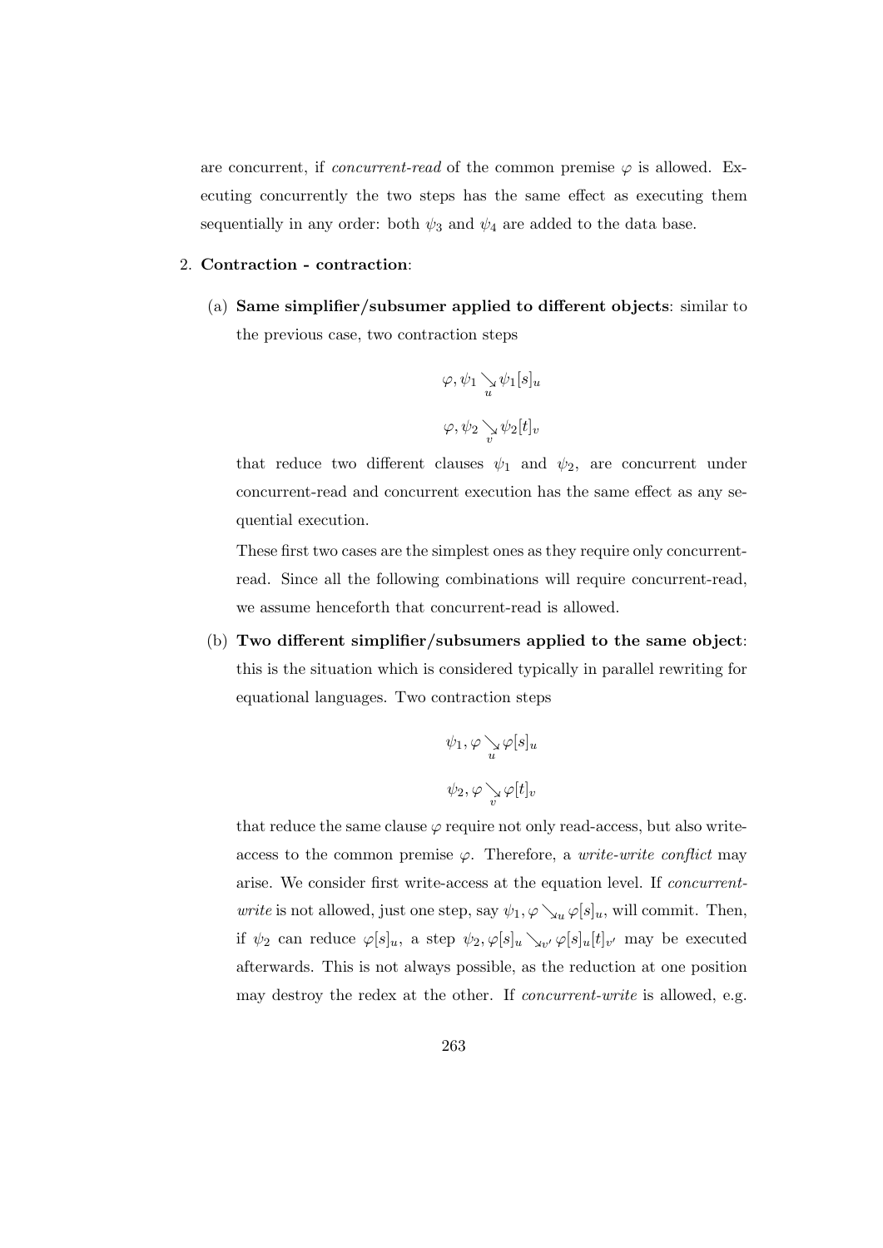are concurrent, if *concurrent-read* of the common premise  $\varphi$  is allowed. Executing concurrently the two steps has the same effect as executing them sequentially in any order: both  $\psi_3$  and  $\psi_4$  are added to the data base.

#### 2. Contraction - contraction:

(a) Same simplifier/subsumer applied to different objects: similar to the previous case, two contraction steps

$$
\varphi, \psi_1 \underset{u}{\searrow} \psi_1[s]_u
$$
  

$$
\varphi, \psi_2 \underset{v}{\searrow} \psi_2[t]_v
$$

that reduce two different clauses  $\psi_1$  and  $\psi_2$ , are concurrent under concurrent-read and concurrent execution has the same effect as any sequential execution.

These first two cases are the simplest ones as they require only concurrentread. Since all the following combinations will require concurrent-read, we assume henceforth that concurrent-read is allowed.

(b) Two different simplifier/subsumers applied to the same object: this is the situation which is considered typically in parallel rewriting for equational languages. Two contraction steps

$$
\psi_1, \varphi \searrow \varphi[s]_u
$$
  

$$
\psi_2, \varphi \searrow \varphi[t]_v
$$

that reduce the same clause  $\varphi$  require not only read-access, but also writeaccess to the common premise  $\varphi$ . Therefore, a *write-write conflict* may arise. We consider first write-access at the equation level. If concurrent*write* is not allowed, just one step, say  $\psi_1, \varphi \searrow_u \varphi[s]_u$ , will commit. Then, if  $\psi_2$  can reduce  $\varphi[s]_u$ , a step  $\psi_2, \varphi[s]_u \searrow_{v'} \varphi[s]_u[t]_{v'}$  may be executed afterwards. This is not always possible, as the reduction at one position may destroy the redex at the other. If concurrent-write is allowed, e.g.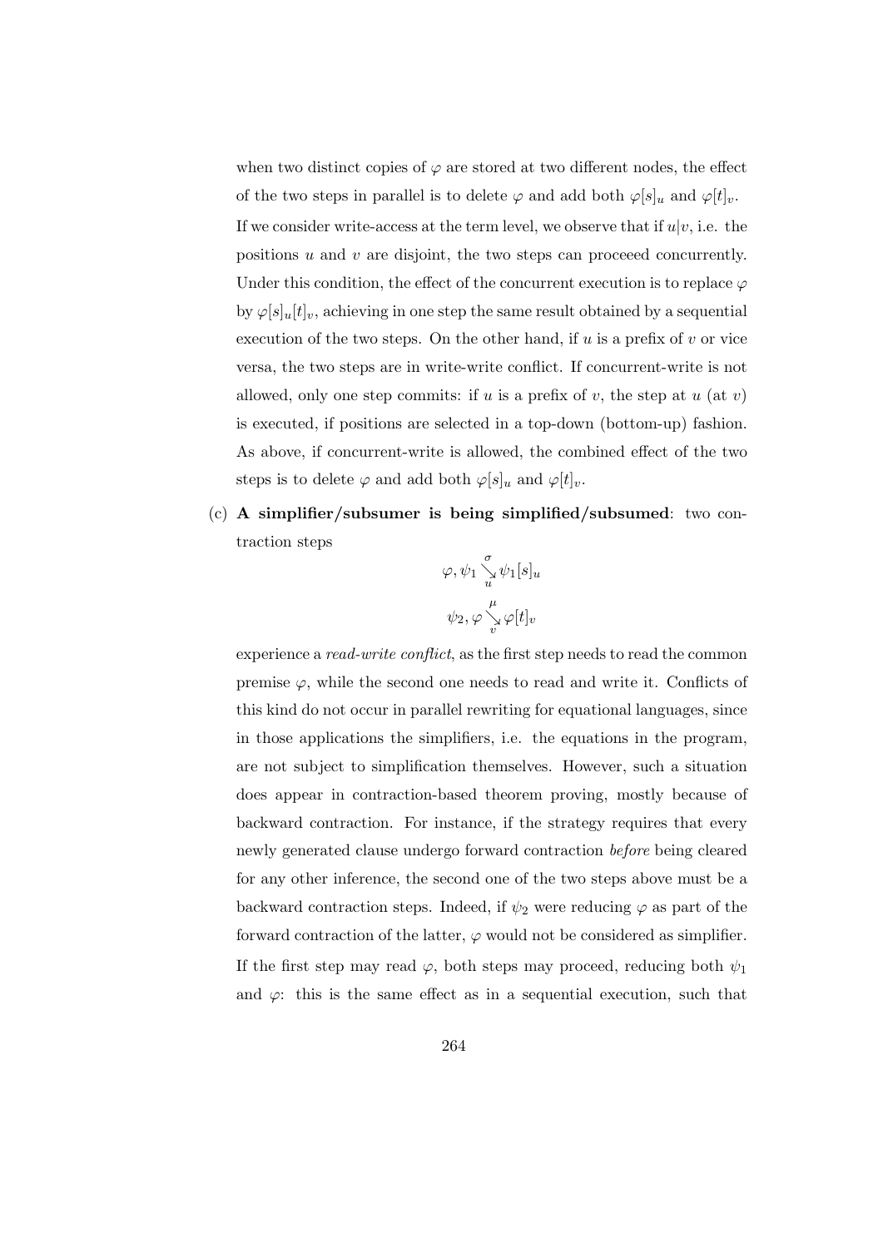when two distinct copies of  $\varphi$  are stored at two different nodes, the effect of the two steps in parallel is to delete  $\varphi$  and add both  $\varphi[s]_u$  and  $\varphi[t]_v$ . If we consider write-access at the term level, we observe that if  $u|v$ , i.e. the positions  $u$  and  $v$  are disjoint, the two steps can proceeed concurrently. Under this condition, the effect of the concurrent execution is to replace  $\varphi$ by  $\varphi[s]_u[t]_v$ , achieving in one step the same result obtained by a sequential execution of the two steps. On the other hand, if  $u$  is a prefix of  $v$  or vice versa, the two steps are in write-write conflict. If concurrent-write is not allowed, only one step commits: if u is a prefix of v, the step at  $u$  (at v) is executed, if positions are selected in a top-down (bottom-up) fashion. As above, if concurrent-write is allowed, the combined effect of the two steps is to delete  $\varphi$  and add both  $\varphi[s]_u$  and  $\varphi[t]_v$ .

(c) A simplifier/subsumer is being simplified/subsumed: two contraction steps

$$
\begin{array}{c}\varphi,\psi_1\mathop{\searrow}\limits_{u}\psi_1[s]_u\\ \\ \psi_2,\varphi\mathop{\searrow}\limits_{v}\varphi[t]_v\end{array}
$$

experience a *read-write conflict*, as the first step needs to read the common premise  $\varphi$ , while the second one needs to read and write it. Conflicts of this kind do not occur in parallel rewriting for equational languages, since in those applications the simplifiers, i.e. the equations in the program, are not subject to simplification themselves. However, such a situation does appear in contraction-based theorem proving, mostly because of backward contraction. For instance, if the strategy requires that every newly generated clause undergo forward contraction before being cleared for any other inference, the second one of the two steps above must be a backward contraction steps. Indeed, if  $\psi_2$  were reducing  $\varphi$  as part of the forward contraction of the latter,  $\varphi$  would not be considered as simplifier. If the first step may read  $\varphi$ , both steps may proceed, reducing both  $\psi_1$ and  $\varphi$ : this is the same effect as in a sequential execution, such that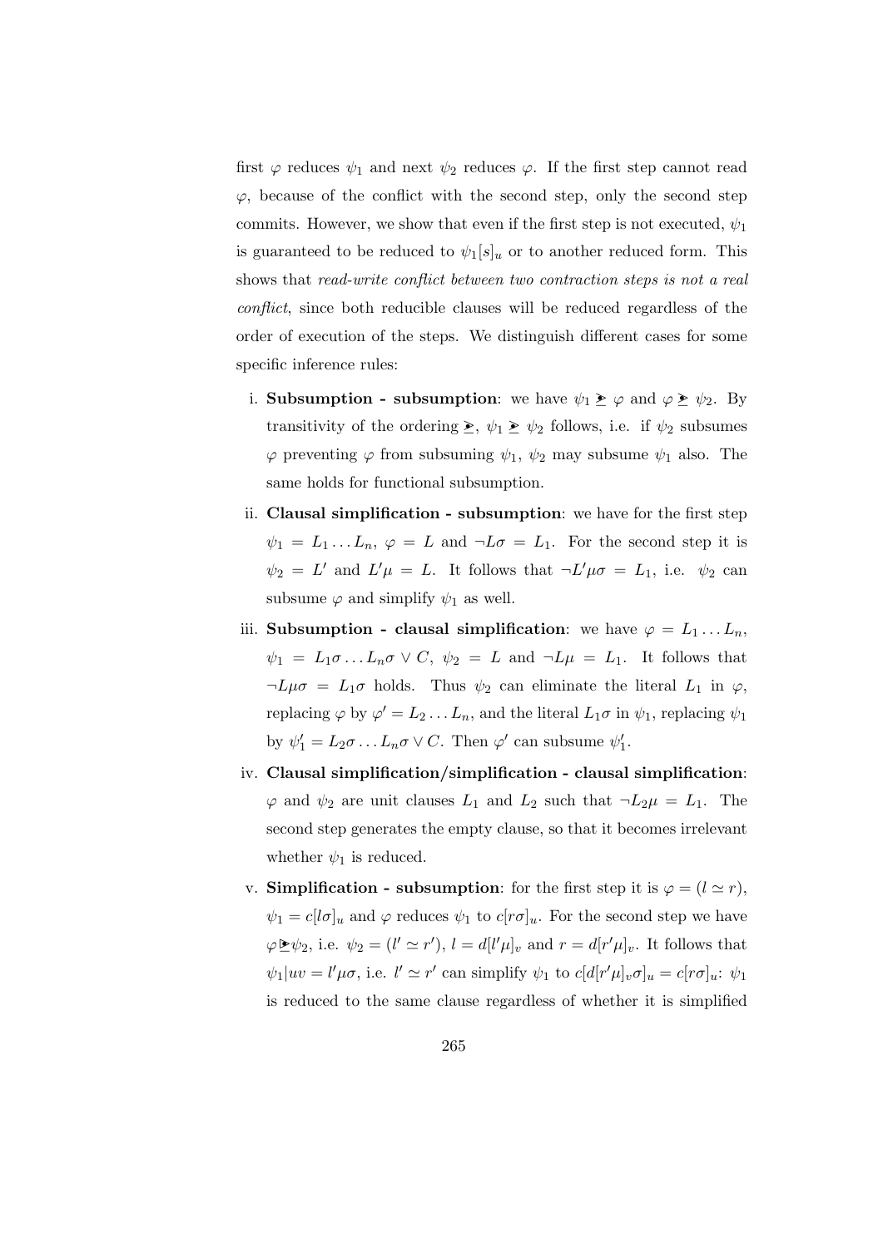first  $\varphi$  reduces  $\psi_1$  and next  $\psi_2$  reduces  $\varphi$ . If the first step cannot read  $\varphi$ , because of the conflict with the second step, only the second step commits. However, we show that even if the first step is not executed,  $\psi_1$ is guaranteed to be reduced to  $\psi_1[s]_u$  or to another reduced form. This shows that read-write conflict between two contraction steps is not a real conflict, since both reducible clauses will be reduced regardless of the order of execution of the steps. We distinguish different cases for some specific inference rules:

- i. Subsumption subsumption: we have  $\psi_1 \geq \varphi$  and  $\varphi \geq \psi_2$ . By transitivity of the ordering  $\geq$ ,  $\psi_1 \geq \psi_2$  follows, i.e. if  $\psi_2$  subsumes  $\varphi$  preventing  $\varphi$  from subsuming  $\psi_1$ ,  $\psi_2$  may subsume  $\psi_1$  also. The same holds for functional subsumption.
- ii. Clausal simplification subsumption: we have for the first step  $\psi_1 = L_1 ... L_n$ ,  $\varphi = L$  and  $\neg L\sigma = L_1$ . For the second step it is  $\psi_2 = L'$  and  $L'\mu = L$ . It follows that  $\neg L'\mu\sigma = L_1$ , i.e.  $\psi_2$  can subsume  $\varphi$  and simplify  $\psi_1$  as well.
- iii. Subsumption clausal simplification: we have  $\varphi = L_1 \dots L_n$ ,  $\psi_1 = L_1 \sigma \ldots L_n \sigma \vee C, \ \psi_2 = L \text{ and } \neg L \mu = L_1.$  It follows that  $\neg L\mu\sigma = L_1\sigma$  holds. Thus  $\psi_2$  can eliminate the literal  $L_1$  in  $\varphi$ , replacing  $\varphi$  by  $\varphi' = L_2 \dots L_n$ , and the literal  $L_1 \sigma$  in  $\psi_1$ , replacing  $\psi_1$ by  $\psi'_1 = L_2 \sigma \dots L_n \sigma \vee C$ . Then  $\varphi'$  can subsume  $\psi'_1$ .
- iv. Clausal simplification/simplification clausal simplification:  $\varphi$  and  $\psi_2$  are unit clauses  $L_1$  and  $L_2$  such that  $\neg L_2\mu = L_1$ . The second step generates the empty clause, so that it becomes irrelevant whether  $\psi_1$  is reduced.
- v. Simplification subsumption: for the first step it is  $\varphi = (l \simeq r)$ ,  $\psi_1 = c[\mathbf{l}\sigma]_u$  and  $\varphi$  reduces  $\psi_1$  to  $c[r\sigma]_u$ . For the second step we have  $\varphi \trianglerighteq \psi_2$ , i.e.  $\psi_2 = (l' \simeq r')$ ,  $l = d[l' \mu]_v$  and  $r = d[r' \mu]_v$ . It follows that  $\psi_1|uv = l'\mu\sigma$ , i.e.  $l' \simeq r'$  can simplify  $\psi_1$  to  $c[d[r'\mu]_v\sigma]_u = c[r\sigma]_u$ :  $\psi_1$ is reduced to the same clause regardless of whether it is simplified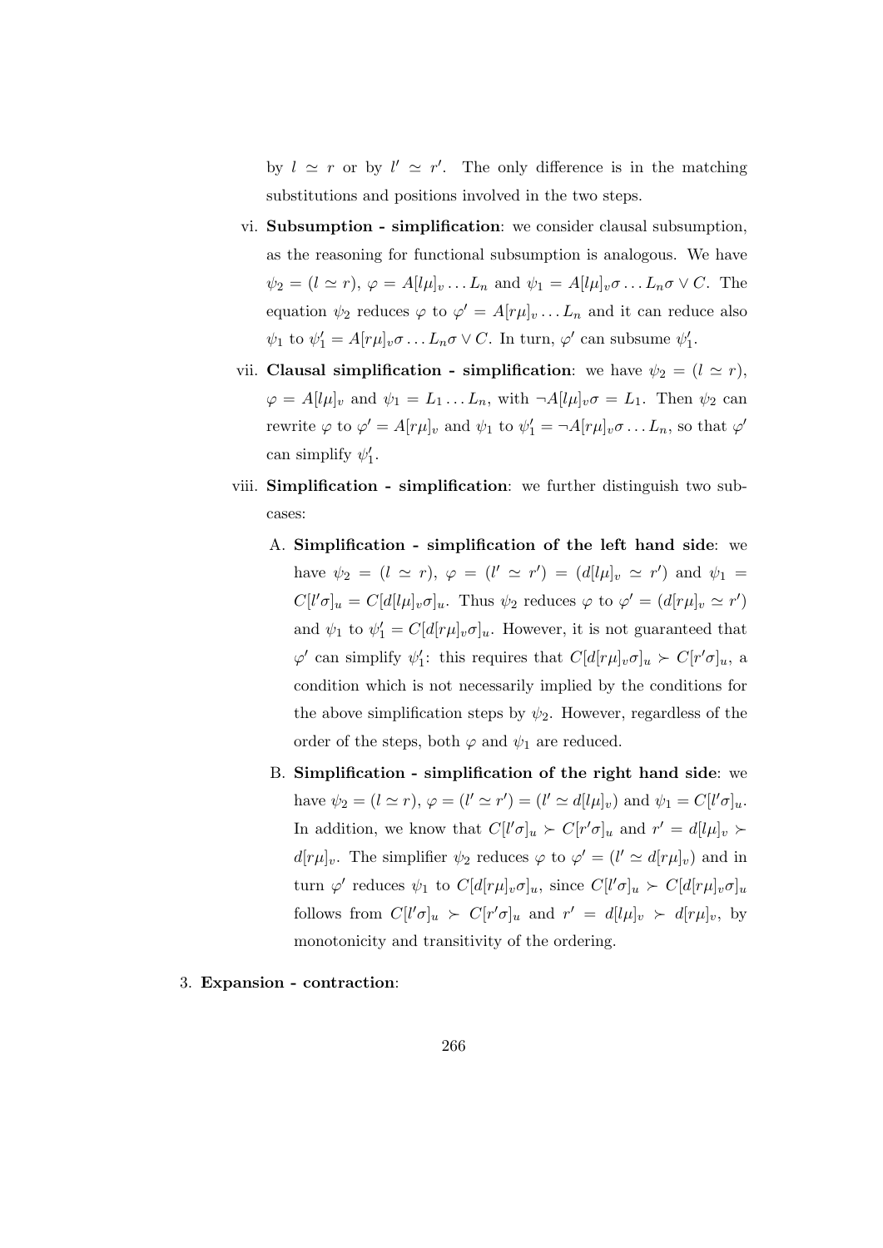by  $l \simeq r$  or by  $l' \simeq r'$ . The only difference is in the matching substitutions and positions involved in the two steps.

- vi. Subsumption simplification: we consider clausal subsumption, as the reasoning for functional subsumption is analogous. We have  $\psi_2 = (l \simeq r), \varphi = A[l\mu]_v \dots L_n$  and  $\psi_1 = A[l\mu]_v \sigma \dots L_n \sigma \vee C$ . The equation  $\psi_2$  reduces  $\varphi$  to  $\varphi' = A[r\mu]_v \dots L_n$  and it can reduce also  $\psi_1$  to  $\psi'_1 = A[r\mu]_v \sigma \dots L_n \sigma \vee C$ . In turn,  $\varphi'$  can subsume  $\psi'_1$ .
- vii. Clausal simplification simplification: we have  $\psi_2 = (l \simeq r)$ ,  $\varphi = A[l\mu]_v$  and  $\psi_1 = L_1 \dots L_n$ , with  $\neg A[l\mu]_v \sigma = L_1$ . Then  $\psi_2$  can rewrite  $\varphi$  to  $\varphi' = A[r\mu]_v$  and  $\psi_1$  to  $\psi'_1 = \neg A[r\mu]_v \sigma \dots L_n$ , so that  $\varphi'$ can simplify  $\psi'_1$ .
- viii. Simplification simplification: we further distinguish two subcases:
	- A. Simplification simplification of the left hand side: we have  $\psi_2 = (l \simeq r), \varphi = (l' \simeq r') = (d[l\mu]_v \simeq r')$  and  $\psi_1 =$  $C[l'\sigma]_u = C[d[l\mu]_v \sigma]_u$ . Thus  $\psi_2$  reduces  $\varphi$  to  $\varphi' = (d[r\mu]_v \simeq r')$ and  $\psi_1$  to  $\psi'_1 = C[d[r\mu]_v \sigma]_u$ . However, it is not guaranteed that  $\varphi'$  can simplify  $\psi'_1$ : this requires that  $C[d[r\mu]_v \sigma]_u \succ C[r'\sigma]_u$ , a condition which is not necessarily implied by the conditions for the above simplification steps by  $\psi_2$ . However, regardless of the order of the steps, both  $\varphi$  and  $\psi_1$  are reduced.
	- B. Simplification simplification of the right hand side: we have  $\psi_2 = (l \simeq r)$ ,  $\varphi = (l' \simeq r') = (l' \simeq d[l\mu]_v)$  and  $\psi_1 = C[l'\sigma]_u$ . In addition, we know that  $C[l'\sigma]_u \succ C[r'\sigma]_u$  and  $r' = d[l\mu]_v \succ$  $d[r\mu]_v$ . The simplifier  $\psi_2$  reduces  $\varphi$  to  $\varphi' = (l' \simeq d[r\mu]_v)$  and in turn  $\varphi'$  reduces  $\psi_1$  to  $C[d[r\mu]_v \sigma]_u$ , since  $C[l'\sigma]_u \succ C[d[r\mu]_v \sigma]_u$ follows from  $C[l'\sigma]_u \succ C[r'\sigma]_u$  and  $r' = d[l\mu]_v \succ d[r\mu]_v$ , by monotonicity and transitivity of the ordering.
- 3. Expansion contraction: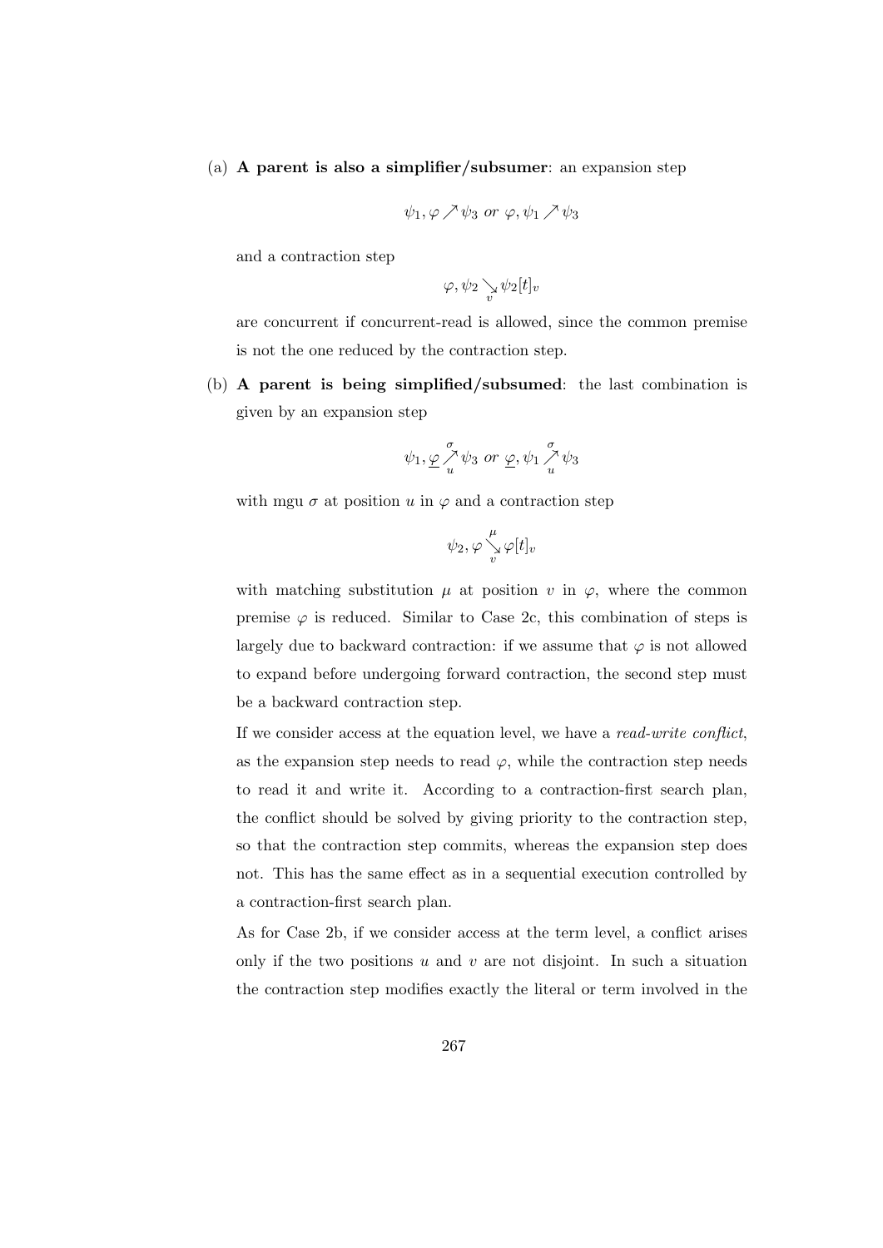#### (a) A parent is also a simplifier/subsumer: an expansion step

$$
\psi_1, \varphi \nearrow \psi_3 \text{ or } \varphi, \psi_1 \nearrow \psi_3
$$

and a contraction step

$$
\varphi,\psi_2\mathop{\searrow}\limits_v\psi_2[t]_v
$$

are concurrent if concurrent-read is allowed, since the common premise is not the one reduced by the contraction step.

(b) A parent is being simplified/subsumed: the last combination is given by an expansion step

$$
\psi_1, \underline{\varphi} \overset{\sigma}{\underset{u}{\nearrow}} \psi_3 \text{ or } \underline{\varphi}, \psi_1 \overset{\sigma}{\underset{u}{\nearrow}} \psi_3
$$

with mgu  $\sigma$  at position u in  $\varphi$  and a contraction step

$$
\psi_2, \varphi \overset{\mu}{\underset{v}{\searrow}} \varphi[t]_v
$$

with matching substitution  $\mu$  at position v in  $\varphi$ , where the common premise  $\varphi$  is reduced. Similar to Case 2c, this combination of steps is largely due to backward contraction: if we assume that  $\varphi$  is not allowed to expand before undergoing forward contraction, the second step must be a backward contraction step.

If we consider access at the equation level, we have a read-write conflict, as the expansion step needs to read  $\varphi$ , while the contraction step needs to read it and write it. According to a contraction-first search plan, the conflict should be solved by giving priority to the contraction step, so that the contraction step commits, whereas the expansion step does not. This has the same effect as in a sequential execution controlled by a contraction-first search plan.

As for Case 2b, if we consider access at the term level, a conflict arises only if the two positions  $u$  and  $v$  are not disjoint. In such a situation the contraction step modifies exactly the literal or term involved in the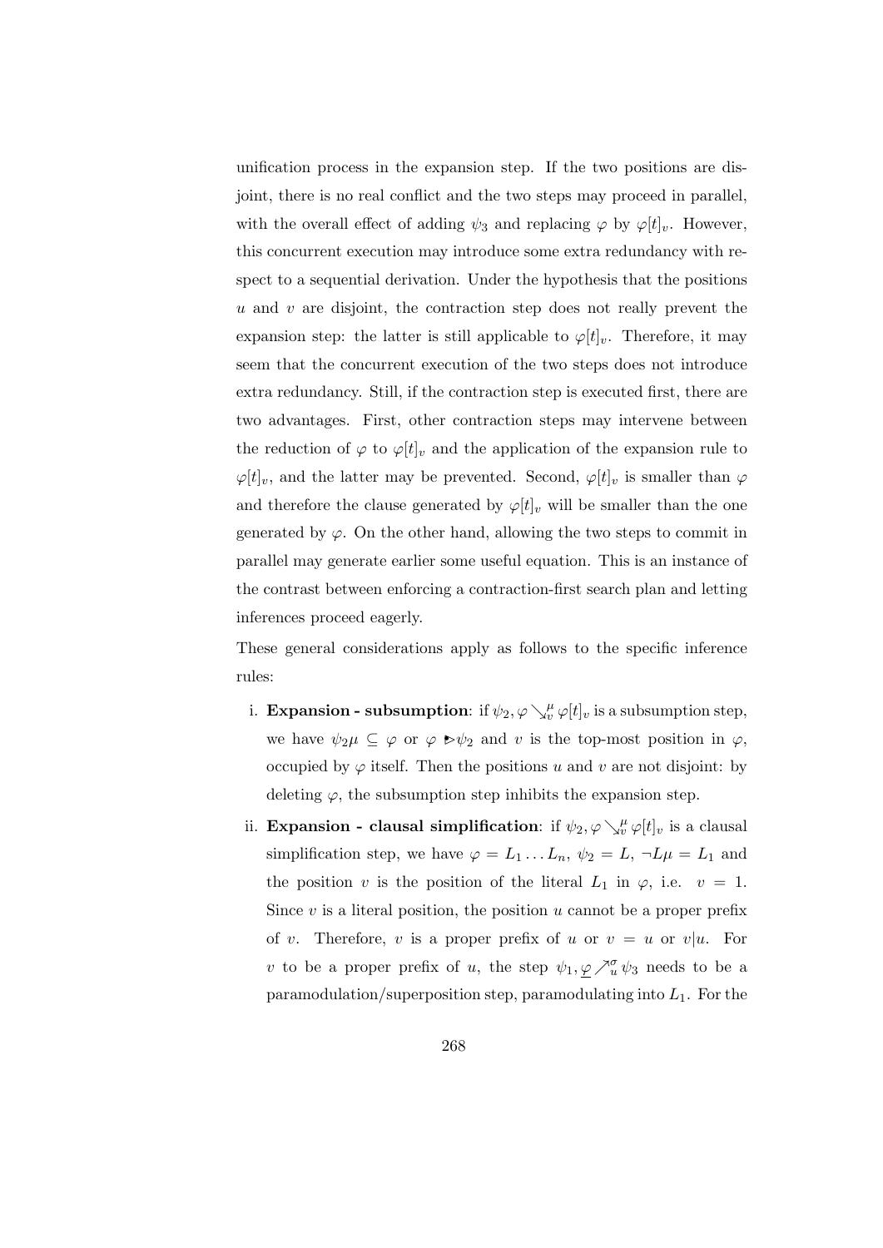unification process in the expansion step. If the two positions are disjoint, there is no real conflict and the two steps may proceed in parallel, with the overall effect of adding  $\psi_3$  and replacing  $\varphi$  by  $\varphi[t]_v$ . However, this concurrent execution may introduce some extra redundancy with respect to a sequential derivation. Under the hypothesis that the positions  $u$  and  $v$  are disjoint, the contraction step does not really prevent the expansion step: the latter is still applicable to  $\varphi[t]_v$ . Therefore, it may seem that the concurrent execution of the two steps does not introduce extra redundancy. Still, if the contraction step is executed first, there are two advantages. First, other contraction steps may intervene between the reduction of  $\varphi$  to  $\varphi[t]_v$  and the application of the expansion rule to  $\varphi[t]_v$ , and the latter may be prevented. Second,  $\varphi[t]_v$  is smaller than  $\varphi$ and therefore the clause generated by  $\varphi[t]_v$  will be smaller than the one generated by  $\varphi$ . On the other hand, allowing the two steps to commit in parallel may generate earlier some useful equation. This is an instance of the contrast between enforcing a contraction-first search plan and letting inferences proceed eagerly.

These general considerations apply as follows to the specific inference rules:

- i. **Expansion subsumption**: if  $\psi_2, \varphi \searrow^{\mu}_{v} \varphi[t]_v$  is a subsumption step, we have  $\psi_2\mu \subseteq \varphi$  or  $\varphi \triangleright \psi_2$  and v is the top-most position in  $\varphi$ , occupied by  $\varphi$  itself. Then the positions u and v are not disjoint: by deleting  $\varphi$ , the subsumption step inhibits the expansion step.
- ii. Expansion clausal simplification: if  $\psi_2, \varphi \searrow^{\mu}_{v} \varphi[t]_v$  is a clausal simplification step, we have  $\varphi = L_1 \dots L_n$ ,  $\psi_2 = L$ ,  $\neg L \mu = L_1$  and the position v is the position of the literal  $L_1$  in  $\varphi$ , i.e.  $v = 1$ . Since  $v$  is a literal position, the position  $u$  cannot be a proper prefix of v. Therefore, v is a proper prefix of u or  $v = u$  or  $v/u$ . For v to be a proper prefix of u, the step  $\psi_1, \underline{\varphi} \nearrow_u^{\sigma} \psi_3$  needs to be a paramodulation/superposition step, paramodulating into  $L_1$ . For the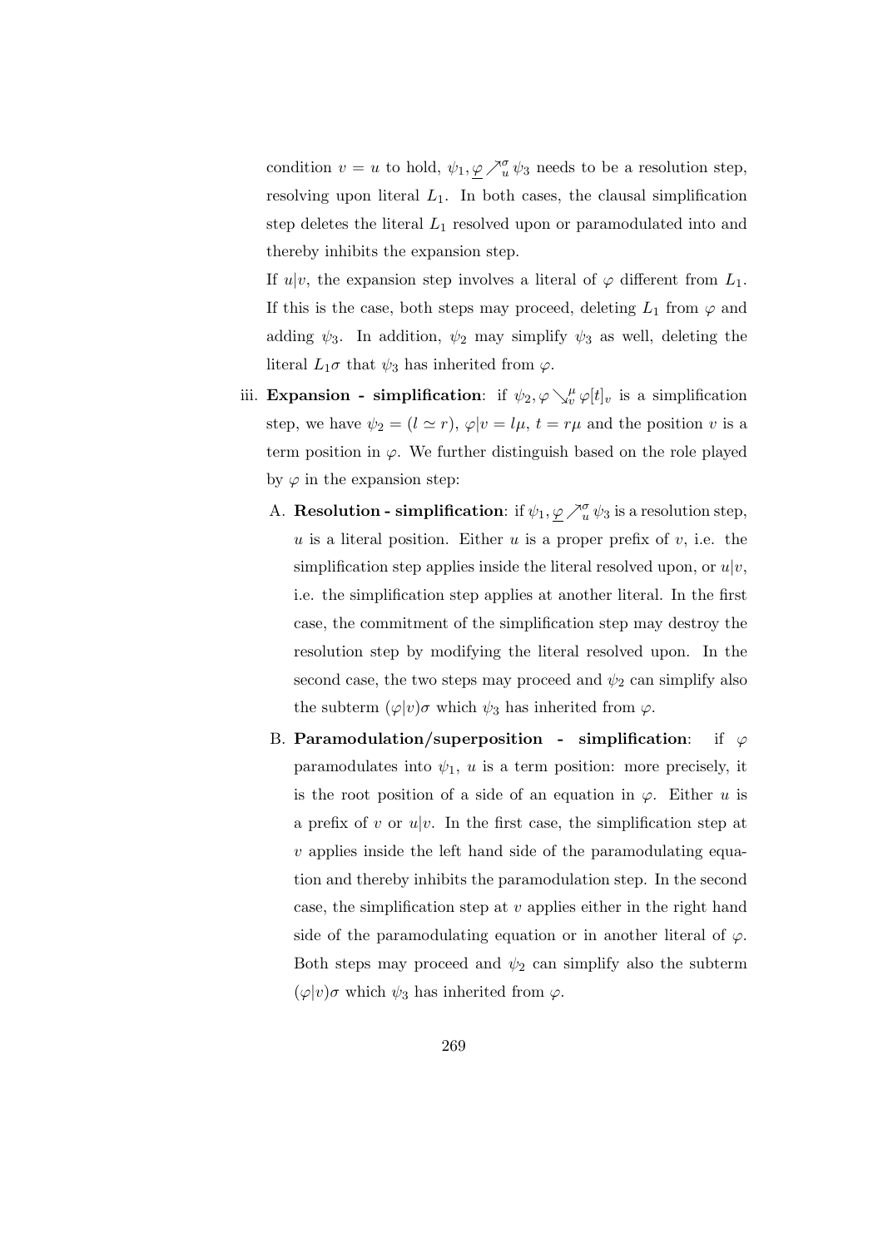condition  $v = u$  to hold,  $\psi_1, \varphi \nearrow_u^{\sigma} \psi_3$  needs to be a resolution step, resolving upon literal  $L_1$ . In both cases, the clausal simplification step deletes the literal  $L_1$  resolved upon or paramodulated into and thereby inhibits the expansion step.

If  $u|v$ , the expansion step involves a literal of  $\varphi$  different from  $L_1$ . If this is the case, both steps may proceed, deleting  $L_1$  from  $\varphi$  and adding  $\psi_3$ . In addition,  $\psi_2$  may simplify  $\psi_3$  as well, deleting the literal  $L_1\sigma$  that  $\psi_3$  has inherited from  $\varphi$ .

- iii. Expansion simplification: if  $\psi_2, \varphi \searrow^{\mu}_{v} \varphi[t]_v$  is a simplification step, we have  $\psi_2 = (l \simeq r)$ ,  $\varphi|v = l\mu$ ,  $t = r\mu$  and the position v is a term position in  $\varphi$ . We further distinguish based on the role played by  $\varphi$  in the expansion step:
	- A. **Resolution simplification**: if  $\psi_1, \varphi \nearrow_u^{\sigma} \psi_3$  is a resolution step, u is a literal position. Either u is a proper prefix of  $v$ , i.e. the simplification step applies inside the literal resolved upon, or  $u|v$ , i.e. the simplification step applies at another literal. In the first case, the commitment of the simplification step may destroy the resolution step by modifying the literal resolved upon. In the second case, the two steps may proceed and  $\psi_2$  can simplify also the subterm  $(\varphi|v)\sigma$  which  $\psi_3$  has inherited from  $\varphi$ .
	- B. Paramodulation/superposition simplification: if  $\varphi$ paramodulates into  $\psi_1$ , u is a term position: more precisely, it is the root position of a side of an equation in  $\varphi$ . Either u is a prefix of v or  $u|v$ . In the first case, the simplification step at  $v$  applies inside the left hand side of the paramodulating equation and thereby inhibits the paramodulation step. In the second case, the simplification step at  $v$  applies either in the right hand side of the paramodulating equation or in another literal of  $\varphi$ . Both steps may proceed and  $\psi_2$  can simplify also the subterm  $(\varphi|v)\sigma$  which  $\psi_3$  has inherited from  $\varphi$ .